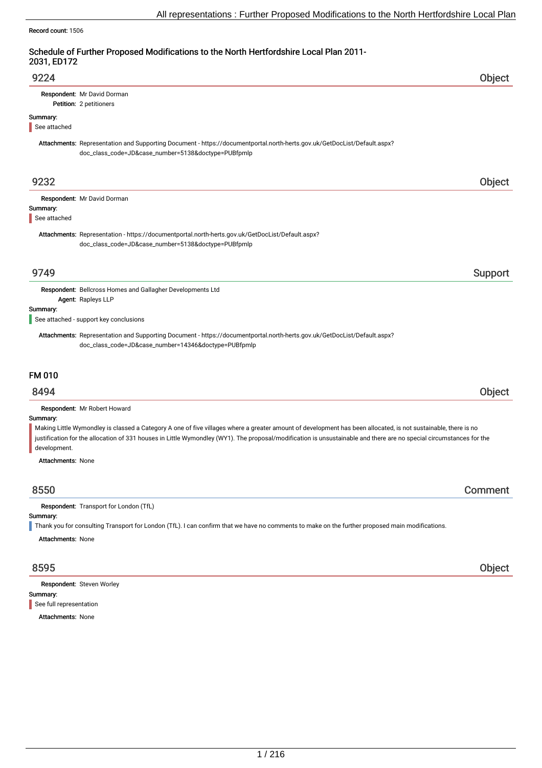#### Record count: 1506

## Schedule of Further Proposed Modifications to the North Hertfordshire Local Plan 2011- 2031, ED172

| 9224                                                    |                                                                                                                                                                                 | Object  |
|---------------------------------------------------------|---------------------------------------------------------------------------------------------------------------------------------------------------------------------------------|---------|
| Respondent: Mr David Dorman<br>Petition: 2 petitioners  |                                                                                                                                                                                 |         |
| Summary:<br>See attached                                |                                                                                                                                                                                 |         |
|                                                         | Attachments: Representation and Supporting Document - https://documentportal.north-herts.gov.uk/GetDocList/Default.aspx?<br>doc_class_code=JD&case_number=5138&doctype=PUBfpmlp |         |
| 9232                                                    |                                                                                                                                                                                 | Object  |
| Respondent: Mr David Dorman<br>Summary:<br>See attached |                                                                                                                                                                                 |         |
|                                                         | Attachments: Representation - https://documentportal.north-herts.gov.uk/GetDocList/Default.aspx?<br>doc_class_code=JD&case_number=5138&doctype=PUBfpmlp                         |         |
| 9749                                                    |                                                                                                                                                                                 | Support |

Respondent: Bellcross Homes and Gallagher Developments Ltd Agent: Rapleys LLP

#### Summary:

See attached - support key conclusions

Attachments: Representation and Supporting Document - https://documentportal.north-herts.gov.uk/GetDocList/Default.aspx? doc\_class\_code=JD&case\_number=14346&doctype=PUBfpmlp

## FM 010

## 8494 Object

Respondent: Mr Robert Howard

#### Summary:

Making Little Wymondley is classed a Category A one of five villages where a greater amount of development has been allocated, is not sustainable, there is no justification for the allocation of 331 houses in Little Wymondley (WY1). The proposal/modification is unsustainable and there are no special circumstances for the development.

Attachments: None

## 8550 Comment

Respondent: Transport for London (TfL)

#### Summary:

Thank you for consulting Transport for London (TfL). I can confirm that we have no comments to make on the further proposed main modifications.

Attachments: None

Summary: Respondent: Steven Worley See full representation

Attachments: None

8595 Object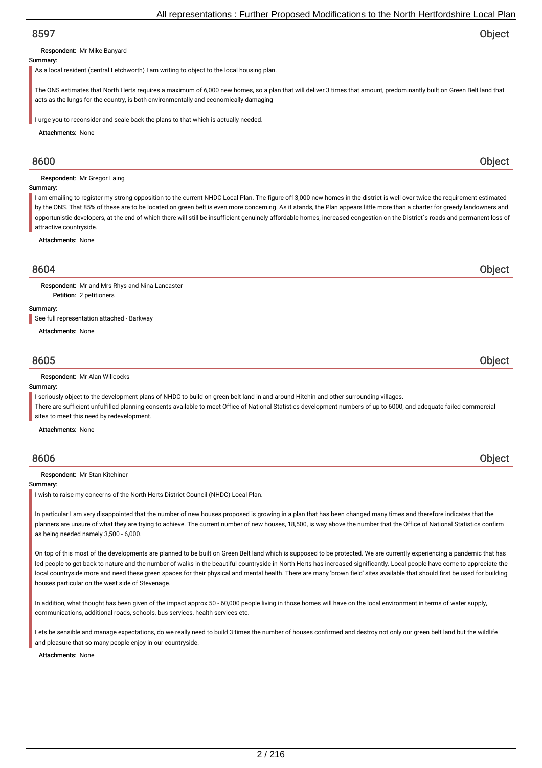#### Respondent: Mr Mike Banyard

#### Summary:

As a local resident (central Letchworth) I am writing to object to the local housing plan.

The ONS estimates that North Herts requires a maximum of 6,000 new homes, so a plan that will deliver 3 times that amount, predominantly built on Green Belt land that acts as the lungs for the country, is both environmentally and economically damaging

I urge you to reconsider and scale back the plans to that which is actually needed.

Attachments: None

#### Respondent: Mr Gregor Laing

#### Summary:

I am emailing to register my strong opposition to the current NHDC Local Plan. The figure of 13,000 new homes in the district is well over twice the requirement estimated by the ONS. That 85% of these are to be located on green belt is even more concerning. As it stands, the Plan appears little more than a charter for greedy landowners and opportunistic developers, at the end of which there will still be insufficient genuinely affordable homes, increased congestion on the District`s roads and permanent loss of attractive countryside.

Attachments: None

## 8604 Object

Respondent: Mr and Mrs Rhys and Nina Lancaster

### Summary:

See full representation attached - Barkway

Petition: 2 petitioners

Attachments: None

## 8605 Object

#### Respondent: Mr Alan Willcocks

#### Summary:

I seriously object to the development plans of NHDC to build on green belt land in and around Hitchin and other surrounding villages.

There are sufficient unfulfilled planning consents available to meet Office of National Statistics development numbers of up to 6000, and adequate failed commercial sites to meet this need by redevelopment.

Attachments: None

#### Respondent: Mr Stan Kitchiner

#### Summary:

I wish to raise my concerns of the North Herts District Council (NHDC) Local Plan.

In particular I am very disappointed that the number of new houses proposed is growing in a plan that has been changed many times and therefore indicates that the planners are unsure of what they are trying to achieve. The current number of new houses, 18,500, is way above the number that the Office of National Statistics confirm as being needed namely 3,500 - 6,000.

On top of this most of the developments are planned to be built on Green Belt land which is supposed to be protected. We are currently experiencing a pandemic that has led people to get back to nature and the number of walks in the beautiful countryside in North Herts has increased significantly. Local people have come to appreciate the local countryside more and need these green spaces for their physical and mental health. There are many 'brown field' sites available that should first be used for building houses particular on the west side of Stevenage.

In addition, what thought has been given of the impact approx 50 - 60,000 people living in those homes will have on the local environment in terms of water supply, communications, additional roads, schools, bus services, health services etc.

Lets be sensible and manage expectations, do we really need to build 3 times the number of houses confirmed and destroy not only our green belt land but the wildlife and pleasure that so many people enjoy in our countryside.

#### Attachments: None

8600 Object

## 8606 Object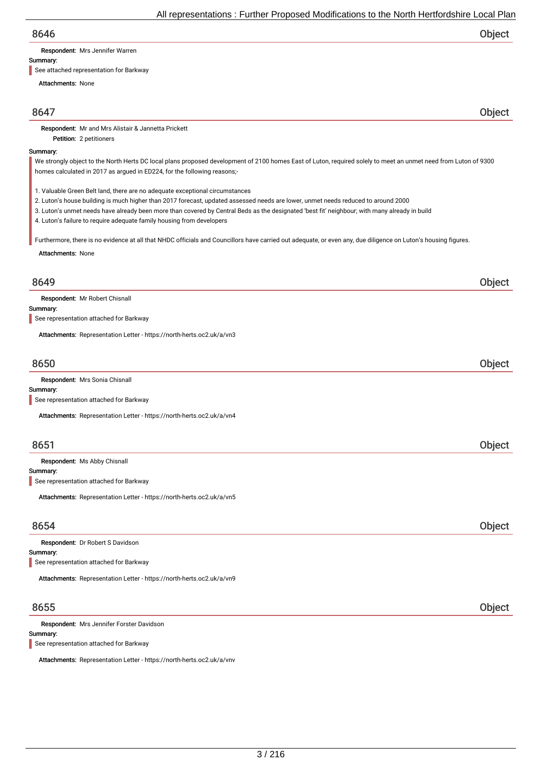Respondent: Mrs Jennifer Warren

#### Summary:

See attached representation for Barkway

Petition: 2 petitioners

Attachments: None

8647 Object

Respondent: Mr and Mrs Alistair & Jannetta Prickett

#### Summary:

We strongly object to the North Herts DC local plans proposed development of 2100 homes East of Luton, required solely to meet an unmet need from Luton of 9300 homes calculated in 2017 as argued in ED224, for the following reasons;-

1. Valuable Green Belt land, there are no adequate exceptional circumstances

- 2. Luton's house building is much higher than 2017 forecast, updated assessed needs are lower, unmet needs reduced to around 2000
- 3. Luton's unmet needs have already been more than covered by Central Beds as the designated 'best fit' neighbour; with many already in build
- 4. Luton's failure to require adequate family housing from developers

Furthermore, there is no evidence at all that NHDC officials and Councillors have carried out adequate, or even any, due diligence on Luton's housing figures.

Attachments: None

## 8649 Object

Respondent: Mr Robert Chisnall

### Summary:

See representation attached for Barkway

Attachments: Representation Letter - https://north-herts.oc2.uk/a/vn3

## 8650 Object

| Respondent: Mrs Sonia Chisnall                                        |  |
|-----------------------------------------------------------------------|--|
| Summary:                                                              |  |
| See representation attached for Barkway                               |  |
| Attachments: Representation Letter - https://north-herts.oc2.uk/a/vn4 |  |

## 8651 Object

Respondent: Ms Abby Chisnall

Summary:

See representation attached for Barkway

Attachments: Representation Letter - https://north-herts.oc2.uk/a/vn5

## 8654 Object

Summary: Respondent: Dr Robert S Davidson See representation attached for Barkway

Attachments: Representation Letter - https://north-herts.oc2.uk/a/vn9

## 8655 Object

Respondent: Mrs Jennifer Forster Davidson

Summary:

See representation attached for Barkway

Attachments: Representation Letter - https://north-herts.oc2.uk/a/vnv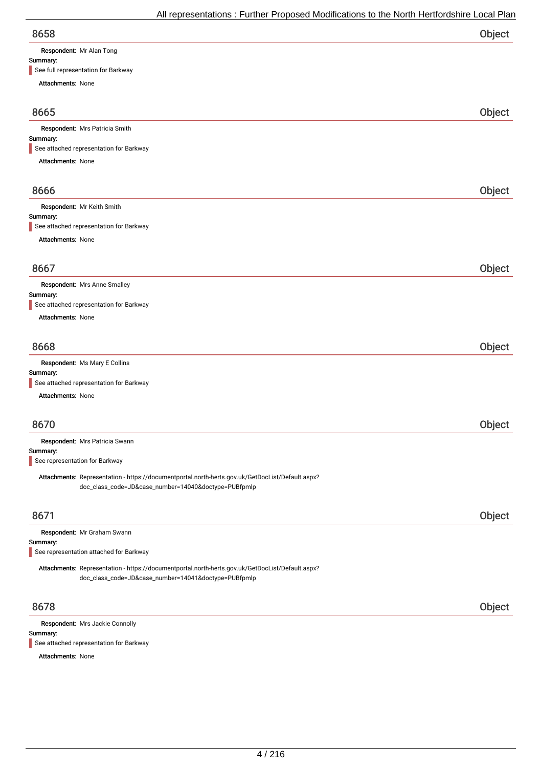| <b>Respondent:</b> Mr Alan Tong |
|---------------------------------|

| Summary:<br>See full representation for Barkway                                                                                                          |        |
|----------------------------------------------------------------------------------------------------------------------------------------------------------|--------|
| Attachments: None                                                                                                                                        |        |
|                                                                                                                                                          |        |
| 8665                                                                                                                                                     | Object |
| Respondent: Mrs Patricia Smith                                                                                                                           |        |
| Summary:                                                                                                                                                 |        |
| See attached representation for Barkway                                                                                                                  |        |
| Attachments: None                                                                                                                                        |        |
| 8666                                                                                                                                                     | Object |
|                                                                                                                                                          |        |
| Respondent: Mr Keith Smith<br>Summary:                                                                                                                   |        |
| See attached representation for Barkway                                                                                                                  |        |
| <b>Attachments: None</b>                                                                                                                                 |        |
|                                                                                                                                                          |        |
| 8667                                                                                                                                                     | Object |
| Respondent: Mrs Anne Smalley                                                                                                                             |        |
| Summary:                                                                                                                                                 |        |
| See attached representation for Barkway                                                                                                                  |        |
| Attachments: None                                                                                                                                        |        |
|                                                                                                                                                          |        |
| 8668                                                                                                                                                     | Object |
| Respondent: Ms Mary E Collins                                                                                                                            |        |
| Summary:                                                                                                                                                 |        |
| See attached representation for Barkway                                                                                                                  |        |
| <b>Attachments: None</b>                                                                                                                                 |        |
|                                                                                                                                                          |        |
| 8670                                                                                                                                                     | Object |
| Respondent: Mrs Patricia Swann                                                                                                                           |        |
| Summary:<br>See representation for Barkway                                                                                                               |        |
|                                                                                                                                                          |        |
| Attachments: Representation - https://documentportal.north-herts.gov.uk/GetDocList/Default.aspx?<br>doc_class_code=JD&case_number=14040&doctype=PUBfpmlp |        |
|                                                                                                                                                          |        |
|                                                                                                                                                          |        |

| Respondent: Mr Graham Swann                                                                      |  |
|--------------------------------------------------------------------------------------------------|--|
| Summary:                                                                                         |  |
| See representation attached for Barkway                                                          |  |
| Attachments: Representation - https://documentportal.north-herts.gov.uk/GetDocList/Default.aspx? |  |
| doc_class_code=JD&case_number=14041&doctype=PUBfpmlp                                             |  |
|                                                                                                  |  |

## 8678 Object

Summary: Respondent: Mrs Jackie Connolly See attached representation for Barkway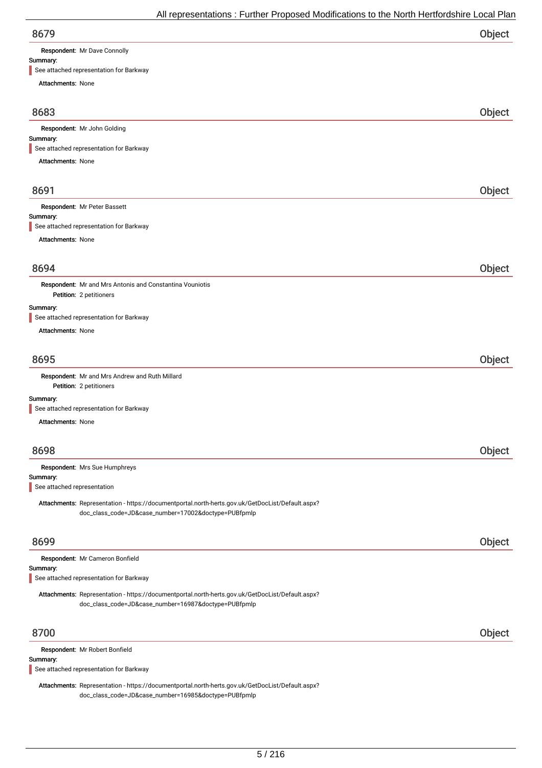Respondent: Mr Dave Connolly

# Summary:

See attached representation for Barkway

| See attached representation for Barkway                                                                                                                  |        |
|----------------------------------------------------------------------------------------------------------------------------------------------------------|--------|
| Attachments: None                                                                                                                                        |        |
| 8683                                                                                                                                                     | Object |
| Respondent: Mr John Golding                                                                                                                              |        |
| Summary:<br>See attached representation for Barkway                                                                                                      |        |
| Attachments: None                                                                                                                                        |        |
|                                                                                                                                                          |        |
| 8691                                                                                                                                                     | Object |
| Respondent: Mr Peter Bassett                                                                                                                             |        |
| Summary:<br>See attached representation for Barkway                                                                                                      |        |
| Attachments: None                                                                                                                                        |        |
|                                                                                                                                                          |        |
| 8694                                                                                                                                                     | Object |
| Respondent: Mr and Mrs Antonis and Constantina Vouniotis                                                                                                 |        |
| Petition: 2 petitioners                                                                                                                                  |        |
| Summary:<br>See attached representation for Barkway                                                                                                      |        |
| <b>Attachments: None</b>                                                                                                                                 |        |
|                                                                                                                                                          |        |
| 8695                                                                                                                                                     | Object |
| Respondent: Mr and Mrs Andrew and Ruth Millard<br>Petition: 2 petitioners                                                                                |        |
| Summary:                                                                                                                                                 |        |
| See attached representation for Barkway                                                                                                                  |        |
| Attachments: None                                                                                                                                        |        |
| 8698                                                                                                                                                     | Object |
| Respondent: Mrs Sue Humphreys                                                                                                                            |        |
| Summary:<br>See attached representation                                                                                                                  |        |
|                                                                                                                                                          |        |
| Attachments: Representation - https://documentportal.north-herts.gov.uk/GetDocList/Default.aspx?<br>doc_class_code=JD&case_number=17002&doctype=PUBfpmlp |        |
|                                                                                                                                                          |        |
| 8699                                                                                                                                                     | Object |
| Respondent: Mr Cameron Bonfield                                                                                                                          |        |
| Summary:<br>See attached representation for Barkway                                                                                                      |        |
|                                                                                                                                                          |        |
| Attachments: Representation - https://documentportal.north-herts.gov.uk/GetDocList/Default.aspx?<br>doc_class_code=JD&case_number=16987&doctype=PUBfpmlp |        |
|                                                                                                                                                          |        |
| 8700                                                                                                                                                     | Object |
| Respondent: Mr Robert Bonfield                                                                                                                           |        |
| Summary:                                                                                                                                                 |        |

See attached representation for Barkway

Attachments: Representation - https://documentportal.north-herts.gov.uk/GetDocList/Default.aspx? doc\_class\_code=JD&case\_number=16985&doctype=PUBfpmlp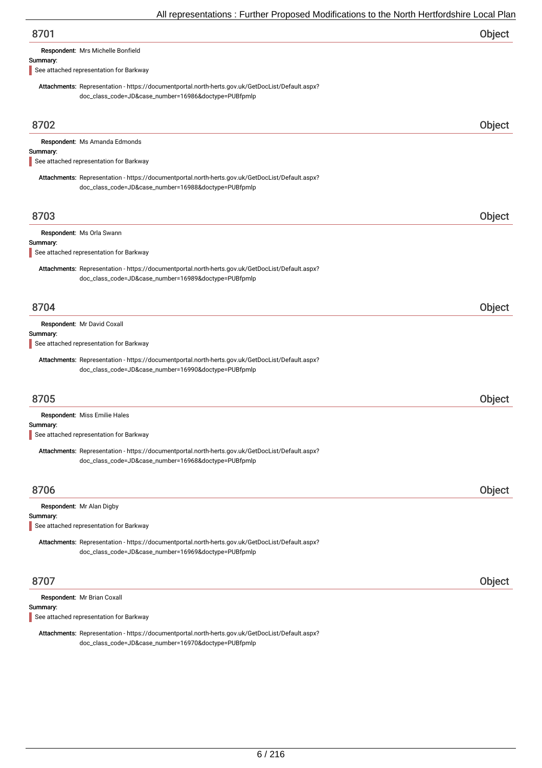| Object |
|--------|
|        |

Respondent: Mrs Michelle Bonfield

#### Summary:

See attached representation for Barkway

Attachments: Representation - https://documentportal.north-herts.gov.uk/GetDocList/Default.aspx? doc\_class\_code=JD&case\_number=16986&doctype=PUBfpmlp

| 8702                                                                                                                                                     | <b>Object</b> |
|----------------------------------------------------------------------------------------------------------------------------------------------------------|---------------|
| Respondent: Ms Amanda Edmonds<br>Summary:<br>See attached representation for Barkway                                                                     |               |
| Attachments: Representation - https://documentportal.north-herts.gov.uk/GetDocList/Default.aspx?<br>doc_class_code=JD&case_number=16988&doctype=PUBfpmlp |               |
| 8703                                                                                                                                                     | Object        |
| Respondent: Ms Orla Swann<br>Summary:<br>See attached representation for Barkway                                                                         |               |
| Attachments: Representation - https://documentportal.north-herts.gov.uk/GetDocList/Default.aspx?<br>doc_class_code=JD&case_number=16989&doctype=PUBfpmlp |               |
| 8704                                                                                                                                                     | Object        |
| Respondent: Mr David Coxall<br>Summary:<br>See attached representation for Barkway                                                                       |               |
| Attachments: Representation - https://documentportal.north-herts.gov.uk/GetDocList/Default.aspx?<br>doc_class_code=JD&case_number=16990&doctype=PUBfpmlp |               |
| 8705                                                                                                                                                     | Object        |
| Respondent: Miss Emilie Hales                                                                                                                            |               |
| Summary:<br>See attached representation for Barkway                                                                                                      |               |
| Attachments: Representation - https://documentportal.north-herts.gov.uk/GetDocList/Default.aspx?<br>doc_class_code=JD&case_number=16968&doctype=PUBfpmlp |               |
| 8706                                                                                                                                                     | Object        |
| Respondent: Mr Alan Digby<br>Summary:<br>See attached representation for Barkway                                                                         |               |
| Attachments: Representation - https://documentportal.north-herts.gov.uk/GetDocList/Default.aspx?<br>doc_class_code=JD&case_number=16969&doctype=PUBfpmlp |               |
| 8707                                                                                                                                                     | Object        |
| Respondent: Mr Brian Coxall<br>Summary:                                                                                                                  |               |

See attached representation for Barkway

Attachments: Representation - https://documentportal.north-herts.gov.uk/GetDocList/Default.aspx? doc\_class\_code=JD&case\_number=16970&doctype=PUBfpmlp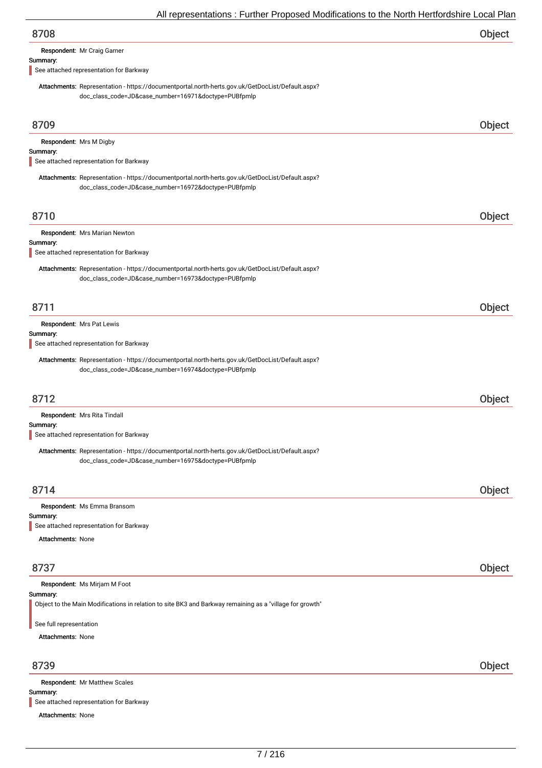| 8708 | Object |
|------|--------|
|      |        |

Respondent: Mr Craig Garner

#### Summary:

See attached representation for Barkway

Attachments: Representation - https://documentportal.north-herts.gov.uk/GetDocList/Default.aspx? doc\_class\_code=JD&case\_number=16971&doctype=PUBfpmlp

| 8709                     |                                                                                                          | Object |
|--------------------------|----------------------------------------------------------------------------------------------------------|--------|
|                          | Respondent: Mrs M Digby                                                                                  |        |
| Summary:                 | See attached representation for Barkway                                                                  |        |
|                          | Attachments: Representation - https://documentportal.north-herts.gov.uk/GetDocList/Default.aspx?         |        |
|                          | doc_class_code=JD&case_number=16972&doctype=PUBfpmlp                                                     |        |
|                          |                                                                                                          |        |
| 8710                     |                                                                                                          | Object |
|                          | Respondent: Mrs Marian Newton                                                                            |        |
| Summary:                 | See attached representation for Barkway                                                                  |        |
|                          | Attachments: Representation - https://documentportal.north-herts.gov.uk/GetDocList/Default.aspx?         |        |
|                          | doc_class_code=JD&case_number=16973&doctype=PUBfpmlp                                                     |        |
|                          |                                                                                                          |        |
| 8711                     |                                                                                                          | Object |
|                          | Respondent: Mrs Pat Lewis                                                                                |        |
| Summary:                 | See attached representation for Barkway                                                                  |        |
|                          | Attachments: Representation - https://documentportal.north-herts.gov.uk/GetDocList/Default.aspx?         |        |
|                          | doc_class_code=JD&case_number=16974&doctype=PUBfpmlp                                                     |        |
|                          |                                                                                                          |        |
| 8712                     |                                                                                                          | Object |
| Summary:                 | Respondent: Mrs Rita Tindall                                                                             |        |
|                          | See attached representation for Barkway                                                                  |        |
|                          | Attachments: Representation - https://documentportal.north-herts.gov.uk/GetDocList/Default.aspx?         |        |
|                          | doc_class_code=JD&case_number=16975&doctype=PUBfpmlp                                                     |        |
|                          |                                                                                                          |        |
| 8714                     |                                                                                                          | Object |
| Summary:                 | Respondent: Ms Emma Bransom                                                                              |        |
|                          | See attached representation for Barkway                                                                  |        |
| <b>Attachments: None</b> |                                                                                                          |        |
|                          |                                                                                                          |        |
| 8737                     |                                                                                                          | Object |
| Summary:                 | Respondent: Ms Mirjam M Foot                                                                             |        |
|                          | Object to the Main Modifications in relation to site BK3 and Barkway remaining as a "village for growth" |        |
| See full representation  |                                                                                                          |        |
| <b>Attachments: None</b> |                                                                                                          |        |
|                          |                                                                                                          |        |
| 8739                     |                                                                                                          | Object |
| Summary:                 | Respondent: Mr Matthew Scales                                                                            |        |

See attached representation for Barkway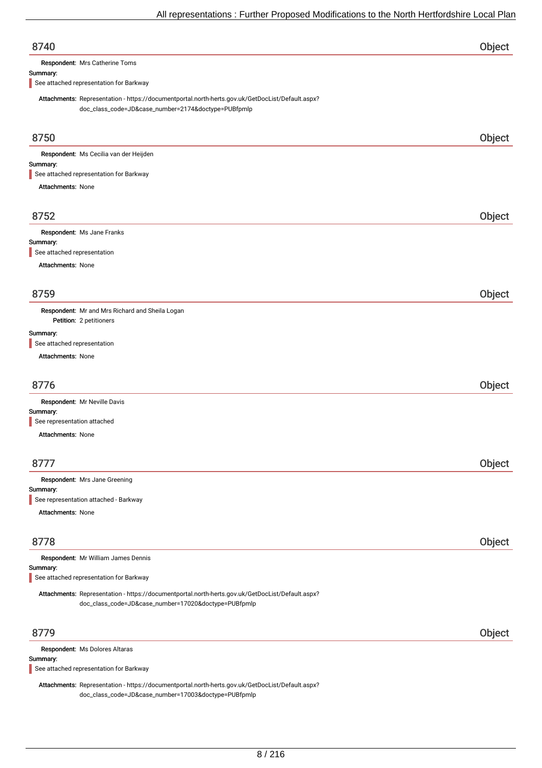| 8740                                                                                                                                                    | Object |
|---------------------------------------------------------------------------------------------------------------------------------------------------------|--------|
| Respondent: Mrs Catherine Toms                                                                                                                          |        |
| Summary:<br>See attached representation for Barkway                                                                                                     |        |
|                                                                                                                                                         |        |
| Attachments: Representation - https://documentportal.north-herts.gov.uk/GetDocList/Default.aspx?<br>doc_class_code=JD&case_number=2174&doctype=PUBfpmlp |        |
|                                                                                                                                                         |        |
| 8750                                                                                                                                                    | Object |
| Respondent: Ms Cecilia van der Heijden                                                                                                                  |        |
| Summary:                                                                                                                                                |        |
| See attached representation for Barkway                                                                                                                 |        |
| Attachments: None                                                                                                                                       |        |
|                                                                                                                                                         |        |
| 8752                                                                                                                                                    | Object |
| Respondent: Ms Jane Franks                                                                                                                              |        |
| Summary:                                                                                                                                                |        |
| See attached representation                                                                                                                             |        |
| Attachments: None                                                                                                                                       |        |
|                                                                                                                                                         |        |
| 8759                                                                                                                                                    | Object |
| Respondent: Mr and Mrs Richard and Sheila Logan                                                                                                         |        |
| Petition: 2 petitioners                                                                                                                                 |        |
| Summary:<br>See attached representation                                                                                                                 |        |
| <b>Attachments: None</b>                                                                                                                                |        |
|                                                                                                                                                         |        |
| 8776                                                                                                                                                    | Object |
| Respondent: Mr Neville Davis                                                                                                                            |        |
| Summary:                                                                                                                                                |        |
| See representation attached                                                                                                                             |        |
| <b>Attachments: None</b>                                                                                                                                |        |
|                                                                                                                                                         |        |
| 8777                                                                                                                                                    | Object |
| Respondent: Mrs Jane Greening                                                                                                                           |        |
| Summary:<br>See representation attached - Barkway                                                                                                       |        |
| Attachments: None                                                                                                                                       |        |
|                                                                                                                                                         |        |
|                                                                                                                                                         |        |
| 8778                                                                                                                                                    | Object |
| Respondent: Mr William James Dennis                                                                                                                     |        |
| Summary:<br>See attached representation for Barkway                                                                                                     |        |
| Attachments: Representation - https://documentportal.north-herts.gov.uk/GetDocList/Default.aspx?                                                        |        |
| doc_class_code=JD&case_number=17020&doctype=PUBfpmlp                                                                                                    |        |
|                                                                                                                                                         |        |
| 8779                                                                                                                                                    | Object |
|                                                                                                                                                         |        |
| Respondent: Ms Dolores Altaras<br>$C_{11}$ $C_{22}$                                                                                                     |        |

mmary: See attached representation for Barkway

Attachments: Representation - https://documentportal.north-herts.gov.uk/GetDocList/Default.aspx? doc\_class\_code=JD&case\_number=17003&doctype=PUBfpmlp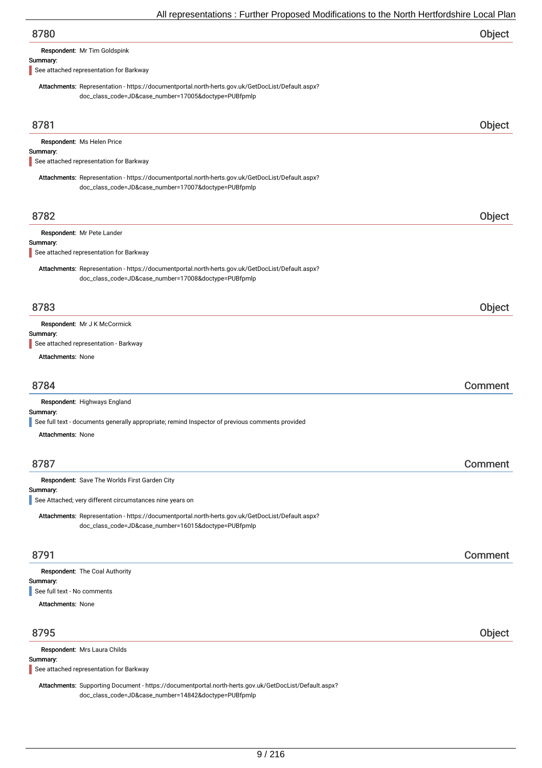| 8780                                |  |
|-------------------------------------|--|
| <b>Respondent:</b> Mr Tim Goldspink |  |

#### Summary:

See attached representation for Barkway

Attachments: Representation - https://documentportal.north-herts.gov.uk/GetDocList/Default.aspx? doc\_class\_code=JD&case\_number=17005&doctype=PUBfpmlp

| 8781                                                                                                                                                     | Object  |
|----------------------------------------------------------------------------------------------------------------------------------------------------------|---------|
| Respondent: Ms Helen Price                                                                                                                               |         |
| Summary:<br>See attached representation for Barkway                                                                                                      |         |
|                                                                                                                                                          |         |
| Attachments: Representation - https://documentportal.north-herts.gov.uk/GetDocList/Default.aspx?<br>doc_class_code=JD&case_number=17007&doctype=PUBfpmlp |         |
|                                                                                                                                                          |         |
| 8782                                                                                                                                                     | Object  |
| Respondent: Mr Pete Lander                                                                                                                               |         |
| Summary:                                                                                                                                                 |         |
| See attached representation for Barkway                                                                                                                  |         |
| Attachments: Representation - https://documentportal.north-herts.gov.uk/GetDocList/Default.aspx?                                                         |         |
| doc_class_code=JD&case_number=17008&doctype=PUBfpmlp                                                                                                     |         |
|                                                                                                                                                          |         |
| 8783                                                                                                                                                     | Object  |
| Respondent: Mr J K McCormick                                                                                                                             |         |
| Summary:<br>See attached representation - Barkway                                                                                                        |         |
| <b>Attachments: None</b>                                                                                                                                 |         |
|                                                                                                                                                          |         |
|                                                                                                                                                          |         |
| 8784                                                                                                                                                     | Comment |
| Respondent: Highways England                                                                                                                             |         |
| Summary:<br>See full text - documents generally appropriate; remind Inspector of previous comments provided                                              |         |
| <b>Attachments: None</b>                                                                                                                                 |         |
|                                                                                                                                                          |         |
| 8787                                                                                                                                                     | Comment |
|                                                                                                                                                          |         |
| Respondent: Save The Worlds First Garden City<br>Summary:                                                                                                |         |
| See Attached; very different circumstances nine years on                                                                                                 |         |
| Attachments: Representation - https://documentportal.north-herts.gov.uk/GetDocList/Default.aspx?                                                         |         |
| doc_class_code=JD&case_number=16015&doctype=PUBfpmlp                                                                                                     |         |
|                                                                                                                                                          |         |
| 8791                                                                                                                                                     | Comment |
| Respondent: The Coal Authority                                                                                                                           |         |
| Summary:                                                                                                                                                 |         |
| See full text - No comments                                                                                                                              |         |
| <b>Attachments: None</b>                                                                                                                                 |         |
|                                                                                                                                                          |         |
| 8795                                                                                                                                                     | Object  |
| Respondent: Mrs Laura Childs                                                                                                                             |         |
| Summary:<br>See attached representation for Barkway                                                                                                      |         |
|                                                                                                                                                          |         |
| Attachments: Supporting Document - https://documentportal.north-herts.gov.uk/GetDocList/Default.aspx?                                                    |         |

doc\_class\_code=JD&case\_number=14842&doctype=PUBfpmlp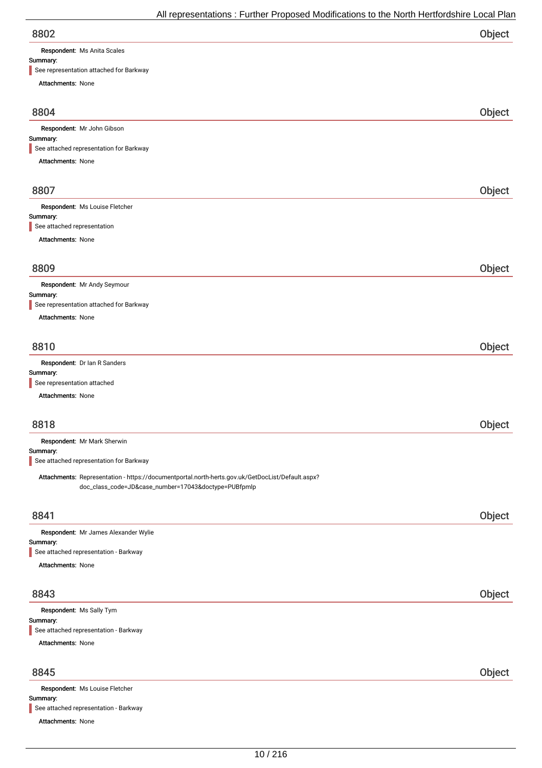| 8802 | Object |
|------|--------|
|      |        |

Respondent: Ms Anita Scales

Attachments: None

#### Summary:

See representation attached for Barkway

| Attachments: None                                                                                                                                        |        |
|----------------------------------------------------------------------------------------------------------------------------------------------------------|--------|
| 8804                                                                                                                                                     | Object |
| Respondent: Mr John Gibson                                                                                                                               |        |
| Summary:<br>See attached representation for Barkway                                                                                                      |        |
| Attachments: None                                                                                                                                        |        |
|                                                                                                                                                          |        |
| 8807                                                                                                                                                     | Object |
| Respondent: Ms Louise Fletcher<br>Summary:                                                                                                               |        |
| See attached representation                                                                                                                              |        |
| <b>Attachments: None</b>                                                                                                                                 |        |
| 8809                                                                                                                                                     | Object |
| Respondent: Mr Andy Seymour                                                                                                                              |        |
| Summary:                                                                                                                                                 |        |
| See representation attached for Barkway                                                                                                                  |        |
| <b>Attachments: None</b>                                                                                                                                 |        |
| 8810                                                                                                                                                     |        |
| Respondent: Dr Ian R Sanders                                                                                                                             | Object |
| Summary:                                                                                                                                                 |        |
| See representation attached                                                                                                                              |        |
| <b>Attachments: None</b>                                                                                                                                 |        |
| 8818                                                                                                                                                     | Object |
| Respondent: Mr Mark Sherwin                                                                                                                              |        |
| Summary:                                                                                                                                                 |        |
| See attached representation for Barkway                                                                                                                  |        |
| Attachments: Representation - https://documentportal.north-herts.gov.uk/GetDocList/Default.aspx?<br>doc_class_code=JD&case_number=17043&doctype=PUBfpmlp |        |
| 8841                                                                                                                                                     | Object |
| Respondent: Mr James Alexander Wylie                                                                                                                     |        |
| Summary:                                                                                                                                                 |        |
| See attached representation - Barkway<br>Attachments: None                                                                                               |        |
|                                                                                                                                                          |        |
| 8843                                                                                                                                                     | Object |
| Respondent: Ms Sally Tym<br>Summary:                                                                                                                     |        |
| See attached representation - Barkway                                                                                                                    |        |
| Attachments: None                                                                                                                                        |        |
|                                                                                                                                                          |        |
| 8845                                                                                                                                                     | Object |
| Respondent: Ms Louise Fletcher<br>Summary:                                                                                                               |        |
| See attached representation - Barkway                                                                                                                    |        |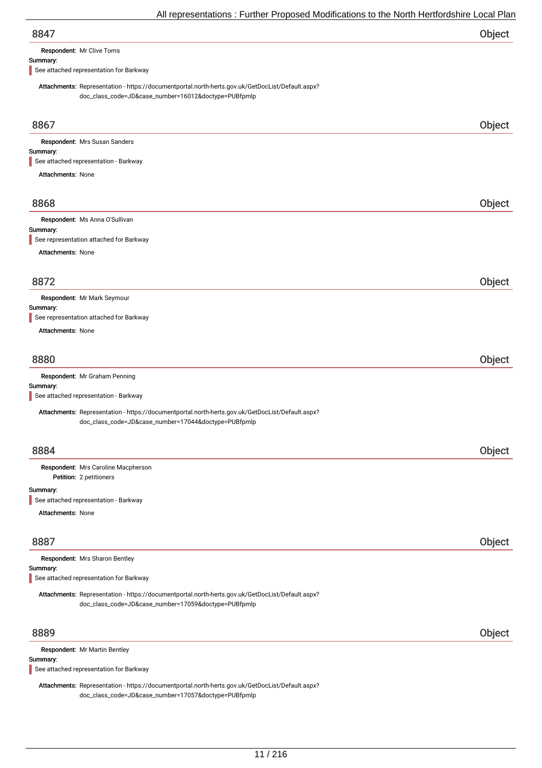| 8847 | Object |
|------|--------|
|      |        |

Respondent: Mr Clive Toms

### Summary:

See attached representation for Barkway

Attachments: Representation - https://documentportal.north-herts.gov.uk/GetDocList/Default.aspx? doc\_class\_code=JD&case\_number=16012&doctype=PUBfpmlp

| 8867                                                                                                                                                     | Object |
|----------------------------------------------------------------------------------------------------------------------------------------------------------|--------|
| Respondent: Mrs Susan Sanders                                                                                                                            |        |
| Summary:<br>See attached representation - Barkway                                                                                                        |        |
| <b>Attachments: None</b>                                                                                                                                 |        |
|                                                                                                                                                          |        |
| 8868                                                                                                                                                     | Object |
| Respondent: Ms Anna O'Sullivan                                                                                                                           |        |
| Summary:                                                                                                                                                 |        |
| See representation attached for Barkway                                                                                                                  |        |
| <b>Attachments: None</b>                                                                                                                                 |        |
|                                                                                                                                                          |        |
| 8872                                                                                                                                                     | Object |
| Respondent: Mr Mark Seymour                                                                                                                              |        |
| Summary:<br>See representation attached for Barkway                                                                                                      |        |
| <b>Attachments: None</b>                                                                                                                                 |        |
|                                                                                                                                                          |        |
| 8880                                                                                                                                                     | Object |
| Respondent: Mr Graham Penning                                                                                                                            |        |
| Summary:                                                                                                                                                 |        |
| See attached representation - Barkway                                                                                                                    |        |
| Attachments: Representation - https://documentportal.north-herts.gov.uk/GetDocList/Default.aspx?<br>doc_class_code=JD&case_number=17044&doctype=PUBfpmlp |        |
| 8884                                                                                                                                                     | Object |
| Respondent: Mrs Caroline Macpherson                                                                                                                      |        |
| Petition: 2 petitioners                                                                                                                                  |        |
| Summary:                                                                                                                                                 |        |
| See attached representation - Barkway                                                                                                                    |        |
| <b>Attachments: None</b>                                                                                                                                 |        |
|                                                                                                                                                          |        |
| 8887                                                                                                                                                     | Object |
| Respondent: Mrs Sharon Bentley                                                                                                                           |        |
| Summary:<br>See attached representation for Barkway                                                                                                      |        |
| Attachments: Representation - https://documentportal.north-herts.gov.uk/GetDocList/Default.aspx?<br>doc_class_code=JD&case_number=17059&doctype=PUBfpmlp |        |
| 8889                                                                                                                                                     | Object |
| Respondent: Mr Martin Bentley                                                                                                                            |        |
| Summary:                                                                                                                                                 |        |
| See attached representation for Barkway                                                                                                                  |        |

Attachments: Representation - https://documentportal.north-herts.gov.uk/GetDocList/Default.aspx? doc\_class\_code=JD&case\_number=17057&doctype=PUBfpmlp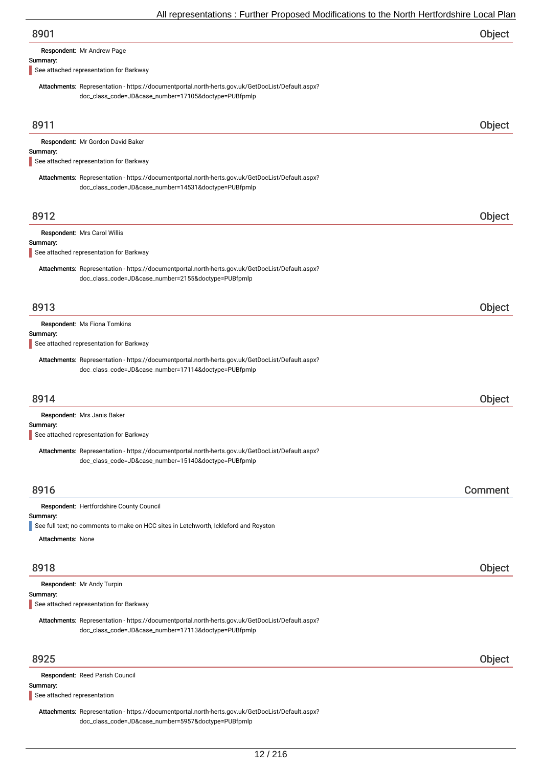Respondent: Mr Andrew Page

#### Summary:

See attached representation for Barkway

Attachments: Representation - https://documentportal.north-herts.gov.uk/GetDocList/Default.aspx? doc\_class\_code=JD&case\_number=17105&doctype=PUBfpmlp

| 8911                                                                                                                                                     | Object  |
|----------------------------------------------------------------------------------------------------------------------------------------------------------|---------|
| Respondent: Mr Gordon David Baker                                                                                                                        |         |
| Summary:                                                                                                                                                 |         |
| See attached representation for Barkway                                                                                                                  |         |
| Attachments: Representation - https://documentportal.north-herts.gov.uk/GetDocList/Default.aspx?<br>doc_class_code=JD&case_number=14531&doctype=PUBfpmlp |         |
| 8912                                                                                                                                                     | Object  |
| Respondent: Mrs Carol Willis                                                                                                                             |         |
| Summary:<br>See attached representation for Barkway                                                                                                      |         |
|                                                                                                                                                          |         |
| Attachments: Representation - https://documentportal.north-herts.gov.uk/GetDocList/Default.aspx?<br>doc_class_code=JD&case_number=2155&doctype=PUBfpmlp  |         |
| 8913                                                                                                                                                     | Object  |
| Respondent: Ms Fiona Tomkins<br>Summary:                                                                                                                 |         |
| See attached representation for Barkway                                                                                                                  |         |
| Attachments: Representation - https://documentportal.north-herts.gov.uk/GetDocList/Default.aspx?<br>doc_class_code=JD&case_number=17114&doctype=PUBfpmlp |         |
| 8914                                                                                                                                                     | Object  |
| Respondent: Mrs Janis Baker                                                                                                                              |         |
| Summary:<br>See attached representation for Barkway                                                                                                      |         |
| Attachments: Representation - https://documentportal.north-herts.gov.uk/GetDocList/Default.aspx?<br>doc_class_code=JD&case_number=15140&doctype=PUBfpmlp |         |
| 8916                                                                                                                                                     | Comment |
| Respondent: Hertfordshire County Council                                                                                                                 |         |
| Summary:                                                                                                                                                 |         |
| See full text; no comments to make on HCC sites in Letchworth, Ickleford and Royston                                                                     |         |
| <b>Attachments: None</b>                                                                                                                                 |         |
| 8918                                                                                                                                                     | Object  |
| Respondent: Mr Andy Turpin                                                                                                                               |         |
| Summary:<br>See attached representation for Barkway                                                                                                      |         |
| Attachments: Representation - https://documentportal.north-herts.gov.uk/GetDocList/Default.aspx?<br>doc_class_code=JD&case_number=17113&doctype=PUBfpmlp |         |
| 8925                                                                                                                                                     | Object  |
| Respondent: Reed Parish Council                                                                                                                          |         |
| Summary:<br>See attached representation                                                                                                                  |         |
|                                                                                                                                                          |         |

Attachments: Representation - https://documentportal.north-herts.gov.uk/GetDocList/Default.aspx? doc\_class\_code=JD&case\_number=5957&doctype=PUBfpmlp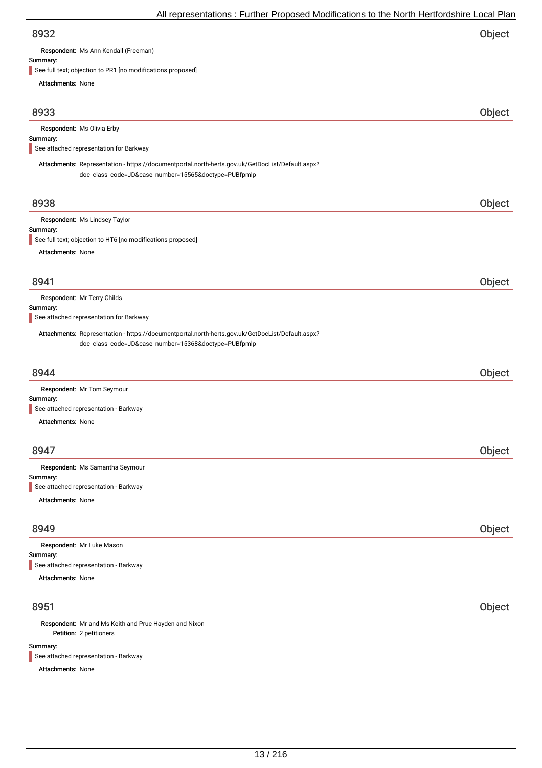| 8932 | Object |
|------|--------|
|      |        |

Respondent: Ms Ann Kendall (Freeman)

# Summary:<br>See full to

 $\delta$  objection to PR1 [no modifications proposed]

| See full text, objection to PRT [no modifications proposed]                                                                                              |        |
|----------------------------------------------------------------------------------------------------------------------------------------------------------|--------|
| <b>Attachments: None</b>                                                                                                                                 |        |
| 8933                                                                                                                                                     | Object |
| Respondent: Ms Olivia Erby                                                                                                                               |        |
| Summary:                                                                                                                                                 |        |
| See attached representation for Barkway                                                                                                                  |        |
| Attachments: Representation - https://documentportal.north-herts.gov.uk/GetDocList/Default.aspx?<br>doc_class_code=JD&case_number=15565&doctype=PUBfpmlp |        |
| 8938                                                                                                                                                     | Object |
| Respondent: Ms Lindsey Taylor                                                                                                                            |        |
| Summary:<br>See full text; objection to HT6 [no modifications proposed]                                                                                  |        |
| Attachments: None                                                                                                                                        |        |
|                                                                                                                                                          |        |
| 8941                                                                                                                                                     | Object |
| Respondent: Mr Terry Childs                                                                                                                              |        |
| Summary:<br>See attached representation for Barkway                                                                                                      |        |
|                                                                                                                                                          |        |
| Attachments: Representation - https://documentportal.north-herts.gov.uk/GetDocList/Default.aspx?<br>doc_class_code=JD&case_number=15368&doctype=PUBfpmlp |        |
|                                                                                                                                                          |        |
| 8944                                                                                                                                                     | Object |
| Respondent: Mr Tom Seymour                                                                                                                               |        |
| Summary:                                                                                                                                                 |        |
| See attached representation - Barkway<br><b>Attachments: None</b>                                                                                        |        |
|                                                                                                                                                          |        |
| 8947                                                                                                                                                     | Object |
|                                                                                                                                                          |        |
| Respondent: Ms Samantha Seymour<br>Summary:                                                                                                              |        |
| See attached representation - Barkway                                                                                                                    |        |
| Attachments: None                                                                                                                                        |        |
| 8949                                                                                                                                                     | Object |
| Respondent: Mr Luke Mason                                                                                                                                |        |
| Summary:                                                                                                                                                 |        |
| See attached representation - Barkway                                                                                                                    |        |
| Attachments: None                                                                                                                                        |        |
| 8951                                                                                                                                                     | Object |
| Respondent: Mr and Ms Keith and Prue Hayden and Nixon                                                                                                    |        |
| Petition: 2 petitioners                                                                                                                                  |        |
| Summary:                                                                                                                                                 |        |

See attached representation - Barkway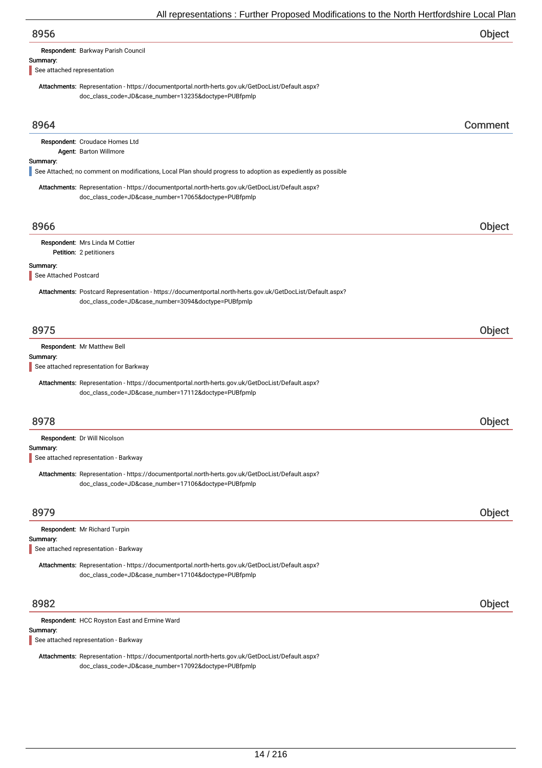| 8956                                                                                                                                                             | Object        |
|------------------------------------------------------------------------------------------------------------------------------------------------------------------|---------------|
| Respondent: Barkway Parish Council                                                                                                                               |               |
| Summary:<br>See attached representation                                                                                                                          |               |
| Attachments: Representation - https://documentportal.north-herts.gov.uk/GetDocList/Default.aspx?                                                                 |               |
| doc_class_code=JD&case_number=13235&doctype=PUBfpmlp                                                                                                             |               |
|                                                                                                                                                                  |               |
| 8964                                                                                                                                                             | Comment       |
| Respondent: Croudace Homes Ltd                                                                                                                                   |               |
| Agent: Barton Willmore<br>Summary:                                                                                                                               |               |
| See Attached; no comment on modifications, Local Plan should progress to adoption as expediently as possible                                                     |               |
| Attachments: Representation - https://documentportal.north-herts.gov.uk/GetDocList/Default.aspx?                                                                 |               |
| doc_class_code=JD&case_number=17065&doctype=PUBfpmlp                                                                                                             |               |
| 8966                                                                                                                                                             | Object        |
| Respondent: Mrs Linda M Cottier                                                                                                                                  |               |
| Petition: 2 petitioners                                                                                                                                          |               |
| Summary:                                                                                                                                                         |               |
| See Attached Postcard                                                                                                                                            |               |
| Attachments: Postcard Representation - https://documentportal.north-herts.gov.uk/GetDocList/Default.aspx?<br>doc_class_code=JD&case_number=3094&doctype=PUBfpmlp |               |
|                                                                                                                                                                  |               |
| 8975                                                                                                                                                             | Object        |
| Respondent: Mr Matthew Bell                                                                                                                                      |               |
| Summary:<br>See attached representation for Barkway                                                                                                              |               |
| Attachments: Representation - https://documentportal.north-herts.gov.uk/GetDocList/Default.aspx?                                                                 |               |
| doc_class_code=JD&case_number=17112&doctype=PUBfpmlp                                                                                                             |               |
|                                                                                                                                                                  |               |
| 8978                                                                                                                                                             | <b>Object</b> |
| Respondent: Dr Will Nicolson                                                                                                                                     |               |
| Summary:<br>See attached representation - Barkway                                                                                                                |               |
| Attachments: Representation - https://documentportal.north-herts.gov.uk/GetDocList/Default.aspx?                                                                 |               |
| doc_class_code=JD&case_number=17106&doctype=PUBfpmlp                                                                                                             |               |
|                                                                                                                                                                  |               |
| 8979                                                                                                                                                             | Object        |
| Respondent: Mr Richard Turpin                                                                                                                                    |               |
| Summary:<br>See attached representation - Barkway                                                                                                                |               |
| Attachments: Representation - https://documentportal.north-herts.gov.uk/GetDocList/Default.aspx?                                                                 |               |
| doc_class_code=JD&case_number=17104&doctype=PUBfpmlp                                                                                                             |               |
| 8982                                                                                                                                                             | Object        |
| Respondent: HCC Royston East and Ermine Ward                                                                                                                     |               |
| Summary:                                                                                                                                                         |               |
| See attached representation - Barkway                                                                                                                            |               |
| Attachments: Representation - https://documentportal.north-herts.gov.uk/GetDocList/Default.aspx?                                                                 |               |

doc\_class\_code=JD&case\_number=17092&doctype=PUBfpmlp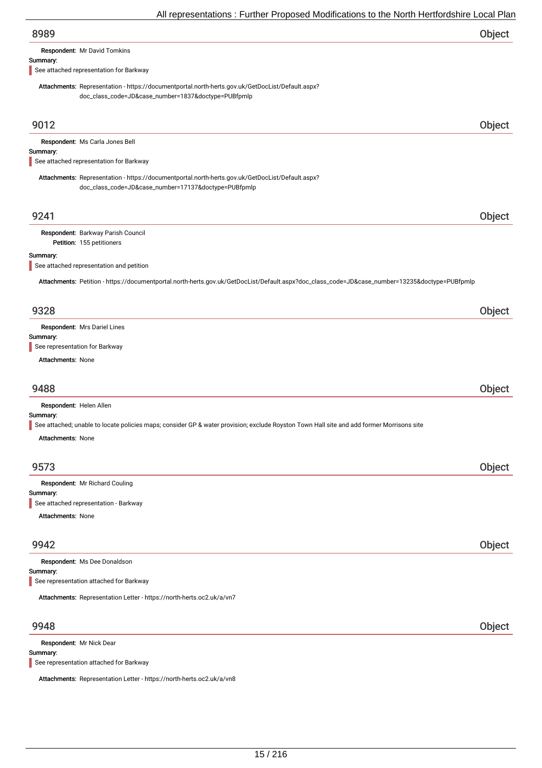| 8989                                                                                                                                                     | Object |
|----------------------------------------------------------------------------------------------------------------------------------------------------------|--------|
| Respondent: Mr David Tomkins                                                                                                                             |        |
| Summary:                                                                                                                                                 |        |
| See attached representation for Barkway                                                                                                                  |        |
| Attachments: Representation - https://documentportal.north-herts.gov.uk/GetDocList/Default.aspx?<br>doc_class_code=JD&case_number=1837&doctype=PUBfpmlp  |        |
| 9012                                                                                                                                                     | Object |
|                                                                                                                                                          |        |
| Respondent: Ms Carla Jones Bell<br>Summary:                                                                                                              |        |
| See attached representation for Barkway                                                                                                                  |        |
| Attachments: Representation - https://documentportal.north-herts.gov.uk/GetDocList/Default.aspx?<br>doc_class_code=JD&case_number=17137&doctype=PUBfpmlp |        |
| 9241                                                                                                                                                     | Object |
| Respondent: Barkway Parish Council                                                                                                                       |        |
| Petition: 155 petitioners                                                                                                                                |        |
| Summary:                                                                                                                                                 |        |
| See attached representation and petition                                                                                                                 |        |
| Attachments: Petition - https://documentportal.north-herts.gov.uk/GetDocList/Default.aspx?doc_class_code=JD&case_number=13235&doctype=PUBfpmlp           |        |
| 9328                                                                                                                                                     | Object |
| Respondent: Mrs Dariel Lines                                                                                                                             |        |
| Summary:                                                                                                                                                 |        |
| See representation for Barkway                                                                                                                           |        |
| Attachments: None                                                                                                                                        |        |
|                                                                                                                                                          |        |
| 9488                                                                                                                                                     | Object |
| Respondent: Helen Allen                                                                                                                                  |        |
| Summary:                                                                                                                                                 |        |
| See attached; unable to locate policies maps; consider GP & water provision; exclude Royston Town Hall site and add former Morrisons site                |        |
| <b>Attachments: None</b>                                                                                                                                 |        |
|                                                                                                                                                          |        |
| 9573                                                                                                                                                     | Object |
| Respondent: Mr Richard Couling                                                                                                                           |        |
| Summary:                                                                                                                                                 |        |
| See attached representation - Barkway                                                                                                                    |        |
| <b>Attachments: None</b>                                                                                                                                 |        |
| 9942                                                                                                                                                     | Object |
| Respondent: Ms Dee Donaldson                                                                                                                             |        |
| Summary:                                                                                                                                                 |        |
| See representation attached for Barkway                                                                                                                  |        |
| Attachments: Representation Letter - https://north-herts.oc2.uk/a/vn7                                                                                    |        |
| 9948                                                                                                                                                     | Object |
| Respondent: Mr Nick Dear                                                                                                                                 |        |
|                                                                                                                                                          |        |

## Summary:

See representation attached for Barkway

Attachments: Representation Letter - https://north-herts.oc2.uk/a/vn8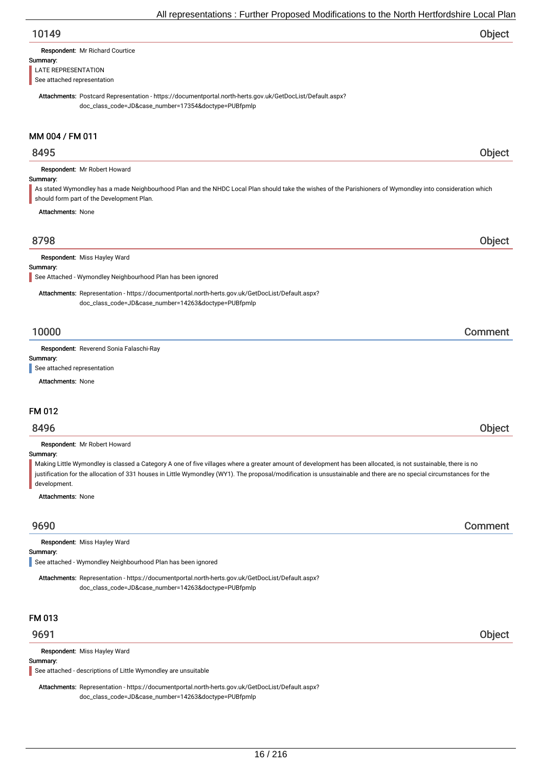| Object |
|--------|
|        |

| Respondent: Mr Richard Courtice |  |
|---------------------------------|--|
|                                 |  |

#### Summary:

LATE REPRESENTATION

See attached representation

Attachments: Postcard Representation - https://documentportal.north-herts.gov.uk/GetDocList/Default.aspx? doc\_class\_code=JD&case\_number=17354&doctype=PUBfpmlp

## MM 004 / FM 011

## 8495 Object

Summary: Respondent: Mr Robert Howard As stated Wymondley has a made Neighbourhood Plan and the NHDC Local Plan should take the wishes of the Parishioners of Wymondley into consideration which should form part of the Development Plan.

Attachments: None

## 8798 Object

Respondent: Miss Hayley Ward

#### Summary:

See Attached - Wymondley Neighbourhood Plan has been ignored

Attachments: Representation - https://documentportal.north-herts.gov.uk/GetDocList/Default.aspx? doc\_class\_code=JD&case\_number=14263&doctype=PUBfpmlp

## 10000 Comment

Respondent: Reverend Sonia Falaschi-Ray

## Summary:

See attached representation

Attachments: None

### FM 012

## 8496 Object

Respondent: Mr Robert Howard

#### Summary:

Making Little Wymondley is classed a Category A one of five villages where a greater amount of development has been allocated, is not sustainable, there is no justification for the allocation of 331 houses in Little Wymondley (WY1). The proposal/modification is unsustainable and there are no special circumstances for the development.

#### Attachments: None

## 9690 Comment

Respondent: Miss Hayley Ward

#### Summary:

See attached - Wymondley Neighbourhood Plan has been ignored

Attachments: Representation - https://documentportal.north-herts.gov.uk/GetDocList/Default.aspx? doc\_class\_code=JD&case\_number=14263&doctype=PUBfpmlp

### FM 013

Respondent: Miss Hayley Ward

#### Summary:

See attached - descriptions of Little Wymondley are unsuitable

Attachments: Representation - https://documentportal.north-herts.gov.uk/GetDocList/Default.aspx? doc\_class\_code=JD&case\_number=14263&doctype=PUBfpmlp

## 9691 Object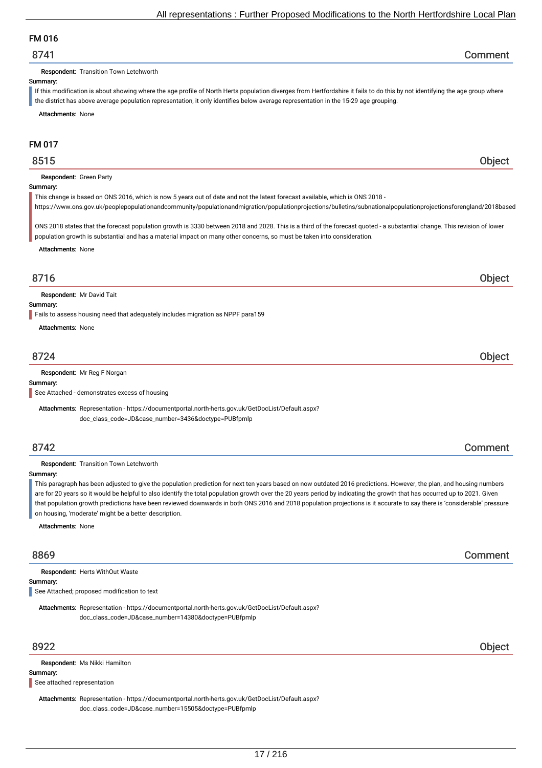## FM 016

## 8741 Comment

Respondent: Transition Town Letchworth

#### Summary:

If this modification is about showing where the age profile of North Herts population diverges from Hertfordshire it fails to do this by not identifying the age group where the district has above average population representation, it only identifies below average representation in the 15-29 age grouping.

Attachments: None

## FM 017

## 8515 Object

#### Respondent: Green Party

#### Summary:

This change is based on ONS 2016, which is now 5 years out of date and not the latest forecast available, which is ONS 2018 -

https://www.ons.gov.uk/peoplepopulationandcommunity/populationandmigration/populationprojections/bulletins/subnationalpopulationprojectionsforengland/2018based

ONS 2018 states that the forecast population growth is 3330 between 2018 and 2028. This is a third of the forecast quoted - a substantial change. This revision of lower population growth is substantial and has a material impact on many other concerns, so must be taken into consideration.

Attachments: None

Respondent: Mr David Tait

### Summary:

Fails to assess housing need that adequately includes migration as NPPF para159

Attachments: None

## 8724 Object

#### Respondent: Mr Reg F Norgan

Summary:

See Attached - demonstrates excess of housing

Attachments: Representation - https://documentportal.north-herts.gov.uk/GetDocList/Default.aspx? doc\_class\_code=JD&case\_number=3436&doctype=PUBfpmlp

#### Respondent: Transition Town Letchworth

Summary:

This paragraph has been adjusted to give the population prediction for next ten years based on now outdated 2016 predictions. However, the plan, and housing numbers are for 20 years so it would be helpful to also identify the total population growth over the 20 years period by indicating the growth that has occurred up to 2021. Given that population growth predictions have been reviewed downwards in both ONS 2016 and 2018 population projections is it accurate to say there is 'considerable' pressure on housing, 'moderate' might be a better description.

Attachments: None

Summary: Respondent: Herts WithOut Waste

See Attached; proposed modification to text

Attachments: Representation - https://documentportal.north-herts.gov.uk/GetDocList/Default.aspx? doc\_class\_code=JD&case\_number=14380&doctype=PUBfpmlp

Respondent: Ms Nikki Hamilton

### Summary:

See attached representation

Attachments: Representation - https://documentportal.north-herts.gov.uk/GetDocList/Default.aspx? doc\_class\_code=JD&case\_number=15505&doctype=PUBfpmlp

8922 Object

## 8716 Object

## 8742 Comment

8869 Comment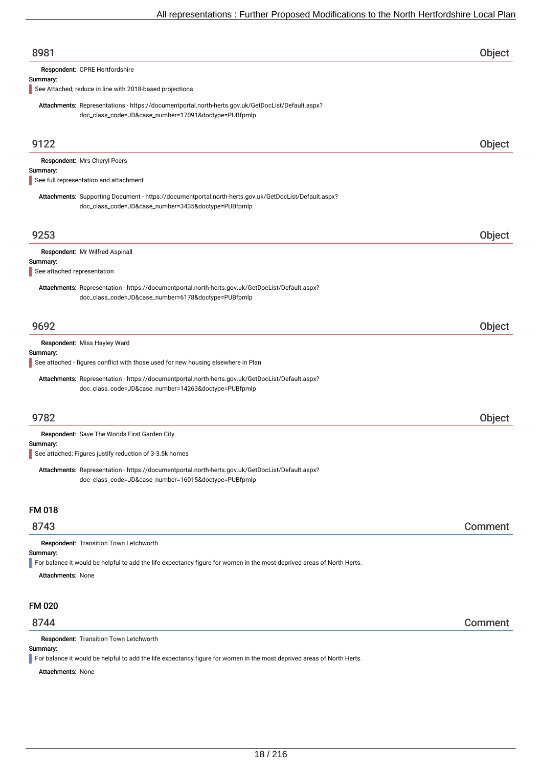| 8981                                                                                                                                                         | Object  |
|--------------------------------------------------------------------------------------------------------------------------------------------------------------|---------|
| Respondent: CPRE Hertfordshire                                                                                                                               |         |
| Summary:                                                                                                                                                     |         |
| See Attached; reduce in line with 2018-based projections                                                                                                     |         |
| Attachments: Representations - https://documentportal.north-herts.gov.uk/GetDocList/Default.aspx?<br>doc_class_code=JD&case_number=17091&doctype=PUBfpmlp    |         |
|                                                                                                                                                              |         |
| 9122                                                                                                                                                         | Object  |
| Respondent: Mrs Cheryl Peers                                                                                                                                 |         |
| Summary:                                                                                                                                                     |         |
| See full representation and attachment                                                                                                                       |         |
| Attachments: Supporting Document - https://documentportal.north-herts.gov.uk/GetDocList/Default.aspx?<br>doc_class_code=JD&case_number=3435&doctype=PUBfpmlp |         |
| 9253                                                                                                                                                         | Object  |
| Respondent: Mr Wilfred Aspinall                                                                                                                              |         |
| Summary:                                                                                                                                                     |         |
| See attached representation                                                                                                                                  |         |
| Attachments: Representation - https://documentportal.north-herts.gov.uk/GetDocList/Default.aspx?<br>doc_class_code=JD&case_number=6178&doctype=PUBfpmlp      |         |
| 9692                                                                                                                                                         | Object  |
| Respondent: Miss Hayley Ward                                                                                                                                 |         |
| Summary:<br>See attached - figures conflict with those used for new housing elsewhere in Plan                                                                |         |
|                                                                                                                                                              |         |
| Attachments: Representation - https://documentportal.north-herts.gov.uk/GetDocList/Default.aspx?<br>doc_class_code=JD&case_number=14263&doctype=PUBfpmlp     |         |
|                                                                                                                                                              |         |
| 9782                                                                                                                                                         | Object  |
| Respondent: Save The Worlds First Garden City                                                                                                                |         |
| Summarv:                                                                                                                                                     |         |
| See attached; Figures justify reduction of 3-3.5k homes                                                                                                      |         |
| Attachments: Representation - https://documentportal.north-herts.gov.uk/GetDocList/Default.aspx?<br>doc_class_code=JD&case_number=16015&doctype=PUBfpmlp     |         |
| <b>FM 018</b>                                                                                                                                                |         |
| 8743                                                                                                                                                         | Comment |
| Respondent: Transition Town Letchworth                                                                                                                       |         |
| Summary:                                                                                                                                                     |         |
| For balance it would be helpful to add the life expectancy figure for women in the most deprived areas of North Herts.                                       |         |
| <b>Attachments: None</b>                                                                                                                                     |         |
| FM 020                                                                                                                                                       |         |
| 8744                                                                                                                                                         | Comment |
| Respondent: Transition Town Letchworth                                                                                                                       |         |
| Summary:                                                                                                                                                     |         |
| For balance it would be helpful to add the life expectancy figure for women in the most deprived areas of North Herts.<br><b>Attachments: None</b>           |         |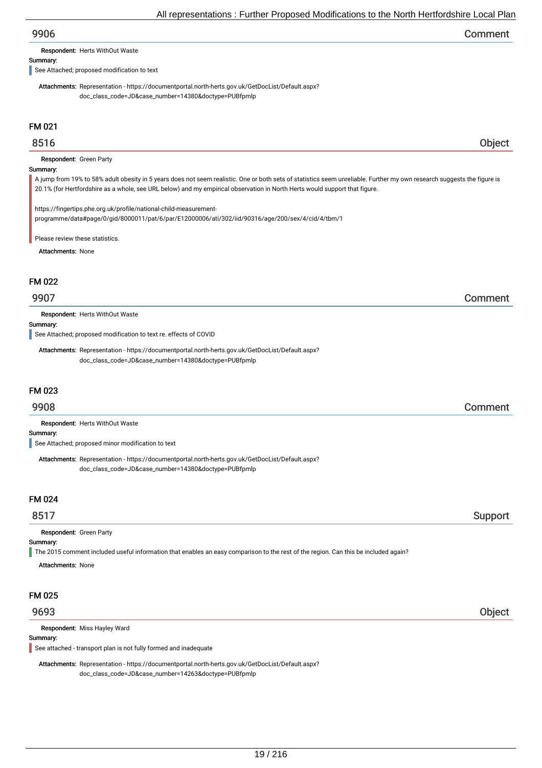| 9906 | Comment |
|------|---------|
|------|---------|

Respondent: Herts WithOut Waste

Summary:

See Attached; proposed modification to text

Attachments: Representation - https://documentportal.north-herts.gov.uk/GetDocList/Default.aspx? doc\_class\_code=JD&case\_number=14380&doctype=PUBfpmlp

## FM 021

## 8516 Object

Respondent: Green Party

## Summary:

A jump from 19% to 58% adult obesity in 5 years does not seem realistic. One or both sets of statistics seem unreliable. Further my own research suggests the figure is 20.1% (for Hertfordshire as a whole, see URL below) and my empirical observation in North Herts would support that figure.

https://fingertips.phe.org.uk/profile/national-child-measurementprogramme/data#page/0/gid/8000011/pat/6/par/E12000006/ati/302/iid/90316/age/200/sex/4/cid/4/tbm/1

Please review these statistics.

Attachments: None

## FM 022

## 9907 Comment

Respondent: Herts WithOut Waste

## Summary:

See Attached; proposed modification to text re. effects of COVID

Attachments: Representation - https://documentportal.north-herts.gov.uk/GetDocList/Default.aspx? doc\_class\_code=JD&case\_number=14380&doctype=PUBfpmlp

## FM 023

Respondent: Herts WithOut Waste

#### Summary:

See Attached; proposed minor modification to text

Attachments: Representation - https://documentportal.north-herts.gov.uk/GetDocList/Default.aspx? doc\_class\_code=JD&case\_number=14380&doctype=PUBfpmlp

#### FM 024

Respondent: Green Party

### Summary:

The 2015 comment included useful information that enables an easy comparison to the rest of the region. Can this be included again?

Attachments: None

## FM 025

Respondent: Miss Hayley Ward

### Summary:

See attached - transport plan is not fully formed and inadequate

Attachments: Representation - https://documentportal.north-herts.gov.uk/GetDocList/Default.aspx? doc\_class\_code=JD&case\_number=14263&doctype=PUBfpmlp

## 9693 Object

## 9908 Comment

8517 Support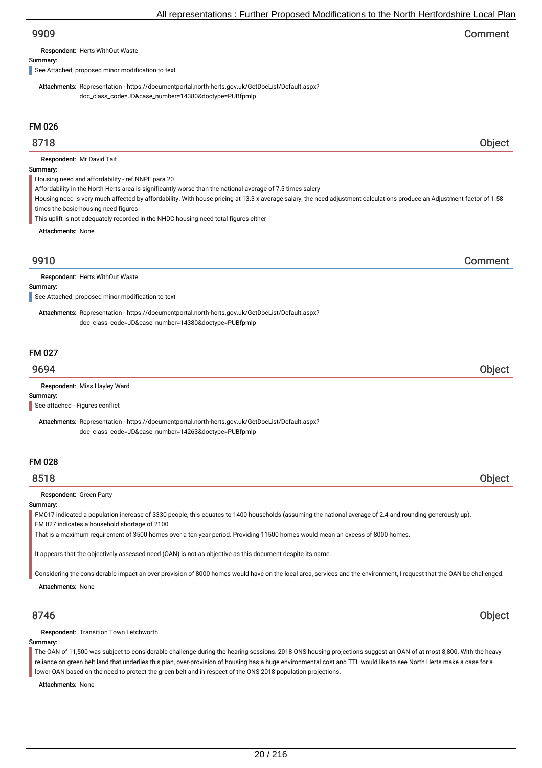| 9909 | Comment |
|------|---------|
|------|---------|

Respondent: Herts WithOut Waste

#### Summary:

See Attached; proposed minor modification to text

Attachments: Representation - https://documentportal.north-herts.gov.uk/GetDocList/Default.aspx? doc\_class\_code=JD&case\_number=14380&doctype=PUBfpmlp

## FM 026

## 8718 Object

Respondent: Mr David Tait

#### Summary:

Housing need and affordability - ref NNPF para 20

Affordability in the North Herts area is significantly worse than the national average of 7.5 times salery

Housing need is very much affected by affordability. With house pricing at 13.3 x average salary, the need adjustment calculations produce an Adjustment factor of 1.58 times the basic housing need figures

This uplift is not adequately recorded in the NHDC housing need total figures either

Attachments: None

# 9910 Comment

Respondent: Herts WithOut Waste

#### Summary:

See Attached; proposed minor modification to text

Attachments: Representation - https://documentportal.north-herts.gov.uk/GetDocList/Default.aspx? doc\_class\_code=JD&case\_number=14380&doctype=PUBfpmlp

## FM 027

## 9694 Object

Respondent: Miss Hayley Ward

Summary:

See attached - Figures conflict

Attachments: Representation - https://documentportal.north-herts.gov.uk/GetDocList/Default.aspx? doc\_class\_code=JD&case\_number=14263&doctype=PUBfpmlp

## FM 028

8518 Object

#### Respondent: Green Party

## Summary:

FM017 indicated a population increase of 3330 people, this equates to 1400 households (assuming the national average of 2.4 and rounding generously up). FM 027 indicates a household shortage of 2100.

That is a maximum requirement of 3500 homes over a ten year period. Providing 11500 homes would mean an excess of 8000 homes.

It appears that the objectively assessed need (OAN) is not as objective as this document despite its name.

Considering the considerable impact an over provision of 8000 homes would have on the local area, services and the environment, I request that the OAN be challenged.

Attachments: None

8746 Object

### Respondent: Transition Town Letchworth

#### Summary:

The OAN of 11,500 was subject to considerable challenge during the hearing sessions. 2018 ONS housing projections suggest an OAN of at most 8,800. With the heavy reliance on green belt land that underlies this plan, over-provision of housing has a huge environmental cost and TTL would like to see North Herts make a case for a lower OAN based on the need to protect the green belt and in respect of the ONS 2018 population projections.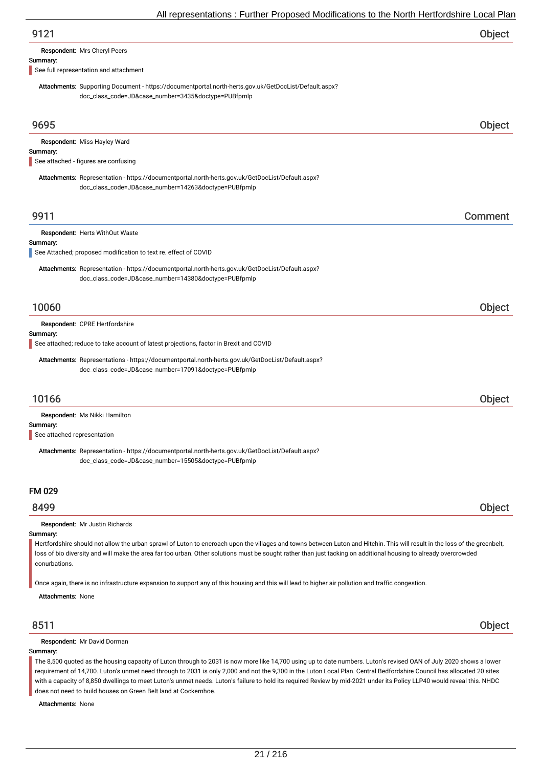| 9121 | Object |
|------|--------|
|      |        |

Respondent: Mrs Cheryl Peers

#### Summary:

See full representation and attachment

Attachments: Supporting Document - https://documentportal.north-herts.gov.uk/GetDocList/Default.aspx? doc\_class\_code=JD&case\_number=3435&doctype=PUBfpmlp

| 9695                                                                                                                                                                                                                                                                                                                                                                                                          | Object  |
|---------------------------------------------------------------------------------------------------------------------------------------------------------------------------------------------------------------------------------------------------------------------------------------------------------------------------------------------------------------------------------------------------------------|---------|
| Respondent: Miss Hayley Ward<br>Summary:<br>See attached - figures are confusing                                                                                                                                                                                                                                                                                                                              |         |
| Attachments: Representation - https://documentportal.north-herts.gov.uk/GetDocList/Default.aspx?<br>doc_class_code=JD&case_number=14263&doctype=PUBfpmlp                                                                                                                                                                                                                                                      |         |
| 9911                                                                                                                                                                                                                                                                                                                                                                                                          | Comment |
| Respondent: Herts WithOut Waste<br>Summary:                                                                                                                                                                                                                                                                                                                                                                   |         |
| See Attached; proposed modification to text re. effect of COVID<br>Attachments: Representation - https://documentportal.north-herts.gov.uk/GetDocList/Default.aspx?<br>doc_class_code=JD&case_number=14380&doctype=PUBfpmlp                                                                                                                                                                                   |         |
| 10060                                                                                                                                                                                                                                                                                                                                                                                                         | Object  |
| Respondent: CPRE Hertfordshire<br>Summary:<br>See attached; reduce to take account of latest projections, factor in Brexit and COVID                                                                                                                                                                                                                                                                          |         |
| Attachments: Representations - https://documentportal.north-herts.gov.uk/GetDocList/Default.aspx?<br>doc_class_code=JD&case_number=17091&doctype=PUBfpmlp                                                                                                                                                                                                                                                     |         |
| 10166                                                                                                                                                                                                                                                                                                                                                                                                         | Object  |
| Respondent: Ms Nikki Hamilton<br>Summary:<br>See attached representation<br>Attachments: Representation - https://documentportal.north-herts.gov.uk/GetDocList/Default.aspx?<br>doc_class_code=JD&case_number=15505&doctype=PUBfpmlp                                                                                                                                                                          |         |
| <b>FM 029</b>                                                                                                                                                                                                                                                                                                                                                                                                 |         |
| 8499                                                                                                                                                                                                                                                                                                                                                                                                          | Object  |
| Respondent: Mr Justin Richards<br>Summary:<br>Hertfordshire should not allow the urban sprawl of Luton to encroach upon the villages and towns between Luton and Hitchin. This will result in the loss of the greenbelt,<br>loss of bio diversity and will make the area far too urban. Other solutions must be sought rather than just tacking on additional housing to already overcrowded<br>conurbations. |         |

Once again, there is no infrastructure expansion to support any of this housing and this will lead to higher air pollution and traffic congestion.

Attachments: None

## 8511 Object

Respondent: Mr David Dorman

### Summary:

The 8,500 quoted as the housing capacity of Luton through to 2031 is now more like 14,700 using up to date numbers. Luton's revised OAN of July 2020 shows a lower requirement of 14,700. Luton's unmet need through to 2031 is only 2,000 and not the 9,300 in the Luton Local Plan. Central Bedfordshire Council has allocated 20 sites with a capacity of 8,850 dwellings to meet Luton's unmet needs. Luton's failure to hold its required Review by mid-2021 under its Policy LLP40 would reveal this. NHDC does not need to build houses on Green Belt land at Cockernhoe.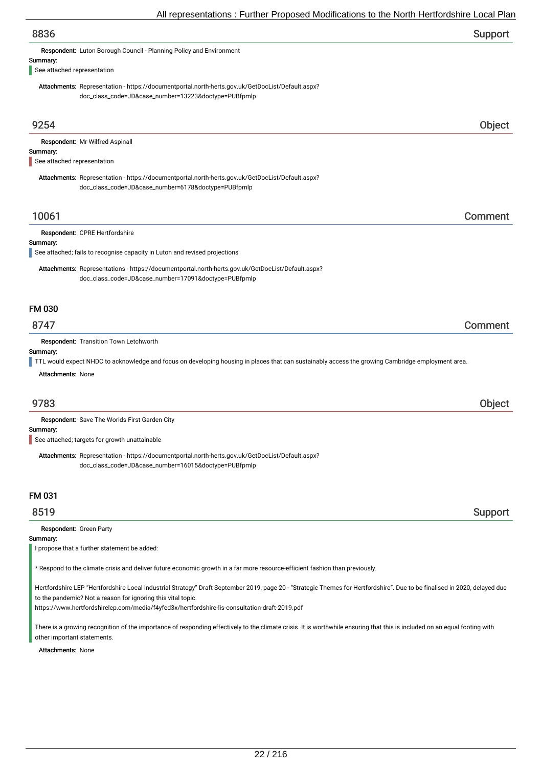| All representations . Further Proposed Modifications to the North Hertfordshire Local Plar                                                                    |         |
|---------------------------------------------------------------------------------------------------------------------------------------------------------------|---------|
| 8836                                                                                                                                                          | Support |
| Respondent: Luton Borough Council - Planning Policy and Environment                                                                                           |         |
| Summary:                                                                                                                                                      |         |
| See attached representation                                                                                                                                   |         |
| Attachments: Representation - https://documentportal.north-herts.gov.uk/GetDocList/Default.aspx?<br>doc_class_code=JD&case_number=13223&doctype=PUBfpmlp      |         |
|                                                                                                                                                               |         |
| 9254                                                                                                                                                          | Object  |
| Respondent: Mr Wilfred Aspinall                                                                                                                               |         |
| Summary:<br>See attached representation                                                                                                                       |         |
| Attachments: Representation - https://documentportal.north-herts.gov.uk/GetDocList/Default.aspx?                                                              |         |
| doc_class_code=JD&case_number=6178&doctype=PUBfpmlp                                                                                                           |         |
| 10061                                                                                                                                                         | Comment |
| Respondent: CPRE Hertfordshire                                                                                                                                |         |
| Summary:                                                                                                                                                      |         |
| See attached; fails to recognise capacity in Luton and revised projections                                                                                    |         |
| Attachments: Representations - https://documentportal.north-herts.gov.uk/GetDocList/Default.aspx?<br>doc_class_code=JD&case_number=17091&doctype=PUBfpmlp     |         |
| <b>FM 030</b>                                                                                                                                                 |         |
| 8747                                                                                                                                                          | Comment |
| Respondent: Transition Town Letchworth                                                                                                                        |         |
| Summary:<br>TTL would expect NHDC to acknowledge and focus on developing housing in places that can sustainably access the growing Cambridge employment area. |         |
| <b>Attachments: None</b>                                                                                                                                      |         |
|                                                                                                                                                               |         |
| 9783                                                                                                                                                          | Object  |
| Respondent: Save The Worlds First Garden City                                                                                                                 |         |
| Summary:<br>See attached; targets for growth unattainable                                                                                                     |         |
| Attachments: Representation - https://documentportal.north-herts.gov.uk/GetDocList/Default.aspx?<br>doc_class_code=JD&case_number=16015&doctype=PUBfpmlp      |         |
| FM 031                                                                                                                                                        |         |
| 8519                                                                                                                                                          | Support |

Respondent: Green Party

Summary:

I propose that a further statement be added:

\* Respond to the climate crisis and deliver future economic growth in a far more resource-efficient fashion than previously.

Hertfordshire LEP "Hertfordshire Local Industrial Strategy" Draft September 2019, page 20 - "Strategic Themes for Hertfordshire". Due to be finalised in 2020, delayed due to the pandemic? Not a reason for ignoring this vital topic.

https://www.hertfordshirelep.com/media/f4yfed3x/hertfordshire-lis-consultation-draft-2019.pdf

There is a growing recognition of the importance of responding effectively to the climate crisis. It is worthwhile ensuring that this is included on an equal footing with other important statements.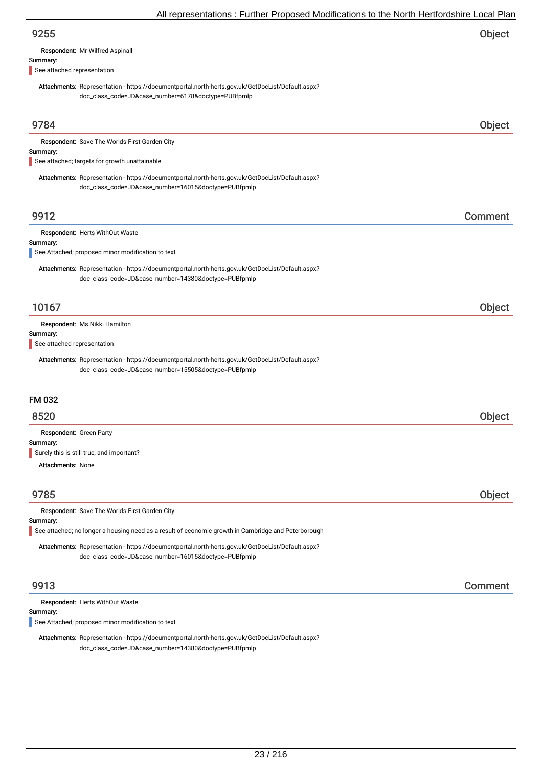| $\overline{\phantom{a}}$ and $\overline{\phantom{a}}$ . The contract of the contract of the contract of the contract of the contract of $\overline{\phantom{a}}$ |         |
|------------------------------------------------------------------------------------------------------------------------------------------------------------------|---------|
| 9255                                                                                                                                                             | Object  |
| Respondent: Mr Wilfred Aspinall                                                                                                                                  |         |
| Summary:<br>See attached representation                                                                                                                          |         |
| Attachments: Representation - https://documentportal.north-herts.gov.uk/GetDocList/Default.aspx?                                                                 |         |
| doc_class_code=JD&case_number=6178&doctype=PUBfpmlp                                                                                                              |         |
|                                                                                                                                                                  |         |
| 9784                                                                                                                                                             | Object  |
| Respondent: Save The Worlds First Garden City<br>Summary:                                                                                                        |         |
| See attached; targets for growth unattainable                                                                                                                    |         |
| Attachments: Representation - https://documentportal.north-herts.gov.uk/GetDocList/Default.aspx?<br>doc_class_code=JD&case_number=16015&doctype=PUBfpmlp         |         |
| 9912                                                                                                                                                             | Comment |
| Respondent: Herts WithOut Waste                                                                                                                                  |         |
| Summary:<br>See Attached; proposed minor modification to text                                                                                                    |         |
| Attachments: Representation - https://documentportal.north-herts.gov.uk/GetDocList/Default.aspx?                                                                 |         |
| doc_class_code=JD&case_number=14380&doctype=PUBfpmlp                                                                                                             |         |
| 10167                                                                                                                                                            | Object  |
| Respondent: Ms Nikki Hamilton                                                                                                                                    |         |
| Summary:                                                                                                                                                         |         |
| See attached representation                                                                                                                                      |         |
| Attachments: Representation - https://documentportal.north-herts.gov.uk/GetDocList/Default.aspx?<br>doc_class_code=JD&case_number=15505&doctype=PUBfpmlp         |         |
|                                                                                                                                                                  |         |
| FM 032                                                                                                                                                           |         |
| 8520                                                                                                                                                             | Object  |
| Respondent: Green Party                                                                                                                                          |         |
| Summary:<br>Surely this is still true, and important?                                                                                                            |         |
| <b>Attachments: None</b>                                                                                                                                         |         |
|                                                                                                                                                                  |         |
| 9785                                                                                                                                                             | Object  |
| Respondent: Save The Worlds First Garden City                                                                                                                    |         |
| Summary:<br>See attached; no longer a housing need as a result of economic growth in Cambridge and Peterborough                                                  |         |
| Attachments: Representation - https://documentportal.north-herts.gov.uk/GetDocList/Default.aspx?                                                                 |         |
| doc_class_code=JD&case_number=16015&doctype=PUBfpmlp                                                                                                             |         |
| 9913                                                                                                                                                             | Comment |
| Respondent: Herts WithOut Waste                                                                                                                                  |         |
| Summary:<br>See Attached; proposed minor modification to text                                                                                                    |         |
|                                                                                                                                                                  |         |

Attachments: Representation - https://documentportal.north-herts.gov.uk/GetDocList/Default.aspx? doc\_class\_code=JD&case\_number=14380&doctype=PUBfpmlp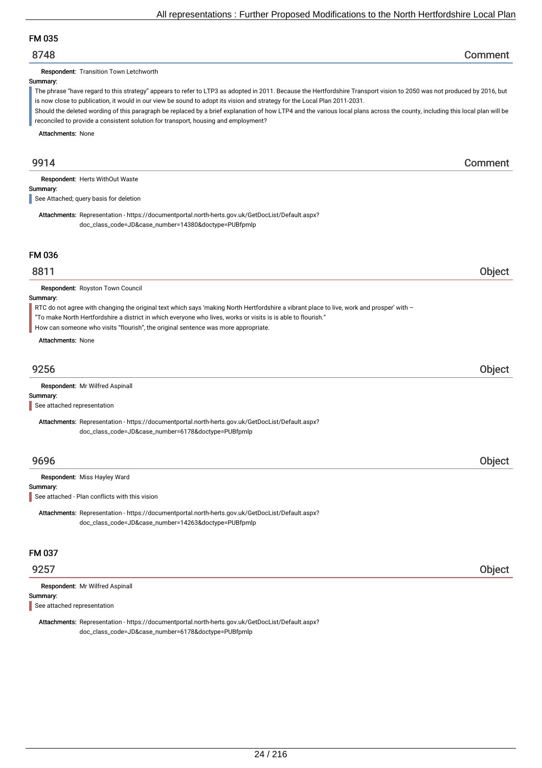## FM 035

## 8748 Comment

Respondent: Transition Town Letchworth

#### Summary:

The phrase "have regard to this strategy" appears to refer to LTP3 as adopted in 2011. Because the Hertfordshire Transport vision to 2050 was not produced by 2016, but is now close to publication, it would in our view be sound to adopt its vision and strategy for the Local Plan 2011-2031.

Should the deleted wording of this paragraph be replaced by a brief explanation of how LTP4 and the various local plans across the county, including this local plan will be reconciled to provide a consistent solution for transport, housing and employment?

Attachments: None

## 9914 Comment

Respondent: Herts WithOut Waste

Summary:

See Attached; query basis for deletion

Attachments: Representation - https://documentportal.north-herts.gov.uk/GetDocList/Default.aspx? doc\_class\_code=JD&case\_number=14380&doctype=PUBfpmlp

## FM 036

## 8811 Object

Respondent: Royston Town Council

### Summary:

RTC do not agree with changing the original text which says 'making North Hertfordshire a vibrant place to live, work and prosper' with –

- "To make North Hertfordshire a district in which everyone who lives, works or visits is is able to flourish."
- How can someone who visits "flourish", the original sentence was more appropriate.

Attachments: None

# 9256 Object

Respondent: Mr Wilfred Aspinall

## Summary:

See attached representation

Attachments: Representation - https://documentportal.north-herts.gov.uk/GetDocList/Default.aspx? doc\_class\_code=JD&case\_number=6178&doctype=PUBfpmlp

## 9696 Object

Respondent: Miss Hayley Ward

### Summary:

See attached - Plan conflicts with this vision

Attachments: Representation - https://documentportal.north-herts.gov.uk/GetDocList/Default.aspx? doc\_class\_code=JD&case\_number=14263&doctype=PUBfpmlp

## FM 037

## 9257 Object

Summary: Respondent: Mr Wilfred Aspinall

See attached representation

Attachments: Representation - https://documentportal.north-herts.gov.uk/GetDocList/Default.aspx? doc\_class\_code=JD&case\_number=6178&doctype=PUBfpmlp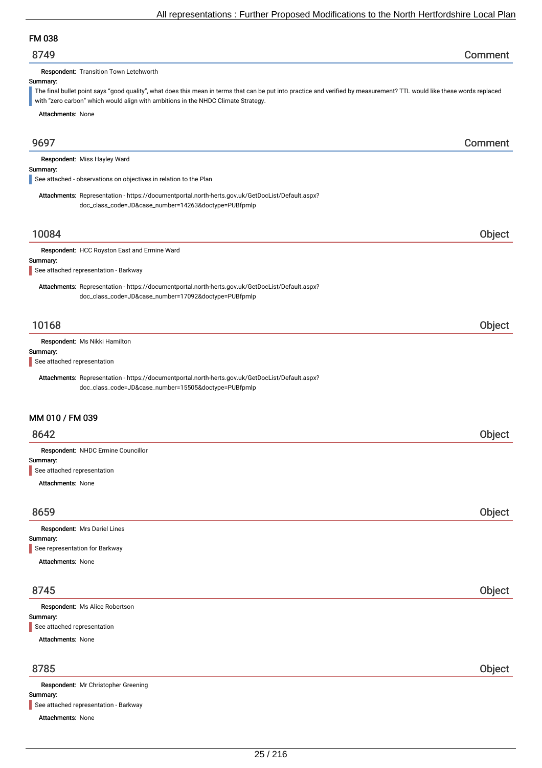## FM 038

| 8749 | Comment |
|------|---------|
|------|---------|

Respondent: Transition Town Letchworth

### Summary:

The final bullet point says "good quality", what does this mean in terms that can be put into practice and verified by measurement? TTL would like these words replaced with "zero carbon" which would align with ambitions in the NHDC Climate Strategy.

Attachments: None

9697 Comment Summary: Respondent: Miss Hayley Ward Attachments: Representation - https://documentportal.north-herts.gov.uk/GetDocList/Default.aspx? doc\_class\_code=JD&case\_number=14263&doctype=PUBfpmlp See attached - observations on objectives in relation to the Plan 10084 Object Summary: Respondent: HCC Royston East and Ermine Ward Attachments: Representation - https://documentportal.north-herts.gov.uk/GetDocList/Default.aspx? doc\_class\_code=JD&case\_number=17092&doctype=PUBfpmlp See attached representation - Barkway 10168 Object Summary: Respondent: Ms Nikki Hamilton Attachments: Representation - https://documentportal.north-herts.gov.uk/GetDocList/Default.aspx? doc\_class\_code=JD&case\_number=15505&doctype=PUBfpmlp See attached representation MM 010 / FM 039 8642 Object Summary: Attachments: None Respondent: NHDC Ermine Councillor See attached representation

| 8659                           | Object |
|--------------------------------|--------|
| Respondent: Mrs Dariel Lines   |        |
| Summary:                       |        |
| See representation for Barkway |        |
| <b>Attachments: None</b>       |        |
|                                |        |
|                                |        |

# 8745 Object Summary: Attachments: None Respondent: Ms Alice Robertson See attached representation

## 8785 Object

| <b>Respondent:</b> Mr Christopher Greening |
|--------------------------------------------|
| Summary:                                   |
| See attached representation - Barkway      |
| <b>Attachments: None</b>                   |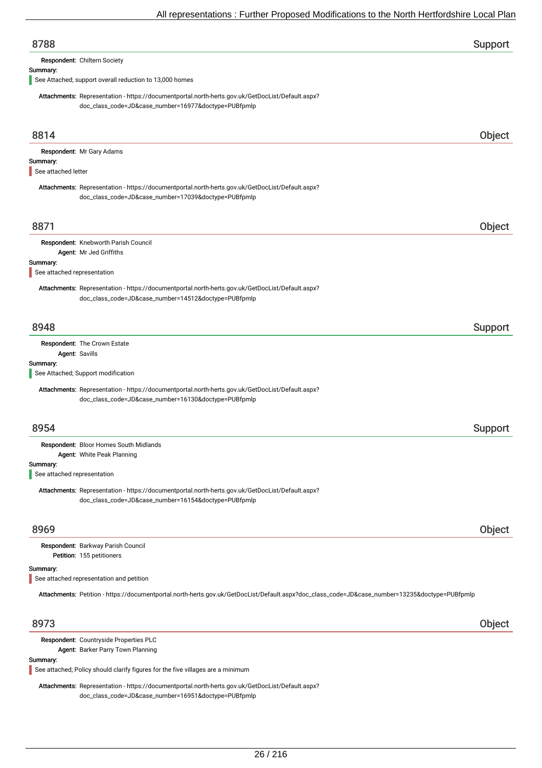| 8788                                    |                                                                                                                                                          | Support |
|-----------------------------------------|----------------------------------------------------------------------------------------------------------------------------------------------------------|---------|
|                                         | Respondent: Chiltern Society                                                                                                                             |         |
| Summary:                                | See Attached; support overall reduction to 13,000 homes                                                                                                  |         |
|                                         | Attachments: Representation - https://documentportal.north-herts.gov.uk/GetDocList/Default.aspx?<br>doc_class_code=JD&case_number=16977&doctype=PUBfpmlp |         |
| 8814                                    |                                                                                                                                                          | Object  |
|                                         | Respondent: Mr Gary Adams                                                                                                                                |         |
| Summary:<br>See attached letter         |                                                                                                                                                          |         |
|                                         | Attachments: Representation - https://documentportal.north-herts.gov.uk/GetDocList/Default.aspx?<br>doc_class_code=JD&case_number=17039&doctype=PUBfpmlp |         |
| 8871                                    |                                                                                                                                                          | Object  |
|                                         | Respondent: Knebworth Parish Council<br>Agent: Mr Jed Griffiths                                                                                          |         |
| Summary:<br>See attached representation |                                                                                                                                                          |         |
|                                         | Attachments: Representation - https://documentportal.north-herts.gov.uk/GetDocList/Default.aspx?<br>doc_class_code=JD&case_number=14512&doctype=PUBfpmlp |         |
| 8948                                    |                                                                                                                                                          | Support |
|                                         | Respondent: The Crown Estate<br>Agent: Savills                                                                                                           |         |
| Summary:                                | See Attached; Support modification                                                                                                                       |         |
|                                         | Attachments: Representation - https://documentportal.north-herts.gov.uk/GetDocList/Default.aspx?<br>doc_class_code=JD&case_number=16130&doctype=PUBfpmlp |         |
| 8954                                    |                                                                                                                                                          | Support |
|                                         | Respondent: Bloor Homes South Midlands<br>Agent: White Peak Planning                                                                                     |         |
| Summary:<br>See attached representation |                                                                                                                                                          |         |
|                                         | Attachments: Representation - https://documentportal.north-herts.gov.uk/GetDocList/Default.aspx?<br>doc_class_code=JD&case_number=16154&doctype=PUBfpmlp |         |
| 8969                                    |                                                                                                                                                          | Object  |
|                                         | Respondent: Barkway Parish Council<br>Petition: 155 petitioners                                                                                          |         |
| Summary:                                | See attached representation and petition                                                                                                                 |         |
|                                         | Attachments: Petition - https://documentportal.north-herts.gov.uk/GetDocList/Default.aspx?doc_class_code=JD&case_number=13235&doctype=PUBfpmlp           |         |
| 8973                                    |                                                                                                                                                          | Object  |
|                                         | Respondent: Countryside Properties PLC                                                                                                                   |         |

Agent: Barker Parry Town Planning

### Summary:

See attached; Policy should clarify figures for the five villages are a minimum

Attachments: Representation - https://documentportal.north-herts.gov.uk/GetDocList/Default.aspx? doc\_class\_code=JD&case\_number=16951&doctype=PUBfpmlp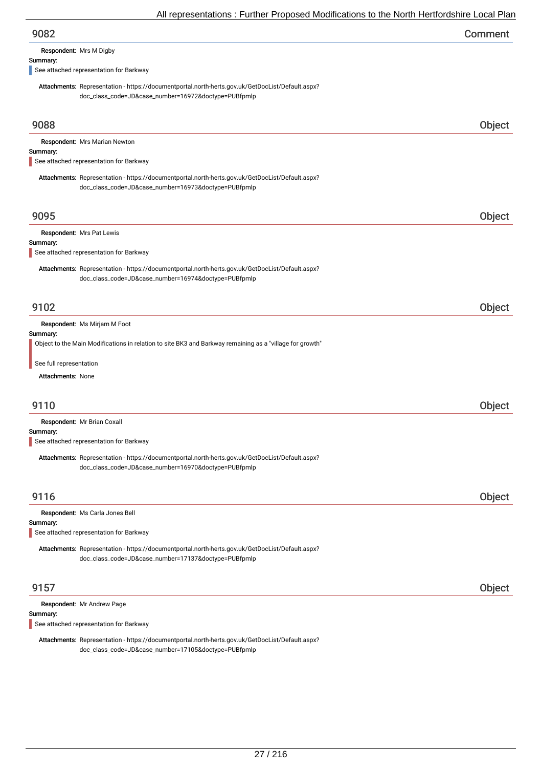| 9082 | Comment |
|------|---------|
|------|---------|

Respondent: Mrs M Digby

#### Summary:

See attached representation for Barkway

Attachments: Representation - https://documentportal.north-herts.gov.uk/GetDocList/Default.aspx? doc\_class\_code=JD&case\_number=16972&doctype=PUBfpmlp

| 9088                                                                                                                                                     | <b>Object</b> |
|----------------------------------------------------------------------------------------------------------------------------------------------------------|---------------|
| Respondent: Mrs Marian Newton<br>Summary:<br>See attached representation for Barkway                                                                     |               |
| Attachments: Representation - https://documentportal.north-herts.gov.uk/GetDocList/Default.aspx?<br>doc_class_code=JD&case_number=16973&doctype=PUBfpmlp |               |
| 9095                                                                                                                                                     | Object        |
| Respondent: Mrs Pat Lewis                                                                                                                                |               |
| Summary:<br>See attached representation for Barkway                                                                                                      |               |
| Attachments: Representation - https://documentportal.north-herts.gov.uk/GetDocList/Default.aspx?<br>doc_class_code=JD&case_number=16974&doctype=PUBfpmlp |               |
| 9102                                                                                                                                                     | Object        |
| Respondent: Ms Mirjam M Foot<br>Summary:<br>Object to the Main Modifications in relation to site BK3 and Barkway remaining as a "village for growth"     |               |
| See full representation<br>Attachments: None                                                                                                             |               |
| 9110                                                                                                                                                     | Object        |
| Respondent: Mr Brian Coxall<br>Summary:<br>See attached representation for Barkway                                                                       |               |
| Attachments: Representation - https://documentportal.north-herts.gov.uk/GetDocList/Default.aspx?<br>doc_class_code=JD&case_number=16970&doctype=PUBfpmlp |               |
| 9116                                                                                                                                                     | <b>Object</b> |
| Respondent: Ms Carla Jones Bell                                                                                                                          |               |
| Summary:<br>See attached representation for Barkway                                                                                                      |               |
| Attachments: Representation - https://documentportal.north-herts.gov.uk/GetDocList/Default.aspx?<br>doc_class_code=JD&case_number=17137&doctype=PUBfpmlp |               |
| 9157                                                                                                                                                     | Object        |
| Respondent: Mr Andrew Page<br>Summary:<br>See attached representation for Barkway                                                                        |               |

Attachments: Representation - https://documentportal.north-herts.gov.uk/GetDocList/Default.aspx? doc\_class\_code=JD&case\_number=17105&doctype=PUBfpmlp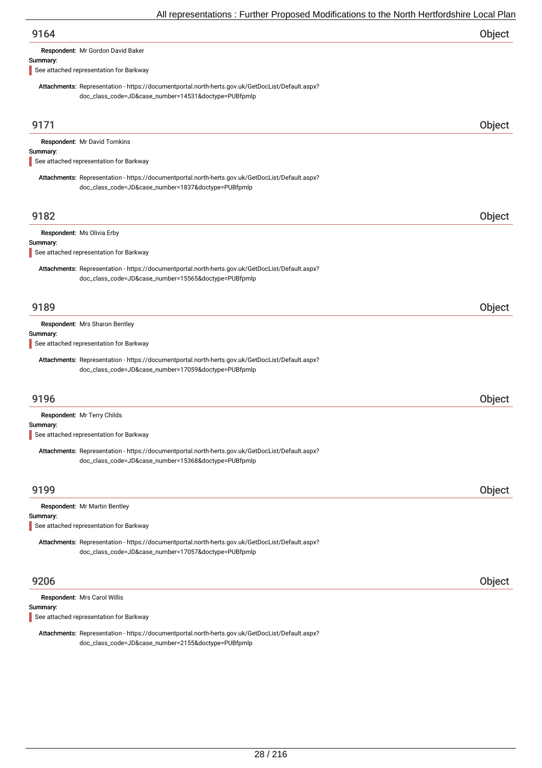Respondent: Mr Gordon David Baker

#### Summary:

See attached representation for Barkway

Attachments: Representation - https://documentportal.north-herts.gov.uk/GetDocList/Default.aspx? doc\_class\_code=JD&case\_number=14531&doctype=PUBfpmlp

| 9171                                                                                                                                                     | Object |
|----------------------------------------------------------------------------------------------------------------------------------------------------------|--------|
| Respondent: Mr David Tomkins                                                                                                                             |        |
| Summary:<br>See attached representation for Barkway                                                                                                      |        |
|                                                                                                                                                          |        |
| Attachments: Representation - https://documentportal.north-herts.gov.uk/GetDocList/Default.aspx?<br>doc_class_code=JD&case_number=1837&doctype=PUBfpmlp  |        |
|                                                                                                                                                          |        |
| 9182                                                                                                                                                     | Object |
| Respondent: Ms Olivia Erby                                                                                                                               |        |
| Summary:                                                                                                                                                 |        |
| See attached representation for Barkway                                                                                                                  |        |
| Attachments: Representation - https://documentportal.north-herts.gov.uk/GetDocList/Default.aspx?                                                         |        |
| doc_class_code=JD&case_number=15565&doctype=PUBfpmlp                                                                                                     |        |
|                                                                                                                                                          |        |
| 9189                                                                                                                                                     | Object |
| Respondent: Mrs Sharon Bentley                                                                                                                           |        |
| Summary:<br>See attached representation for Barkway                                                                                                      |        |
| Attachments: Representation - https://documentportal.north-herts.gov.uk/GetDocList/Default.aspx?<br>doc_class_code=JD&case_number=17059&doctype=PUBfpmlp |        |
| 9196                                                                                                                                                     | Object |
| Respondent: Mr Terry Childs                                                                                                                              |        |
| Summary:<br>See attached representation for Barkway                                                                                                      |        |
|                                                                                                                                                          |        |
| Attachments: Representation - https://documentportal.north-herts.gov.uk/GetDocList/Default.aspx?<br>doc_class_code=JD&case_number=15368&doctype=PUBfpmlp |        |
|                                                                                                                                                          |        |
| 9199                                                                                                                                                     | Object |
| Respondent: Mr Martin Bentley                                                                                                                            |        |
| Summary:                                                                                                                                                 |        |
| See attached representation for Barkway                                                                                                                  |        |
| Attachments: Representation - https://documentportal.north-herts.gov.uk/GetDocList/Default.aspx?                                                         |        |
| doc_class_code=JD&case_number=17057&doctype=PUBfpmlp                                                                                                     |        |
|                                                                                                                                                          |        |
| 9206                                                                                                                                                     | Object |
| Respondent: Mrs Carol Willis                                                                                                                             |        |
| Summary:                                                                                                                                                 |        |

See attached representation for Barkway

Attachments: Representation - https://documentportal.north-herts.gov.uk/GetDocList/Default.aspx? doc\_class\_code=JD&case\_number=2155&doctype=PUBfpmlp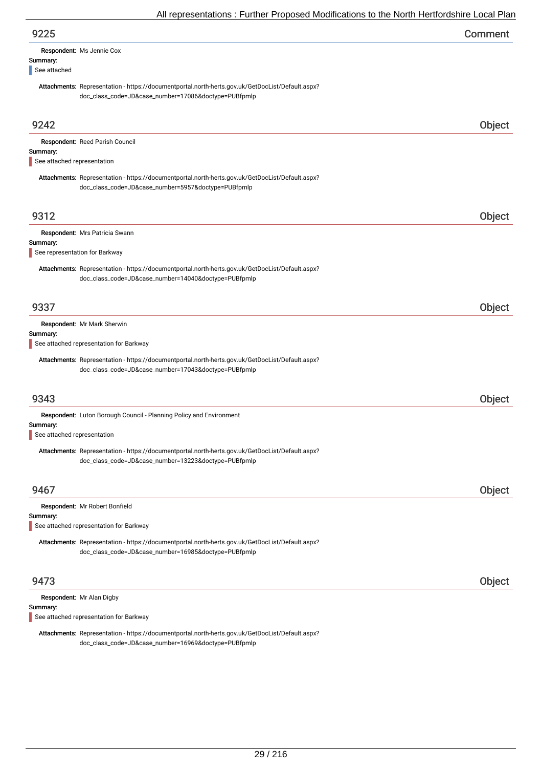| 9225                                                                                             | Comment       |
|--------------------------------------------------------------------------------------------------|---------------|
| Respondent: Ms Jennie Cox                                                                        |               |
| Summary:                                                                                         |               |
| See attached                                                                                     |               |
| Attachments: Representation - https://documentportal.north-herts.gov.uk/GetDocList/Default.aspx? |               |
| doc_class_code=JD&case_number=17086&doctype=PUBfpmlp                                             |               |
|                                                                                                  |               |
| 9242                                                                                             | <b>Object</b> |

|                                | Respondent: Reed Parish Council                                                                  |        |
|--------------------------------|--------------------------------------------------------------------------------------------------|--------|
| Summary:                       |                                                                                                  |        |
| See attached representation    |                                                                                                  |        |
|                                |                                                                                                  |        |
|                                | Attachments: Representation - https://documentportal.north-herts.gov.uk/GetDocList/Default.aspx? |        |
|                                | doc_class_code=JD&case_number=5957&doctype=PUBfpmlp                                              |        |
|                                |                                                                                                  |        |
|                                |                                                                                                  |        |
| 9312                           |                                                                                                  |        |
|                                |                                                                                                  | Object |
|                                | Respondent: Mrs Patricia Swann                                                                   |        |
| Summary:                       |                                                                                                  |        |
|                                |                                                                                                  |        |
| See representation for Barkway |                                                                                                  |        |
|                                | Attachments: Representation - https://documentportal.north-herts.gov.uk/GetDocList/Default.aspx? |        |
|                                |                                                                                                  |        |
|                                | doc_class_code=JD&case_number=14040&doctype=PUBfpmlp                                             |        |
|                                |                                                                                                  |        |
|                                |                                                                                                  |        |
| 9337                           |                                                                                                  | Object |
|                                |                                                                                                  |        |
|                                | Respondent: Mr Mark Sherwin                                                                      |        |
| Summary:                       |                                                                                                  |        |
|                                | See attached representation for Barkway                                                          |        |
|                                |                                                                                                  |        |
|                                | Attachments: Representation - https://documentportal.north-herts.gov.uk/GetDocList/Default.aspx? |        |
|                                | doc_class_code=JD&case_number=17043&doctype=PUBfpmlp                                             |        |
|                                |                                                                                                  |        |
|                                |                                                                                                  |        |
| 9343                           |                                                                                                  | Object |
|                                |                                                                                                  |        |
|                                | Respondent: Luton Borough Council - Planning Policy and Environment                              |        |
| Summary:                       |                                                                                                  |        |
| See attached representation    |                                                                                                  |        |
|                                |                                                                                                  |        |
|                                | Attachments: Representation - https://documentportal.north-herts.gov.uk/GetDocList/Default.aspx? |        |
|                                | doc_class_code=JD&case_number=13223&doctype=PUBfpmlp                                             |        |
|                                |                                                                                                  |        |
|                                |                                                                                                  |        |
| 9467                           |                                                                                                  | Object |
|                                |                                                                                                  |        |
|                                | Respondent: Mr Robert Bonfield                                                                   |        |
| Summary:                       |                                                                                                  |        |
|                                | See attached representation for Barkway                                                          |        |
|                                |                                                                                                  |        |
|                                | Attachments: Representation - https://documentportal.north-herts.gov.uk/GetDocList/Default.aspx? |        |
|                                | doc_class_code=JD&case_number=16985&doctype=PUBfpmlp                                             |        |
|                                |                                                                                                  |        |
|                                |                                                                                                  |        |

Respondent: Mr Alan Digby

Summary:

See attached representation for Barkway

Attachments: Representation - https://documentportal.north-herts.gov.uk/GetDocList/Default.aspx? doc\_class\_code=JD&case\_number=16969&doctype=PUBfpmlp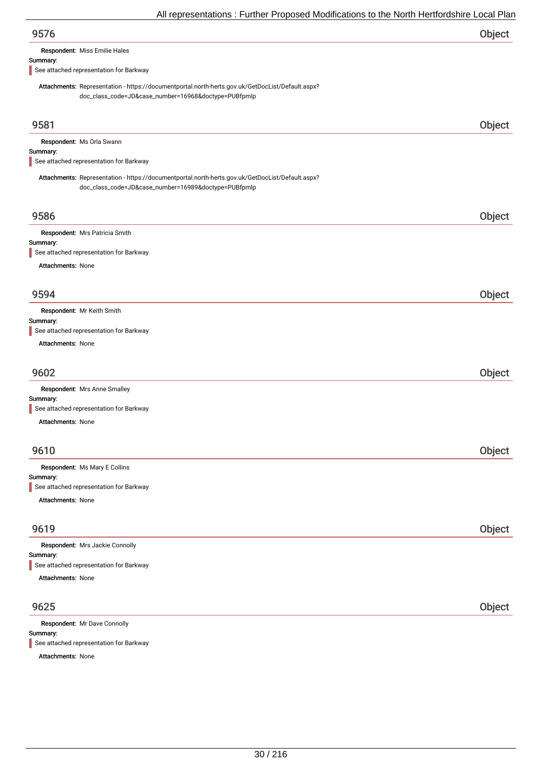| 9576 | Object |
|------|--------|
|      |        |

Respondent: Miss Emilie Hales

#### Summary:

See attached representation for Barkway

Attachments: Representation - https://documentportal.north-herts.gov.uk/GetDocList/Default.aspx? doc\_class\_code=JD&case\_number=16968&doctype=PUBfpmlp

| 9581                                                                                                                                                     | Object |
|----------------------------------------------------------------------------------------------------------------------------------------------------------|--------|
| Respondent: Ms Orla Swann                                                                                                                                |        |
| Summary:<br>See attached representation for Barkway                                                                                                      |        |
|                                                                                                                                                          |        |
| Attachments: Representation - https://documentportal.north-herts.gov.uk/GetDocList/Default.aspx?<br>doc_class_code=JD&case_number=16989&doctype=PUBfpmlp |        |
|                                                                                                                                                          |        |
| 9586                                                                                                                                                     | Object |
| Respondent: Mrs Patricia Smith                                                                                                                           |        |
| Summary:<br>See attached representation for Barkway                                                                                                      |        |
| Attachments: None                                                                                                                                        |        |
|                                                                                                                                                          |        |
| 9594                                                                                                                                                     | Object |
| Respondent: Mr Keith Smith                                                                                                                               |        |
| Summary:                                                                                                                                                 |        |
| See attached representation for Barkway                                                                                                                  |        |
| Attachments: None                                                                                                                                        |        |
| 9602                                                                                                                                                     | Object |
| Respondent: Mrs Anne Smalley                                                                                                                             |        |
| Summary:                                                                                                                                                 |        |
| See attached representation for Barkway                                                                                                                  |        |
| Attachments: None                                                                                                                                        |        |
|                                                                                                                                                          |        |
| 9610                                                                                                                                                     | Object |
| Respondent: Ms Mary E Collins                                                                                                                            |        |
| Summary:<br>See attached representation for Barkway                                                                                                      |        |
|                                                                                                                                                          |        |
| Attachments: None                                                                                                                                        |        |
| 9619                                                                                                                                                     | Object |
|                                                                                                                                                          |        |
| Respondent: Mrs Jackie Connolly<br>Summary:                                                                                                              |        |
| See attached representation for Barkway                                                                                                                  |        |
| Attachments: None                                                                                                                                        |        |
|                                                                                                                                                          |        |
| 9625                                                                                                                                                     | Object |
| Respondent: Mr Dave Connolly                                                                                                                             |        |
| Summary:                                                                                                                                                 |        |

See attached representation for Barkway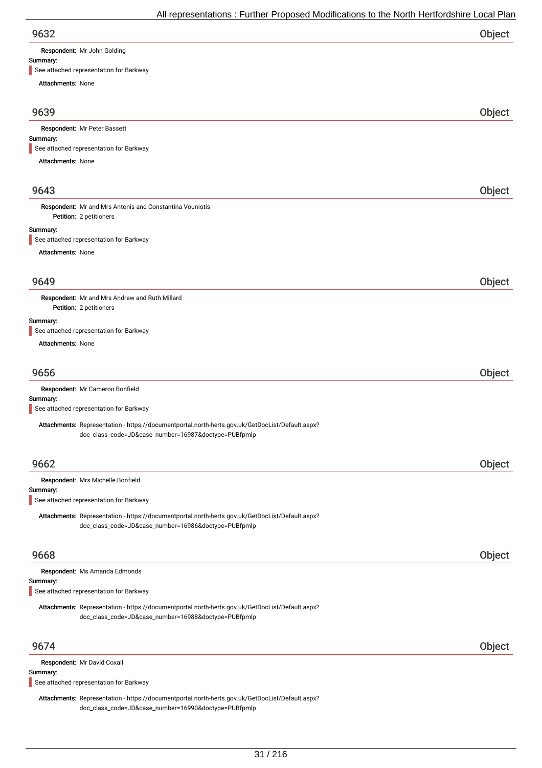Respondent: Mr John Golding

#### Summary:

See attached representation for Barkway

Attachments: None 9639 Object Summary: Attachments: None Respondent: Mr Peter Bassett See attached representation for Barkway 9643 Object Petition: 2 petitioners Summary: Attachments: None Respondent: Mr and Mrs Antonis and Constantina Vouniotis See attached representation for Barkway 9649 Object Petition: 2 petitioners Summary: Attachments: None Respondent: Mr and Mrs Andrew and Ruth Millard See attached representation for Barkway 9656 Object Summary: Respondent: Mr Cameron Bonfield Attachments: Representation - https://documentportal.north-herts.gov.uk/GetDocList/Default.aspx? doc\_class\_code=JD&case\_number=16987&doctype=PUBfpmlp See attached representation for Barkway 9662 Object Summary: Respondent: Mrs Michelle Bonfield Attachments: Representation - https://documentportal.north-herts.gov.uk/GetDocList/Default.aspx? doc\_class\_code=JD&case\_number=16986&doctype=PUBfpmlp See attached representation for Barkway 9668 Object Summary: Respondent: Ms Amanda Edmonds Attachments: Representation - https://documentportal.north-herts.gov.uk/GetDocList/Default.aspx? doc\_class\_code=JD&case\_number=16988&doctype=PUBfpmlp See attached representation for Barkway 9674 Object Summary: Respondent: Mr David Coxall See attached representation for Barkway

Attachments: Representation - https://documentportal.north-herts.gov.uk/GetDocList/Default.aspx? doc\_class\_code=JD&case\_number=16990&doctype=PUBfpmlp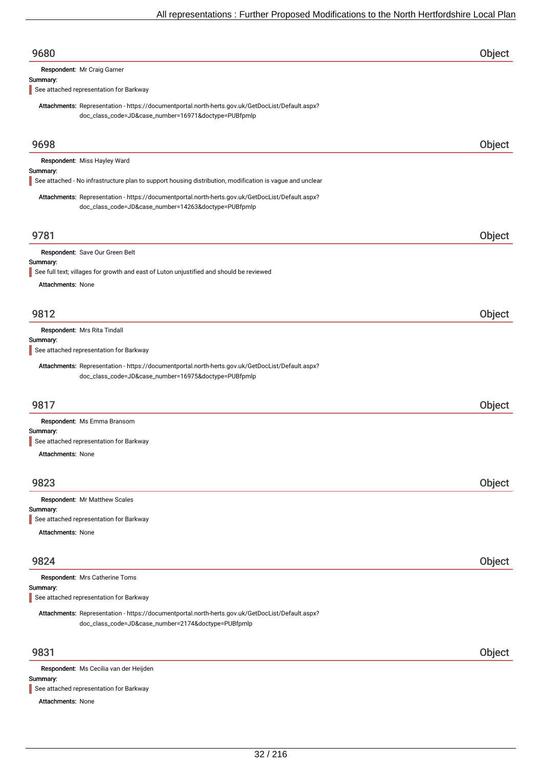| 9680                                                                                                                                                     | Object |
|----------------------------------------------------------------------------------------------------------------------------------------------------------|--------|
| Respondent: Mr Craig Garner                                                                                                                              |        |
| Summary:<br>See attached representation for Barkway                                                                                                      |        |
| Attachments: Representation - https://documentportal.north-herts.gov.uk/GetDocList/Default.aspx?                                                         |        |
| doc_class_code=JD&case_number=16971&doctype=PUBfpmlp                                                                                                     |        |
| 9698                                                                                                                                                     | Object |
| Respondent: Miss Hayley Ward                                                                                                                             |        |
| Summary:<br>See attached - No infrastructure plan to support housing distribution, modification is vague and unclear                                     |        |
| Attachments: Representation - https://documentportal.north-herts.gov.uk/GetDocList/Default.aspx?<br>doc_class_code=JD&case_number=14263&doctype=PUBfpmlp |        |
| 9781                                                                                                                                                     | Object |
| Respondent: Save Our Green Belt                                                                                                                          |        |
| Summary:<br>See full text; villages for growth and east of Luton unjustified and should be reviewed                                                      |        |
| <b>Attachments: None</b>                                                                                                                                 |        |
|                                                                                                                                                          |        |
| 9812                                                                                                                                                     | Object |
| Respondent: Mrs Rita Tindall                                                                                                                             |        |
| Summary:<br>See attached representation for Barkway                                                                                                      |        |
| Attachments: Representation - https://documentportal.north-herts.gov.uk/GetDocList/Default.aspx?<br>doc_class_code=JD&case_number=16975&doctype=PUBfpmlp |        |
| 9817                                                                                                                                                     | Object |
| Respondent: Ms Emma Bransom                                                                                                                              |        |
| Summary:<br>See attached representation for Barkway                                                                                                      |        |
| <b>Attachments: None</b>                                                                                                                                 |        |
|                                                                                                                                                          |        |
| 9823                                                                                                                                                     | Object |
| Respondent: Mr Matthew Scales<br>Summary:                                                                                                                |        |
| See attached representation for Barkway                                                                                                                  |        |
| <b>Attachments: None</b>                                                                                                                                 |        |
| 9824                                                                                                                                                     | Object |
| Respondent: Mrs Catherine Toms                                                                                                                           |        |
| Summary:                                                                                                                                                 |        |
| See attached representation for Barkway                                                                                                                  |        |
| Attachments: Representation - https://documentportal.north-herts.gov.uk/GetDocList/Default.aspx?<br>doc_class_code=JD&case_number=2174&doctype=PUBfpmlp  |        |
| 9831                                                                                                                                                     | Object |
| Respondent: Ms Cecilia van der Heijden                                                                                                                   |        |
| Summary:<br>See attached representation for Barkway                                                                                                      |        |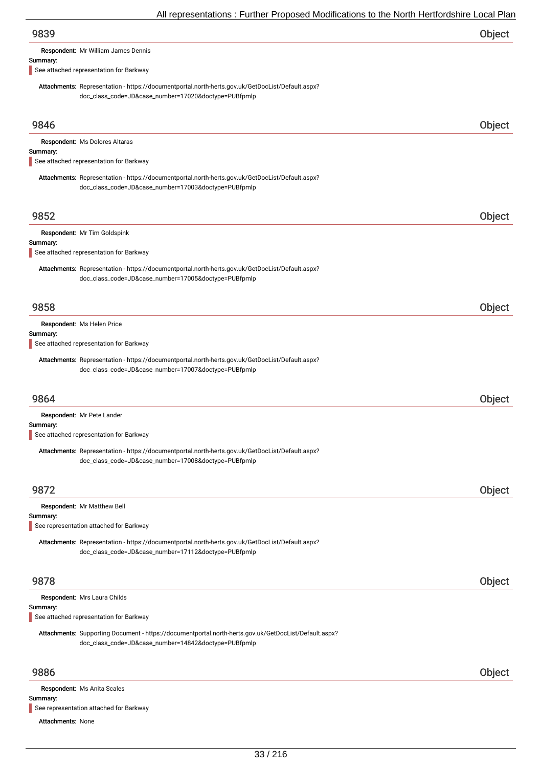| 9839                                                                                                                                                     | Object        |
|----------------------------------------------------------------------------------------------------------------------------------------------------------|---------------|
| Respondent: Mr William James Dennis                                                                                                                      |               |
| Summary:                                                                                                                                                 |               |
| See attached representation for Barkway                                                                                                                  |               |
| Attachments: Representation - https://documentportal.north-herts.gov.uk/GetDocList/Default.aspx?                                                         |               |
| doc_class_code=JD&case_number=17020&doctype=PUBfpmlp                                                                                                     |               |
| 9846                                                                                                                                                     | Object        |
| Respondent: Ms Dolores Altaras                                                                                                                           |               |
| Summary:                                                                                                                                                 |               |
| See attached representation for Barkway                                                                                                                  |               |
| Attachments: Representation - https://documentportal.north-herts.gov.uk/GetDocList/Default.aspx?<br>doc_class_code=JD&case_number=17003&doctype=PUBfpmlp |               |
|                                                                                                                                                          |               |
| 9852<br>Respondent: Mr Tim Goldspink<br>See attached representation for Barkway                                                                          | Object        |
| Attachments: Representation - https://documentportal.north-herts.gov.uk/GetDocList/Default.aspx?<br>doc_class_code=JD&case_number=17005&doctype=PUBfpmlp |               |
| 9858                                                                                                                                                     | <b>Object</b> |
| Respondent: Ms Helen Price                                                                                                                               |               |
| See attached representation for Barkway                                                                                                                  |               |
| Attachments: Representation - https://documentportal.north-herts.gov.uk/GetDocList/Default.aspx?                                                         |               |
| doc_class_code=JD&case_number=17007&doctype=PUBfpmlp                                                                                                     |               |
| 9864                                                                                                                                                     | Object        |
| Respondent: Mr Pete Lander                                                                                                                               |               |
| Summary:<br>Summary:<br>Summary:<br>See attached representation for Barkway                                                                              |               |

| 9872                                                                                             | Object |
|--------------------------------------------------------------------------------------------------|--------|
| Respondent: Mr Matthew Bell                                                                      |        |
| Summary:                                                                                         |        |
| See representation attached for Barkway                                                          |        |
| Attachments: Representation - https://documentportal.north-herts.gov.uk/GetDocList/Default.aspx? |        |
| doc_class_code=JD&case_number=17112&doctype=PUBfpmlp                                             |        |
|                                                                                                  |        |
|                                                                                                  |        |

Respondent: Mrs Laura Childs

## Summary:

See attached representation for Barkway

Attachments: Supporting Document - https://documentportal.north-herts.gov.uk/GetDocList/Default.aspx? doc\_class\_code=JD&case\_number=14842&doctype=PUBfpmlp

## 9886 Object

Respondent: Ms Anita Scales

### Summary:

See representation attached for Barkway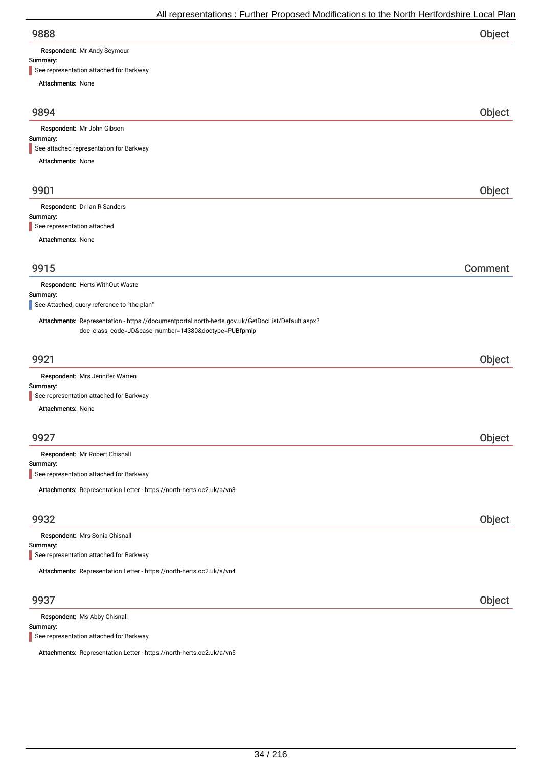| 9888 | Object |
|------|--------|
|      |        |

Respondent: Mr Andy Seymour

## Summary:

| See representation attached for Barkway                                                                                                                  |         |
|----------------------------------------------------------------------------------------------------------------------------------------------------------|---------|
| Attachments: None                                                                                                                                        |         |
| 9894                                                                                                                                                     | Object  |
| Respondent: Mr John Gibson                                                                                                                               |         |
| Summary:                                                                                                                                                 |         |
| See attached representation for Barkway                                                                                                                  |         |
| Attachments: None                                                                                                                                        |         |
| 9901                                                                                                                                                     | Object  |
| Respondent: Dr Ian R Sanders                                                                                                                             |         |
| Summary:<br>See representation attached                                                                                                                  |         |
|                                                                                                                                                          |         |
| Attachments: None                                                                                                                                        |         |
| 9915                                                                                                                                                     | Comment |
| Respondent: Herts WithOut Waste                                                                                                                          |         |
| Summary:                                                                                                                                                 |         |
| See Attached; query reference to "the plan"                                                                                                              |         |
| Attachments: Representation - https://documentportal.north-herts.gov.uk/GetDocList/Default.aspx?<br>doc_class_code=JD&case_number=14380&doctype=PUBfpmlp |         |
| 9921                                                                                                                                                     | Object  |
| Respondent: Mrs Jennifer Warren                                                                                                                          |         |
| Summary:<br>See representation attached for Barkway                                                                                                      |         |
| Attachments: None                                                                                                                                        |         |
|                                                                                                                                                          |         |
| 9927                                                                                                                                                     | Object  |
| Respondent: Mr Robert Chisnall<br>Summary:                                                                                                               |         |
| See representation attached for Barkway                                                                                                                  |         |
| Attachments: Representation Letter - https://north-herts.oc2.uk/a/vn3                                                                                    |         |
|                                                                                                                                                          |         |
| 9932                                                                                                                                                     | Object  |
| Respondent: Mrs Sonia Chisnall                                                                                                                           |         |
| Summary:<br>See representation attached for Barkway                                                                                                      |         |
|                                                                                                                                                          |         |
| Attachments: Representation Letter - https://north-herts.oc2.uk/a/vn4                                                                                    |         |
| 9937                                                                                                                                                     | Object  |
| Respondent: Ms Abby Chisnall<br>Summary:                                                                                                                 |         |

See representation attached for Barkway

Attachments: Representation Letter - https://north-herts.oc2.uk/a/vn5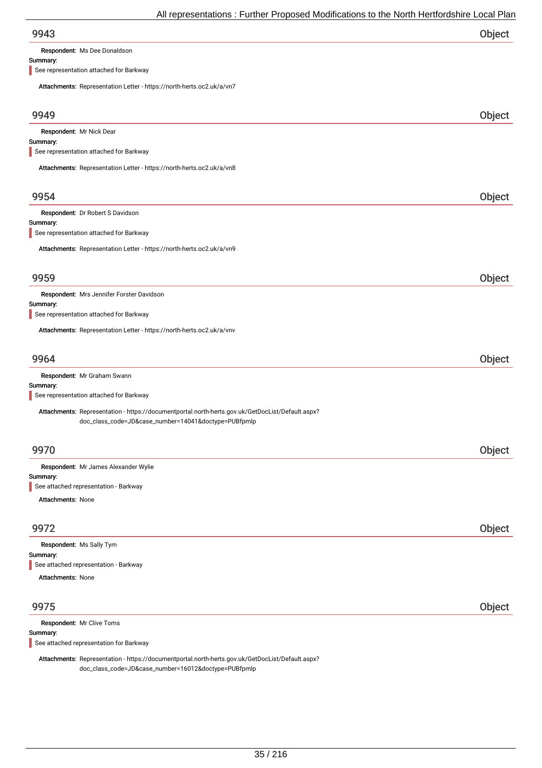| 9943 | Object |
|------|--------|
|      |        |

Respondent: Ms Dee Donaldson

### Summary:

See representation attached for Barkway

| Attachments: Representation Letter - https://north-herts.oc2.uk/a/vn7                                                                                    |        |
|----------------------------------------------------------------------------------------------------------------------------------------------------------|--------|
| 9949                                                                                                                                                     | Object |
| Respondent: Mr Nick Dear<br>Summary:                                                                                                                     |        |
| See representation attached for Barkway                                                                                                                  |        |
| Attachments: Representation Letter - https://north-herts.oc2.uk/a/vn8                                                                                    |        |
| 9954                                                                                                                                                     | Object |
| Respondent: Dr Robert S Davidson                                                                                                                         |        |
| Summary:<br>See representation attached for Barkway                                                                                                      |        |
| Attachments: Representation Letter - https://north-herts.oc2.uk/a/vn9                                                                                    |        |
|                                                                                                                                                          |        |
| 9959                                                                                                                                                     | Object |
| Respondent: Mrs Jennifer Forster Davidson                                                                                                                |        |
| Summary:<br>See representation attached for Barkway                                                                                                      |        |
| Attachments: Representation Letter - https://north-herts.oc2.uk/a/vnv                                                                                    |        |
| 9964                                                                                                                                                     | Object |
| Respondent: Mr Graham Swann                                                                                                                              |        |
| Summary:<br>See representation attached for Barkway                                                                                                      |        |
| Attachments: Representation - https://documentportal.north-herts.gov.uk/GetDocList/Default.aspx?<br>doc_class_code=JD&case_number=14041&doctype=PUBfpmlp |        |
| 9970                                                                                                                                                     | Object |
| Respondent: Mr James Alexander Wylie                                                                                                                     |        |
| Summary:<br>See attached representation - Barkway                                                                                                        |        |
| <b>Attachments: None</b>                                                                                                                                 |        |
| 9972                                                                                                                                                     | Object |
| Respondent: Ms Sally Tym                                                                                                                                 |        |
| Summary:<br>See attached representation - Barkway                                                                                                        |        |
| Attachments: None                                                                                                                                        |        |
|                                                                                                                                                          |        |
| 9975                                                                                                                                                     | Object |
| Respondent: Mr Clive Toms                                                                                                                                |        |
| Summary:<br>See attached representation for Barkway                                                                                                      |        |
|                                                                                                                                                          |        |

Attachments: Representation - https://documentportal.north-herts.gov.uk/GetDocList/Default.aspx? doc\_class\_code=JD&case\_number=16012&doctype=PUBfpmlp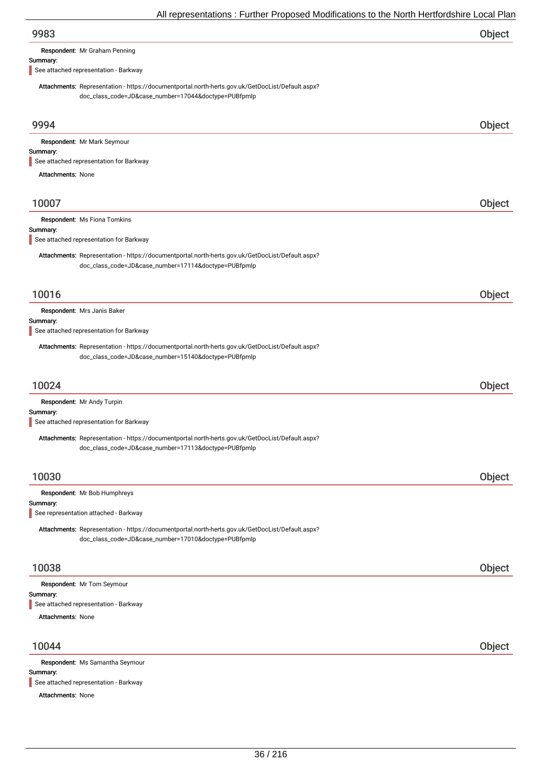Respondent: Mr Graham Penning

### Summary:

See attached representation - Barkway

Attachments: Representation - https://documentportal.north-herts.gov.uk/GetDocList/Default.aspx? doc\_class\_code=JD&case\_number=17044&doctype=PUBfpmlp

| 9994                                                                                                                                                     | Object |
|----------------------------------------------------------------------------------------------------------------------------------------------------------|--------|
| Respondent: Mr Mark Seymour                                                                                                                              |        |
| Summary:                                                                                                                                                 |        |
| See attached representation for Barkway                                                                                                                  |        |
| <b>Attachments: None</b>                                                                                                                                 |        |
| 10007                                                                                                                                                    | Object |
| Respondent: Ms Fiona Tomkins                                                                                                                             |        |
| Summary:                                                                                                                                                 |        |
| See attached representation for Barkway                                                                                                                  |        |
| Attachments: Representation - https://documentportal.north-herts.gov.uk/GetDocList/Default.aspx?<br>doc_class_code=JD&case_number=17114&doctype=PUBfpmlp |        |
| 10016                                                                                                                                                    | Object |
| Respondent: Mrs Janis Baker                                                                                                                              |        |
| Summary:                                                                                                                                                 |        |
| See attached representation for Barkway                                                                                                                  |        |
| Attachments: Representation - https://documentportal.north-herts.gov.uk/GetDocList/Default.aspx?<br>doc_class_code=JD&case_number=15140&doctype=PUBfpmlp |        |
| 10024                                                                                                                                                    | Object |
| Respondent: Mr Andy Turpin                                                                                                                               |        |
| Summary:<br>See attached representation for Barkway                                                                                                      |        |
| Attachments: Representation - https://documentportal.north-herts.gov.uk/GetDocList/Default.aspx?<br>doc_class_code=JD&case_number=17113&doctype=PUBfpmlp |        |
| 10030                                                                                                                                                    | Object |
| Respondent: Mr Bob Humphreys                                                                                                                             |        |
| Summary:                                                                                                                                                 |        |
| See representation attached - Barkway                                                                                                                    |        |
| Attachments: Representation - https://documentportal.north-herts.gov.uk/GetDocList/Default.aspx?<br>doc_class_code=JD&case_number=17010&doctype=PUBfpmlp |        |
| 10038                                                                                                                                                    | Object |
| Respondent: Mr Tom Seymour                                                                                                                               |        |
| Summary:                                                                                                                                                 |        |
| See attached representation - Barkway                                                                                                                    |        |
| <b>Attachments: None</b>                                                                                                                                 |        |
| 10044                                                                                                                                                    | Object |
| Respondent: Ms Samantha Seymour<br>Summary:                                                                                                              |        |
| See attached representation - Barkway                                                                                                                    |        |
| Attachments: None                                                                                                                                        |        |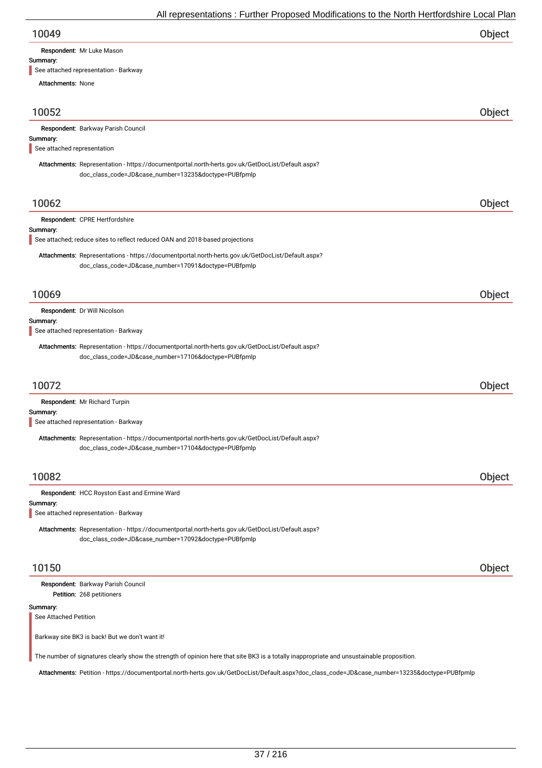| 10049 | Object |
|-------|--------|
|-------|--------|

Respondent: Mr Luke Mason

#### Summary:

See attached representation - Barkway

| <b>Attachments: None</b>                |                                                                                                                                                           |        |
|-----------------------------------------|-----------------------------------------------------------------------------------------------------------------------------------------------------------|--------|
| 10052                                   |                                                                                                                                                           | Object |
|                                         | Respondent: Barkway Parish Council                                                                                                                        |        |
| Summary:<br>See attached representation |                                                                                                                                                           |        |
|                                         | Attachments: Representation - https://documentportal.north-herts.gov.uk/GetDocList/Default.aspx?                                                          |        |
|                                         | doc_class_code=JD&case_number=13235&doctype=PUBfpmlp                                                                                                      |        |
| 10062                                   |                                                                                                                                                           | Object |
|                                         | Respondent: CPRE Hertfordshire                                                                                                                            |        |
| Summary:                                | See attached; reduce sites to reflect reduced OAN and 2018-based projections                                                                              |        |
|                                         | Attachments: Representations - https://documentportal.north-herts.gov.uk/GetDocList/Default.aspx?<br>doc_class_code=JD&case_number=17091&doctype=PUBfpmlp |        |
| 10069                                   |                                                                                                                                                           | Object |
|                                         | Respondent: Dr Will Nicolson                                                                                                                              |        |
| Summary:                                | See attached representation - Barkway                                                                                                                     |        |
|                                         |                                                                                                                                                           |        |
|                                         | Attachments: Representation - https://documentportal.north-herts.gov.uk/GetDocList/Default.aspx?<br>doc_class_code=JD&case_number=17106&doctype=PUBfpmlp  |        |
| 10072                                   |                                                                                                                                                           | Object |
|                                         | Respondent: Mr Richard Turpin                                                                                                                             |        |
| Summary:                                | See attached representation - Barkway                                                                                                                     |        |
|                                         | Attachments: Representation - https://documentportal.north-herts.gov.uk/GetDocList/Default.aspx?<br>doc_class_code=JD&case_number=17104&doctype=PUBfpmlp  |        |
| 10082                                   |                                                                                                                                                           | Object |
|                                         | Respondent: HCC Royston East and Ermine Ward                                                                                                              |        |
| Summary:                                | See attached representation - Barkway                                                                                                                     |        |
|                                         | Attachments: Representation - https://documentportal.north-herts.gov.uk/GetDocList/Default.aspx?<br>doc_class_code=JD&case_number=17092&doctype=PUBfpmlp  |        |
| 10150                                   |                                                                                                                                                           | Object |
|                                         | Respondent: Barkway Parish Council<br>Petition: 268 petitioners                                                                                           |        |
| Summary:<br>See Attached Petition       |                                                                                                                                                           |        |
|                                         | Barkway site BK3 is back! But we don't want it!                                                                                                           |        |
|                                         | The number of signatures clearly show the strength of opinion here that site BK3 is a totally inappropriate and unsustainable proposition.                |        |
|                                         | Attachments: Petition - https://documentportal.north-herts.gov.uk/GetDocList/Default.aspx?doc_class_code=JD&case_number=13235&doctype=PUBfpmlp            |        |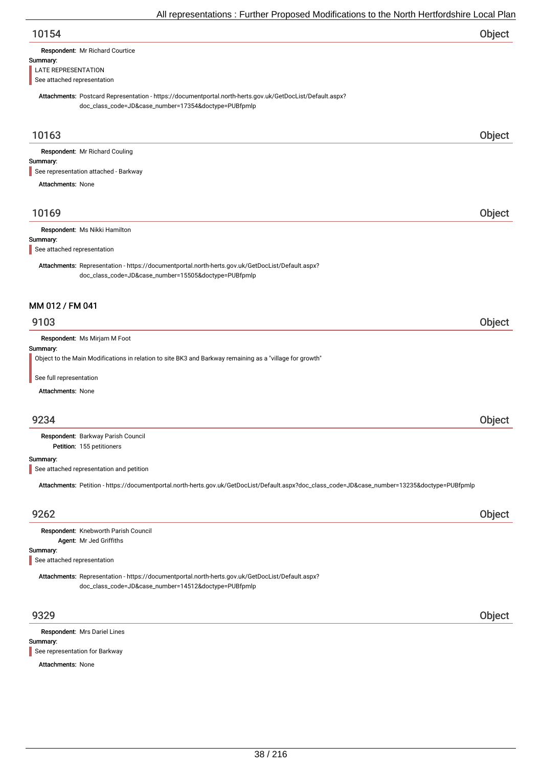| 10154 | Object |
|-------|--------|
|       |        |

| Respondent: Mr Richard Courtice |  |
|---------------------------------|--|
|                                 |  |

#### Summary:

LATE REPRESENTATION

See attached representation

Attachments: Postcard Representation - https://documentportal.north-herts.gov.uk/GetDocList/Default.aspx? doc\_class\_code=JD&case\_number=17354&doctype=PUBfpmlp

## 10163 Object

Respondent: Mr Richard Couling

#### Summary:

See representation attached - Barkway

Attachments: None

## 10169 Object

Respondent: Ms Nikki Hamilton

#### Summary:

See attached representation

Attachments: Representation - https://documentportal.north-herts.gov.uk/GetDocList/Default.aspx? doc\_class\_code=JD&case\_number=15505&doctype=PUBfpmlp

## MM 012 / FM 041

## 9103 Object

Respondent: Ms Mirjam M Foot

#### Summary:

Object to the Main Modifications in relation to site BK3 and Barkway remaining as a "village for growth"

See full representation

Attachments: None

## 9234 Object

Petition: 155 petitioners Respondent: Barkway Parish Council

#### Summary:

See attached representation and petition

Attachments: Petition - https://documentportal.north-herts.gov.uk/GetDocList/Default.aspx?doc\_class\_code=JD&case\_number=13235&doctype=PUBfpmlp

## 9262 Object

Respondent: Knebworth Parish Council Agent: Mr Jed Griffiths

#### Summary:

See attached representation

Attachments: Representation - https://documentportal.north-herts.gov.uk/GetDocList/Default.aspx? doc\_class\_code=JD&case\_number=14512&doctype=PUBfpmlp

Summary: Respondent: Mrs Dariel Lines See representation for Barkway

#### Attachments: None

9329 Object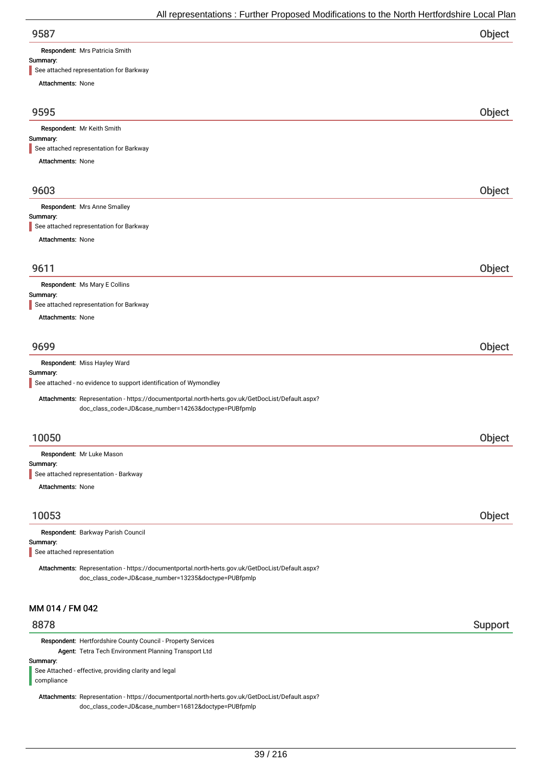Respondent: Mrs Patricia Smith

**Summary:**<br>See attack d representation for Barkway

| $\blacksquare$ occanionica representation for banyay                                                                                                     |         |
|----------------------------------------------------------------------------------------------------------------------------------------------------------|---------|
| <b>Attachments: None</b>                                                                                                                                 |         |
| 9595                                                                                                                                                     | Object  |
| Respondent: Mr Keith Smith                                                                                                                               |         |
| Summary:<br>See attached representation for Barkway                                                                                                      |         |
| Attachments: None                                                                                                                                        |         |
|                                                                                                                                                          |         |
| 9603                                                                                                                                                     | Object  |
| Respondent: Mrs Anne Smalley                                                                                                                             |         |
| Summary:<br>See attached representation for Barkway                                                                                                      |         |
| Attachments: None                                                                                                                                        |         |
| 9611                                                                                                                                                     | Object  |
|                                                                                                                                                          |         |
| Respondent: Ms Mary E Collins<br>Summary:                                                                                                                |         |
| See attached representation for Barkway                                                                                                                  |         |
| Attachments: None                                                                                                                                        |         |
| 9699                                                                                                                                                     | Object  |
| Respondent: Miss Hayley Ward                                                                                                                             |         |
| Summary:<br>See attached - no evidence to support identification of Wymondley                                                                            |         |
| Attachments: Representation - https://documentportal.north-herts.gov.uk/GetDocList/Default.aspx?<br>doc_class_code=JD&case_number=14263&doctype=PUBfpmlp |         |
|                                                                                                                                                          |         |
| 10050                                                                                                                                                    | Object  |
| Respondent: Mr Luke Mason                                                                                                                                |         |
| Summary:<br>See attached representation - Barkway                                                                                                        |         |
| Attachments: None                                                                                                                                        |         |
| 10053                                                                                                                                                    |         |
|                                                                                                                                                          | Object  |
| Respondent: Barkway Parish Council<br>Summary:                                                                                                           |         |
| See attached representation                                                                                                                              |         |
| Attachments: Representation - https://documentportal.north-herts.gov.uk/GetDocList/Default.aspx?<br>doc_class_code=JD&case_number=13235&doctype=PUBfpmlp |         |
| MM 014 / FM 042                                                                                                                                          |         |
| 8878                                                                                                                                                     | Support |
| Respondent: Hertfordshire County Council - Property Services                                                                                             |         |
| Agent: Tetra Tech Environment Planning Transport Ltd<br>Summary:                                                                                         |         |
| See Attached - effective, providing clarity and legal                                                                                                    |         |

compliance

Attachments: Representation - https://documentportal.north-herts.gov.uk/GetDocList/Default.aspx? doc\_class\_code=JD&case\_number=16812&doctype=PUBfpmlp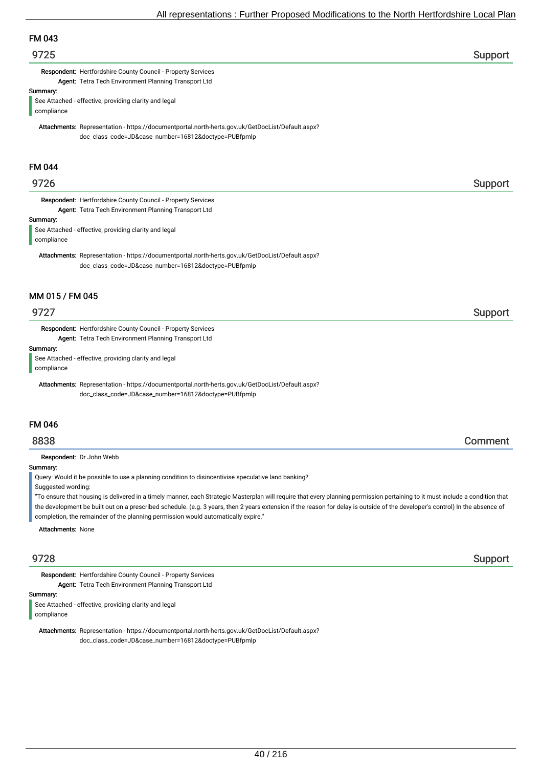# FM 043

## er 19725 i Support and the set of the set of the set of the set of the set of the Support Support in the set of the set of the set of the set of the set of the set of the set of the set of the set of the set of the set of

Respondent: Hertfordshire County Council - Property Services Agent: Tetra Tech Environment Planning Transport Ltd

#### Summary:

See Attached - effective, providing clarity and legal compliance

Attachments: Representation - https://documentportal.north-herts.gov.uk/GetDocList/Default.aspx? doc\_class\_code=JD&case\_number=16812&doctype=PUBfpmlp

## FM 044

## 9726 Support

Respondent: Hertfordshire County Council - Property Services Agent: Tetra Tech Environment Planning Transport Ltd

#### Summary:

See Attached - effective, providing clarity and legal compliance

Attachments: Representation - https://documentportal.north-herts.gov.uk/GetDocList/Default.aspx? doc\_class\_code=JD&case\_number=16812&doctype=PUBfpmlp

## MM 015 / FM 045

Respondent: Hertfordshire County Council - Property Services Agent: Tetra Tech Environment Planning Transport Ltd

Summary:

See Attached - effective, providing clarity and legal compliance

Attachments: Representation - https://documentportal.north-herts.gov.uk/GetDocList/Default.aspx? doc\_class\_code=JD&case\_number=16812&doctype=PUBfpmlp

#### FM 046

## 8838 Comment

Respondent: Dr John Webb

#### Summary:

Query: Would it be possible to use a planning condition to disincentivise speculative land banking?

Suggested wording:

"To ensure that housing is delivered in a timely manner, each Strategic Masterplan will require that every planning permission pertaining to it must include a condition that the development be built out on a prescribed schedule. (e.g. 3 years, then 2 years extension if the reason for delay is outside of the developer's control) In the absence of completion, the remainder of the planning permission would automatically expire."

Attachments: None

Respondent: Hertfordshire County Council - Property Services Agent: Tetra Tech Environment Planning Transport Ltd

Summary:

See Attached - effective, providing clarity and legal

compliance

Attachments: Representation - https://documentportal.north-herts.gov.uk/GetDocList/Default.aspx? doc\_class\_code=JD&case\_number=16812&doctype=PUBfpmlp

9728 Support

## er 19727 i Support and the set of the set of the set of the set of the set of the Support Support in the Support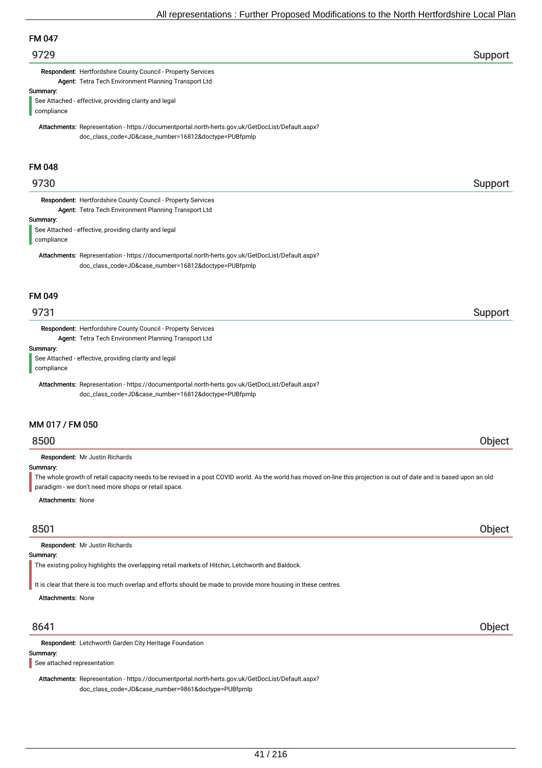## 9729 Support

Respondent: Hertfordshire County Council - Property Services Agent: Tetra Tech Environment Planning Transport Ltd

Summary:

See Attached - effective, providing clarity and legal compliance

Attachments: Representation - https://documentportal.north-herts.gov.uk/GetDocList/Default.aspx? doc\_class\_code=JD&case\_number=16812&doctype=PUBfpmlp

#### FM 048

## er 19730 i Support i Support i Support i Support i Support i Support i Support i Support i Support i Support i

Respondent: Hertfordshire County Council - Property Services Agent: Tetra Tech Environment Planning Transport Ltd

#### Summary:

See Attached - effective, providing clarity and legal compliance

Attachments: Representation - https://documentportal.north-herts.gov.uk/GetDocList/Default.aspx? doc\_class\_code=JD&case\_number=16812&doctype=PUBfpmlp

## FM 049

Respondent: Hertfordshire County Council - Property Services Agent: Tetra Tech Environment Planning Transport Ltd

#### Summary:

See Attached - effective, providing clarity and legal compliance

Attachments: Representation - https://documentportal.north-herts.gov.uk/GetDocList/Default.aspx? doc\_class\_code=JD&case\_number=16812&doctype=PUBfpmlp

## MM 017 / FM 050

## 8500 Object

Respondent: Mr Justin Richards

#### Summary:

The whole growth of retail capacity needs to be revised in a post COVID world. As the world has moved on-line this projection is out of date and is based upon an old paradigm - we don't need more shops or retail space.

Attachments: None

## 8501 Object

Respondent: Mr Justin Richards

#### Summary:

The existing policy highlights the overlapping retail markets of Hitchin, Letchworth and Baldock.

It is clear that there is too much overlap and efforts should be made to provide more housing in these centres.

Attachments: None

Respondent: Letchworth Garden City Heritage Foundation

## Summary:

See attached representation

Attachments: Representation - https://documentportal.north-herts.gov.uk/GetDocList/Default.aspx? doc\_class\_code=JD&case\_number=9861&doctype=PUBfpmlp

## 8641 Object

er 19731 i Support i Support i Support i Support i Support i Support i Support i Support i Support i Support i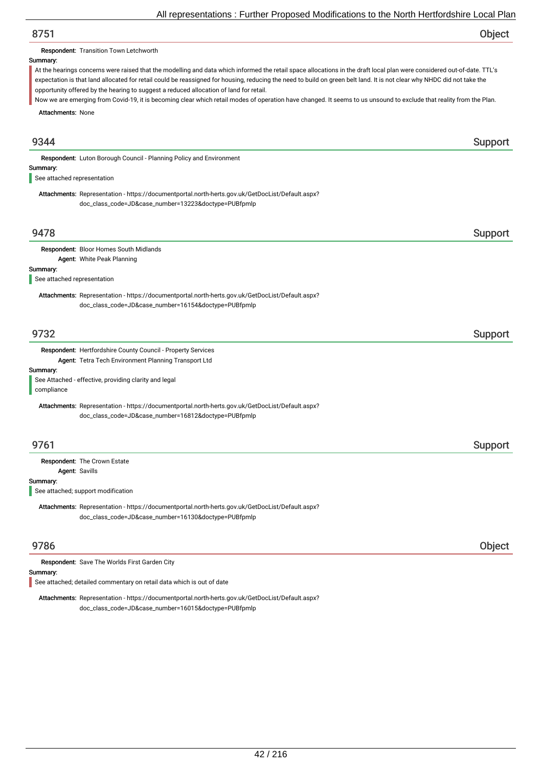# 8751 Object

Respondent: Transition Town Letchworth

#### Summary:

At the hearings concerns were raised that the modelling and data which informed the retail space allocations in the draft local plan were considered out-of-date. TTL's expectation is that land allocated for retail could be reassigned for housing, reducing the need to build on green belt land. It is not clear why NHDC did not take the opportunity offered by the hearing to suggest a reduced allocation of land for retail.

Attachments: None Now we are emerging from Covid-19, it is becoming clear which retail modes of operation have changed. It seems to us unsound to exclude that reality from the Plan.

# er 1934 and 1934 and 1935 and 1936 and 1936 and 1936 and 1936 and 1936 and 1936 and 1936 and 1937 and 1938 and Summary: Respondent: Luton Borough Council - Planning Policy and Environment Attachments: Representation - https://documentportal.north-herts.gov.uk/GetDocList/Default.aspx? doc\_class\_code=JD&case\_number=13223&doctype=PUBfpmlp See attached representation 9478 Support Summary: Respondent: Bloor Homes South Midlands Agent: White Peak Planning Attachments: Representation - https://documentportal.north-herts.gov.uk/GetDocList/Default.aspx? doc\_class\_code=JD&case\_number=16154&doctype=PUBfpmlp See attached representation er 19732 i Support and the Support of the Support Support in the Support of the Support of the Support of the Support of the Support of the Support of the Support of the Support of the Support of the Support of the Support Summary: Respondent: Hertfordshire County Council - Property Services Agent: Tetra Tech Environment Planning Transport Ltd Attachments: Representation - https://documentportal.north-herts.gov.uk/GetDocList/Default.aspx? doc\_class\_code=JD&case\_number=16812&doctype=PUBfpmlp See Attached - effective, providing clarity and legal compliance er 19761 i Support Support i Support i Support Support i Support i Support i Support i Support i Support i Sup Summary: Respondent: The Crown Estate Agent: Savills Attachments: Representation - https://documentportal.north-herts.gov.uk/GetDocList/Default.aspx? doc\_class\_code=JD&case\_number=16130&doctype=PUBfpmlp See attached; support modification 9786 Object Summary: Respondent: Save The Worlds First Garden City See attached; detailed commentary on retail data which is out of date

Attachments: Representation - https://documentportal.north-herts.gov.uk/GetDocList/Default.aspx? doc\_class\_code=JD&case\_number=16015&doctype=PUBfpmlp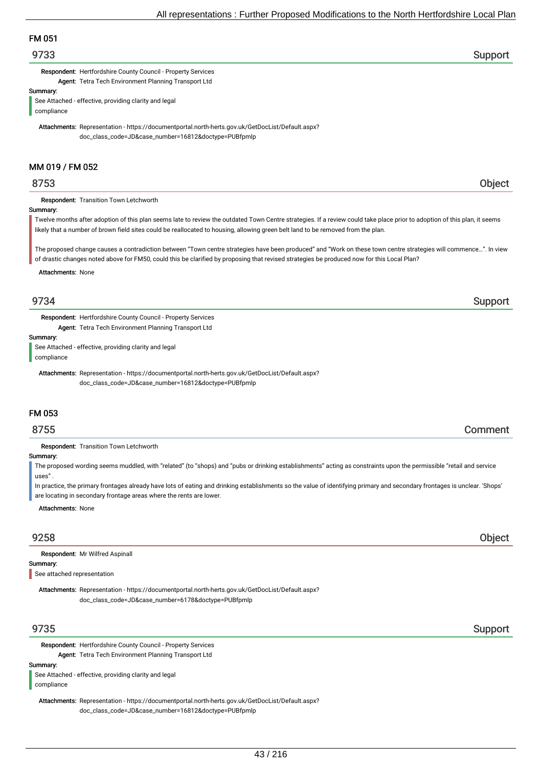# FM 051

## 9733 Support

Respondent: Hertfordshire County Council - Property Services Agent: Tetra Tech Environment Planning Transport Ltd

Summary:

See Attached - effective, providing clarity and legal compliance

Attachments: Representation - https://documentportal.north-herts.gov.uk/GetDocList/Default.aspx? doc\_class\_code=JD&case\_number=16812&doctype=PUBfpmlp

## MM 019 / FM 052

Respondent: Transition Town Letchworth

#### Summary:

Twelve months after adoption of this plan seems late to review the outdated Town Centre strategies. If a review could take place prior to adoption of this plan, it seems likely that a number of brown field sites could be reallocated to housing, allowing green belt land to be removed from the plan.

The proposed change causes a contradiction between "Town centre strategies have been produced" and "Work on these town centre strategies will commence…". In view of drastic changes noted above for FM50, could this be clarified by proposing that revised strategies be produced now for this Local Plan?

#### Attachments: None

Respondent: Hertfordshire County Council - Property Services Agent: Tetra Tech Environment Planning Transport Ltd

Summary:

See Attached - effective, providing clarity and legal

compliance

Attachments: Representation - https://documentportal.north-herts.gov.uk/GetDocList/Default.aspx? doc\_class\_code=JD&case\_number=16812&doctype=PUBfpmlp

## FM 053

## 8755 Comment

Respondent: Transition Town Letchworth

#### Summary:

The proposed wording seems muddled, with "related" (to "shops) and "pubs or drinking establishments" acting as constraints upon the permissible "retail and service uses"

In practice, the primary frontages already have lots of eating and drinking establishments so the value of identifying primary and secondary frontages is unclear. 'Shops' are locating in secondary frontage areas where the rents are lower.

Attachments: None

## 9258 Object

Respondent: Mr Wilfred Aspinall

Summary:

See attached representation

Attachments: Representation - https://documentportal.north-herts.gov.uk/GetDocList/Default.aspx? doc\_class\_code=JD&case\_number=6178&doctype=PUBfpmlp

Respondent: Hertfordshire County Council - Property Services Agent: Tetra Tech Environment Planning Transport Ltd

#### Summary:

See Attached - effective, providing clarity and legal compliance

Attachments: Representation - https://documentportal.north-herts.gov.uk/GetDocList/Default.aspx? doc\_class\_code=JD&case\_number=16812&doctype=PUBfpmlp

# er 19735 Support in the second state of the second state of the second state  $\sim$  Support in the second state  $\sim$

## 9734 Support

## 8753 Object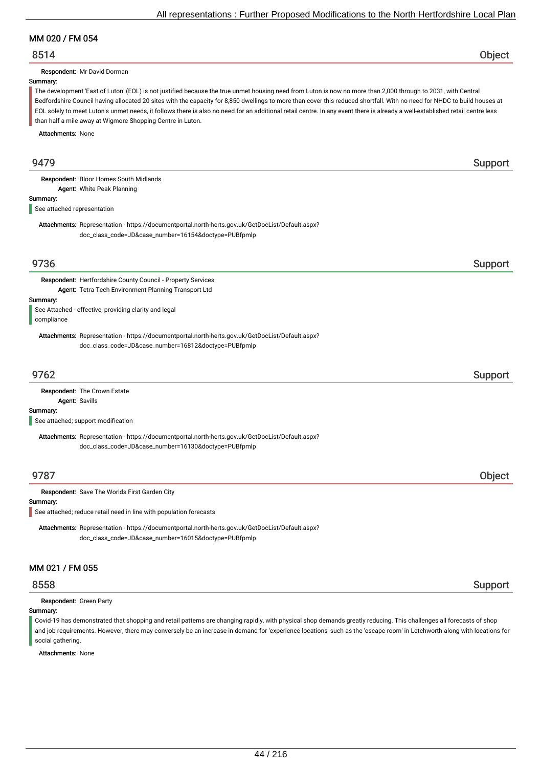## MM 020 / FM 054

## 8514 Object

Respondent: Mr David Dorman

#### Summary:

The development 'East of Luton' (EOL) is not justified because the true unmet housing need from Luton is now no more than 2,000 through to 2031, with Central Bedfordshire Council having allocated 20 sites with the capacity for 8,850 dwellings to more than cover this reduced shortfall. With no need for NHDC to build houses at EOL solely to meet Luton's unmet needs, it follows there is also no need for an additional retail centre. In any event there is already a well-established retail centre less than half a mile away at Wigmore Shopping Centre in Luton.

Attachments: None

| 9479                                    |                                                                                                                                                          | Support |
|-----------------------------------------|----------------------------------------------------------------------------------------------------------------------------------------------------------|---------|
|                                         | Respondent: Bloor Homes South Midlands                                                                                                                   |         |
|                                         | Agent: White Peak Planning                                                                                                                               |         |
| Summary:<br>See attached representation |                                                                                                                                                          |         |
|                                         | Attachments: Representation - https://documentportal.north-herts.gov.uk/GetDocList/Default.aspx?<br>doc_class_code=JD&case_number=16154&doctype=PUBfpmlp |         |
| 9736                                    |                                                                                                                                                          | Support |
|                                         | Respondent: Hertfordshire County Council - Property Services                                                                                             |         |
|                                         | Agent: Tetra Tech Environment Planning Transport Ltd                                                                                                     |         |
| Summary:                                |                                                                                                                                                          |         |
| compliance                              | See Attached - effective, providing clarity and legal                                                                                                    |         |
|                                         | Attachments: Representation - https://documentportal.north-herts.gov.uk/GetDocList/Default.aspx?<br>doc_class_code=JD&case_number=16812&doctype=PUBfpmlp |         |
| 9762                                    |                                                                                                                                                          | Support |
| Agent: Savills                          | Respondent: The Crown Estate                                                                                                                             |         |
| Summary:                                | See attached; support modification                                                                                                                       |         |
|                                         | Attachments: Representation - https://documentportal.north-herts.gov.uk/GetDocList/Default.aspx?<br>doc_class_code=JD&case_number=16130&doctype=PUBfpmlp |         |
| 9787                                    |                                                                                                                                                          | Object  |
|                                         | Respondent: Save The Worlds First Garden City                                                                                                            |         |
| Summary:                                |                                                                                                                                                          |         |
|                                         | See attached; reduce retail need in line with population forecasts                                                                                       |         |
|                                         | Attachments: Representation - https://documentportal.north-herts.gov.uk/GetDocList/Default.aspx?<br>doc_class_code=JD&case_number=16015&doctype=PUBfpmlp |         |
| MM 021 / FM 055                         |                                                                                                                                                          |         |
| 8558                                    |                                                                                                                                                          | Support |

Respondent: Green Party

#### Summary:

Covid-19 has demonstrated that shopping and retail patterns are changing rapidly, with physical shop demands greatly reducing. This challenges all forecasts of shop and job requirements. However, there may conversely be an increase in demand for 'experience locations' such as the 'escape room' in Letchworth along with locations for social gathering.

Attachments: None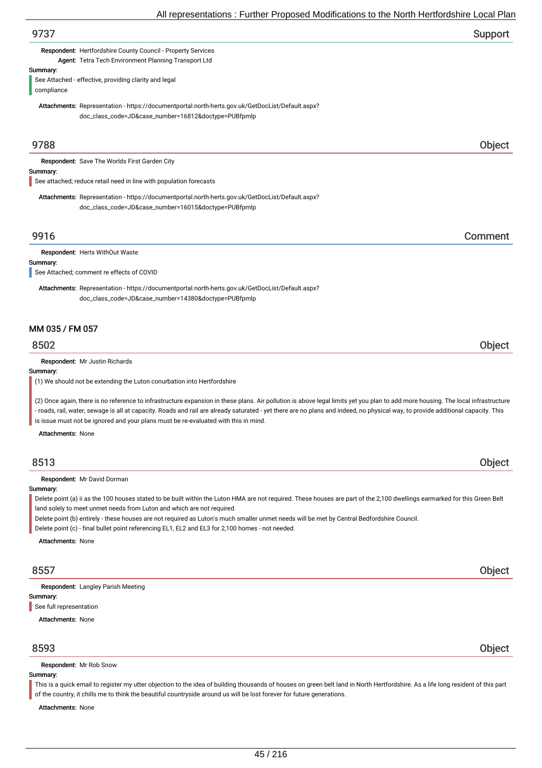| All representations. Further Froposed Modifications to the North Hertionushine Local Fial                                                                                                                                                                                                                                                                                                                      |         |
|----------------------------------------------------------------------------------------------------------------------------------------------------------------------------------------------------------------------------------------------------------------------------------------------------------------------------------------------------------------------------------------------------------------|---------|
| 9737                                                                                                                                                                                                                                                                                                                                                                                                           | Support |
| Respondent: Hertfordshire County Council - Property Services<br>Agent: Tetra Tech Environment Planning Transport Ltd                                                                                                                                                                                                                                                                                           |         |
| Summary:<br>See Attached - effective, providing clarity and legal<br>compliance                                                                                                                                                                                                                                                                                                                                |         |
| Attachments: Representation - https://documentportal.north-herts.gov.uk/GetDocList/Default.aspx?<br>doc_class_code=JD&case_number=16812&doctype=PUBfpmlp                                                                                                                                                                                                                                                       |         |
| 9788                                                                                                                                                                                                                                                                                                                                                                                                           | Object  |
| Respondent: Save The Worlds First Garden City                                                                                                                                                                                                                                                                                                                                                                  |         |
| Summary:                                                                                                                                                                                                                                                                                                                                                                                                       |         |
| See attached; reduce retail need in line with population forecasts                                                                                                                                                                                                                                                                                                                                             |         |
| Attachments: Representation - https://documentportal.north-herts.gov.uk/GetDocList/Default.aspx?<br>doc_class_code=JD&case_number=16015&doctype=PUBfpmlp                                                                                                                                                                                                                                                       |         |
| 9916                                                                                                                                                                                                                                                                                                                                                                                                           | Comment |
| Respondent: Herts WithOut Waste                                                                                                                                                                                                                                                                                                                                                                                |         |
| Summary:                                                                                                                                                                                                                                                                                                                                                                                                       |         |
| See Attached; comment re effects of COVID                                                                                                                                                                                                                                                                                                                                                                      |         |
| Attachments: Representation - https://documentportal.north-herts.gov.uk/GetDocList/Default.aspx?<br>doc_class_code=JD&case_number=14380&doctype=PUBfpmlp                                                                                                                                                                                                                                                       |         |
| MM 035 / FM 057                                                                                                                                                                                                                                                                                                                                                                                                |         |
| 8502                                                                                                                                                                                                                                                                                                                                                                                                           | Object  |
| Respondent: Mr Justin Richards                                                                                                                                                                                                                                                                                                                                                                                 |         |
| Summary:<br>(1) We should not be extending the Luton conurbation into Hertfordshire                                                                                                                                                                                                                                                                                                                            |         |
| (2) Once again, there is no reference to infrastructure expansion in these plans. Air pollution is above legal limits yet you plan to add more housing. The local infrastructure<br>- roads, rail, water, sewage is all at capacity. Roads and rail are already saturated - yet there are no plans and indeed, no physical way, to provide additional capacity. This                                           |         |
| is issue must not be ignored and your plans must be re-evaluated with this in mind.                                                                                                                                                                                                                                                                                                                            |         |
| <b>Attachments: None</b>                                                                                                                                                                                                                                                                                                                                                                                       |         |
| 8513                                                                                                                                                                                                                                                                                                                                                                                                           | Object  |
| Respondent: Mr David Dorman                                                                                                                                                                                                                                                                                                                                                                                    |         |
| Summary:<br>Delete point (a) ii as the 100 houses stated to be built within the Luton HMA are not required. These houses are part of the 2,100 dwellings earmarked for this Green Belt<br>land solely to meet unmet needs from Luton and which are not required.<br>Delete point (b) entirely - these houses are not required as Luton's much smaller unmet needs will be met by Central Bedfordshire Council. |         |
| Delete point (c) - final bullet point referencing EL1, EL2 and EL3 for 2,100 homes - not needed.                                                                                                                                                                                                                                                                                                               |         |
| <b>Attachments: None</b>                                                                                                                                                                                                                                                                                                                                                                                       |         |
| 8557                                                                                                                                                                                                                                                                                                                                                                                                           | Object  |
| <b>Respondent:</b> Langley Parish Meeting                                                                                                                                                                                                                                                                                                                                                                      |         |
| Summary:                                                                                                                                                                                                                                                                                                                                                                                                       |         |
| See full representation<br><b>Attachments: None</b>                                                                                                                                                                                                                                                                                                                                                            |         |
|                                                                                                                                                                                                                                                                                                                                                                                                                |         |

## 8593 Object

Respondent: Mr Rob Snow

#### Summary:

This is a quick email to register my utter objection to the idea of building thousands of houses on green belt land in North Hertfordshire. As a life long resident of this part of the country, it chills me to think the beautiful countryside around us will be lost forever for future generations.

Attachments: None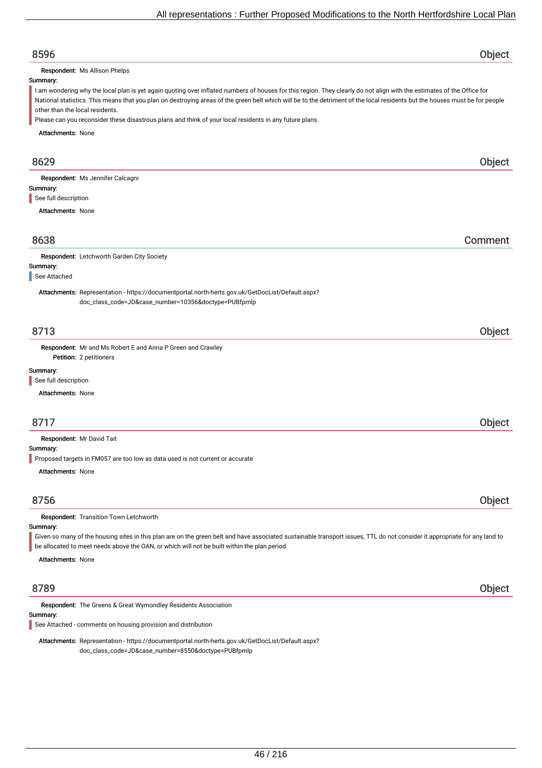# 8596 Object Summary: Attachments: None Respondent: Ms Allison Phelps I am wondering why the local plan is yet again quoting over inflated numbers of houses for this region. They clearly do not align with the estimates of the Office for National statistics. This means that you plan on destroying areas of the green belt which will be to the detriment of the local residents but the houses must be for people other than the local residents. Please can you reconsider these disastrous plans and think of your local residents in any future plans. 8629 Object Summary: Attachments: None Respondent: Ms Jennifer Calcagni See full description 8638 Comment Summary: Respondent: Letchworth Garden City Society Attachments: Representation - https://documentportal.north-herts.gov.uk/GetDocList/Default.aspx? doc\_class\_code=JD&case\_number=10356&doctype=PUBfpmlp See Attached 8713 Object Petition: 2 petitioners Summary: Attachments: None Respondent: Mr and Ms Robert E and Anna P Green and Crawley See full description 8717 Object Summary: Attachments: None Respondent: Mr David Tait Proposed targets in FM057 are too low as data used is not current or accurate 8756 Object Summary: Attachments: None Respondent: Transition Town Letchworth Given so many of the housing sites in this plan are on the green belt and have associated sustainable transport issues, TTL do not consider it appropriate for any land to be allocated to meet needs above the OAN, or which will not be built within the plan period. 8789 Object Summary: Respondent: The Greens & Great Wymondley Residents Association Attachments: Representation - https://documentportal.north-herts.gov.uk/GetDocList/Default.aspx? doc\_class\_code=JD&case\_number=8550&doctype=PUBfpmlp See Attached - comments on housing provision and distribution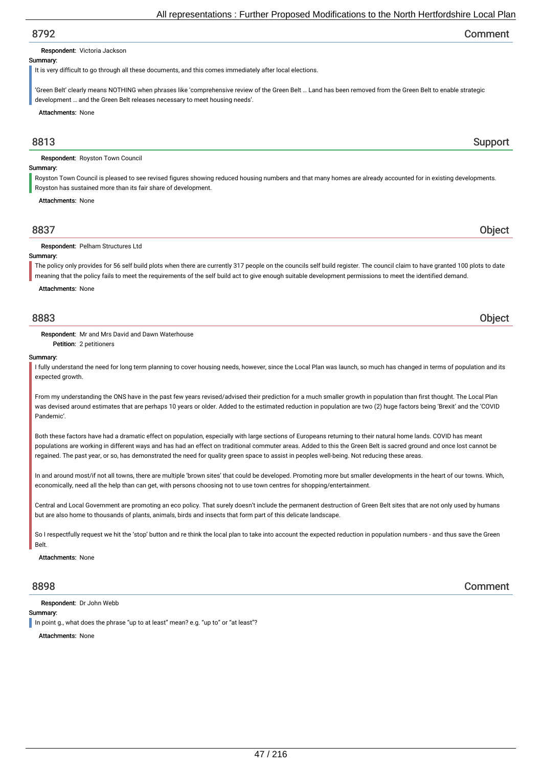## 8792 Comment

#### Respondent: Victoria Jackson

#### Summary:

It is very difficult to go through all these documents, and this comes immediately after local elections.

'Green Belt' clearly means NOTHING when phrases like 'comprehensive review of the Green Belt … Land has been removed from the Green Belt to enable strategic development … and the Green Belt releases necessary to meet housing needs'.

Attachments: None

## example. The state of the state of the state of the state of the state of the state of the Support Support

Respondent: Royston Town Council

#### Summary:

Royston Town Council is pleased to see revised figures showing reduced housing numbers and that many homes are already accounted for in existing developments. Royston has sustained more than its fair share of development.

#### Attachments: None

| 8837                                 |  |
|--------------------------------------|--|
| <b>pondent</b> : Pelham S<br>– W<br> |  |

#### Summary:

The policy only provides for 56 self build plots when there are currently 317 people on the councils self build register. The council claim to have granted 100 plots to date meaning that the policy fails to meet the requirements of the self build act to give enough suitable development permissions to meet the identified demand.

Attachments: None

## 8883 Object

Respondent: Mr and Mrs David and Dawn Waterhouse

Petition: 2 petitioners

#### Summary:

I fully understand the need for long term planning to cover housing needs, however, since the Local Plan was launch, so much has changed in terms of population and its expected growth

From my understanding the ONS have in the past few years revised/advised their prediction for a much smaller growth in population than first thought. The Local Plan was devised around estimates that are perhaps 10 years or older. Added to the estimated reduction in population are two (2) huge factors being 'Brexit' and the 'COVID Pandemic'.

Both these factors have had a dramatic effect on population, especially with large sections of Europeans returning to their natural home lands. COVID has meant populations are working in different ways and has had an effect on traditional commuter areas. Added to this the Green Belt is sacred ground and once lost cannot be regained. The past year, or so, has demonstrated the need for quality green space to assist in peoples well-being. Not reducing these areas.

In and around most/if not all towns, there are multiple 'brown sites' that could be developed. Promoting more but smaller developments in the heart of our towns. Which, economically, need all the help than can get, with persons choosing not to use town centres for shopping/entertainment.

Central and Local Government are promoting an eco policy. That surely doesn't include the permanent destruction of Green Belt sites that are not only used by humans but are also home to thousands of plants, animals, birds and insects that form part of this delicate landscape.

So I respectfully request we hit the 'stop' button and re think the local plan to take into account the expected reduction in population numbers - and thus save the Green **Belt** 

Attachments: None

Respondent: Dr John Webb

#### Summary:

In point g., what does the phrase "up to at least" mean? e.g. "up to" or "at least"?

Attachments: None

8898 Comment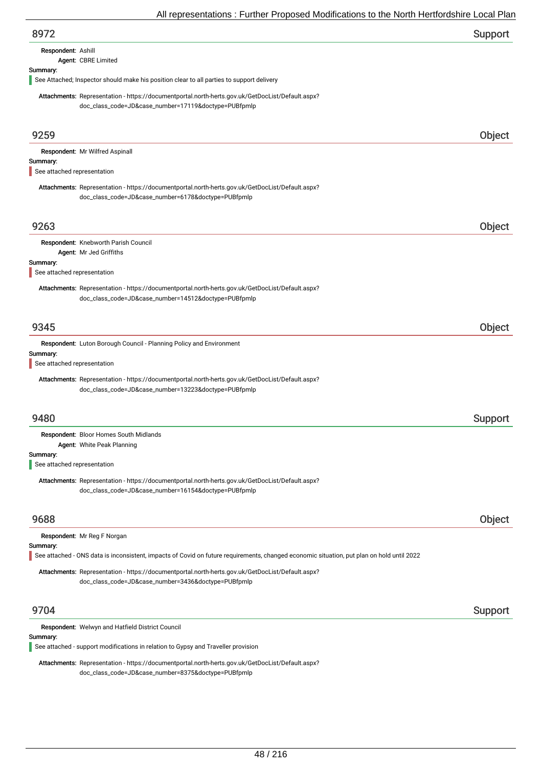| 8972 | Support |
|------|---------|
|      |         |

| Respondent: Ashill |                     |
|--------------------|---------------------|
|                    | Agent: CBRE Limited |

# Summary:

See Attached; Inspector should make his position clear to all parties to support delivery

Attachments: Representation - https://documentportal.north-herts.gov.uk/GetDocList/Default.aspx? doc\_class\_code=JD&case\_number=17119&doctype=PUBfpmlp

| 9704                                    | Respondent: Welwyn and Hatfield District Council                                                                                                                         | Support |
|-----------------------------------------|--------------------------------------------------------------------------------------------------------------------------------------------------------------------------|---------|
|                                         | Attachments: Representation - https://documentportal.north-herts.gov.uk/GetDocList/Default.aspx?<br>doc_class_code=JD&case_number=3436&doctype=PUBfpmlp                  |         |
| Summary:                                | Respondent: Mr Reg F Norgan<br>See attached - ONS data is inconsistent, impacts of Covid on future requirements, changed economic situation, put plan on hold until 2022 |         |
| 9688                                    |                                                                                                                                                                          | Object  |
|                                         | Attachments: Representation - https://documentportal.north-herts.gov.uk/GetDocList/Default.aspx?<br>doc_class_code=JD&case_number=16154&doctype=PUBfpmlp                 |         |
| Summary:<br>See attached representation |                                                                                                                                                                          |         |
|                                         | Respondent: Bloor Homes South Midlands<br>Agent: White Peak Planning                                                                                                     |         |
| 9480                                    |                                                                                                                                                                          | Support |
|                                         | Attachments: Representation - https://documentportal.north-herts.gov.uk/GetDocList/Default.aspx?<br>doc_class_code=JD&case_number=13223&doctype=PUBfpmlp                 |         |
| See attached representation             |                                                                                                                                                                          |         |
| Summary:                                | Respondent: Luton Borough Council - Planning Policy and Environment                                                                                                      |         |
| 9345                                    |                                                                                                                                                                          | Object  |
|                                         | doc_class_code=JD&case_number=14512&doctype=PUBfpmlp                                                                                                                     |         |
| See attached representation             | Attachments: Representation - https://documentportal.north-herts.gov.uk/GetDocList/Default.aspx?                                                                         |         |
| Summary:                                | Agent: Mr Jed Griffiths                                                                                                                                                  |         |
|                                         | Respondent: Knebworth Parish Council                                                                                                                                     |         |
| 9263                                    |                                                                                                                                                                          | Object  |
|                                         | Attachments: Representation - https://documentportal.north-herts.gov.uk/GetDocList/Default.aspx?<br>doc_class_code=JD&case_number=6178&doctype=PUBfpmlp                  |         |
| See attached representation             |                                                                                                                                                                          |         |
| Summary:                                | Respondent: Mr Wilfred Aspinall                                                                                                                                          |         |
| 9259                                    |                                                                                                                                                                          | Object  |

Summary:

See attached - support modifications in relation to Gypsy and Traveller provision

Attachments: Representation - https://documentportal.north-herts.gov.uk/GetDocList/Default.aspx? doc\_class\_code=JD&case\_number=8375&doctype=PUBfpmlp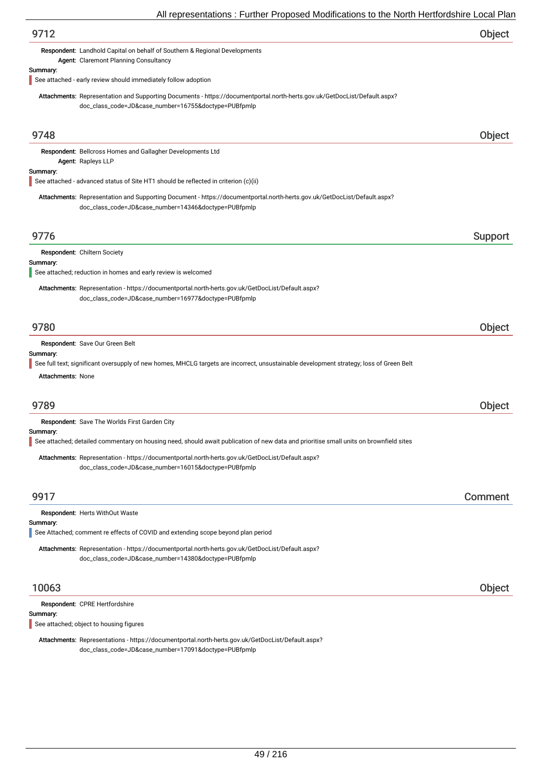| 9712                                                                                                                                                                              | Object  |
|-----------------------------------------------------------------------------------------------------------------------------------------------------------------------------------|---------|
| Respondent: Landhold Capital on behalf of Southern & Regional Developments<br>Agent: Claremont Planning Consultancy                                                               |         |
| Summary:<br>See attached - early review should immediately follow adoption                                                                                                        |         |
| Attachments: Representation and Supporting Documents - https://documentportal.north-herts.gov.uk/GetDocList/Default.aspx?<br>doc_class_code=JD&case_number=16755&doctype=PUBfpmlp |         |
| 9748                                                                                                                                                                              | Object  |
| Respondent: Bellcross Homes and Gallagher Developments Ltd<br>Agent: Rapleys LLP                                                                                                  |         |
| Summary:<br>See attached - advanced status of Site HT1 should be reflected in criterion (c)(ii)                                                                                   |         |
| Attachments: Representation and Supporting Document - https://documentportal.north-herts.gov.uk/GetDocList/Default.aspx?<br>doc_class_code=JD&case_number=14346&doctype=PUBfpmlp  |         |
| 9776                                                                                                                                                                              | Support |
| Respondent: Chiltern Society                                                                                                                                                      |         |
| Summary:<br>See attached; reduction in homes and early review is welcomed                                                                                                         |         |
| Attachments: Representation - https://documentportal.north-herts.gov.uk/GetDocList/Default.aspx?<br>doc_class_code=JD&case_number=16977&doctype=PUBfpmlp                          |         |
| 9780                                                                                                                                                                              | Object  |
| Respondent: Save Our Green Belt                                                                                                                                                   |         |
| Summary:<br>See full text; significant oversupply of new homes, MHCLG targets are incorrect, unsustainable development strategy; loss of Green Belt<br><b>Attachments: None</b>   |         |
| 9789                                                                                                                                                                              | Object  |
| <b>Respondent:</b> Save The Worlds First Garden City                                                                                                                              |         |
| Summary:<br>See attached; detailed commentary on housing need, should await publication of new data and prioritise small units on brownfield sites                                |         |
| Attachments: Representation - https://documentportal.north-herts.gov.uk/GetDocList/Default.aspx?<br>doc_class_code=JD&case_number=16015&doctype=PUBfpmlp                          |         |
| 9917                                                                                                                                                                              | Comment |
| Respondent: Herts WithOut Waste<br>Summary:                                                                                                                                       |         |
| See Attached; comment re effects of COVID and extending scope beyond plan period                                                                                                  |         |
| Attachments: Representation - https://documentportal.north-herts.gov.uk/GetDocList/Default.aspx?<br>doc_class_code=JD&case_number=14380&doctype=PUBfpmlp                          |         |
| 10063                                                                                                                                                                             | Object  |
| Respondent: CPRE Hertfordshire                                                                                                                                                    |         |
| Summary:<br>See attached; object to housing figures                                                                                                                               |         |
|                                                                                                                                                                                   |         |

Attachments: Representations - https://documentportal.north-herts.gov.uk/GetDocList/Default.aspx? doc\_class\_code=JD&case\_number=17091&doctype=PUBfpmlp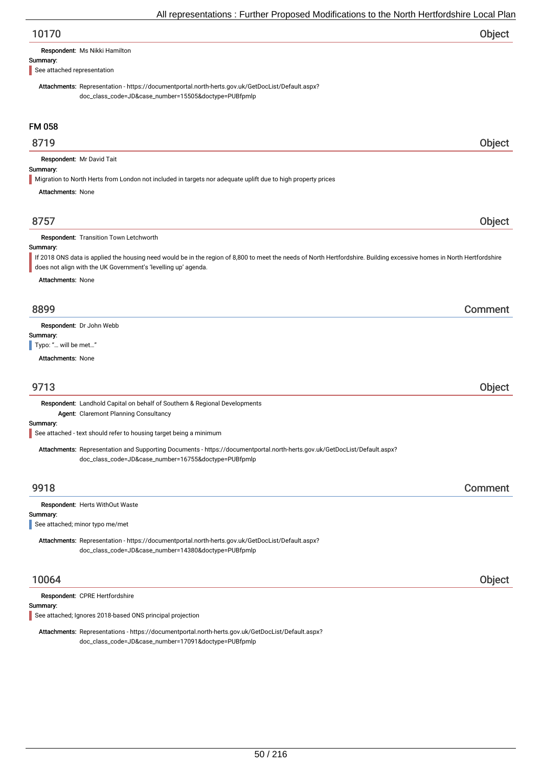| 10170 | Object |
|-------|--------|
|-------|--------|

| Respondent: Ms Nikki Hamilton |
|-------------------------------|
|-------------------------------|

#### Summary:

See attached representation

Attachments: Representation - https://documentportal.north-herts.gov.uk/GetDocList/Default.aspx? doc\_class\_code=JD&case\_number=15505&doctype=PUBfpmlp

## FM 058

## 8719 Object

Respondent: Mr David Tait

#### Summary:

Migration to North Herts from London not included in targets nor adequate uplift due to high property prices

Attachments: None

## 8757 Object

#### Respondent: Transition Town Letchworth

#### Summary:

If 2018 ONS data is applied the housing need would be in the region of 8,800 to meet the needs of North Hertfordshire. Building excessive homes in North Hertfordshire does not align with the UK Government's 'levelling up' agenda.

Attachments: None

## 8899 Comment

Respondent: Dr John Webb

Summary:

Typo: "... will be met..."

Attachments: None

## 9713 Object

Respondent: Landhold Capital on behalf of Southern & Regional Developments Agent: Claremont Planning Consultancy

Summary:

See attached - text should refer to housing target being a minimum

Attachments: Representation and Supporting Documents - https://documentportal.north-herts.gov.uk/GetDocList/Default.aspx? doc\_class\_code=JD&case\_number=16755&doctype=PUBfpmlp

## 9918 Comment

#### Respondent: Herts WithOut Waste

#### Summary:

See attached; minor typo me/met

Attachments: Representation - https://documentportal.north-herts.gov.uk/GetDocList/Default.aspx? doc\_class\_code=JD&case\_number=14380&doctype=PUBfpmlp

## 10064 Object

Respondent: CPRE Hertfordshire

Summary:

See attached; Ignores 2018-based ONS principal projection

Attachments: Representations - https://documentportal.north-herts.gov.uk/GetDocList/Default.aspx? doc\_class\_code=JD&case\_number=17091&doctype=PUBfpmlp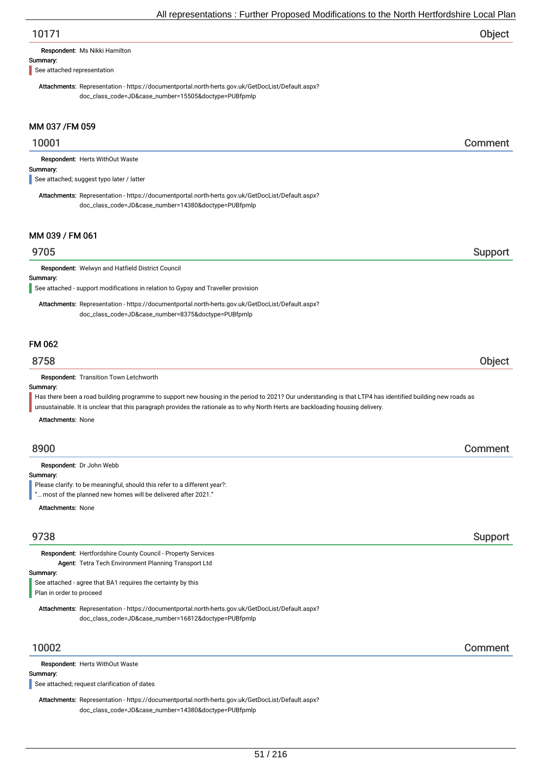# 10171 Object

Respondent: Ms Nikki Hamilton

#### Summary:

See attached representation

Attachments: Representation - https://documentportal.north-herts.gov.uk/GetDocList/Default.aspx? doc\_class\_code=JD&case\_number=15505&doctype=PUBfpmlp

## MM 037 /FM 059

## 10001 Comment

Respondent: Herts WithOut Waste

#### Summary:

See attached; suggest typo later / latter

Attachments: Representation - https://documentportal.north-herts.gov.uk/GetDocList/Default.aspx? doc\_class\_code=JD&case\_number=14380&doctype=PUBfpmlp

#### MM 039 / FM 061

## er 19705 i Support and the Support of the Support Support in the Support Support of the Support of the Support

Respondent: Welwyn and Hatfield District Council

Summary:

See attached - support modifications in relation to Gypsy and Traveller provision

Attachments: Representation - https://documentportal.north-herts.gov.uk/GetDocList/Default.aspx? doc\_class\_code=JD&case\_number=8375&doctype=PUBfpmlp

## FM 062

## 8758 Object

Respondent: Transition Town Letchworth

#### Summary:

Has there been a road building programme to support new housing in the period to 2021? Our understanding is that LTP4 has identified building new roads as unsustainable. It is unclear that this paragraph provides the rationale as to why North Herts are backloading housing delivery.

Attachments: None

## 8900 Comment

Respondent: Dr John Webb

Summary:

Please clarify: to be meaningful, should this refer to a different year?:

"… most of the planned new homes will be delivered after 2021."

Attachments: None

Respondent: Hertfordshire County Council - Property Services Agent: Tetra Tech Environment Planning Transport Ltd

Summary:

See attached - agree that BA1 requires the certainty by this Plan in order to proceed

Attachments: Representation - https://documentportal.north-herts.gov.uk/GetDocList/Default.aspx? doc\_class\_code=JD&case\_number=16812&doctype=PUBfpmlp

Respondent: Herts WithOut Waste

#### Summary:

See attached; request clarification of dates

Attachments: Representation - https://documentportal.north-herts.gov.uk/GetDocList/Default.aspx? doc\_class\_code=JD&case\_number=14380&doctype=PUBfpmlp

## 10002 Comment

9738 Support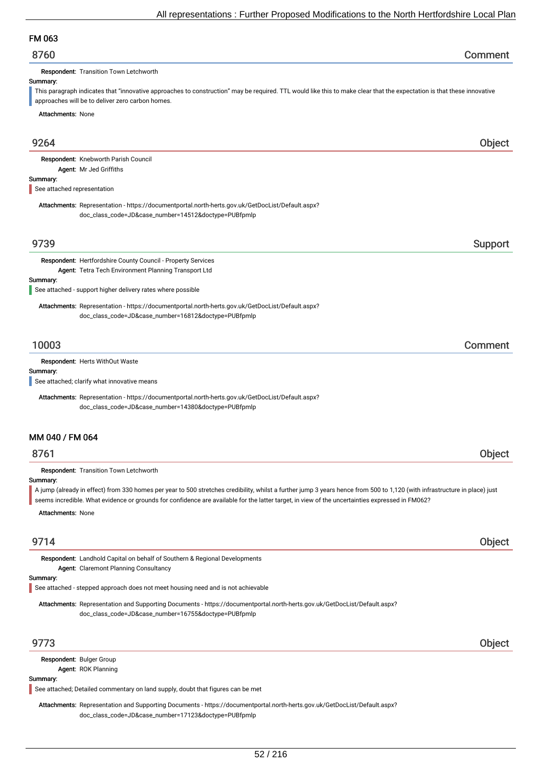# FM 063

Respondent: Transition Town Letchworth

#### Summary:

This paragraph indicates that "innovative approaches to construction" may be required. TTL would like this to make clear that the expectation is that these innovative approaches will be to deliver zero carbon homes.

Attachments: None

| 9264                                                                                                                                                                                                                                                                                                                          | Object  |
|-------------------------------------------------------------------------------------------------------------------------------------------------------------------------------------------------------------------------------------------------------------------------------------------------------------------------------|---------|
| Respondent: Knebworth Parish Council                                                                                                                                                                                                                                                                                          |         |
| Agent: Mr Jed Griffiths<br>Summary:                                                                                                                                                                                                                                                                                           |         |
| See attached representation                                                                                                                                                                                                                                                                                                   |         |
| Attachments: Representation - https://documentportal.north-herts.gov.uk/GetDocList/Default.aspx?                                                                                                                                                                                                                              |         |
| doc_class_code=JD&case_number=14512&doctype=PUBfpmlp                                                                                                                                                                                                                                                                          |         |
| 9739                                                                                                                                                                                                                                                                                                                          |         |
|                                                                                                                                                                                                                                                                                                                               | Support |
| Respondent: Hertfordshire County Council - Property Services                                                                                                                                                                                                                                                                  |         |
| Agent: Tetra Tech Environment Planning Transport Ltd<br>Summary:                                                                                                                                                                                                                                                              |         |
| See attached - support higher delivery rates where possible                                                                                                                                                                                                                                                                   |         |
| Attachments: Representation - https://documentportal.north-herts.gov.uk/GetDocList/Default.aspx?                                                                                                                                                                                                                              |         |
| doc_class_code=JD&case_number=16812&doctype=PUBfpmlp                                                                                                                                                                                                                                                                          |         |
|                                                                                                                                                                                                                                                                                                                               |         |
| 10003                                                                                                                                                                                                                                                                                                                         | Comment |
| Respondent: Herts WithOut Waste                                                                                                                                                                                                                                                                                               |         |
| Summary:<br>See attached; clarify what innovative means                                                                                                                                                                                                                                                                       |         |
|                                                                                                                                                                                                                                                                                                                               |         |
| Attachments: Representation - https://documentportal.north-herts.gov.uk/GetDocList/Default.aspx?                                                                                                                                                                                                                              |         |
| doc_class_code=JD&case_number=14380&doctype=PUBfpmlp                                                                                                                                                                                                                                                                          |         |
| MM 040 / FM 064                                                                                                                                                                                                                                                                                                               |         |
|                                                                                                                                                                                                                                                                                                                               |         |
| 8761                                                                                                                                                                                                                                                                                                                          | Object  |
| Respondent: Transition Town Letchworth                                                                                                                                                                                                                                                                                        |         |
| Summary:                                                                                                                                                                                                                                                                                                                      |         |
| A jump (already in effect) from 330 homes per year to 500 stretches credibility, whilst a further jump 3 years hence from 500 to 1,120 (with infrastructure in place) just<br>seems incredible. What evidence or grounds for confidence are available for the latter target, in view of the uncertainties expressed in FM062? |         |
|                                                                                                                                                                                                                                                                                                                               |         |
| <b>Attachments: None</b>                                                                                                                                                                                                                                                                                                      |         |
| 9714                                                                                                                                                                                                                                                                                                                          | Object  |
| Respondent: Landhold Capital on behalf of Southern & Regional Developments                                                                                                                                                                                                                                                    |         |
| Agent: Claremont Planning Consultancy                                                                                                                                                                                                                                                                                         |         |
| Summary:                                                                                                                                                                                                                                                                                                                      |         |
| See attached - stepped approach does not meet housing need and is not achievable                                                                                                                                                                                                                                              |         |
| Attachments: Representation and Supporting Documents - https://documentportal.north-herts.gov.uk/GetDocList/Default.aspx?<br>doc_class_code=JD&case_number=16755&doctype=PUBfpmlp                                                                                                                                             |         |
| 9773                                                                                                                                                                                                                                                                                                                          | Object  |
|                                                                                                                                                                                                                                                                                                                               |         |
| Respondent: Bulger Group                                                                                                                                                                                                                                                                                                      |         |
| Agent: ROK Planning<br>Summary:                                                                                                                                                                                                                                                                                               |         |
|                                                                                                                                                                                                                                                                                                                               |         |

See attached; Detailed commentary on land supply, doubt that figures can be met

Attachments: Representation and Supporting Documents - https://documentportal.north-herts.gov.uk/GetDocList/Default.aspx? doc\_class\_code=JD&case\_number=17123&doctype=PUBfpmlp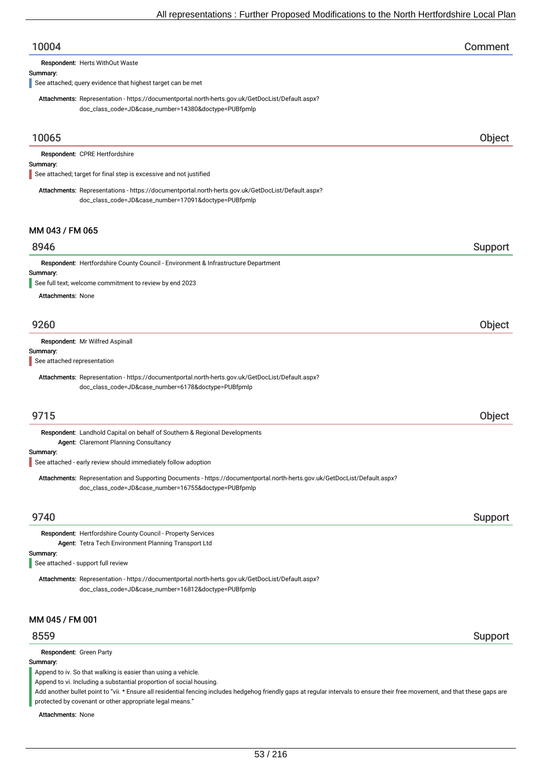| 10004                                                                                                                                                     | Comment |
|-----------------------------------------------------------------------------------------------------------------------------------------------------------|---------|
| Respondent: Herts WithOut Waste                                                                                                                           |         |
| Summary:<br>See attached; query evidence that highest target can be met                                                                                   |         |
| Attachments: Representation - https://documentportal.north-herts.gov.uk/GetDocList/Default.aspx?<br>doc_class_code=JD&case_number=14380&doctype=PUBfpmlp  |         |
| 10065                                                                                                                                                     | Object  |
| Respondent: CPRE Hertfordshire                                                                                                                            |         |
| Summary:<br>See attached; target for final step is excessive and not justified                                                                            |         |
| Attachments: Representations - https://documentportal.north-herts.gov.uk/GetDocList/Default.aspx?<br>doc_class_code=JD&case_number=17091&doctype=PUBfpmlp |         |
| MM 043 / FM 065                                                                                                                                           |         |
| 8946                                                                                                                                                      | Support |
| Respondent: Hertfordshire County Council - Environment & Infrastructure Department                                                                        |         |
| Summary:<br>See full text; welcome commitment to review by end 2023                                                                                       |         |
| <b>Attachments: None</b>                                                                                                                                  |         |
| 9260                                                                                                                                                      | Object  |
| Respondent: Mr Wilfred Aspinall                                                                                                                           |         |
| Summary:<br>See attached representation                                                                                                                   |         |
| Attachments: Representation - https://documentportal.north-herts.gov.uk/GetDocList/Default.aspx?                                                          |         |
| doc_class_code=JD&case_number=6178&doctype=PUBfpmlp                                                                                                       |         |
|                                                                                                                                                           |         |
| 9715                                                                                                                                                      | Object  |
| Respondent: Landhold Capital on behalf of Southern & Regional Developments<br>Agent: Claremont Planning Consultancy                                       |         |
| Summary:<br>See attached - early review should immediately follow adoption                                                                                |         |
| Attachments: Representation and Supporting Documents - https://documentportal.north-herts.gov.uk/GetDocList/Default.aspx?                                 |         |
| doc_class_code=JD&case_number=16755&doctype=PUBfpmlp                                                                                                      |         |
| 9740                                                                                                                                                      | Support |
| Respondent: Hertfordshire County Council - Property Services<br>Agent: Tetra Tech Environment Planning Transport Ltd                                      |         |
| Summary:<br>See attached - support full review                                                                                                            |         |
| Attachments: Representation - https://documentportal.north-herts.gov.uk/GetDocList/Default.aspx?<br>doc_class_code=JD&case_number=16812&doctype=PUBfpmlp  |         |
| MM 045 / FM 001                                                                                                                                           |         |
| 8559                                                                                                                                                      | Support |
| Respondent: Green Party                                                                                                                                   |         |
| Summary:<br>Append to iv. So that walking is easier than using a vehicle.<br>Append to vi. Including a substantial proportion of social housing.          |         |

Add another bullet point to "vii. \* Ensure all residential fencing includes hedgehog friendly gaps at regular intervals to ensure their free movement, and that these gaps are protected by covenant or other appropriate legal means."

Attachments: None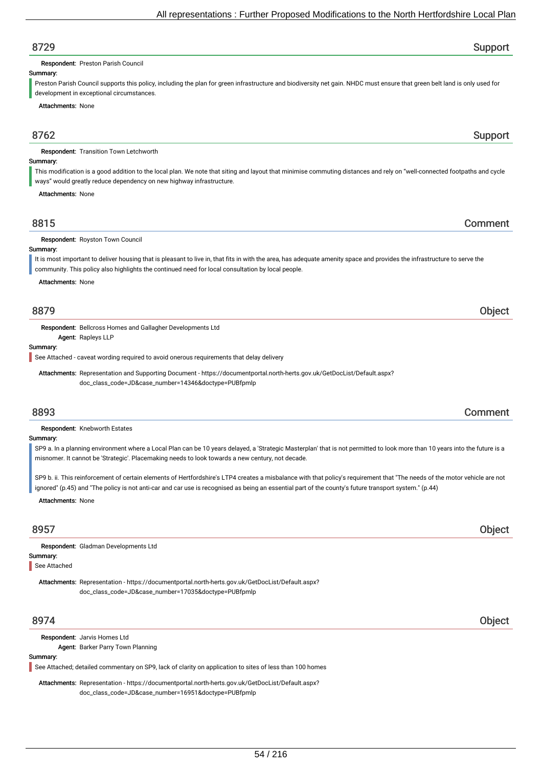# 8729 Support

Respondent: Preston Parish Council

#### Summary:

Preston Parish Council supports this policy, including the plan for green infrastructure and biodiversity net gain. NHDC must ensure that green belt land is only used for development in exceptional circumstances.

Attachments: None

## 8762 Support

Respondent: Transition Town Letchworth

#### Summary:

This modification is a good addition to the local plan. We note that siting and layout that minimise commuting distances and rely on "well-connected footpaths and cycle ways" would greatly reduce dependency on new highway infrastructure.

Attachments: None

## 8815 Comment

Respondent: Royston Town Council

Summary: It is most important to deliver housing that is pleasant to live in, that fits in with the area, has adequate amenity space and provides the infrastructure to serve the

community. This policy also highlights the continued need for local consultation by local people.

Attachments: None

## 8879 Object

Respondent: Bellcross Homes and Gallagher Developments Ltd

Agent: Rapleys LLP

#### Summary:

See Attached - caveat wording required to avoid onerous requirements that delay delivery

Attachments: Representation and Supporting Document - https://documentportal.north-herts.gov.uk/GetDocList/Default.aspx? doc\_class\_code=JD&case\_number=14346&doctype=PUBfpmlp

## 8893 Comment

Respondent: Knebworth Estates

#### Summary:

SP9 a. In a planning environment where a Local Plan can be 10 years delayed, a 'Strategic Masterplan' that is not permitted to look more than 10 years into the future is a misnomer. It cannot be 'Strategic'. Placemaking needs to look towards a new century, not decade.

SP9 b. ii. This reinforcement of certain elements of Hertfordshire's LTP4 creates a misbalance with that policy's requirement that "The needs of the motor vehicle are not ignored" (p.45) and "The policy is not anti-car and car use is recognised as being an essential part of the county's future transport system." (p.44)

Attachments: None

## 8957 Object

Summary: Respondent: Gladman Developments Ltd

See Attached

Attachments: Representation - https://documentportal.north-herts.gov.uk/GetDocList/Default.aspx? doc\_class\_code=JD&case\_number=17035&doctype=PUBfpmlp

## 8974 Object

Respondent: Jarvis Homes Ltd

Agent: Barker Parry Town Planning

#### Summary:

See Attached; detailed commentary on SP9, lack of clarity on application to sites of less than 100 homes

Attachments: Representation - https://documentportal.north-herts.gov.uk/GetDocList/Default.aspx? doc\_class\_code=JD&case\_number=16951&doctype=PUBfpmlp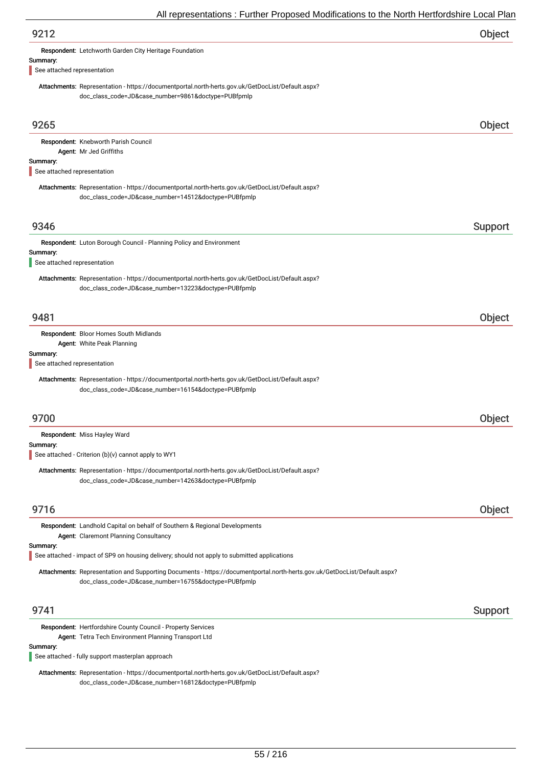| An representations. Further Froposca modifications to the north richtorushine Eocal Fit                                                                                           |         |
|-----------------------------------------------------------------------------------------------------------------------------------------------------------------------------------|---------|
| 9212                                                                                                                                                                              | Object  |
| Respondent: Letchworth Garden City Heritage Foundation                                                                                                                            |         |
| Summary:<br>See attached representation                                                                                                                                           |         |
| Attachments: Representation - https://documentportal.north-herts.gov.uk/GetDocList/Default.aspx?<br>doc_class_code=JD&case_number=9861&doctype=PUBfpmlp                           |         |
| 9265                                                                                                                                                                              | Object  |
| Respondent: Knebworth Parish Council                                                                                                                                              |         |
| Agent: Mr Jed Griffiths<br>Summary:<br>See attached representation                                                                                                                |         |
| Attachments: Representation - https://documentportal.north-herts.gov.uk/GetDocList/Default.aspx?<br>doc_class_code=JD&case_number=14512&doctype=PUBfpmlp                          |         |
| 9346                                                                                                                                                                              | Support |
| Respondent: Luton Borough Council - Planning Policy and Environment                                                                                                               |         |
| Summary:<br>See attached representation                                                                                                                                           |         |
| Attachments: Representation - https://documentportal.north-herts.gov.uk/GetDocList/Default.aspx?<br>doc_class_code=JD&case_number=13223&doctype=PUBfpmlp                          |         |
| 9481                                                                                                                                                                              | Object  |
| Respondent: Bloor Homes South Midlands<br>Agent: White Peak Planning                                                                                                              |         |
| Summary:<br>See attached representation                                                                                                                                           |         |
| Attachments: Representation - https://documentportal.north-herts.gov.uk/GetDocList/Default.aspx?<br>doc_class_code=JD&case_number=16154&doctype=PUBfpmlp                          |         |
| 9700                                                                                                                                                                              | Object  |
| Respondent: Miss Hayley Ward                                                                                                                                                      |         |
| Summary:<br>See attached - Criterion (b)(v) cannot apply to WY1                                                                                                                   |         |
| Attachments: Representation - https://documentportal.north-herts.gov.uk/GetDocList/Default.aspx?<br>doc_class_code=JD&case_number=14263&doctype=PUBfpmlp                          |         |
| 9716                                                                                                                                                                              | Object  |
| Respondent: Landhold Capital on behalf of Southern & Regional Developments<br>Agent: Claremont Planning Consultancy                                                               |         |
| Summary:<br>See attached - impact of SP9 on housing delivery; should not apply to submitted applications                                                                          |         |
| Attachments: Representation and Supporting Documents - https://documentportal.north-herts.gov.uk/GetDocList/Default.aspx?<br>doc_class_code=JD&case_number=16755&doctype=PUBfpmlp |         |
| 9741                                                                                                                                                                              | Support |
| Respondent: Hertfordshire County Council - Property Services                                                                                                                      |         |
| Agent: Tetra Tech Environment Planning Transport Ltd<br>Summary:                                                                                                                  |         |
| See attached - fully support masterplan approach                                                                                                                                  |         |
| Attachments: Representation - https://documentportal.north-herts.gov.uk/GetDocList/Default.aspx?                                                                                  |         |

doc\_class\_code=JD&case\_number=16812&doctype=PUBfpmlp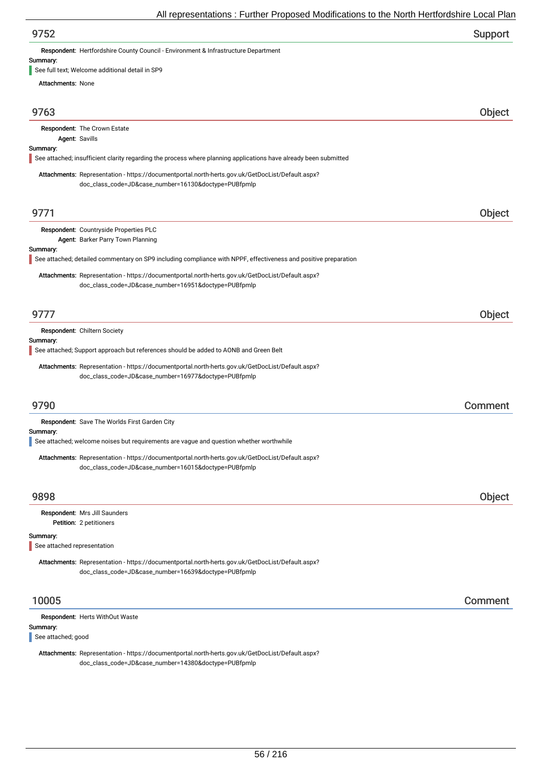| 9752 | Support |
|------|---------|
|------|---------|

Respondent: Hertfordshire County Council - Environment & Infrastructure Department

#### Summary:

See full text; Welcome additional detail in SP9

| <b>Attachments: None</b>                |                                                                                                                                                          |         |
|-----------------------------------------|----------------------------------------------------------------------------------------------------------------------------------------------------------|---------|
| 9763                                    |                                                                                                                                                          | Object  |
| Agent: Savills                          | Respondent: The Crown Estate                                                                                                                             |         |
| Summary:                                | See attached; insufficient clarity regarding the process where planning applications have already been submitted                                         |         |
|                                         | Attachments: Representation - https://documentportal.north-herts.gov.uk/GetDocList/Default.aspx?<br>doc_class_code=JD&case_number=16130&doctype=PUBfpmlp |         |
| 9771                                    |                                                                                                                                                          | Object  |
| Summary:                                | Respondent: Countryside Properties PLC<br>Agent: Barker Parry Town Planning                                                                              |         |
|                                         | See attached; detailed commentary on SP9 including compliance with NPPF, effectiveness and positive preparation                                          |         |
|                                         | Attachments: Representation - https://documentportal.north-herts.gov.uk/GetDocList/Default.aspx?<br>doc_class_code=JD&case_number=16951&doctype=PUBfpmlp |         |
| 9777                                    |                                                                                                                                                          | Object  |
| Summary:                                | Respondent: Chiltern Society                                                                                                                             |         |
|                                         | See attached; Support approach but references should be added to AONB and Green Belt                                                                     |         |
|                                         | Attachments: Representation - https://documentportal.north-herts.gov.uk/GetDocList/Default.aspx?<br>doc_class_code=JD&case_number=16977&doctype=PUBfpmlp |         |
| 9790                                    |                                                                                                                                                          | Comment |
| Summary:                                | Respondent: Save The Worlds First Garden City<br>See attached; welcome noises but requirements are vague and question whether worthwhile                 |         |
|                                         | Attachments: Representation - https://documentportal.north-herts.gov.uk/GetDocList/Default.aspx?<br>doc_class_code=JD&case_number=16015&doctype=PUBfpmlp |         |
| 9898                                    |                                                                                                                                                          | Object  |
|                                         | Respondent: Mrs Jill Saunders<br>Petition: 2 petitioners                                                                                                 |         |
| Summary:<br>See attached representation |                                                                                                                                                          |         |
|                                         | Attachments: Representation - https://documentportal.north-herts.gov.uk/GetDocList/Default.aspx?<br>doc_class_code=JD&case_number=16639&doctype=PUBfpmlp |         |
| 10005                                   |                                                                                                                                                          | Comment |
| Summary:<br>See attached; good          | Respondent: Herts WithOut Waste                                                                                                                          |         |

Attachments: Representation - https://documentportal.north-herts.gov.uk/GetDocList/Default.aspx? doc\_class\_code=JD&case\_number=14380&doctype=PUBfpmlp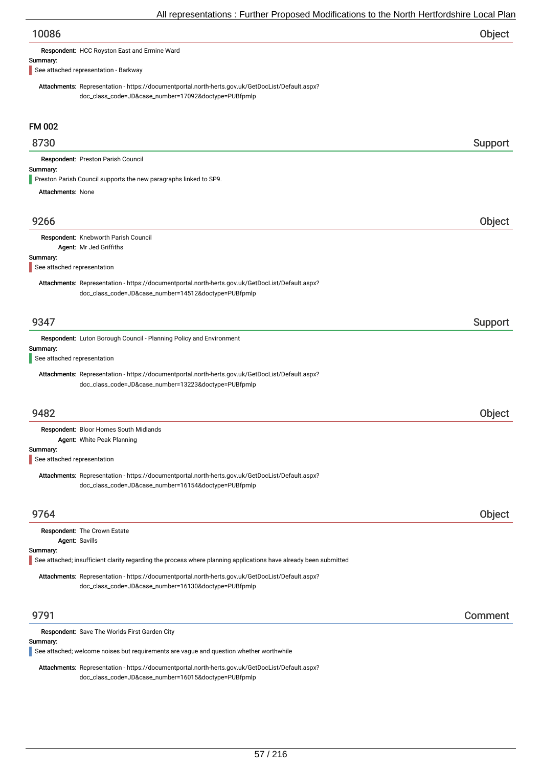| 10086 | Object |
|-------|--------|
|       |        |

Respondent: HCC Royston East and Ermine Ward

#### Summary:

See attached representation - Barkway

Attachments: Representation - https://documentportal.north-herts.gov.uk/GetDocList/Default.aspx? doc\_class\_code=JD&case\_number=17092&doctype=PUBfpmlp

## FM 002

## 8730 Support

Respondent: Preston Parish Council

#### Summary:

Preston Parish Council supports the new paragraphs linked to SP9.

Attachments: None

## 9266 Object

# Respondent: Knebworth Parish Council

Agent: Mr Jed Griffiths

#### Summary:

See attached representation

Attachments: Representation - https://documentportal.north-herts.gov.uk/GetDocList/Default.aspx? doc\_class\_code=JD&case\_number=14512&doctype=PUBfpmlp

## er 19347 i Support i Support i Support i Support i Support i Support i Support i Support i Support i Support i

Respondent: Luton Borough Council - Planning Policy and Environment

#### Summary:

See attached representation

Attachments: Representation - https://documentportal.north-herts.gov.uk/GetDocList/Default.aspx? doc\_class\_code=JD&case\_number=13223&doctype=PUBfpmlp

## 9482 Object

Summary: Respondent: Bloor Homes South Midlands Agent: White Peak Planning

See attached representation

Attachments: Representation - https://documentportal.north-herts.gov.uk/GetDocList/Default.aspx? doc\_class\_code=JD&case\_number=16154&doctype=PUBfpmlp

## 9764 Object

|          | <b>Respondent: The Crown Estate</b>                                                                              |
|----------|------------------------------------------------------------------------------------------------------------------|
|          | Agent: Savills                                                                                                   |
| Summary: |                                                                                                                  |
|          | See attached; insufficient clarity regarding the process where planning applications have already been submitted |
|          | Attachments: Representation - https://documentportal.north-herts.gov.uk/GetDocList/Default.aspx?                 |
|          | doc_class_code=JD&case_number=16130&doctype=PUBfpmlp                                                             |

## 9791 Comment

#### Respondent: Save The Worlds First Garden City

#### Summary:

See attached; welcome noises but requirements are vague and question whether worthwhile

Attachments: Representation - https://documentportal.north-herts.gov.uk/GetDocList/Default.aspx? doc\_class\_code=JD&case\_number=16015&doctype=PUBfpmlp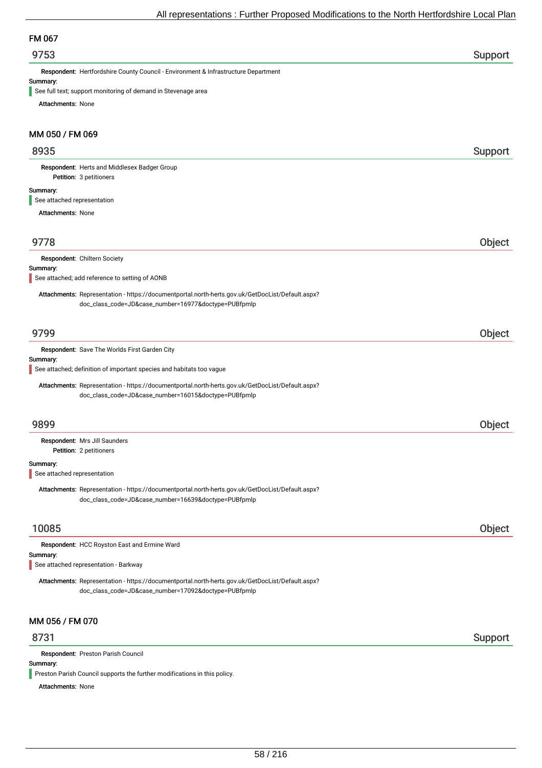## FM 067

## er 19753 i Support and the Support of the Support of the Support Support in the Support of the Support of the Support of the Support of the Support of the Support of the Support of the Support of the Support of the Support

Respondent: Hertfordshire County Council - Environment & Infrastructure Department

#### Summary:

See full text; support monitoring of demand in Stevenage area

Attachments: None

## MM 050 / FM 069

## 8935 Support

Petition: 3 petitioners Respondent: Herts and Middlesex Badger Group

#### Summary:

See attached representation

Attachments: None

## 9778 Object

Respondent: Chiltern Society

#### Summary:

See attached; add reference to setting of AONB

Attachments: Representation - https://documentportal.north-herts.gov.uk/GetDocList/Default.aspx? doc\_class\_code=JD&case\_number=16977&doctype=PUBfpmlp

## 9799 Object

Summary: Respondent: Save The Worlds First Garden City Attachments: Representation - https://documentportal.north-herts.gov.uk/GetDocList/Default.aspx? doc\_class\_code=JD&case\_number=16015&doctype=PUBfpmlp See attached; definition of important species and habitats too vague 9899 Object Petition: 2 petitioners Summary: Respondent: Mrs Jill Saunders Attachments: Representation - https://documentportal.north-herts.gov.uk/GetDocList/Default.aspx? doc\_class\_code=JD&case\_number=16639&doctype=PUBfpmlp See attached representation 10085 Object Respondent: HCC Royston East and Ermine Ward

#### Summary:

See attached representation - Barkway

Attachments: Representation - https://documentportal.north-herts.gov.uk/GetDocList/Default.aspx? doc\_class\_code=JD&case\_number=17092&doctype=PUBfpmlp

## MM 056 / FM 070

## 8731 Support

Respondent: Preston Parish Council

#### Summary:

**Preston Parish Council supports the further modifications in this policy.** 

Attachments: None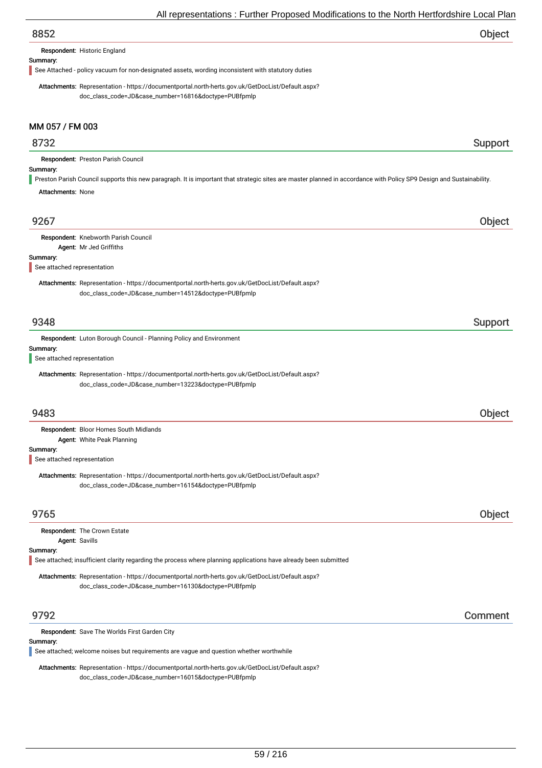| Object |
|--------|
|        |

#### Respondent: Historic England

#### Summary:

See Attached - policy vacuum for non-designated assets, wording inconsistent with statutory duties

Attachments: Representation - https://documentportal.north-herts.gov.uk/GetDocList/Default.aspx? doc\_class\_code=JD&case\_number=16816&doctype=PUBfpmlp

## MM 057 / FM 003

## 8732 Support

Respondent: Preston Parish Council

## Summary:

Preston Parish Council supports this new paragraph. It is important that strategic sites are master planned in accordance with Policy SP9 Design and Sustainability.

Attachments: None

| 9267                                                                                                                                                     | <b>Object</b> |
|----------------------------------------------------------------------------------------------------------------------------------------------------------|---------------|
| Respondent: Knebworth Parish Council                                                                                                                     |               |
| Agent: Mr Jed Griffiths                                                                                                                                  |               |
| Summary:<br>See attached representation                                                                                                                  |               |
|                                                                                                                                                          |               |
| Attachments: Representation - https://documentportal.north-herts.gov.uk/GetDocList/Default.aspx?<br>doc_class_code=JD&case_number=14512&doctype=PUBfpmlp |               |
|                                                                                                                                                          |               |
| 9348                                                                                                                                                     | Support       |
| Respondent: Luton Borough Council - Planning Policy and Environment<br>Summary:                                                                          |               |
| See attached representation                                                                                                                              |               |
| Attachments: Representation - https://documentportal.north-herts.gov.uk/GetDocList/Default.aspx?<br>doc_class_code=JD&case_number=13223&doctype=PUBfpmlp |               |
| 9483                                                                                                                                                     | Object        |
| Respondent: Bloor Homes South Midlands                                                                                                                   |               |
| Agent: White Peak Planning                                                                                                                               |               |
| Summary:<br>See attached representation                                                                                                                  |               |
| Attachments: Representation - https://documentportal.north-herts.gov.uk/GetDocList/Default.aspx?<br>doc_class_code=JD&case_number=16154&doctype=PUBfpmlp |               |
| 9765                                                                                                                                                     | <b>Object</b> |
| Respondent: The Crown Estate<br>Agent: Savills                                                                                                           |               |
| Summary:                                                                                                                                                 |               |
| See attached; insufficient clarity regarding the process where planning applications have already been submitted                                         |               |
| Attachments: Representation - https://documentportal.north-herts.gov.uk/GetDocList/Default.aspx?                                                         |               |
| doc_class_code=JD&case_number=16130&doctype=PUBfpmlp                                                                                                     |               |
| 9792                                                                                                                                                     | Comment       |
| <b>Respondent: Save The Worlds First Garden City</b>                                                                                                     |               |

#### Summary:

See attached; welcome noises but requirements are vague and question whether worthwhile

Attachments: Representation - https://documentportal.north-herts.gov.uk/GetDocList/Default.aspx? doc\_class\_code=JD&case\_number=16015&doctype=PUBfpmlp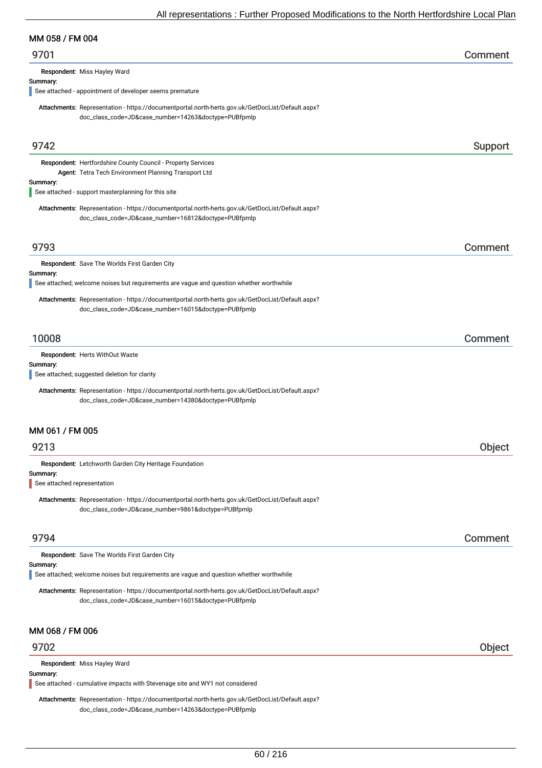## MM 058 / FM 004

| 9701 | Comment |
|------|---------|
|------|---------|

Respondent: Miss Hayley Ward

#### Summary:

See attached - appointment of developer seems premature

Attachments: Representation - https://documentportal.north-herts.gov.uk/GetDocList/Default.aspx? doc\_class\_code=JD&case\_number=14263&doctype=PUBfpmlp

| 9742                                    |                                                                                                                                                          | Support |
|-----------------------------------------|----------------------------------------------------------------------------------------------------------------------------------------------------------|---------|
|                                         | Respondent: Hertfordshire County Council - Property Services<br>Agent: Tetra Tech Environment Planning Transport Ltd                                     |         |
| Summary:                                | See attached - support masterplanning for this site                                                                                                      |         |
|                                         | Attachments: Representation - https://documentportal.north-herts.gov.uk/GetDocList/Default.aspx?<br>doc_class_code=JD&case_number=16812&doctype=PUBfpmlp |         |
| 9793                                    |                                                                                                                                                          | Comment |
| Summary:                                | Respondent: Save The Worlds First Garden City<br>See attached; welcome noises but requirements are vague and question whether worthwhile                 |         |
|                                         | Attachments: Representation - https://documentportal.north-herts.gov.uk/GetDocList/Default.aspx?<br>doc_class_code=JD&case_number=16015&doctype=PUBfpmlp |         |
| 10008                                   |                                                                                                                                                          | Comment |
| Summary:                                | Respondent: Herts WithOut Waste<br>See attached; suggested deletion for clarity                                                                          |         |
|                                         | Attachments: Representation - https://documentportal.north-herts.gov.uk/GetDocList/Default.aspx?<br>doc_class_code=JD&case_number=14380&doctype=PUBfpmlp |         |
| MM 061 / FM 005                         |                                                                                                                                                          |         |
| 9213                                    |                                                                                                                                                          | Object  |
| Summary:<br>See attached representation | Respondent: Letchworth Garden City Heritage Foundation                                                                                                   |         |
|                                         | Attachments: Representation - https://documentportal.north-herts.gov.uk/GetDocList/Default.aspx?<br>doc_class_code=JD&case_number=9861&doctype=PUBfpmlp  |         |
| 9794                                    |                                                                                                                                                          | Comment |
|                                         | Respondent: Save The Worlds First Garden City                                                                                                            |         |
| Summary:                                | See attached; welcome noises but requirements are vague and question whether worthwhile                                                                  |         |
|                                         | Attachments: Representation - https://documentportal.north-herts.gov.uk/GetDocList/Default.aspx?<br>doc_class_code=JD&case_number=16015&doctype=PUBfpmlp |         |
| MM 068 / FM 006                         |                                                                                                                                                          |         |
| 9702                                    |                                                                                                                                                          | Object  |
| Summary:                                | Respondent: Miss Hayley Ward<br>See attached - cumulative impacts with Stevenage site and WY1 not considered                                             |         |

Attachments: Representation - https://documentportal.north-herts.gov.uk/GetDocList/Default.aspx? doc\_class\_code=JD&case\_number=14263&doctype=PUBfpmlp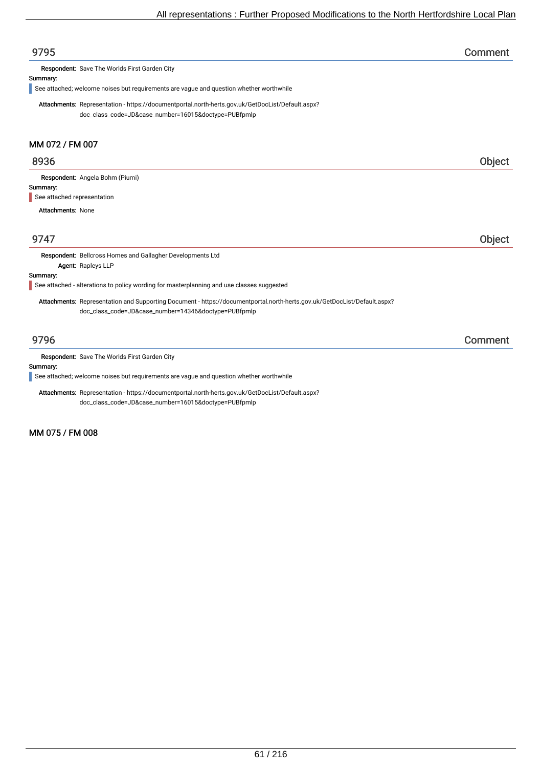| 9795                                                                                                                     | Comment |
|--------------------------------------------------------------------------------------------------------------------------|---------|
| Respondent: Save The Worlds First Garden City                                                                            |         |
| Summary:                                                                                                                 |         |
| See attached; welcome noises but requirements are vague and question whether worthwhile                                  |         |
| Attachments: Representation - https://documentportal.north-herts.gov.uk/GetDocList/Default.aspx?                         |         |
| doc_class_code=JD&case_number=16015&doctype=PUBfpmlp                                                                     |         |
| MM 072 / FM 007                                                                                                          |         |
| 8936                                                                                                                     | Object  |
| Respondent: Angela Bohm (Piumi)                                                                                          |         |
| Summary:                                                                                                                 |         |
| See attached representation                                                                                              |         |
| <b>Attachments: None</b>                                                                                                 |         |
| 9747                                                                                                                     | Object  |
| Respondent: Bellcross Homes and Gallagher Developments Ltd                                                               |         |
| Agent: Rapleys LLP                                                                                                       |         |
| Summary:                                                                                                                 |         |
| See attached - alterations to policy wording for masterplanning and use classes suggested                                |         |
| Attachments: Representation and Supporting Document - https://documentportal.north-herts.gov.uk/GetDocList/Default.aspx? |         |
| doc_class_code=JD&case_number=14346&doctype=PUBfpmlp                                                                     |         |
| 9796                                                                                                                     | Comment |

Summary:

See attached; welcome noises but requirements are vague and question whether worthwhile

Attachments: Representation - https://documentportal.north-herts.gov.uk/GetDocList/Default.aspx? doc\_class\_code=JD&case\_number=16015&doctype=PUBfpmlp

MM 075 / FM 008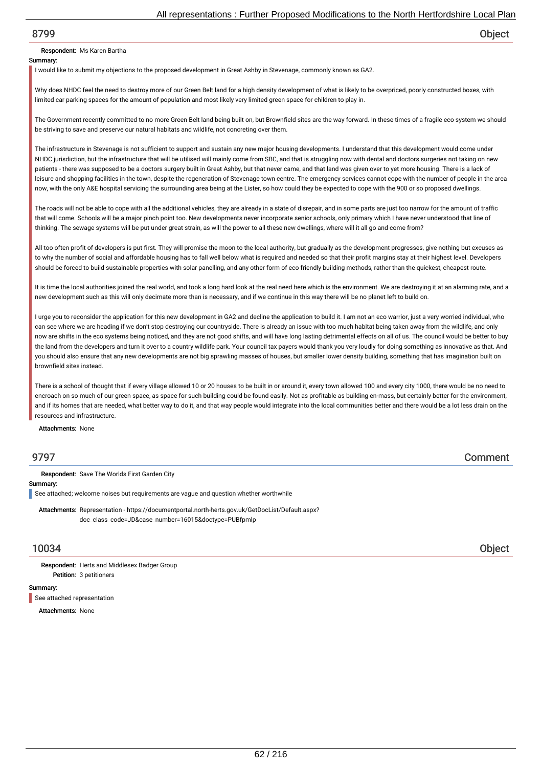## Respondent: Ms Karen Bartha

#### Summary:

I would like to submit my objections to the proposed development in Great Ashby in Stevenage, commonly known as GA2.

Why does NHDC feel the need to destroy more of our Green Belt land for a high density development of what is likely to be overpriced, poorly constructed boxes, with limited car parking spaces for the amount of population and most likely very limited green space for children to play in.

The Government recently committed to no more Green Belt land being built on, but Brownfield sites are the way forward. In these times of a fragile eco system we should be striving to save and preserve our natural habitats and wildlife, not concreting over them.

The infrastructure in Stevenage is not sufficient to support and sustain any new major housing developments. I understand that this development would come under NHDC jurisdiction, but the infrastructure that will be utilised will mainly come from SBC, and that is struggling now with dental and doctors surgeries not taking on new patients - there was supposed to be a doctors surgery built in Great Ashby, but that never came, and that land was given over to yet more housing. There is a lack of leisure and shopping facilities in the town, despite the regeneration of Stevenage town centre. The emergency services cannot cope with the number of people in the area now, with the only A&E hospital servicing the surrounding area being at the Lister, so how could they be expected to cope with the 900 or so proposed dwellings.

The roads will not be able to cope with all the additional vehicles, they are already in a state of disrepair, and in some parts are just too narrow for the amount of traffic that will come. Schools will be a major pinch point too. New developments never incorporate senior schools, only primary which I have never understood that line of thinking. The sewage systems will be put under great strain, as will the power to all these new dwellings, where will it all go and come from?

All too often profit of developers is put first. They will promise the moon to the local authority, but gradually as the development progresses, give nothing but excuses as to why the number of social and affordable housing has to fall well below what is required and needed so that their profit margins stay at their highest level. Developers should be forced to build sustainable properties with solar panelling, and any other form of eco friendly building methods, rather than the quickest, cheapest route.

It is time the local authorities joined the real world, and took a long hard look at the real need here which is the environment. We are destroying it at an alarming rate, and a new development such as this will only decimate more than is necessary, and if we continue in this way there will be no planet left to build on.

I urge you to reconsider the application for this new development in GA2 and decline the application to build it. I am not an eco warrior, just a very worried individual, who can see where we are heading if we don't stop destroying our countryside. There is already an issue with too much habitat being taken away from the wildlife, and only now are shifts in the eco systems being noticed, and they are not good shifts, and will have long lasting detrimental effects on all of us. The council would be better to buy the land from the developers and turn it over to a country wildlife park. Your council tax payers would thank you very loudly for doing something as innovative as that. And you should also ensure that any new developments are not big sprawling masses of houses, but smaller lower density building, something that has imagination built on brownfield sites instead.

There is a school of thought that if every village allowed 10 or 20 houses to be built in or around it, every town allowed 100 and every city 1000, there would be no need to encroach on so much of our green space, as space for such building could be found easily. Not as profitable as building en-mass, but certainly better for the environment, and if its homes that are needed, what better way to do it, and that way people would integrate into the local communities better and there would be a lot less drain on the resources and infrastructure.

Attachments: None

9797 Comment

Respondent: Save The Worlds First Garden City

#### Summary:

See attached; welcome noises but requirements are vague and question whether worthwhile

Attachments: Representation - https://documentportal.north-herts.gov.uk/GetDocList/Default.aspx? doc\_class\_code=JD&case\_number=16015&doctype=PUBfpmlp

10034 Object

Petition: 3 petitioners Respondent: Herts and Middlesex Badger Group

#### Summary:

See attached representation

Attachments: None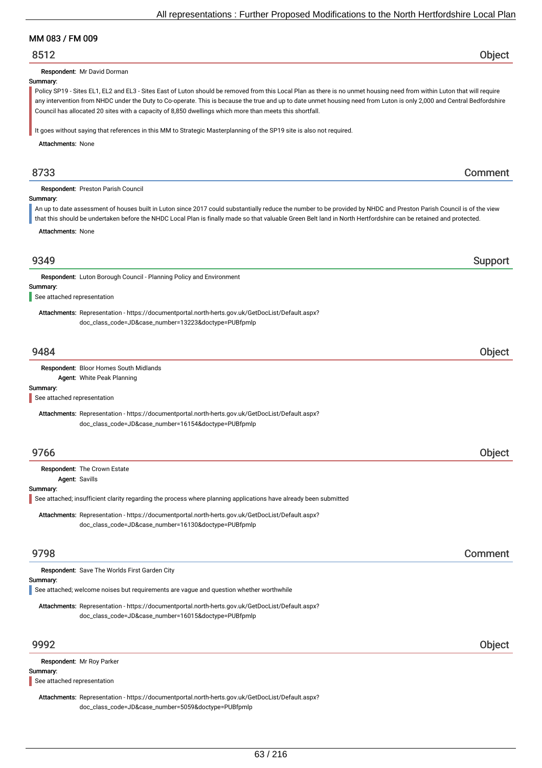## MM 083 / FM 009

## 8512 Object

Respondent: Mr David Dorman

#### Summary:

Policy SP19 - Sites EL1, EL2 and EL3 - Sites East of Luton should be removed from this Local Plan as there is no unmet housing need from within Luton that will require any intervention from NHDC under the Duty to Co-operate. This is because the true and up to date unmet housing need from Luton is only 2,000 and Central Bedfordshire Council has allocated 20 sites with a capacity of 8,850 dwellings which more than meets this shortfall.

It goes without saying that references in this MM to Strategic Masterplanning of the SP19 site is also not required.

Attachments: None

## 8733 Comment

Respondent: Preston Parish Council

#### Summary:

An up to date assessment of houses built in Luton since 2017 could substantially reduce the number to be provided by NHDC and Preston Parish Council is of the view that this should be undertaken before the NHDC Local Plan is finally made so that valuable Green Belt land in North Hertfordshire can be retained and protected.

Attachments: None

| 9349 | SUDDOFL |
|------|---------|
|      |         |

Respondent: Luton Borough Council - Planning Policy and Environment

#### Summary:

See attached representation

Attachments: Representation - https://documentportal.north-herts.gov.uk/GetDocList/Default.aspx? doc\_class\_code=JD&case\_number=13223&doctype=PUBfpmlp

## 9484 Object

#### Respondent: Bloor Homes South Midlands

Agent: White Peak Planning

#### Summary:

See attached representation

Attachments: Representation - https://documentportal.north-herts.gov.uk/GetDocList/Default.aspx? doc\_class\_code=JD&case\_number=16154&doctype=PUBfpmlp

## 9766 Object

Respondent: The Crown Estate

Agent: Savills

#### Summary:

See attached; insufficient clarity regarding the process where planning applications have already been submitted

Attachments: Representation - https://documentportal.north-herts.gov.uk/GetDocList/Default.aspx? doc\_class\_code=JD&case\_number=16130&doctype=PUBfpmlp

## 9798 Comment

| <b>Respondent:</b> Save The Worlds First Garden City                                    |  |
|-----------------------------------------------------------------------------------------|--|
| Summary:                                                                                |  |
| See attached; welcome noises but requirements are vague and question whether worthwhile |  |

Attachments: Representation - https://documentportal.north-herts.gov.uk/GetDocList/Default.aspx? doc\_class\_code=JD&case\_number=16015&doctype=PUBfpmlp

## 9992 Object

Respondent: Mr Roy Parker

#### Summary:

See attached representation

Attachments: Representation - https://documentportal.north-herts.gov.uk/GetDocList/Default.aspx? doc\_class\_code=JD&case\_number=5059&doctype=PUBfpmlp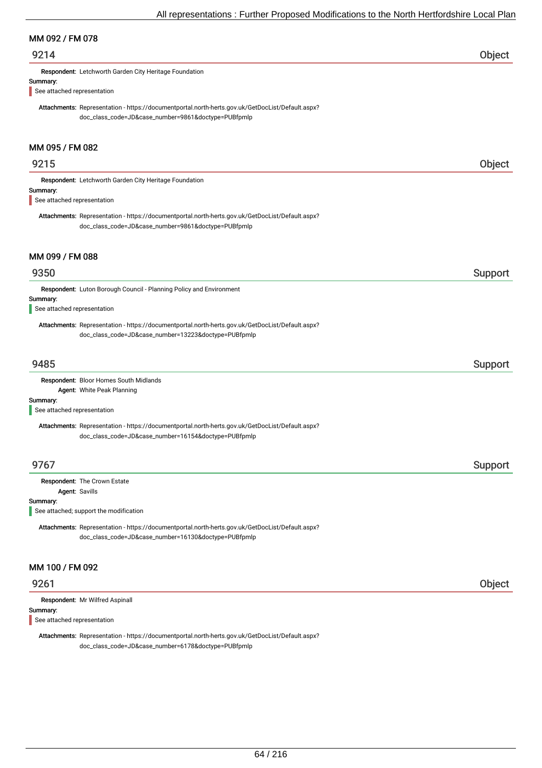## MM 092 / FM 078

## 9214 Object

Respondent: Letchworth Garden City Heritage Foundation

#### Summary:

See attached representation

Attachments: Representation - https://documentportal.north-herts.gov.uk/GetDocList/Default.aspx? doc\_class\_code=JD&case\_number=9861&doctype=PUBfpmlp

## MM 095 / FM 082

# 9215 Object Summary: Respondent: Letchworth Garden City Heritage Foundation Attachments: Representation - https://documentportal.north-herts.gov.uk/GetDocList/Default.aspx? doc\_class\_code=JD&case\_number=9861&doctype=PUBfpmlp See attached representation

## MM 099 / FM 088

## er 19350 support that the second state of the second state of the second state  $\sim$  Support Support support in the second state of the second state  $\sim$

Respondent: Luton Borough Council - Planning Policy and Environment

#### Summary:

See attached representation

Attachments: Representation - https://documentportal.north-herts.gov.uk/GetDocList/Default.aspx? doc\_class\_code=JD&case\_number=13223&doctype=PUBfpmlp

## er 19485 i 1958 ble stort i 1959 ble stort i 1959 ble stort i 1959 ble stort i 1959 ble stort i 1959 ble stort

Respondent: Bloor Homes South Midlands Agent: White Peak Planning

#### Summary:

See attached representation

Attachments: Representation - https://documentportal.north-herts.gov.uk/GetDocList/Default.aspx? doc\_class\_code=JD&case\_number=16154&doctype=PUBfpmlp

## er 19767 i Support i Support i Support i Support i Support i Support i Support i Support i Support i Support i

Respondent: The Crown Estate

## Agent: Savills

Summary:

L See attached; support the modification

Attachments: Representation - https://documentportal.north-herts.gov.uk/GetDocList/Default.aspx? doc\_class\_code=JD&case\_number=16130&doctype=PUBfpmlp

## MM 100 / FM 092

Respondent: Mr Wilfred Aspinall

#### Summary:

See attached representation

Attachments: Representation - https://documentportal.north-herts.gov.uk/GetDocList/Default.aspx? doc\_class\_code=JD&case\_number=6178&doctype=PUBfpmlp

## 9261 Object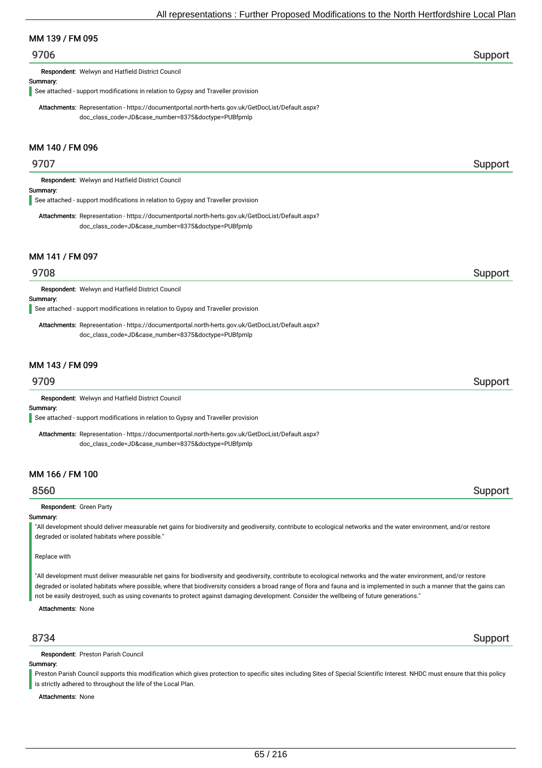## MM 139 / FM 095

## er 19706 i Support i Support i Support i Support i Support i Support i Support i Support i Support i Support i

Respondent: Welwyn and Hatfield District Council

#### Summary:

See attached - support modifications in relation to Gypsy and Traveller provision

Attachments: Representation - https://documentportal.north-herts.gov.uk/GetDocList/Default.aspx? doc\_class\_code=JD&case\_number=8375&doctype=PUBfpmlp

## MM 140 / FM 096

## er 19707 i Support i Support i Support i Support i Support i Support i Support i Support i Support i Support i

Respondent: Welwyn and Hatfield District Council

#### Summary:

See attached - support modifications in relation to Gypsy and Traveller provision

Attachments: Representation - https://documentportal.north-herts.gov.uk/GetDocList/Default.aspx? doc\_class\_code=JD&case\_number=8375&doctype=PUBfpmlp

#### MM 141 / FM 097

## 9708 Support

Respondent: Welwyn and Hatfield District Council

#### Summary:

See attached - support modifications in relation to Gypsy and Traveller provision

Attachments: Representation - https://documentportal.north-herts.gov.uk/GetDocList/Default.aspx? doc\_class\_code=JD&case\_number=8375&doctype=PUBfpmlp

## MM 143 / FM 099

Respondent: Welwyn and Hatfield District Council

## Summary:

See attached - support modifications in relation to Gypsy and Traveller provision

Attachments: Representation - https://documentportal.north-herts.gov.uk/GetDocList/Default.aspx? doc\_class\_code=JD&case\_number=8375&doctype=PUBfpmlp

## MM 166 / FM 100

## 8560 Support

#### Respondent: Green Party

#### Summary:

"All development should deliver measurable net gains for biodiversity and geodiversity, contribute to ecological networks and the water environment, and/or restore degraded or isolated habitats where possible."

#### Replace with

"All development must deliver measurable net gains for biodiversity and geodiversity, contribute to ecological networks and the water environment, and/or restore degraded or isolated habitats where possible, where that biodiversity considers a broad range of flora and fauna and is implemented in such a manner that the gains can not be easily destroyed, such as using covenants to protect against damaging development. Consider the wellbeing of future generations."

Attachments: None

Respondent: Preston Parish Council

#### Summary:

Preston Parish Council supports this modification which gives protection to specific sites including Sites of Special Scientific Interest. NHDC must ensure that this policy is strictly adhered to throughout the life of the Local Plan.

Attachments: None

## 8734 Support

## 9709 Support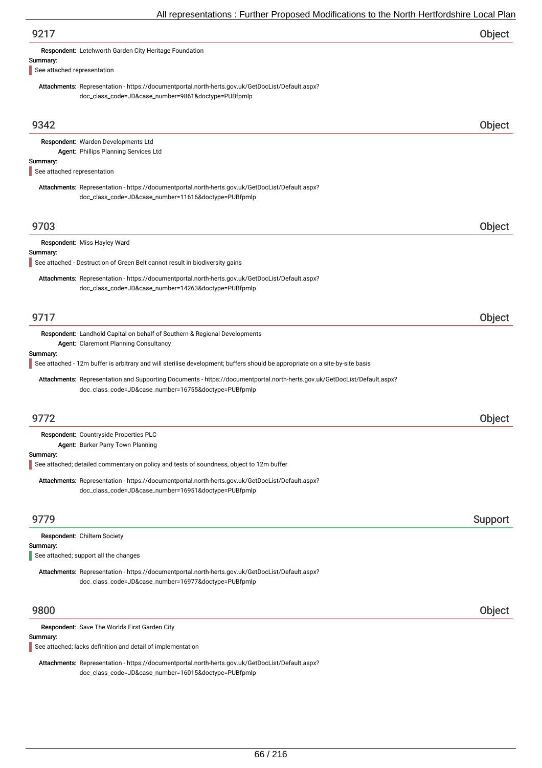|                                         | 7 an representations . I dititle Thoposed modifications to the north neutrolashine Eocal Fit                                                                                      |         |
|-----------------------------------------|-----------------------------------------------------------------------------------------------------------------------------------------------------------------------------------|---------|
| 9217                                    |                                                                                                                                                                                   | Object  |
|                                         | Respondent: Letchworth Garden City Heritage Foundation                                                                                                                            |         |
| Summary:<br>See attached representation |                                                                                                                                                                                   |         |
|                                         | Attachments: Representation - https://documentportal.north-herts.gov.uk/GetDocList/Default.aspx?                                                                                  |         |
|                                         | doc_class_code=JD&case_number=9861&doctype=PUBfpmlp                                                                                                                               |         |
|                                         |                                                                                                                                                                                   |         |
| 9342                                    |                                                                                                                                                                                   | Object  |
|                                         | Respondent: Warden Developments Ltd                                                                                                                                               |         |
| Summary:                                | Agent: Phillips Planning Services Ltd                                                                                                                                             |         |
| See attached representation             |                                                                                                                                                                                   |         |
|                                         | Attachments: Representation - https://documentportal.north-herts.gov.uk/GetDocList/Default.aspx?                                                                                  |         |
|                                         | doc_class_code=JD&case_number=11616&doctype=PUBfpmlp                                                                                                                              |         |
|                                         |                                                                                                                                                                                   |         |
| 9703                                    |                                                                                                                                                                                   | Object  |
| Summary:                                | Respondent: Miss Hayley Ward                                                                                                                                                      |         |
|                                         | See attached - Destruction of Green Belt cannot result in biodiversity gains                                                                                                      |         |
|                                         | Attachments: Representation - https://documentportal.north-herts.gov.uk/GetDocList/Default.aspx?                                                                                  |         |
|                                         | doc_class_code=JD&case_number=14263&doctype=PUBfpmlp                                                                                                                              |         |
|                                         |                                                                                                                                                                                   |         |
| 9717                                    |                                                                                                                                                                                   | Object  |
|                                         | <b>Respondent:</b> Landhold Capital on behalf of Southern & Regional Developments<br>Agent: Claremont Planning Consultancy                                                        |         |
| Summary:                                |                                                                                                                                                                                   |         |
|                                         | See attached - 12m buffer is arbitrary and will sterilise development; buffers should be appropriate on a site-by-site basis                                                      |         |
|                                         | Attachments: Representation and Supporting Documents - https://documentportal.north-herts.gov.uk/GetDocList/Default.aspx?<br>doc_class_code=JD&case_number=16755&doctype=PUBfpmlp |         |
|                                         |                                                                                                                                                                                   |         |
| 9772                                    |                                                                                                                                                                                   | Object  |
|                                         | Respondent: Countryside Properties PLC                                                                                                                                            |         |
|                                         | Agent: Barker Parry Town Planning                                                                                                                                                 |         |
| Summary:                                | See attached; detailed commentary on policy and tests of soundness, object to 12m buffer                                                                                          |         |
|                                         | Attachments: Representation - https://documentportal.north-herts.gov.uk/GetDocList/Default.aspx?                                                                                  |         |
|                                         | doc_class_code=JD&case_number=16951&doctype=PUBfpmlp                                                                                                                              |         |
|                                         |                                                                                                                                                                                   |         |
| 9779                                    |                                                                                                                                                                                   | Support |
|                                         | Respondent: Chiltern Society                                                                                                                                                      |         |
| Summary:                                | See attached; support all the changes                                                                                                                                             |         |
|                                         | Attachments: Representation - https://documentportal.north-herts.gov.uk/GetDocList/Default.aspx?                                                                                  |         |
|                                         | doc_class_code=JD&case_number=16977&doctype=PUBfpmlp                                                                                                                              |         |
|                                         |                                                                                                                                                                                   |         |
| 9800                                    |                                                                                                                                                                                   | Object  |
|                                         | Respondent: Save The Worlds First Garden City                                                                                                                                     |         |
| Summary:                                | See attached; lacks definition and detail of implementation                                                                                                                       |         |
|                                         |                                                                                                                                                                                   |         |

Attachments: Representation - https://documentportal.north-herts.gov.uk/GetDocList/Default.aspx? doc\_class\_code=JD&case\_number=16015&doctype=PUBfpmlp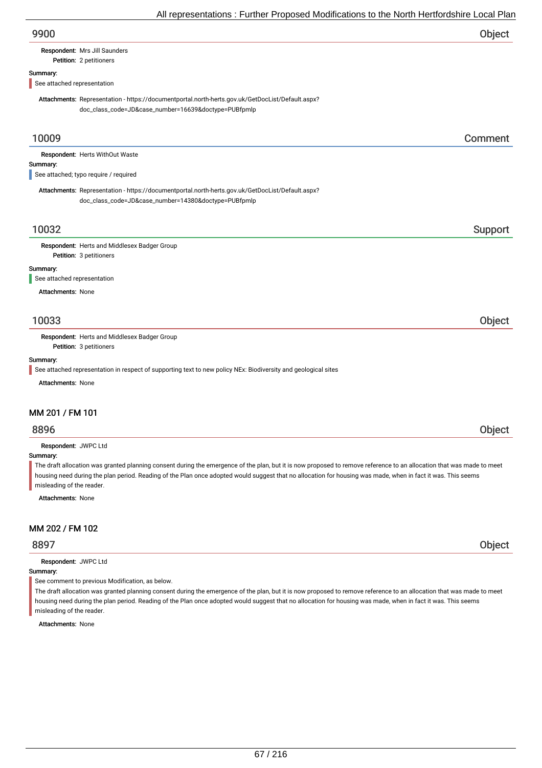# Respondent: Mrs Jill Saunders

## Petition: 2 petitioners

## Summary:

See attached representation

Attachments: Representation - https://documentportal.north-herts.gov.uk/GetDocList/Default.aspx? doc\_class\_code=JD&case\_number=16639&doctype=PUBfpmlp

## 10009 Comment

| <b>Respondent: Herts WithOut Waste</b> |
|----------------------------------------|
| Summary:                               |
| See attached; typo require / required  |

Attachments: Representation - https://documentportal.north-herts.gov.uk/GetDocList/Default.aspx? doc\_class\_code=JD&case\_number=14380&doctype=PUBfpmlp

## 10032 Support

Petition: 3 petitioners Respondent: Herts and Middlesex Badger Group

#### Summary:

See attached representation

Attachments: None

## 10033 Object

Respondent: Herts and Middlesex Badger Group

Petition: 3 petitioners

#### Summary:

See attached representation in respect of supporting text to new policy NEx: Biodiversity and geological sites

Attachments: None

#### MM 201 / FM 101

# 8896 Object

Respondent: JWPC Ltd

#### Summary:

The draft allocation was granted planning consent during the emergence of the plan, but it is now proposed to remove reference to an allocation that was made to meet housing need during the plan period. Reading of the Plan once adopted would suggest that no allocation for housing was made, when in fact it was. This seems misleading of the reader.

Attachments: None

#### MM 202 / FM 102

Respondent: JWPC Ltd

#### Summary:

See comment to previous Modification, as below.

The draft allocation was granted planning consent during the emergence of the plan, but it is now proposed to remove reference to an allocation that was made to meet housing need during the plan period. Reading of the Plan once adopted would suggest that no allocation for housing was made, when in fact it was. This seems misleading of the reader.

Attachments: None

8897 Object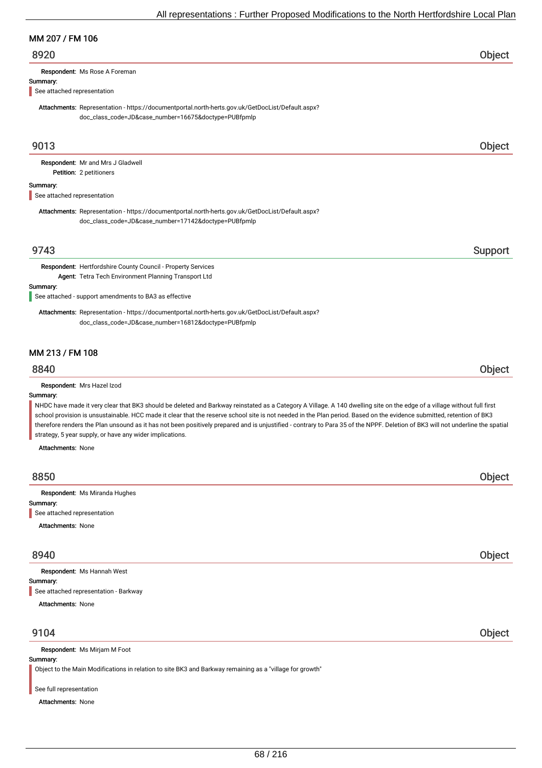## MM 207 / FM 106

## 8920 Object

Respondent: Ms Rose A Foreman

#### Summary:

See attached representation

Attachments: Representation - https://documentportal.north-herts.gov.uk/GetDocList/Default.aspx? doc\_class\_code=JD&case\_number=16675&doctype=PUBfpmlp

## 9013 Object

Petition: 2 petitioners Respondent: Mr and Mrs J Gladwell

#### Summary:

See attached representation

Attachments: Representation - https://documentportal.north-herts.gov.uk/GetDocList/Default.aspx? doc\_class\_code=JD&case\_number=17142&doctype=PUBfpmlp

## 9743 Support

Respondent: Hertfordshire County Council - Property Services Agent: Tetra Tech Environment Planning Transport Ltd

#### Summary:

See attached - support amendments to BA3 as effective

Attachments: Representation - https://documentportal.north-herts.gov.uk/GetDocList/Default.aspx? doc\_class\_code=JD&case\_number=16812&doctype=PUBfpmlp

#### MM 213 / FM 108

## 8840 Object

Respondent: Mrs Hazel Izod

#### Summary:

NHDC have made it very clear that BK3 should be deleted and Barkway reinstated as a Category A Village. A 140 dwelling site on the edge of a village without full first school provision is unsustainable. HCC made it clear that the reserve school site is not needed in the Plan period. Based on the evidence submitted, retention of BK3 therefore renders the Plan unsound as it has not been positively prepared and is unjustified - contrary to Para 35 of the NPPF. Deletion of BK3 will not underline the spatial strategy, 5 year supply, or have any wider implications.

Attachments: None

| 8850                                    | Object |
|-----------------------------------------|--------|
| Respondent: Ms Miranda Hughes           |        |
|                                         |        |
| Summary:<br>See attached representation |        |
| <b>Attachments: None</b>                |        |
|                                         |        |
|                                         |        |

## 8940 Object

Summary: Attachments: None Respondent: Ms Hannah West See attached representation - Barkway

## 9104 Object

Respondent: Ms Mirjam M Foot

#### Summary:

Object to the Main Modifications in relation to site BK3 and Barkway remaining as a "village for growth"

#### See full representation

Attachments: None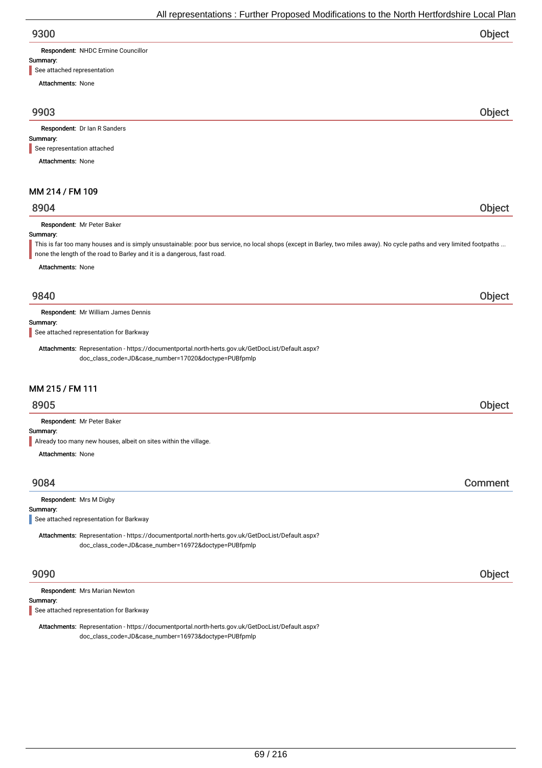| 9300 | Object |
|------|--------|
|      |        |

Respondent: NHDC Ermine Councillor

#### Summary:

See attached representation

Attachments: None

## 9903 Object

Respondent: Dr Ian R Sanders

#### Summary:

See representation attached

Attachments: None

## MM 214 / FM 109

## 8904 Object

Respondent: Mr Peter Baker

#### Summary:

This is far too many houses and is simply unsustainable: poor bus service, no local shops (except in Barley, two miles away). No cycle paths and very limited footpaths ... none the length of the road to Barley and it is a dangerous, fast road.

Attachments: None

## 9840 Object

Respondent: Mr William James Dennis

Summary:

See attached representation for Barkway

Attachments: Representation - https://documentportal.north-herts.gov.uk/GetDocList/Default.aspx? doc\_class\_code=JD&case\_number=17020&doctype=PUBfpmlp

## MM 215 / FM 111

## 8905 Object

Respondent: Mr Peter Baker

#### Summary:

Already too many new houses, albeit on sites within the village.

Attachments: None

## 9084 Comment

#### Respondent: Mrs M Digby

Summary:

See attached representation for Barkway

Attachments: Representation - https://documentportal.north-herts.gov.uk/GetDocList/Default.aspx? doc\_class\_code=JD&case\_number=16972&doctype=PUBfpmlp

## 9090 Object

Respondent: Mrs Marian Newton

## Summary:

See attached representation for Barkway

Attachments: Representation - https://documentportal.north-herts.gov.uk/GetDocList/Default.aspx? doc\_class\_code=JD&case\_number=16973&doctype=PUBfpmlp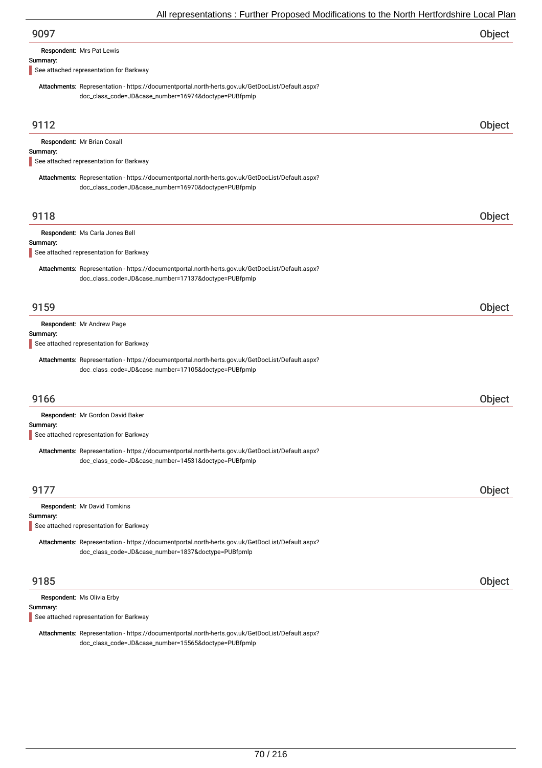Respondent: Mrs Pat Lewis

#### Summary:

See attached representation for Barkway

Attachments: Representation - https://documentportal.north-herts.gov.uk/GetDocList/Default.aspx? doc\_class\_code=JD&case\_number=16974&doctype=PUBfpmlp

| 9112                                                                                                                                                     | Object |
|----------------------------------------------------------------------------------------------------------------------------------------------------------|--------|
| Respondent: Mr Brian Coxall<br>Summary:<br>See attached representation for Barkway                                                                       |        |
| Attachments: Representation - https://documentportal.north-herts.gov.uk/GetDocList/Default.aspx?<br>doc_class_code=JD&case_number=16970&doctype=PUBfpmlp |        |
| 9118                                                                                                                                                     | Object |
| Respondent: Ms Carla Jones Bell<br>Summary:<br>See attached representation for Barkway                                                                   |        |
| Attachments: Representation - https://documentportal.north-herts.gov.uk/GetDocList/Default.aspx?<br>doc_class_code=JD&case_number=17137&doctype=PUBfpmlp |        |
| 9159                                                                                                                                                     | Object |
| Respondent: Mr Andrew Page<br>Summary:<br>See attached representation for Barkway                                                                        |        |
| Attachments: Representation - https://documentportal.north-herts.gov.uk/GetDocList/Default.aspx?<br>doc_class_code=JD&case_number=17105&doctype=PUBfpmlp |        |
| 9166                                                                                                                                                     | Object |
| Respondent: Mr Gordon David Baker                                                                                                                        |        |
| Summary:<br>See attached representation for Barkway                                                                                                      |        |
| Attachments: Representation - https://documentportal.north-herts.gov.uk/GetDocList/Default.aspx?<br>doc_class_code=JD&case_number=14531&doctype=PUBfpmlp |        |
| 9177                                                                                                                                                     | Object |
| Respondent: Mr David Tomkins<br>Summary:<br>See attached representation for Barkway                                                                      |        |
| Attachments: Representation - https://documentportal.north-herts.gov.uk/GetDocList/Default.aspx?<br>doc_class_code=JD&case_number=1837&doctype=PUBfpmlp  |        |
| 9185                                                                                                                                                     | Object |
| Respondent: Ms Olivia Erby<br>Summary:                                                                                                                   |        |

See attached representation for Barkway

Attachments: Representation - https://documentportal.north-herts.gov.uk/GetDocList/Default.aspx? doc\_class\_code=JD&case\_number=15565&doctype=PUBfpmlp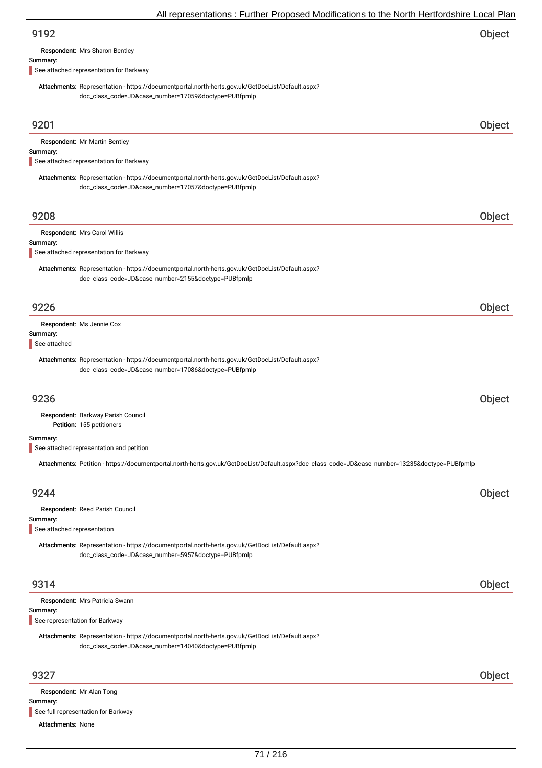Respondent: Mrs Sharon Bentley

#### Summary:

See attached representation for Barkway

Attachments: Representation - https://documentportal.north-herts.gov.uk/GetDocList/Default.aspx? doc\_class\_code=JD&case\_number=17059&doctype=PUBfpmlp

| 9201                                    |                                                                                                                                                          | Object |
|-----------------------------------------|----------------------------------------------------------------------------------------------------------------------------------------------------------|--------|
|                                         | Respondent: Mr Martin Bentley                                                                                                                            |        |
| Summary:                                | See attached representation for Barkway                                                                                                                  |        |
|                                         |                                                                                                                                                          |        |
|                                         | Attachments: Representation - https://documentportal.north-herts.gov.uk/GetDocList/Default.aspx?<br>doc_class_code=JD&case_number=17057&doctype=PUBfpmlp |        |
|                                         |                                                                                                                                                          |        |
| 9208                                    |                                                                                                                                                          | Object |
|                                         | Respondent: Mrs Carol Willis                                                                                                                             |        |
| Summary:                                | See attached representation for Barkway                                                                                                                  |        |
|                                         | Attachments: Representation - https://documentportal.north-herts.gov.uk/GetDocList/Default.aspx?                                                         |        |
|                                         | doc_class_code=JD&case_number=2155&doctype=PUBfpmlp                                                                                                      |        |
|                                         |                                                                                                                                                          |        |
| 9226                                    |                                                                                                                                                          | Object |
|                                         | Respondent: Ms Jennie Cox                                                                                                                                |        |
| Summary:                                |                                                                                                                                                          |        |
| See attached                            |                                                                                                                                                          |        |
|                                         | Attachments: Representation - https://documentportal.north-herts.gov.uk/GetDocList/Default.aspx?<br>doc_class_code=JD&case_number=17086&doctype=PUBfpmlp |        |
|                                         |                                                                                                                                                          |        |
| 9236                                    |                                                                                                                                                          | Object |
|                                         | Respondent: Barkway Parish Council                                                                                                                       |        |
|                                         | Petition: 155 petitioners                                                                                                                                |        |
| Summary:                                | See attached representation and petition                                                                                                                 |        |
|                                         | Attachments: Petition - https://documentportal.north-herts.gov.uk/GetDocList/Default.aspx?doc_class_code=JD&case_number=13235&doctype=PUBfpmlp           |        |
|                                         |                                                                                                                                                          |        |
| 9244                                    |                                                                                                                                                          | Object |
|                                         | Respondent: Reed Parish Council                                                                                                                          |        |
| Summary:<br>See attached representation |                                                                                                                                                          |        |
|                                         | Attachments: Representation - https://documentportal.north-herts.gov.uk/GetDocList/Default.aspx?                                                         |        |
|                                         | doc_class_code=JD&case_number=5957&doctype=PUBfpmlp                                                                                                      |        |
|                                         |                                                                                                                                                          |        |
| 9314                                    |                                                                                                                                                          | Object |
|                                         | Respondent: Mrs Patricia Swann                                                                                                                           |        |
| Summary:                                |                                                                                                                                                          |        |
| See representation for Barkway          |                                                                                                                                                          |        |
|                                         | Attachments: Representation - https://documentportal.north-herts.gov.uk/GetDocList/Default.aspx?<br>doc_class_code=JD&case_number=14040&doctype=PUBfpmlp |        |
|                                         |                                                                                                                                                          |        |
| 9327                                    |                                                                                                                                                          | Object |
|                                         | Respondent: Mr Alan Tong                                                                                                                                 |        |
| Summary:                                |                                                                                                                                                          |        |

See full representation for Barkway

Attachments: None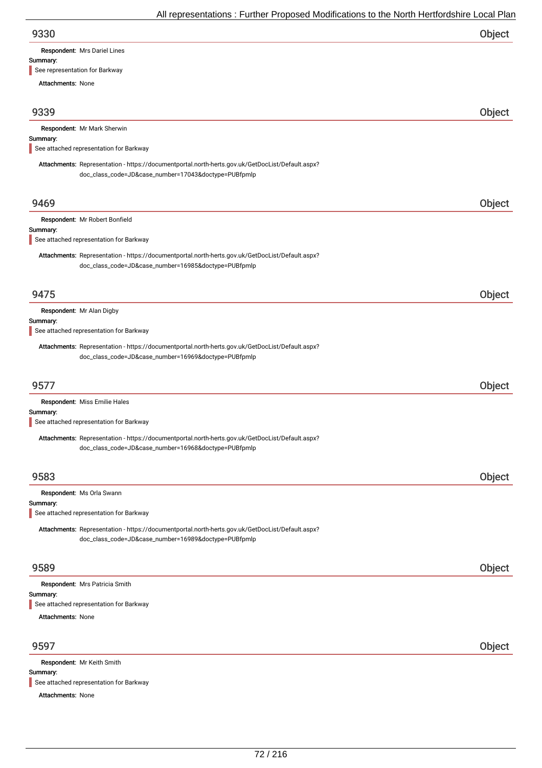#### Summary:

See representation for Barkway

Attachments: None

| 9339 | Object |
|------|--------|
|      |        |

|  |  | Respondent: Mr Mark Sherwin |
|--|--|-----------------------------|
|--|--|-----------------------------|

#### Summary:

See attached representation for Barkway

Attachments: Representation - https://documentportal.north-herts.gov.uk/GetDocList/Default.aspx? doc\_class\_code=JD&case\_number=17043&doctype=PUBfpmlp

| 9469     |                                                                                                                                                          | Object |
|----------|----------------------------------------------------------------------------------------------------------------------------------------------------------|--------|
|          | Respondent: Mr Robert Bonfield                                                                                                                           |        |
| Summary: | See attached representation for Barkway                                                                                                                  |        |
|          |                                                                                                                                                          |        |
|          | Attachments: Representation - https://documentportal.north-herts.gov.uk/GetDocList/Default.aspx?<br>doc_class_code=JD&case_number=16985&doctype=PUBfpmlp |        |
| 9475     |                                                                                                                                                          | Object |
| Summary: | Respondent: Mr Alan Digby                                                                                                                                |        |
|          | See attached representation for Barkway                                                                                                                  |        |
|          | Attachments: Representation - https://documentportal.north-herts.gov.uk/GetDocList/Default.aspx?<br>doc_class_code=JD&case_number=16969&doctype=PUBfpmlp |        |
| 9577     |                                                                                                                                                          | Object |
|          | Respondent: Miss Emilie Hales                                                                                                                            |        |
| Summary: |                                                                                                                                                          |        |
|          | See attached representation for Barkway                                                                                                                  |        |
|          | Attachments: Representation - https://documentportal.north-herts.gov.uk/GetDocList/Default.aspx?<br>doc_class_code=JD&case_number=16968&doctype=PUBfpmlp |        |
| 9583     |                                                                                                                                                          | Object |
|          | Respondent: Ms Orla Swann                                                                                                                                |        |
| Summary: |                                                                                                                                                          |        |
|          | See attached representation for Barkway                                                                                                                  |        |
|          | Attachments: Representation - https://documentportal.north-herts.gov.uk/GetDocList/Default.aspx?<br>doc_class_code=JD&case_number=16989&doctype=PUBfpmlp |        |
|          |                                                                                                                                                          |        |

## 9589 Object

|                          | Respondent: Mrs Patricia Smith                         |  |  |
|--------------------------|--------------------------------------------------------|--|--|
| Summary:                 |                                                        |  |  |
|                          | $\blacksquare$ See attached representation for Barkway |  |  |
| <b>Attachments: None</b> |                                                        |  |  |
|                          |                                                        |  |  |

## 9597 Object

Summary: Attachments: None Respondent: Mr Keith Smith See attached representation for Barkway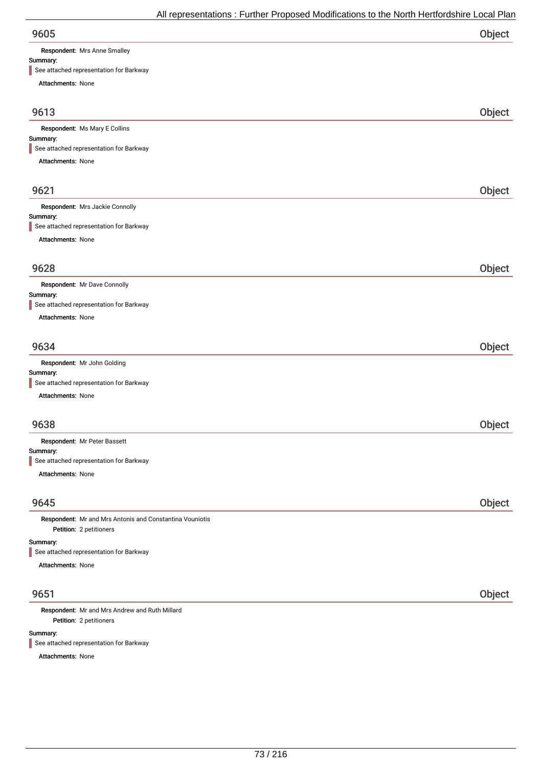Respondent: Mrs Anne Smalley

### Summary:

| See attached representation for Barkway                  |        |
|----------------------------------------------------------|--------|
| Attachments: None                                        |        |
| 9613                                                     | Object |
| Respondent: Ms Mary E Collins                            |        |
| Summary:                                                 |        |
| See attached representation for Barkway                  |        |
| Attachments: None                                        |        |
| 9621                                                     | Object |
| Respondent: Mrs Jackie Connolly                          |        |
| Summary:<br>See attached representation for Barkway      |        |
| Attachments: None                                        |        |
| 9628                                                     | Object |
| Respondent: Mr Dave Connolly                             |        |
| Summary:<br>See attached representation for Barkway      |        |
| Attachments: None                                        |        |
| 9634                                                     | Object |
| Respondent: Mr John Golding                              |        |
| Summary:                                                 |        |
| See attached representation for Barkway                  |        |
| Attachments: None                                        |        |
| 9638                                                     | Object |
| Respondent: Mr Peter Bassett<br>Summary:                 |        |
| See attached representation for Barkway                  |        |
| Attachments: None                                        |        |
| 9645                                                     | Object |
| Respondent: Mr and Mrs Antonis and Constantina Vouniotis |        |
| Petition: 2 petitioners                                  |        |
| Summary:<br>See attached representation for Barkway      |        |
| Attachments: None                                        |        |
| 9651                                                     | Object |
| والأناط الموردان                                         |        |

Petition: 2 petitioners Respondent: Mr and Mrs Andrew and Ruth Millard

Summary:

See attached representation for Barkway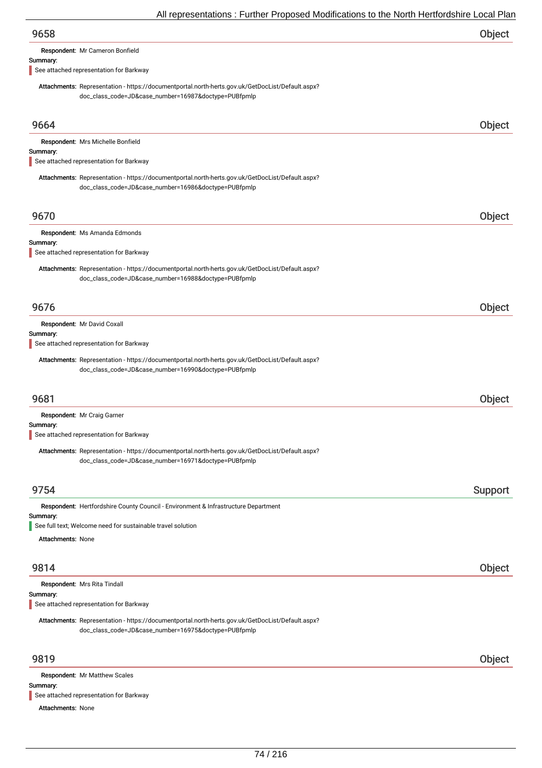| 9658                                                                                                                                                     | <b>Object</b> |
|----------------------------------------------------------------------------------------------------------------------------------------------------------|---------------|
| Respondent: Mr Cameron Bonfield                                                                                                                          |               |
| Summary:                                                                                                                                                 |               |
| See attached representation for Barkway                                                                                                                  |               |
| Attachments: Representation - https://documentportal.north-herts.gov.uk/GetDocList/Default.aspx?<br>doc_class_code=JD&case_number=16987&doctype=PUBfpmlp |               |
| 9664                                                                                                                                                     | <b>Object</b> |

| Respondent: Mrs Michelle Bonfield<br>Summary:<br>See attached representation for Barkway                                                                 |        |
|----------------------------------------------------------------------------------------------------------------------------------------------------------|--------|
| Attachments: Representation - https://documentportal.north-herts.gov.uk/GetDocList/Default.aspx?<br>doc_class_code=JD&case_number=16986&doctype=PUBfpmlp |        |
| 9670<br>Respondent: Ms Amanda Edmonds                                                                                                                    | Object |

#### Summary:

See attached representation for Barkway

Attachments: Representation - https://documentportal.north-herts.gov.uk/GetDocList/Default.aspx? doc\_class\_code=JD&case\_number=16988&doctype=PUBfpmlp

| 9676                                    |  |
|-----------------------------------------|--|
| Respondent: Mr David Coxall             |  |
| Summary:                                |  |
| See attached representation for Barkway |  |

Attachments: Representation - https://documentportal.north-herts.gov.uk/GetDocList/Default.aspx? doc\_class\_code=JD&case\_number=16990&doctype=PUBfpmlp

### 9681 Object

| Respondent: Mr Craig Garner                                                                      |         |
|--------------------------------------------------------------------------------------------------|---------|
| Summary:                                                                                         |         |
| See attached representation for Barkway                                                          |         |
| Attachments: Representation - https://documentportal.north-herts.gov.uk/GetDocList/Default.aspx? |         |
| doc_class_code=JD&case_number=16971&doctype=PUBfpmlp                                             |         |
|                                                                                                  |         |
| 9754                                                                                             | Support |
| Respondent: Hertfordshire County Council - Environment & Infrastructure Department               |         |
| Summary:<br>See full text; Welcome need for sustainable travel solution                          |         |
| <b>Attachments: None</b>                                                                         |         |
|                                                                                                  |         |
| 9814                                                                                             | Object  |
| Respondent: Mrs Rita Tindall                                                                     |         |
| Summary:<br>. <b>.</b>                                                                           |         |

See attached representation for Barkway

Attachments: Representation - https://documentportal.north-herts.gov.uk/GetDocList/Default.aspx? doc\_class\_code=JD&case\_number=16975&doctype=PUBfpmlp

### 9819 Object

Summary: Attachments: None Respondent: Mr Matthew Scales See attached representation for Barkway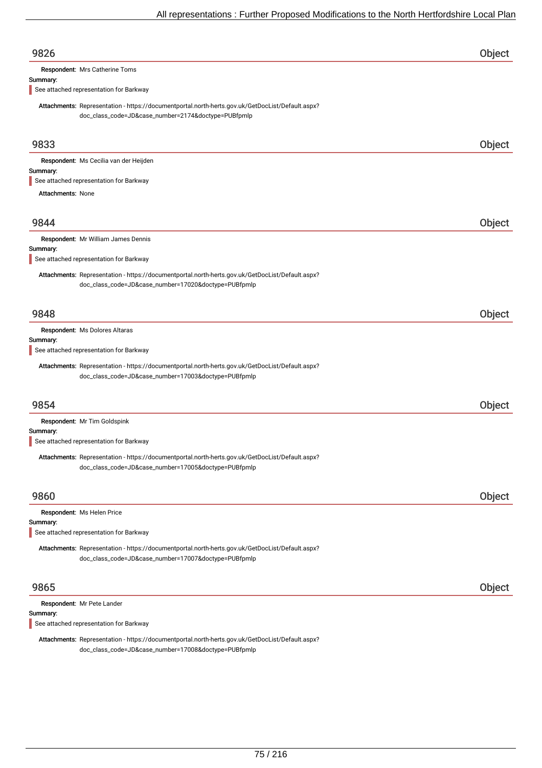| See attached representation for Barkway<br>Attachments: Representation - https://documentportal.north-herts.gov.uk/GetDocList/Default.aspx?<br>doc_class_code=JD&case_number=17007&doctype=PUBfpmlp<br>9865<br>Respondent: Mr Pete Lander | Object |
|-------------------------------------------------------------------------------------------------------------------------------------------------------------------------------------------------------------------------------------------|--------|
|                                                                                                                                                                                                                                           |        |
|                                                                                                                                                                                                                                           |        |
|                                                                                                                                                                                                                                           |        |
| Respondent: Ms Helen Price<br>Summary:                                                                                                                                                                                                    |        |
| 9860                                                                                                                                                                                                                                      | Object |
| Attachments: Representation - https://documentportal.north-herts.gov.uk/GetDocList/Default.aspx?<br>doc_class_code=JD&case_number=17005&doctype=PUBfpmlp                                                                                  |        |
| See attached representation for Barkway                                                                                                                                                                                                   |        |
| Respondent: Mr Tim Goldspink<br>Summary:                                                                                                                                                                                                  |        |
| 9854                                                                                                                                                                                                                                      | Object |
| Attachments: Representation - https://documentportal.north-herts.gov.uk/GetDocList/Default.aspx?<br>doc_class_code=JD&case_number=17003&doctype=PUBfpmlp                                                                                  |        |
| Summary:<br>See attached representation for Barkway                                                                                                                                                                                       |        |
| 9848<br>Respondent: Ms Dolores Altaras                                                                                                                                                                                                    | Object |
|                                                                                                                                                                                                                                           |        |
| Attachments: Representation - https://documentportal.north-herts.gov.uk/GetDocList/Default.aspx?<br>doc_class_code=JD&case_number=17020&doctype=PUBfpmlp                                                                                  |        |
| Summary:<br>See attached representation for Barkway                                                                                                                                                                                       |        |
| Respondent: Mr William James Dennis                                                                                                                                                                                                       |        |
| 9844                                                                                                                                                                                                                                      | Object |
| <b>Attachments: None</b>                                                                                                                                                                                                                  |        |
| See attached representation for Barkway                                                                                                                                                                                                   |        |
| Respondent: Ms Cecilia van der Heijden<br>Summary:                                                                                                                                                                                        |        |
| 9833                                                                                                                                                                                                                                      | Object |
| Attachments: Representation - https://documentportal.north-herts.gov.uk/GetDocList/Default.aspx?<br>doc_class_code=JD&case_number=2174&doctype=PUBfpmlp                                                                                   |        |
| Summary:<br>See attached representation for Barkway                                                                                                                                                                                       |        |
| Respondent: Mrs Catherine Toms                                                                                                                                                                                                            |        |
| 9826                                                                                                                                                                                                                                      | Object |

Attachments: Representation - https://documentportal.north-herts.gov.uk/GetDocList/Default.aspx? doc\_class\_code=JD&case\_number=17008&doctype=PUBfpmlp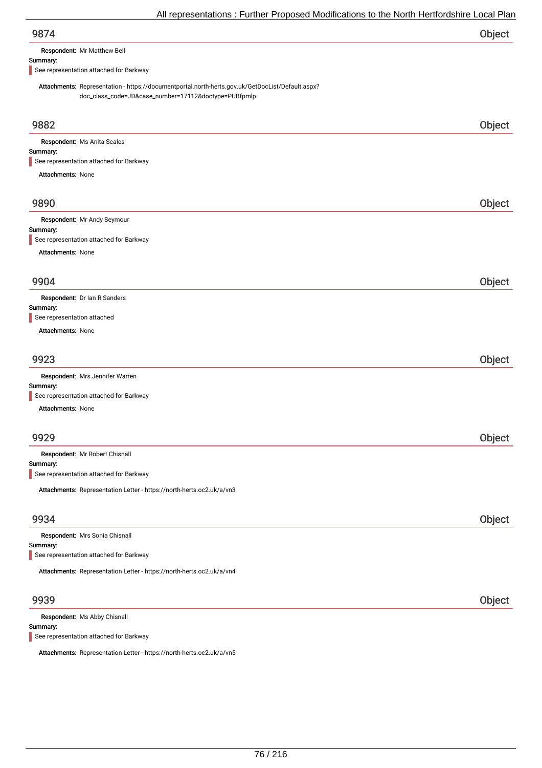| 9874 | Object |
|------|--------|
|      |        |

Respondent: Mr Matthew Bell

#### Summary:

See representation attached for Barkway

Attachments: Representation - https://documentportal.north-herts.gov.uk/GetDocList/Default.aspx? doc\_class\_code=JD&case\_number=17112&doctype=PUBfpmlp

| 9882                                                                  | Object |
|-----------------------------------------------------------------------|--------|
| Respondent: Ms Anita Scales                                           |        |
| Summary:                                                              |        |
| See representation attached for Barkway                               |        |
| <b>Attachments: None</b>                                              |        |
| 9890                                                                  | Object |
| Respondent: Mr Andy Seymour                                           |        |
| Summary:                                                              |        |
| See representation attached for Barkway                               |        |
| Attachments: None                                                     |        |
| 9904                                                                  | Object |
|                                                                       |        |
| Respondent: Dr Ian R Sanders<br>Summary:                              |        |
| See representation attached                                           |        |
| Attachments: None                                                     |        |
|                                                                       |        |
| 9923                                                                  | Object |
| Respondent: Mrs Jennifer Warren                                       |        |
| Summary:<br>See representation attached for Barkway                   |        |
| <b>Attachments: None</b>                                              |        |
|                                                                       |        |
| 9929                                                                  | Object |
| Respondent: Mr Robert Chisnall                                        |        |
| Summary:                                                              |        |
| See representation attached for Barkway                               |        |
| Attachments: Representation Letter - https://north-herts.oc2.uk/a/vn3 |        |
| 9934                                                                  |        |
|                                                                       | Object |
| Respondent: Mrs Sonia Chisnall<br>Summary:                            |        |
| See representation attached for Barkway                               |        |
| Attachments: Representation Letter - https://north-herts.oc2.uk/a/vn4 |        |
| 9939                                                                  | Object |
| Respondent: Ms Abby Chisnall                                          |        |

Summary: See representation attached for Barkway

Attachments: Representation Letter - https://north-herts.oc2.uk/a/vn5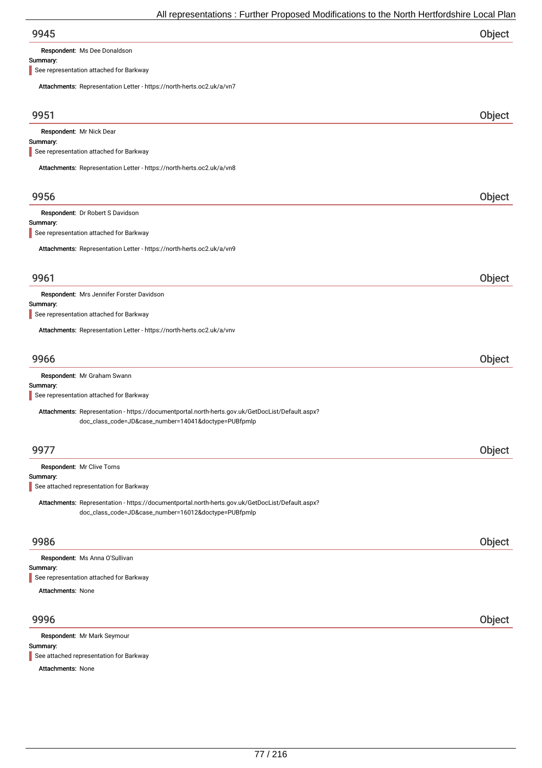Respondent: Ms Dee Donaldson

### Summary:

See representation attached for Barkway

| Attachments: Representation Letter - https://north-herts.oc2.uk/a/vn7                                                                                    |        |
|----------------------------------------------------------------------------------------------------------------------------------------------------------|--------|
| 9951                                                                                                                                                     | Object |
| Respondent: Mr Nick Dear                                                                                                                                 |        |
| Summary:<br>See representation attached for Barkway                                                                                                      |        |
| Attachments: Representation Letter - https://north-herts.oc2.uk/a/vn8                                                                                    |        |
|                                                                                                                                                          |        |
| 9956                                                                                                                                                     | Object |
| Respondent: Dr Robert S Davidson                                                                                                                         |        |
| Summary:<br>See representation attached for Barkway                                                                                                      |        |
| Attachments: Representation Letter - https://north-herts.oc2.uk/a/vn9                                                                                    |        |
| 9961                                                                                                                                                     | Object |
| Respondent: Mrs Jennifer Forster Davidson                                                                                                                |        |
| Summary:                                                                                                                                                 |        |
| See representation attached for Barkway                                                                                                                  |        |
| Attachments: Representation Letter - https://north-herts.oc2.uk/a/vnv                                                                                    |        |
| 9966                                                                                                                                                     | Object |
| Respondent: Mr Graham Swann                                                                                                                              |        |
| Summary:<br>See representation attached for Barkway                                                                                                      |        |
| Attachments: Representation - https://documentportal.north-herts.gov.uk/GetDocList/Default.aspx?                                                         |        |
| doc_class_code=JD&case_number=14041&doctype=PUBfpmlp                                                                                                     |        |
| 9977                                                                                                                                                     | Object |
| Respondent: Mr Clive Toms                                                                                                                                |        |
| Summary:                                                                                                                                                 |        |
| See attached representation for Barkway                                                                                                                  |        |
| Attachments: Representation - https://documentportal.north-herts.gov.uk/GetDocList/Default.aspx?<br>doc_class_code=JD&case_number=16012&doctype=PUBfpmlp |        |
| 9986                                                                                                                                                     | Object |
| Respondent: Ms Anna O'Sullivan                                                                                                                           |        |
| Summary:                                                                                                                                                 |        |
| See representation attached for Barkway                                                                                                                  |        |
| <b>Attachments: None</b>                                                                                                                                 |        |
| 9996                                                                                                                                                     | Object |
| Respondent: Mr Mark Seymour                                                                                                                              |        |
| Summary:<br>See attached representation for Barkway                                                                                                      |        |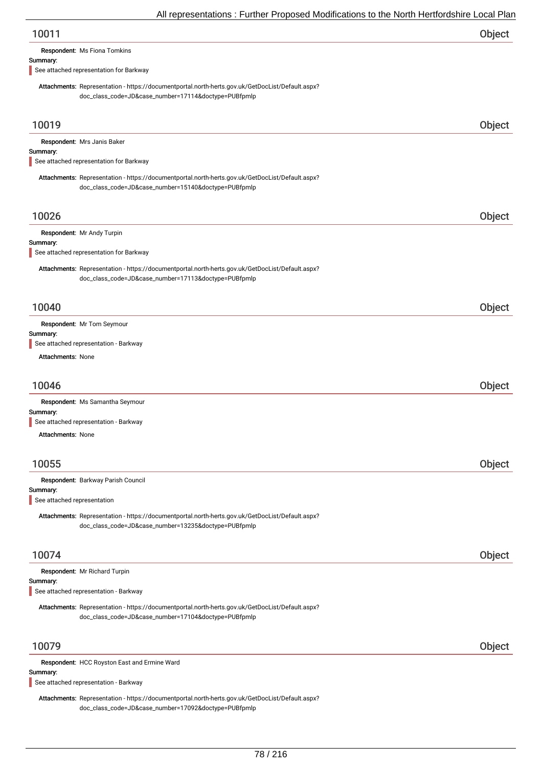| Object |
|--------|
|        |

Respondent: Ms Fiona Tomkins

#### Summary:

See attached representation for Barkway

Attachments: Representation - https://documentportal.north-herts.gov.uk/GetDocList/Default.aspx? doc\_class\_code=JD&case\_number=17114&doctype=PUBfpmlp

| 10019                                                                                                                                                    | Object |
|----------------------------------------------------------------------------------------------------------------------------------------------------------|--------|
| Respondent: Mrs Janis Baker<br>Summary:                                                                                                                  |        |
| See attached representation for Barkway                                                                                                                  |        |
| Attachments: Representation - https://documentportal.north-herts.gov.uk/GetDocList/Default.aspx?<br>doc_class_code=JD&case_number=15140&doctype=PUBfpmlp |        |
| 10026                                                                                                                                                    | Object |
| Respondent: Mr Andy Turpin                                                                                                                               |        |
| Summary:<br>See attached representation for Barkway                                                                                                      |        |
| Attachments: Representation - https://documentportal.north-herts.gov.uk/GetDocList/Default.aspx?<br>doc_class_code=JD&case_number=17113&doctype=PUBfpmlp |        |
| 10040                                                                                                                                                    | Object |
| Respondent: Mr Tom Seymour                                                                                                                               |        |
| Summary:<br>See attached representation - Barkway                                                                                                        |        |
| <b>Attachments: None</b>                                                                                                                                 |        |
|                                                                                                                                                          |        |
| 10046                                                                                                                                                    | Object |
| Respondent: Ms Samantha Seymour                                                                                                                          |        |
| Summary:<br>See attached representation - Barkway                                                                                                        |        |
| <b>Attachments: None</b>                                                                                                                                 |        |
|                                                                                                                                                          |        |
| 10055                                                                                                                                                    | Object |
|                                                                                                                                                          |        |
| Respondent: Barkway Parish Council<br>Summary:                                                                                                           |        |
| See attached representation                                                                                                                              |        |
| Attachments: Representation - https://documentportal.north-herts.gov.uk/GetDocList/Default.aspx?<br>doc_class_code=JD&case_number=13235&doctype=PUBfpmlp |        |
| 10074                                                                                                                                                    | Object |
| Respondent: Mr Richard Turpin                                                                                                                            |        |
| Summary:<br>See attached representation - Barkway                                                                                                        |        |
|                                                                                                                                                          |        |
| Attachments: Representation - https://documentportal.north-herts.gov.uk/GetDocList/Default.aspx?<br>doc_class_code=JD&case_number=17104&doctype=PUBfpmlp |        |
| 10079                                                                                                                                                    | Object |
| Respondent: HCC Royston East and Ermine Ward                                                                                                             |        |
| Summary:<br>See attached representation - Barkway                                                                                                        |        |
| Attachments: Representation - https://documentportal.north-herts.gov.uk/GetDocList/Default.aspx?                                                         |        |

doc\_class\_code=JD&case\_number=17092&doctype=PUBfpmlp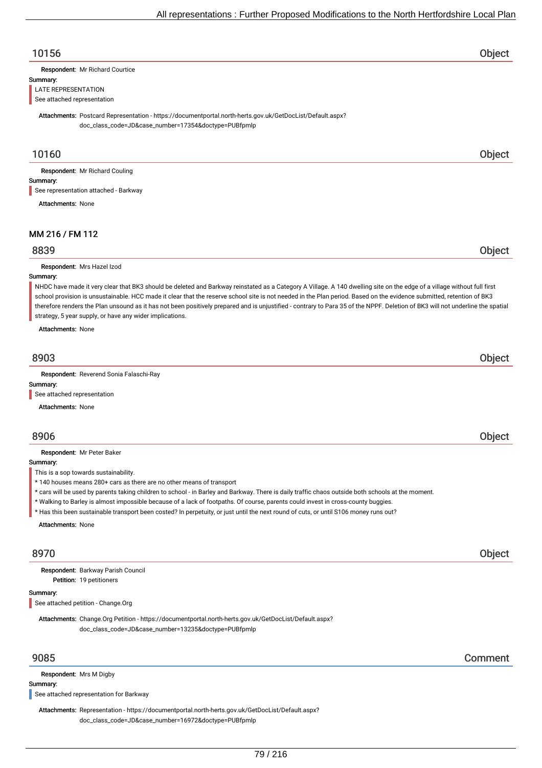## 10156 Object

Respondent: Mr Richard Courtice

#### Summary:

LATE REPRESENTATION

See attached representation

Attachments: Postcard Representation - https://documentportal.north-herts.gov.uk/GetDocList/Default.aspx? doc\_class\_code=JD&case\_number=17354&doctype=PUBfpmlp

### 10160 Object

Respondent: Mr Richard Couling

### Summary:

See representation attached - Barkway

Attachments: None

## MM 216 / FM 112

### 8839 Object

Respondent: Mrs Hazel Izod

### Summary:

NHDC have made it very clear that BK3 should be deleted and Barkway reinstated as a Category A Village. A 140 dwelling site on the edge of a village without full first school provision is unsustainable. HCC made it clear that the reserve school site is not needed in the Plan period. Based on the evidence submitted, retention of BK3 therefore renders the Plan unsound as it has not been positively prepared and is unjustified - contrary to Para 35 of the NPPF. Deletion of BK3 will not underline the spatial strategy, 5 year supply, or have any wider implications.

Attachments: None

# 8903 Object

Respondent: Reverend Sonia Falaschi-Ray

### Summary:

See attached representation

Attachments: None

### 8906 Object

Respondent: Mr Peter Baker

Summary:

This is a sop towards sustainability.

- \* 140 houses means 280+ cars as there are no other means of transport
- \* cars will be used by parents taking children to school in Barley and Barkway. There is daily traffic chaos outside both schools at the moment.
- \* Walking to Barley is almost impossible because of a lack of footpaths. Of course, parents could invest in cross-county buggies.
- \* Has this been sustainable transport been costed? In perpetuity, or just until the next round of cuts, or until S106 money runs out?

Attachments: None

## 8970 Object

Petition: 19 petitioners Respondent: Barkway Parish Council

#### Summary:

See attached petition - Change.Org

Attachments: Change.Org Petition - https://documentportal.north-herts.gov.uk/GetDocList/Default.aspx? doc\_class\_code=JD&case\_number=13235&doctype=PUBfpmlp

Respondent: Mrs M Digby

Summary:

See attached representation for Barkway

Attachments: Representation - https://documentportal.north-herts.gov.uk/GetDocList/Default.aspx? doc\_class\_code=JD&case\_number=16972&doctype=PUBfpmlp

9085 Comment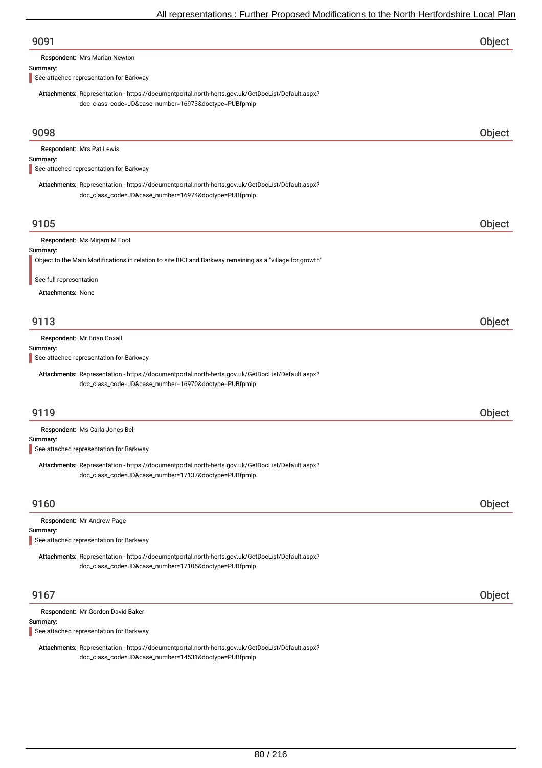| 9091                                                                                                                                                     | Object |
|----------------------------------------------------------------------------------------------------------------------------------------------------------|--------|
| Respondent: Mrs Marian Newton                                                                                                                            |        |
| Summary:<br>See attached representation for Barkway                                                                                                      |        |
| Attachments: Representation - https://documentportal.north-herts.gov.uk/GetDocList/Default.aspx?<br>doc_class_code=JD&case_number=16973&doctype=PUBfpmlp |        |
| 9098                                                                                                                                                     | Object |
| Respondent: Mrs Pat Lewis<br>Summary:                                                                                                                    |        |
| See attached representation for Barkway                                                                                                                  |        |
| Attachments: Representation - https://documentportal.north-herts.gov.uk/GetDocList/Default.aspx?<br>doc_class_code=JD&case_number=16974&doctype=PUBfpmlp |        |
| 9105                                                                                                                                                     | Object |
| Respondent: Ms Mirjam M Foot<br>Summary:                                                                                                                 |        |
| Object to the Main Modifications in relation to site BK3 and Barkway remaining as a "village for growth"                                                 |        |
| See full representation                                                                                                                                  |        |
| Attachments: None                                                                                                                                        |        |
| 9113                                                                                                                                                     | Object |
| Respondent: Mr Brian Coxall<br>Summary:<br>See attached representation for Barkway                                                                       |        |
| Attachments: Representation - https://documentportal.north-herts.gov.uk/GetDocList/Default.aspx?<br>doc_class_code=JD&case_number=16970&doctype=PUBfpmlp |        |
| 9119                                                                                                                                                     | Object |
| Respondent: Ms Carla Jones Bell                                                                                                                          |        |
| Summary:<br>See attached representation for Barkway                                                                                                      |        |
| Attachments: Representation - https://documentportal.north-herts.gov.uk/GetDocList/Default.aspx?<br>doc_class_code=JD&case_number=17137&doctype=PUBfpmlp |        |
| 9160                                                                                                                                                     | Object |
| Respondent: Mr Andrew Page                                                                                                                               |        |
| Summary:<br>See attached representation for Barkway                                                                                                      |        |
| Attachments: Representation - https://documentportal.north-herts.gov.uk/GetDocList/Default.aspx?<br>doc_class_code=JD&case_number=17105&doctype=PUBfpmlp |        |
| 9167                                                                                                                                                     | Object |
| Respondent: Mr Gordon David Baker<br>Summary:                                                                                                            |        |
| See attached representation for Barkway                                                                                                                  |        |

Attachments: Representation - https://documentportal.north-herts.gov.uk/GetDocList/Default.aspx? doc\_class\_code=JD&case\_number=14531&doctype=PUBfpmlp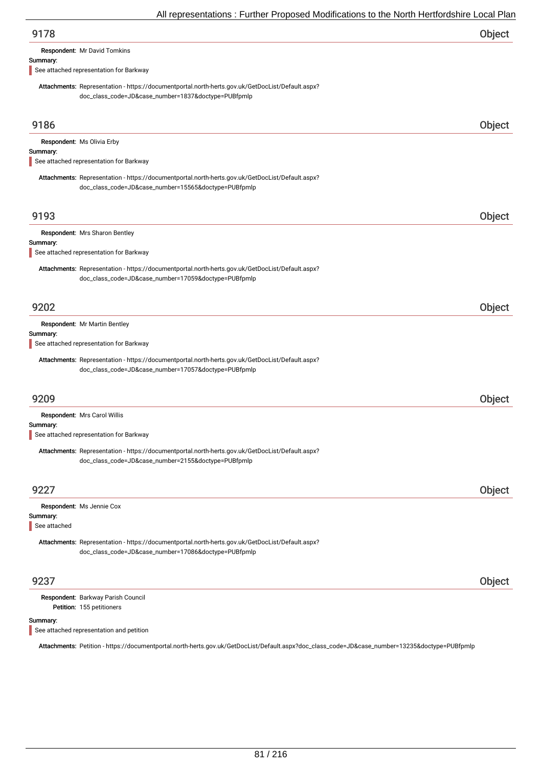| 9178 | Object |
|------|--------|
|      |        |

Respondent: Mr David Tomkins

#### Summary:

See attached representation for Barkway

Attachments: Representation - https://documentportal.north-herts.gov.uk/GetDocList/Default.aspx? doc\_class\_code=JD&case\_number=1837&doctype=PUBfpmlp

| 9186                                                                                                                                                     | Object |
|----------------------------------------------------------------------------------------------------------------------------------------------------------|--------|
| Respondent: Ms Olivia Erby<br>Summary:<br>See attached representation for Barkway                                                                        |        |
| Attachments: Representation - https://documentportal.north-herts.gov.uk/GetDocList/Default.aspx?<br>doc_class_code=JD&case_number=15565&doctype=PUBfpmlp |        |
| 9193                                                                                                                                                     | Object |
| Respondent: Mrs Sharon Bentley<br>Summary:<br>See attached representation for Barkway                                                                    |        |
| Attachments: Representation - https://documentportal.north-herts.gov.uk/GetDocList/Default.aspx?<br>doc_class_code=JD&case_number=17059&doctype=PUBfpmlp |        |
| 9202                                                                                                                                                     | Object |
| <b>Respondent:</b> Mr Martin Bentley<br>Summary:<br>See attached representation for Barkway                                                              |        |
| Attachments: Representation - https://documentportal.north-herts.gov.uk/GetDocList/Default.aspx?<br>doc_class_code=JD&case_number=17057&doctype=PUBfpmlp |        |
| 9209                                                                                                                                                     | Object |
| Respondent: Mrs Carol Willis<br>Summary:                                                                                                                 |        |
| See attached representation for Barkway                                                                                                                  |        |
| Attachments: Representation - https://documentportal.north-herts.gov.uk/GetDocList/Default.aspx?<br>doc_class_code=JD&case_number=2155&doctype=PUBfpmlp  |        |
| 9227                                                                                                                                                     | Object |
| Respondent: Ms Jennie Cox<br>Summary:<br>See attached                                                                                                    |        |
| Attachments: Representation - https://documentportal.north-herts.gov.uk/GetDocList/Default.aspx?<br>doc_class_code=JD&case_number=17086&doctype=PUBfpmlp |        |
| 9237                                                                                                                                                     | Object |
| Respondent: Barkway Parish Council<br>Petition: 155 petitioners                                                                                          |        |

#### Summary:

See attached representation and petition

Attachments: Petition - https://documentportal.north-herts.gov.uk/GetDocList/Default.aspx?doc\_class\_code=JD&case\_number=13235&doctype=PUBfpmlp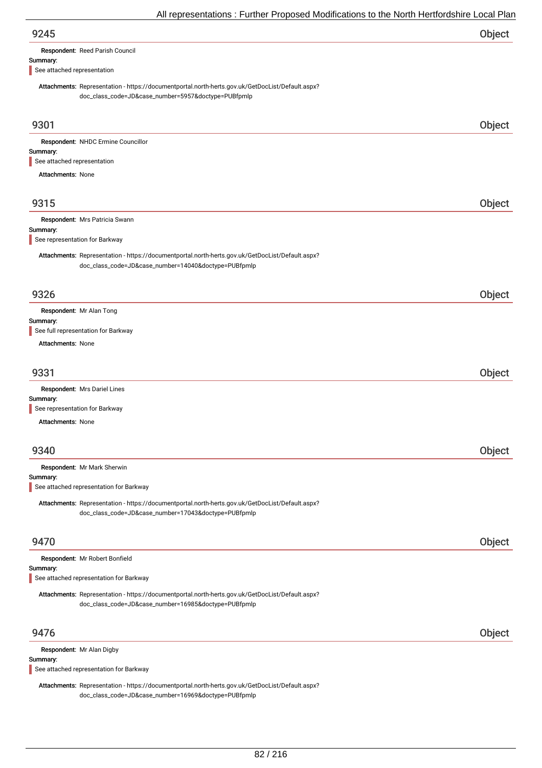| Respondent: Reed Parish Council |  |  |
|---------------------------------|--|--|
|                                 |  |  |

#### Summary:

See attached representation

Attachments: Representation - https://documentportal.north-herts.gov.uk/GetDocList/Default.aspx? doc\_class\_code=JD&case\_number=5957&doctype=PUBfpmlp

| 9301                                                                                                                                                     | Object |
|----------------------------------------------------------------------------------------------------------------------------------------------------------|--------|
| Respondent: NHDC Ermine Councillor                                                                                                                       |        |
| Summary:                                                                                                                                                 |        |
| See attached representation                                                                                                                              |        |
| <b>Attachments: None</b>                                                                                                                                 |        |
| 9315                                                                                                                                                     | Object |
| Respondent: Mrs Patricia Swann                                                                                                                           |        |
| Summary:<br>See representation for Barkway                                                                                                               |        |
| Attachments: Representation - https://documentportal.north-herts.gov.uk/GetDocList/Default.aspx?<br>doc_class_code=JD&case_number=14040&doctype=PUBfpmlp |        |
| 9326                                                                                                                                                     | Object |
| Respondent: Mr Alan Tong                                                                                                                                 |        |
| Summary:                                                                                                                                                 |        |
| See full representation for Barkway                                                                                                                      |        |
| Attachments: None                                                                                                                                        |        |
| 9331                                                                                                                                                     | Object |
| Respondent: Mrs Dariel Lines                                                                                                                             |        |
| Summary:                                                                                                                                                 |        |
| See representation for Barkway                                                                                                                           |        |
| Attachments: None                                                                                                                                        |        |
|                                                                                                                                                          |        |
| 9340                                                                                                                                                     | Object |
| Respondent: Mr Mark Sherwin                                                                                                                              |        |
| Summary:                                                                                                                                                 |        |
| See attached representation for Barkway                                                                                                                  |        |
| Attachments: Representation - https://documentportal.north-herts.gov.uk/GetDocList/Default.aspx?<br>doc_class_code=JD&case_number=17043&doctype=PUBfpmlp |        |
| 9470                                                                                                                                                     | Object |
| Respondent: Mr Robert Bonfield                                                                                                                           |        |
| Summary:                                                                                                                                                 |        |
| See attached representation for Barkway                                                                                                                  |        |
| Attachments: Representation - https://documentportal.north-herts.gov.uk/GetDocList/Default.aspx?<br>doc_class_code=JD&case_number=16985&doctype=PUBfpmlp |        |
| 9476                                                                                                                                                     | Object |
| Respondent: Mr Alan Digby                                                                                                                                |        |
| Summary:                                                                                                                                                 |        |
| See attached representation for Barkway                                                                                                                  |        |
| Attachments: Representation - https://documentportal.north-herts.gov.uk/GetDocList/Default.aspx?                                                         |        |

doc\_class\_code=JD&case\_number=16969&doctype=PUBfpmlp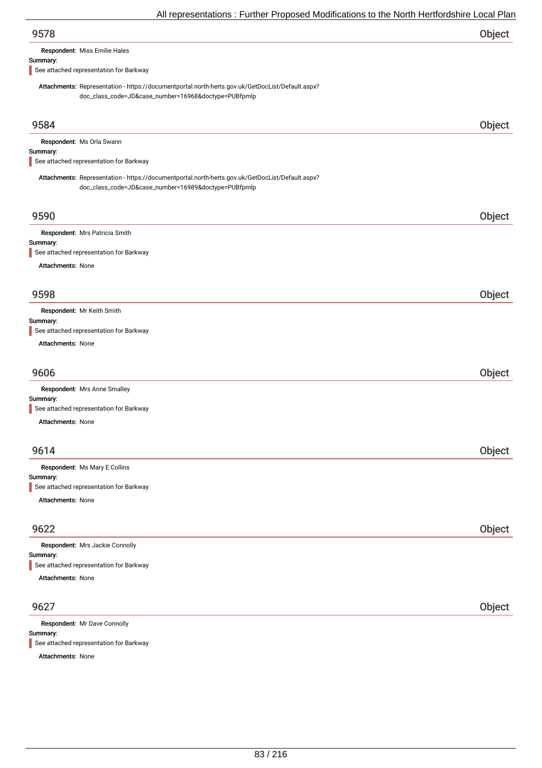| 9578 | Object |
|------|--------|
|      |        |

Respondent: Miss Emilie Hales

#### Summary:

See attached representation for Barkway

Attachments: Representation - https://documentportal.north-herts.gov.uk/GetDocList/Default.aspx? doc\_class\_code=JD&case\_number=16968&doctype=PUBfpmlp

| 9584                                                                                                                                                     | Object |
|----------------------------------------------------------------------------------------------------------------------------------------------------------|--------|
| Respondent: Ms Orla Swann                                                                                                                                |        |
| Summary:<br>See attached representation for Barkway                                                                                                      |        |
|                                                                                                                                                          |        |
| Attachments: Representation - https://documentportal.north-herts.gov.uk/GetDocList/Default.aspx?<br>doc_class_code=JD&case_number=16989&doctype=PUBfpmlp |        |
|                                                                                                                                                          |        |
| 9590                                                                                                                                                     | Object |
| Respondent: Mrs Patricia Smith                                                                                                                           |        |
| Summary:<br>See attached representation for Barkway                                                                                                      |        |
| Attachments: None                                                                                                                                        |        |
|                                                                                                                                                          |        |
| 9598                                                                                                                                                     | Object |
|                                                                                                                                                          |        |
| Respondent: Mr Keith Smith<br>Summary:                                                                                                                   |        |
| See attached representation for Barkway                                                                                                                  |        |
| Attachments: None                                                                                                                                        |        |
|                                                                                                                                                          |        |
| 9606                                                                                                                                                     | Object |
| Respondent: Mrs Anne Smalley                                                                                                                             |        |
| Summary:                                                                                                                                                 |        |
| See attached representation for Barkway                                                                                                                  |        |
| Attachments: None                                                                                                                                        |        |
|                                                                                                                                                          |        |
| 9614                                                                                                                                                     | Object |
| Respondent: Ms Mary E Collins                                                                                                                            |        |
| Summary:                                                                                                                                                 |        |
| See attached representation for Barkway                                                                                                                  |        |
| Attachments: None                                                                                                                                        |        |
|                                                                                                                                                          |        |
| 9622                                                                                                                                                     | Object |
| Respondent: Mrs Jackie Connolly                                                                                                                          |        |
| Summary:<br>See attached representation for Barkway                                                                                                      |        |
| Attachments: None                                                                                                                                        |        |
|                                                                                                                                                          |        |
|                                                                                                                                                          |        |
| 9627                                                                                                                                                     | Object |
| Respondent: Mr Dave Connolly                                                                                                                             |        |
| Summary:                                                                                                                                                 |        |

See attached representation for Barkway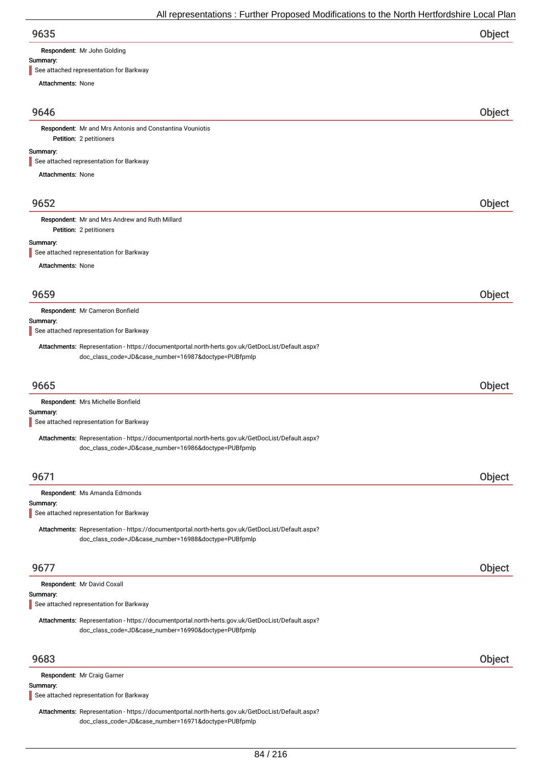Respondent: Mr John Golding

#### Summary:

See attached representation for Barkway

Attachments: None

### 9646 Object

Petition: 2 petitioners Respondent: Mr and Mrs Antonis and Constantina Vouniotis

#### Summary:

See attached representation for Barkway

Attachments: None

### 9652 Object

Petition: 2 petitioners Respondent: Mr and Mrs Andrew and Ruth Millard

#### Summary:

See attached representation for Barkway

Attachments: None

| 9659     |                                                                                                                                                          | Object |
|----------|----------------------------------------------------------------------------------------------------------------------------------------------------------|--------|
|          | Respondent: Mr Cameron Bonfield                                                                                                                          |        |
| Summary: | See attached representation for Barkway                                                                                                                  |        |
|          |                                                                                                                                                          |        |
|          | Attachments: Representation - https://documentportal.north-herts.gov.uk/GetDocList/Default.aspx?<br>doc_class_code=JD&case_number=16987&doctype=PUBfpmlp |        |
|          |                                                                                                                                                          |        |
| 9665     |                                                                                                                                                          | Object |
|          | Respondent: Mrs Michelle Bonfield                                                                                                                        |        |
| Summary: |                                                                                                                                                          |        |
|          | See attached representation for Barkway                                                                                                                  |        |
|          | Attachments: Representation - https://documentportal.north-herts.gov.uk/GetDocList/Default.aspx?                                                         |        |
|          | doc_class_code=JD&case_number=16986&doctype=PUBfpmlp                                                                                                     |        |
|          |                                                                                                                                                          |        |
| 9671     |                                                                                                                                                          | Object |
|          | Respondent: Ms Amanda Edmonds                                                                                                                            |        |
| Summary: | See attached representation for Barkway                                                                                                                  |        |
|          | Attachments: Representation - https://documentportal.north-herts.gov.uk/GetDocList/Default.aspx?                                                         |        |
|          | doc_class_code=JD&case_number=16988&doctype=PUBfpmlp                                                                                                     |        |
|          |                                                                                                                                                          |        |
| 9677     |                                                                                                                                                          | Object |
|          | Respondent: Mr David Coxall                                                                                                                              |        |
| Summary: |                                                                                                                                                          |        |
|          | See attached representation for Barkway                                                                                                                  |        |
|          | Attachments: Representation - https://documentportal.north-herts.gov.uk/GetDocList/Default.aspx?                                                         |        |
|          | doc_class_code=JD&case_number=16990&doctype=PUBfpmlp                                                                                                     |        |
|          |                                                                                                                                                          |        |
| 9683     |                                                                                                                                                          | Object |
|          | Respondent: Mr Craig Garner                                                                                                                              |        |
| Summary: |                                                                                                                                                          |        |

See attached representation for Barkway

Attachments: Representation - https://documentportal.north-herts.gov.uk/GetDocList/Default.aspx? doc\_class\_code=JD&case\_number=16971&doctype=PUBfpmlp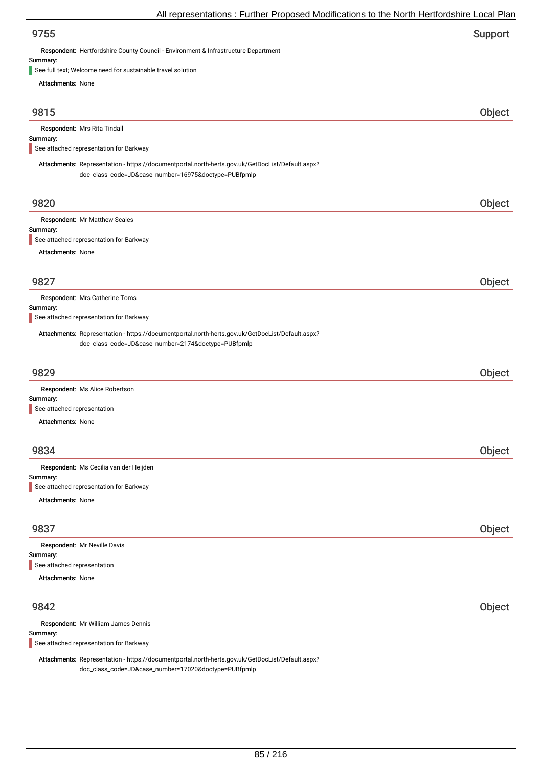| Support |
|---------|
|         |

Respondent: Hertfordshire County Council - Environment & Infrastructure Department

# Summary:<br>See full to

e need for sustainable travel solution

| See full text, velcome need for sustainable travel solution.                                                                                             |        |
|----------------------------------------------------------------------------------------------------------------------------------------------------------|--------|
| Attachments: None                                                                                                                                        |        |
| 9815                                                                                                                                                     | Object |
| Respondent: Mrs Rita Tindall                                                                                                                             |        |
| Summary:<br>See attached representation for Barkway                                                                                                      |        |
|                                                                                                                                                          |        |
| Attachments: Representation - https://documentportal.north-herts.gov.uk/GetDocList/Default.aspx?<br>doc_class_code=JD&case_number=16975&doctype=PUBfpmlp |        |
| 9820                                                                                                                                                     | Object |
| Respondent: Mr Matthew Scales                                                                                                                            |        |
| Summary:<br>See attached representation for Barkway                                                                                                      |        |
| <b>Attachments: None</b>                                                                                                                                 |        |
|                                                                                                                                                          |        |
| 9827                                                                                                                                                     | Object |
| Respondent: Mrs Catherine Toms                                                                                                                           |        |
| Summary:                                                                                                                                                 |        |
| See attached representation for Barkway                                                                                                                  |        |
| Attachments: Representation - https://documentportal.north-herts.gov.uk/GetDocList/Default.aspx?<br>doc_class_code=JD&case_number=2174&doctype=PUBfpmlp  |        |
| 9829                                                                                                                                                     | Object |
| Respondent: Ms Alice Robertson<br>Summary:                                                                                                               |        |
| See attached representation                                                                                                                              |        |
| Attachments: None                                                                                                                                        |        |
|                                                                                                                                                          |        |
| 9834                                                                                                                                                     | Object |
| Respondent: Ms Cecilia van der Heijden                                                                                                                   |        |
| Summary:<br>See attached representation for Barkway                                                                                                      |        |
| Attachments: None                                                                                                                                        |        |
|                                                                                                                                                          |        |
| 9837                                                                                                                                                     | Object |
| Respondent: Mr Neville Davis                                                                                                                             |        |
| Summary:<br>See attached representation                                                                                                                  |        |
| <b>Attachments: None</b>                                                                                                                                 |        |
| 9842                                                                                                                                                     | Object |
| Respondent: Mr William James Dennis                                                                                                                      |        |
| Summary:<br>See attached representation for Barkway                                                                                                      |        |
|                                                                                                                                                          |        |

Attachments: Representation - https://documentportal.north-herts.gov.uk/GetDocList/Default.aspx? doc\_class\_code=JD&case\_number=17020&doctype=PUBfpmlp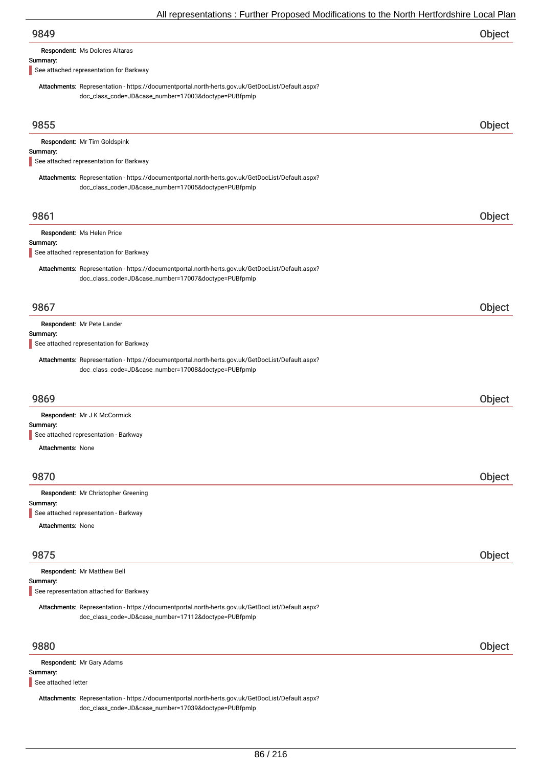|                          | All representations : Further Proposed Modifications to the North Hertfordshire Local Plar                                                                                                                                        |        |
|--------------------------|-----------------------------------------------------------------------------------------------------------------------------------------------------------------------------------------------------------------------------------|--------|
| 9849                     |                                                                                                                                                                                                                                   | Object |
|                          | Respondent: Ms Dolores Altaras                                                                                                                                                                                                    |        |
| Summary:                 | See attached representation for Barkway                                                                                                                                                                                           |        |
|                          | Attachments: Representation - https://documentportal.north-herts.gov.uk/GetDocList/Default.aspx?<br>doc_class_code=JD&case_number=17003&doctype=PUBfpmlp                                                                          |        |
| 9855                     |                                                                                                                                                                                                                                   | Object |
|                          | Respondent: Mr Tim Goldspink                                                                                                                                                                                                      |        |
| Summary:                 | See attached representation for Barkway                                                                                                                                                                                           |        |
|                          | Attachments: Representation - https://documentportal.north-herts.gov.uk/GetDocList/Default.aspx?<br>doc_class_code=JD&case_number=17005&doctype=PUBfpmlp                                                                          |        |
| 9861                     |                                                                                                                                                                                                                                   | Object |
| Summary:                 | Respondent: Ms Helen Price<br>See attached representation for Barkway<br>Attachments: Representation - https://documentportal.north-herts.gov.uk/GetDocList/Default.aspx?<br>doc_class_code=JD&case_number=17007&doctype=PUBfpmlp |        |
| 9867                     |                                                                                                                                                                                                                                   | Object |
|                          | Respondent: Mr Pete Lander                                                                                                                                                                                                        |        |
| Summary:                 | See attached representation for Barkway                                                                                                                                                                                           |        |
|                          | Attachments: Representation - https://documentportal.north-herts.gov.uk/GetDocList/Default.aspx?<br>doc_class_code=JD&case_number=17008&doctype=PUBfpmlp                                                                          |        |
| 9869                     |                                                                                                                                                                                                                                   | Object |
|                          | Respondent: Mr J K McCormick                                                                                                                                                                                                      |        |
| Summary:                 | See attached representation - Barkway                                                                                                                                                                                             |        |
| <b>Attachments: None</b> |                                                                                                                                                                                                                                   |        |
|                          |                                                                                                                                                                                                                                   |        |
| 9870                     |                                                                                                                                                                                                                                   | Object |

|          | Respondent: Mr Christopher Greening   |
|----------|---------------------------------------|
| Summary: |                                       |
|          | See attached representation - Barkway |
|          | <b>Attachments: None</b>              |
|          |                                       |

| 9875 | Object |
|------|--------|
|      |        |

| <b>Respondent: Mr Matthew Bell</b><br>Summary:<br>See representation attached for Barkway                                                                |               |
|----------------------------------------------------------------------------------------------------------------------------------------------------------|---------------|
| Attachments: Representation - https://documentportal.north-herts.gov.uk/GetDocList/Default.aspx?<br>doc_class_code=JD&case_number=17112&doctype=PUBfpmlp |               |
| 9880                                                                                                                                                     | <b>Object</b> |

Summary: Respondent: Mr Gary Adams

See attached letter

Attachments: Representation - https://documentportal.north-herts.gov.uk/GetDocList/Default.aspx? doc\_class\_code=JD&case\_number=17039&doctype=PUBfpmlp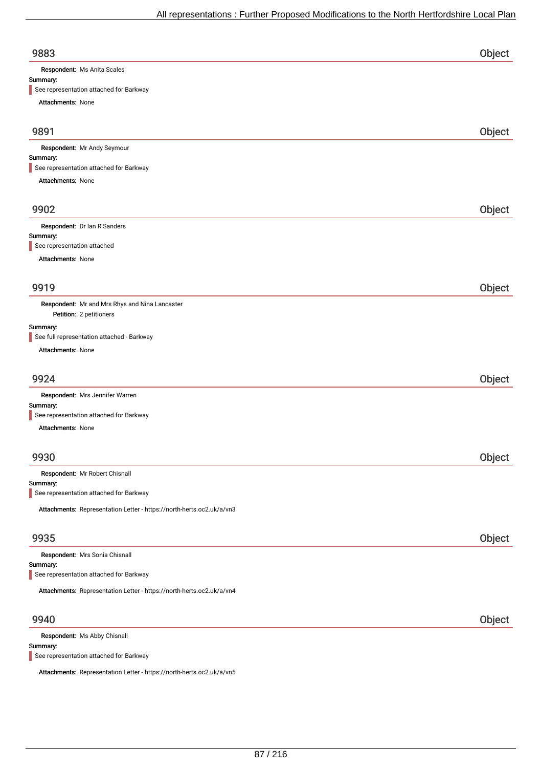| 9883                                                                      | Object |
|---------------------------------------------------------------------------|--------|
| Respondent: Ms Anita Scales                                               |        |
| Summary:                                                                  |        |
| See representation attached for Barkway                                   |        |
| Attachments: None                                                         |        |
| 9891                                                                      | Object |
| Respondent: Mr Andy Seymour                                               |        |
| Summary:<br>See representation attached for Barkway                       |        |
| Attachments: None                                                         |        |
|                                                                           |        |
| 9902                                                                      | Object |
| Respondent: Dr Ian R Sanders                                              |        |
| Summary:                                                                  |        |
| See representation attached                                               |        |
| <b>Attachments: None</b>                                                  |        |
|                                                                           |        |
| 9919                                                                      | Object |
| Respondent: Mr and Mrs Rhys and Nina Lancaster<br>Petition: 2 petitioners |        |
| Summary:                                                                  |        |
| See full representation attached - Barkway                                |        |
| Attachments: None                                                         |        |
| 9924                                                                      | Object |
| Respondent: Mrs Jennifer Warren                                           |        |
| Summary:                                                                  |        |
| See representation attached for Barkway                                   |        |
| Attachments: None                                                         |        |
|                                                                           |        |
| 9930                                                                      | Object |
| Respondent: Mr Robert Chisnall                                            |        |
| Summary:<br>See representation attached for Barkway                       |        |
|                                                                           |        |
| Attachments: Representation Letter - https://north-herts.oc2.uk/a/vn3     |        |
| 9935                                                                      | Object |
| Respondent: Mrs Sonia Chisnall                                            |        |
| Summary:<br>See representation attached for Barkway                       |        |
|                                                                           |        |
| Attachments: Representation Letter - https://north-herts.oc2.uk/a/vn4     |        |
| 9940                                                                      | Object |
| Respondent: Ms Abby Chisnall                                              |        |
| Summary:                                                                  |        |

See representation attached for Barkway

Attachments: Representation Letter - https://north-herts.oc2.uk/a/vn5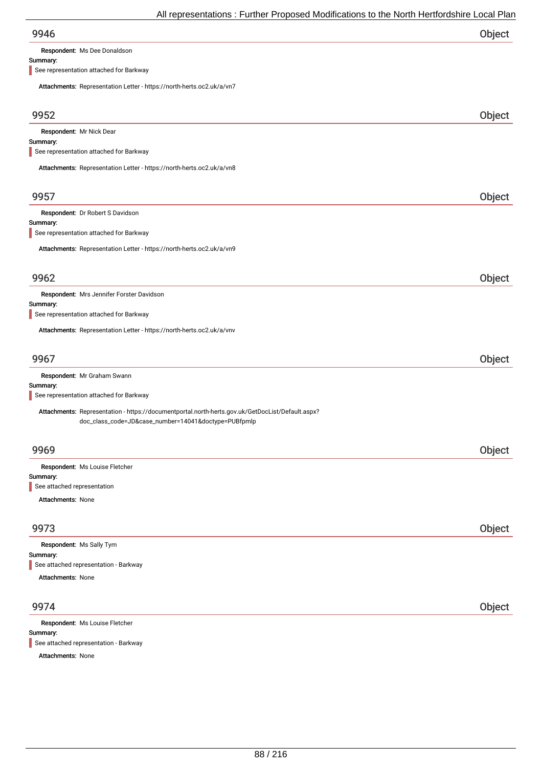Respondent: Ms Dee Donaldson

### Summary:

See representation attached for Barkway

| Attachments: Representation Letter - https://north-herts.oc2.uk/a/vn7                            |        |
|--------------------------------------------------------------------------------------------------|--------|
| 9952                                                                                             | Object |
| Respondent: Mr Nick Dear                                                                         |        |
| Summary:                                                                                         |        |
| See representation attached for Barkway                                                          |        |
| Attachments: Representation Letter - https://north-herts.oc2.uk/a/vn8                            |        |
|                                                                                                  |        |
| 9957                                                                                             | Object |
| Respondent: Dr Robert S Davidson                                                                 |        |
| Summary:                                                                                         |        |
| See representation attached for Barkway                                                          |        |
| Attachments: Representation Letter - https://north-herts.oc2.uk/a/vn9                            |        |
|                                                                                                  |        |
| 9962                                                                                             | Object |
| Respondent: Mrs Jennifer Forster Davidson                                                        |        |
| Summary:<br>See representation attached for Barkway                                              |        |
|                                                                                                  |        |
| Attachments: Representation Letter - https://north-herts.oc2.uk/a/vnv                            |        |
|                                                                                                  |        |
| 9967                                                                                             | Object |
| Respondent: Mr Graham Swann<br>Summary:                                                          |        |
| See representation attached for Barkway                                                          |        |
| Attachments: Representation - https://documentportal.north-herts.gov.uk/GetDocList/Default.aspx? |        |
| doc_class_code=JD&case_number=14041&doctype=PUBfpmlp                                             |        |
|                                                                                                  |        |
| 9969                                                                                             | Object |
| Respondent: Ms Louise Fletcher                                                                   |        |
| Summary:                                                                                         |        |
| See attached representation                                                                      |        |
| Attachments: None                                                                                |        |
|                                                                                                  |        |
| 9973                                                                                             | Object |
| Respondent: Ms Sally Tym<br>Summary:                                                             |        |
| See attached representation - Barkway                                                            |        |
| Attachments: None                                                                                |        |
|                                                                                                  |        |
| 9974                                                                                             | Object |
| Respondent: Ms Louise Fletcher                                                                   |        |
| Summary:                                                                                         |        |

See attached representation - Barkway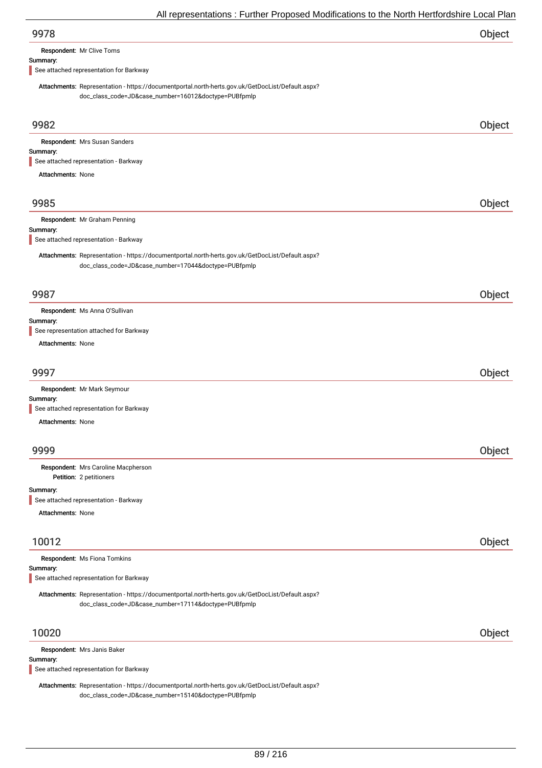| 9978 | Object |
|------|--------|
|      |        |

Respondent: Mr Clive Toms

#### Summary:

See attached representation for Barkway

Attachments: Representation - https://documentportal.north-herts.gov.uk/GetDocList/Default.aspx? doc\_class\_code=JD&case\_number=16012&doctype=PUBfpmlp

| 9982                                                                                                                                                     | Object |
|----------------------------------------------------------------------------------------------------------------------------------------------------------|--------|
| Respondent: Mrs Susan Sanders                                                                                                                            |        |
| Summary:                                                                                                                                                 |        |
| See attached representation - Barkway                                                                                                                    |        |
| <b>Attachments: None</b>                                                                                                                                 |        |
| 9985                                                                                                                                                     | Object |
| Respondent: Mr Graham Penning                                                                                                                            |        |
| Summary:<br>See attached representation - Barkway                                                                                                        |        |
| Attachments: Representation - https://documentportal.north-herts.gov.uk/GetDocList/Default.aspx?<br>doc_class_code=JD&case_number=17044&doctype=PUBfpmlp |        |
| 9987                                                                                                                                                     | Object |
| Respondent: Ms Anna O'Sullivan                                                                                                                           |        |
| Summary:                                                                                                                                                 |        |
| See representation attached for Barkway                                                                                                                  |        |
| <b>Attachments: None</b>                                                                                                                                 |        |
| 9997                                                                                                                                                     | Object |
| Respondent: Mr Mark Seymour                                                                                                                              |        |
| Summary:                                                                                                                                                 |        |
| See attached representation for Barkway                                                                                                                  |        |
| Attachments: None                                                                                                                                        |        |
|                                                                                                                                                          |        |
| 9999                                                                                                                                                     | Object |
| Respondent: Mrs Caroline Macpherson<br>Petition: 2 petitioners                                                                                           |        |
| Summary:                                                                                                                                                 |        |
| See attached representation - Barkway                                                                                                                    |        |
| <b>Attachments: None</b>                                                                                                                                 |        |
| 10012                                                                                                                                                    | Object |
|                                                                                                                                                          |        |
| Respondent: Ms Fiona Tomkins<br>Summary:                                                                                                                 |        |
| See attached representation for Barkway                                                                                                                  |        |
| Attachments: Representation - https://documentportal.north-herts.gov.uk/GetDocList/Default.aspx?                                                         |        |
| doc_class_code=JD&case_number=17114&doctype=PUBfpmlp                                                                                                     |        |
|                                                                                                                                                          |        |
| 10020                                                                                                                                                    | Object |
| Respondent: Mrs Janis Baker                                                                                                                              |        |
| Summary:<br>See attached representation for Barkway                                                                                                      |        |
|                                                                                                                                                          |        |

Attachments: Representation - https://documentportal.north-herts.gov.uk/GetDocList/Default.aspx? doc\_class\_code=JD&case\_number=15140&doctype=PUBfpmlp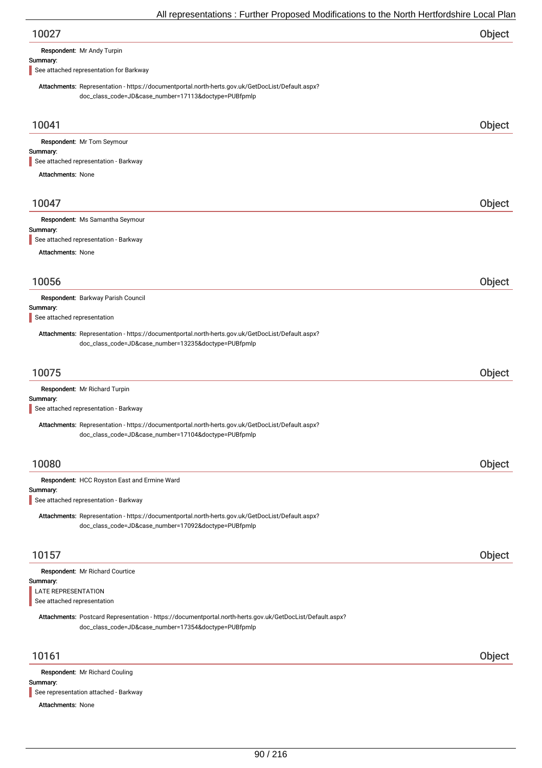| 10027 | Object |
|-------|--------|
|-------|--------|

Respondent: Mr Andy Turpin

#### Summary:

See attached representation for Barkway

Attachments: Representation - https://documentportal.north-herts.gov.uk/GetDocList/Default.aspx? doc\_class\_code=JD&case\_number=17113&doctype=PUBfpmlp

| 10041                                                                                                                                                             | Object |
|-------------------------------------------------------------------------------------------------------------------------------------------------------------------|--------|
| Respondent: Mr Tom Seymour                                                                                                                                        |        |
| Summary:<br>See attached representation - Barkway                                                                                                                 |        |
| <b>Attachments: None</b>                                                                                                                                          |        |
|                                                                                                                                                                   |        |
| 10047                                                                                                                                                             | Object |
| Respondent: Ms Samantha Seymour                                                                                                                                   |        |
| Summary:<br>See attached representation - Barkway                                                                                                                 |        |
| Attachments: None                                                                                                                                                 |        |
|                                                                                                                                                                   |        |
| 10056                                                                                                                                                             | Object |
| Respondent: Barkway Parish Council                                                                                                                                |        |
| Summary:<br>See attached representation                                                                                                                           |        |
| Attachments: Representation - https://documentportal.north-herts.gov.uk/GetDocList/Default.aspx?                                                                  |        |
| doc_class_code=JD&case_number=13235&doctype=PUBfpmlp                                                                                                              |        |
|                                                                                                                                                                   |        |
| 10075                                                                                                                                                             | Object |
| Respondent: Mr Richard Turpin<br>Summary:                                                                                                                         |        |
| See attached representation - Barkway                                                                                                                             |        |
| Attachments: Representation - https://documentportal.north-herts.gov.uk/GetDocList/Default.aspx?                                                                  |        |
| doc_class_code=JD&case_number=17104&doctype=PUBfpmlp                                                                                                              |        |
|                                                                                                                                                                   |        |
| 10080                                                                                                                                                             | Object |
| Respondent: HCC Royston East and Ermine Ward<br>Summary:                                                                                                          |        |
| See attached representation - Barkway                                                                                                                             |        |
| Attachments: Representation - https://documentportal.north-herts.gov.uk/GetDocList/Default.aspx?                                                                  |        |
| doc_class_code=JD&case_number=17092&doctype=PUBfpmlp                                                                                                              |        |
| 10157                                                                                                                                                             |        |
|                                                                                                                                                                   | Object |
| Respondent: Mr Richard Courtice<br>Summary:                                                                                                                       |        |
| LATE REPRESENTATION                                                                                                                                               |        |
| See attached representation                                                                                                                                       |        |
| Attachments: Postcard Representation - https://documentportal.north-herts.gov.uk/GetDocList/Default.aspx?<br>doc_class_code=JD&case_number=17354&doctype=PUBfpmlp |        |
| 10161                                                                                                                                                             | Object |
| Respondent: Mr Richard Couling                                                                                                                                    |        |
| Summary:<br>See representation attached - Barkway                                                                                                                 |        |
|                                                                                                                                                                   |        |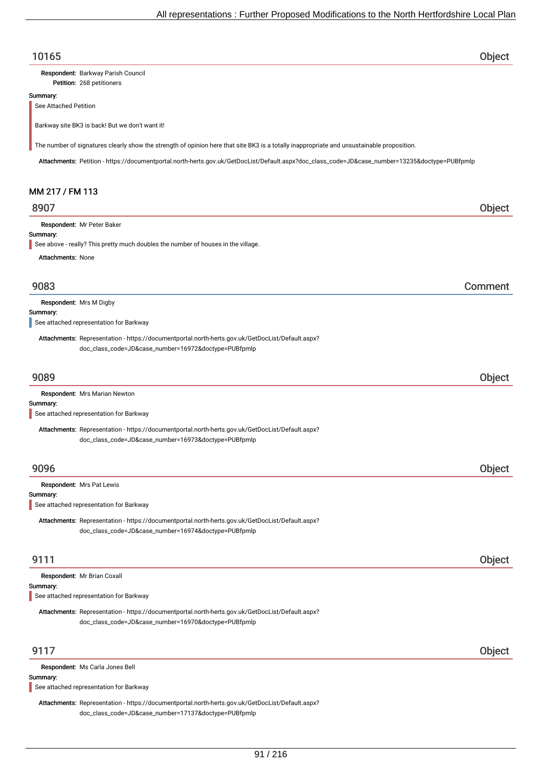### 10165 Object

Petition: 268 petitioners Respondent: Barkway Parish Council

#### Summary:

See Attached Petition

Barkway site BK3 is back! But we don't want it!

The number of signatures clearly show the strength of opinion here that site BK3 is a totally inappropriate and unsustainable proposition.

Attachments: Petition - https://documentportal.north-herts.gov.uk/GetDocList/Default.aspx?doc\_class\_code=JD&case\_number=13235&doctype=PUBfpmlp

### MM 217 / FM 113

### 8907 Object

Respondent: Mr Peter Baker

#### Summary:

See above - really? This pretty much doubles the number of houses in the village.

Attachments: None

### 9083 Comment

Summary: Respondent: Mrs M Digby

See attached representation for Barkway

Attachments: Representation - https://documentportal.north-herts.gov.uk/GetDocList/Default.aspx? doc\_class\_code=JD&case\_number=16972&doctype=PUBfpmlp

### 9089 Object

| <b>Respondent:</b> Mrs Marian Newton                                                             |
|--------------------------------------------------------------------------------------------------|
| Summary:                                                                                         |
| See attached representation for Barkway                                                          |
| Attachments: Representation - https://documentportal.north-herts.gov.uk/GetDocList/Default.aspx? |

9096 Object Summary: Respondent: Mrs Pat Lewis See attached representation for Barkway

Attachments: Representation - https://documentportal.north-herts.gov.uk/GetDocList/Default.aspx? doc\_class\_code=JD&case\_number=16974&doctype=PUBfpmlp

doc\_class\_code=JD&case\_number=16973&doctype=PUBfpmlp

### 9111 Object

| Respondent: Mr Brian Coxall<br>Summary:<br>See attached representation for Barkway                                                                                                         |        |
|--------------------------------------------------------------------------------------------------------------------------------------------------------------------------------------------|--------|
| Attachments: Representation - https://documentportal.north-herts.gov.uk/GetDocList/Default.aspx?<br>doc_class_code=JD&case_number=16970&doctype=PUBfpmlp                                   |        |
| 9117                                                                                                                                                                                       | Object |
| Respondent: Ms Carla Jones Bell<br>Summary:<br>See attached representation for Barkway<br>Attachments: Representation - https://documentportal.north-herts.gov.uk/GetDocList/Default.aspx? |        |

doc\_class\_code=JD&case\_number=17137&doctype=PUBfpmlp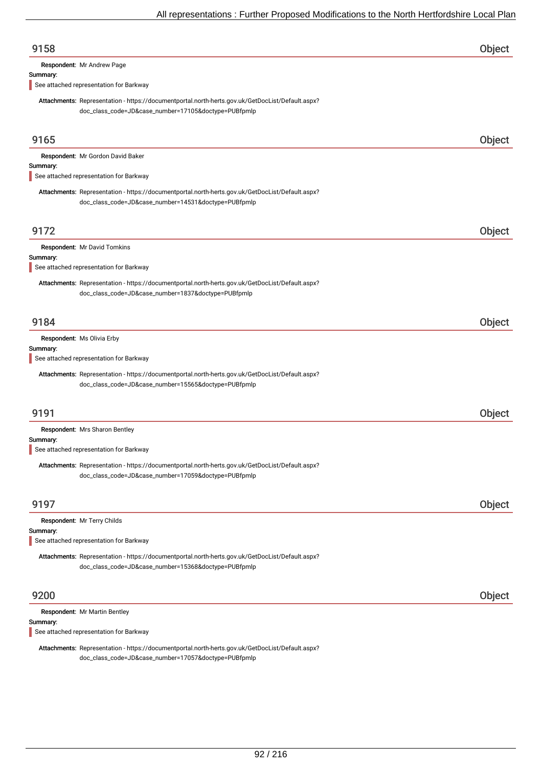| 9158                                                                                                                                                     | Object        |
|----------------------------------------------------------------------------------------------------------------------------------------------------------|---------------|
| Respondent: Mr Andrew Page                                                                                                                               |               |
| Summary:<br>See attached representation for Barkway                                                                                                      |               |
| Attachments: Representation - https://documentportal.north-herts.gov.uk/GetDocList/Default.aspx?<br>doc_class_code=JD&case_number=17105&doctype=PUBfpmlp |               |
| 9165                                                                                                                                                     | Object        |
| Respondent: Mr Gordon David Baker<br>Summary:                                                                                                            |               |
| See attached representation for Barkway                                                                                                                  |               |
| Attachments: Representation - https://documentportal.north-herts.gov.uk/GetDocList/Default.aspx?<br>doc_class_code=JD&case_number=14531&doctype=PUBfpmlp |               |
| 9172                                                                                                                                                     | Object        |
| Respondent: Mr David Tomkins<br>Summary:                                                                                                                 |               |
| See attached representation for Barkway                                                                                                                  |               |
| Attachments: Representation - https://documentportal.north-herts.gov.uk/GetDocList/Default.aspx?<br>doc_class_code=JD&case_number=1837&doctype=PUBfpmlp  |               |
| 9184                                                                                                                                                     | Object        |
| Respondent: Ms Olivia Erby<br>Summary:<br>See attached representation for Barkway                                                                        |               |
| Attachments: Representation - https://documentportal.north-herts.gov.uk/GetDocList/Default.aspx?<br>doc_class_code=JD&case_number=15565&doctype=PUBfpmlp |               |
| 9191                                                                                                                                                     | Object        |
| Respondent: Mrs Sharon Bentley<br>Summary:                                                                                                               |               |
| See attached representation for Barkway                                                                                                                  |               |
| Attachments: Representation - https://documentportal.north-herts.gov.uk/GetDocList/Default.aspx?<br>doc_class_code=JD&case_number=17059&doctype=PUBfpmlp |               |
| 9197                                                                                                                                                     | <b>Object</b> |
| Respondent: Mr Terry Childs                                                                                                                              |               |
| Summary:<br>See attached representation for Barkway                                                                                                      |               |
| Attachments: Representation - https://documentportal.north-herts.gov.uk/GetDocList/Default.aspx?<br>doc_class_code=JD&case_number=15368&doctype=PUBfpmlp |               |
| 9200                                                                                                                                                     | Object        |
| Respondent: Mr Martin Bentley<br>Summary:                                                                                                                |               |

See attached representation for Barkway

Attachments: Representation - https://documentportal.north-herts.gov.uk/GetDocList/Default.aspx? doc\_class\_code=JD&case\_number=17057&doctype=PUBfpmlp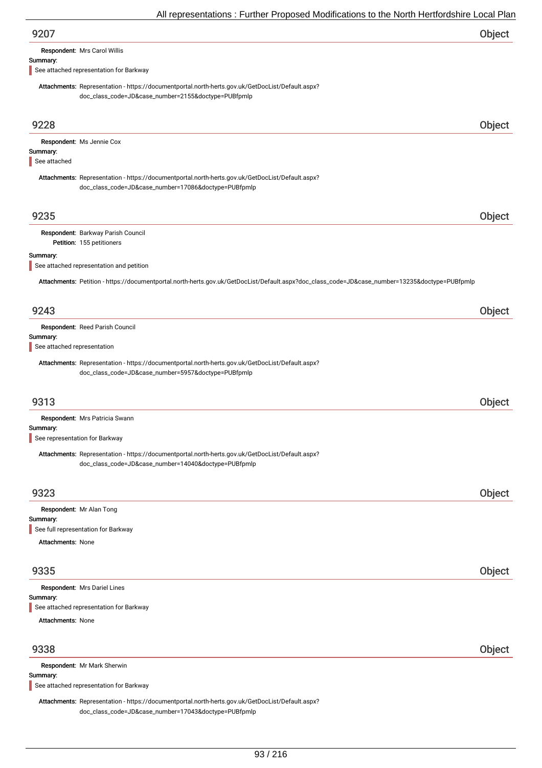| 9207                                                                                                                                                     | Object |
|----------------------------------------------------------------------------------------------------------------------------------------------------------|--------|
| Respondent: Mrs Carol Willis                                                                                                                             |        |
| Summary:                                                                                                                                                 |        |
| See attached representation for Barkway                                                                                                                  |        |
| Attachments: Representation - https://documentportal.north-herts.gov.uk/GetDocList/Default.aspx?<br>doc_class_code=JD&case_number=2155&doctype=PUBfpmlp  |        |
| 9228                                                                                                                                                     | Object |
| Respondent: Ms Jennie Cox                                                                                                                                |        |
| Summary:<br>See attached                                                                                                                                 |        |
| Attachments: Representation - https://documentportal.north-herts.gov.uk/GetDocList/Default.aspx?<br>doc_class_code=JD&case_number=17086&doctype=PUBfpmlp |        |
| 9235                                                                                                                                                     | Object |
| Respondent: Barkway Parish Council<br>Petition: 155 petitioners                                                                                          |        |
| Summary:<br>See attached representation and petition                                                                                                     |        |
| Attachments: Petition - https://documentportal.north-herts.gov.uk/GetDocList/Default.aspx?doc_class_code=JD&case_number=13235&doctype=PUBfpmlp           |        |
| 9243                                                                                                                                                     | Object |
| Respondent: Reed Parish Council                                                                                                                          |        |
| Summary:<br>See attached representation                                                                                                                  |        |
|                                                                                                                                                          |        |
| Attachments: Representation - https://documentportal.north-herts.gov.uk/GetDocList/Default.aspx?<br>doc_class_code=JD&case_number=5957&doctype=PUBfpmlp  |        |
| 9313                                                                                                                                                     | Object |
|                                                                                                                                                          |        |
| Respondent: Mrs Patricia Swann                                                                                                                           |        |
| Summary:<br>See representation for Barkway                                                                                                               |        |
| Attachments: Representation - https://documentportal.north-herts.gov.uk/GetDocList/Default.aspx?<br>doc_class_code=JD&case_number=14040&doctype=PUBfpmlp |        |
| 9323                                                                                                                                                     | Object |
| Respondent: Mr Alan Tong                                                                                                                                 |        |
| Summary:<br>See full representation for Barkway                                                                                                          |        |
| <b>Attachments: None</b>                                                                                                                                 |        |
|                                                                                                                                                          |        |
| 9335                                                                                                                                                     | Object |
| Respondent: Mrs Dariel Lines<br>Summary:                                                                                                                 |        |
| See attached representation for Barkway                                                                                                                  |        |
| <b>Attachments: None</b>                                                                                                                                 |        |
| 9338                                                                                                                                                     | Object |
| Respondent: Mr Mark Sherwin                                                                                                                              |        |

#### Summary:

See attached representation for Barkway

Attachments: Representation - https://documentportal.north-herts.gov.uk/GetDocList/Default.aspx? doc\_class\_code=JD&case\_number=17043&doctype=PUBfpmlp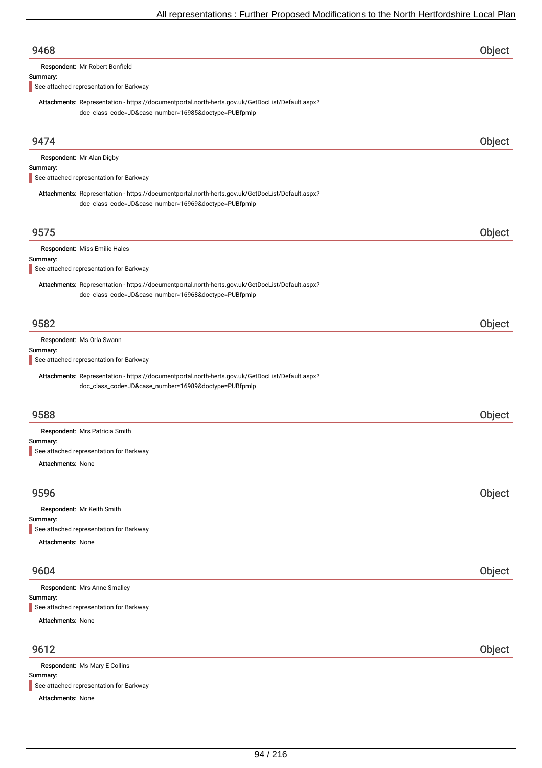| 9468                                                                                                                                                     | Object |
|----------------------------------------------------------------------------------------------------------------------------------------------------------|--------|
| Respondent: Mr Robert Bonfield                                                                                                                           |        |
| Summary:<br>See attached representation for Barkway                                                                                                      |        |
|                                                                                                                                                          |        |
| Attachments: Representation - https://documentportal.north-herts.gov.uk/GetDocList/Default.aspx?<br>doc_class_code=JD&case_number=16985&doctype=PUBfpmlp |        |
|                                                                                                                                                          |        |
| 9474                                                                                                                                                     | Object |
| Respondent: Mr Alan Digby                                                                                                                                |        |
| Summary:                                                                                                                                                 |        |
| See attached representation for Barkway                                                                                                                  |        |
| Attachments: Representation - https://documentportal.north-herts.gov.uk/GetDocList/Default.aspx?<br>doc_class_code=JD&case_number=16969&doctype=PUBfpmlp |        |
| 9575                                                                                                                                                     | Object |
|                                                                                                                                                          |        |
| Respondent: Miss Emilie Hales<br>Summary:                                                                                                                |        |
| See attached representation for Barkway                                                                                                                  |        |
| Attachments: Representation - https://documentportal.north-herts.gov.uk/GetDocList/Default.aspx?<br>doc_class_code=JD&case_number=16968&doctype=PUBfpmlp |        |
| 9582                                                                                                                                                     | Object |
| Respondent: Ms Orla Swann                                                                                                                                |        |
| Summary:                                                                                                                                                 |        |
| See attached representation for Barkway                                                                                                                  |        |
| Attachments: Representation - https://documentportal.north-herts.gov.uk/GetDocList/Default.aspx?<br>doc_class_code=JD&case_number=16989&doctype=PUBfpmlp |        |
| 9588                                                                                                                                                     | Object |
| Respondent: Mrs Patricia Smith                                                                                                                           |        |
| Summary:                                                                                                                                                 |        |
| See attached representation for Barkway<br>Attachments: None                                                                                             |        |
|                                                                                                                                                          |        |
| 9596                                                                                                                                                     | Object |
|                                                                                                                                                          |        |
| Respondent: Mr Keith Smith<br>Summary:                                                                                                                   |        |
| See attached representation for Barkway                                                                                                                  |        |
| Attachments: None                                                                                                                                        |        |
| 9604                                                                                                                                                     | Object |
|                                                                                                                                                          |        |
| Respondent: Mrs Anne Smalley<br>Summary:                                                                                                                 |        |
| See attached representation for Barkway<br><b>Attachments: None</b>                                                                                      |        |
|                                                                                                                                                          |        |
| 9612                                                                                                                                                     | Object |
| Respondent: Ms Mary E Collins                                                                                                                            |        |

Summary: See attached representation for Barkway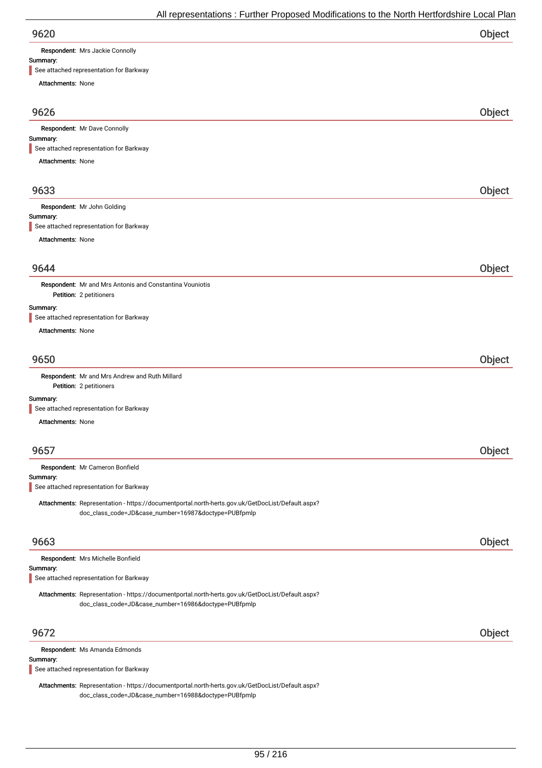| 9620 | Object |
|------|--------|
|      |        |

Respondent: Mrs Jackie Connolly

## Summary:

See attached representation for Barkway

| $\blacksquare$ See attached representation for Barkway                                           |        |
|--------------------------------------------------------------------------------------------------|--------|
| <b>Attachments: None</b>                                                                         |        |
| 9626                                                                                             | Object |
| Respondent: Mr Dave Connolly                                                                     |        |
| Summary:                                                                                         |        |
| See attached representation for Barkway                                                          |        |
| <b>Attachments: None</b>                                                                         |        |
| 9633                                                                                             | Object |
| Respondent: Mr John Golding                                                                      |        |
| Summary:<br>See attached representation for Barkway                                              |        |
| <b>Attachments: None</b>                                                                         |        |
|                                                                                                  |        |
| 9644                                                                                             | Object |
| Respondent: Mr and Mrs Antonis and Constantina Vouniotis                                         |        |
| Petition: 2 petitioners                                                                          |        |
| Summary:<br>See attached representation for Barkway                                              |        |
| <b>Attachments: None</b>                                                                         |        |
|                                                                                                  |        |
| 9650                                                                                             | Object |
| Respondent: Mr and Mrs Andrew and Ruth Millard<br>Petition: 2 petitioners                        |        |
| Summary:<br>See attached representation for Barkway                                              |        |
| Attachments: None                                                                                |        |
|                                                                                                  |        |
| 9657                                                                                             | Object |
| Respondent: Mr Cameron Bonfield                                                                  |        |
| Summary:<br>See attached representation for Barkway                                              |        |
| Attachments: Representation - https://documentportal.north-herts.gov.uk/GetDocList/Default.aspx? |        |
| doc_class_code=JD&case_number=16987&doctype=PUBfpmlp                                             |        |
|                                                                                                  |        |
| 9663                                                                                             | Object |
| Respondent: Mrs Michelle Bonfield                                                                |        |
| Summary:<br>See attached representation for Barkway                                              |        |
| Attachments: Representation - https://documentportal.north-herts.gov.uk/GetDocList/Default.aspx? |        |
| doc_class_code=JD&case_number=16986&doctype=PUBfpmlp                                             |        |
|                                                                                                  |        |
| 9672                                                                                             | Object |
| Respondent: Ms Amanda Edmonds<br>Summary:                                                        |        |
|                                                                                                  |        |

See attached representation for Barkway

Attachments: Representation - https://documentportal.north-herts.gov.uk/GetDocList/Default.aspx? doc\_class\_code=JD&case\_number=16988&doctype=PUBfpmlp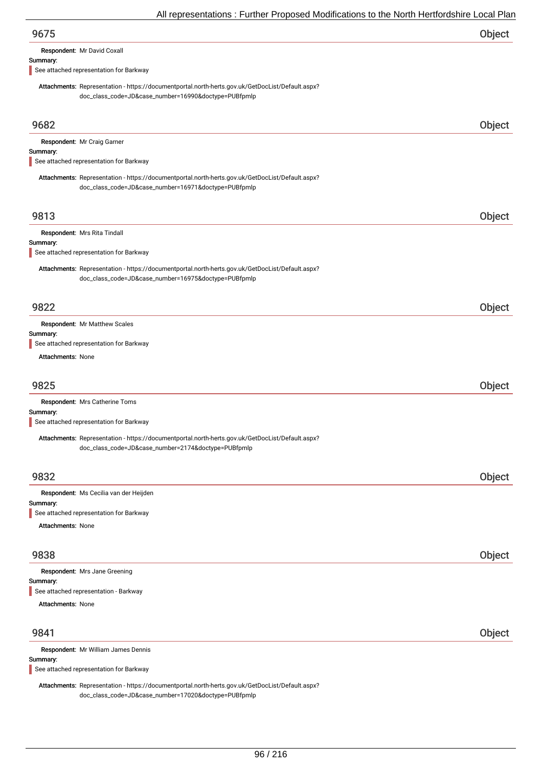Respondent: Mr David Coxall

#### Summary:

See attached representation for Barkway

Attachments: Representation - https://documentportal.north-herts.gov.uk/GetDocList/Default.aspx? doc\_class\_code=JD&case\_number=16990&doctype=PUBfpmlp

| 9682                                                                                                                                                     | Object |
|----------------------------------------------------------------------------------------------------------------------------------------------------------|--------|
| Respondent: Mr Craig Garner                                                                                                                              |        |
| Summary:<br>See attached representation for Barkway                                                                                                      |        |
|                                                                                                                                                          |        |
| Attachments: Representation - https://documentportal.north-herts.gov.uk/GetDocList/Default.aspx?<br>doc_class_code=JD&case_number=16971&doctype=PUBfpmlp |        |
|                                                                                                                                                          |        |
| 9813                                                                                                                                                     | Object |
| Respondent: Mrs Rita Tindall                                                                                                                             |        |
| Summary:<br>See attached representation for Barkway                                                                                                      |        |
| Attachments: Representation - https://documentportal.north-herts.gov.uk/GetDocList/Default.aspx?                                                         |        |
| doc_class_code=JD&case_number=16975&doctype=PUBfpmlp                                                                                                     |        |
|                                                                                                                                                          |        |
| 9822                                                                                                                                                     | Object |
| Respondent: Mr Matthew Scales                                                                                                                            |        |
| Summary:                                                                                                                                                 |        |
| See attached representation for Barkway                                                                                                                  |        |
| <b>Attachments: None</b>                                                                                                                                 |        |
| 9825                                                                                                                                                     | Object |
| Respondent: Mrs Catherine Toms                                                                                                                           |        |
| Summary:                                                                                                                                                 |        |
| See attached representation for Barkway                                                                                                                  |        |
| Attachments: Representation - https://documentportal.north-herts.gov.uk/GetDocList/Default.aspx?<br>doc_class_code=JD&case_number=2174&doctype=PUBfpmlp  |        |
|                                                                                                                                                          |        |
| 9832                                                                                                                                                     | Object |
|                                                                                                                                                          |        |
| Respondent: Ms Cecilia van der Heijden<br>Summary:                                                                                                       |        |
| See attached representation for Barkway                                                                                                                  |        |
| <b>Attachments: None</b>                                                                                                                                 |        |
| 9838                                                                                                                                                     | Object |
|                                                                                                                                                          |        |
| Respondent: Mrs Jane Greening<br>Summary:                                                                                                                |        |
| See attached representation - Barkway                                                                                                                    |        |
| <b>Attachments: None</b>                                                                                                                                 |        |
|                                                                                                                                                          |        |
| 9841                                                                                                                                                     | Object |
| Respondent: Mr William James Dennis                                                                                                                      |        |
| Summary:<br>See attached representation for Barkway                                                                                                      |        |

Attachments: Representation - https://documentportal.north-herts.gov.uk/GetDocList/Default.aspx? doc\_class\_code=JD&case\_number=17020&doctype=PUBfpmlp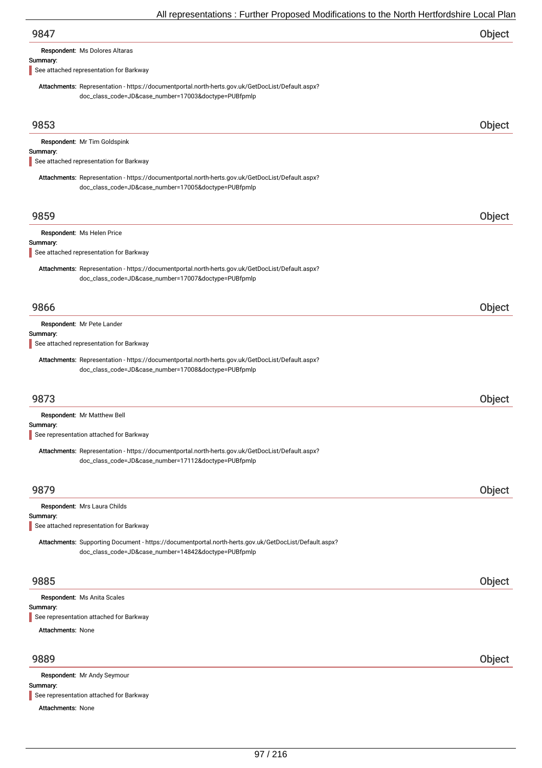| 9847 | Object |
|------|--------|
|      |        |

Respondent: Ms Dolores Altaras

#### Summary:

See attached representation for Barkway

Attachments: Representation - https://documentportal.north-herts.gov.uk/GetDocList/Default.aspx? doc\_class\_code=JD&case\_number=17003&doctype=PUBfpmlp

| 9853                     |                                                                                                                                                               | Object |
|--------------------------|---------------------------------------------------------------------------------------------------------------------------------------------------------------|--------|
|                          | Respondent: Mr Tim Goldspink                                                                                                                                  |        |
| Summary:                 | See attached representation for Barkway                                                                                                                       |        |
|                          | Attachments: Representation - https://documentportal.north-herts.gov.uk/GetDocList/Default.aspx?<br>doc_class_code=JD&case_number=17005&doctype=PUBfpmlp      |        |
| 9859                     |                                                                                                                                                               | Object |
| Summary:                 | Respondent: Ms Helen Price                                                                                                                                    |        |
|                          | See attached representation for Barkway                                                                                                                       |        |
|                          | Attachments: Representation - https://documentportal.north-herts.gov.uk/GetDocList/Default.aspx?<br>doc_class_code=JD&case_number=17007&doctype=PUBfpmlp      |        |
| 9866                     |                                                                                                                                                               | Object |
| Summary:                 | Respondent: Mr Pete Lander                                                                                                                                    |        |
|                          | See attached representation for Barkway                                                                                                                       |        |
|                          | Attachments: Representation - https://documentportal.north-herts.gov.uk/GetDocList/Default.aspx?<br>doc_class_code=JD&case_number=17008&doctype=PUBfpmlp      |        |
| 9873                     |                                                                                                                                                               | Object |
|                          | Respondent: Mr Matthew Bell                                                                                                                                   |        |
| Summary:                 | See representation attached for Barkway                                                                                                                       |        |
|                          | Attachments: Representation - https://documentportal.north-herts.gov.uk/GetDocList/Default.aspx?<br>doc_class_code=JD&case_number=17112&doctype=PUBfpmlp      |        |
| 9879                     |                                                                                                                                                               | Object |
|                          | Respondent: Mrs Laura Childs                                                                                                                                  |        |
| Summary:                 | See attached representation for Barkway                                                                                                                       |        |
|                          | Attachments: Supporting Document - https://documentportal.north-herts.gov.uk/GetDocList/Default.aspx?<br>doc_class_code=JD&case_number=14842&doctype=PUBfpmlp |        |
| 9885                     |                                                                                                                                                               | Object |
|                          | Respondent: Ms Anita Scales                                                                                                                                   |        |
| Summary:                 | See representation attached for Barkway                                                                                                                       |        |
| <b>Attachments: None</b> |                                                                                                                                                               |        |
| 9889                     |                                                                                                                                                               | Object |
|                          | Respondent: Mr Andy Seymour                                                                                                                                   |        |

See representation attached for Barkway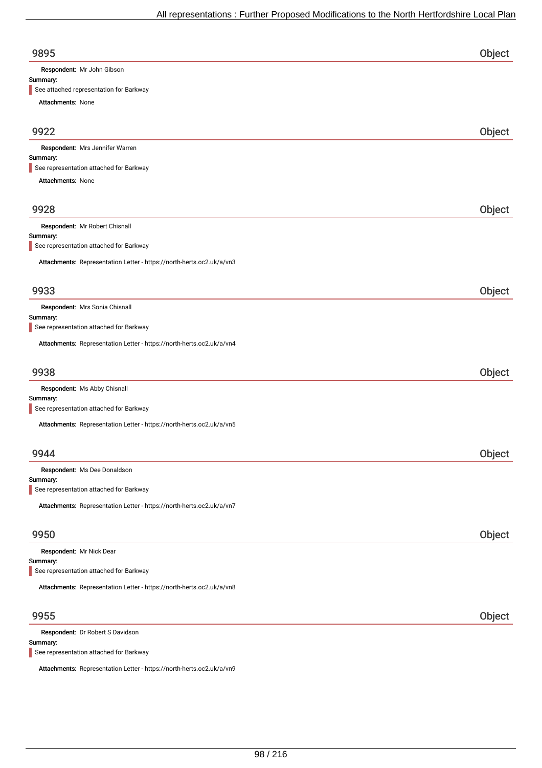| 9895                                                                  | Object |
|-----------------------------------------------------------------------|--------|
| Respondent: Mr John Gibson                                            |        |
| Summary:<br>See attached representation for Barkway                   |        |
| Attachments: None                                                     |        |
|                                                                       |        |
| 9922                                                                  | Object |
| Respondent: Mrs Jennifer Warren                                       |        |
| Summary:<br>See representation attached for Barkway                   |        |
| Attachments: None                                                     |        |
|                                                                       |        |
| 9928                                                                  | Object |
| Respondent: Mr Robert Chisnall                                        |        |
| Summary:                                                              |        |
| See representation attached for Barkway                               |        |
| Attachments: Representation Letter - https://north-herts.oc2.uk/a/vn3 |        |
|                                                                       |        |
| 9933                                                                  | Object |
| Respondent: Mrs Sonia Chisnall<br>Summary:                            |        |
| See representation attached for Barkway                               |        |
| Attachments: Representation Letter - https://north-herts.oc2.uk/a/vn4 |        |
| 9938                                                                  | Object |
| Respondent: Ms Abby Chisnall                                          |        |
| Summary:                                                              |        |
| See representation attached for Barkway                               |        |
| Attachments: Representation Letter - https://north-herts.oc2.uk/a/vn5 |        |
|                                                                       |        |
| 9944                                                                  | Object |
| Respondent: Ms Dee Donaldson<br>Summary:                              |        |
| See representation attached for Barkway                               |        |
| Attachments: Representation Letter - https://north-herts.oc2.uk/a/vn7 |        |
|                                                                       |        |
| 9950                                                                  | Object |
| Respondent: Mr Nick Dear                                              |        |
| Summary:<br>See representation attached for Barkway                   |        |
|                                                                       |        |
| Attachments: Representation Letter - https://north-herts.oc2.uk/a/vn8 |        |
| 9955                                                                  | Object |
| Respondent: Dr Robert S Davidson                                      |        |
| Summary:                                                              |        |

See representation attached for Barkway

Attachments: Representation Letter - https://north-herts.oc2.uk/a/vn9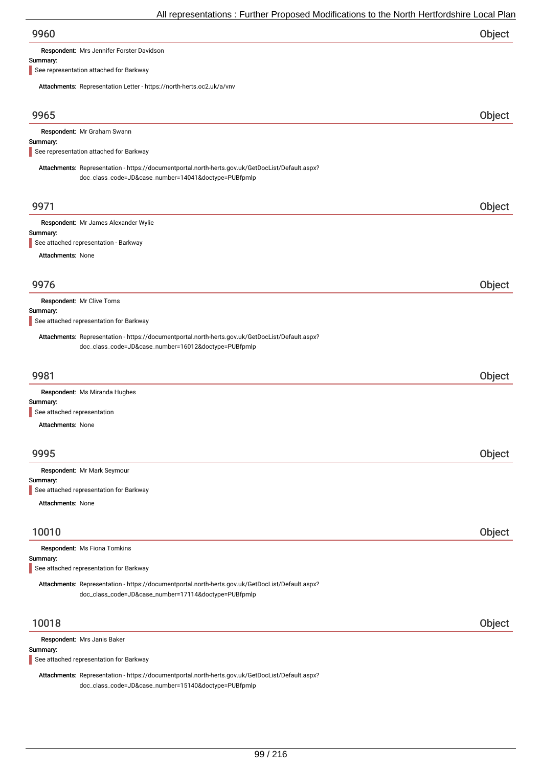Respondent: Mrs Jennifer Forster Davidson

#### Summary:

See representation attached for Barkway

Attachments: Representation Letter - https://north-herts.oc2.uk/a/vnv

| Attachments. Representation Letter - https://north-nerts.ocz.uk/d/viiv                                                                                   |        |
|----------------------------------------------------------------------------------------------------------------------------------------------------------|--------|
| 9965                                                                                                                                                     | Object |
| Respondent: Mr Graham Swann                                                                                                                              |        |
| Summary:<br>See representation attached for Barkway                                                                                                      |        |
| Attachments: Representation - https://documentportal.north-herts.gov.uk/GetDocList/Default.aspx?                                                         |        |
| doc_class_code=JD&case_number=14041&doctype=PUBfpmlp                                                                                                     |        |
| 9971                                                                                                                                                     | Object |
| Respondent: Mr James Alexander Wylie                                                                                                                     |        |
| Summary:<br>See attached representation - Barkway                                                                                                        |        |
| Attachments: None                                                                                                                                        |        |
|                                                                                                                                                          |        |
| 9976                                                                                                                                                     | Object |
| Respondent: Mr Clive Toms                                                                                                                                |        |
| Summary:                                                                                                                                                 |        |
| See attached representation for Barkway                                                                                                                  |        |
| Attachments: Representation - https://documentportal.north-herts.gov.uk/GetDocList/Default.aspx?<br>doc_class_code=JD&case_number=16012&doctype=PUBfpmlp |        |
| 9981                                                                                                                                                     | Object |
| Respondent: Ms Miranda Hughes                                                                                                                            |        |
| Summary:<br>See attached representation                                                                                                                  |        |
| <b>Attachments: None</b>                                                                                                                                 |        |
|                                                                                                                                                          |        |
| 9995                                                                                                                                                     | Object |
| Respondent: Mr Mark Seymour                                                                                                                              |        |
| Summary:                                                                                                                                                 |        |
| See attached representation for Barkway<br><b>Attachments: None</b>                                                                                      |        |
|                                                                                                                                                          |        |
| 10010                                                                                                                                                    | Object |
| Respondent: Ms Fiona Tomkins                                                                                                                             |        |
| Summary:<br>See attached representation for Barkway                                                                                                      |        |
| Attachments: Representation - https://documentportal.north-herts.gov.uk/GetDocList/Default.aspx?                                                         |        |
| doc_class_code=JD&case_number=17114&doctype=PUBfpmlp                                                                                                     |        |
| 10018                                                                                                                                                    | Object |
| Respondent: Mrs Janis Baker                                                                                                                              |        |
| Summary:                                                                                                                                                 |        |
| See attached representation for Barkway                                                                                                                  |        |

Attachments: Representation - https://documentportal.north-herts.gov.uk/GetDocList/Default.aspx? doc\_class\_code=JD&case\_number=15140&doctype=PUBfpmlp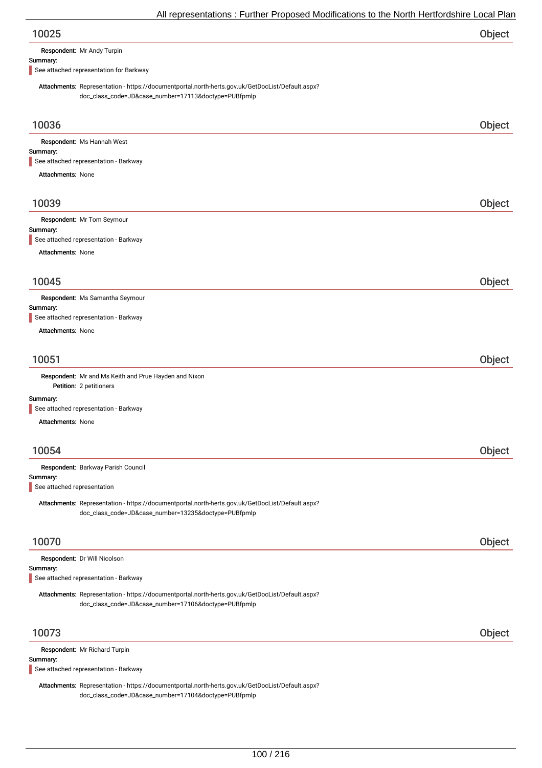| 10025 | Object |
|-------|--------|
|-------|--------|

Respondent: Mr Andy Turpin

#### Summary:

See attached representation for Barkway

Attachments: Representation - https://documentportal.north-herts.gov.uk/GetDocList/Default.aspx? doc\_class\_code=JD&case\_number=17113&doctype=PUBfpmlp

| 10036                                                                                                                                                    | Object |
|----------------------------------------------------------------------------------------------------------------------------------------------------------|--------|
| Respondent: Ms Hannah West                                                                                                                               |        |
| Summary:<br>See attached representation - Barkway                                                                                                        |        |
| <b>Attachments: None</b>                                                                                                                                 |        |
|                                                                                                                                                          |        |
| 10039                                                                                                                                                    | Object |
| Respondent: Mr Tom Seymour                                                                                                                               |        |
| Summary:<br>See attached representation - Barkway                                                                                                        |        |
| Attachments: None                                                                                                                                        |        |
|                                                                                                                                                          |        |
| 10045                                                                                                                                                    | Object |
| Respondent: Ms Samantha Seymour                                                                                                                          |        |
| Summary:                                                                                                                                                 |        |
| See attached representation - Barkway<br><b>Attachments: None</b>                                                                                        |        |
|                                                                                                                                                          |        |
|                                                                                                                                                          |        |
| 10051                                                                                                                                                    | Object |
| Respondent: Mr and Ms Keith and Prue Hayden and Nixon<br>Petition: 2 petitioners                                                                         |        |
| Summary:                                                                                                                                                 |        |
| See attached representation - Barkway                                                                                                                    |        |
| <b>Attachments: None</b>                                                                                                                                 |        |
|                                                                                                                                                          |        |
| 10054                                                                                                                                                    | Object |
| Respondent: Barkway Parish Council                                                                                                                       |        |
| Summary:                                                                                                                                                 |        |
| See attached representation                                                                                                                              |        |
| Attachments: Representation - https://documentportal.north-herts.gov.uk/GetDocList/Default.aspx?<br>doc_class_code=JD&case_number=13235&doctype=PUBfpmlp |        |
|                                                                                                                                                          |        |
| 10070                                                                                                                                                    | Object |
| Respondent: Dr Will Nicolson                                                                                                                             |        |
| Summary:<br>See attached representation - Barkway                                                                                                        |        |
|                                                                                                                                                          |        |
| Attachments: Representation - https://documentportal.north-herts.gov.uk/GetDocList/Default.aspx?<br>doc_class_code=JD&case_number=17106&doctype=PUBfpmlp |        |
| 10073                                                                                                                                                    | Object |
| Respondent: Mr Richard Turpin                                                                                                                            |        |
| Summary:                                                                                                                                                 |        |
| See attached representation - Barkway                                                                                                                    |        |
| Attachments: Representation - https://documentportal.north-herts.gov.uk/GetDocList/Default.aspx?                                                         |        |

doc\_class\_code=JD&case\_number=17104&doctype=PUBfpmlp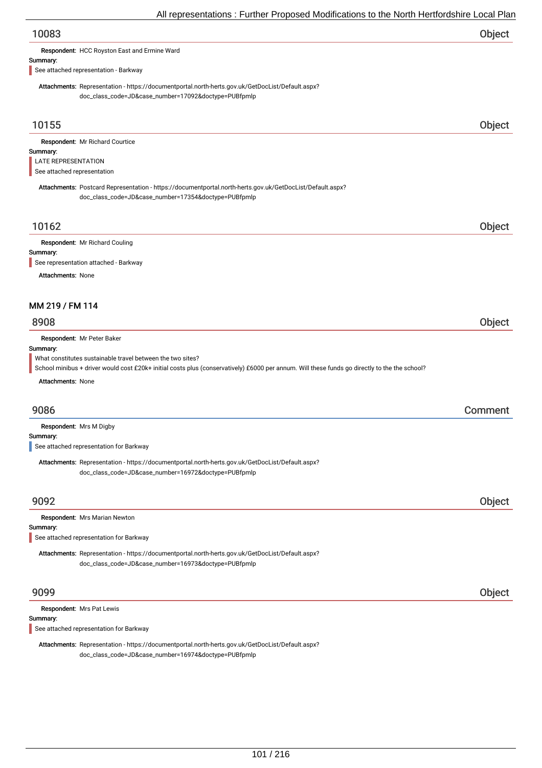| Respondent: HCC Royston East and Ermine Ward<br>Summary:<br>See attached representation - Barkway<br>Attachments: Representation - https://documentportal.north-herts.gov.uk/GetDocList/Default.aspx?<br>doc_class_code=JD&case_number=17092&doctype=PUBfpmlp<br>10155<br>Respondent: Mr Richard Courtice<br>Summary:<br>LATE REPRESENTATION<br>See attached representation<br>Attachments: Postcard Representation - https://documentportal.north-herts.gov.uk/GetDocList/Default.aspx?<br>doc_class_code=JD&case_number=17354&doctype=PUBfpmlp<br>10162<br>Respondent: Mr Richard Couling<br>Summary:<br>See representation attached - Barkway | Object<br>Object |
|--------------------------------------------------------------------------------------------------------------------------------------------------------------------------------------------------------------------------------------------------------------------------------------------------------------------------------------------------------------------------------------------------------------------------------------------------------------------------------------------------------------------------------------------------------------------------------------------------------------------------------------------------|------------------|
|                                                                                                                                                                                                                                                                                                                                                                                                                                                                                                                                                                                                                                                  |                  |
|                                                                                                                                                                                                                                                                                                                                                                                                                                                                                                                                                                                                                                                  |                  |
|                                                                                                                                                                                                                                                                                                                                                                                                                                                                                                                                                                                                                                                  |                  |
|                                                                                                                                                                                                                                                                                                                                                                                                                                                                                                                                                                                                                                                  |                  |
|                                                                                                                                                                                                                                                                                                                                                                                                                                                                                                                                                                                                                                                  |                  |
|                                                                                                                                                                                                                                                                                                                                                                                                                                                                                                                                                                                                                                                  |                  |
|                                                                                                                                                                                                                                                                                                                                                                                                                                                                                                                                                                                                                                                  |                  |
|                                                                                                                                                                                                                                                                                                                                                                                                                                                                                                                                                                                                                                                  |                  |
|                                                                                                                                                                                                                                                                                                                                                                                                                                                                                                                                                                                                                                                  |                  |
|                                                                                                                                                                                                                                                                                                                                                                                                                                                                                                                                                                                                                                                  |                  |
|                                                                                                                                                                                                                                                                                                                                                                                                                                                                                                                                                                                                                                                  |                  |
|                                                                                                                                                                                                                                                                                                                                                                                                                                                                                                                                                                                                                                                  |                  |
| <b>Attachments: None</b>                                                                                                                                                                                                                                                                                                                                                                                                                                                                                                                                                                                                                         |                  |
|                                                                                                                                                                                                                                                                                                                                                                                                                                                                                                                                                                                                                                                  |                  |
| MM 219 / FM 114                                                                                                                                                                                                                                                                                                                                                                                                                                                                                                                                                                                                                                  |                  |
| 8908                                                                                                                                                                                                                                                                                                                                                                                                                                                                                                                                                                                                                                             | Object           |
|                                                                                                                                                                                                                                                                                                                                                                                                                                                                                                                                                                                                                                                  |                  |
| Respondent: Mr Peter Baker<br>Summary:                                                                                                                                                                                                                                                                                                                                                                                                                                                                                                                                                                                                           |                  |
| What constitutes sustainable travel between the two sites?                                                                                                                                                                                                                                                                                                                                                                                                                                                                                                                                                                                       |                  |
| School minibus + driver would cost £20k+ initial costs plus (conservatively) £6000 per annum. Will these funds go directly to the the school?<br><b>Attachments: None</b>                                                                                                                                                                                                                                                                                                                                                                                                                                                                        |                  |
|                                                                                                                                                                                                                                                                                                                                                                                                                                                                                                                                                                                                                                                  |                  |
| 9086                                                                                                                                                                                                                                                                                                                                                                                                                                                                                                                                                                                                                                             | Comment          |
| Respondent: Mrs M Digby                                                                                                                                                                                                                                                                                                                                                                                                                                                                                                                                                                                                                          |                  |
| Summary:                                                                                                                                                                                                                                                                                                                                                                                                                                                                                                                                                                                                                                         |                  |
| See attached representation for Barkway                                                                                                                                                                                                                                                                                                                                                                                                                                                                                                                                                                                                          |                  |
| Attachments: Representation - https://documentportal.north-herts.gov.uk/GetDocList/Default.aspx?<br>doc_class_code=JD&case_number=16972&doctype=PUBfpmlp                                                                                                                                                                                                                                                                                                                                                                                                                                                                                         |                  |
|                                                                                                                                                                                                                                                                                                                                                                                                                                                                                                                                                                                                                                                  |                  |
| 9092                                                                                                                                                                                                                                                                                                                                                                                                                                                                                                                                                                                                                                             | Object           |
| Respondent: Mrs Marian Newton<br>Summary:                                                                                                                                                                                                                                                                                                                                                                                                                                                                                                                                                                                                        |                  |
| See attached representation for Barkway                                                                                                                                                                                                                                                                                                                                                                                                                                                                                                                                                                                                          |                  |
| Attachments: Representation - https://documentportal.north-herts.gov.uk/GetDocList/Default.aspx?                                                                                                                                                                                                                                                                                                                                                                                                                                                                                                                                                 |                  |
| doc_class_code=JD&case_number=16973&doctype=PUBfpmlp                                                                                                                                                                                                                                                                                                                                                                                                                                                                                                                                                                                             |                  |
| 9099                                                                                                                                                                                                                                                                                                                                                                                                                                                                                                                                                                                                                                             | Object           |
| Respondent: Mrs Pat Lewis                                                                                                                                                                                                                                                                                                                                                                                                                                                                                                                                                                                                                        |                  |

See attached representation for Barkway

Attachments: Representation - https://documentportal.north-herts.gov.uk/GetDocList/Default.aspx? doc\_class\_code=JD&case\_number=16974&doctype=PUBfpmlp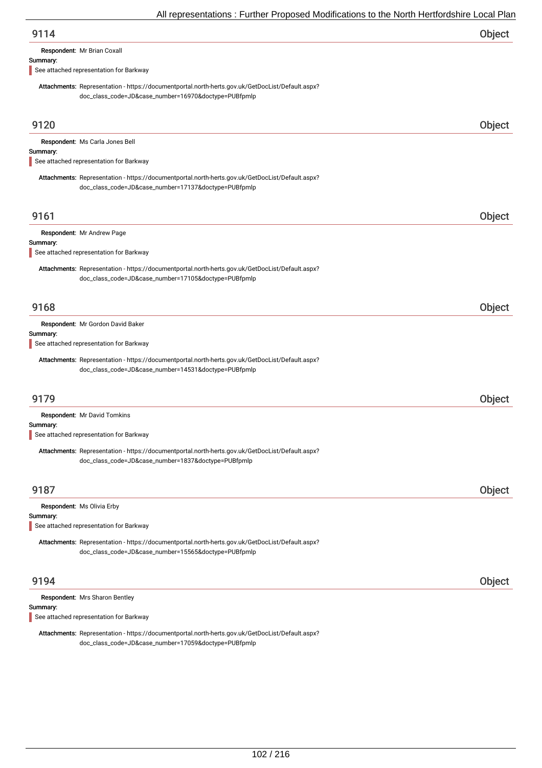| Object |
|--------|
|        |

Respondent: Mr Brian Coxall

#### Summary:

See attached representation for Barkway

Attachments: Representation - https://documentportal.north-herts.gov.uk/GetDocList/Default.aspx? doc\_class\_code=JD&case\_number=16970&doctype=PUBfpmlp

| 9120                                                                                                                                                                                         | <b>Object</b> |
|----------------------------------------------------------------------------------------------------------------------------------------------------------------------------------------------|---------------|
| Respondent: Ms Carla Jones Bell<br>Summary:<br>See attached representation for Barkway                                                                                                       |               |
| Attachments: Representation - https://documentportal.north-herts.gov.uk/GetDocList/Default.aspx?<br>doc_class_code=JD&case_number=17137&doctype=PUBfpmlp                                     |               |
| 9161                                                                                                                                                                                         | Object        |
| Respondent: Mr Andrew Page<br>Summary:<br>See attached representation for Barkway                                                                                                            |               |
| Attachments: Representation - https://documentportal.north-herts.gov.uk/GetDocList/Default.aspx?<br>doc_class_code=JD&case_number=17105&doctype=PUBfpmlp                                     |               |
| 9168                                                                                                                                                                                         | Object        |
| Respondent: Mr Gordon David Baker<br>Summary:<br>See attached representation for Barkway<br>Attachments: Representation - https://documentportal.north-herts.gov.uk/GetDocList/Default.aspx? |               |
| doc_class_code=JD&case_number=14531&doctype=PUBfpmlp                                                                                                                                         |               |
| 9179                                                                                                                                                                                         | Object        |
| Respondent: Mr David Tomkins<br>Summary:                                                                                                                                                     |               |
| See attached representation for Barkway                                                                                                                                                      |               |
| Attachments: Representation - https://documentportal.north-herts.gov.uk/GetDocList/Default.aspx?<br>doc_class_code=JD&case_number=1837&doctype=PUBfpmlp                                      |               |
| 9187                                                                                                                                                                                         | Object        |
| Respondent: Ms Olivia Erby<br>Summary:<br>See attached representation for Barkway                                                                                                            |               |
| Attachments: Representation - https://documentportal.north-herts.gov.uk/GetDocList/Default.aspx?<br>doc_class_code=JD&case_number=15565&doctype=PUBfpmlp                                     |               |
| 9194                                                                                                                                                                                         | Object        |
| Respondent: Mrs Sharon Bentley<br>Summary:                                                                                                                                                   |               |

See attached representation for Barkway

Attachments: Representation - https://documentportal.north-herts.gov.uk/GetDocList/Default.aspx? doc\_class\_code=JD&case\_number=17059&doctype=PUBfpmlp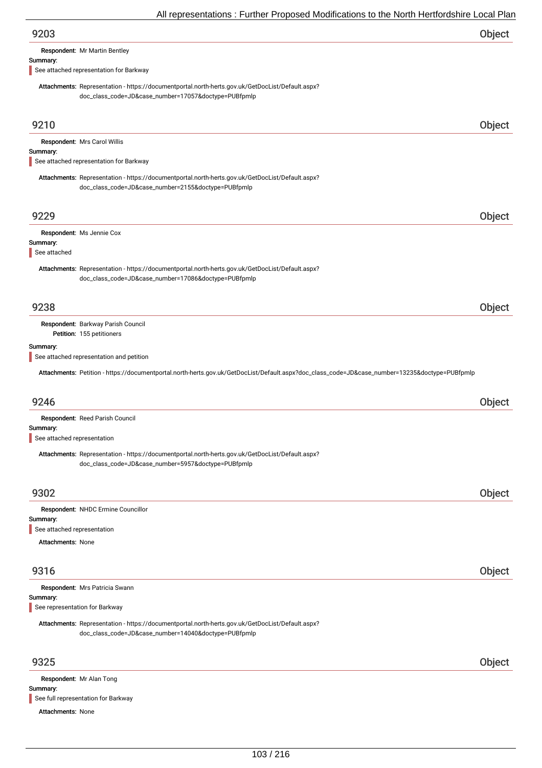| 9203                                 |  |
|--------------------------------------|--|
| <b>Respondent:</b> Mr Martin Bentley |  |

#### Summary:

See attached representation for Barkway

Attachments: Representation - https://documentportal.north-herts.gov.uk/GetDocList/Default.aspx? doc\_class\_code=JD&case\_number=17057&doctype=PUBfpmlp

| 9210                                    |                                                                                                                                                          | Object |
|-----------------------------------------|----------------------------------------------------------------------------------------------------------------------------------------------------------|--------|
| Summary:                                | Respondent: Mrs Carol Willis                                                                                                                             |        |
|                                         | See attached representation for Barkway                                                                                                                  |        |
|                                         | Attachments: Representation - https://documentportal.north-herts.gov.uk/GetDocList/Default.aspx?<br>doc_class_code=JD&case_number=2155&doctype=PUBfpmlp  |        |
| 9229                                    |                                                                                                                                                          | Object |
|                                         | Respondent: Ms Jennie Cox                                                                                                                                |        |
| Summary:<br>See attached                |                                                                                                                                                          |        |
|                                         | Attachments: Representation - https://documentportal.north-herts.gov.uk/GetDocList/Default.aspx?<br>doc_class_code=JD&case_number=17086&doctype=PUBfpmlp |        |
| 9238                                    |                                                                                                                                                          | Object |
|                                         | Respondent: Barkway Parish Council<br>Petition: 155 petitioners                                                                                          |        |
| Summary:                                |                                                                                                                                                          |        |
|                                         | See attached representation and petition                                                                                                                 |        |
|                                         | Attachments: Petition - https://documentportal.north-herts.gov.uk/GetDocList/Default.aspx?doc_class_code=JD&case_number=13235&doctype=PUBfpmlp           |        |
| 9246                                    |                                                                                                                                                          | Object |
|                                         | Respondent: Reed Parish Council                                                                                                                          |        |
| Summary:<br>See attached representation |                                                                                                                                                          |        |
|                                         | Attachments: Representation - https://documentportal.north-herts.gov.uk/GetDocList/Default.aspx?<br>doc_class_code=JD&case_number=5957&doctype=PUBfpmlp  |        |
| 9302                                    |                                                                                                                                                          | Object |
|                                         | Respondent: NHDC Ermine Councillor                                                                                                                       |        |
| summary:                                |                                                                                                                                                          |        |
| See attached representation             |                                                                                                                                                          |        |
| Attachments: None                       |                                                                                                                                                          |        |
| 9316                                    |                                                                                                                                                          | Object |
|                                         | Respondent: Mrs Patricia Swann                                                                                                                           |        |
| Summary:                                | See representation for Barkway                                                                                                                           |        |
|                                         |                                                                                                                                                          |        |
|                                         | Attachments: Representation - https://documentportal.north-herts.gov.uk/GetDocList/Default.aspx?<br>doc_class_code=JD&case_number=14040&doctype=PUBfpmlp |        |
| 9325                                    |                                                                                                                                                          | Object |
|                                         | Respondent: Mr Alan Tong                                                                                                                                 |        |

Summary:

See full representation for Barkway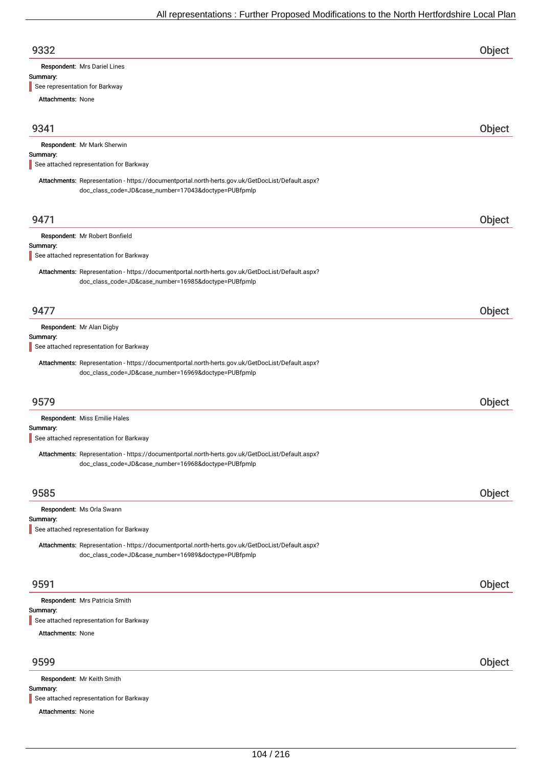| 9332 | Object |
|------|--------|
|      |        |

Respondent: Mrs Dariel Lines

#### Summary:

See representation for Barkway

Attachments: None

| 9341                     |                                                                                                                                                          | Object |
|--------------------------|----------------------------------------------------------------------------------------------------------------------------------------------------------|--------|
|                          | Respondent: Mr Mark Sherwin                                                                                                                              |        |
| Summary:                 | See attached representation for Barkway                                                                                                                  |        |
|                          | Attachments: Representation - https://documentportal.north-herts.gov.uk/GetDocList/Default.aspx?<br>doc_class_code=JD&case_number=17043&doctype=PUBfpmlp |        |
| 9471                     |                                                                                                                                                          | Object |
| Summary:                 | Respondent: Mr Robert Bonfield                                                                                                                           |        |
|                          | See attached representation for Barkway                                                                                                                  |        |
|                          | Attachments: Representation - https://documentportal.north-herts.gov.uk/GetDocList/Default.aspx?<br>doc_class_code=JD&case_number=16985&doctype=PUBfpmlp |        |
| 9477                     |                                                                                                                                                          | Object |
|                          | Respondent: Mr Alan Digby                                                                                                                                |        |
| Summary:                 | See attached representation for Barkway                                                                                                                  |        |
|                          | Attachments: Representation - https://documentportal.north-herts.gov.uk/GetDocList/Default.aspx?<br>doc_class_code=JD&case_number=16969&doctype=PUBfpmlp |        |
| 9579                     |                                                                                                                                                          | Object |
| Summary:                 | Respondent: Miss Emilie Hales<br>See attached representation for Barkway                                                                                 |        |
|                          | Attachments: Representation - https://documentportal.north-herts.gov.uk/GetDocList/Default.aspx?<br>doc_class_code=JD&case_number=16968&doctype=PUBfpmlp |        |
| 9585                     |                                                                                                                                                          | Object |
|                          | Respondent: Ms Orla Swann                                                                                                                                |        |
| Summary:                 | See attached representation for Barkway                                                                                                                  |        |
|                          | Attachments: Representation - https://documentportal.north-herts.gov.uk/GetDocList/Default.aspx?<br>doc_class_code=JD&case_number=16989&doctype=PUBfpmlp |        |
| 9591                     |                                                                                                                                                          | Object |
|                          | Respondent: Mrs Patricia Smith                                                                                                                           |        |
| Summary:                 | See attached representation for Barkway                                                                                                                  |        |
| <b>Attachments: None</b> |                                                                                                                                                          |        |
|                          |                                                                                                                                                          |        |
| 9599                     |                                                                                                                                                          | Object |
|                          | Respondent: Mr Keith Smith                                                                                                                               |        |
| Summary:                 | See attached representation for Barkway                                                                                                                  |        |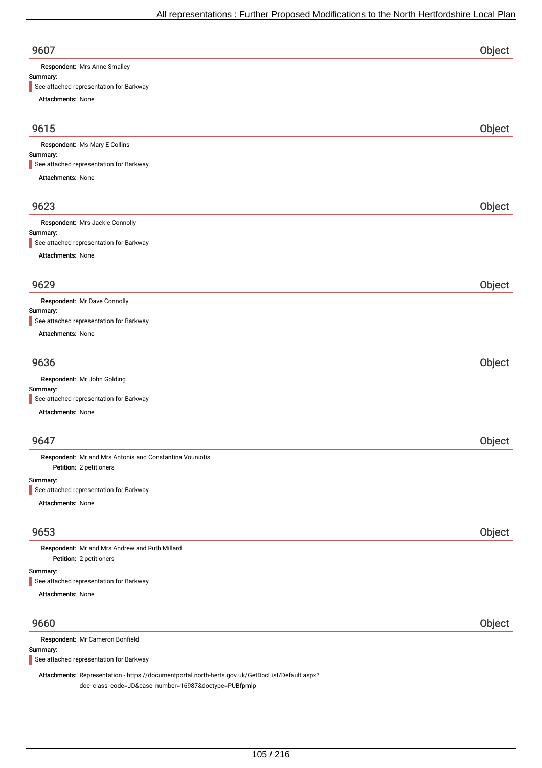| 9607                         | וכטנ |
|------------------------------|------|
| Respondent: Mrs Anne Smalley |      |

#### Summary:

See attached representation for Barkway

| Attachments: None                                                                   |        |
|-------------------------------------------------------------------------------------|--------|
| 9615                                                                                | Object |
| Respondent: Ms Mary E Collins                                                       |        |
| Summary:                                                                            |        |
| See attached representation for Barkway                                             |        |
| Attachments: None                                                                   |        |
| 9623                                                                                | Object |
| Respondent: Mrs Jackie Connolly                                                     |        |
| Summary:                                                                            |        |
| See attached representation for Barkway                                             |        |
| <b>Attachments: None</b>                                                            |        |
|                                                                                     |        |
| 9629                                                                                | Object |
| Respondent: Mr Dave Connolly                                                        |        |
| Summary:<br>See attached representation for Barkway                                 |        |
| <b>Attachments: None</b>                                                            |        |
|                                                                                     |        |
| 9636                                                                                | Object |
| Respondent: Mr John Golding                                                         |        |
| Summary:                                                                            |        |
| See attached representation for Barkway                                             |        |
| <b>Attachments: None</b>                                                            |        |
| 9647                                                                                | Object |
| Respondent: Mr and Mrs Antonis and Constantina Vouniotis<br>Petition: 2 petitioners |        |
| Summary:                                                                            |        |
| See attached representation for Barkway                                             |        |
| Attachments: None                                                                   |        |
| 9653                                                                                | Object |
| Respondent: Mr and Mrs Andrew and Ruth Millard<br>Petition: 2 petitioners           |        |
| Summary:<br>See attached representation for Barkway                                 |        |

Attachments: None

### 9660 Object

| Respondent: Mr Cameron Bonfield                                                                  |  |
|--------------------------------------------------------------------------------------------------|--|
| Summary:                                                                                         |  |
| See attached representation for Barkway                                                          |  |
|                                                                                                  |  |
| Attachments: Representation - https://documentportal.north-herts.gov.uk/GetDocList/Default.aspx? |  |
|                                                                                                  |  |

doc\_class\_code=JD&case\_number=16987&doctype=PUBfpmlp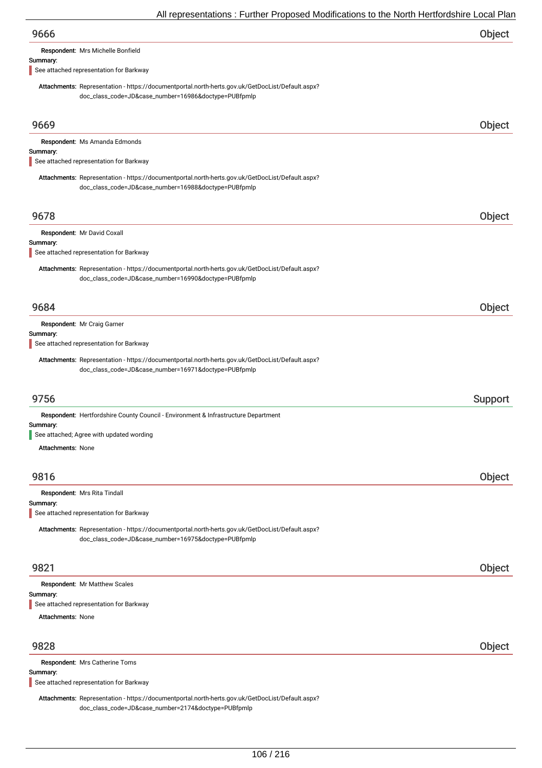| All representations : Further Proposed Modifications to the North Hertfordshire Local Plan                                                               |         |
|----------------------------------------------------------------------------------------------------------------------------------------------------------|---------|
| 9666                                                                                                                                                     | Object  |
| Respondent: Mrs Michelle Bonfield                                                                                                                        |         |
| Summary:<br>See attached representation for Barkway                                                                                                      |         |
| Attachments: Representation - https://documentportal.north-herts.gov.uk/GetDocList/Default.aspx?<br>doc_class_code=JD&case_number=16986&doctype=PUBfpmlp |         |
| 9669                                                                                                                                                     | Object  |
| Respondent: Ms Amanda Edmonds                                                                                                                            |         |
| Summary:<br>See attached representation for Barkway                                                                                                      |         |
| Attachments: Representation - https://documentportal.north-herts.gov.uk/GetDocList/Default.aspx?<br>doc_class_code=JD&case_number=16988&doctype=PUBfpmlp |         |
| 9678                                                                                                                                                     | Object  |
| Respondent: Mr David Coxall                                                                                                                              |         |
| Summary:<br>See attached representation for Barkway                                                                                                      |         |
| Attachments: Representation - https://documentportal.north-herts.gov.uk/GetDocList/Default.aspx?<br>doc_class_code=JD&case_number=16990&doctype=PUBfpmlp |         |
| 9684                                                                                                                                                     | Object  |
| Respondent: Mr Craig Garner                                                                                                                              |         |
| Summary:<br>See attached representation for Barkway                                                                                                      |         |
| Attachments: Representation - https://documentportal.north-herts.gov.uk/GetDocList/Default.aspx?<br>doc_class_code=JD&case_number=16971&doctype=PUBfpmlp |         |
| 9756                                                                                                                                                     | Support |
| Respondent: Hertfordshire County Council - Environment & Infrastructure Department                                                                       |         |
| Summary:<br>See attached; Agree with updated wording                                                                                                     |         |
| <b>Attachments: None</b>                                                                                                                                 |         |
|                                                                                                                                                          |         |
| 9816<br>Respondent: Mrs Rita Tindall                                                                                                                     | Object  |
| Summary:<br>See attached representation for Barkway                                                                                                      |         |
| Attachments: Representation - https://documentportal.north-herts.gov.uk/GetDocList/Default.aspx?<br>doc_class_code=JD&case_number=16975&doctype=PUBfpmlp |         |
| 9821                                                                                                                                                     | Object  |
| Respondent: Mr Matthew Scales                                                                                                                            |         |
| Summary:<br>See attached representation for Barkway                                                                                                      |         |
| <b>Attachments: None</b>                                                                                                                                 |         |
|                                                                                                                                                          |         |
| 9828                                                                                                                                                     | Object  |

Respondent: Mrs Catherine Toms

### Summary:

See attached representation for Barkway

Attachments: Representation - https://documentportal.north-herts.gov.uk/GetDocList/Default.aspx? doc\_class\_code=JD&case\_number=2174&doctype=PUBfpmlp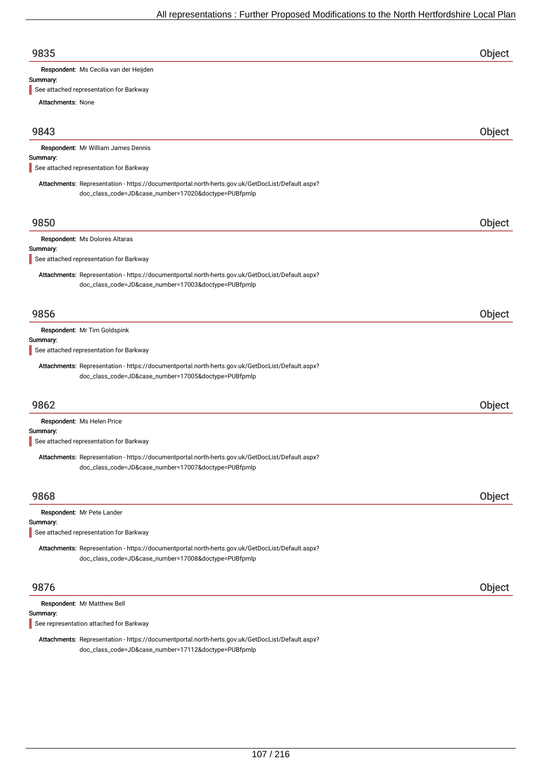| 9835                                                                                             | Object |
|--------------------------------------------------------------------------------------------------|--------|
| Respondent: Ms Cecilia van der Heijden                                                           |        |
| Summary:                                                                                         |        |
| See attached representation for Barkway                                                          |        |
| <b>Attachments: None</b>                                                                         |        |
| 9843                                                                                             | Object |
| Respondent: Mr William James Dennis                                                              |        |
| Summary:                                                                                         |        |
| See attached representation for Barkway                                                          |        |
| Attachments: Representation - https://documentportal.north-herts.gov.uk/GetDocList/Default.aspx? |        |
| doc_class_code=JD&case_number=17020&doctype=PUBfpmlp                                             |        |

### 9850 Object

### Respondent: Ms Dolores Altaras

Summary:

See attached representation for Barkway

Attachments: Representation - https://documentportal.north-herts.gov.uk/GetDocList/Default.aspx? doc\_class\_code=JD&case\_number=17003&doctype=PUBfpmlp

### 9856 Object

Respondent: Mr Tim Goldspink

#### Summary:

See attached representation for Barkway

Attachments: Representation - https://documentportal.north-herts.gov.uk/GetDocList/Default.aspx? doc\_class\_code=JD&case\_number=17005&doctype=PUBfpmlp

### 9862 Object

Respondent: Ms Helen Price

#### Summary:

See attached representation for Barkway

Attachments: Representation - https://documentportal.north-herts.gov.uk/GetDocList/Default.aspx? doc\_class\_code=JD&case\_number=17007&doctype=PUBfpmlp

| 9868                                                                                                                                                     | Object        |
|----------------------------------------------------------------------------------------------------------------------------------------------------------|---------------|
| Respondent: Mr Pete Lander<br>Summary:<br>See attached representation for Barkway                                                                        |               |
| Attachments: Representation - https://documentportal.north-herts.gov.uk/GetDocList/Default.aspx?<br>doc_class_code=JD&case_number=17008&doctype=PUBfpmlp |               |
| 9876                                                                                                                                                     | <b>Object</b> |

| <b>Respondent: Mr Matthew Bell</b>      |  |
|-----------------------------------------|--|
| Summary:                                |  |
| See representation attached for Barkway |  |

Attachments: Representation - https://documentportal.north-herts.gov.uk/GetDocList/Default.aspx? doc\_class\_code=JD&case\_number=17112&doctype=PUBfpmlp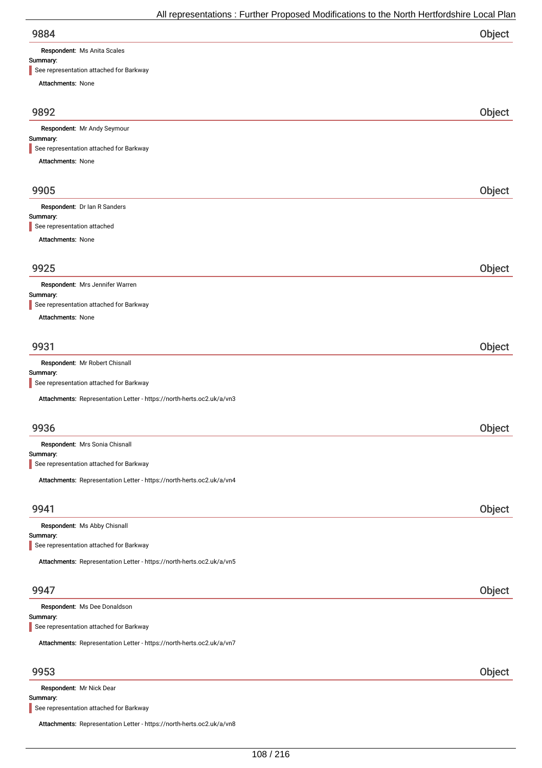Respondent: Ms Anita Scales

### Summary:

| See representation attached for Barkway                               |        |
|-----------------------------------------------------------------------|--------|
| <b>Attachments: None</b>                                              |        |
| 9892                                                                  | Object |
| Respondent: Mr Andy Seymour                                           |        |
| Summary:<br>See representation attached for Barkway                   |        |
| Attachments: None                                                     |        |
|                                                                       |        |
| 9905                                                                  | Object |
| Respondent: Dr Ian R Sanders                                          |        |
| Summary:<br>See representation attached                               |        |
| Attachments: None                                                     |        |
| 9925                                                                  | Object |
| Respondent: Mrs Jennifer Warren                                       |        |
| Summary:                                                              |        |
| See representation attached for Barkway                               |        |
| Attachments: None                                                     |        |
| 9931                                                                  | Object |
| Respondent: Mr Robert Chisnall                                        |        |
| Summary:<br>See representation attached for Barkway                   |        |
| Attachments: Representation Letter - https://north-herts.oc2.uk/a/vn3 |        |
| 9936                                                                  |        |
|                                                                       | Object |
| Respondent: Mrs Sonia Chisnall<br>Summary:                            |        |
| See representation attached for Barkway                               |        |
| Attachments: Representation Letter - https://north-herts.oc2.uk/a/vn4 |        |
| 9941                                                                  | Object |
| Respondent: Ms Abby Chisnall                                          |        |
| Summary:<br>See representation attached for Barkway                   |        |
|                                                                       |        |
| Attachments: Representation Letter - https://north-herts.oc2.uk/a/vn5 |        |
| 9947                                                                  | Object |
| Respondent: Ms Dee Donaldson                                          |        |
| Summary:<br>See representation attached for Barkway                   |        |
| Attachments: Representation Letter - https://north-herts.oc2.uk/a/vn7 |        |
|                                                                       |        |
| 9953                                                                  | Object |
| Respondent: Mr Nick Dear<br>Summary:                                  |        |

See representation attached for Barkway

Attachments: Representation Letter - https://north-herts.oc2.uk/a/vn8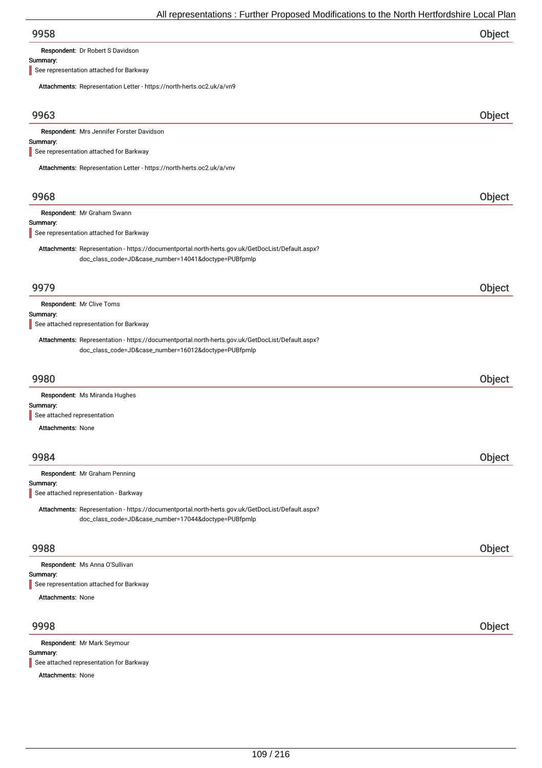| 9958 | Object |
|------|--------|
|      |        |

Respondent: Dr Robert S Davidson

#### Summary:

See representation attached for Barkway

Attachments: Representation Letter - https://north-herts.oc2.uk/a/vn9

| $\frac{1}{1000}$ . The process is the contract of the contract of $\frac{1}{1000}$ . The contract of $\frac{1}{1000}$                                    |        |
|----------------------------------------------------------------------------------------------------------------------------------------------------------|--------|
| 9963                                                                                                                                                     | Object |
| Respondent: Mrs Jennifer Forster Davidson                                                                                                                |        |
| Summary:<br>See representation attached for Barkway                                                                                                      |        |
|                                                                                                                                                          |        |
| Attachments: Representation Letter - https://north-herts.oc2.uk/a/vnv                                                                                    |        |
| 9968                                                                                                                                                     | Object |
| Respondent: Mr Graham Swann                                                                                                                              |        |
| Summary:<br>See representation attached for Barkway                                                                                                      |        |
| Attachments: Representation - https://documentportal.north-herts.gov.uk/GetDocList/Default.aspx?<br>doc_class_code=JD&case_number=14041&doctype=PUBfpmlp |        |
| 9979                                                                                                                                                     | Object |
| Respondent: Mr Clive Toms                                                                                                                                |        |
| Summary:<br>See attached representation for Barkway                                                                                                      |        |
| Attachments: Representation - https://documentportal.north-herts.gov.uk/GetDocList/Default.aspx?<br>doc_class_code=JD&case_number=16012&doctype=PUBfpmlp |        |
| 9980                                                                                                                                                     | Object |
| Respondent: Ms Miranda Hughes                                                                                                                            |        |
| Summary:<br>See attached representation                                                                                                                  |        |
| <b>Attachments: None</b>                                                                                                                                 |        |
|                                                                                                                                                          |        |
| 9984                                                                                                                                                     | Object |
| Respondent: Mr Graham Penning                                                                                                                            |        |
| Summary:<br>See attached representation - Barkway                                                                                                        |        |
| Attachments: Representation - https://documentportal.north-herts.gov.uk/GetDocList/Default.aspx?<br>doc_class_code=JD&case_number=17044&doctype=PUBfpmlp |        |
| 9988                                                                                                                                                     | Object |
| Respondent: Ms Anna O'Sullivan                                                                                                                           |        |
| Summary:<br>See representation attached for Barkway                                                                                                      |        |
| <b>Attachments: None</b>                                                                                                                                 |        |
|                                                                                                                                                          |        |
| 9998                                                                                                                                                     | Object |
| Respondent: Mr Mark Seymour                                                                                                                              |        |
| Summary:<br>See attached representation for Barkway                                                                                                      |        |

Attachments: None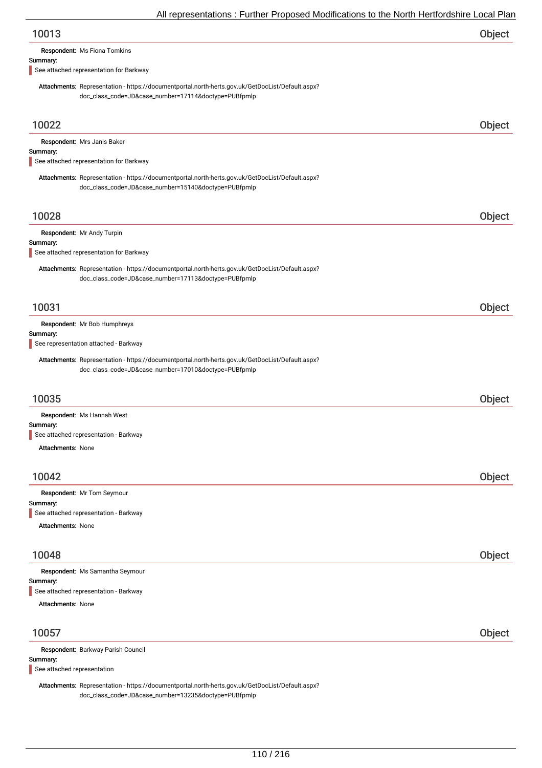| 10013 | Object |
|-------|--------|
|       |        |

| <b>Respondent: Ms Fiona Tomkins</b> |  |  |
|-------------------------------------|--|--|
|-------------------------------------|--|--|

#### Summary:

See attached representation for Barkway

Attachments: Representation - https://documentportal.north-herts.gov.uk/GetDocList/Default.aspx? doc\_class\_code=JD&case\_number=17114&doctype=PUBfpmlp

| 10022                                                                                                                                                    | Object |
|----------------------------------------------------------------------------------------------------------------------------------------------------------|--------|
| Respondent: Mrs Janis Baker                                                                                                                              |        |
| Summary:<br>See attached representation for Barkway                                                                                                      |        |
| Attachments: Representation - https://documentportal.north-herts.gov.uk/GetDocList/Default.aspx?                                                         |        |
| doc_class_code=JD&case_number=15140&doctype=PUBfpmlp                                                                                                     |        |
|                                                                                                                                                          |        |
| 10028                                                                                                                                                    | Object |
| Respondent: Mr Andy Turpin                                                                                                                               |        |
| Summary:<br>See attached representation for Barkway                                                                                                      |        |
| Attachments: Representation - https://documentportal.north-herts.gov.uk/GetDocList/Default.aspx?<br>doc_class_code=JD&case_number=17113&doctype=PUBfpmlp |        |
| 10031                                                                                                                                                    | Object |
| Respondent: Mr Bob Humphreys                                                                                                                             |        |
| Summary:<br>See representation attached - Barkway                                                                                                        |        |
| Attachments: Representation - https://documentportal.north-herts.gov.uk/GetDocList/Default.aspx?                                                         |        |
| doc_class_code=JD&case_number=17010&doctype=PUBfpmlp                                                                                                     |        |
|                                                                                                                                                          |        |
| 10035                                                                                                                                                    | Object |
| Respondent: Ms Hannah West                                                                                                                               |        |
| Summary:<br>See attached representation - Barkway                                                                                                        |        |
| <b>Attachments: None</b>                                                                                                                                 |        |
|                                                                                                                                                          |        |
| 10042                                                                                                                                                    | Object |
| Respondent: Mr Tom Seymour                                                                                                                               |        |
| Summary:                                                                                                                                                 |        |
| See attached representation - Barkway                                                                                                                    |        |
| Attachments: None                                                                                                                                        |        |
| 10048                                                                                                                                                    | Object |
| Respondent: Ms Samantha Seymour                                                                                                                          |        |
| Summary:                                                                                                                                                 |        |
| See attached representation - Barkway                                                                                                                    |        |
| <b>Attachments: None</b>                                                                                                                                 |        |
| 10057                                                                                                                                                    | Object |
| Respondent: Barkway Parish Council                                                                                                                       |        |
| Summary:                                                                                                                                                 |        |
| See attached representation                                                                                                                              |        |

Attachments: Representation - https://documentportal.north-herts.gov.uk/GetDocList/Default.aspx? doc\_class\_code=JD&case\_number=13235&doctype=PUBfpmlp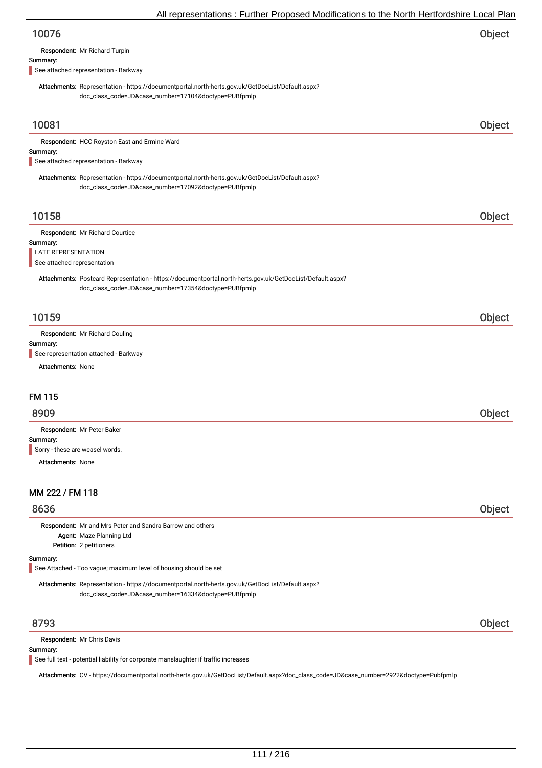| All representations . Further Proposed Modifications to the North Hertfordshire Local Plar                                                               |        |
|----------------------------------------------------------------------------------------------------------------------------------------------------------|--------|
| 10076                                                                                                                                                    | Object |
| Respondent: Mr Richard Turpin                                                                                                                            |        |
| Summary:<br>See attached representation - Barkway                                                                                                        |        |
| Attachments: Representation - https://documentportal.north-herts.gov.uk/GetDocList/Default.aspx?                                                         |        |
| doc_class_code=JD&case_number=17104&doctype=PUBfpmlp                                                                                                     |        |
|                                                                                                                                                          |        |
| 10081                                                                                                                                                    | Object |
| Respondent: HCC Royston East and Ermine Ward                                                                                                             |        |
| Summary:                                                                                                                                                 |        |
| See attached representation - Barkway                                                                                                                    |        |
| Attachments: Representation - https://documentportal.north-herts.gov.uk/GetDocList/Default.aspx?<br>doc_class_code=JD&case_number=17092&doctype=PUBfpmlp |        |
|                                                                                                                                                          |        |
| 10158                                                                                                                                                    | Object |
| Respondent: Mr Richard Courtice                                                                                                                          |        |
| Summary:                                                                                                                                                 |        |
| LATE REPRESENTATION<br>See attached representation                                                                                                       |        |
| Attachments: Postcard Representation - https://documentportal.north-herts.gov.uk/GetDocList/Default.aspx?                                                |        |
| doc_class_code=JD&case_number=17354&doctype=PUBfpmlp                                                                                                     |        |
|                                                                                                                                                          |        |
| 10159                                                                                                                                                    | Object |
| Respondent: Mr Richard Couling                                                                                                                           |        |
| Summary:                                                                                                                                                 |        |
| See representation attached - Barkway<br><b>Attachments: None</b>                                                                                        |        |
|                                                                                                                                                          |        |
| <b>FM 115</b>                                                                                                                                            |        |
|                                                                                                                                                          |        |
| 8909                                                                                                                                                     | Object |
| Respondent: Mr Peter Baker<br>Summary:                                                                                                                   |        |
| Sorry - these are weasel words.                                                                                                                          |        |
| <b>Attachments: None</b>                                                                                                                                 |        |
|                                                                                                                                                          |        |
| MM 222 / FM 118                                                                                                                                          |        |
| 8636                                                                                                                                                     | Object |
| Respondent: Mr and Mrs Peter and Sandra Barrow and others                                                                                                |        |
| Agent: Maze Planning Ltd                                                                                                                                 |        |
| Petition: 2 petitioners                                                                                                                                  |        |
| Summary:<br>See Attached - Too vague; maximum level of housing should be set                                                                             |        |
| Attachments: Representation - https://documentportal.north-herts.gov.uk/GetDocList/Default.aspx?                                                         |        |
| doc_class_code=JD&case_number=16334&doctype=PUBfpmlp                                                                                                     |        |
|                                                                                                                                                          |        |
| 8793                                                                                                                                                     | Object |
| Respondent: Mr Chris Davis                                                                                                                               |        |
| Summary:<br>See full text - potential liability for corporate manslaughter if traffic increases                                                          |        |
|                                                                                                                                                          |        |

Attachments: CV -https://documentportal.north-herts.gov.uk/GetDocList/Default.aspx?doc\_class\_code=JD&case\_number=2922&doctype=Pubfpmlp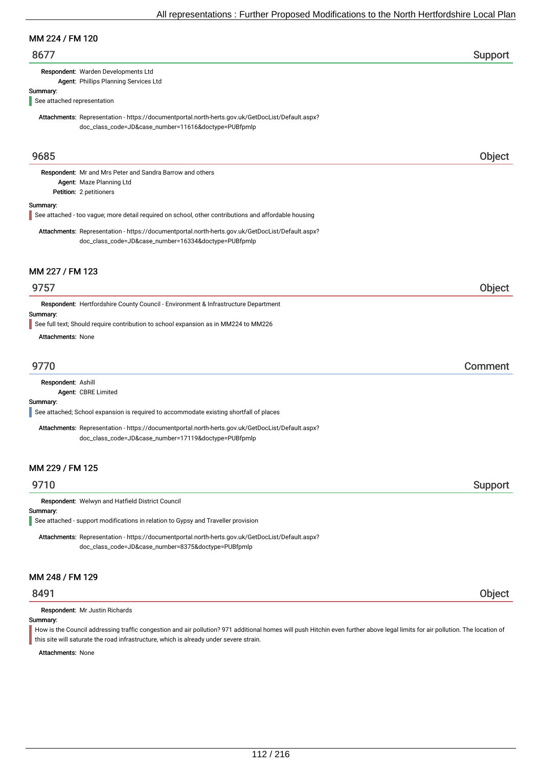#### MM 224 / FM 120

# 8677 Support

Respondent: Warden Developments Ltd

Agent: Phillips Planning Services Ltd

## Summary:

See attached representation

Attachments: Representation - https://documentportal.north-herts.gov.uk/GetDocList/Default.aspx? doc\_class\_code=JD&case\_number=11616&doctype=PUBfpmlp

# 9685 Object

Petition: 2 petitioners Respondent: Mr and Mrs Peter and Sandra Barrow and others Agent: Maze Planning Ltd

#### Summary:

See attached - too vague; more detail required on school, other contributions and affordable housing

Attachments: Representation - https://documentportal.north-herts.gov.uk/GetDocList/Default.aspx? doc\_class\_code=JD&case\_number=16334&doctype=PUBfpmlp

#### MM 227 / FM 123

# 9757 Object

Respondent: Hertfordshire County Council - Environment & Infrastructure Department

#### Summary:

See full text; Should require contribution to school expansion as in MM224 to MM226

Attachments: None

# 9770 Comment

Respondent: Ashill

Agent: CBRE Limited

#### Summary:

See attached; School expansion is required to accommodate existing shortfall of places

Attachments: Representation - https://documentportal.north-herts.gov.uk/GetDocList/Default.aspx? doc\_class\_code=JD&case\_number=17119&doctype=PUBfpmlp

# MM 229 / FM 125

# extending the state of the state of the state of the state of the state of the Support Support of the Support

Respondent: Welwyn and Hatfield District Council

#### Summary:

See attached - support modifications in relation to Gypsy and Traveller provision

Attachments: Representation - https://documentportal.north-herts.gov.uk/GetDocList/Default.aspx? doc\_class\_code=JD&case\_number=8375&doctype=PUBfpmlp

# MM 248 / FM 129

Respondent: Mr Justin Richards

Summary:

How is the Council addressing traffic congestion and air pollution? 971 additional homes will push Hitchin even further above legal limits for air pollution. The location of this site will saturate the road infrastructure, which is already under severe strain.

Attachments: None

8491 Object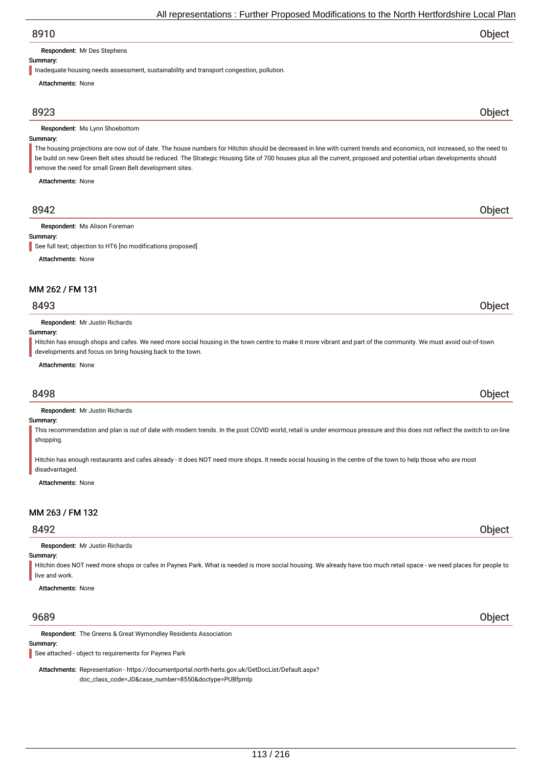| All representations: Further Proposed Modifications to the North Hertfordshire Local Plan |
|-------------------------------------------------------------------------------------------|
|-------------------------------------------------------------------------------------------|

| 8910                                                                                                                                                                                                                                                                                                                                                                                                      |              |
|-----------------------------------------------------------------------------------------------------------------------------------------------------------------------------------------------------------------------------------------------------------------------------------------------------------------------------------------------------------------------------------------------------------|--------------|
| <b>Respondent:</b> Mr Des Stephens                                                                                                                                                                                                                                                                                                                                                                        |              |
| Summary:                                                                                                                                                                                                                                                                                                                                                                                                  |              |
| Inadequate housing needs assessment, sustainability and transport congestion, pollution.                                                                                                                                                                                                                                                                                                                  |              |
| <b>Attachments: None</b>                                                                                                                                                                                                                                                                                                                                                                                  |              |
| 8923                                                                                                                                                                                                                                                                                                                                                                                                      | <b>Obiec</b> |
| Respondent: Ms Lynn Shoebottom                                                                                                                                                                                                                                                                                                                                                                            |              |
| Summary:                                                                                                                                                                                                                                                                                                                                                                                                  |              |
| The housing projections are now out of date. The house numbers for Hitchin should be decreased in line with current trends and economics, not increased, so the need to<br>be build on new Green Belt sites should be reduced. The Strategic Housing Site of 700 houses plus all the current, proposed and potential urban developments should<br>remove the need for small Green Belt development sites. |              |
| <b>Attachments: None</b>                                                                                                                                                                                                                                                                                                                                                                                  |              |
| 8942                                                                                                                                                                                                                                                                                                                                                                                                      |              |

Respondent: Ms Alison Foreman

#### Summary:

See full text: objection to HT6 [no modifications proposed]

Attachments: None

#### MM 262 / FM 131

# 8493 Object

Respondent: Mr Justin Richards

#### Summary:

Hitchin has enough shops and cafes. We need more social housing in the town centre to make it more vibrant and part of the community. We must avoid out-of-town developments and focus on bring housing back to the town.

#### Attachments: None

# 8498 Object

Respondent: Mr Justin Richards

#### Summary:

This recommendation and plan is out of date with modern trends. In the post COVID world, retail is under enormous pressure and this does not reflect the switch to on-line shopping.

Hitchin has enough restaurants and cafes already - it does NOT need more shops. It needs social housing in the centre of the town to help those who are most disadvantaged.

Attachments: None

# MM 263 / FM 132

# 8492 Object

Respondent: Mr Justin Richards

## Summary:

Hitchin does NOT need more shops or cafes in Paynes Park. What is needed is more social housing. We already have too much retail space - we need places for people to live and work.

Attachments: None

# 9689 Object

Respondent: The Greens & Great Wymondley Residents Association

#### Summary:

See attached - object to requirements for Paynes Park

Attachments: Representation - https://documentportal.north-herts.gov.uk/GetDocList/Default.aspx? doc\_class\_code=JD&case\_number=8550&doctype=PUBfpmlp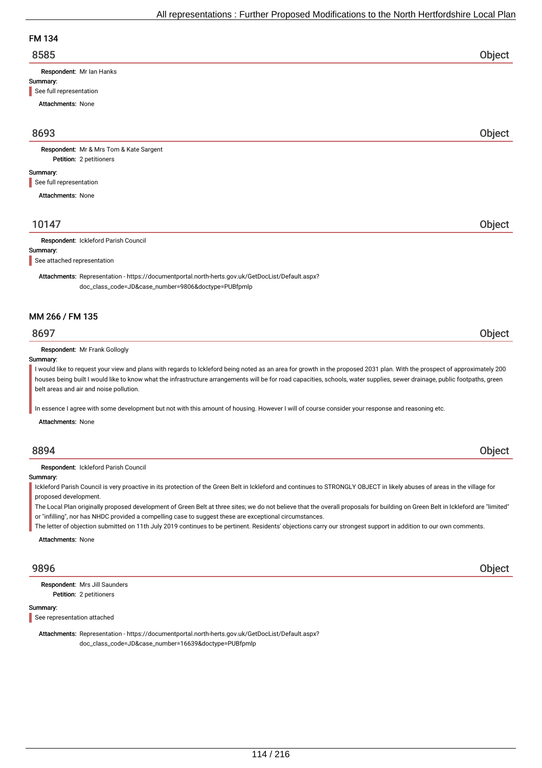# FM 134

| 8585 | Object |
|------|--------|
|      |        |

Respondent: Mr Ian Hanks

#### Summary:

See full representation

Attachments: None

# 8693 Object

Petition: 2 petitioners Respondent: Mr & Mrs Tom & Kate Sargent

#### Summary:

See full representation

Attachments: None

# 10147 Object

#### Respondent: Ickleford Parish Council

Summary:

See attached representation

Attachments: Representation - https://documentportal.north-herts.gov.uk/GetDocList/Default.aspx? doc\_class\_code=JD&case\_number=9806&doctype=PUBfpmlp

#### MM 266 / FM 135

# 8697 Object

Respondent: Mr Frank Gollogly

#### Summary:

I would like to request your view and plans with regards to Ickleford being noted as an area for growth in the proposed 2031 plan. With the prospect of approximately 200 houses being built I would like to know what the infrastructure arrangements will be for road capacities, schools, water supplies, sewer drainage, public footpaths, green belt areas and air and noise pollution.

In essence I agree with some development but not with this amount of housing. However I will of course consider your response and reasoning etc.

Attachments: None

# 8894 Object

Respondent: Ickleford Parish Council

#### Summary:

Ickleford Parish Council is very proactive in its protection of the Green Belt in Ickleford and continues to STRONGLY OBJECT in likely abuses of areas in the village for proposed development.

The Local Plan originally proposed development of Green Belt at three sites; we do not believe that the overall proposals for building on Green Belt in Ickleford are "limited" or "infilling", nor has NHDC provided a compelling case to suggest these are exceptional circumstances.

The letter of objection submitted on 11th July 2019 continues to be pertinent. Residents' objections carry our strongest support in addition to our own comments.

Attachments: None

Petition: 2 petitioners Respondent: Mrs Jill Saunders

#### Summary:

See representation attached

Attachments: Representation - https://documentportal.north-herts.gov.uk/GetDocList/Default.aspx? doc\_class\_code=JD&case\_number=16639&doctype=PUBfpmlp

9896 Object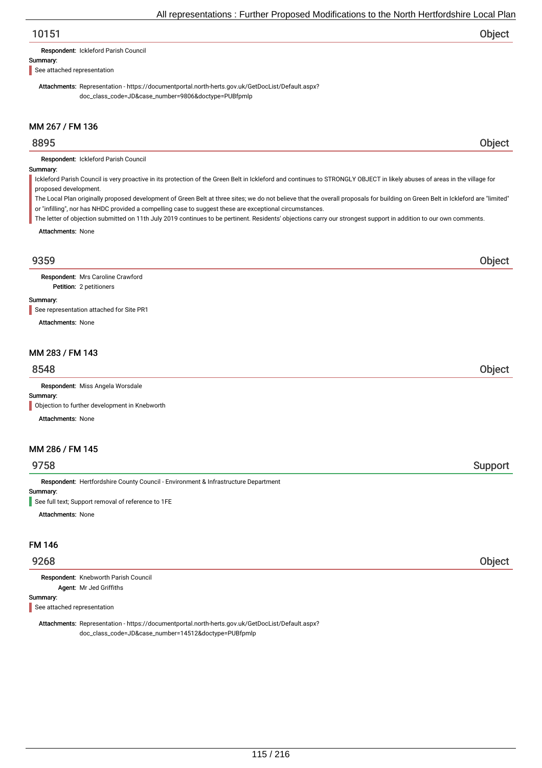# 10151 Object

Respondent: Ickleford Parish Council

#### Summary:

See attached representation

Attachments: Representation - https://documentportal.north-herts.gov.uk/GetDocList/Default.aspx? doc\_class\_code=JD&case\_number=9806&doctype=PUBfpmlp

# MM 267 / FM 136

# 8895 Object

Respondent: Ickleford Parish Council

#### Summary:

Ickleford Parish Council is very proactive in its protection of the Green Belt in Ickleford and continues to STRONGLY OBJECT in likely abuses of areas in the village for proposed development.

The Local Plan originally proposed development of Green Belt at three sites; we do not believe that the overall proposals for building on Green Belt in Ickleford are "limited" or "infilling", nor has NHDC provided a compelling case to suggest these are exceptional circumstances.

The letter of objection submitted on 11th July 2019 continues to be pertinent. Residents' objections carry our strongest support in addition to our own comments.

Attachments: None

# 9359 Object

Petition: 2 petitioners Respondent: Mrs Caroline Crawford

#### Summary:

See representation attached for Site PR1

Attachments: None

## MM 283 / FM 143

# 8548 Object

Respondent: Miss Angela Worsdale

#### Summary:

**Objection to further development in Knebworth** 

Attachments: None

# MM 286 / FM 145

# 9758 Support

Summary: Respondent: Hertfordshire County Council - Environment & Infrastructure Department

See full text; Support removal of reference to 1FE

Attachments: None

#### FM 146

# 9268 Object

Respondent: Knebworth Parish Council Agent: Mr Jed Griffiths

#### Summary:

See attached representation

Attachments: Representation - https://documentportal.north-herts.gov.uk/GetDocList/Default.aspx? doc\_class\_code=JD&case\_number=14512&doctype=PUBfpmlp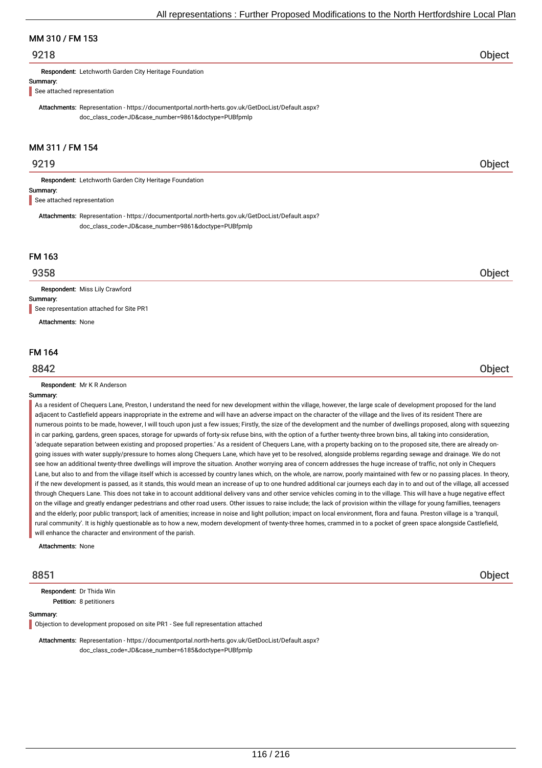# MM 310 / FM 153

# 9218 Object

Respondent: Letchworth Garden City Heritage Foundation

#### Summary:

See attached representation

Attachments: Representation - https://documentportal.north-herts.gov.uk/GetDocList/Default.aspx? doc\_class\_code=JD&case\_number=9861&doctype=PUBfpmlp

# MM 311 / FM 154

# 9219 Object

Respondent: Letchworth Garden City Heritage Foundation

#### Summary:

See attached representation

Attachments: Representation - https://documentportal.north-herts.gov.uk/GetDocList/Default.aspx? doc\_class\_code=JD&case\_number=9861&doctype=PUBfpmlp

# FM 163

Respondent: Miss Lily Crawford

Summary:

See representation attached for Site PR1

Attachments: None

#### FM 164

Respondent: Mr K R Anderson

#### Summary:

As a resident of Chequers Lane, Preston, I understand the need for new development within the village, however, the large scale of development proposed for the land adjacent to Castlefield appears inappropriate in the extreme and will have an adverse impact on the character of the village and the lives of its resident There are numerous points to be made, however, I will touch upon just a few issues; Firstly, the size of the development and the number of dwellings proposed, along with squeezing in car parking, gardens, green spaces, storage for upwards of forty-six refuse bins, with the option of a further twenty-three brown bins, all taking into consideration, 'adequate separation between existing and proposed properties.' As a resident of Chequers Lane, with a property backing on to the proposed site, there are already ongoing issues with water supply/pressure to homes along Chequers Lane, which have yet to be resolved, alongside problems regarding sewage and drainage. We do not see how an additional twenty-three dwellings will improve the situation. Another worrying area of concern addresses the huge increase of traffic, not only in Chequers Lane, but also to and from the village itself which is accessed by country lanes which, on the whole, are narrow, poorly maintained with few or no passing places. In theory, if the new development is passed, as it stands, this would mean an increase of up to one hundred additional car journeys each day in to and out of the village, all accessed through Chequers Lane. This does not take in to account additional delivery vans and other service vehicles coming in to the village. This will have a huge negative effect on the village and greatly endanger pedestrians and other road users. Other issues to raise include; the lack of provision within the village for young famillies, teenagers and the elderly; poor public transport; lack of amenities; increase in noise and light pollution; impact on local environment, flora and fauna. Preston village is a 'tranquil, rural community'. It is highly questionable as to how a new, modern development of twenty-three homes, crammed in to a pocket of green space alongside Castlefield, will enhance the character and environment of the parish.

Attachments: None

Petition: 8 petitioners Respondent: Dr Thida Win

#### Summary:

Objection to development proposed on site PR1 - See full representation attached

Attachments: Representation - https://documentportal.north-herts.gov.uk/GetDocList/Default.aspx? doc\_class\_code=JD&case\_number=6185&doctype=PUBfpmlp

8851 Object

9358 Object

# 8842 Object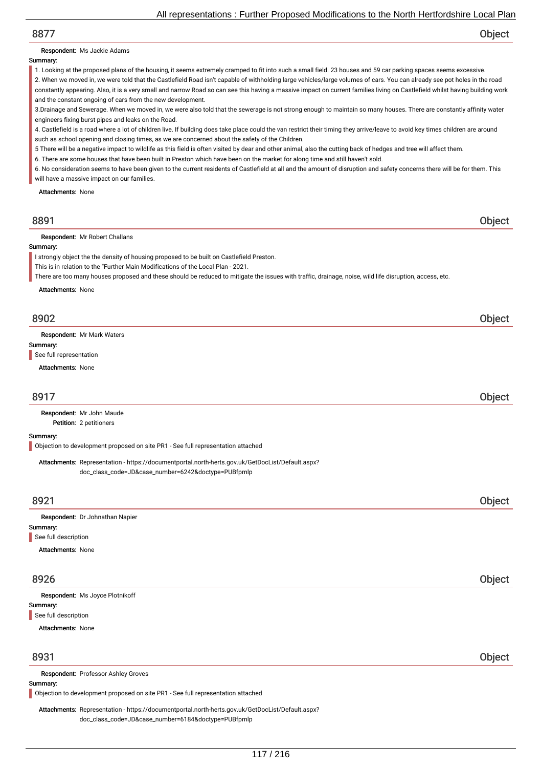# 8877 Object

#### Respondent: Ms Jackie Adams

#### Summary:

1. Looking at the proposed plans of the housing, it seems extremely cramped to fit into such a small field. 23 houses and 59 car parking spaces seems excessive. 2. When we moved in, we were told that the Castlefield Road isn't capable of withholding large vehicles/large volumes of cars. You can already see pot holes in the road constantly appearing. Also, it is a very small and narrow Road so can see this having a massive impact on current families living on Castlefield whilst having building work

and the constant ongoing of cars from the new development. 3.Drainage and Sewerage. When we moved in, we were also told that the sewerage is not strong enough to maintain so many houses. There are constantly affinity water engineers fixing burst pipes and leaks on the Road.

4. Castlefield is a road where a lot of children live. If building does take place could the van restrict their timing they arrive/leave to avoid key times children are around such as school opening and closing times, as we are concerned about the safety of the Children.

- 5 There will be a negative impact to wildlife as this field is often visited by dear and other animal, also the cutting back of hedges and tree will affect them.
- 6. There are some houses that have been built in Preston which have been on the market for along time and still haven't sold.

6. No consideration seems to have been given to the current residents of Castlefield at all and the amount of disruption and safety concerns there will be for them. This will have a massive impact on our families.

Attachments: None

| 8891                                                                                                                                                                                                                                                                                                                                     | <b>Object</b> |
|------------------------------------------------------------------------------------------------------------------------------------------------------------------------------------------------------------------------------------------------------------------------------------------------------------------------------------------|---------------|
| <b>Respondent:</b> Mr Robert Challans<br>Summary:                                                                                                                                                                                                                                                                                        |               |
| I strongly object the the density of housing proposed to be built on Castlefield Preston.<br>This is in relation to the "Further Main Modifications of the Local Plan - 2021.<br>There are too many houses proposed and these should be reduced to mitigate the issues with traffic, drainage, noise, wild life disruption, access, etc. |               |
| Attachments: None<br>8902                                                                                                                                                                                                                                                                                                                | Object        |

Respondent: Mr Mark Waters

Summary:

See full representation

Attachments: None

# 8917 Object

Petition: 2 petitioners Respondent: Mr John Maude

Summary:

Objection to development proposed on site PR1 - See full representation attached

Attachments: Representation - https://documentportal.north-herts.gov.uk/GetDocList/Default.aspx? doc\_class\_code=JD&case\_number=6242&doctype=PUBfpmlp

| 8921                            | Object |
|---------------------------------|--------|
| Respondent: Dr Johnathan Napier |        |
| Summary:                        |        |
| See full description            |        |
| <b>Attachments: None</b>        |        |

# 8926 Object

| Respondent: Ms Joyce Plotnikoff |  |        |
|---------------------------------|--|--------|
| Summary:                        |  |        |
| See full description            |  |        |
| <b>Attachments: None</b>        |  |        |
|                                 |  |        |
| 8931                            |  | Object |

#### Respondent: Professor Ashley Groves

Summary:

Objection to development proposed on site PR1 - See full representation attached

Attachments: Representation - https://documentportal.north-herts.gov.uk/GetDocList/Default.aspx? doc\_class\_code=JD&case\_number=6184&doctype=PUBfpmlp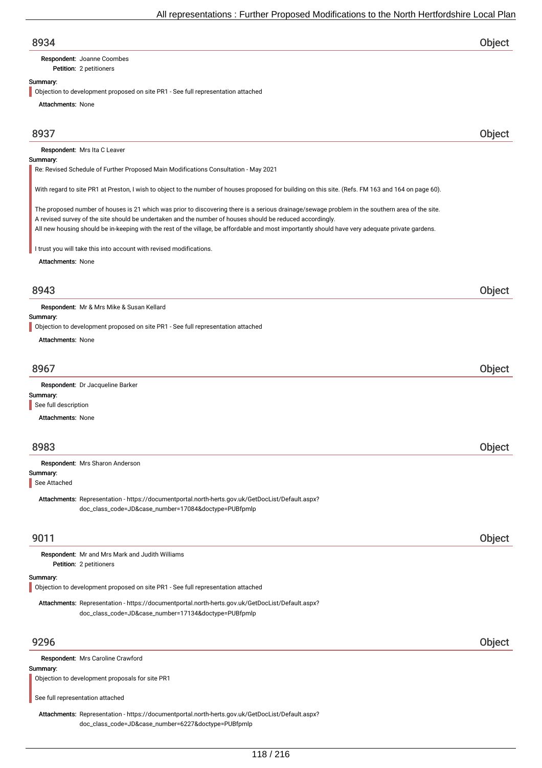Petition: 2 petitioners Respondent: Joanne Coombes

#### Summary:

Objection to development proposed on site PR1 - See full representation attached

Attachments: None

# 8937 Object

Respondent: Mrs Ita C Leaver

#### Summary:

Re: Revised Schedule of Further Proposed Main Modifications Consultation - May 2021

With regard to site PR1 at Preston, I wish to object to the number of houses proposed for building on this site. (Refs. FM 163 and 164 on page 60).

The proposed number of houses is 21 which was prior to discovering there is a serious drainage/sewage problem in the southern area of the site. A revised survey of the site should be undertaken and the number of houses should be reduced accordingly. All new housing should be in-keeping with the rest of the village, be affordable and most importantly should have very adequate private gardens.

I trust you will take this into account with revised modifications.

Attachments: None

# 8943 Object

Respondent: Mr & Mrs Mike & Susan Kellard

#### Summary:

Objection to development proposed on site PR1 - See full representation attached

Attachments: None

| 8967                                             |  |
|--------------------------------------------------|--|
| <b>Respondent:</b> Dr Jacqueline Barker<br><br>. |  |

Summary: See full description

Attachments: None

# 8983 Object

Summary: Respondent: Mrs Sharon Anderson

See Attached

Attachments: Representation - https://documentportal.north-herts.gov.uk/GetDocList/Default.aspx? doc\_class\_code=JD&case\_number=17084&doctype=PUBfpmlp

# 9011 Object

Petition: 2 petitioners Respondent: Mr and Mrs Mark and Judith Williams

#### Summary:

Objection to development proposed on site PR1 - See full representation attached

Attachments: Representation - https://documentportal.north-herts.gov.uk/GetDocList/Default.aspx? doc\_class\_code=JD&case\_number=17134&doctype=PUBfpmlp

# 9296 Object

Respondent: Mrs Caroline Crawford

#### Summary:

Objection to development proposals for site PR1

See full representation attached

Attachments: Representation - https://documentportal.north-herts.gov.uk/GetDocList/Default.aspx? doc\_class\_code=JD&case\_number=6227&doctype=PUBfpmlp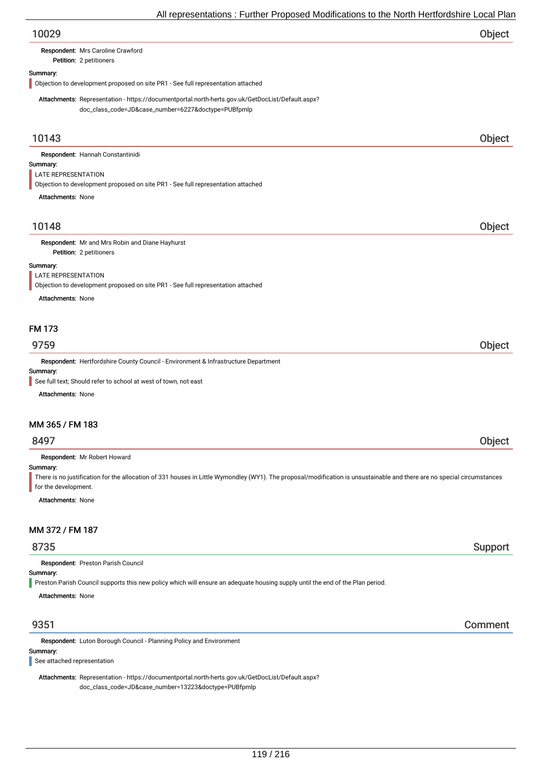| All representations : Further Proposed Modifications to the North Hertfordshire Local Plan                                                                                                                  |         |
|-------------------------------------------------------------------------------------------------------------------------------------------------------------------------------------------------------------|---------|
| 10029                                                                                                                                                                                                       | Object  |
| Respondent: Mrs Caroline Crawford<br>Petition: 2 petitioners                                                                                                                                                |         |
| Summary:<br>Objection to development proposed on site PR1 - See full representation attached                                                                                                                |         |
| Attachments: Representation - https://documentportal.north-herts.gov.uk/GetDocList/Default.aspx?<br>doc_class_code=JD&case_number=6227&doctype=PUBfpmlp                                                     |         |
| 10143                                                                                                                                                                                                       | Object  |
| Respondent: Hannah Constantinidi                                                                                                                                                                            |         |
| Summary:                                                                                                                                                                                                    |         |
| LATE REPRESENTATION<br>Objection to development proposed on site PR1 - See full representation attached                                                                                                     |         |
| <b>Attachments: None</b>                                                                                                                                                                                    |         |
| 10148                                                                                                                                                                                                       | Object  |
| Respondent: Mr and Mrs Robin and Diane Hayhurst                                                                                                                                                             |         |
| Petition: 2 petitioners                                                                                                                                                                                     |         |
| Summary:                                                                                                                                                                                                    |         |
| LATE REPRESENTATION<br>Objection to development proposed on site PR1 - See full representation attached                                                                                                     |         |
| <b>Attachments: None</b>                                                                                                                                                                                    |         |
|                                                                                                                                                                                                             |         |
| <b>FM 173</b>                                                                                                                                                                                               |         |
| 9759                                                                                                                                                                                                        | Object  |
| Respondent: Hertfordshire County Council - Environment & Infrastructure Department                                                                                                                          |         |
| Summary:<br>See full text; Should refer to school at west of town, not east                                                                                                                                 |         |
| <b>Attachments: None</b>                                                                                                                                                                                    |         |
|                                                                                                                                                                                                             |         |
| MM 365 / FM 183                                                                                                                                                                                             |         |
| 8497                                                                                                                                                                                                        | Object  |
| Respondent: Mr Robert Howard                                                                                                                                                                                |         |
| Summary:<br>There is no justification for the allocation of 331 houses in Little Wymondley (WY1). The proposal/modification is unsustainable and there are no special circumstances<br>for the development. |         |
| <b>Attachments: None</b>                                                                                                                                                                                    |         |
|                                                                                                                                                                                                             |         |
| MM 372 / FM 187                                                                                                                                                                                             |         |
| 8735                                                                                                                                                                                                        | Support |
| Respondent: Preston Parish Council                                                                                                                                                                          |         |
| Summary:<br>Preston Parish Council supports this new policy which will ensure an adequate housing supply until the end of the Plan period.                                                                  |         |
| <b>Attachments: None</b>                                                                                                                                                                                    |         |
|                                                                                                                                                                                                             |         |
| 9351                                                                                                                                                                                                        | Comment |

Respondent: Luton Borough Council - Planning Policy and Environment

# Summary:

See attached representation

Attachments: Representation - https://documentportal.north-herts.gov.uk/GetDocList/Default.aspx? doc\_class\_code=JD&case\_number=13223&doctype=PUBfpmlp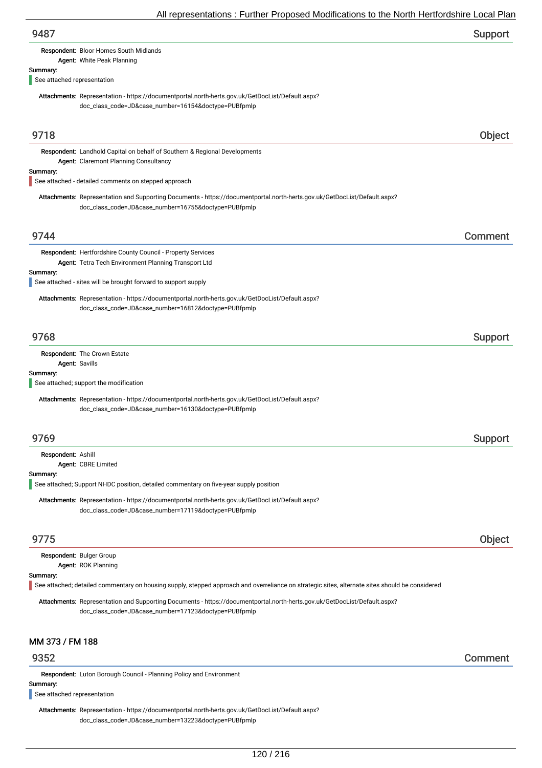| 9487                                                                                                                                                                              | Support |
|-----------------------------------------------------------------------------------------------------------------------------------------------------------------------------------|---------|
| Respondent: Bloor Homes South Midlands<br>Agent: White Peak Planning                                                                                                              |         |
| Summary:                                                                                                                                                                          |         |
| See attached representation                                                                                                                                                       |         |
| Attachments: Representation - https://documentportal.north-herts.gov.uk/GetDocList/Default.aspx?<br>doc_class_code=JD&case_number=16154&doctype=PUBfpmlp                          |         |
| 9718                                                                                                                                                                              | Object  |
| Respondent: Landhold Capital on behalf of Southern & Regional Developments<br>Agent: Claremont Planning Consultancy                                                               |         |
| Summary:<br>See attached - detailed comments on stepped approach                                                                                                                  |         |
| Attachments: Representation and Supporting Documents - https://documentportal.north-herts.gov.uk/GetDocList/Default.aspx?<br>doc_class_code=JD&case_number=16755&doctype=PUBfpmlp |         |
| 9744                                                                                                                                                                              | Comment |
| Respondent: Hertfordshire County Council - Property Services<br>Agent: Tetra Tech Environment Planning Transport Ltd                                                              |         |
| Summary:<br>See attached - sites will be brought forward to support supply                                                                                                        |         |
| Attachments: Representation - https://documentportal.north-herts.gov.uk/GetDocList/Default.aspx?<br>doc_class_code=JD&case_number=16812&doctype=PUBfpmlp                          |         |
| 9768                                                                                                                                                                              | Support |
| Respondent: The Crown Estate<br>Agent: Savills                                                                                                                                    |         |
| Summary:<br>See attached; support the modification                                                                                                                                |         |
| Attachments: Representation - https://documentportal.north-herts.gov.uk/GetDocList/Default.aspx?<br>doc_class_code=JD&case_number=16130&doctype=PUBfpmlp                          |         |
| 9769                                                                                                                                                                              | Support |
| Respondent: Ashill<br>Agent: CBRE Limited                                                                                                                                         |         |
| Summary:<br>See attached; Support NHDC position, detailed commentary on five-year supply position                                                                                 |         |
| Attachments: Representation - https://documentportal.north-herts.gov.uk/GetDocList/Default.aspx?<br>doc_class_code=JD&case_number=17119&doctype=PUBfpmlp                          |         |
| 9775                                                                                                                                                                              | Object  |
| Respondent: Bulger Group<br>Agent: ROK Planning                                                                                                                                   |         |
| Summary:<br>See attached; detailed commentary on housing supply, stepped approach and overreliance on strategic sites, alternate sites should be considered                       |         |
| Attachments: Representation and Supporting Documents - https://documentportal.north-herts.gov.uk/GetDocList/Default.aspx?<br>doc_class_code=JD&case_number=17123&doctype=PUBfpmlp |         |
| MM 373 / FM 188                                                                                                                                                                   |         |
| 9352                                                                                                                                                                              | Comment |

Respondent: Luton Borough Council - Planning Policy and Environment

Summary:

See attached representation

Attachments: Representation - https://documentportal.north-herts.gov.uk/GetDocList/Default.aspx? doc\_class\_code=JD&case\_number=13223&doctype=PUBfpmlp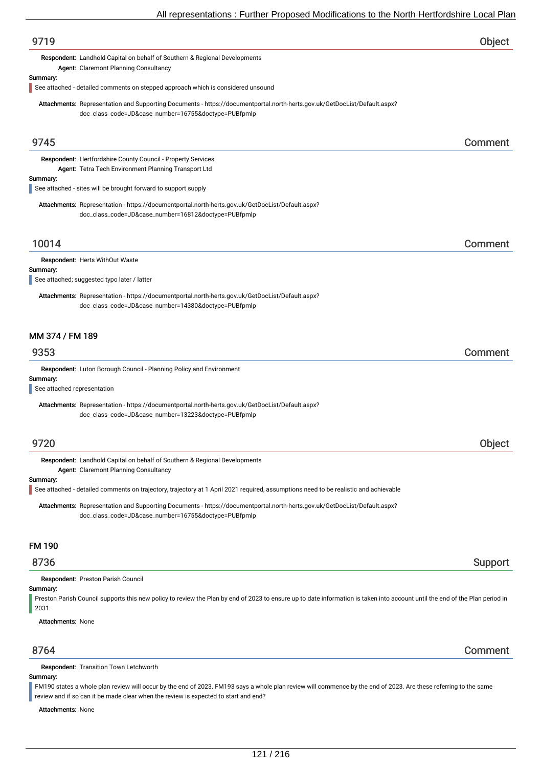| 9719                                    |                                                                                                                                                                                                                    | Object  |
|-----------------------------------------|--------------------------------------------------------------------------------------------------------------------------------------------------------------------------------------------------------------------|---------|
|                                         | Respondent: Landhold Capital on behalf of Southern & Regional Developments<br>Agent: Claremont Planning Consultancy                                                                                                |         |
| Summary:                                | See attached - detailed comments on stepped approach which is considered unsound                                                                                                                                   |         |
|                                         | Attachments: Representation and Supporting Documents - https://documentportal.north-herts.gov.uk/GetDocList/Default.aspx?<br>doc_class_code=JD&case_number=16755&doctype=PUBfpmlp                                  |         |
| 9745                                    |                                                                                                                                                                                                                    | Comment |
|                                         | Respondent: Hertfordshire County Council - Property Services<br>Agent: Tetra Tech Environment Planning Transport Ltd                                                                                               |         |
| Summary:                                | See attached - sites will be brought forward to support supply                                                                                                                                                     |         |
|                                         | Attachments: Representation - https://documentportal.north-herts.gov.uk/GetDocList/Default.aspx?<br>doc_class_code=JD&case_number=16812&doctype=PUBfpmlp                                                           |         |
| 10014                                   |                                                                                                                                                                                                                    | Comment |
|                                         | <b>Respondent: Herts WithOut Waste</b>                                                                                                                                                                             |         |
| Summary:                                | See attached; suggested typo later / latter                                                                                                                                                                        |         |
|                                         | Attachments: Representation - https://documentportal.north-herts.gov.uk/GetDocList/Default.aspx?<br>doc_class_code=JD&case_number=14380&doctype=PUBfpmlp                                                           |         |
| MM 374 / FM 189<br>9353                 |                                                                                                                                                                                                                    | Comment |
|                                         | Respondent: Luton Borough Council - Planning Policy and Environment                                                                                                                                                |         |
| Summary:<br>See attached representation |                                                                                                                                                                                                                    |         |
|                                         | Attachments: Representation - https://documentportal.north-herts.gov.uk/GetDocList/Default.aspx?<br>doc_class_code=JD&case_number=13223&doctype=PUBfpmlp                                                           |         |
| 9720                                    |                                                                                                                                                                                                                    | Object  |
|                                         | Respondent: Landhold Capital on behalf of Southern & Regional Developments<br><b>Agent: Claremont Planning Consultancy</b>                                                                                         |         |
| Summary:                                | See attached - detailed comments on trajectory, trajectory at 1 April 2021 required, assumptions need to be realistic and achievable                                                                               |         |
|                                         | Attachments: Representation and Supporting Documents - https://documentportal.north-herts.gov.uk/GetDocList/Default.aspx?<br>doc_class_code=JD&case_number=16755&doctype=PUBfpmlp                                  |         |
| <b>FM 190</b>                           |                                                                                                                                                                                                                    |         |
| 8736                                    |                                                                                                                                                                                                                    | Support |
| Summary:<br>2031.                       | Respondent: Preston Parish Council<br>Preston Parish Council supports this new policy to review the Plan by end of 2023 to ensure up to date information is taken into account until the end of the Plan period in |         |
| <b>Attachments: None</b>                |                                                                                                                                                                                                                    |         |
| 8764                                    |                                                                                                                                                                                                                    | Comment |
|                                         | Respondent: Transition Town Letchworth                                                                                                                                                                             |         |

#### Summary:

FM190 states a whole plan review will occur by the end of 2023. FM193 says a whole plan review will commence by the end of 2023. Are these referring to the same review and if so can it be made clear when the review is expected to start and end?

Attachments: None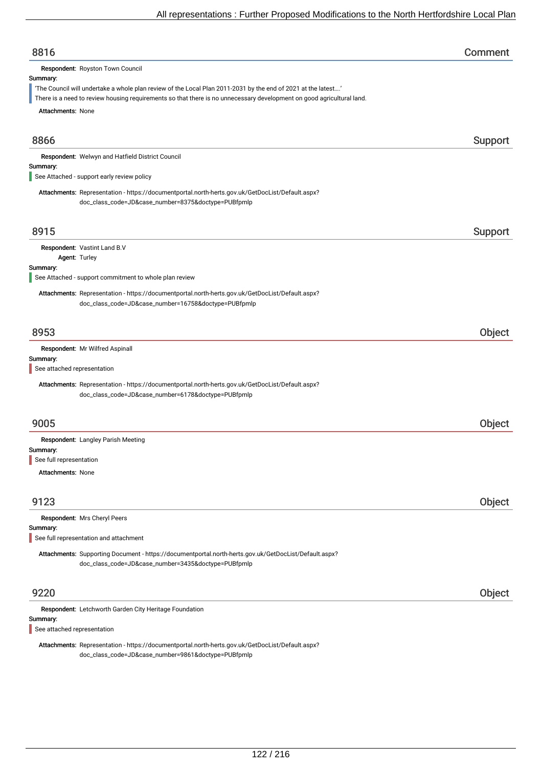| 8816                                                                                                                                                                                                                                                                                   | Comment |
|----------------------------------------------------------------------------------------------------------------------------------------------------------------------------------------------------------------------------------------------------------------------------------------|---------|
| Respondent: Royston Town Council<br>Summary:<br>'The Council will undertake a whole plan review of the Local Plan 2011-2031 by the end of 2021 at the latest'<br>There is a need to review housing requirements so that there is no unnecessary development on good agricultural land. |         |
| <b>Attachments: None</b>                                                                                                                                                                                                                                                               |         |
| 8866                                                                                                                                                                                                                                                                                   | Support |
| Respondent: Welwyn and Hatfield District Council<br>Summary:<br>See Attached - support early review policy                                                                                                                                                                             |         |
| Attachments: Representation - https://documentportal.north-herts.gov.uk/GetDocList/Default.aspx?<br>doc_class_code=JD&case_number=8375&doctype=PUBfpmlp                                                                                                                                |         |
| 8915                                                                                                                                                                                                                                                                                   | Support |
| Respondent: Vastint Land B.V<br>Agent: Turley<br>Summary:                                                                                                                                                                                                                              |         |
| See Attached - support commitment to whole plan review                                                                                                                                                                                                                                 |         |
| Attachments: Representation - https://documentportal.north-herts.gov.uk/GetDocList/Default.aspx?<br>doc_class_code=JD&case_number=16758&doctype=PUBfpmlp                                                                                                                               |         |
| 8953                                                                                                                                                                                                                                                                                   | Object  |
| Respondent: Mr Wilfred Aspinall                                                                                                                                                                                                                                                        |         |
| Summary:<br>See attached representation                                                                                                                                                                                                                                                |         |
| Attachments: Representation - https://documentportal.north-herts.gov.uk/GetDocList/Default.aspx?<br>doc_class_code=JD&case_number=6178&doctype=PUBfpmlp                                                                                                                                |         |
| 9005                                                                                                                                                                                                                                                                                   | Object  |
| Respondent: Langley Parish Meeting                                                                                                                                                                                                                                                     |         |
| Summary:<br>See full representation                                                                                                                                                                                                                                                    |         |
| <b>Attachments: None</b>                                                                                                                                                                                                                                                               |         |
| 9123                                                                                                                                                                                                                                                                                   | Object  |
| Respondent: Mrs Cheryl Peers<br>Summary:<br>See full representation and attachment                                                                                                                                                                                                     |         |
| Attachments: Supporting Document - https://documentportal.north-herts.gov.uk/GetDocList/Default.aspx?<br>doc_class_code=JD&case_number=3435&doctype=PUBfpmlp                                                                                                                           |         |
| 9220                                                                                                                                                                                                                                                                                   | Object  |
| Respondent: Letchworth Garden City Heritage Foundation<br>Summary:                                                                                                                                                                                                                     |         |
| See attached representation                                                                                                                                                                                                                                                            |         |

Attachments: Representation - https://documentportal.north-herts.gov.uk/GetDocList/Default.aspx? doc\_class\_code=JD&case\_number=9861&doctype=PUBfpmlp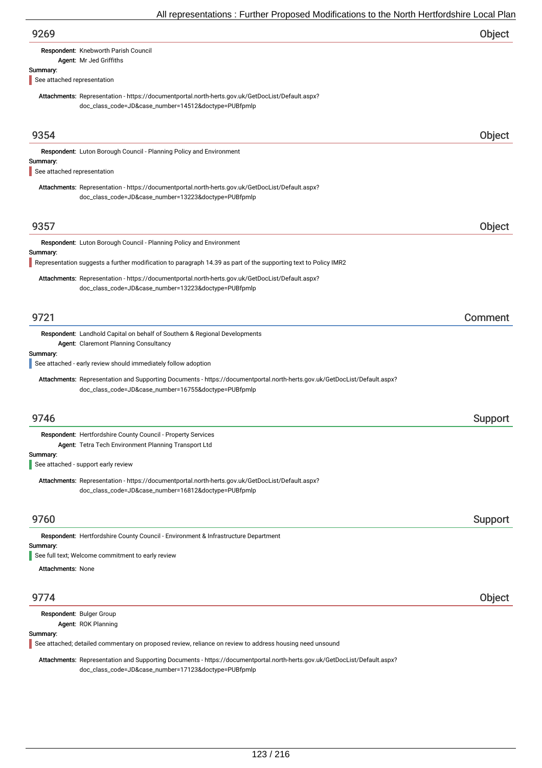| 9269                                    |                                                                                                                                                                                                                                                     | Object  |
|-----------------------------------------|-----------------------------------------------------------------------------------------------------------------------------------------------------------------------------------------------------------------------------------------------------|---------|
|                                         | Respondent: Knebworth Parish Council<br>Agent: Mr Jed Griffiths                                                                                                                                                                                     |         |
| Summary:<br>See attached representation |                                                                                                                                                                                                                                                     |         |
|                                         | Attachments: Representation - https://documentportal.north-herts.gov.uk/GetDocList/Default.aspx?<br>doc_class_code=JD&case_number=14512&doctype=PUBfpmlp                                                                                            |         |
| 9354                                    |                                                                                                                                                                                                                                                     | Object  |
| Summary:                                | Respondent: Luton Borough Council - Planning Policy and Environment                                                                                                                                                                                 |         |
| See attached representation             |                                                                                                                                                                                                                                                     |         |
|                                         | Attachments: Representation - https://documentportal.north-herts.gov.uk/GetDocList/Default.aspx?<br>doc_class_code=JD&case_number=13223&doctype=PUBfpmlp                                                                                            |         |
| 9357                                    |                                                                                                                                                                                                                                                     | Object  |
| Summary:                                | Respondent: Luton Borough Council - Planning Policy and Environment                                                                                                                                                                                 |         |
|                                         | Representation suggests a further modification to paragraph 14.39 as part of the supporting text to Policy IMR2                                                                                                                                     |         |
|                                         | Attachments: Representation - https://documentportal.north-herts.gov.uk/GetDocList/Default.aspx?<br>doc_class_code=JD&case_number=13223&doctype=PUBfpmlp                                                                                            |         |
| 9721                                    |                                                                                                                                                                                                                                                     | Comment |
| Summary:                                | <b>Respondent:</b> Landhold Capital on behalf of Southern & Regional Developments<br>Agent: Claremont Planning Consultancy                                                                                                                          |         |
|                                         | See attached - early review should immediately follow adoption<br>Attachments: Representation and Supporting Documents - https://documentportal.north-herts.gov.uk/GetDocList/Default.aspx?<br>doc_class_code=JD&case_number=16755&doctype=PUBfpmlp |         |
|                                         |                                                                                                                                                                                                                                                     |         |
| 9746                                    |                                                                                                                                                                                                                                                     | Support |
|                                         | Respondent: Hertfordshire County Council - Property Services<br>Agent: Tetra Tech Environment Planning Transport Ltd                                                                                                                                |         |
| Summary:                                | See attached - support early review                                                                                                                                                                                                                 |         |
|                                         | Attachments: Representation - https://documentportal.north-herts.gov.uk/GetDocList/Default.aspx?<br>doc_class_code=JD&case_number=16812&doctype=PUBfpmlp                                                                                            |         |
| 9760                                    |                                                                                                                                                                                                                                                     | Support |
|                                         | Respondent: Hertfordshire County Council - Environment & Infrastructure Department                                                                                                                                                                  |         |
| Summary:                                | See full text; Welcome commitment to early review                                                                                                                                                                                                   |         |
| <b>Attachments: None</b>                |                                                                                                                                                                                                                                                     |         |
| 9774                                    |                                                                                                                                                                                                                                                     | Object  |
|                                         | Respondent: Bulger Group                                                                                                                                                                                                                            |         |
| Summary:                                | Agent: ROK Planning<br>See attached; detailed commentary on proposed review, reliance on review to address housing need unsound                                                                                                                     |         |

Attachments: Representation and Supporting Documents - https://documentportal.north-herts.gov.uk/GetDocList/Default.aspx? doc\_class\_code=JD&case\_number=17123&doctype=PUBfpmlp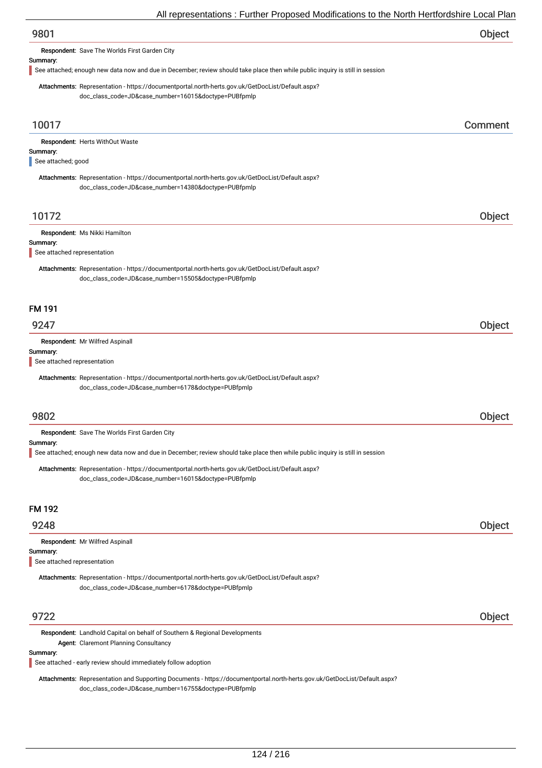| 9801 | Object |
|------|--------|
|------|--------|

Respondent: Save The Worlds First Garden City

#### Summary:

See attached; enough new data now and due in December; review should take place then while public inquiry is still in session

Attachments: Representation - https://documentportal.north-herts.gov.uk/GetDocList/Default.aspx? doc\_class\_code=JD&case\_number=16015&doctype=PUBfpmlp

| 10017                                   |                                                                                                                                                          | Comment |
|-----------------------------------------|----------------------------------------------------------------------------------------------------------------------------------------------------------|---------|
| Summary:                                | Respondent: Herts WithOut Waste                                                                                                                          |         |
| See attached; good                      |                                                                                                                                                          |         |
|                                         | Attachments: Representation - https://documentportal.north-herts.gov.uk/GetDocList/Default.aspx?<br>doc_class_code=JD&case_number=14380&doctype=PUBfpmlp |         |
| 10172                                   |                                                                                                                                                          | Object  |
| Respondent: Ms Nikki Hamilton           |                                                                                                                                                          |         |
| Summary:<br>See attached representation |                                                                                                                                                          |         |
|                                         | Attachments: Representation - https://documentportal.north-herts.gov.uk/GetDocList/Default.aspx?<br>doc_class_code=JD&case_number=15505&doctype=PUBfpmlp |         |
| <b>FM 191</b>                           |                                                                                                                                                          |         |
| 9247                                    |                                                                                                                                                          | Object  |
| Respondent: Mr Wilfred Aspinall         |                                                                                                                                                          |         |
| Summary:<br>See attached representation |                                                                                                                                                          |         |
|                                         | Attachments: Representation - https://documentportal.north-herts.gov.uk/GetDocList/Default.aspx?<br>doc_class_code=JD&case_number=6178&doctype=PUBfpmlp  |         |
| 9802                                    |                                                                                                                                                          | Object  |
|                                         | Respondent: Save The Worlds First Garden City                                                                                                            |         |
| Summary:                                | See attached; enough new data now and due in December; review should take place then while public inquiry is still in session                            |         |
|                                         | Attachments: Representation - https://documentportal.north-herts.gov.uk/GetDocList/Default.aspx?<br>doc_class_code=JD&case_number=16015&doctype=PUBfpmlp |         |
| <b>FM 192</b>                           |                                                                                                                                                          |         |
| 9248                                    |                                                                                                                                                          | Object  |
| Respondent: Mr Wilfred Aspinall         |                                                                                                                                                          |         |
| Summary:<br>See attached representation |                                                                                                                                                          |         |
|                                         | Attachments: Representation - https://documentportal.north-herts.gov.uk/GetDocList/Default.aspx?<br>doc_class_code=JD&case_number=6178&doctype=PUBfpmlp  |         |
| 9722                                    |                                                                                                                                                          | Object  |

Respondent: Landhold Capital on behalf of Southern & Regional Developments Agent: Claremont Planning Consultancy

#### Summary:

See attached - early review should immediately follow adoption

Attachments: Representation and Supporting Documents - https://documentportal.north-herts.gov.uk/GetDocList/Default.aspx? doc\_class\_code=JD&case\_number=16755&doctype=PUBfpmlp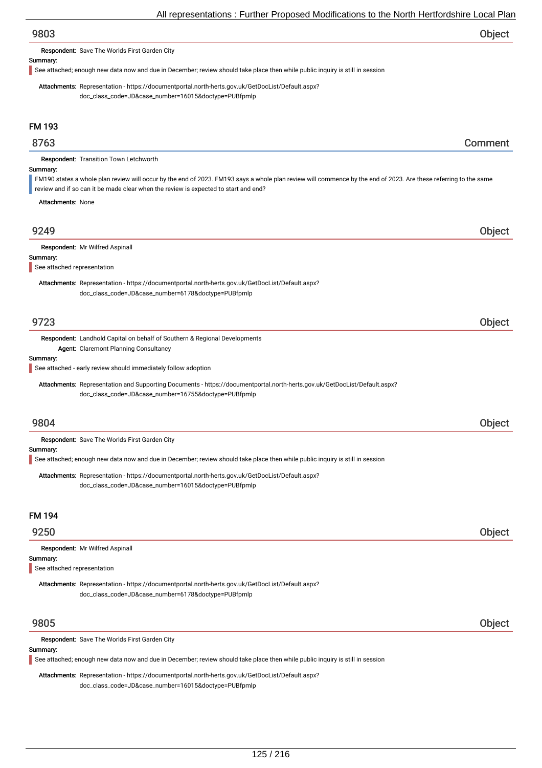# 9803 Object

Respondent: Save The Worlds First Garden City

#### Summary:

See attached; enough new data now and due in December; review should take place then while public inquiry is still in session

Attachments: Representation - https://documentportal.north-herts.gov.uk/GetDocList/Default.aspx? doc\_class\_code=JD&case\_number=16015&doctype=PUBfpmlp

# FM 193

# 8763 Comment

Respondent: Transition Town Letchworth

#### Summary:

FM190 states a whole plan review will occur by the end of 2023. FM193 says a whole plan review will commence by the end of 2023. Are these referring to the same

review and if so can it be made clear when the review is expected to start and end?

Attachments: None

# 9249 Object

#### Summary:

See attached representation

Attachments: Representation - https://documentportal.north-herts.gov.uk/GetDocList/Default.aspx? doc\_class\_code=JD&case\_number=6178&doctype=PUBfpmlp

# 9723 Object

Respondent: Landhold Capital on behalf of Southern & Regional Developments Agent: Claremont Planning Consultancy

#### Summary:

See attached - early review should immediately follow adoption

Attachments: Representation and Supporting Documents - https://documentportal.north-herts.gov.uk/GetDocList/Default.aspx? doc\_class\_code=JD&case\_number=16755&doctype=PUBfpmlp

# 9804 Object

Respondent: Save The Worlds First Garden City

#### Summary:

See attached; enough new data now and due in December; review should take place then while public inquiry is still in session

Attachments: Representation - https://documentportal.north-herts.gov.uk/GetDocList/Default.aspx? doc\_class\_code=JD&case\_number=16015&doctype=PUBfpmlp

# FM 194

# 9250 Object

|  | Respondent: Mr Wilfred Aspinall |  |
|--|---------------------------------|--|
|--|---------------------------------|--|

#### Summary:

See attached representation

Attachments: Representation - https://documentportal.north-herts.gov.uk/GetDocList/Default.aspx? doc\_class\_code=JD&case\_number=6178&doctype=PUBfpmlp

# 9805 Object

Respondent: Save The Worlds First Garden City

#### Summary:

See attached; enough new data now and due in December; review should take place then while public inquiry is still in session

Attachments: Representation - https://documentportal.north-herts.gov.uk/GetDocList/Default.aspx?

doc\_class\_code=JD&case\_number=16015&doctype=PUBfpmlp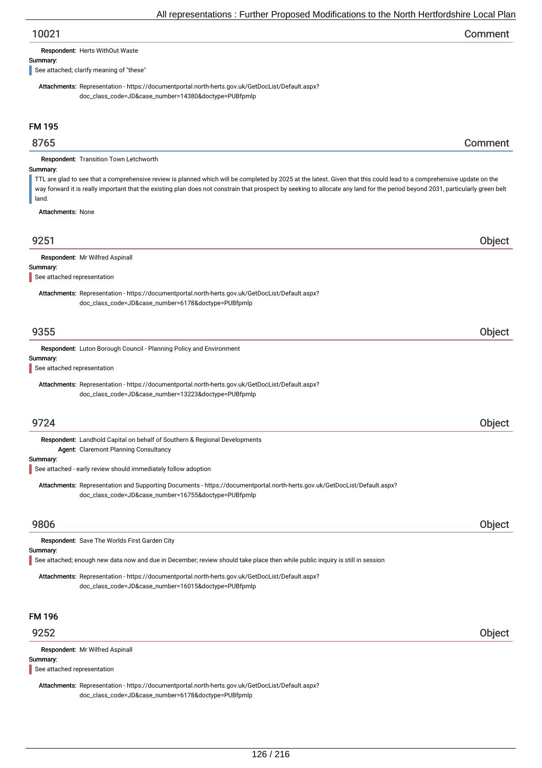# 10021 Comment

Respondent: Herts WithOut Waste

#### Summary:

See attached; clarify meaning of "these"

Attachments: Representation - https://documentportal.north-herts.gov.uk/GetDocList/Default.aspx? doc\_class\_code=JD&case\_number=14380&doctype=PUBfpmlp

# FM 195

# 8765 Comment

Respondent: Transition Town Letchworth

#### Summary:

TTL are glad to see that a comprehensive review is planned which will be completed by 2025 at the latest. Given that this could lead to a comprehensive update on the way forward it is really important that the existing plan does not constrain that prospect by seeking to allocate any land for the period beyond 2031, particularly green belt land.

Attachments: None

| 9251                                    |                                                                                                                                                                                       | <b>Object</b> |
|-----------------------------------------|---------------------------------------------------------------------------------------------------------------------------------------------------------------------------------------|---------------|
| Summary:<br>See attached representation | Respondent: Mr Wilfred Aspinall                                                                                                                                                       |               |
|                                         | Attachments: Representation - https://documentportal.north-herts.gov.uk/GetDocList/Default.aspx?<br>doc_class_code=JD&case_number=6178&doctype=PUBfpmlp                               |               |
| 9355                                    |                                                                                                                                                                                       | Object        |
| Summary:<br>See attached representation | Respondent: Luton Borough Council - Planning Policy and Environment                                                                                                                   |               |
|                                         | Attachments: Representation - https://documentportal.north-herts.gov.uk/GetDocList/Default.aspx?<br>doc_class_code=JD&case_number=13223&doctype=PUBfpmlp                              |               |
| 9724                                    |                                                                                                                                                                                       | Object        |
| Summary:                                | Respondent: Landhold Capital on behalf of Southern & Regional Developments<br>Agent: Claremont Planning Consultancy<br>See attached - early review should immediately follow adoption |               |
|                                         | Attachments: Representation and Supporting Documents - https://documentportal.north-herts.gov.uk/GetDocList/Default.aspx?<br>doc_class_code=JD&case_number=16755&doctype=PUBfpmlp     |               |
| 9806                                    |                                                                                                                                                                                       | Object        |
| Summary:                                | Respondent: Save The Worlds First Garden City<br>See attached; enough new data now and due in December; review should take place then while public inquiry is still in session        |               |
|                                         | Attachments: Representation - https://documentportal.north-herts.gov.uk/GetDocList/Default.aspx?<br>doc_class_code=JD&case_number=16015&doctype=PUBfpmlp                              |               |
| <b>FM 196</b>                           |                                                                                                                                                                                       |               |
| 9252                                    |                                                                                                                                                                                       | <b>Object</b> |

Summary: Respondent: Mr Wilfred Aspinall See attached representation

Attachments: Representation - https://documentportal.north-herts.gov.uk/GetDocList/Default.aspx? doc\_class\_code=JD&case\_number=6178&doctype=PUBfpmlp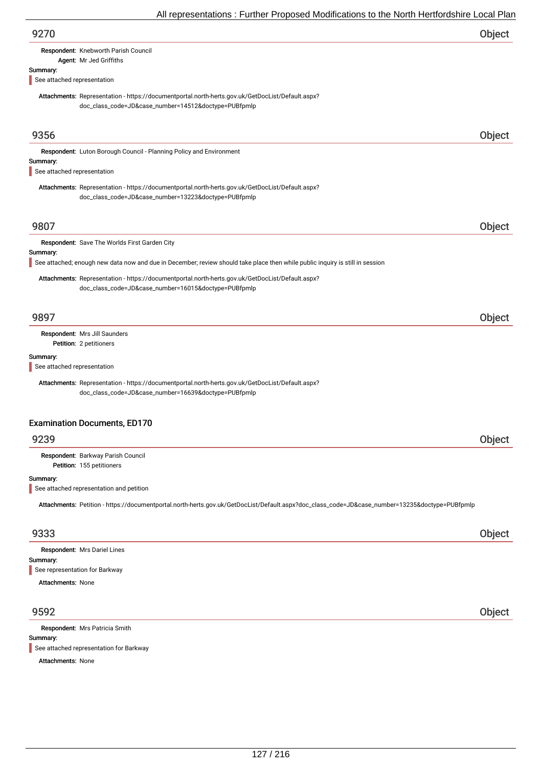|                             | All representations . Further Froposed Modifications to the North Hertroldshire Local Fial                                                               |        |
|-----------------------------|----------------------------------------------------------------------------------------------------------------------------------------------------------|--------|
| 9270                        |                                                                                                                                                          | Object |
|                             | Respondent: Knebworth Parish Council                                                                                                                     |        |
|                             | Agent: Mr Jed Griffiths                                                                                                                                  |        |
| Summary:                    |                                                                                                                                                          |        |
| See attached representation |                                                                                                                                                          |        |
|                             | Attachments: Representation - https://documentportal.north-herts.gov.uk/GetDocList/Default.aspx?<br>doc_class_code=JD&case_number=14512&doctype=PUBfpmlp |        |
| 9356                        |                                                                                                                                                          | Object |
|                             | Respondent: Luton Borough Council - Planning Policy and Environment                                                                                      |        |
| Summary:                    |                                                                                                                                                          |        |
| See attached representation |                                                                                                                                                          |        |
|                             | Attachments: Representation - https://documentportal.north-herts.gov.uk/GetDocList/Default.aspx?<br>doc_class_code=JD&case_number=13223&doctype=PUBfpmlp |        |
| 9807                        |                                                                                                                                                          |        |
|                             |                                                                                                                                                          | Object |
|                             | Respondent: Save The Worlds First Garden City                                                                                                            |        |
| Summary:                    |                                                                                                                                                          |        |
|                             | See attached; enough new data now and due in December; review should take place then while public inquiry is still in session                            |        |
|                             | Attachments: Representation - https://documentportal.north-herts.gov.uk/GetDocList/Default.aspx?<br>doc_class_code=JD&case_number=16015&doctype=PUBfpmlp |        |
| 9897                        |                                                                                                                                                          | Object |
|                             | Respondent: Mrs Jill Saunders                                                                                                                            |        |
|                             | Petition: 2 petitioners                                                                                                                                  |        |
| Summary:                    |                                                                                                                                                          |        |
| See attached representation |                                                                                                                                                          |        |
|                             | Attachments: Representation - https://documentportal.north-herts.gov.uk/GetDocList/Default.aspx?<br>doc_class_code=JD&case_number=16639&doctype=PUBfpmlp |        |
|                             | <b>Examination Documents, ED170</b>                                                                                                                      |        |
| 9239                        |                                                                                                                                                          | Object |
|                             | Respondent: Barkway Parish Council<br>Petition: 155 petitioners                                                                                          |        |
| Summary:                    |                                                                                                                                                          |        |
|                             | See attached representation and petition                                                                                                                 |        |
|                             | Attachments: Petition - https://documentportal.north-herts.gov.uk/GetDocList/Default.aspx?doc_class_code=JD&case_number=13235&doctype=PUBfpmlp           |        |
| 9333                        |                                                                                                                                                          | Object |
|                             | Respondent: Mrs Dariel Lines                                                                                                                             |        |
| Summary:                    |                                                                                                                                                          |        |
|                             | See representation for Barkway                                                                                                                           |        |
| <b>Attachments: None</b>    |                                                                                                                                                          |        |
| 9592                        |                                                                                                                                                          | Object |
|                             |                                                                                                                                                          |        |
| Summary:                    | Respondent: Mrs Patricia Smith                                                                                                                           |        |

See attached representation for Barkway

Attachments: None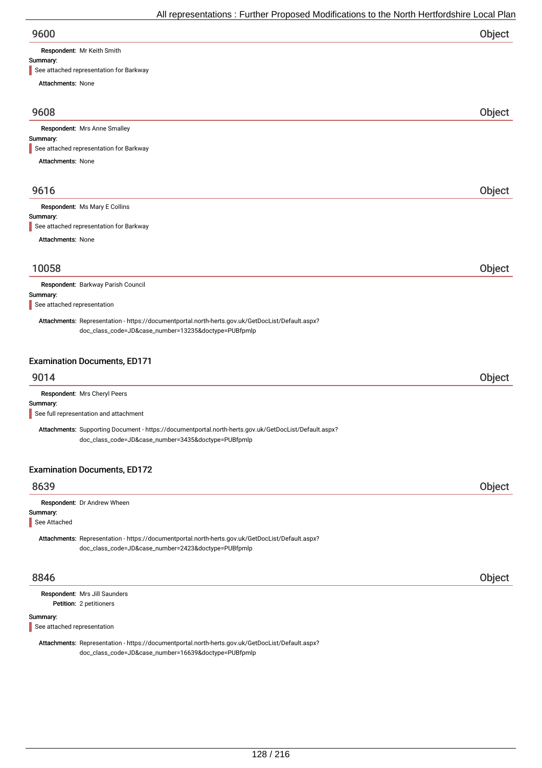Respondent: Mr Keith Smith

# Summary:

| See attached representation for Barkway                                                                                                                      |        |
|--------------------------------------------------------------------------------------------------------------------------------------------------------------|--------|
| <b>Attachments: None</b>                                                                                                                                     |        |
| 9608                                                                                                                                                         | Object |
| <b>Respondent:</b> Mrs Anne Smalley                                                                                                                          |        |
| Summary:<br>See attached representation for Barkway                                                                                                          |        |
| <b>Attachments: None</b>                                                                                                                                     |        |
|                                                                                                                                                              |        |
| 9616                                                                                                                                                         | Object |
| Respondent: Ms Mary E Collins                                                                                                                                |        |
| Summary:                                                                                                                                                     |        |
| See attached representation for Barkway                                                                                                                      |        |
| <b>Attachments: None</b>                                                                                                                                     |        |
|                                                                                                                                                              |        |
| 10058                                                                                                                                                        | Object |
| Respondent: Barkway Parish Council                                                                                                                           |        |
| Summary:                                                                                                                                                     |        |
| See attached representation                                                                                                                                  |        |
| Attachments: Representation - https://documentportal.north-herts.gov.uk/GetDocList/Default.aspx?<br>doc_class_code=JD&case_number=13235&doctype=PUBfpmlp     |        |
|                                                                                                                                                              |        |
|                                                                                                                                                              |        |
| <b>Examination Documents, ED171</b>                                                                                                                          |        |
| 9014                                                                                                                                                         | Object |
| Respondent: Mrs Cheryl Peers                                                                                                                                 |        |
| Summary:<br>See full representation and attachment                                                                                                           |        |
|                                                                                                                                                              |        |
| Attachments: Supporting Document - https://documentportal.north-herts.gov.uk/GetDocList/Default.aspx?<br>doc_class_code=JD&case_number=3435&doctype=PUBfpmlp |        |
|                                                                                                                                                              |        |
|                                                                                                                                                              |        |
| <b>Examination Documents, ED172</b>                                                                                                                          |        |
| 8639                                                                                                                                                         | Object |
| Respondent: Dr Andrew Wheen                                                                                                                                  |        |
| Summary:<br>See Attached                                                                                                                                     |        |
|                                                                                                                                                              |        |
| Attachments: Representation - https://documentportal.north-herts.gov.uk/GetDocList/Default.aspx?<br>doc_class_code=JD&case_number=2423&doctype=PUBfpmlp      |        |
|                                                                                                                                                              |        |
| 8846                                                                                                                                                         | Object |
| Respondent: Mrs Jill Saunders                                                                                                                                |        |
| Petition: 2 petitioners                                                                                                                                      |        |
| Summary:                                                                                                                                                     |        |
| See attached representation                                                                                                                                  |        |
| Attachments: Representation - https://documentportal.north-herts.gov.uk/GetDocList/Default.aspx?                                                             |        |

doc\_class\_code=JD&case\_number=16639&doctype=PUBfpmlp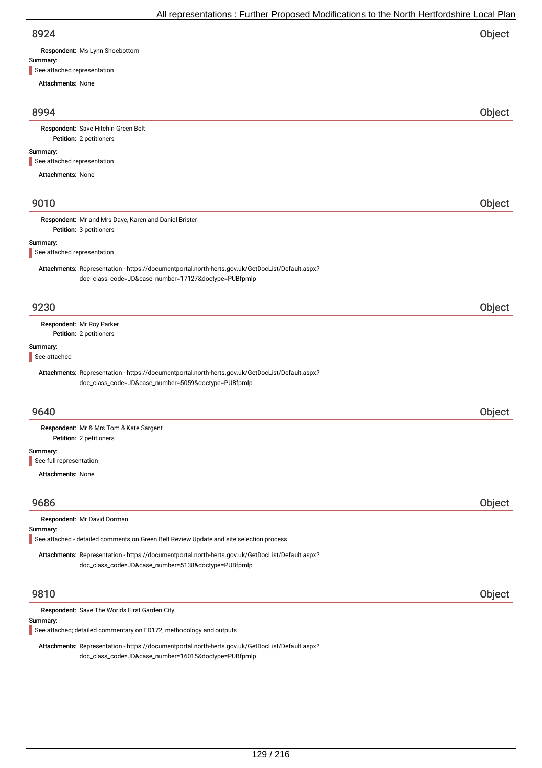| 8924                                    |                                                                                                                                                          | <b>Object</b> |
|-----------------------------------------|----------------------------------------------------------------------------------------------------------------------------------------------------------|---------------|
|                                         | Respondent: Ms Lynn Shoebottom                                                                                                                           |               |
| Summary:<br>See attached representation |                                                                                                                                                          |               |
| <b>Attachments: None</b>                |                                                                                                                                                          |               |
|                                         |                                                                                                                                                          |               |
| 8994                                    |                                                                                                                                                          | Object        |
|                                         | Respondent: Save Hitchin Green Belt<br>Petition: 2 petitioners                                                                                           |               |
| Summary:                                |                                                                                                                                                          |               |
| See attached representation             |                                                                                                                                                          |               |
| <b>Attachments: None</b>                |                                                                                                                                                          |               |
| 9010                                    |                                                                                                                                                          | Object        |
|                                         |                                                                                                                                                          |               |
|                                         | Respondent: Mr and Mrs Dave, Karen and Daniel Brister<br>Petition: 3 petitioners                                                                         |               |
| Summary:                                |                                                                                                                                                          |               |
| See attached representation             |                                                                                                                                                          |               |
|                                         | Attachments: Representation - https://documentportal.north-herts.gov.uk/GetDocList/Default.aspx?<br>doc_class_code=JD&case_number=17127&doctype=PUBfpmlp |               |
| 9230                                    |                                                                                                                                                          | Object        |
|                                         | Respondent: Mr Roy Parker                                                                                                                                |               |
|                                         | Petition: 2 petitioners                                                                                                                                  |               |
| Summary:<br>See attached                |                                                                                                                                                          |               |
|                                         | Attachments: Representation - https://documentportal.north-herts.gov.uk/GetDocList/Default.aspx?<br>doc_class_code=JD&case_number=5059&doctype=PUBfpmlp  |               |
| 9640                                    |                                                                                                                                                          | Object        |
|                                         | Respondent: Mr & Mrs Tom & Kate Sargent<br>Petition: 2 petitioners                                                                                       |               |
| Summary:                                |                                                                                                                                                          |               |
| See full representation                 |                                                                                                                                                          |               |
| <b>Attachments: None</b>                |                                                                                                                                                          |               |
|                                         |                                                                                                                                                          |               |
| 9686                                    |                                                                                                                                                          | Object        |
| Summary:                                | Respondent: Mr David Dorman                                                                                                                              |               |
|                                         | See attached - detailed comments on Green Belt Review Update and site selection process                                                                  |               |
|                                         | Attachments: Representation - https://documentportal.north-herts.gov.uk/GetDocList/Default.aspx?<br>doc_class_code=JD&case_number=5138&doctype=PUBfpmlp  |               |
| 9810                                    |                                                                                                                                                          | Object        |
|                                         | Respondent: Save The Worlds First Garden City                                                                                                            |               |
| Summary:                                | See attached; detailed commentary on ED172, methodology and outputs                                                                                      |               |
|                                         | Attachments: Representation - https://documentportal.north-herts.gov.uk/GetDocList/Default.aspx?                                                         |               |

doc\_class\_code=JD&case\_number=16015&doctype=PUBfpmlp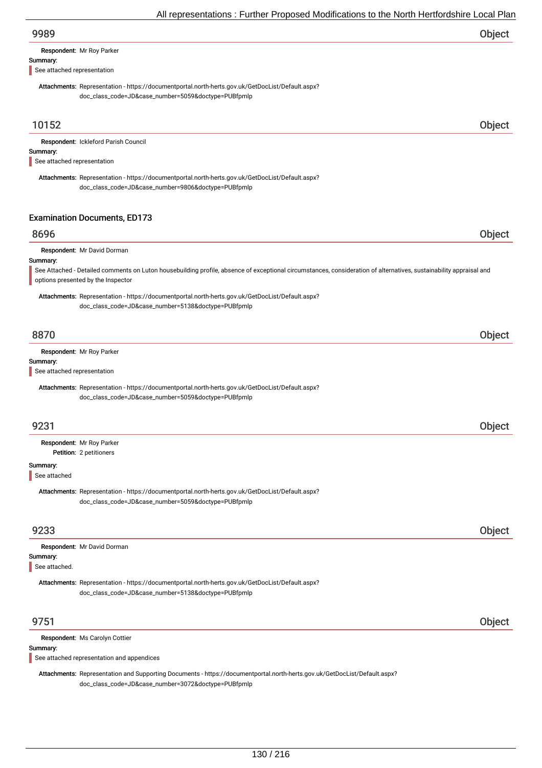Respondent: Mr Roy Parker

#### Summary:

See attached representation

Attachments: Representation - https://documentportal.north-herts.gov.uk/GetDocList/Default.aspx? doc\_class\_code=JD&case\_number=5059&doctype=PUBfpmlp

# 10152 Object

Summary: Respondent: Ickleford Parish Council See attached representation

Attachments: Representation - https://documentportal.north-herts.gov.uk/GetDocList/Default.aspx? doc\_class\_code=JD&case\_number=9806&doctype=PUBfpmlp

# Examination Documents, ED173

# 8696 Object

Respondent: Mr David Dorman

#### Summary:

See Attached - Detailed comments on Luton housebuilding profile, absence of exceptional circumstances, consideration of alternatives, sustainability appraisal and options presented by the Inspector

Attachments: Representation - https://documentportal.north-herts.gov.uk/GetDocList/Default.aspx? doc\_class\_code=JD&case\_number=5138&doctype=PUBfpmlp

# 8870 Object

Respondent: Mr Roy Parker

#### Summary:

See attached representation

Attachments: Representation - https://documentportal.north-herts.gov.uk/GetDocList/Default.aspx? doc\_class\_code=JD&case\_number=5059&doctype=PUBfpmlp

| 9231                             |  |  |
|----------------------------------|--|--|
| <b>Respondent:</b> Mr Roy Parker |  |  |
| Petition: 2 petitioners          |  |  |

#### Summary:

See attached

Attachments: Representation - https://documentportal.north-herts.gov.uk/GetDocList/Default.aspx? doc\_class\_code=JD&case\_number=5059&doctype=PUBfpmlp

# 9233 Object

| <b>Respondent: Mr David Dorman</b>                                                               |  |
|--------------------------------------------------------------------------------------------------|--|
| Summary:                                                                                         |  |
| See attached.                                                                                    |  |
| Attachments: Representation - https://documentportal.north-herts.gov.uk/GetDocList/Default.aspx? |  |
| doc_class_code=JD&case_number=5138&doctype=PUBfpmlp                                              |  |
|                                                                                                  |  |
|                                                                                                  |  |

# 9751 Object

Respondent: Ms Carolyn Cottier

#### Summary:

See attached representation and appendices

Attachments: Representation and Supporting Documents - https://documentportal.north-herts.gov.uk/GetDocList/Default.aspx? doc\_class\_code=JD&case\_number=3072&doctype=PUBfpmlp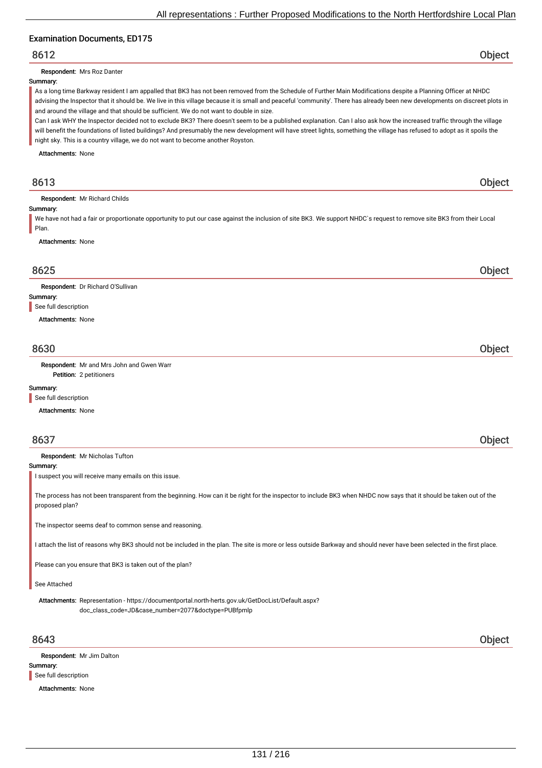# Examination Documents, ED175

# 8612 Object

Respondent: Mrs Roz Danter

#### Summary:

As a long time Barkway resident I am appalled that BK3 has not been removed from the Schedule of Further Main Modifications despite a Planning Officer at NHDC advising the Inspector that it should be. We live in this village because it is small and peaceful 'community'. There has already been new developments on discreet plots in and around the village and that should be sufficient. We do not want to double in size.

Can I ask WHY the Inspector decided not to exclude BK3? There doesn't seem to be a published explanation. Can I also ask how the increased traffic through the village will benefit the foundations of listed buildings? And presumably the new development will have street lights, something the village has refused to adopt as it spoils the night sky. This is a country village, we do not want to become another Royston.

Attachments: None

# 8613 Object

Respondent: Mr Richard Childs

#### Summary:

We have not had a fair or proportionate opportunity to put our case against the inclusion of site BK3. We support NHDC`s request to remove site BK3 from their Local Plan.

Attachments: None

# 8625 Object

Respondent: Dr Richard O'Sullivan

#### Summary:

See full description

Attachments: None

# 8630 Object

Petition: 2 petitioners Respondent: Mr and Mrs John and Gwen Warr

#### Summary:

See full description

Attachments: None

| 8637                                                  | Object |
|-------------------------------------------------------|--------|
| Respondent: Mr Nicholas Tufton                        |        |
| Summary:                                              |        |
| I suspect you will receive many emails on this issue. |        |

The process has not been transparent from the beginning. How can it be right for the inspector to include BK3 when NHDC now says that it should be taken out of the proposed plan?

The inspector seems deaf to common sense and reasoning.

I attach the list of reasons why BK3 should not be included in the plan. The site is more or less outside Barkway and should never have been selected in the first place.

Please can you ensure that BK3 is taken out of the plan?

#### See Attached

Attachments: Representation - https://documentportal.north-herts.gov.uk/GetDocList/Default.aspx? doc\_class\_code=JD&case\_number=2077&doctype=PUBfpmlp

# 8643 Object

Summary: Respondent: Mr Jim Dalton See full description

Attachments: None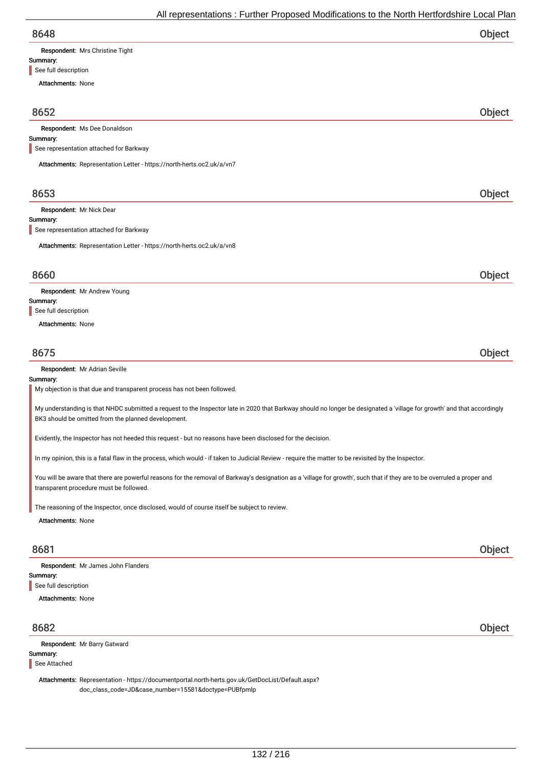8648 Object Summary: Attachments: None Respondent: Mrs Christine Tight See full description 8652 Object Summary: Respondent: Ms Dee Donaldson Attachments: Representation Letter - https://north-herts.oc2.uk/a/vn7 See representation attached for Barkway 8653 Object Summary: Respondent: Mr Nick Dear Attachments: Representation Letter - https://north-herts.oc2.uk/a/vn8 See representation attached for Barkway 8660 Object Summary: Attachments: None Respondent: Mr Andrew Young See full description 8675 Object Summary: Respondent: Mr Adrian Seville My objection is that due and transparent process has not been followed. My understanding is that NHDC submitted a request to the Inspector late in 2020 that Barkway should no longer be designated a 'village for growth' and that accordingly BK3 should be omitted from the planned development. Evidently, the Inspector has not heeded this request - but no reasons have been disclosed for the decision. In my opinion, this is a fatal flaw in the process, which would - if taken to Judicial Review -require the matter to be revisited by the Inspector. You will be aware that there are powerful reasons for the removal of Barkway's designation as a 'village for growth', such that if they are to be overruled a proper and transparent procedure must be followed. The reasoning of the Inspector, once disclosed, would of course itself be subject to review.

Attachments: None

# 8681 Object

Summary: Attachments: None Respondent: Mr James John Flanders See full description

# 8682 Object

Summary: Respondent: Mr Barry Gatward See Attached

Attachments: Representation - https://documentportal.north-herts.gov.uk/GetDocList/Default.aspx? doc\_class\_code=JD&case\_number=15581&doctype=PUBfpmlp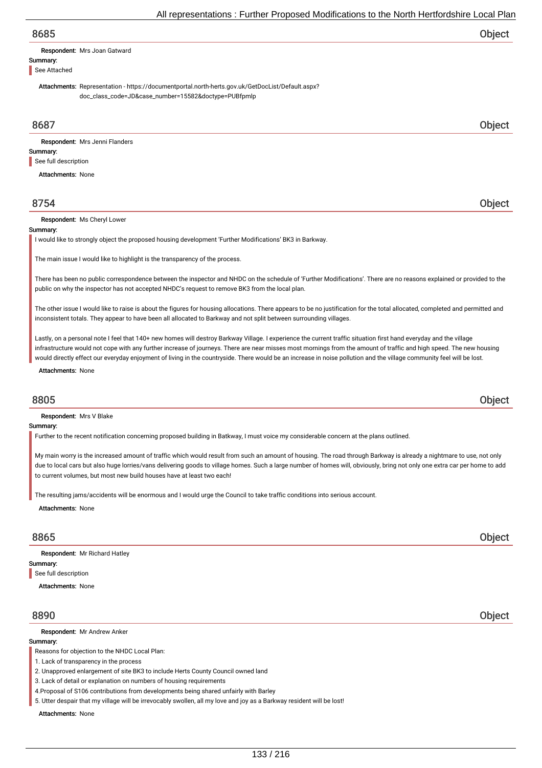# 8685 Object

Respondent: Mrs Joan Gatward

Summary: See Attached

> Attachments: Representation - https://documentportal.north-herts.gov.uk/GetDocList/Default.aspx? doc\_class\_code=JD&case\_number=15582&doctype=PUBfpmlp

# 8687 Object

Summary: Respondent: Mrs Jenni Flanders See full description

Attachments: None

# 8754 Object

Respondent: Ms Cheryl Lower

#### **Summary**

I would like to strongly object the proposed housing development 'Further Modifications' BK3 in Barkway.

The main issue I would like to highlight is the transparency of the process.

There has been no public correspondence between the inspector and NHDC on the schedule of 'Further Modifications'. There are no reasons explained or provided to the public on why the inspector has not accepted NHDC's request to remove BK3 from the local plan.

The other issue I would like to raise is about the figures for housing allocations. There appears to be no justification for the total allocated, completed and permitted and inconsistent totals. They appear to have been all allocated to Barkway and not split between surrounding villages.

Lastly, on a personal note I feel that 140+ new homes will destroy Barkway Village. I experience the current traffic situation first hand everyday and the village infrastructure would not cope with any further increase of journeys. There are near misses most mornings from the amount of traffic and high speed. The new housing would directly effect our everyday enjoyment of living in the countryside. There would be an increase in noise pollution and the village community feel will be lost.

Attachments: None

# 8805 Object

Respondent: Mrs V Blake

#### Summary:

Further to the recent notification concerning proposed building in Batkway, I must voice my considerable concern at the plans outlined.

My main worry is the increased amount of traffic which would result from such an amount of housing. The road through Barkway is already a nightmare to use, not only due to local cars but also huge lorries/vans delivering goods to village homes. Such a large number of homes will, obviously, bring not only one extra car per home to add to current volumes, but most new build houses have at least two each!

The resulting jams/accidents will be enormous and I would urge the Council to take traffic conditions into serious account.

Attachments: None

# 8865 Object

Summary: Respondent: Mr Richard Hatley See full description

Attachments: None

#### Respondent: Mr Andrew Anker

#### Summary:

Reasons for objection to the NHDC Local Plan:

1. Lack of transparency in the process

2. Unapproved enlargement of site BK3 to include Herts County Council owned land

3. Lack of detail or explanation on numbers of housing requirements

4.Proposal of S106 contributions from developments being shared unfairly with Barley

5. Utter despair that my village will be irrevocably swollen, all my love and joy as a Barkway resident will be lost!

Attachments: None

8890 Object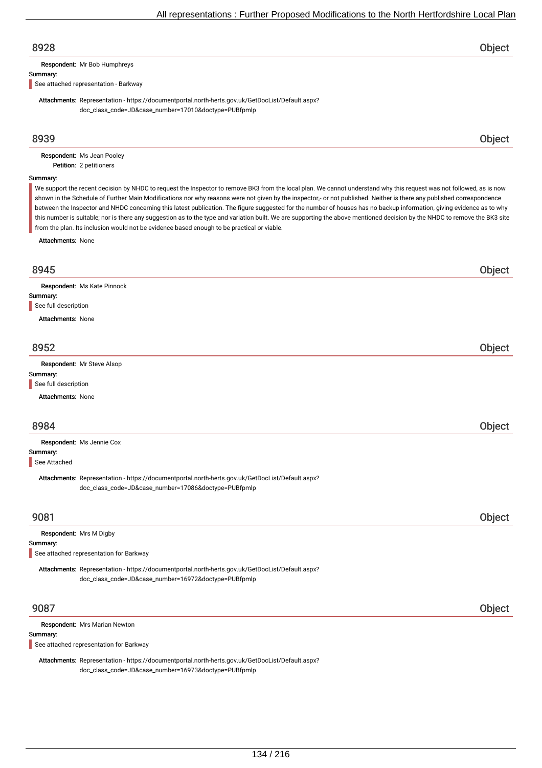# 8928 Object

Respondent: Mr Bob Humphreys

#### Summary:

See attached representation - Barkway

Attachments: Representation - https://documentportal.north-herts.gov.uk/GetDocList/Default.aspx? doc\_class\_code=JD&case\_number=17010&doctype=PUBfpmlp

# 8939 Object

Petition: 2 petitioners Respondent: Ms Jean Pooley

#### Summary:

We support the recent decision by NHDC to request the Inspector to remove BK3 from the local plan. We cannot understand why this request was not followed, as is now shown in the Schedule of Further Main Modifications nor why reasons were not given by the inspector,- or not published. Neither is there any published correspondence between the Inspector and NHDC concerning this latest publication. The figure suggested for the number of houses has no backup information, giving evidence as to why this number is suitable; nor is there any suggestion as to the type and variation built. We are supporting the above mentioned decision by the NHDC to remove the BK3 site from the plan. Its inclusion would not be evidence based enough to be practical or viable.

Attachments: None

| 8945                                                                                                                                                     | Object |
|----------------------------------------------------------------------------------------------------------------------------------------------------------|--------|
| Respondent: Ms Kate Pinnock                                                                                                                              |        |
| Summary:                                                                                                                                                 |        |
| See full description                                                                                                                                     |        |
| Attachments: None                                                                                                                                        |        |
| 8952                                                                                                                                                     | Object |
| Respondent: Mr Steve Alsop                                                                                                                               |        |
| Summary:                                                                                                                                                 |        |
| See full description                                                                                                                                     |        |
| <b>Attachments: None</b>                                                                                                                                 |        |
| 8984                                                                                                                                                     |        |
|                                                                                                                                                          | Object |
| Respondent: Ms Jennie Cox                                                                                                                                |        |
| Summary:<br>See Attached                                                                                                                                 |        |
| Attachments: Representation - https://documentportal.north-herts.gov.uk/GetDocList/Default.aspx?<br>doc_class_code=JD&case_number=17086&doctype=PUBfpmlp |        |
| 9081                                                                                                                                                     | Object |
| Respondent: Mrs M Digby                                                                                                                                  |        |
| Summary:                                                                                                                                                 |        |
| See attached representation for Barkway                                                                                                                  |        |
| Attachments: Representation - https://documentportal.north-herts.gov.uk/GetDocList/Default.aspx?<br>doc_class_code=JD&case_number=16972&doctype=PUBfpmlp |        |
| 9087                                                                                                                                                     | Object |
| Respondent: Mrs Marian Newton                                                                                                                            |        |
| Summary:                                                                                                                                                 |        |
| See attached representation for Barkway                                                                                                                  |        |

Attachments: Representation - https://documentportal.north-herts.gov.uk/GetDocList/Default.aspx? doc\_class\_code=JD&case\_number=16973&doctype=PUBfpmlp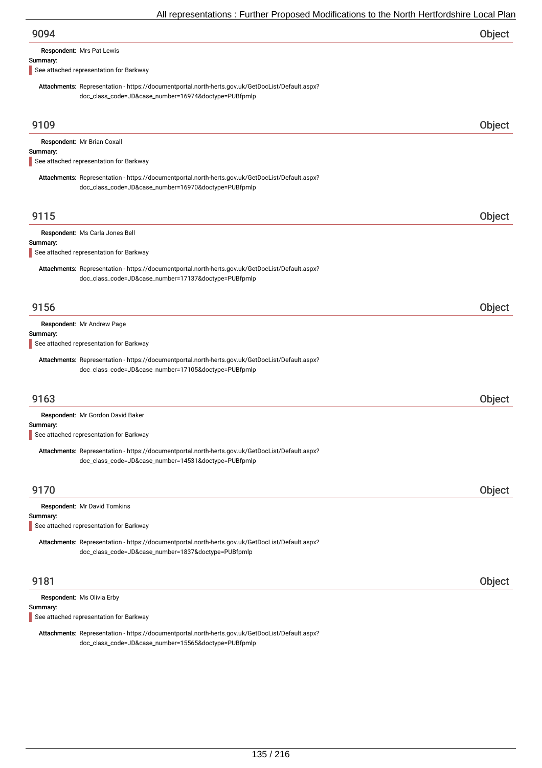| 9094<br>Object |
|----------------|
|----------------|

Respondent: Mrs Pat Lewis

#### Summary:

See attached representation for Barkway

Attachments: Representation - https://documentportal.north-herts.gov.uk/GetDocList/Default.aspx? doc\_class\_code=JD&case\_number=16974&doctype=PUBfpmlp

| 9109                                                                                                                                                     | Object |
|----------------------------------------------------------------------------------------------------------------------------------------------------------|--------|
| Respondent: Mr Brian Coxall<br>Summary:                                                                                                                  |        |
| See attached representation for Barkway                                                                                                                  |        |
| Attachments: Representation - https://documentportal.north-herts.gov.uk/GetDocList/Default.aspx?<br>doc_class_code=JD&case_number=16970&doctype=PUBfpmlp |        |
| 9115                                                                                                                                                     | Object |
| Respondent: Ms Carla Jones Bell                                                                                                                          |        |
| Summary:<br>See attached representation for Barkway                                                                                                      |        |
| Attachments: Representation - https://documentportal.north-herts.gov.uk/GetDocList/Default.aspx?<br>doc_class_code=JD&case_number=17137&doctype=PUBfpmlp |        |
| 9156                                                                                                                                                     | Object |
| Respondent: Mr Andrew Page<br>Summary:<br>See attached representation for Barkway                                                                        |        |
| Attachments: Representation - https://documentportal.north-herts.gov.uk/GetDocList/Default.aspx?<br>doc_class_code=JD&case_number=17105&doctype=PUBfpmlp |        |
| 9163                                                                                                                                                     | Object |
| Respondent: Mr Gordon David Baker                                                                                                                        |        |
| Summary:<br>See attached representation for Barkway                                                                                                      |        |
| Attachments: Representation - https://documentportal.north-herts.gov.uk/GetDocList/Default.aspx?<br>doc_class_code=JD&case_number=14531&doctype=PUBfpmlp |        |
| 9170                                                                                                                                                     | Object |
| Respondent: Mr David Tomkins<br>Summary:                                                                                                                 |        |
| See attached representation for Barkway                                                                                                                  |        |
| Attachments: Representation - https://documentportal.north-herts.gov.uk/GetDocList/Default.aspx?<br>doc_class_code=JD&case_number=1837&doctype=PUBfpmlp  |        |
| 9181                                                                                                                                                     | Object |
| Respondent: Ms Olivia Erby<br>Summary:                                                                                                                   |        |

See attached representation for Barkway

Attachments: Representation - https://documentportal.north-herts.gov.uk/GetDocList/Default.aspx? doc\_class\_code=JD&case\_number=15565&doctype=PUBfpmlp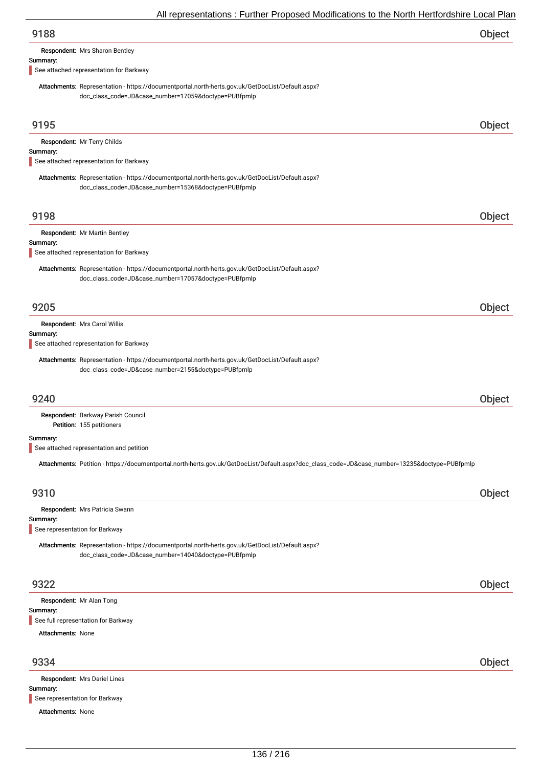|          | All representations : Further Proposed Modifications to the North Hertfordshire Local Plar                                                               |               |
|----------|----------------------------------------------------------------------------------------------------------------------------------------------------------|---------------|
| 9188     |                                                                                                                                                          | Object        |
|          | Respondent: Mrs Sharon Bentley                                                                                                                           |               |
| Summary: |                                                                                                                                                          |               |
|          | See attached representation for Barkway                                                                                                                  |               |
|          | Attachments: Representation - https://documentportal.north-herts.gov.uk/GetDocList/Default.aspx?<br>doc_class_code=JD&case_number=17059&doctype=PUBfpmlp |               |
| 9195     |                                                                                                                                                          | Object        |
|          | Respondent: Mr Terry Childs                                                                                                                              |               |
| Summary: |                                                                                                                                                          |               |
|          | See attached representation for Barkway                                                                                                                  |               |
|          | Attachments: Representation - https://documentportal.north-herts.gov.uk/GetDocList/Default.aspx?                                                         |               |
|          | doc_class_code=JD&case_number=15368&doctype=PUBfpmlp                                                                                                     |               |
|          |                                                                                                                                                          |               |
| 9198     |                                                                                                                                                          | Object        |
|          |                                                                                                                                                          |               |
|          | Respondent: Mr Martin Bentley                                                                                                                            |               |
| Summary: | See attached representation for Barkway                                                                                                                  |               |
|          |                                                                                                                                                          |               |
|          | Attachments: Representation - https://documentportal.north-herts.gov.uk/GetDocList/Default.aspx?                                                         |               |
|          | doc_class_code=JD&case_number=17057&doctype=PUBfpmlp                                                                                                     |               |
|          |                                                                                                                                                          |               |
| 9205     |                                                                                                                                                          | Object        |
|          |                                                                                                                                                          |               |
| Summary: | Respondent: Mrs Carol Willis                                                                                                                             |               |
|          | See attached representation for Barkway                                                                                                                  |               |
|          |                                                                                                                                                          |               |
|          | Attachments: Representation - https://documentportal.north-herts.gov.uk/GetDocList/Default.aspx?                                                         |               |
|          | doc_class_code=JD&case_number=2155&doctype=PUBfpmlp                                                                                                      |               |
|          |                                                                                                                                                          |               |
| 9240     |                                                                                                                                                          | <b>Object</b> |
|          | Respondent: Barkway Parish Council                                                                                                                       |               |
|          | Petition: 155 petitioners                                                                                                                                |               |
| Summary: |                                                                                                                                                          |               |
|          | See attached representation and petition                                                                                                                 |               |
|          |                                                                                                                                                          |               |
|          | Attachments: Petition - https://documentportal.north-herts.gov.uk/GetDocList/Default.aspx?doc_class_code=JD&case_number=13235&doctype=PUBfpmlp           |               |

# 9310 Object

| Respondent: Mrs Patricia Swann<br>Summary:<br>See representation for Barkway<br>Attachments: Representation - https://documentportal.north-herts.gov.uk/GetDocList/Default.aspx? |               |
|----------------------------------------------------------------------------------------------------------------------------------------------------------------------------------|---------------|
| doc_class_code=JD&case_number=14040&doctype=PUBfpmlp                                                                                                                             |               |
|                                                                                                                                                                                  |               |
| 9322                                                                                                                                                                             | <b>Object</b> |

| I | ۰. |  |
|---|----|--|
|   |    |  |

Summary: Respondent: Mr Alan Tong See full representation for Barkway

Attachments: None

# 9334 Object

Summary: Attachments: None Respondent: Mrs Dariel Lines See representation for Barkway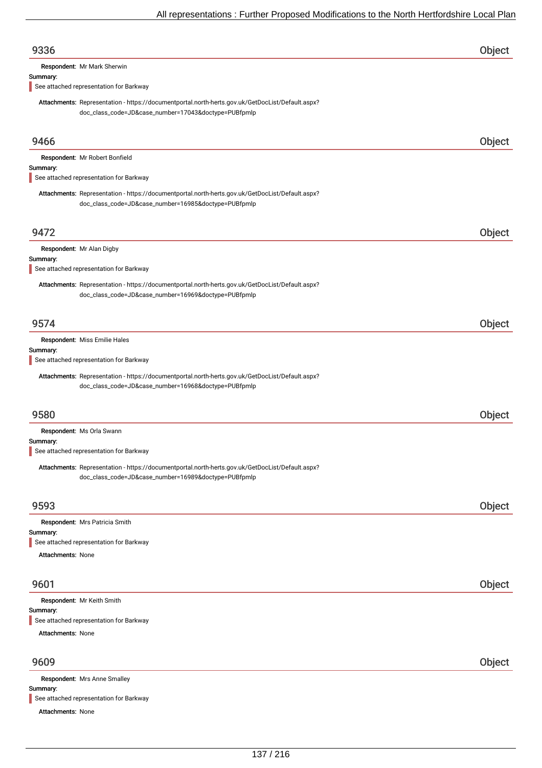| 9336                                                                                                                                                     | Object |
|----------------------------------------------------------------------------------------------------------------------------------------------------------|--------|
| Respondent: Mr Mark Sherwin                                                                                                                              |        |
| Summary:<br>See attached representation for Barkway                                                                                                      |        |
| Attachments: Representation - https://documentportal.north-herts.gov.uk/GetDocList/Default.aspx?<br>doc_class_code=JD&case_number=17043&doctype=PUBfpmlp |        |
| 9466                                                                                                                                                     | Object |
| Respondent: Mr Robert Bonfield<br>Summary:<br>See attached representation for Barkway                                                                    |        |
| Attachments: Representation - https://documentportal.north-herts.gov.uk/GetDocList/Default.aspx?<br>doc_class_code=JD&case_number=16985&doctype=PUBfpmlp |        |
| 9472                                                                                                                                                     | Object |
| Respondent: Mr Alan Digby                                                                                                                                |        |
| Summary:<br>See attached representation for Barkway                                                                                                      |        |
| Attachments: Representation - https://documentportal.north-herts.gov.uk/GetDocList/Default.aspx?<br>doc_class_code=JD&case_number=16969&doctype=PUBfpmlp |        |
| 9574                                                                                                                                                     | Object |
| Respondent: Miss Emilie Hales                                                                                                                            |        |
| Summary:<br>See attached representation for Barkway                                                                                                      |        |
| Attachments: Representation - https://documentportal.north-herts.gov.uk/GetDocList/Default.aspx?<br>doc_class_code=JD&case_number=16968&doctype=PUBfpmlp |        |
| 9580                                                                                                                                                     | Object |
| Respondent: Ms Orla Swann                                                                                                                                |        |
| Summary:<br>See attached representation for Barkway                                                                                                      |        |
| Attachments: Representation - https://documentportal.north-herts.gov.uk/GetDocList/Default.aspx?<br>doc_class_code=JD&case_number=16989&doctype=PUBfpmlp |        |
| 9593                                                                                                                                                     | Object |
| Respondent: Mrs Patricia Smith                                                                                                                           |        |
| Summary:<br>See attached representation for Barkway                                                                                                      |        |
| <b>Attachments: None</b>                                                                                                                                 |        |
| 9601                                                                                                                                                     | Object |
| Respondent: Mr Keith Smith                                                                                                                               |        |
| Summary:<br>See attached representation for Barkway                                                                                                      |        |
| <b>Attachments: None</b>                                                                                                                                 |        |
| 9609                                                                                                                                                     | Object |
| Respondent: Mrs Anne Smalley<br>Summary:                                                                                                                 |        |

Attachments: None See attached representation for Barkway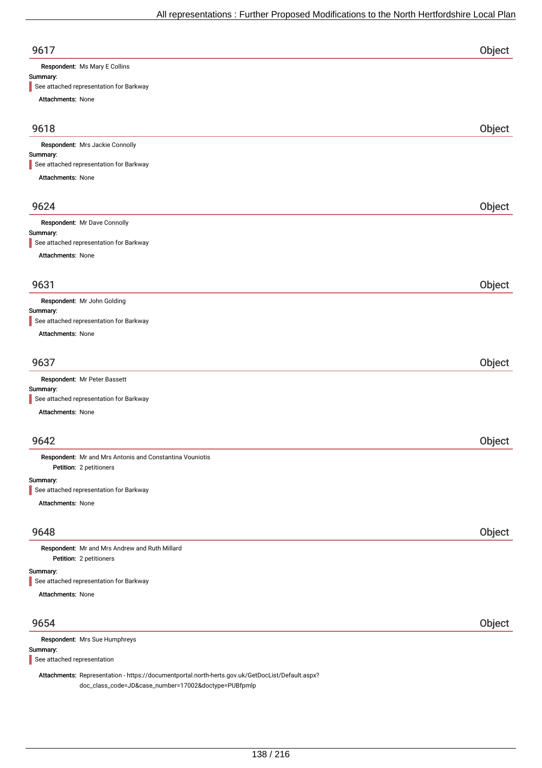| 9617   |  |
|--------|--|
| $\sim$ |  |

Respondent: Ms Mary E Collins

# Summary:

See attached representation for Barkway

Attachments: None

| <b>Attachments.</b> None                                                            |        |
|-------------------------------------------------------------------------------------|--------|
| 9618                                                                                | Object |
| Respondent: Mrs Jackie Connolly                                                     |        |
| Summary:                                                                            |        |
| See attached representation for Barkway                                             |        |
| Attachments: None                                                                   |        |
| 9624                                                                                | Object |
| Respondent: Mr Dave Connolly                                                        |        |
| Summary:<br>See attached representation for Barkway                                 |        |
| Attachments: None                                                                   |        |
| 9631                                                                                | Object |
| Respondent: Mr John Golding                                                         |        |
| Summary:                                                                            |        |
| See attached representation for Barkway                                             |        |
| <b>Attachments: None</b>                                                            |        |
| 9637                                                                                | Object |
| Respondent: Mr Peter Bassett                                                        |        |
| Summary:<br>See attached representation for Barkway                                 |        |
| <b>Attachments: None</b>                                                            |        |
| 9642                                                                                | Object |
|                                                                                     |        |
| Respondent: Mr and Mrs Antonis and Constantina Vouniotis<br>Petition: 2 petitioners |        |
| Summary:                                                                            |        |
| See attached representation for Barkway                                             |        |
| Attachments: None                                                                   |        |
| 9648                                                                                | Object |
| Respondent: Mr and Mrs Andrew and Ruth Millard<br>Petition: 2 petitioners           |        |
| Summary:<br>See attached representation for Barkway                                 |        |
| Attachments: None                                                                   |        |

| 9654                                                                                             | <b>Object</b> |
|--------------------------------------------------------------------------------------------------|---------------|
| <b>Respondent:</b> Mrs Sue Humphreys                                                             |               |
| Summary:                                                                                         |               |
| See attached representation                                                                      |               |
| Attachmente: Penrecentation - https://documentportal.porth-berts.gov.uk/CetDocList/Default.aspy2 |               |

chments: Representation - https://documentportal.north-herts.gov.uk/GetDocList/Default.aspx? doc\_class\_code=JD&case\_number=17002&doctype=PUBfpmlp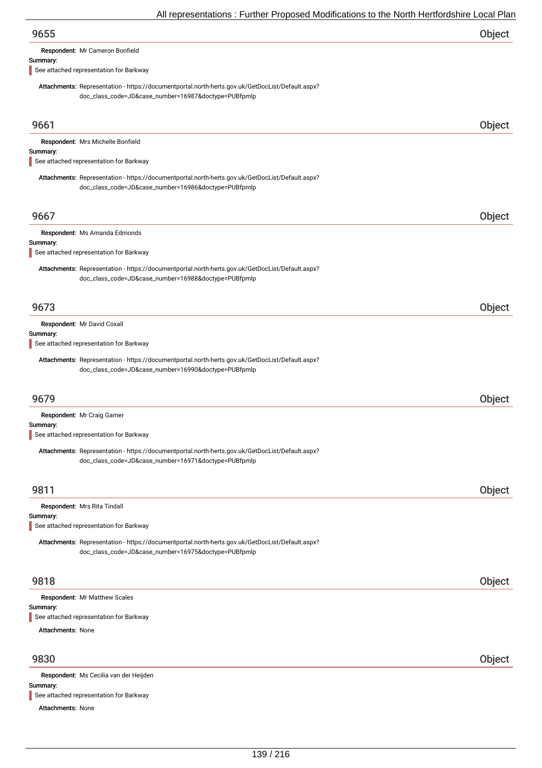Respondent: Mr Cameron Bonfield

#### Summary:

See attached representation for Barkway

Attachments: Representation - https://documentportal.north-herts.gov.uk/GetDocList/Default.aspx? doc\_class\_code=JD&case\_number=16987&doctype=PUBfpmlp

| 9661                                                                                                                                                     | Object |
|----------------------------------------------------------------------------------------------------------------------------------------------------------|--------|
| Respondent: Mrs Michelle Bonfield                                                                                                                        |        |
| Summary:<br>See attached representation for Barkway                                                                                                      |        |
|                                                                                                                                                          |        |
| Attachments: Representation - https://documentportal.north-herts.gov.uk/GetDocList/Default.aspx?<br>doc_class_code=JD&case_number=16986&doctype=PUBfpmlp |        |
|                                                                                                                                                          |        |
| 9667                                                                                                                                                     | Object |
| Respondent: Ms Amanda Edmonds                                                                                                                            |        |
| Summary:<br>See attached representation for Barkway                                                                                                      |        |
|                                                                                                                                                          |        |
| Attachments: Representation - https://documentportal.north-herts.gov.uk/GetDocList/Default.aspx?<br>doc_class_code=JD&case_number=16988&doctype=PUBfpmlp |        |
|                                                                                                                                                          |        |
| 9673                                                                                                                                                     | Object |
|                                                                                                                                                          |        |
| Respondent: Mr David Coxall<br>Summary:                                                                                                                  |        |
| See attached representation for Barkway                                                                                                                  |        |
| Attachments: Representation - https://documentportal.north-herts.gov.uk/GetDocList/Default.aspx?                                                         |        |
| doc_class_code=JD&case_number=16990&doctype=PUBfpmlp                                                                                                     |        |
|                                                                                                                                                          |        |
| 9679                                                                                                                                                     | Object |
| Respondent: Mr Craig Garner                                                                                                                              |        |
| Summary:                                                                                                                                                 |        |
| See attached representation for Barkway                                                                                                                  |        |
| Attachments: Representation - https://documentportal.north-herts.gov.uk/GetDocList/Default.aspx?                                                         |        |
| doc_class_code=JD&case_number=16971&doctype=PUBfpmlp                                                                                                     |        |
|                                                                                                                                                          |        |
| 9811                                                                                                                                                     | Object |
| Respondent: Mrs Rita Tindall<br>Summary:                                                                                                                 |        |
| See attached representation for Barkway                                                                                                                  |        |
| Attachments: Representation - https://documentportal.north-herts.gov.uk/GetDocList/Default.aspx?                                                         |        |
| doc_class_code=JD&case_number=16975&doctype=PUBfpmlp                                                                                                     |        |
|                                                                                                                                                          |        |
| 9818                                                                                                                                                     | Object |
| Respondent: Mr Matthew Scales                                                                                                                            |        |
| Summary:                                                                                                                                                 |        |
| See attached representation for Barkway                                                                                                                  |        |
| <b>Attachments: None</b>                                                                                                                                 |        |
|                                                                                                                                                          |        |
| 9830                                                                                                                                                     | Object |
| Respondent: Ms Cecilia van der Heijden                                                                                                                   |        |

#### Summary:

See attached representation for Barkway

Attachments: None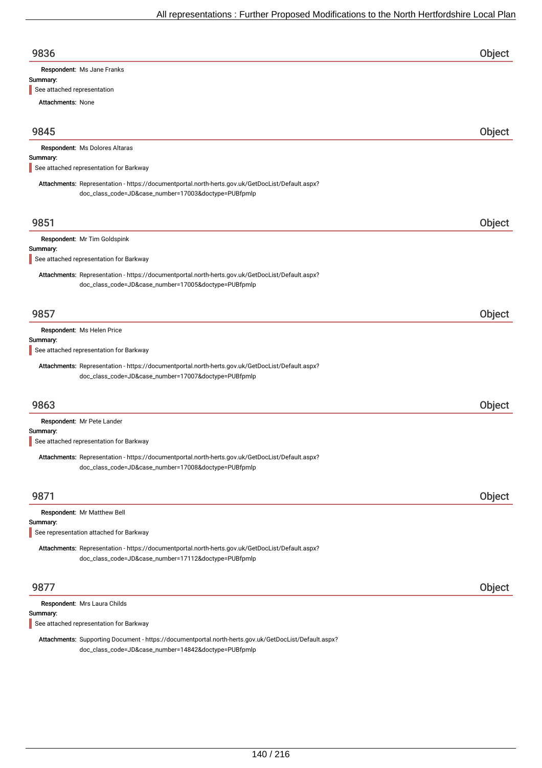| 9836                       |  |
|----------------------------|--|
| Respondent: Ms Jane Franks |  |

#### Summary:

See attached representation

Attachments: None

| 9845     |                                                                                                                                                          | Object |
|----------|----------------------------------------------------------------------------------------------------------------------------------------------------------|--------|
|          | Respondent: Ms Dolores Altaras                                                                                                                           |        |
| Summary: | See attached representation for Barkway                                                                                                                  |        |
|          | Attachments: Representation - https://documentportal.north-herts.gov.uk/GetDocList/Default.aspx?<br>doc_class_code=JD&case_number=17003&doctype=PUBfpmlp |        |
| 9851     |                                                                                                                                                          | Object |
|          | Respondent: Mr Tim Goldspink                                                                                                                             |        |
| Summary: | See attached representation for Barkway                                                                                                                  |        |
|          | Attachments: Representation - https://documentportal.north-herts.gov.uk/GetDocList/Default.aspx?<br>doc_class_code=JD&case_number=17005&doctype=PUBfpmlp |        |
| 9857     |                                                                                                                                                          | Object |
|          | Respondent: Ms Helen Price                                                                                                                               |        |
| Summary: | See attached representation for Barkway                                                                                                                  |        |
|          | Attachments: Representation - https://documentportal.north-herts.gov.uk/GetDocList/Default.aspx?<br>doc_class_code=JD&case_number=17007&doctype=PUBfpmlp |        |
| 9863     |                                                                                                                                                          | Object |
|          | Respondent: Mr Pete Lander                                                                                                                               |        |
| Summary: | See attached representation for Barkway                                                                                                                  |        |
|          | Attachments: Representation - https://documentportal.north-herts.gov.uk/GetDocList/Default.aspx?<br>doc_class_code=JD&case_number=17008&doctype=PUBfpmlp |        |
| 9871     |                                                                                                                                                          | Object |
|          | Respondent: Mr Matthew Bell                                                                                                                              |        |
| Summary: | See representation attached for Barkway                                                                                                                  |        |
|          | Attachments: Representation - https://documentportal.north-herts.gov.uk/GetDocList/Default.aspx?<br>doc_class_code=JD&case_number=17112&doctype=PUBfpmlp |        |
| 9877     |                                                                                                                                                          | Object |
|          | Respondent: Mrs Laura Childs                                                                                                                             |        |
| Summary: | See attached representation for Barkway                                                                                                                  |        |

Attachments: Supporting Document - https://documentportal.north-herts.gov.uk/GetDocList/Default.aspx? doc\_class\_code=JD&case\_number=14842&doctype=PUBfpmlp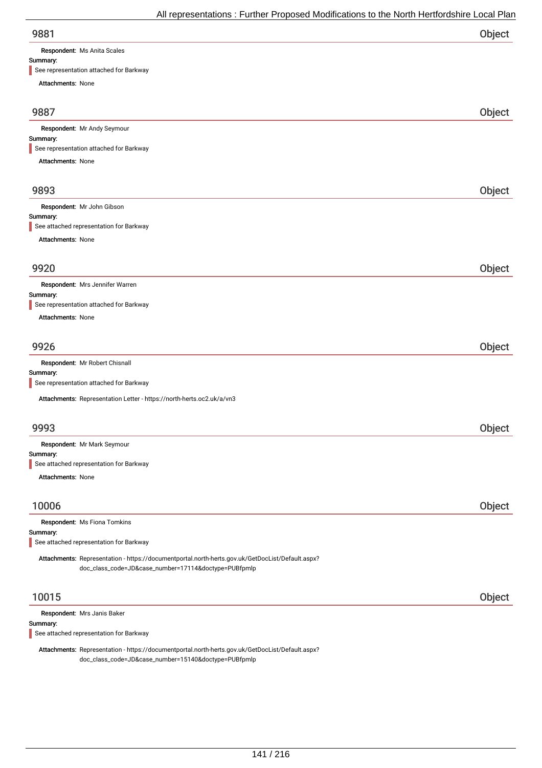Respondent: Ms Anita Scales

#### Summary:

| See representation attached for Barkway                                                                                                                  |        |
|----------------------------------------------------------------------------------------------------------------------------------------------------------|--------|
| Attachments: None                                                                                                                                        |        |
|                                                                                                                                                          |        |
| 9887                                                                                                                                                     | Object |
| Respondent: Mr Andy Seymour                                                                                                                              |        |
| Summary:                                                                                                                                                 |        |
| See representation attached for Barkway                                                                                                                  |        |
| Attachments: None                                                                                                                                        |        |
| 9893                                                                                                                                                     | Object |
|                                                                                                                                                          |        |
| Respondent: Mr John Gibson                                                                                                                               |        |
| Summary:                                                                                                                                                 |        |
| See attached representation for Barkway                                                                                                                  |        |
| Attachments: None                                                                                                                                        |        |
|                                                                                                                                                          |        |
| 9920                                                                                                                                                     | Object |
| Respondent: Mrs Jennifer Warren                                                                                                                          |        |
| Summary:                                                                                                                                                 |        |
| See representation attached for Barkway                                                                                                                  |        |
| <b>Attachments: None</b>                                                                                                                                 |        |
| 9926                                                                                                                                                     | Object |
| Respondent: Mr Robert Chisnall                                                                                                                           |        |
| Summary:                                                                                                                                                 |        |
| See representation attached for Barkway                                                                                                                  |        |
| Attachments: Representation Letter - https://north-herts.oc2.uk/a/vn3                                                                                    |        |
|                                                                                                                                                          |        |
| 9993                                                                                                                                                     | Object |
| Respondent: Mr Mark Seymour                                                                                                                              |        |
| Summary:                                                                                                                                                 |        |
| See attached representation for Barkway                                                                                                                  |        |
| <b>Attachments: None</b>                                                                                                                                 |        |
|                                                                                                                                                          |        |
| 10006                                                                                                                                                    | Object |
| Respondent: Ms Fiona Tomkins                                                                                                                             |        |
| Summary:<br>See attached representation for Barkway                                                                                                      |        |
|                                                                                                                                                          |        |
| Attachments: Representation - https://documentportal.north-herts.gov.uk/GetDocList/Default.aspx?<br>doc_class_code=JD&case_number=17114&doctype=PUBfpmlp |        |
| 10015                                                                                                                                                    | Object |
|                                                                                                                                                          |        |
|                                                                                                                                                          |        |
|                                                                                                                                                          |        |
| Respondent: Mrs Janis Baker<br>Summary:<br>See attached representation for Barkway                                                                       |        |

Attachments: Representation - https://documentportal.north-herts.gov.uk/GetDocList/Default.aspx? doc\_class\_code=JD&case\_number=15140&doctype=PUBfpmlp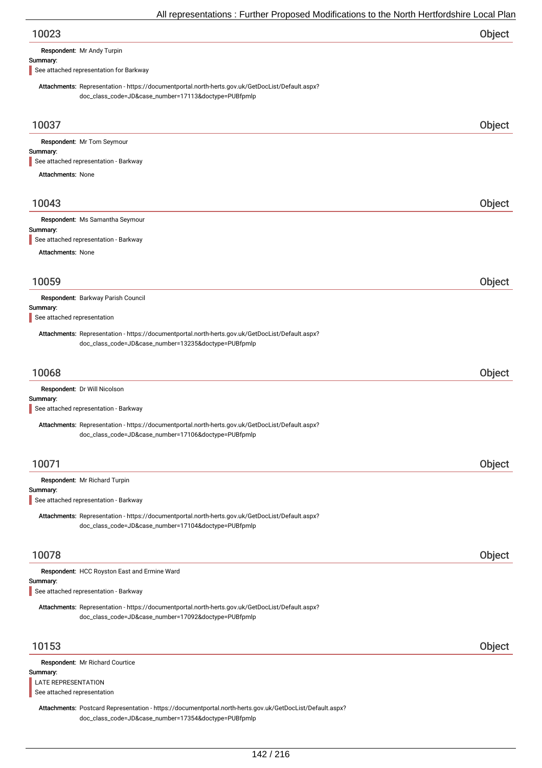| 10023 | Object |
|-------|--------|
|-------|--------|

Respondent: Mr Andy Turpin

#### Summary:

See attached representation for Barkway

Attachments: Representation - https://documentportal.north-herts.gov.uk/GetDocList/Default.aspx? doc\_class\_code=JD&case\_number=17113&doctype=PUBfpmlp

| 10037                                                                                                                                                             | Object |
|-------------------------------------------------------------------------------------------------------------------------------------------------------------------|--------|
| Respondent: Mr Tom Seymour<br>Summary:<br>See attached representation - Barkway                                                                                   |        |
| <b>Attachments: None</b>                                                                                                                                          |        |
|                                                                                                                                                                   |        |
| 10043                                                                                                                                                             | Object |
| Respondent: Ms Samantha Seymour<br>Summary:<br>See attached representation - Barkway                                                                              |        |
| <b>Attachments: None</b>                                                                                                                                          |        |
| 10059                                                                                                                                                             | Object |
| Respondent: Barkway Parish Council                                                                                                                                |        |
| Summary:<br>See attached representation                                                                                                                           |        |
| Attachments: Representation - https://documentportal.north-herts.gov.uk/GetDocList/Default.aspx?<br>doc_class_code=JD&case_number=13235&doctype=PUBfpmlp          |        |
|                                                                                                                                                                   |        |
| 10068                                                                                                                                                             | Object |
| Respondent: Dr Will Nicolson<br>Summary:                                                                                                                          |        |
| See attached representation - Barkway                                                                                                                             |        |
| Attachments: Representation - https://documentportal.north-herts.gov.uk/GetDocList/Default.aspx?<br>doc_class_code=JD&case_number=17106&doctype=PUBfpmlp          |        |
| 10071                                                                                                                                                             | Object |
| Respondent: Mr Richard Turpin                                                                                                                                     |        |
| Summary:<br>See attached representation - Barkway                                                                                                                 |        |
| Attachments: Representation - https://documentportal.north-herts.gov.uk/GetDocList/Default.aspx?<br>doc_class_code=JD&case_number=17104&doctype=PUBfpmlp          |        |
| 10078                                                                                                                                                             | Object |
| Respondent: HCC Royston East and Ermine Ward<br>Summary:                                                                                                          |        |
| See attached representation - Barkway                                                                                                                             |        |
| Attachments: Representation - https://documentportal.north-herts.gov.uk/GetDocList/Default.aspx?<br>doc_class_code=JD&case_number=17092&doctype=PUBfpmlp          |        |
| 10153                                                                                                                                                             | Object |
| Respondent: Mr Richard Courtice                                                                                                                                   |        |
| Summary:<br><b>LATE REPRESENTATION</b><br>See attached representation                                                                                             |        |
| Attachments: Postcard Representation - https://documentportal.north-herts.gov.uk/GetDocList/Default.aspx?<br>doc_class_code=JD&case_number=17354&doctype=PUBfpmlp |        |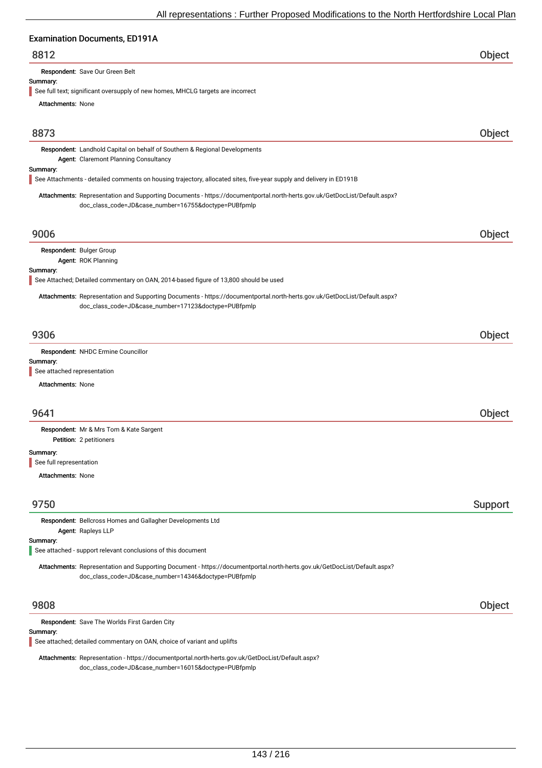# extion Documents, ED101A

| Examination Documents, ED 191A                                                                                                                                                    |         |
|-----------------------------------------------------------------------------------------------------------------------------------------------------------------------------------|---------|
| 8812                                                                                                                                                                              | Object  |
| Respondent: Save Our Green Belt                                                                                                                                                   |         |
| Summary:<br>See full text; significant oversupply of new homes, MHCLG targets are incorrect                                                                                       |         |
| <b>Attachments: None</b>                                                                                                                                                          |         |
|                                                                                                                                                                                   |         |
| 8873                                                                                                                                                                              | Object  |
| Respondent: Landhold Capital on behalf of Southern & Regional Developments<br>Agent: Claremont Planning Consultancy                                                               |         |
| Summary:<br>See Attachments - detailed comments on housing trajectory, allocated sites, five-year supply and delivery in ED191B                                                   |         |
| Attachments: Representation and Supporting Documents - https://documentportal.north-herts.gov.uk/GetDocList/Default.aspx?<br>doc_class_code=JD&case_number=16755&doctype=PUBfpmlp |         |
| 9006                                                                                                                                                                              | Object  |
| Respondent: Bulger Group                                                                                                                                                          |         |
| Agent: ROK Planning                                                                                                                                                               |         |
| Summary:<br>See Attached; Detailed commentary on OAN, 2014-based figure of 13,800 should be used                                                                                  |         |
| Attachments: Representation and Supporting Documents - https://documentportal.north-herts.gov.uk/GetDocList/Default.aspx?<br>doc_class_code=JD&case_number=17123&doctype=PUBfpmlp |         |
| 9306                                                                                                                                                                              | Object  |
| Respondent: NHDC Ermine Councillor                                                                                                                                                |         |
| Summary:                                                                                                                                                                          |         |
| See attached representation                                                                                                                                                       |         |
| <b>Attachments: None</b>                                                                                                                                                          |         |
| 9641                                                                                                                                                                              | Object  |
| Respondent: Mr & Mrs Tom & Kate Sargent<br>Petition: 2 petitioners                                                                                                                |         |
| Summary:<br>See full representation                                                                                                                                               |         |
| <b>Attachments: None</b>                                                                                                                                                          |         |
|                                                                                                                                                                                   |         |
| 9750                                                                                                                                                                              | Support |
| Respondent: Bellcross Homes and Gallagher Developments Ltd<br>Agent: Rapleys LLP                                                                                                  |         |
| Summary:                                                                                                                                                                          |         |
| See attached - support relevant conclusions of this document                                                                                                                      |         |
| Attachments: Representation and Supporting Document - https://documentportal.north-herts.gov.uk/GetDocList/Default.aspx?<br>doc_class_code=JD&case_number=14346&doctype=PUBfpmlp  |         |

# 9808 Object

Respondent: Save The Worlds First Garden City

# Summary:

See attached; detailed commentary on OAN, choice of variant and uplifts

Attachments: Representation - https://documentportal.north-herts.gov.uk/GetDocList/Default.aspx? doc\_class\_code=JD&case\_number=16015&doctype=PUBfpmlp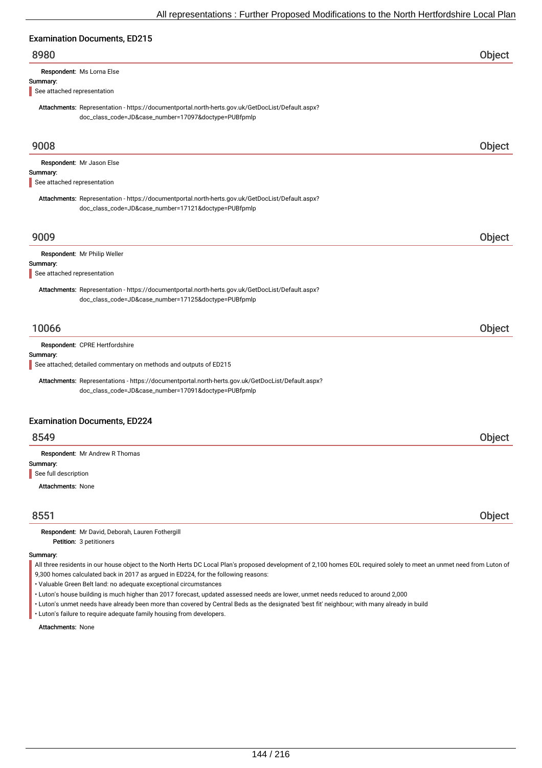# Examination Documents, ED215

# 8980 Object

Respondent: Ms Lorna Else

#### Summary:

See attached representation

Attachments: Representation - https://documentportal.north-herts.gov.uk/GetDocList/Default.aspx? doc\_class\_code=JD&case\_number=17097&doctype=PUBfpmlp

| 9008                                                                                                                                                     | Object |
|----------------------------------------------------------------------------------------------------------------------------------------------------------|--------|
| Respondent: Mr Jason Else                                                                                                                                |        |
| Summary:<br>See attached representation                                                                                                                  |        |
|                                                                                                                                                          |        |
| Attachments: Representation - https://documentportal.north-herts.gov.uk/GetDocList/Default.aspx?<br>doc_class_code=JD&case_number=17121&doctype=PUBfpmlp |        |
|                                                                                                                                                          |        |
| 9009                                                                                                                                                     | Object |
| Respondent: Mr Philip Weller                                                                                                                             |        |
| Summary:<br>See attached representation                                                                                                                  |        |
|                                                                                                                                                          |        |
| Attachments: Representation - https://documentportal.north-herts.gov.uk/GetDocList/Default.aspx?<br>doc_class_code=JD&case_number=17125&doctype=PUBfpmlp |        |
|                                                                                                                                                          |        |
| 10066                                                                                                                                                    | Object |
| Respondent: CPRE Hertfordshire                                                                                                                           |        |
| Summary:<br>See attached; detailed commentary on methods and outputs of ED215                                                                            |        |
|                                                                                                                                                          |        |
| Attachments: Representations - https://documentportal.north-herts.gov.uk/GetDocList/Default.aspx?                                                        |        |
| doc_class_code=JD&case_number=17091&doctype=PUBfpmlp                                                                                                     |        |
| <b>Examination Documents, ED224</b>                                                                                                                      |        |
| 8549                                                                                                                                                     | Object |
| Respondent: Mr Andrew R Thomas                                                                                                                           |        |
| Summary:                                                                                                                                                 |        |
| See full description                                                                                                                                     |        |
| <b>Attachments: None</b>                                                                                                                                 |        |
| 8551                                                                                                                                                     | Object |
| Respondent: Mr David, Deborah, Lauren Fothergill                                                                                                         |        |

Petition: 3 petitioners

#### Summary:

All three residents in our house object to the North Herts DC Local Plan's proposed development of 2,100 homes EOL required solely to meet an unmet need from Luton of 9,300 homes calculated back in 2017 as argued in ED224, for the following reasons:

• Valuable Green Belt land: no adequate exceptional circumstances

• Luton's house building is much higher than 2017 forecast, updated assessed needs are lower, unmet needs reduced to around 2,000

• Luton's unmet needs have already been more than covered by Central Beds as the designated 'best fit' neighbour; with many already in build

• Luton's failure to require adequate family housing from developers.

Attachments: None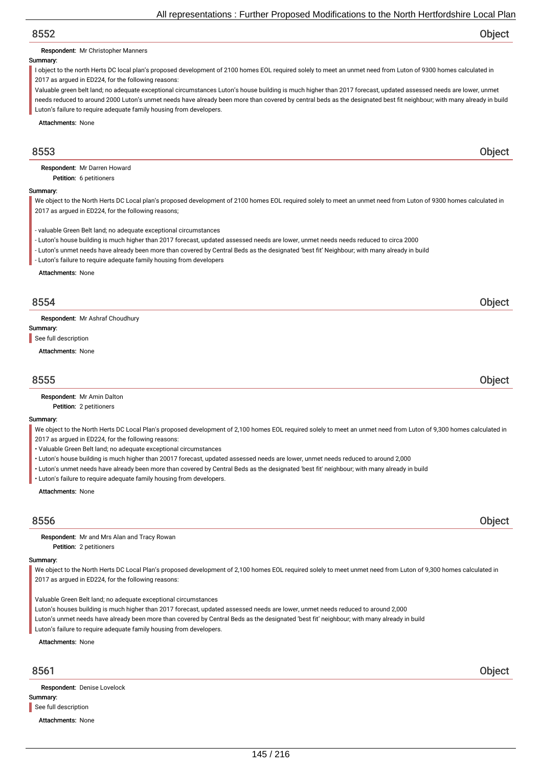Respondent: Mr Christopher Manners

#### Summary:

I object to the north Herts DC local plan's proposed development of 2100 homes EOL required solely to meet an unmet need from Luton of 9300 homes calculated in 2017 as argued in ED224, for the following reasons:

Valuable green belt land; no adequate exceptional circumstances Luton's house building is much higher than 2017 forecast, updated assessed needs are lower, unmet needs reduced to around 2000 Luton's unmet needs have already been more than covered by central beds as the designated best fit neighbour; with many already in build Luton's failure to require adequate family housing from developers.

Attachments: None

## 8553 Object

Petition: 6 petitioners Respondent: Mr Darren Howard

#### Summary:

We object to the North Herts DC Local plan's proposed development of 2100 homes EOL required solely to meet an unmet need from Luton of 9300 homes calculated in 2017 as argued in ED224, for the following reasons;

- valuable Green Belt land; no adequate exceptional circumstances

- Luton's house building is much higher than 2017 forecast, updated assessed needs are lower, unmet needs needs reduced to circa 2000

- Luton's unmet needs have already been more than covered by Central Beds as the designated 'best fit' Neighbour; with many already in build

- Luton's failure to require adequate family housing from developers

Attachments: None

## 8554 Object

Respondent: Mr Ashraf Choudhury

Summary:

See full description

Attachments: None

## 8555 Object

Petition: 2 petitioners Respondent: Mr Amin Dalton

#### Summary:

We object to the North Herts DC Local Plan's proposed development of 2,100 homes EOL required solely to meet an unmet need from Luton of 9,300 homes calculated in 2017 as argued in ED224, for the following reasons:

- Valuable Green Belt land; no adequate exceptional circumstances
- Luton's house building is much higher than 20017 forecast, updated assessed needs are lower, unmet needs reduced to around 2,000
- Luton's unmet needs have already been more than covered by Central Beds as the designated 'best fit' neighbour; with many already in build
- Luton's failure to require adequate family housing from developers.

Attachments: None

## 8556 Object

Petition: 2 petitioners Respondent: Mr and Mrs Alan and Tracy Rowan

#### Summary:

We object to the North Herts DC Local Plan's proposed development of 2,100 homes EOL required solely to meet unmet need from Luton of 9,300 homes calculated in 2017 as argued in ED224, for the following reasons:

Valuable Green Belt land; no adequate exceptional circumstances

Luton's houses building is much higher than 2017 forecast, updated assessed needs are lower, unmet needs reduced to around 2,000

Luton's unmet needs have already been more than covered by Central Beds as the designated 'best fit' neighbour; with many already in build

Luton's failure to require adequate family housing from developers.

#### Attachments: None

Summary: Respondent: Denise Lovelock See full description

Attachments: None

8561 Object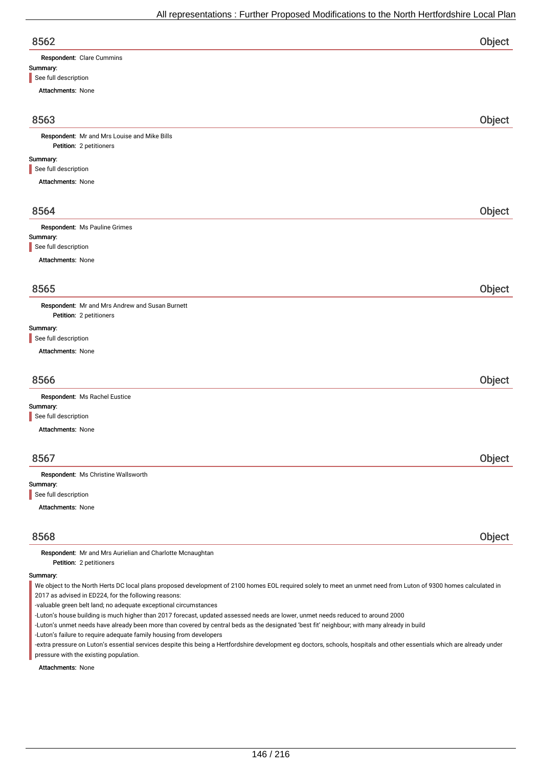| v.<br>۰.<br>۰,<br>v |  |
|---------------------|--|

| 8562                      | Object |
|---------------------------|--------|
| Respondent: Clare Cummins |        |
| Summary:                  |        |
| See full description      |        |

| Attachments: None                                                                                                                                               |        |
|-----------------------------------------------------------------------------------------------------------------------------------------------------------------|--------|
|                                                                                                                                                                 |        |
| 8563                                                                                                                                                            | Object |
| Respondent: Mr and Mrs Louise and Mike Bills                                                                                                                    |        |
| Petition: 2 petitioners                                                                                                                                         |        |
| Summary:<br>See full description                                                                                                                                |        |
| Attachments: None                                                                                                                                               |        |
| 8564                                                                                                                                                            | Object |
| Respondent: Ms Pauline Grimes                                                                                                                                   |        |
| Summary:                                                                                                                                                        |        |
| See full description                                                                                                                                            |        |
| Attachments: None                                                                                                                                               |        |
|                                                                                                                                                                 |        |
| 8565                                                                                                                                                            | Object |
| Respondent: Mr and Mrs Andrew and Susan Burnett<br>Petition: 2 petitioners                                                                                      |        |
| Summary:<br>See full description                                                                                                                                |        |
| Attachments: None                                                                                                                                               |        |
| 8566                                                                                                                                                            | Object |
| Respondent: Ms Rachel Eustice                                                                                                                                   |        |
| Summary:                                                                                                                                                        |        |
| See full description                                                                                                                                            |        |
| Attachments: None                                                                                                                                               |        |
| 8567                                                                                                                                                            | Object |
| Respondent: Ms Christine Wallsworth                                                                                                                             |        |
| Summary:                                                                                                                                                        |        |
| See full description<br>Attachments: None                                                                                                                       |        |
|                                                                                                                                                                 |        |
| 8568                                                                                                                                                            | Object |
| Respondent: Mr and Mrs Aurielian and Charlotte Mcnaughtan<br>Petition: 2 petitioners                                                                            |        |
| Summary:                                                                                                                                                        |        |
| We object to the North Herts DC local plans proposed development of 2100 homes EOL required solely to meet an unmet need from Luton of 9300 homes calculated in |        |

2017 as advised in ED224, for the following reasons:

-valuable green belt land; no adequate exceptional circumstances

-Luton's house building is much higher than 2017 forecast, updated assessed needs are lower, unmet needs reduced to around 2000

-Luton's unmet needs have already been more than covered by central beds as the designated 'best fit' neighbour; with many already in build

-Luton's failure to require adequate family housing from developers

-extra pressure on Luton's essential services despite this being a Hertfordshire development eg doctors, schools, hospitals and other essentials which are already under pressure with the existing population.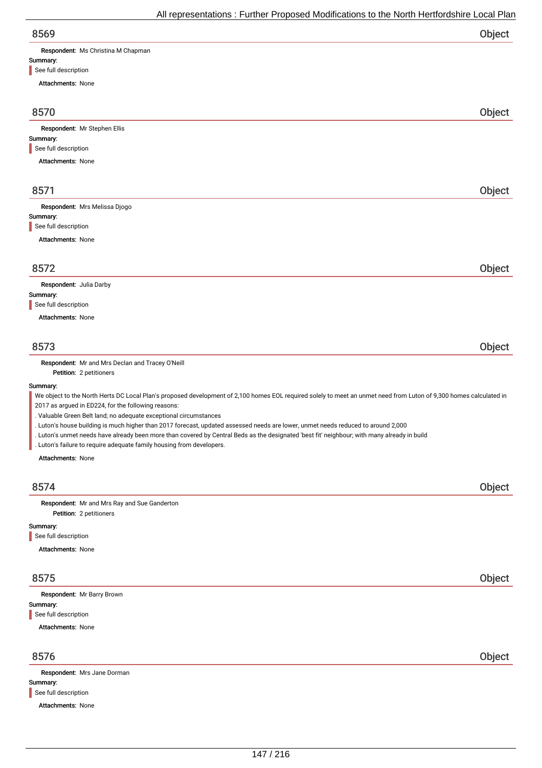| All representations : Further Proposed Modifications to the North Hertfordshire Local Plan                                                                                                                                                                                                                                                                 |        |
|------------------------------------------------------------------------------------------------------------------------------------------------------------------------------------------------------------------------------------------------------------------------------------------------------------------------------------------------------------|--------|
| 8569                                                                                                                                                                                                                                                                                                                                                       | Object |
| Respondent: Ms Christina M Chapman                                                                                                                                                                                                                                                                                                                         |        |
| Summary:<br>See full description                                                                                                                                                                                                                                                                                                                           |        |
| <b>Attachments: None</b>                                                                                                                                                                                                                                                                                                                                   |        |
| 8570                                                                                                                                                                                                                                                                                                                                                       | Object |
| Respondent: Mr Stephen Ellis                                                                                                                                                                                                                                                                                                                               |        |
| Summary:<br>See full description                                                                                                                                                                                                                                                                                                                           |        |
| <b>Attachments: None</b>                                                                                                                                                                                                                                                                                                                                   |        |
|                                                                                                                                                                                                                                                                                                                                                            |        |
| 8571                                                                                                                                                                                                                                                                                                                                                       | Object |
| Respondent: Mrs Melissa Djogo<br>Summary:                                                                                                                                                                                                                                                                                                                  |        |
| See full description                                                                                                                                                                                                                                                                                                                                       |        |
| <b>Attachments: None</b>                                                                                                                                                                                                                                                                                                                                   |        |
| 8572                                                                                                                                                                                                                                                                                                                                                       | Object |
| Respondent: Julia Darby                                                                                                                                                                                                                                                                                                                                    |        |
| Summary:<br>See full description                                                                                                                                                                                                                                                                                                                           |        |
| <b>Attachments: None</b>                                                                                                                                                                                                                                                                                                                                   |        |
| 8573                                                                                                                                                                                                                                                                                                                                                       | Object |
| Respondent: Mr and Mrs Declan and Tracey O'Neill<br>Petition: 2 petitioners                                                                                                                                                                                                                                                                                |        |
| Summary:                                                                                                                                                                                                                                                                                                                                                   |        |
| We object to the North Herts DC Local Plan's proposed development of 2,100 homes EOL required solely to meet an unmet need from Luton of 9,300 homes calculated in<br>2017 as argued in ED224, for the following reasons:                                                                                                                                  |        |
| . Valuable Green Belt land; no adequate exceptional circumstances                                                                                                                                                                                                                                                                                          |        |
| . Luton's house building is much higher than 2017 forecast, updated assessed needs are lower, unmet needs reduced to around 2,000<br>. Luton's unmet needs have already been more than covered by Central Beds as the designated 'best fit' neighbour; with many already in build<br>. Luton's failure to require adequate family housing from developers. |        |
| <b>Attachments: None</b>                                                                                                                                                                                                                                                                                                                                   |        |
| 8574                                                                                                                                                                                                                                                                                                                                                       | Object |
| Respondent: Mr and Mrs Ray and Sue Ganderton<br>Petition: 2 petitioners                                                                                                                                                                                                                                                                                    |        |
| Summary:                                                                                                                                                                                                                                                                                                                                                   |        |
| See full description                                                                                                                                                                                                                                                                                                                                       |        |
| Attachments: None                                                                                                                                                                                                                                                                                                                                          |        |
| 8575                                                                                                                                                                                                                                                                                                                                                       | Object |
| Respondent: Mr Barry Brown<br>Summary:                                                                                                                                                                                                                                                                                                                     |        |
|                                                                                                                                                                                                                                                                                                                                                            |        |

Summary: Attachments: None Respondent: Mrs Jane Dorman See full description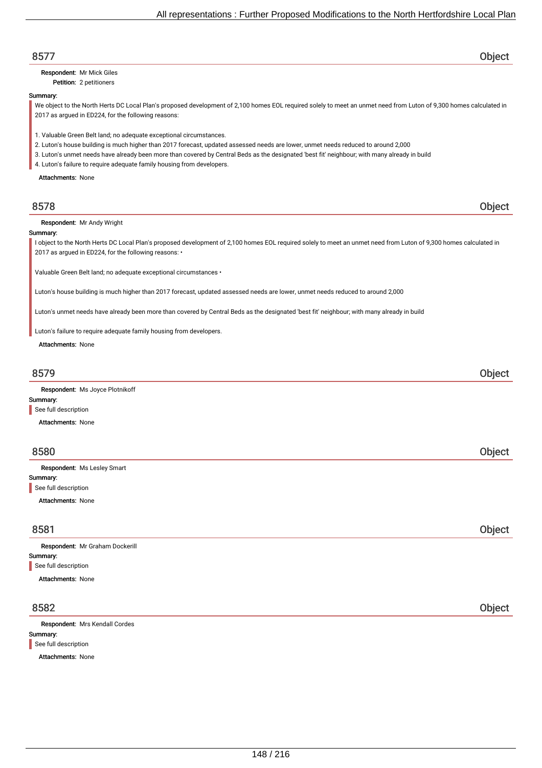| 8577                                                                                                                                                                                                                       | Object        |
|----------------------------------------------------------------------------------------------------------------------------------------------------------------------------------------------------------------------------|---------------|
| Respondent: Mr Mick Giles                                                                                                                                                                                                  |               |
| Petition: 2 petitioners                                                                                                                                                                                                    |               |
| Summary:                                                                                                                                                                                                                   |               |
| We object to the North Herts DC Local Plan's proposed development of 2,100 homes EOL required solely to meet an unmet need from Luton of 9,300 homes calculated in                                                         |               |
| 2017 as argued in ED224, for the following reasons:                                                                                                                                                                        |               |
|                                                                                                                                                                                                                            |               |
| 1. Valuable Green Belt land; no adequate exceptional circumstances.                                                                                                                                                        |               |
| 2. Luton's house building is much higher than 2017 forecast, updated assessed needs are lower, unmet needs reduced to around 2,000                                                                                         |               |
| 3. Luton's unmet needs have already been more than covered by Central Beds as the designated 'best fit' neighbour; with many already in build                                                                              |               |
| 4. Luton's failure to require adequate family housing from developers.                                                                                                                                                     |               |
| <b>Attachments: None</b>                                                                                                                                                                                                   |               |
|                                                                                                                                                                                                                            |               |
| 8578                                                                                                                                                                                                                       | Object        |
| Respondent: Mr Andy Wright                                                                                                                                                                                                 |               |
| Summary:                                                                                                                                                                                                                   |               |
| I object to the North Herts DC Local Plan's proposed development of 2,100 homes EOL required solely to meet an unmet need from Luton of 9,300 homes calculated in<br>2017 as argued in ED224, for the following reasons: • |               |
| Valuable Green Belt land; no adequate exceptional circumstances .                                                                                                                                                          |               |
| Luton's house building is much higher than 2017 forecast, updated assessed needs are lower, unmet needs reduced to around 2,000                                                                                            |               |
| Luton's unmet needs have already been more than covered by Central Beds as the designated 'best fit' neighbour; with many already in build                                                                                 |               |
| Luton's failure to require adequate family housing from developers.                                                                                                                                                        |               |
| Attachments: None                                                                                                                                                                                                          |               |
|                                                                                                                                                                                                                            |               |
|                                                                                                                                                                                                                            |               |
| 8579                                                                                                                                                                                                                       | Object        |
| Respondent: Ms Joyce Plotnikoff                                                                                                                                                                                            |               |
| Summary:                                                                                                                                                                                                                   |               |
| See full description                                                                                                                                                                                                       |               |
| <b>Attachments: None</b>                                                                                                                                                                                                   |               |
|                                                                                                                                                                                                                            |               |
|                                                                                                                                                                                                                            |               |
| 8580                                                                                                                                                                                                                       | <b>Object</b> |
| Respondent: Ms Lesley Smart                                                                                                                                                                                                |               |
| Summary:                                                                                                                                                                                                                   |               |
| See full description                                                                                                                                                                                                       |               |
|                                                                                                                                                                                                                            |               |
| <b>Attachments: None</b>                                                                                                                                                                                                   |               |
|                                                                                                                                                                                                                            |               |
| 8581                                                                                                                                                                                                                       | Object        |
| Respondent: Mr Graham Dockerill                                                                                                                                                                                            |               |
| Summary:                                                                                                                                                                                                                   |               |
| See full description                                                                                                                                                                                                       |               |
| <b>Attachments: None</b>                                                                                                                                                                                                   |               |
|                                                                                                                                                                                                                            |               |
| 8582                                                                                                                                                                                                                       | Object        |
| Respondent: Mrs Kendall Cordes                                                                                                                                                                                             |               |
| Summary:                                                                                                                                                                                                                   |               |
| See full description                                                                                                                                                                                                       |               |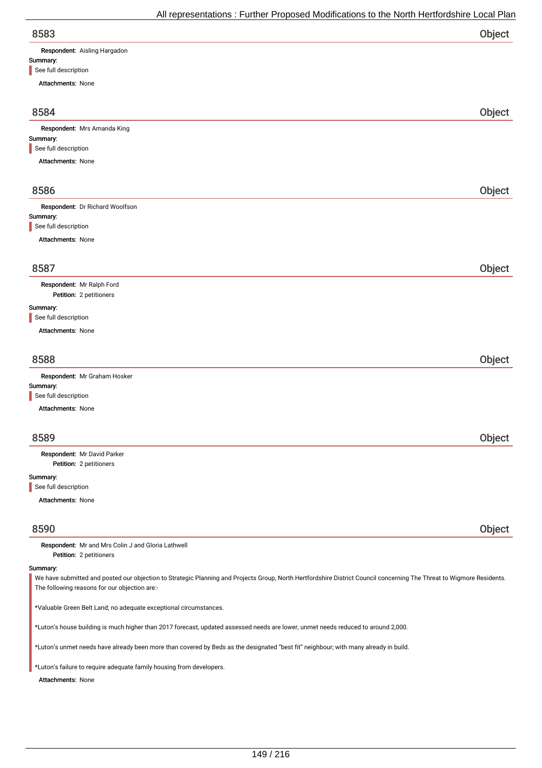|                                 | All representations : Further Proposed Modifications to the North Hertfordshire Local Plan |
|---------------------------------|--------------------------------------------------------------------------------------------|
| 8583                            | Object                                                                                     |
| Respondent: Aisling Hargadon    |                                                                                            |
| Summary:                        |                                                                                            |
| See full description            |                                                                                            |
| <b>Attachments: None</b>        |                                                                                            |
| 8584                            | Object                                                                                     |
| Respondent: Mrs Amanda King     |                                                                                            |
| Summary:                        |                                                                                            |
| See full description            |                                                                                            |
| Attachments: None               |                                                                                            |
| 8586                            | Object                                                                                     |
| Respondent: Dr Richard Woolfson |                                                                                            |
| Summary:                        |                                                                                            |
| See full description            |                                                                                            |
| <b>Attachments: None</b>        |                                                                                            |
| 8587                            | <b>Object</b>                                                                              |

Petition: 2 petitioners Respondent: Mr Ralph Ford

#### Summary:

I

See full description

Attachments: None

| 8588                                                             | Object |
|------------------------------------------------------------------|--------|
| Respondent: Mr Graham Hosker<br>Summary:<br>See full description |        |

Attachments: None

| 8589                        | Object |
|-----------------------------|--------|
| Respondent: Mr David Parker |        |
| Petition: 2 petitioners     |        |
| Summary:                    |        |
| See full description        |        |
| <b>Attachments: None</b>    |        |

8590 Object

Petition: 2 petitioners Respondent: Mr and Mrs Colin J and Gloria Lathwell

### Summary:

We have submitted and posted our objection to Strategic Planning and Projects Group, North Hertfordshire District Council concerning The Threat to Wigmore Residents. The following reasons for our objection are:-

\*Valuable Green Belt Land; no adequate exceptional circumstances.

\*Luton's house building is much higher than 2017 forecast, updated assessed needs are lower, unmet needs reduced to around 2,000.

\*Luton's unmet needs have already been more than covered by Beds as the designated "best fit" neighbour; with many already in build.

\*Luton's failure to require adequate family housing from developers.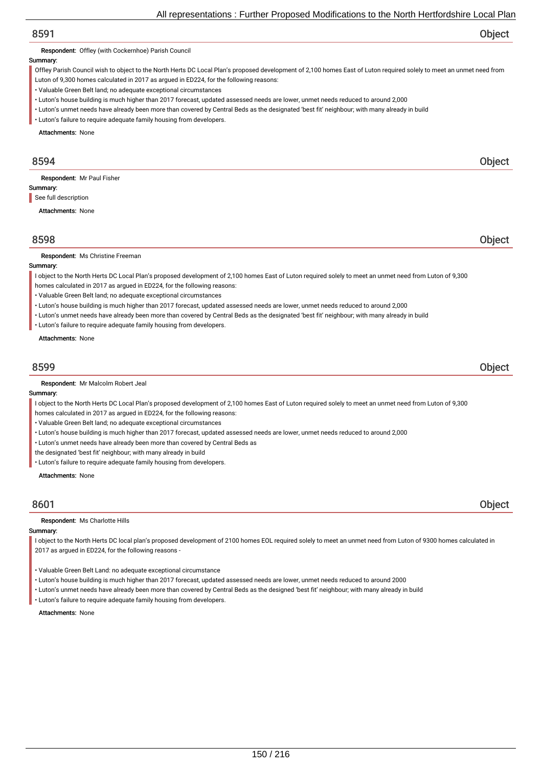Respondent: Offley (with Cockernhoe) Parish Council

#### Summary:

Offley Parish Council wish to object to the North Herts DC Local Plan's proposed development of 2,100 homes East of Luton required solely to meet an unmet need from

Luton of 9,300 homes calculated in 2017 as argued in ED224, for the following reasons:

- Valuable Green Belt land; no adequate exceptional circumstances
- Luton's house building is much higher than 2017 forecast, updated assessed needs are lower, unmet needs reduced to around 2,000
- Luton's unmet needs have already been more than covered by Central Beds as the designated 'best fit' neighbour; with many already in build
- Luton's failure to require adequate family housing from developers.

Attachments: None

## 8594 Object

Respondent: Mr Paul Fisher

Summary: See full description

Attachments: None

## 8598 Object

Respondent: Ms Christine Freeman

### Summary:

I object to the North Herts DC Local Plan's proposed development of 2,100 homes East of Luton required solely to meet an unmet need from Luton of 9,300

- homes calculated in 2017 as argued in ED224, for the following reasons:
- Valuable Green Belt land; no adequate exceptional circumstances
- Luton's house building is much higher than 2017 forecast, updated assessed needs are lower, unmet needs reduced to around 2,000
- Luton's unmet needs have already been more than covered by Central Beds as the designated 'best fit' neighbour; with many already in build
- Luton's failure to require adequate family housing from developers.

Attachments: None

## 8599 Object

Respondent: Mr Malcolm Robert Jeal

#### Summary:

I object to the North Herts DC Local Plan's proposed development of 2,100 homes East of Luton required solely to meet an unmet need from Luton of 9,300

- homes calculated in 2017 as argued in ED224, for the following reasons:
- Valuable Green Belt land; no adequate exceptional circumstances
- Luton's house building is much higher than 2017 forecast, updated assessed needs are lower, unmet needs reduced to around 2,000
- Luton's unmet needs have already been more than covered by Central Beds as
- the designated 'best fit' neighbour; with many already in build
- Luton's failure to require adequate family housing from developers.

Attachments: None

## 8601 Object

#### Respondent: Ms Charlotte Hills

#### Summary:

I object to the North Herts DC local plan's proposed development of 2100 homes EOL required solely to meet an unmet need from Luton of 9300 homes calculated in 2017 as argued in ED224, for the following reasons -

- Valuable Green Belt Land: no adequate exceptional circumstance
- Luton's house building is much higher than 2017 forecast, updated assessed needs are lower, unmet needs reduced to around 2000
- Luton's unmet needs have already been more than covered by Central Beds as the designed 'best fit' neighbour; with many already in build
- Luton's failure to require adequate family housing from developers.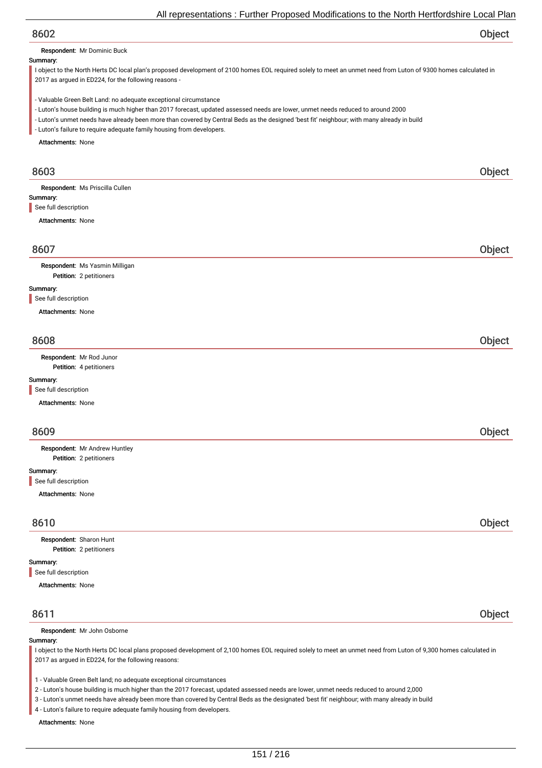Respondent: Mr Dominic Buck

#### Summary:

I object to the North Herts DC local plan's proposed development of 2100 homes EOL required solely to meet an unmet need from Luton of 9300 homes calculated in 2017 as argued in ED224, for the following reasons -

- Valuable Green Belt Land: no adequate exceptional circumstance
- Luton's house building is much higher than 2017 forecast, updated assessed needs are lower, unmet needs reduced to around 2000
- Luton's unmet needs have already been more than covered by Central Beds as the designed 'best fit' neighbour; with many already in build
- Luton's failure to require adequate family housing from developers.

Attachments: None

| 8603                            | Object |
|---------------------------------|--------|
| Respondent: Ms Priscilla Cullen |        |
| Summary:                        |        |
| See full description            |        |
| <b>Attachments: None</b>        |        |
| 8607                            | Object |
| Respondent: Ms Yasmin Milligan  |        |
| Petition: 2 petitioners         |        |
| Summary:                        |        |
| See full description            |        |
| <b>Attachments: None</b>        |        |
|                                 |        |
| 8608                            | Object |
| Respondent: Mr Rod Junor        |        |
| Petition: 4 petitioners         |        |
| Summary:                        |        |
| See full description            |        |
| Attachments: None               |        |
|                                 |        |
| 8609                            | Object |
| Respondent: Mr Andrew Huntley   |        |
| Petition: 2 petitioners         |        |
| Summary:                        |        |
| See full description            |        |

Attachments: None

# 8610 Object

Petition: 2 petitioners Respondent: Sharon Hunt

#### Summary:

See full description

# Attachments: None

## 8611 Object

Respondent: Mr John Osborne

#### Summary:

I object to the North Herts DC local plans proposed development of 2,100 homes EOL required solely to meet an unmet need from Luton of 9,300 homes calculated in 2017 as argued in ED224, for the following reasons:

1 - Valuable Green Belt land; no adequate exceptional circumstances

2 - Luton's house building is much higher than the 2017 forecast, updated assessed needs are lower, unmet needs reduced to around 2,000

3 - Luton's unmet needs have already been more than covered by Central Beds as the designated 'best fit' neighbour; with many already in build

4 - Luton's failure to require adequate family housing from developers.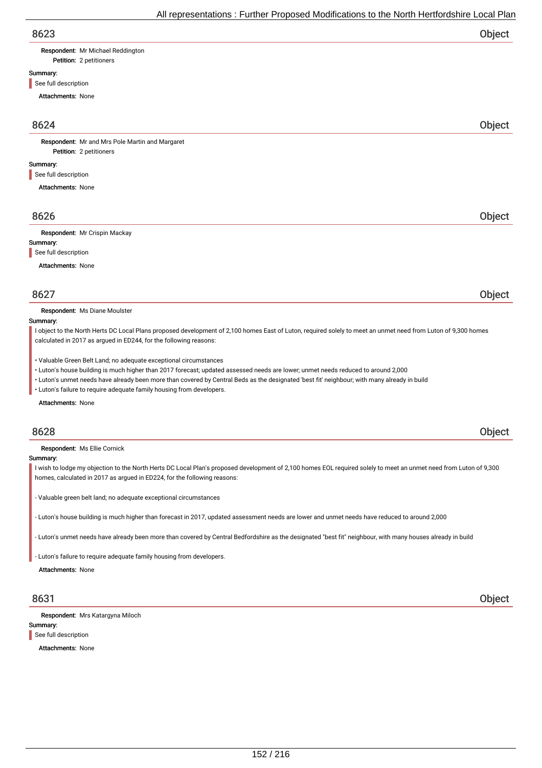| Respondent: Mr Michael Reddington |
|-----------------------------------|
|                                   |

Petition: 2 petitioners

## Summary:

See full description

Attachments: None

## 8624 Object

Petition: 2 petitioners Respondent: Mr and Mrs Pole Martin and Margaret

#### Summary:

See full description

Attachments: None

## 8626 Object

Respondent: Mr Crispin Mackay

#### Summary:

See full description

Attachments: None

## 8627 Object

Respondent: Ms Diane Moulster

#### Summary:

I object to the North Herts DC Local Plans proposed development of 2,100 homes East of Luton, required solely to meet an unmet need from Luton of 9,300 homes calculated in 2017 as argued in ED244, for the following reasons:

- Valuable Green Belt Land; no adequate exceptional circumstances
- Luton's house building is much higher than 2017 forecast; updated assessed needs are lower; unmet needs reduced to around 2,000
- Luton's unmet needs have already been more than covered by Central Beds as the designated 'best fit' neighbour; with many already in build
- Luton's failure to require adequate family housing from developers.

#### Attachments: None

## 8628 Object

Respondent: Ms Ellie Cornick

#### Summary:

I wish to lodge my objection to the North Herts DC Local Plan's proposed development of 2,100 homes EOL required solely to meet an unmet need from Luton of 9,300 homes, calculated in 2017 as argued in ED224, for the following reasons:

- Valuable green belt land; no adequate exceptional circumstances

- Luton's house building is much higher than forecast in 2017, updated assessment needs are lower and unmet needs have reduced to around 2,000

- Luton's unmet needs have already been more than covered by Central Bedfordshire as the designated "best fit" neighbour, with many houses already in build

- Luton's failure to require adequate family housing from developers.

Attachments: None

Respondent: Mrs Katargyna Miloch

### Summary:

See full description

Attachments: None

8631 Object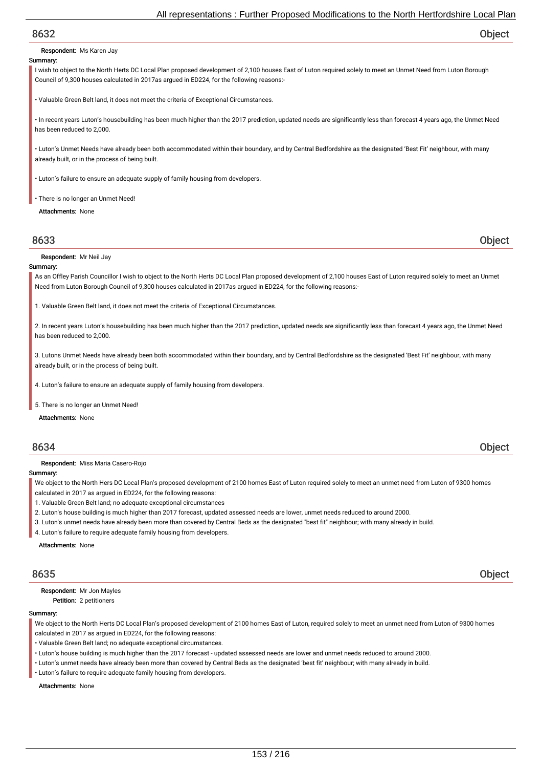Respondent: Ms Karen Jay

#### Summary:

I wish to object to the North Herts DC Local Plan proposed development of 2,100 houses East of Luton required solely to meet an Unmet Need from Luton Borough Council of 9,300 houses calculated in 2017as argued in ED224, for the following reasons:-

• Valuable Green Belt land, it does not meet the criteria of Exceptional Circumstances.

• In recent years Luton's housebuilding has been much higher than the 2017 prediction, updated needs are significantly less than forecast 4 years ago, the Unmet Need has been reduced to 2,000.

• Luton's Unmet Needs have already been both accommodated within their boundary, and by Central Bedfordshire as the designated 'Best Fit' neighbour, with many already built, or in the process of being built.

• Luton's failure to ensure an adequate supply of family housing from developers.

• There is no longer an Unmet Need!

Attachments: None

8633 Object

Respondent: Mr Neil Jay

#### Summary:

As an Offley Parish Councillor I wish to object to the North Herts DC Local Plan proposed development of 2,100 houses East of Luton required solely to meet an Unmet Need from Luton Borough Council of 9,300 houses calculated in 2017as argued in ED224, for the following reasons:-

1. Valuable Green Belt land, it does not meet the criteria of Exceptional Circumstances.

2. In recent years Luton's housebuilding has been much higher than the 2017 prediction, updated needs are significantly less than forecast 4 years ago, the Unmet Need has been reduced to 2,000.

3. Lutons Unmet Needs have already been both accommodated within their boundary, and by Central Bedfordshire as the designated 'Best Fit' neighbour, with many already built, or in the process of being built.

4. Luton's failure to ensure an adequate supply of family housing from developers.

5. There is no longer an Unmet Need!

Attachments: None

## 8634 Object

Respondent: Miss Maria Casero-Rojo

## Summary:

We object to the North Hers DC Local Plan's proposed development of 2100 homes East of Luton required solely to meet an unmet need from Luton of 9300 homes calculated in 2017 as argued in ED224, for the following reasons:

- 1. Valuable Green Belt land; no adequate exceptional circumstances
- 2. Luton's house building is much higher than 2017 forecast, updated assessed needs are lower, unmet needs reduced to around 2000.
- 3. Luton's unmet needs have already been more than covered by Central Beds as the designated "best fit" neighbour; with many already in build.
- 4. Luton's failure to require adequate family housing from developers.

Attachments: None

8635 Object

Petition: 2 petitioners Respondent: Mr Jon Mayles

#### Summary:

We object to the North Herts DC Local Plan's proposed development of 2100 homes East of Luton, required solely to meet an unmet need from Luton of 9300 homes calculated in 2017 as argued in ED224, for the following reasons:

- Valuable Green Belt land; no adequate exceptional circumstances.
- Luton's house building is much higher than the 2017 forecast updated assessed needs are lower and unmet needs reduced to around 2000.
- Luton's unmet needs have already been more than covered by Central Beds as the designated 'best fit' neighbour; with many already in build.
- Luton's failure to require adequate family housing from developers.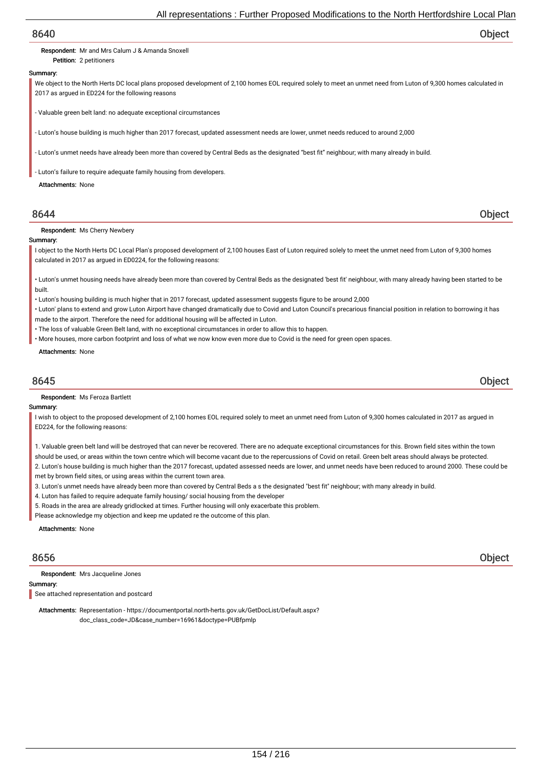#### Respondent: Mr and Mrs Calum J & Amanda Snoxell

Petition: 2 petitioners

### Summary:

We object to the North Herts DC local plans proposed development of 2,100 homes EOL required solely to meet an unmet need from Luton of 9,300 homes calculated in 2017 as argued in ED224 for the following reasons

- Valuable green belt land: no adequate exceptional circumstances

Luton's house building is much higher than 2017 forecast, updated assessment needs are lower, unmet needs reduced to around 2,000

- Luton's unmet needs have already been more than covered by Central Beds as the designated "best fit" neighbour; with many already in build.

Luton's failure to require adequate family housing from developers.

#### Attachments: None

## 8644 Object

Respondent: Ms Cherry Newbery

#### Summary:

I object to the North Herts DC Local Plan's proposed development of 2,100 houses East of Luton required solely to meet the unmet need from Luton of 9,300 homes calculated in 2017 as argued in ED0224, for the following reasons:

• Luton's unmet housing needs have already been more than covered by Central Beds as the designated 'best fit' neighbour, with many already having been started to be built.

- Luton's housing building is much higher that in 2017 forecast, updated assessment suggests figure to be around 2,000
- Luton' plans to extend and grow Luton Airport have changed dramatically due to Covid and Luton Council's precarious financial position in relation to borrowing it has made to the airport. Therefore the need for additional housing will be affected in Luton.
- The loss of valuable Green Belt land, with no exceptional circumstances in order to allow this to happen.
- More houses, more carbon footprint and loss of what we now know even more due to Covid is the need for green open spaces.

#### Attachments: None

## 8645 Object

Respondent: Ms Feroza Bartlett

#### Summary:

I wish to object to the proposed development of 2,100 homes EOL required solely to meet an unmet need from Luton of 9,300 homes calculated in 2017 as arqued in ED224, for the following reasons:

1. Valuable green belt land will be destroyed that can never be recovered. There are no adequate exceptional circumstances for this. Brown field sites within the town should be used, or areas within the town centre which will become vacant due to the repercussions of Covid on retail. Green belt areas should always be protected.

2. Luton's house building is much higher than the 2017 forecast, updated assessed needs are lower, and unmet needs have been reduced to around 2000. These could be met by brown field sites, or using areas within the current town area.

- 3. Luton's unmet needs have already been more than covered by Central Beds a s the designated "best fit" neighbour; with many already in build.
- 4. Luton has failed to require adequate family housing/ social housing from the developer
- 5. Roads in the area are already gridlocked at times. Further housing will only exacerbate this problem.
- Please acknowledge my objection and keep me updated re the outcome of this plan.

Attachments: None

Respondent: Mrs Jacqueline Jones

## Summary:

See attached representation and postcard

Attachments: Representation - https://documentportal.north-herts.gov.uk/GetDocList/Default.aspx? doc\_class\_code=JD&case\_number=16961&doctype=PUBfpmlp

8656 Object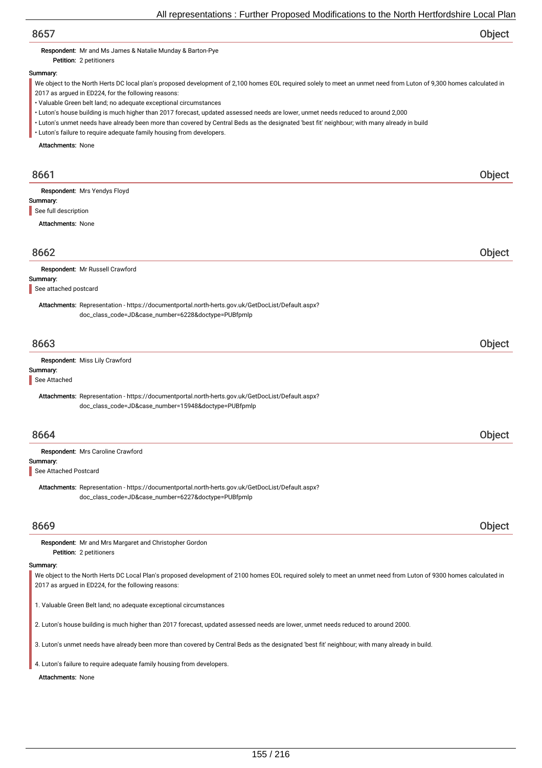Respondent: Mr and Ms James & Natalie Munday & Barton-Pye

Petition: 2 petitioners

## Summary:

We object to the North Herts DC local plan's proposed development of 2,100 homes EOL required solely to meet an unmet need from Luton of 9,300 homes calculated in 2017 as argued in ED224, for the following reasons:

• Valuable Green belt land; no adequate exceptional circumstances

• Luton's house building is much higher than 2017 forecast, updated assessed needs are lower, unmet needs reduced to around 2,000

• Luton's unmet needs have already been more than covered by Central Beds as the designated 'best fit' neighbour; with many already in build

• Luton's failure to require adequate family housing from developers.

Attachments: None

| 8661                             |                                                                                                                                                                                                                         | Object |
|----------------------------------|-------------------------------------------------------------------------------------------------------------------------------------------------------------------------------------------------------------------------|--------|
|                                  | Respondent: Mrs Yendys Floyd                                                                                                                                                                                            |        |
| Summary:<br>See full description |                                                                                                                                                                                                                         |        |
| <b>Attachments: None</b>         |                                                                                                                                                                                                                         |        |
|                                  |                                                                                                                                                                                                                         |        |
| 8662                             |                                                                                                                                                                                                                         | Object |
|                                  | Respondent: Mr Russell Crawford                                                                                                                                                                                         |        |
| Summary:                         |                                                                                                                                                                                                                         |        |
| See attached postcard            |                                                                                                                                                                                                                         |        |
|                                  | Attachments: Representation - https://documentportal.north-herts.gov.uk/GetDocList/Default.aspx?                                                                                                                        |        |
|                                  | doc_class_code=JD&case_number=6228&doctype=PUBfpmlp                                                                                                                                                                     |        |
|                                  |                                                                                                                                                                                                                         |        |
| 8663                             |                                                                                                                                                                                                                         | Object |
|                                  | Respondent: Miss Lily Crawford                                                                                                                                                                                          |        |
| Summary:                         |                                                                                                                                                                                                                         |        |
| See Attached                     |                                                                                                                                                                                                                         |        |
|                                  | Attachments: Representation - https://documentportal.north-herts.gov.uk/GetDocList/Default.aspx?                                                                                                                        |        |
|                                  | doc_class_code=JD&case_number=15948&doctype=PUBfpmlp                                                                                                                                                                    |        |
| 8664                             |                                                                                                                                                                                                                         | Object |
|                                  | Respondent: Mrs Caroline Crawford                                                                                                                                                                                       |        |
| Summary:                         |                                                                                                                                                                                                                         |        |
| See Attached Postcard            |                                                                                                                                                                                                                         |        |
|                                  | Attachments: Representation - https://documentportal.north-herts.gov.uk/GetDocList/Default.aspx?                                                                                                                        |        |
|                                  | doc_class_code=JD&case_number=6227&doctype=PUBfpmlp                                                                                                                                                                     |        |
|                                  |                                                                                                                                                                                                                         |        |
| 8669                             |                                                                                                                                                                                                                         | Object |
|                                  | Respondent: Mr and Mrs Margaret and Christopher Gordon                                                                                                                                                                  |        |
|                                  | Petition: 2 petitioners                                                                                                                                                                                                 |        |
| Summary:                         |                                                                                                                                                                                                                         |        |
|                                  | We object to the North Herts DC Local Plan's proposed development of 2100 homes EOL required solely to meet an unmet need from Luton of 9300 homes calculated in<br>2017 as argued in ED224, for the following reasons: |        |
|                                  |                                                                                                                                                                                                                         |        |

1. Valuable Green Belt land; no adequate exceptional circumstances

2. Luton's house building is much higher than 2017 forecast, updated assessed needs are lower, unmet needs reduced to around 2000.

3. Luton's unmet needs have already been more than covered by Central Beds as the designated 'best fit' neighbour; with many already in build.

4. Luton's failure to require adequate family housing from developers.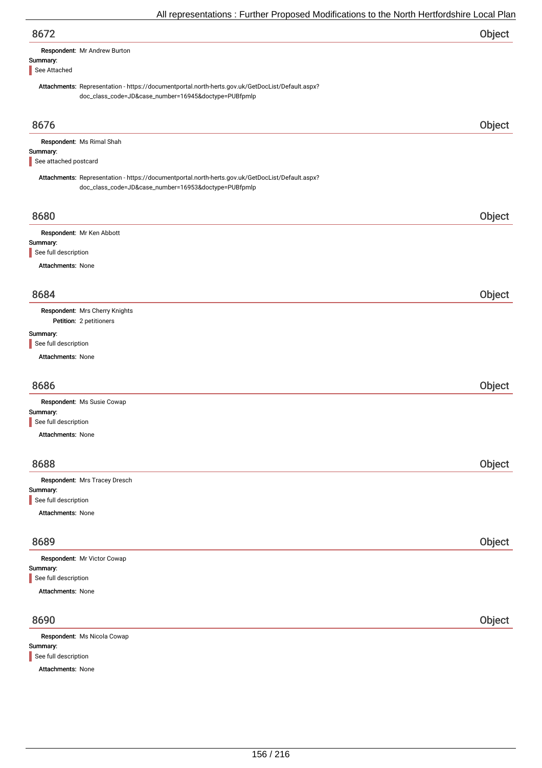| 8672                                                                                                                                                     | Object |
|----------------------------------------------------------------------------------------------------------------------------------------------------------|--------|
| Respondent: Mr Andrew Burton<br>Summary:                                                                                                                 |        |
| See Attached                                                                                                                                             |        |
| Attachments: Representation - https://documentportal.north-herts.gov.uk/GetDocList/Default.aspx?<br>doc_class_code=JD&case_number=16945&doctype=PUBfpmlp |        |
| 8676                                                                                                                                                     | Object |
| Respondent: Ms Rimal Shah                                                                                                                                |        |
| Summary:<br>See attached postcard                                                                                                                        |        |
| Attachments: Representation - https://documentportal.north-herts.gov.uk/GetDocList/Default.aspx?<br>doc_class_code=JD&case_number=16953&doctype=PUBfpmlp |        |
| 8680                                                                                                                                                     | Object |
| Respondent: Mr Ken Abbott                                                                                                                                |        |
| Summary:<br>See full description                                                                                                                         |        |
| Attachments: None                                                                                                                                        |        |
|                                                                                                                                                          |        |
| 8684                                                                                                                                                     | Object |
| Respondent: Mrs Cherry Knights<br>Petition: 2 petitioners                                                                                                |        |
| Summary:                                                                                                                                                 |        |
| See full description                                                                                                                                     |        |
| Attachments: None                                                                                                                                        |        |
| 8686                                                                                                                                                     | Object |
| Respondent: Ms Susie Cowap                                                                                                                               |        |
| Summary:<br>See full description                                                                                                                         |        |
| Attachments: None                                                                                                                                        |        |
| 8688                                                                                                                                                     | Object |
| Respondent: Mrs Tracey Dresch                                                                                                                            |        |
| Summary:                                                                                                                                                 |        |
| See full description                                                                                                                                     |        |
| <b>Attachments: None</b>                                                                                                                                 |        |
| 8689                                                                                                                                                     | Object |
| Respondent: Mr Victor Cowap                                                                                                                              |        |
| Summary:<br>See full description                                                                                                                         |        |
| <b>Attachments: None</b>                                                                                                                                 |        |
| 8690                                                                                                                                                     |        |
|                                                                                                                                                          | Object |
| Respondent: Ms Nicola Cowap<br>Summary:                                                                                                                  |        |
| See full description                                                                                                                                     |        |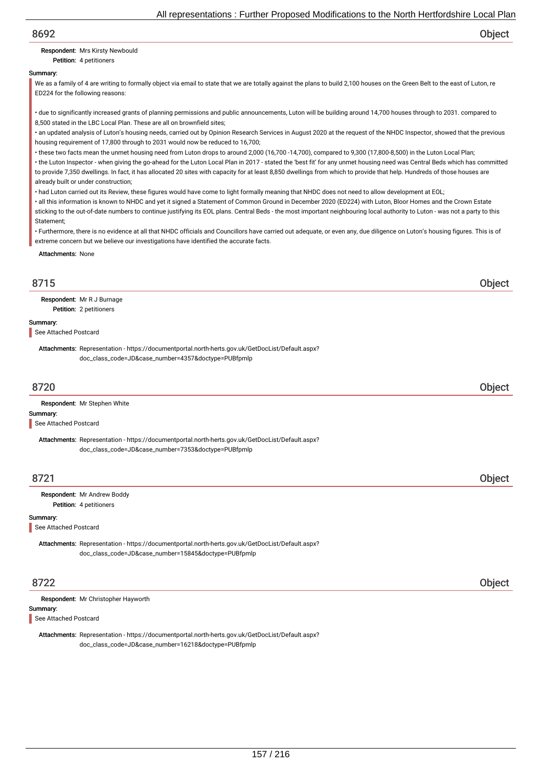### Respondent: Mrs Kirsty Newbould

Petition: 4 petitioners

### Summary:

We as a family of 4 are writing to formally object via email to state that we are totally against the plans to build 2,100 houses on the Green Belt to the east of Luton, re ED224 for the following reasons:

• due to significantly increased grants of planning permissions and public announcements, Luton will be building around 14,700 houses through to 2031. compared to 8,500 stated in the LBC Local Plan. These are all on brownfield sites;

• an updated analysis of Luton's housing needs, carried out by Opinion Research Services in August 2020 at the request of the NHDC Inspector, showed that the previous housing requirement of 17,800 through to 2031 would now be reduced to 16,700;

• these two facts mean the unmet housing need from Luton drops to around 2,000 (16,700 -14,700), compared to 9,300 (17,800-8,500) in the Luton Local Plan;

• the Luton Inspector - when giving the go-ahead for the Luton Local Plan in 2017 - stated the 'best fit' for any unmet housing need was Central Beds which has committed to provide 7,350 dwellings. In fact, it has allocated 20 sites with capacity for at least 8,850 dwellings from which to provide that help. Hundreds of those houses are already built or under construction;

• had Luton carried out its Review, these figures would have come to light formally meaning that NHDC does not need to allow development at EOL;

• all this information is known to NHDC and yet it signed a Statement of Common Ground in December 2020 (ED224) with Luton, Bloor Homes and the Crown Estate sticking to the out-of-date numbers to continue justifying its EOL plans. Central Beds - the most important neighbouring local authority to Luton - was not a party to this Statement;

• Furthermore, there is no evidence at all that NHDC officials and Councillors have carried out adequate, or even any, due diligence on Luton's housing figures. This is of extreme concern but we believe our investigations have identified the accurate facts.

Attachments: None

## 8715 Object

Petition: 2 petitioners Respondent: Mr R J Burnage

#### Summary:

See Attached Postcard

Attachments: Representation - https://documentportal.north-herts.gov.uk/GetDocList/Default.aspx? doc\_class\_code=JD&case\_number=4357&doctype=PUBfpmlp

## 8720 Object

Respondent: Mr Stephen White

#### Summary:

See Attached Postcard

Attachments: Representation - https://documentportal.north-herts.gov.uk/GetDocList/Default.aspx? doc\_class\_code=JD&case\_number=7353&doctype=PUBfpmlp

## 8721 Object

Petition: 4 petitioners Respondent: Mr Andrew Boddy

## Summary:

See Attached Postcard

Attachments: Representation - https://documentportal.north-herts.gov.uk/GetDocList/Default.aspx? doc\_class\_code=JD&case\_number=15845&doctype=PUBfpmlp

## 8722 Object

| Respondent: Mr Christopher Hayworth |
|-------------------------------------|
|                                     |

#### Summary:

See Attached Postcard

Attachments: Representation - https://documentportal.north-herts.gov.uk/GetDocList/Default.aspx? doc\_class\_code=JD&case\_number=16218&doctype=PUBfpmlp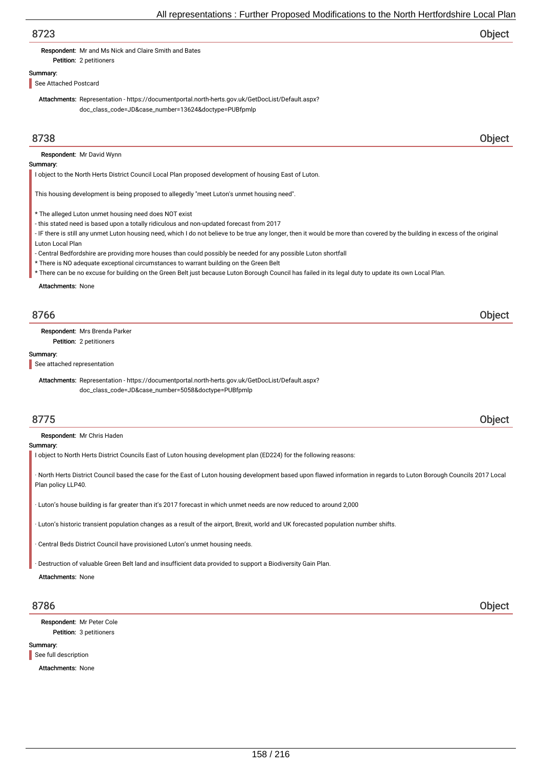Respondent: Mr and Ms Nick and Claire Smith and Bates

### Summary:

See Attached Postcard

Petition: 2 petitioners

Attachments: Representation - https://documentportal.north-herts.gov.uk/GetDocList/Default.aspx? doc\_class\_code=JD&case\_number=13624&doctype=PUBfpmlp

## 8738 Object

Respondent: Mr David Wynn

#### Summary:

I object to the North Herts District Council Local Plan proposed development of housing East of Luton.

This housing development is being proposed to allegedly "meet Luton's unmet housing need".

- \* The alleged Luton unmet housing need does NOT exist
- this stated need is based upon a totally ridiculous and non-updated forecast from 2017
- IF there is still any unmet Luton housing need, which I do not believe to be true any longer, then it would be more than covered by the building in excess of the original Luton Local Plan
- Central Bedfordshire are providing more houses than could possibly be needed for any possible Luton shortfall
- \* There is NO adequate exceptional circumstances to warrant building on the Green Belt
- \* There can be no excuse for building on the Green Belt just because Luton Borough Council has failed in its legal duty to update its own Local Plan.

Attachments: None

## 8766 Object

Petition: 2 petitioners Respondent: Mrs Brenda Parker

#### Summary:

See attached representation

Attachments: Representation - https://documentportal.north-herts.gov.uk/GetDocList/Default.aspx? doc\_class\_code=JD&case\_number=5058&doctype=PUBfpmlp

## 8775 Object

Respondent: Mr Chris Haden

Summary:

I object to North Herts District Councils East of Luton housing development plan (ED224) for the following reasons:

· North Herts District Council based the case for the East of Luton housing development based upon flawed information in regards to Luton Borough Councils 2017 Local Plan policy LLP40

· Luton's house building is far greater than it's 2017 forecast in which unmet needs are now reduced to around 2,000

· Luton's historic transient population changes as a result of the airport, Brexit, world and UK forecasted population number shifts.

Central Beds District Council have provisioned Luton's unmet housing needs.

· Destruction of valuable Green Belt land and insufficient data provided to support a Biodiversity Gain Plan.

#### Attachments: None

Petition: 3 petitioners Respondent: Mr Peter Cole

#### Summary:

See full description

Attachments: None

8786 Object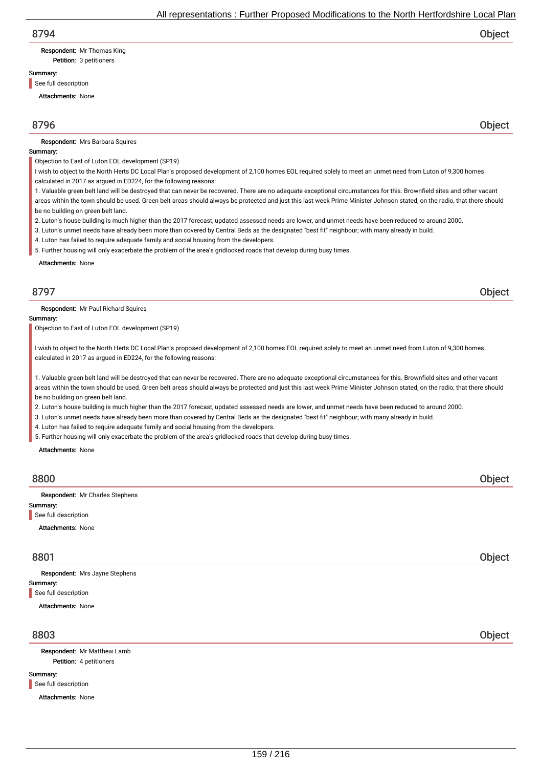# Respondent: Mr Thomas King

Petition: 3 petitioners

## Summary:

See full description

Attachments: None

## 8796 Object

Respondent: Mrs Barbara Squires

#### Summary:

Objection to East of Luton EOL development (SP19)

- I wish to object to the North Herts DC Local Plan's proposed development of 2,100 homes EOL required solely to meet an unmet need from Luton of 9,300 homes calculated in 2017 as argued in ED224, for the following reasons:
- 1. Valuable green belt land will be destroyed that can never be recovered. There are no adequate exceptional circumstances for this. Brownfield sites and other vacant

areas within the town should be used. Green belt areas should always be protected and just this last week Prime Minister Johnson stated, on the radio, that there should be no building on green belt land.

- 2. Luton's house building is much higher than the 2017 forecast, updated assessed needs are lower, and unmet needs have been reduced to around 2000.
- 3. Luton's unmet needs have already been more than covered by Central Beds as the designated "best fit" neighbour; with many already in build.

4. Luton has failed to require adequate family and social housing from the developers.

5. Further housing will only exacerbate the problem of the area's gridlocked roads that develop during busy times.

Attachments: None

## 8797 Object

Respondent: Mr Paul Richard Squires

#### Summary:

Objection to East of Luton EOL development (SP19)

I wish to object to the North Herts DC Local Plan's proposed development of 2,100 homes EOL required solely to meet an unmet need from Luton of 9,300 homes calculated in 2017 as argued in ED224, for the following reasons:

1. Valuable green belt land will be destroyed that can never be recovered. There are no adequate exceptional circumstances for this. Brownfield sites and other vacant areas within the town should be used. Green belt areas should always be protected and just this last week Prime Minister Johnson stated, on the radio, that there should be no building on green belt land.

2. Luton's house building is much higher than the 2017 forecast, updated assessed needs are lower, and unmet needs have been reduced to around 2000.

3. Luton's unmet needs have already been more than covered by Central Beds as the designated "best fit" neighbour; with many already in build.

4. Luton has failed to require adequate family and social housing from the developers.

5. Further housing will only exacerbate the problem of the area's gridlocked roads that develop during busy times.

Attachments: None

# 8800 Object Summary: Attachments: None Respondent: Mr Charles Stephens See full description 8801 Object Summary: Attachments: None Respondent: Mrs Jayne Stephens See full description 8803 Object

Petition: 4 petitioners Respondent: Mr Matthew Lamb

#### Summary:

See full description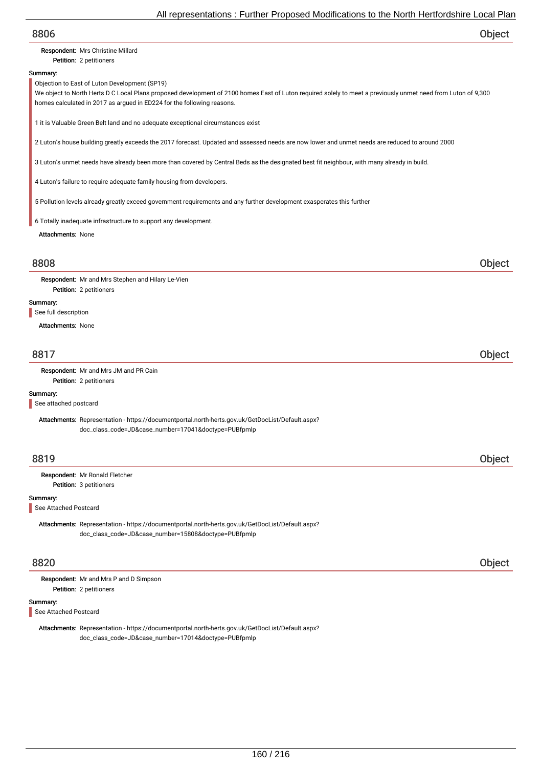# 8806 Object Petition: 2 petitioners Summary: Attachments: None Respondent: Mrs Christine Millard Objection to East of Luton Development (SP19) We object to North Herts D C Local Plans proposed development of 2100 homes East of Luton required solely to meet a previously unmet need from Luton of 9,300 homes calculated in 2017 as argued in ED224 for the following reasons. 1 it is Valuable Green Belt land and no adequate exceptional circumstances exist 2 Luton's house building greatly exceeds the 2017 forecast. Updated and assessed needs are now lower and unmet needs are reduced to around 2000 3 Luton's unmet needs have already been more than covered by Central Beds as the designated best fit neighbour, with many already in build. 4 Luton's failure to require adequate family housing from developers. 5 Pollution levels already greatly exceed government requirements and any further development exasperates this further 6 Totally inadequate infrastructure to support any development. 8808 Object Petition: 2 petitioners Summary: Attachments: None Respondent: Mr and Mrs Stephen and Hilary Le-Vien See full description 8817 Object Petition: 2 petitioners Summary: Respondent: Mr and Mrs JM and PR Cain Attachments: Representation - https://documentportal.north-herts.gov.uk/GetDocList/Default.aspx? doc\_class\_code=JD&case\_number=17041&doctype=PUBfpmlp See attached postcard 8819 Object

Petition: 3 petitioners Respondent: Mr Ronald Fletcher

#### Summary:

See Attached Postcard

Attachments: Representation - https://documentportal.north-herts.gov.uk/GetDocList/Default.aspx? doc\_class\_code=JD&case\_number=15808&doctype=PUBfpmlp

## 8820 Object

Respondent: Mr and Mrs P and D Simpson

Petition: 2 petitioners

#### Summary:

See Attached Postcard

Attachments: Representation - https://documentportal.north-herts.gov.uk/GetDocList/Default.aspx? doc\_class\_code=JD&case\_number=17014&doctype=PUBfpmlp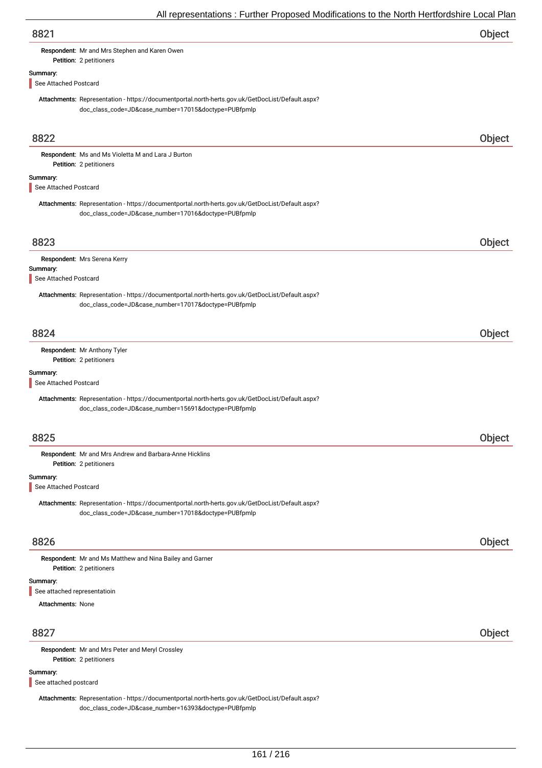| 8821 | Object |
|------|--------|
|      |        |

Respondent: Mr and Mrs Stephen and Karen Owen

# Summary:

See Attached Postcard

Petition: 2 petitioners

Attachments: Representation - https://documentportal.north-herts.gov.uk/GetDocList/Default.aspx? doc\_class\_code=JD&case\_number=17015&doctype=PUBfpmlp

| 8822                              |                                                                                                                                                          | Object |
|-----------------------------------|----------------------------------------------------------------------------------------------------------------------------------------------------------|--------|
|                                   | Respondent: Ms and Ms Violetta M and Lara J Burton<br>Petition: 2 petitioners                                                                            |        |
| Summary:                          |                                                                                                                                                          |        |
| See Attached Postcard             |                                                                                                                                                          |        |
|                                   | Attachments: Representation - https://documentportal.north-herts.gov.uk/GetDocList/Default.aspx?<br>doc_class_code=JD&case_number=17016&doctype=PUBfpmlp |        |
| 8823                              |                                                                                                                                                          | Object |
|                                   | Respondent: Mrs Serena Kerry                                                                                                                             |        |
| Summary:<br>See Attached Postcard |                                                                                                                                                          |        |
|                                   | Attachments: Representation - https://documentportal.north-herts.gov.uk/GetDocList/Default.aspx?<br>doc_class_code=JD&case_number=17017&doctype=PUBfpmlp |        |
| 8824                              |                                                                                                                                                          | Object |
|                                   | Respondent: Mr Anthony Tyler                                                                                                                             |        |
|                                   | Petition: 2 petitioners                                                                                                                                  |        |
| Summary:<br>See Attached Postcard |                                                                                                                                                          |        |
|                                   | Attachments: Representation - https://documentportal.north-herts.gov.uk/GetDocList/Default.aspx?<br>doc_class_code=JD&case_number=15691&doctype=PUBfpmlp |        |
| 8825                              |                                                                                                                                                          | Object |
|                                   | Respondent: Mr and Mrs Andrew and Barbara-Anne Hicklins<br>Petition: 2 petitioners                                                                       |        |
| Summary:<br>See Attached Postcard |                                                                                                                                                          |        |
|                                   | Attachments: Representation - https://documentportal.north-herts.gov.uk/GetDocList/Default.aspx?<br>doc_class_code=JD&case_number=17018&doctype=PUBfpmlp |        |
| 8826                              |                                                                                                                                                          | Object |
|                                   | Respondent: Mr and Ms Matthew and Nina Bailey and Garner<br>Petition: 2 petitioners                                                                      |        |
| Summary:                          |                                                                                                                                                          |        |
| See attached representatioin      |                                                                                                                                                          |        |
| <b>Attachments: None</b>          |                                                                                                                                                          |        |
| 8827                              |                                                                                                                                                          | Object |
|                                   | Respondent: Mr and Mrs Peter and Meryl Crossley<br>Petition: 2 petitioners                                                                               |        |
| Summary:<br>See attached postcard |                                                                                                                                                          |        |
|                                   | Attachments: Representation - https://documentportal.north-herts.gov.uk/GetDocList/Default.aspx?                                                         |        |

doc\_class\_code=JD&case\_number=16393&doctype=PUBfpmlp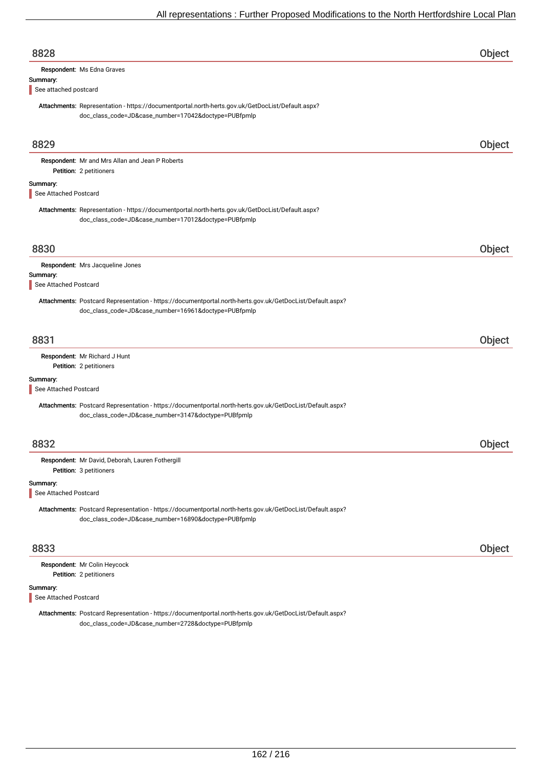| 8828                              |                                                                                                                                                                   | Object        |
|-----------------------------------|-------------------------------------------------------------------------------------------------------------------------------------------------------------------|---------------|
| Summary:<br>See attached postcard | Respondent: Ms Edna Graves                                                                                                                                        |               |
|                                   | Attachments: Representation - https://documentportal.north-herts.gov.uk/GetDocList/Default.aspx?<br>doc_class_code=JD&case_number=17042&doctype=PUBfpmlp          |               |
| 8829                              |                                                                                                                                                                   | Object        |
|                                   | Respondent: Mr and Mrs Allan and Jean P Roberts<br>Petition: 2 petitioners                                                                                        |               |
| Summary:<br>See Attached Postcard |                                                                                                                                                                   |               |
|                                   | Attachments: Representation - https://documentportal.north-herts.gov.uk/GetDocList/Default.aspx?<br>doc_class_code=JD&case_number=17012&doctype=PUBfpmlp          |               |
| 8830                              |                                                                                                                                                                   | Object        |
| Summary:<br>See Attached Postcard | Respondent: Mrs Jacqueline Jones                                                                                                                                  |               |
|                                   | Attachments: Postcard Representation - https://documentportal.north-herts.gov.uk/GetDocList/Default.aspx?<br>doc_class_code=JD&case_number=16961&doctype=PUBfpmlp |               |
| 8831                              |                                                                                                                                                                   | Object        |
|                                   | Respondent: Mr Richard J Hunt<br>Petition: 2 petitioners                                                                                                          |               |
| Summary:<br>See Attached Postcard |                                                                                                                                                                   |               |
|                                   | Attachments: Postcard Representation - https://documentportal.north-herts.gov.uk/GetDocList/Default.aspx?<br>doc_class_code=JD&case_number=3147&doctype=PUBfpmlp  |               |
| 8832                              |                                                                                                                                                                   | <b>Object</b> |
|                                   | Respondent: Mr David, Deborah, Lauren Fothergill<br>Petition: 3 petitioners                                                                                       |               |
| Summary:<br>See Attached Postcard |                                                                                                                                                                   |               |
|                                   | Attachments: Postcard Representation - https://documentportal.north-herts.gov.uk/GetDocList/Default.aspx?<br>doc_class_code=JD&case_number=16890&doctype=PUBfpmlp |               |
| 8833                              |                                                                                                                                                                   | Object        |
|                                   | Respondent: Mr Colin Heycock<br>Petition: 2 petitioners                                                                                                           |               |
| Summary:<br>See Attached Postcard |                                                                                                                                                                   |               |

Attachments: Postcard Representation - https://documentportal.north-herts.gov.uk/GetDocList/Default.aspx? doc\_class\_code=JD&case\_number=2728&doctype=PUBfpmlp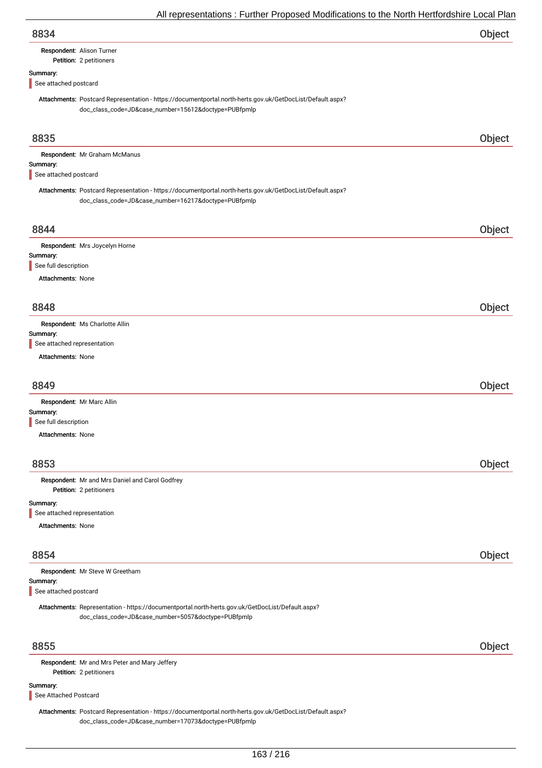| 8834 | Object |
|------|--------|
|      |        |

## Respondent: Alison Turner

#### Petition: 2 petitioners

#### Summary:

See attached postcard

Attachments: Postcard Representation - https://documentportal.north-herts.gov.uk/GetDocList/Default.aspx? doc\_class\_code=JD&case\_number=15612&doctype=PUBfpmlp

| 8835                                                                                                                                                    | Object |
|---------------------------------------------------------------------------------------------------------------------------------------------------------|--------|
| Respondent: Mr Graham McManus                                                                                                                           |        |
| Summary:<br>See attached postcard                                                                                                                       |        |
| Attachments: Postcard Representation - https://documentportal.north-herts.gov.uk/GetDocList/Default.aspx?                                               |        |
| doc_class_code=JD&case_number=16217&doctype=PUBfpmlp                                                                                                    |        |
| 8844                                                                                                                                                    | Object |
| Respondent: Mrs Joycelyn Horne                                                                                                                          |        |
| Summary:<br>See full description                                                                                                                        |        |
| <b>Attachments: None</b>                                                                                                                                |        |
|                                                                                                                                                         |        |
| 8848                                                                                                                                                    | Object |
| Respondent: Ms Charlotte Allin                                                                                                                          |        |
| Summary:<br>See attached representation                                                                                                                 |        |
| Attachments: None                                                                                                                                       |        |
|                                                                                                                                                         |        |
| 8849                                                                                                                                                    | Object |
| Respondent: Mr Marc Allin                                                                                                                               |        |
| Summary:                                                                                                                                                |        |
| See full description<br><b>Attachments: None</b>                                                                                                        |        |
|                                                                                                                                                         |        |
| 8853                                                                                                                                                    | Object |
| Respondent: Mr and Mrs Daniel and Carol Godfrey                                                                                                         |        |
| Petition: 2 petitioners                                                                                                                                 |        |
| Summary:<br>See attached representation                                                                                                                 |        |
| <b>Attachments: None</b>                                                                                                                                |        |
|                                                                                                                                                         |        |
| 8854                                                                                                                                                    | Object |
| Respondent: Mr Steve W Greetham                                                                                                                         |        |
| Summary:                                                                                                                                                |        |
| See attached postcard                                                                                                                                   |        |
| Attachments: Representation - https://documentportal.north-herts.gov.uk/GetDocList/Default.aspx?<br>doc_class_code=JD&case_number=5057&doctype=PUBfpmlp |        |
| 8855                                                                                                                                                    | Object |
| Respondent: Mr and Mrs Peter and Mary Jeffery<br>Petition: 2 petitioners                                                                                |        |
| Summary:                                                                                                                                                |        |
| See Attached Postcard                                                                                                                                   |        |

Attachments: Postcard Representation - https://documentportal.north-herts.gov.uk/GetDocList/Default.aspx? doc\_class\_code=JD&case\_number=17073&doctype=PUBfpmlp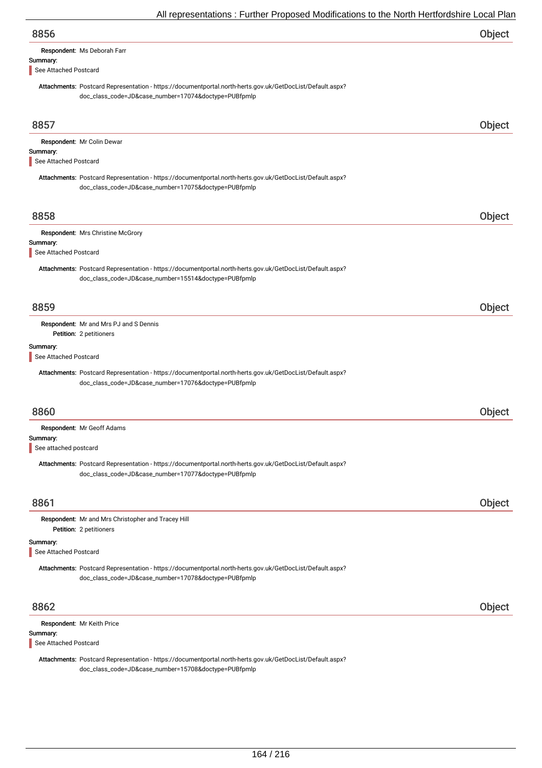|                                   | An representations. Further Froposca modifications to the north richtorushine Local Fia                                                                           |        |
|-----------------------------------|-------------------------------------------------------------------------------------------------------------------------------------------------------------------|--------|
| 8856                              |                                                                                                                                                                   | Object |
| Summary:<br>See Attached Postcard | Respondent: Ms Deborah Farr                                                                                                                                       |        |
|                                   | Attachments: Postcard Representation - https://documentportal.north-herts.gov.uk/GetDocList/Default.aspx?<br>doc_class_code=JD&case_number=17074&doctype=PUBfpmlp |        |
| 8857                              |                                                                                                                                                                   | Object |
| Summary:<br>See Attached Postcard | Respondent: Mr Colin Dewar                                                                                                                                        |        |
|                                   | Attachments: Postcard Representation - https://documentportal.north-herts.gov.uk/GetDocList/Default.aspx?<br>doc_class_code=JD&case_number=17075&doctype=PUBfpmlp |        |
| 8858                              |                                                                                                                                                                   | Object |
| Summary:<br>See Attached Postcard | Respondent: Mrs Christine McGrory                                                                                                                                 |        |
|                                   | Attachments: Postcard Representation - https://documentportal.north-herts.gov.uk/GetDocList/Default.aspx?<br>doc_class_code=JD&case_number=15514&doctype=PUBfpmlp |        |
| 8859                              |                                                                                                                                                                   | Object |
|                                   | Respondent: Mr and Mrs PJ and S Dennis<br>Petition: 2 petitioners                                                                                                 |        |
| Summary:<br>See Attached Postcard |                                                                                                                                                                   |        |
|                                   | Attachments: Postcard Representation - https://documentportal.north-herts.gov.uk/GetDocList/Default.aspx?<br>doc_class_code=JD&case_number=17076&doctype=PUBfpmlp |        |
| 8860                              |                                                                                                                                                                   | Object |
| Summary:<br>See attached postcard | Respondent: Mr Geoff Adams                                                                                                                                        |        |
|                                   | Attachments: Postcard Representation - https://documentportal.north-herts.gov.uk/GetDocList/Default.aspx?<br>doc_class_code=JD&case_number=17077&doctype=PUBfpmlp |        |
| 8861                              |                                                                                                                                                                   | Object |
|                                   | Respondent: Mr and Mrs Christopher and Tracey Hill<br>Petition: 2 petitioners                                                                                     |        |
| Summary:<br>See Attached Postcard |                                                                                                                                                                   |        |
|                                   | Attachments: Postcard Representation - https://documentportal.north-herts.gov.uk/GetDocList/Default.aspx?<br>doc_class_code=JD&case_number=17078&doctype=PUBfpmlp |        |
| 8862                              |                                                                                                                                                                   | Object |
| Summary:                          | Respondent: Mr Keith Price                                                                                                                                        |        |

See Attached Postcard

Attachments: Postcard Representation - https://documentportal.north-herts.gov.uk/GetDocList/Default.aspx? doc\_class\_code=JD&case\_number=15708&doctype=PUBfpmlp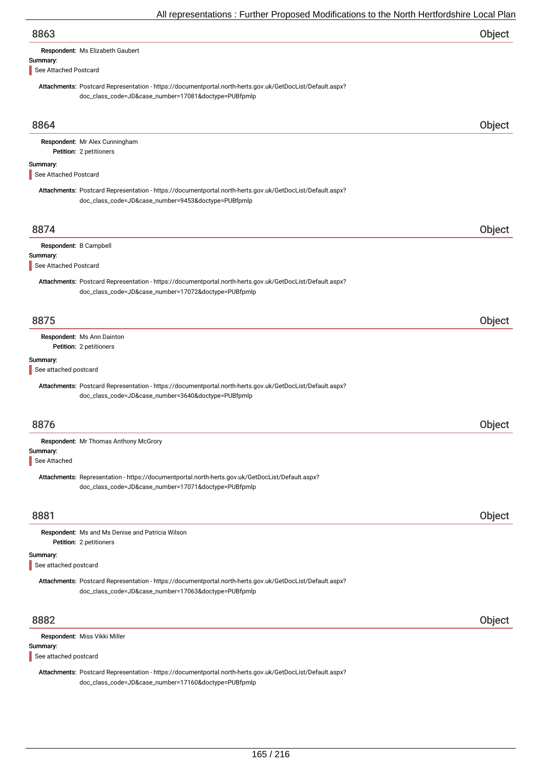|                                   | All representations. Further Froposed Modifications to the North Hertfordshire Local Fial                                                                         |        |
|-----------------------------------|-------------------------------------------------------------------------------------------------------------------------------------------------------------------|--------|
| 8863                              |                                                                                                                                                                   | Object |
|                                   | Respondent: Ms Elizabeth Gaubert                                                                                                                                  |        |
| Summary:<br>See Attached Postcard |                                                                                                                                                                   |        |
|                                   | Attachments: Postcard Representation - https://documentportal.north-herts.gov.uk/GetDocList/Default.aspx?<br>doc_class_code=JD&case_number=17081&doctype=PUBfpmlp |        |
| 8864                              |                                                                                                                                                                   | Object |
|                                   | Respondent: Mr Alex Cunningham<br>Petition: 2 petitioners                                                                                                         |        |
| Summary:<br>See Attached Postcard |                                                                                                                                                                   |        |
|                                   | Attachments: Postcard Representation - https://documentportal.north-herts.gov.uk/GetDocList/Default.aspx?<br>doc_class_code=JD&case_number=9453&doctype=PUBfpmlp  |        |
| 8874                              |                                                                                                                                                                   | Object |
| Respondent: B Campbell            |                                                                                                                                                                   |        |
| Summary:<br>See Attached Postcard |                                                                                                                                                                   |        |
|                                   | Attachments: Postcard Representation - https://documentportal.north-herts.gov.uk/GetDocList/Default.aspx?<br>doc_class_code=JD&case_number=17072&doctype=PUBfpmlp |        |
| 8875                              |                                                                                                                                                                   | Object |
|                                   | Respondent: Ms Ann Dainton<br>Petition: 2 petitioners                                                                                                             |        |
| Summary:<br>See attached postcard |                                                                                                                                                                   |        |
|                                   | Attachments: Postcard Representation - https://documentportal.north-herts.gov.uk/GetDocList/Default.aspx?<br>doc_class_code=JD&case_number=3640&doctype=PUBfpmlp  |        |
| 8876                              |                                                                                                                                                                   | Object |
|                                   | Respondent: Mr Thomas Anthony McGrory                                                                                                                             |        |
| Summary:<br>See Attached          |                                                                                                                                                                   |        |
|                                   | Attachments: Representation - https://documentportal.north-herts.gov.uk/GetDocList/Default.aspx?<br>doc_class_code=JD&case_number=17071&doctype=PUBfpmlp          |        |
| 8881                              |                                                                                                                                                                   | Object |
|                                   | Respondent: Ms and Ms Denise and Patricia Wilson<br>Petition: 2 petitioners                                                                                       |        |
| Summary:<br>See attached postcard |                                                                                                                                                                   |        |
|                                   | Attachments: Postcard Representation - https://documentportal.north-herts.gov.uk/GetDocList/Default.aspx?<br>doc_class_code=JD&case_number=17063&doctype=PUBfpmlp |        |
| 8882                              |                                                                                                                                                                   | Object |
|                                   | Respondent: Miss Vikki Miller                                                                                                                                     |        |
| Summary:<br>See attached postcard |                                                                                                                                                                   |        |
|                                   | Attachments: Postcard Representation - https://documentportal.north-herts.gov.uk/GetDocList/Default.aspx?<br>doc_class_code=JD&case_number=17160&doctype=PUBfpmlp |        |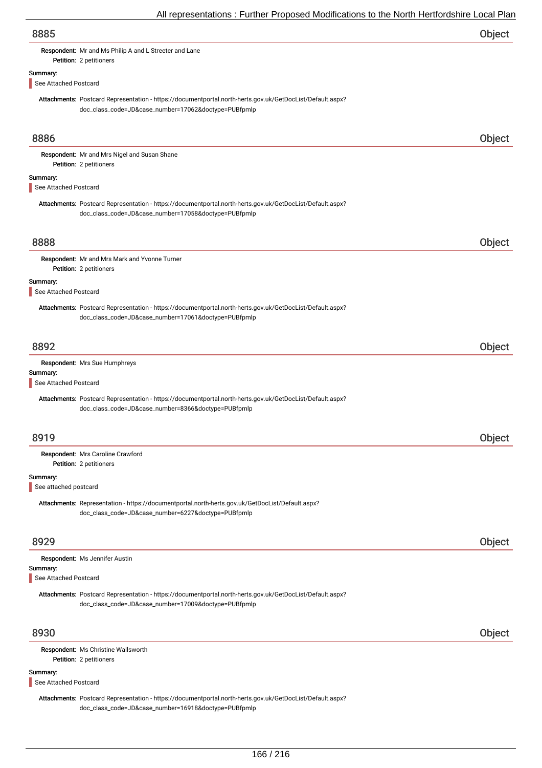|                                   | An representations. Further Froposca modifications to the north richtorushine Local Fia                                                                           |        |
|-----------------------------------|-------------------------------------------------------------------------------------------------------------------------------------------------------------------|--------|
| 8885                              |                                                                                                                                                                   | Object |
|                                   | Respondent: Mr and Ms Philip A and L Streeter and Lane                                                                                                            |        |
|                                   | Petition: 2 petitioners                                                                                                                                           |        |
| Summary:<br>See Attached Postcard |                                                                                                                                                                   |        |
|                                   |                                                                                                                                                                   |        |
|                                   | Attachments: Postcard Representation - https://documentportal.north-herts.gov.uk/GetDocList/Default.aspx?<br>doc_class_code=JD&case_number=17062&doctype=PUBfpmlp |        |
| 8886                              |                                                                                                                                                                   | Object |
|                                   | Respondent: Mr and Mrs Nigel and Susan Shane<br>Petition: 2 petitioners                                                                                           |        |
| Summary:<br>See Attached Postcard |                                                                                                                                                                   |        |
|                                   | Attachments: Postcard Representation - https://documentportal.north-herts.gov.uk/GetDocList/Default.aspx?<br>doc_class_code=JD&case_number=17058&doctype=PUBfpmlp |        |
| 8888                              |                                                                                                                                                                   | Object |
|                                   | Respondent: Mr and Mrs Mark and Yvonne Turner<br>Petition: 2 petitioners                                                                                          |        |
| Summary:<br>See Attached Postcard |                                                                                                                                                                   |        |
|                                   | Attachments: Postcard Representation - https://documentportal.north-herts.gov.uk/GetDocList/Default.aspx?<br>doc_class_code=JD&case_number=17061&doctype=PUBfpmlp |        |
| 8892                              |                                                                                                                                                                   | Object |
|                                   | Respondent: Mrs Sue Humphreys                                                                                                                                     |        |
| Summary:<br>See Attached Postcard |                                                                                                                                                                   |        |
|                                   | Attachments: Postcard Representation - https://documentportal.north-herts.gov.uk/GetDocList/Default.aspx?<br>doc_class_code=JD&case_number=8366&doctype=PUBfpmlp  |        |
| 8919                              |                                                                                                                                                                   | Object |
|                                   | Respondent: Mrs Caroline Crawford<br>Petition: 2 petitioners                                                                                                      |        |
| Summary:<br>See attached postcard |                                                                                                                                                                   |        |
|                                   | Attachments: Representation - https://documentportal.north-herts.gov.uk/GetDocList/Default.aspx?<br>doc_class_code=JD&case_number=6227&doctype=PUBfpmlp           |        |
| 8929                              |                                                                                                                                                                   | Object |
|                                   | Respondent: Ms Jennifer Austin                                                                                                                                    |        |
| Summary:<br>See Attached Postcard |                                                                                                                                                                   |        |
|                                   | Attachments: Postcard Representation - https://documentportal.north-herts.gov.uk/GetDocList/Default.aspx?<br>doc_class_code=JD&case_number=17009&doctype=PUBfpmlp |        |
| 8930                              |                                                                                                                                                                   | Object |
|                                   | Respondent: Ms Christine Wallsworth<br>Petition: 2 petitioners                                                                                                    |        |
| Summary:<br>See Attached Postcard |                                                                                                                                                                   |        |

Attachments: Postcard Representation - https://documentportal.north-herts.gov.uk/GetDocList/Default.aspx? doc\_class\_code=JD&case\_number=16918&doctype=PUBfpmlp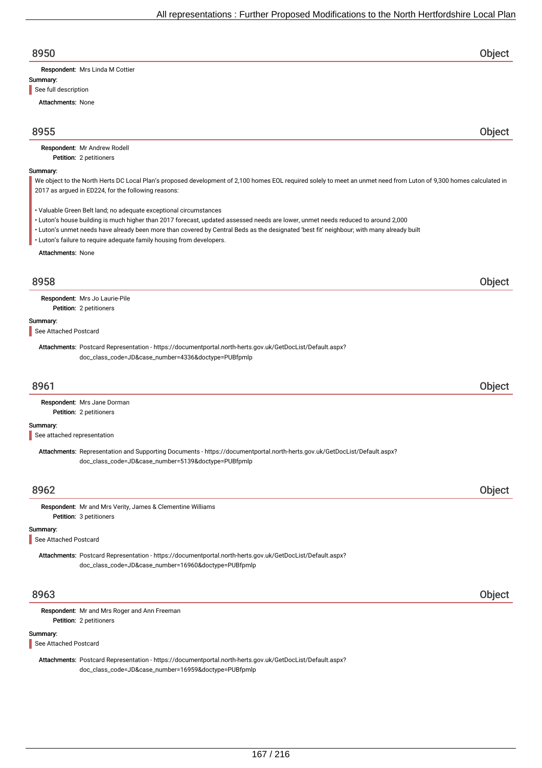| 8950                                                                                                                                                                                                                      | <b>Object</b> |
|---------------------------------------------------------------------------------------------------------------------------------------------------------------------------------------------------------------------------|---------------|
| Respondent: Mrs Linda M Cottier                                                                                                                                                                                           |               |
| Summary:                                                                                                                                                                                                                  |               |
| See full description                                                                                                                                                                                                      |               |
| <b>Attachments: None</b>                                                                                                                                                                                                  |               |
| 8955                                                                                                                                                                                                                      | Object        |
| Respondent: Mr Andrew Rodell<br>Petition: 2 petitioners                                                                                                                                                                   |               |
| Summary:                                                                                                                                                                                                                  |               |
| We object to the North Herts DC Local Plan's proposed development of 2,100 homes EOL required solely to meet an unmet need from Luton of 9,300 homes calculated in<br>2017 as argued in ED224, for the following reasons: |               |
| • Valuable Green Belt land; no adequate exceptional circumstances<br>• Luton's house building is much higher than 2017 forecast, updated assessed needs are lower, unmet needs reduced to around 2,000                    |               |
| · Luton's unmet needs have already been more than covered by Central Beds as the designated 'best fit' neighbour; with many already built<br>• Luton's failure to require adequate family housing from developers.        |               |
| <b>Attachments: None</b>                                                                                                                                                                                                  |               |
| 8958                                                                                                                                                                                                                      | Object        |
| Respondent: Mrs Jo Laurie-Pile                                                                                                                                                                                            |               |
| Petition: 2 petitioners                                                                                                                                                                                                   |               |
| Summary:                                                                                                                                                                                                                  |               |
| See Attached Postcard                                                                                                                                                                                                     |               |
| Attachments: Postcard Representation - https://documentportal.north-herts.gov.uk/GetDocList/Default.aspx?<br>doc_class_code=JD&case_number=4336&doctype=PUBfpmlp                                                          |               |
| 8961                                                                                                                                                                                                                      | Object        |
| Respondent: Mrs Jane Dorman                                                                                                                                                                                               |               |
| Petition: 2 petitioners                                                                                                                                                                                                   |               |
| Summary:                                                                                                                                                                                                                  |               |
| See attached representation                                                                                                                                                                                               |               |
| Attachments: Representation and Supporting Documents - https://documentportal.north-herts.gov.uk/GetDocList/Default.aspx?<br>doc_class_code=JD&case_number=5139&doctype=PUBfpmlp                                          |               |
| 8962                                                                                                                                                                                                                      | Object        |
| Respondent: Mr and Mrs Verity, James & Clementine Williams                                                                                                                                                                |               |
| Petition: 3 petitioners                                                                                                                                                                                                   |               |
| Summary:<br>See Attached Postcard                                                                                                                                                                                         |               |
| Attachments: Postcard Representation - https://documentportal.north-herts.gov.uk/GetDocList/Default.aspx?<br>doc_class_code=JD&case_number=16960&doctype=PUBfpmlp                                                         |               |
| 8963                                                                                                                                                                                                                      | Object        |
| Respondent: Mr and Mrs Roger and Ann Freeman                                                                                                                                                                              |               |
| Petition: 2 petitioners                                                                                                                                                                                                   |               |

Summary:

See Attached Postcard

Attachments: Postcard Representation - https://documentportal.north-herts.gov.uk/GetDocList/Default.aspx? doc\_class\_code=JD&case\_number=16959&doctype=PUBfpmlp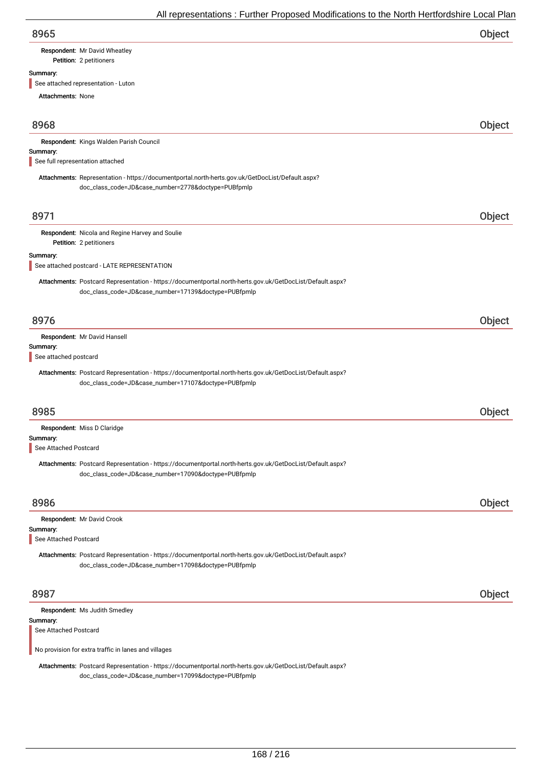| 8965 | Object |
|------|--------|
|      |        |

## Respondent: Mr David Wheatley

Petition: 2 petitioners

### Summary:

See attached representation - Luton

| <b>Attachments: None</b>                                                                                                                                          |        |
|-------------------------------------------------------------------------------------------------------------------------------------------------------------------|--------|
| 8968                                                                                                                                                              | Object |
| Respondent: Kings Walden Parish Council                                                                                                                           |        |
| Summary:<br>See full representation attached                                                                                                                      |        |
| Attachments: Representation - https://documentportal.north-herts.gov.uk/GetDocList/Default.aspx?<br>doc_class_code=JD&case_number=2778&doctype=PUBfpmlp           |        |
| 8971                                                                                                                                                              | Object |
| Respondent: Nicola and Regine Harvey and Soulie<br>Petition: 2 petitioners                                                                                        |        |
| Summary:<br>See attached postcard - LATE REPRESENTATION                                                                                                           |        |
| Attachments: Postcard Representation - https://documentportal.north-herts.gov.uk/GetDocList/Default.aspx?<br>doc_class_code=JD&case_number=17139&doctype=PUBfpmlp |        |
| 8976                                                                                                                                                              | Object |
| Respondent: Mr David Hansell<br>Summary:<br>See attached postcard                                                                                                 |        |
| Attachments: Postcard Representation - https://documentportal.north-herts.gov.uk/GetDocList/Default.aspx?<br>doc_class_code=JD&case_number=17107&doctype=PUBfpmlp |        |
| 8985                                                                                                                                                              | Object |
| Respondent: Miss D Claridge<br>Summary:<br>See Attached Postcard                                                                                                  |        |
| Attachments: Postcard Representation - https://documentportal.north-herts.gov.uk/GetDocList/Default.aspx?<br>doc_class_code=JD&case_number=17090&doctype=PUBfpmlp |        |
| 8986                                                                                                                                                              | Object |
| Respondent: Mr David Crook                                                                                                                                        |        |
| Summary:<br>See Attached Postcard                                                                                                                                 |        |
| Attachments: Postcard Representation - https://documentportal.north-herts.gov.uk/GetDocList/Default.aspx?<br>doc_class_code=JD&case_number=17098&doctype=PUBfpmlp |        |
| 8987                                                                                                                                                              | Object |
| Respondent: Ms Judith Smedley                                                                                                                                     |        |
| Summary:<br>See Attached Postcard                                                                                                                                 |        |
| No provision for extra traffic in lanes and villages                                                                                                              |        |

Attachments: Postcard Representation - https://documentportal.north-herts.gov.uk/GetDocList/Default.aspx? doc\_class\_code=JD&case\_number=17099&doctype=PUBfpmlp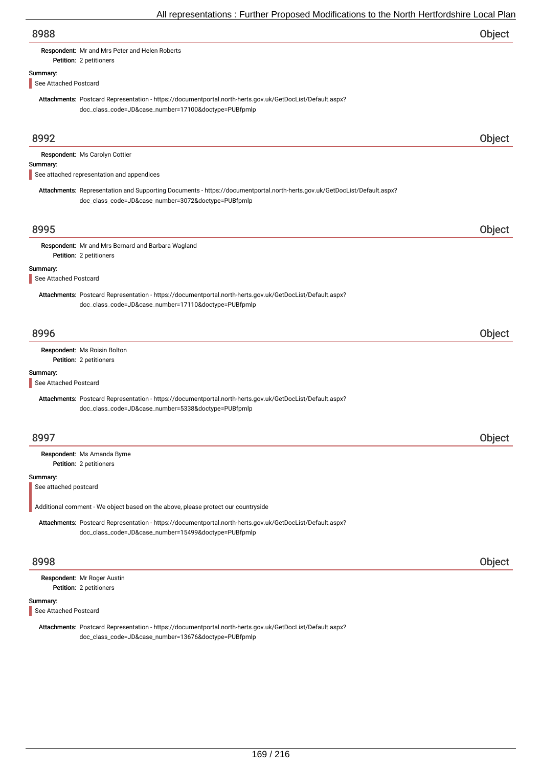| procentations in anthon respects modifications to the richtimetric domic Local is                                                                                                |        |
|----------------------------------------------------------------------------------------------------------------------------------------------------------------------------------|--------|
| 8988                                                                                                                                                                             | Object |
| Respondent: Mr and Mrs Peter and Helen Roberts<br>Petition: 2 petitioners                                                                                                        |        |
|                                                                                                                                                                                  |        |
| Summary:<br>See Attached Postcard                                                                                                                                                |        |
| Attachments: Postcard Representation - https://documentportal.north-herts.gov.uk/GetDocList/Default.aspx?<br>doc_class_code=JD&case_number=17100&doctype=PUBfpmlp                |        |
| 8992                                                                                                                                                                             | Object |
| Respondent: Ms Carolyn Cottier                                                                                                                                                   |        |
| Summary:                                                                                                                                                                         |        |
| See attached representation and appendices                                                                                                                                       |        |
| Attachments: Representation and Supporting Documents - https://documentportal.north-herts.gov.uk/GetDocList/Default.aspx?<br>doc_class_code=JD&case_number=3072&doctype=PUBfpmlp |        |
| 8995                                                                                                                                                                             | Object |
|                                                                                                                                                                                  |        |
| Respondent: Mr and Mrs Bernard and Barbara Wagland<br>Petition: 2 petitioners                                                                                                    |        |
| Summary:                                                                                                                                                                         |        |
| See Attached Postcard                                                                                                                                                            |        |
| Attachments: Postcard Representation - https://documentportal.north-herts.gov.uk/GetDocList/Default.aspx?<br>doc_class_code=JD&case_number=17110&doctype=PUBfpmlp                |        |
|                                                                                                                                                                                  |        |
| 8996                                                                                                                                                                             | Object |
| Respondent: Ms Roisin Bolton<br>Petition: 2 petitioners                                                                                                                          |        |
| Summary:                                                                                                                                                                         |        |
| See Attached Postcard                                                                                                                                                            |        |
| Attachments: Postcard Representation - https://documentportal.north-herts.gov.uk/GetDocList/Default.aspx?<br>doc_class_code=JD&case_number=5338&doctype=PUBfpmlp                 |        |
|                                                                                                                                                                                  |        |
| 8997                                                                                                                                                                             | Object |
| Respondent: Ms Amanda Byrne                                                                                                                                                      |        |
| Petition: 2 petitioners                                                                                                                                                          |        |
| Summary:                                                                                                                                                                         |        |
| See attached postcard                                                                                                                                                            |        |
| Additional comment - We object based on the above, please protect our countryside                                                                                                |        |
| Attachments: Postcard Representation - https://documentportal.north-herts.gov.uk/GetDocList/Default.aspx?                                                                        |        |
| doc_class_code=JD&case_number=15499&doctype=PUBfpmlp                                                                                                                             |        |
| 8998                                                                                                                                                                             | Object |
| Respondent: Mr Roger Austin                                                                                                                                                      |        |
| Petition: 2 petitioners                                                                                                                                                          |        |
| Summary:<br>See Attached Postcard                                                                                                                                                |        |
| Attachments: Postcard Representation - https://documentportal.north-herts.gov.uk/GetDocList/Default.aspx?                                                                        |        |
| doc_class_code=JD&case_number=13676&doctype=PUBfpmlp                                                                                                                             |        |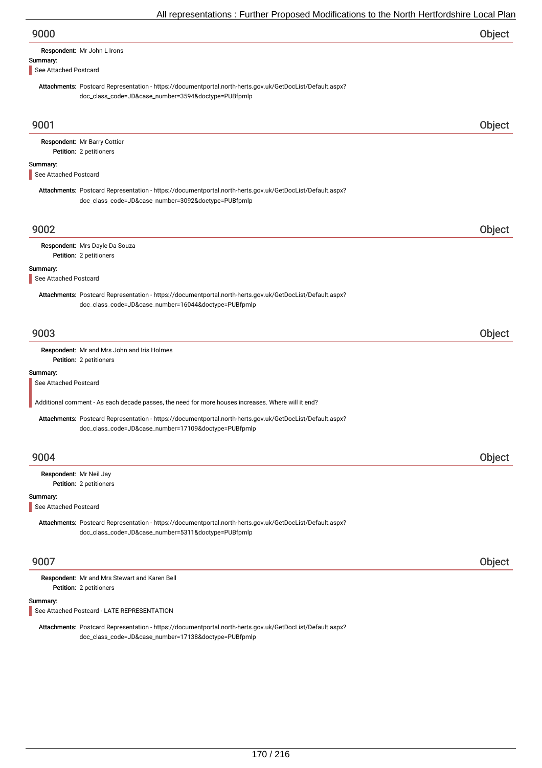| 9000 | Object |
|------|--------|
|------|--------|

| Respondent: Mr John L Irons |
|-----------------------------|
|                             |

Summary:

See Attached Postcard

Attachments: Postcard Representation - https://documentportal.north-herts.gov.uk/GetDocList/Default.aspx? doc\_class\_code=JD&case\_number=3594&doctype=PUBfpmlp

| 9001                              |                                                                                                                                                                   | Object |
|-----------------------------------|-------------------------------------------------------------------------------------------------------------------------------------------------------------------|--------|
|                                   | Respondent: Mr Barry Cottier<br>Petition: 2 petitioners                                                                                                           |        |
| Summary:<br>See Attached Postcard |                                                                                                                                                                   |        |
|                                   | Attachments: Postcard Representation - https://documentportal.north-herts.gov.uk/GetDocList/Default.aspx?<br>doc_class_code=JD&case_number=3092&doctype=PUBfpmlp  |        |
| 9002                              |                                                                                                                                                                   | Object |
|                                   | Respondent: Mrs Dayle Da Souza<br>Petition: 2 petitioners                                                                                                         |        |
| Summary:<br>See Attached Postcard |                                                                                                                                                                   |        |
|                                   | Attachments: Postcard Representation - https://documentportal.north-herts.gov.uk/GetDocList/Default.aspx?<br>doc_class_code=JD&case_number=16044&doctype=PUBfpmlp |        |
| 9003                              |                                                                                                                                                                   | Object |
|                                   | Respondent: Mr and Mrs John and Iris Holmes<br>Petition: 2 petitioners                                                                                            |        |
| Summary:<br>See Attached Postcard |                                                                                                                                                                   |        |
|                                   | Additional comment - As each decade passes, the need for more houses increases. Where will it end?                                                                |        |
|                                   | Attachments: Postcard Representation - https://documentportal.north-herts.gov.uk/GetDocList/Default.aspx?<br>doc_class_code=JD&case_number=17109&doctype=PUBfpmlp |        |
| 9004                              |                                                                                                                                                                   | Object |
| Respondent: Mr Neil Jay           | Petition: 2 petitioners                                                                                                                                           |        |
| Summary:<br>See Attached Postcard |                                                                                                                                                                   |        |
|                                   | Attachments: Postcard Representation - https://documentportal.north-herts.gov.uk/GetDocList/Default.aspx?<br>doc_class_code=JD&case_number=5311&doctype=PUBfpmlp  |        |
| 9007                              |                                                                                                                                                                   | Object |
|                                   | Respondent: Mr and Mrs Stewart and Karen Bell<br>Petition: 2 petitioners                                                                                          |        |
| Summary:                          | See Attached Postcard - LATE REPRESENTATION                                                                                                                       |        |
|                                   | Attachments: Postcard Representation - https://documentportal.north-herts.gov.uk/GetDocList/Default.aspx?<br>doc_class_code=JD&case_number=17138&doctype=PUBfpmlp |        |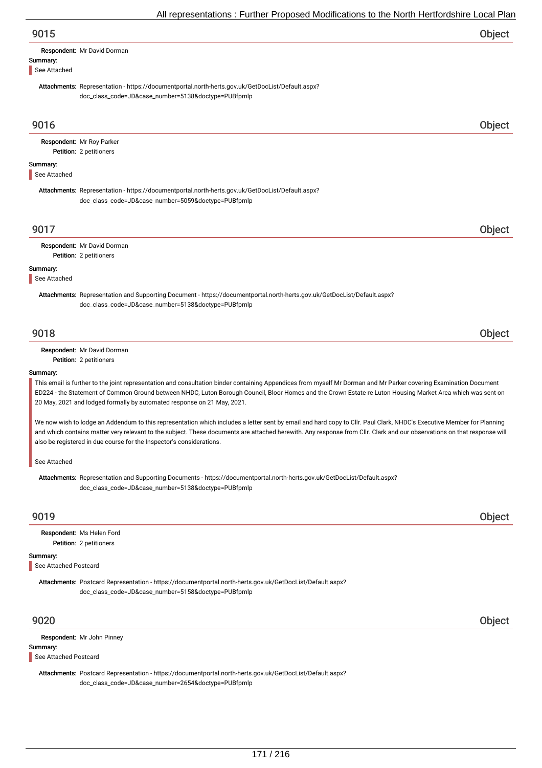|                          | All representations : Further Proposed Modifications to the North Hertfordshire Local Plan                                                                                      |        |
|--------------------------|---------------------------------------------------------------------------------------------------------------------------------------------------------------------------------|--------|
| 9015                     |                                                                                                                                                                                 | Object |
| Summary:<br>See Attached | Respondent: Mr David Dorman                                                                                                                                                     |        |
|                          | Attachments: Representation - https://documentportal.north-herts.gov.uk/GetDocList/Default.aspx?<br>doc_class_code=JD&case_number=5138&doctype=PUBfpmlp                         |        |
| 9016                     |                                                                                                                                                                                 | Object |
|                          | Respondent: Mr Roy Parker<br>Petition: 2 petitioners                                                                                                                            |        |
| Summary:<br>See Attached |                                                                                                                                                                                 |        |
|                          | Attachments: Representation - https://documentportal.north-herts.gov.uk/GetDocList/Default.aspx?<br>doc_class_code=JD&case_number=5059&doctype=PUBfpmlp                         |        |
| 9017                     |                                                                                                                                                                                 | Object |
|                          | Respondent: Mr David Dorman<br>Petition: 2 petitioners                                                                                                                          |        |
| Summary:<br>See Attached |                                                                                                                                                                                 |        |
|                          | Attachments: Representation and Supporting Document - https://documentportal.north-herts.gov.uk/GetDocList/Default.aspx?<br>doc_class_code=JD&case_number=5138&doctype=PUBfpmlp |        |
| 9018                     |                                                                                                                                                                                 | Object |
|                          | Respondent: Mr David Dorman<br>Petition: 2 petitioners                                                                                                                          |        |
| Summary:                 | This email is further to the joint representation and consultation binder containing Appendices from myself Mr Dorman and Mr Parker covering Examination Document               |        |

ED224 - the Statement of Common Ground between NHDC, Luton Borough Council, Bloor Homes and the Crown Estate re Luton Housing Market Area which was sent on 20 May, 2021 and lodged formally by automated response on 21 May, 2021.

We now wish to lodge an Addendum to this representation which includes a letter sent by email and hard copy to Cllr. Paul Clark, NHDC's Executive Member for Planning and which contains matter very relevant to the subject. These documents are attached herewith. Any response from Cllr. Clark and our observations on that response will also be registered in due course for the Inspector's considerations.

See Attached

Attachments: Representation and Supporting Documents - https://documentportal.north-herts.gov.uk/GetDocList/Default.aspx? doc\_class\_code=JD&case\_number=5138&doctype=PUBfpmlp

## 9019 Object

Petition: 2 petitioners Respondent: Ms Helen Ford

### Summary:

See Attached Postcard

Attachments: Postcard Representation - https://documentportal.north-herts.gov.uk/GetDocList/Default.aspx? doc\_class\_code=JD&case\_number=5158&doctype=PUBfpmlp

9020 Object

Summary: Respondent: Mr John Pinney

#### See Attached Postcard

Attachments: Postcard Representation - https://documentportal.north-herts.gov.uk/GetDocList/Default.aspx? doc\_class\_code=JD&case\_number=2654&doctype=PUBfpmlp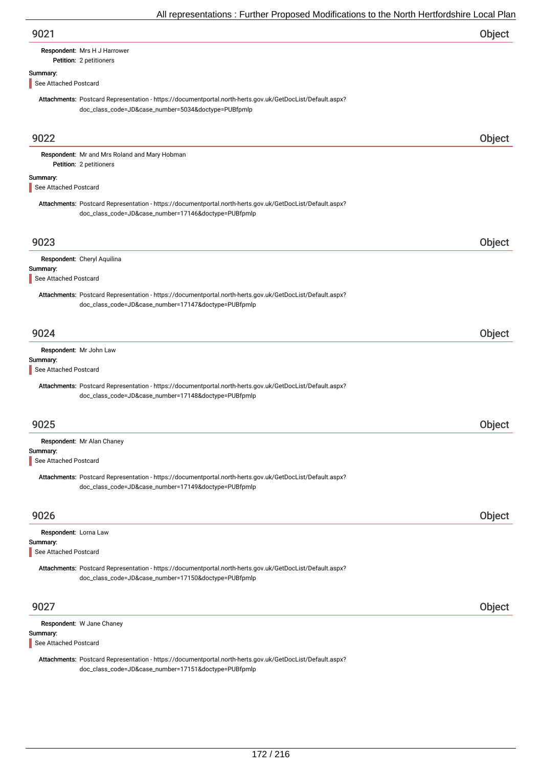| 9021 | Object |
|------|--------|
|------|--------|

#### Petition: 2 petitioners Respondent: Mrs H J Harrower

Summary:

## See Attached Postcard

Attachments: Postcard Representation - https://documentportal.north-herts.gov.uk/GetDocList/Default.aspx? doc\_class\_code=JD&case\_number=5034&doctype=PUBfpmlp

| 9022                                                       |                                                                                                                                                                   | Object |
|------------------------------------------------------------|-------------------------------------------------------------------------------------------------------------------------------------------------------------------|--------|
|                                                            | Respondent: Mr and Mrs Roland and Mary Hobman<br>Petition: 2 petitioners                                                                                          |        |
| Summary:<br>See Attached Postcard                          |                                                                                                                                                                   |        |
|                                                            | Attachments: Postcard Representation - https://documentportal.north-herts.gov.uk/GetDocList/Default.aspx?<br>doc_class_code=JD&case_number=17146&doctype=PUBfpmlp |        |
| 9023                                                       |                                                                                                                                                                   | Object |
| Summary:<br>See Attached Postcard                          | Respondent: Cheryl Aquilina                                                                                                                                       |        |
|                                                            | Attachments: Postcard Representation - https://documentportal.north-herts.gov.uk/GetDocList/Default.aspx?<br>doc_class_code=JD&case_number=17147&doctype=PUBfpmlp |        |
| 9024                                                       |                                                                                                                                                                   | Object |
| Summary:<br>See Attached Postcard                          | Respondent: Mr John Law<br>Attachments: Postcard Representation - https://documentportal.north-herts.gov.uk/GetDocList/Default.aspx?                              |        |
|                                                            | doc_class_code=JD&case_number=17148&doctype=PUBfpmlp                                                                                                              |        |
| 9025                                                       |                                                                                                                                                                   | Object |
| Summary:                                                   | Respondent: Mr Alan Chaney                                                                                                                                        |        |
| See Attached Postcard                                      | Attachments: Postcard Representation - https://documentportal.north-herts.gov.uk/GetDocList/Default.aspx?<br>doc_class_code=JD&case_number=17149&doctype=PUBfpmlp |        |
| 9026                                                       |                                                                                                                                                                   | Object |
| Respondent: Lorna Law<br>Summary:<br>See Attached Postcard |                                                                                                                                                                   |        |
|                                                            | Attachments: Postcard Representation - https://documentportal.north-herts.gov.uk/GetDocList/Default.aspx?<br>doc_class_code=JD&case_number=17150&doctype=PUBfpmlp |        |
| 9027                                                       |                                                                                                                                                                   | Object |
| Summary:<br>See Attached Postcard                          | Respondent: W Jane Chaney                                                                                                                                         |        |

Attachments: Postcard Representation - https://documentportal.north-herts.gov.uk/GetDocList/Default.aspx? doc\_class\_code=JD&case\_number=17151&doctype=PUBfpmlp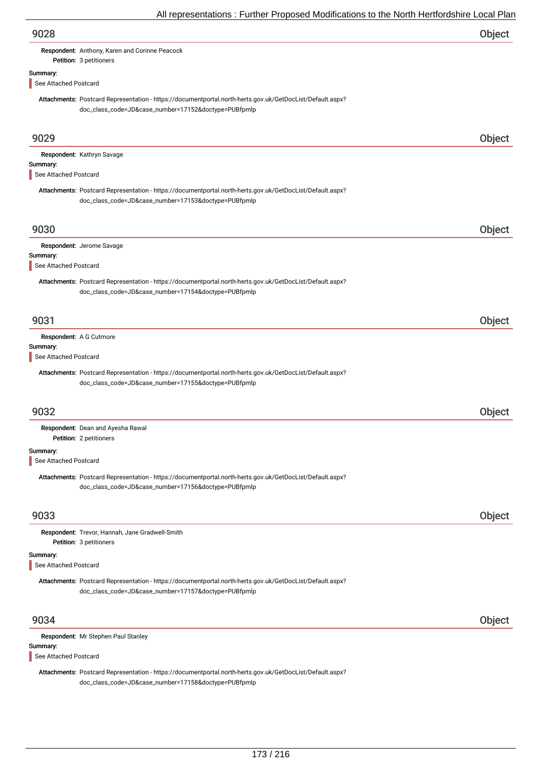|                                   | $\frac{1}{2}$ and operation of the characteristic construction of the characteristic condition of $\frac{1}{2}$                                                   |        |
|-----------------------------------|-------------------------------------------------------------------------------------------------------------------------------------------------------------------|--------|
| 9028                              |                                                                                                                                                                   | Object |
|                                   | Respondent: Anthony, Karen and Corinne Peacock<br>Petition: 3 petitioners                                                                                         |        |
| Summary:                          |                                                                                                                                                                   |        |
| See Attached Postcard             | Attachments: Postcard Representation - https://documentportal.north-herts.gov.uk/GetDocList/Default.aspx?                                                         |        |
|                                   | doc_class_code=JD&case_number=17152&doctype=PUBfpmlp                                                                                                              |        |
| 9029                              |                                                                                                                                                                   | Object |
| Summary:                          | Respondent: Kathryn Savage                                                                                                                                        |        |
| See Attached Postcard             |                                                                                                                                                                   |        |
|                                   | Attachments: Postcard Representation - https://documentportal.north-herts.gov.uk/GetDocList/Default.aspx?<br>doc_class_code=JD&case_number=17153&doctype=PUBfpmlp |        |
| 9030                              |                                                                                                                                                                   | Object |
|                                   | Respondent: Jerome Savage                                                                                                                                         |        |
| Summary:<br>See Attached Postcard |                                                                                                                                                                   |        |
|                                   | Attachments: Postcard Representation - https://documentportal.north-herts.gov.uk/GetDocList/Default.aspx?<br>doc_class_code=JD&case_number=17154&doctype=PUBfpmlp |        |
| 9031                              |                                                                                                                                                                   | Object |
| Summary:                          | Respondent: A G Cutmore                                                                                                                                           |        |
| See Attached Postcard             |                                                                                                                                                                   |        |
|                                   | Attachments: Postcard Representation - https://documentportal.north-herts.gov.uk/GetDocList/Default.aspx?<br>doc_class_code=JD&case_number=17155&doctype=PUBfpmlp |        |
| 9032                              |                                                                                                                                                                   | Object |
|                                   | Respondent: Dean and Ayesha Rawal<br>Petition: 2 petitioners                                                                                                      |        |
| Summary:<br>See Attached Postcard |                                                                                                                                                                   |        |
|                                   | Attachments: Postcard Representation - https://documentportal.north-herts.gov.uk/GetDocList/Default.aspx?<br>doc_class_code=JD&case_number=17156&doctype=PUBfpmlp |        |
| 9033                              |                                                                                                                                                                   | Object |
|                                   | Respondent: Trevor, Hannah, Jane Gradwell-Smith<br>Petition: 3 petitioners                                                                                        |        |
| Summary:<br>See Attached Postcard |                                                                                                                                                                   |        |
|                                   | Attachments: Postcard Representation - https://documentportal.north-herts.gov.uk/GetDocList/Default.aspx?<br>doc_class_code=JD&case_number=17157&doctype=PUBfpmlp |        |
| 9034                              |                                                                                                                                                                   | Object |
|                                   | Respondent: Mr Stephen Paul Stanley                                                                                                                               |        |
| Summary:<br>See Attached Postcard |                                                                                                                                                                   |        |
|                                   | Attachments: Postcard Representation - https://documentportal.north-herts.gov.uk/GetDocList/Default.aspx?<br>doc_class_code=JD&case_number=17158&doctype=PUBfpmlp |        |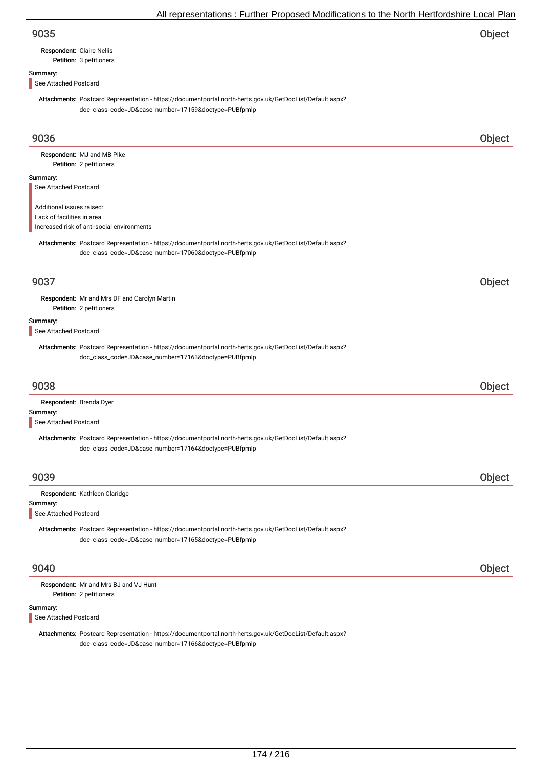## Respondent: Claire Nellis

Petition: 3 petitioners

## Summary:

See Attached Postcard

Attachments: Postcard Representation - https://documentportal.north-herts.gov.uk/GetDocList/Default.aspx? doc\_class\_code=JD&case\_number=17159&doctype=PUBfpmlp

| 9036                       |                                                                                                                                                                   | Object |
|----------------------------|-------------------------------------------------------------------------------------------------------------------------------------------------------------------|--------|
|                            | Respondent: MJ and MB Pike                                                                                                                                        |        |
|                            | Petition: 2 petitioners                                                                                                                                           |        |
| Summary:                   |                                                                                                                                                                   |        |
| See Attached Postcard      |                                                                                                                                                                   |        |
| Additional issues raised:  |                                                                                                                                                                   |        |
| Lack of facilities in area |                                                                                                                                                                   |        |
|                            | Increased risk of anti-social environments                                                                                                                        |        |
|                            | Attachments: Postcard Representation - https://documentportal.north-herts.gov.uk/GetDocList/Default.aspx?<br>doc_class_code=JD&case_number=17060&doctype=PUBfpmlp |        |
|                            |                                                                                                                                                                   |        |
| 9037                       |                                                                                                                                                                   | Object |
|                            | Respondent: Mr and Mrs DF and Carolyn Martin<br>Petition: 2 petitioners                                                                                           |        |
| Summary:                   |                                                                                                                                                                   |        |
| See Attached Postcard      |                                                                                                                                                                   |        |
|                            | Attachments: Postcard Representation - https://documentportal.north-herts.gov.uk/GetDocList/Default.aspx?                                                         |        |
|                            | doc_class_code=JD&case_number=17163&doctype=PUBfpmlp                                                                                                              |        |
| 9038                       |                                                                                                                                                                   |        |
|                            |                                                                                                                                                                   | Object |
|                            | Respondent: Brenda Dyer                                                                                                                                           |        |
| Summary:                   |                                                                                                                                                                   |        |
| See Attached Postcard      |                                                                                                                                                                   |        |
|                            | Attachments: Postcard Representation - https://documentportal.north-herts.gov.uk/GetDocList/Default.aspx?                                                         |        |
|                            | doc_class_code=JD&case_number=17164&doctype=PUBfpmlp                                                                                                              |        |
|                            |                                                                                                                                                                   |        |
|                            |                                                                                                                                                                   |        |
| 9039                       |                                                                                                                                                                   | Object |
|                            | Respondent: Kathleen Claridge                                                                                                                                     |        |
| Summary:                   |                                                                                                                                                                   |        |
| See Attached Postcard      |                                                                                                                                                                   |        |
|                            | Attachments: Postcard Representation - https://documentportal.north-herts.gov.uk/GetDocList/Default.aspx?<br>doc_class_code=JD&case_number=17165&doctype=PUBfpmlp |        |
|                            |                                                                                                                                                                   |        |
| 9040                       |                                                                                                                                                                   | Object |
|                            | Respondent: Mr and Mrs BJ and VJ Hunt                                                                                                                             |        |
|                            | Petition: 2 petitioners                                                                                                                                           |        |
| Summary:                   |                                                                                                                                                                   |        |
| See Attached Postcard      |                                                                                                                                                                   |        |
|                            |                                                                                                                                                                   |        |
|                            | Attachments: Postcard Representation - https://documentportal.north-herts.gov.uk/GetDocList/Default.aspx?<br>doc_class_code=JD&case_number=17166&doctype=PUBfpmlp |        |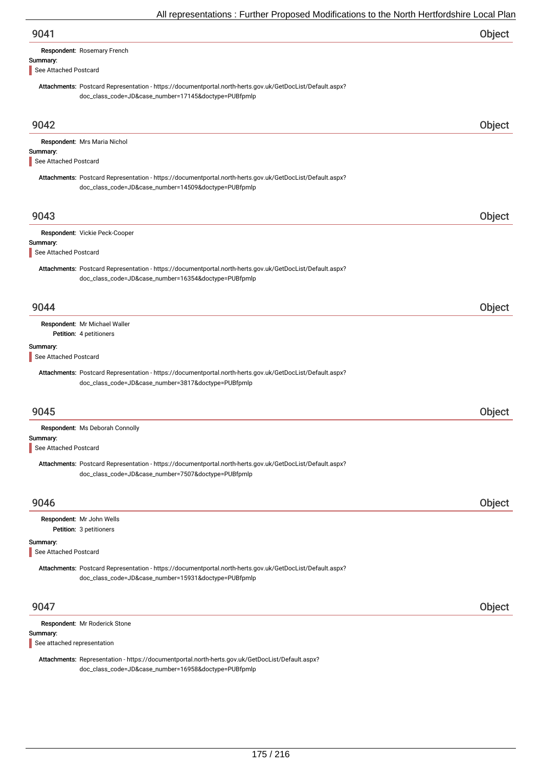| 9041                                                                                                                                                              | Object        |
|-------------------------------------------------------------------------------------------------------------------------------------------------------------------|---------------|
| Respondent: Rosemary French                                                                                                                                       |               |
| Summary:<br>See Attached Postcard                                                                                                                                 |               |
| Attachments: Postcard Representation - https://documentportal.north-herts.gov.uk/GetDocList/Default.aspx?<br>doc_class_code=JD&case_number=17145&doctype=PUBfpmlp |               |
| 9042                                                                                                                                                              | Object        |
| Respondent: Mrs Maria Nichol<br>Summary:<br>See Attached Postcard                                                                                                 |               |
| Attachments: Postcard Representation - https://documentportal.north-herts.gov.uk/GetDocList/Default.aspx?<br>doc_class_code=JD&case_number=14509&doctype=PUBfpmlp |               |
| 9043                                                                                                                                                              | Object        |
| Respondent: Vickie Peck-Cooper<br>Summary:<br>See Attached Postcard                                                                                               |               |
| Attachments: Postcard Representation - https://documentportal.north-herts.gov.uk/GetDocList/Default.aspx?<br>doc_class_code=JD&case_number=16354&doctype=PUBfpmlp |               |
| 9044                                                                                                                                                              | Object        |
| Respondent: Mr Michael Waller<br>Petition: 4 petitioners                                                                                                          |               |
| Summary:<br>See Attached Postcard                                                                                                                                 |               |
| Attachments: Postcard Representation - https://documentportal.north-herts.gov.uk/GetDocList/Default.aspx?<br>doc_class_code=JD&case_number=3817&doctype=PUBfpmlp  |               |
| 9045                                                                                                                                                              | <b>Object</b> |
| Respondent: Ms Deborah Connolly<br>Summary:                                                                                                                       |               |
| See Attached Postcard                                                                                                                                             |               |
| Attachments: Postcard Representation - https://documentportal.north-herts.gov.uk/GetDocList/Default.aspx?<br>doc_class_code=JD&case_number=7507&doctype=PUBfpmlp  |               |
| 9046                                                                                                                                                              | Object        |
| Respondent: Mr John Wells<br>Petition: 3 petitioners                                                                                                              |               |
| Summary:                                                                                                                                                          |               |
| See Attached Postcard                                                                                                                                             |               |
| Attachments: Postcard Representation - https://documentportal.north-herts.gov.uk/GetDocList/Default.aspx?<br>doc_class_code=JD&case_number=15931&doctype=PUBfpmlp |               |
| 9047                                                                                                                                                              | Object        |

|  | Respondent: Mr Roderick Stone |
|--|-------------------------------|
|--|-------------------------------|

# Summary:

See attached representation

Attachments: Representation - https://documentportal.north-herts.gov.uk/GetDocList/Default.aspx? doc\_class\_code=JD&case\_number=16958&doctype=PUBfpmlp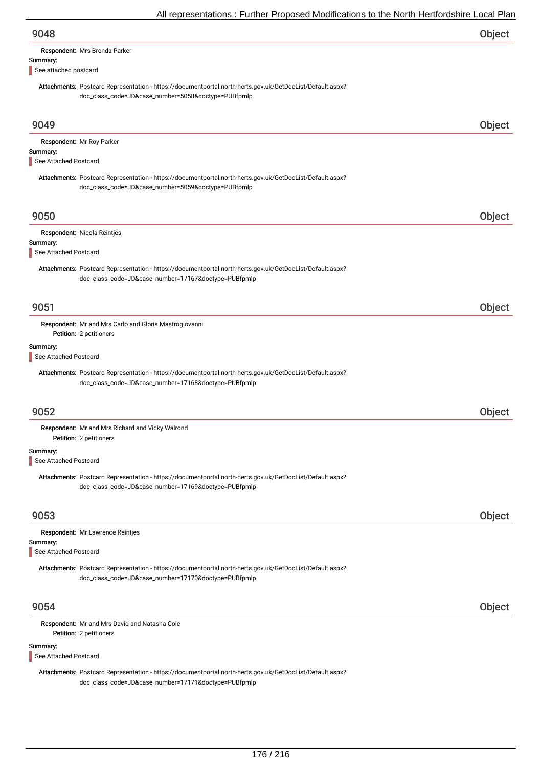| 9048                                                                                                                                                              | Object |
|-------------------------------------------------------------------------------------------------------------------------------------------------------------------|--------|
| Respondent: Mrs Brenda Parker<br>Summary:                                                                                                                         |        |
| See attached postcard                                                                                                                                             |        |
| Attachments: Postcard Representation - https://documentportal.north-herts.gov.uk/GetDocList/Default.aspx?<br>doc_class_code=JD&case_number=5058&doctype=PUBfpmlp  |        |
| 9049                                                                                                                                                              | Object |
| Respondent: Mr Roy Parker                                                                                                                                         |        |
| Summary:<br>See Attached Postcard                                                                                                                                 |        |
| Attachments: Postcard Representation - https://documentportal.north-herts.gov.uk/GetDocList/Default.aspx?<br>doc_class_code=JD&case_number=5059&doctype=PUBfpmlp  |        |
| 9050                                                                                                                                                              | Object |
| Respondent: Nicola Reintjes                                                                                                                                       |        |
| Summary:<br>See Attached Postcard                                                                                                                                 |        |
| Attachments: Postcard Representation - https://documentportal.north-herts.gov.uk/GetDocList/Default.aspx?                                                         |        |
| doc_class_code=JD&case_number=17167&doctype=PUBfpmlp                                                                                                              |        |
| 9051                                                                                                                                                              | Object |
| Respondent: Mr and Mrs Carlo and Gloria Mastrogiovanni                                                                                                            |        |
| Petition: 2 petitioners<br>Summary:                                                                                                                               |        |
| See Attached Postcard                                                                                                                                             |        |
| Attachments: Postcard Representation - https://documentportal.north-herts.gov.uk/GetDocList/Default.aspx?<br>doc_class_code=JD&case_number=17168&doctype=PUBfpmlp |        |
| 9052                                                                                                                                                              | Object |
| Respondent: Mr and Mrs Richard and Vicky Walrond<br>Petition: 2 petitioners                                                                                       |        |
| Summary:<br>See Attached Postcard                                                                                                                                 |        |
| Attachments: Postcard Representation - https://documentportal.north-herts.gov.uk/GetDocList/Default.aspx?<br>doc_class_code=JD&case_number=17169&doctype=PUBfpmlp |        |
| 9053                                                                                                                                                              | Object |
| Respondent: Mr Lawrence Reintjes                                                                                                                                  |        |
| Summary:<br>See Attached Postcard                                                                                                                                 |        |
|                                                                                                                                                                   |        |
| Attachments: Postcard Representation - https://documentportal.north-herts.gov.uk/GetDocList/Default.aspx?<br>doc_class_code=JD&case_number=17170&doctype=PUBfpmlp |        |
| 9054                                                                                                                                                              | Object |
| Respondent: Mr and Mrs David and Natasha Cole<br>Petition: 2 petitioners                                                                                          |        |

## Summary:

See Attached Postcard

Attachments: Postcard Representation - https://documentportal.north-herts.gov.uk/GetDocList/Default.aspx? doc\_class\_code=JD&case\_number=17171&doctype=PUBfpmlp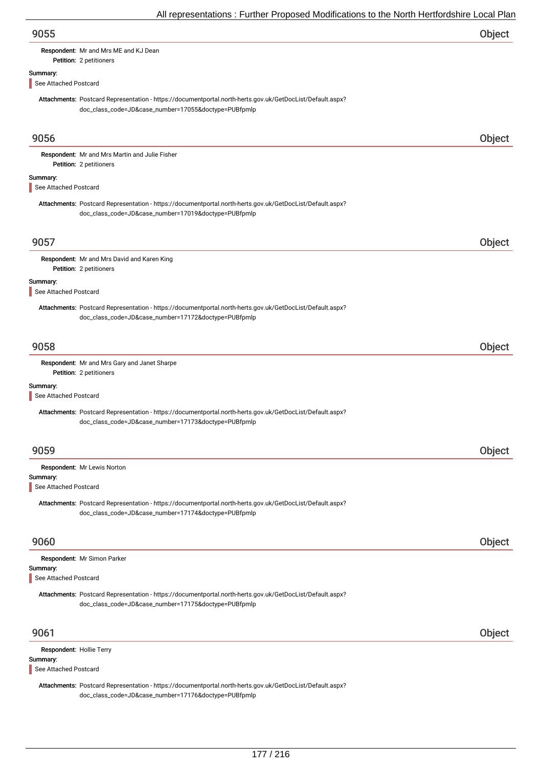| 9055 | Object |
|------|--------|
|      |        |

## Respondent: Mr and Mrs ME and KJ Dean

# Petition: 2 petitioners

# Summary:

See Attached Postcard

Attachments: Postcard Representation - https://documentportal.north-herts.gov.uk/GetDocList/Default.aspx? doc\_class\_code=JD&case\_number=17055&doctype=PUBfpmlp

| 9056                                 |                                                                                                                                                                   | Object |
|--------------------------------------|-------------------------------------------------------------------------------------------------------------------------------------------------------------------|--------|
|                                      | Respondent: Mr and Mrs Martin and Julie Fisher<br>Petition: 2 petitioners                                                                                         |        |
| Summary:                             |                                                                                                                                                                   |        |
| See Attached Postcard                |                                                                                                                                                                   |        |
|                                      | Attachments: Postcard Representation - https://documentportal.north-herts.gov.uk/GetDocList/Default.aspx?<br>doc_class_code=JD&case_number=17019&doctype=PUBfpmlp |        |
| 9057                                 |                                                                                                                                                                   | Object |
|                                      | Respondent: Mr and Mrs David and Karen King<br>Petition: 2 petitioners                                                                                            |        |
| Summary:<br>See Attached Postcard    |                                                                                                                                                                   |        |
|                                      | Attachments: Postcard Representation - https://documentportal.north-herts.gov.uk/GetDocList/Default.aspx?<br>doc_class_code=JD&case_number=17172&doctype=PUBfpmlp |        |
| 9058                                 |                                                                                                                                                                   | Object |
|                                      | Respondent: Mr and Mrs Gary and Janet Sharpe<br>Petition: 2 petitioners                                                                                           |        |
| Summary:<br>See Attached Postcard    |                                                                                                                                                                   |        |
|                                      | Attachments: Postcard Representation - https://documentportal.north-herts.gov.uk/GetDocList/Default.aspx?<br>doc_class_code=JD&case_number=17173&doctype=PUBfpmlp |        |
| 9059                                 |                                                                                                                                                                   | Object |
|                                      | Respondent: Mr Lewis Norton                                                                                                                                       |        |
| Summary:<br>See Attached Postcard    |                                                                                                                                                                   |        |
|                                      | Attachments: Postcard Representation - https://documentportal.north-herts.gov.uk/GetDocList/Default.aspx?<br>doc_class_code=JD&case_number=17174&doctype=PUBfpmlp |        |
| 9060                                 |                                                                                                                                                                   | Object |
| Summary:                             | Respondent: Mr Simon Parker                                                                                                                                       |        |
| See Attached Postcard                |                                                                                                                                                                   |        |
|                                      | Attachments: Postcard Representation - https://documentportal.north-herts.gov.uk/GetDocList/Default.aspx?<br>doc_class_code=JD&case_number=17175&doctype=PUBfpmlp |        |
| 9061                                 |                                                                                                                                                                   | Object |
| Respondent: Hollie Terry<br>Summary: |                                                                                                                                                                   |        |
| See Attached Postcard                |                                                                                                                                                                   |        |

Attachments: Postcard Representation - https://documentportal.north-herts.gov.uk/GetDocList/Default.aspx? doc\_class\_code=JD&case\_number=17176&doctype=PUBfpmlp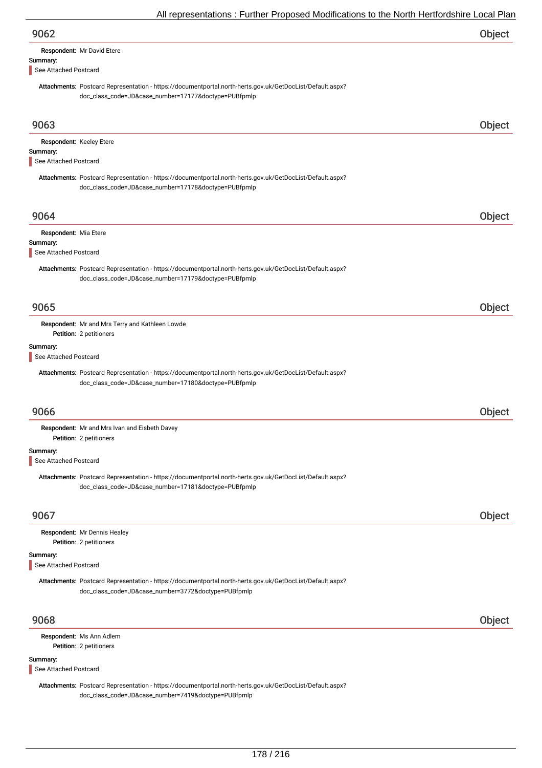| All representations. Further Froposca modifications to the north richtorushine Local Fia                                                                                                   |        |
|--------------------------------------------------------------------------------------------------------------------------------------------------------------------------------------------|--------|
| 9062                                                                                                                                                                                       | Object |
| Respondent: Mr David Etere                                                                                                                                                                 |        |
| Summary:<br>See Attached Postcard                                                                                                                                                          |        |
| Attachments: Postcard Representation - https://documentportal.north-herts.gov.uk/GetDocList/Default.aspx?<br>doc_class_code=JD&case_number=17177&doctype=PUBfpmlp                          |        |
| 9063                                                                                                                                                                                       | Object |
| Respondent: Keeley Etere<br>Summary:<br>See Attached Postcard                                                                                                                              |        |
| Attachments: Postcard Representation - https://documentportal.north-herts.gov.uk/GetDocList/Default.aspx?<br>doc_class_code=JD&case_number=17178&doctype=PUBfpmlp                          |        |
| 9064                                                                                                                                                                                       | Object |
| Respondent: Mia Etere                                                                                                                                                                      |        |
| Summary:<br>See Attached Postcard                                                                                                                                                          |        |
| Attachments: Postcard Representation - https://documentportal.north-herts.gov.uk/GetDocList/Default.aspx?<br>doc_class_code=JD&case_number=17179&doctype=PUBfpmlp                          |        |
| 9065                                                                                                                                                                                       | Object |
| Respondent: Mr and Mrs Terry and Kathleen Lowde<br>Petition: 2 petitioners                                                                                                                 |        |
| See Attached Postcard<br>Attachments: Postcard Representation - https://documentportal.north-herts.gov.uk/GetDocList/Default.aspx?<br>doc_class_code=JD&case_number=17180&doctype=PUBfpmlp |        |
| 9066                                                                                                                                                                                       | Object |
| Respondent: Mr and Mrs Ivan and Eisbeth Davey<br>Petition: 2 petitioners                                                                                                                   |        |
| Summary:<br>See Attached Postcard                                                                                                                                                          |        |
| Attachments: Postcard Representation - https://documentportal.north-herts.gov.uk/GetDocList/Default.aspx?<br>doc_class_code=JD&case_number=17181&doctype=PUBfpmlp                          |        |
| 9067                                                                                                                                                                                       | Object |
| Respondent: Mr Dennis Healey<br>Petition: 2 petitioners                                                                                                                                    |        |
| Summary:<br>See Attached Postcard                                                                                                                                                          |        |
| Attachments: Postcard Representation - https://documentportal.north-herts.gov.uk/GetDocList/Default.aspx?<br>doc_class_code=JD&case_number=3772&doctype=PUBfpmlp                           |        |
| 9068                                                                                                                                                                                       | Object |
| Respondent: Ms Ann Adlem<br>Petition: 2 petitioners                                                                                                                                        |        |
| Summary:<br>See Attached Postcard                                                                                                                                                          |        |

Attachments: Postcard Representation - https://documentportal.north-herts.gov.uk/GetDocList/Default.aspx? doc\_class\_code=JD&case\_number=7419&doctype=PUBfpmlp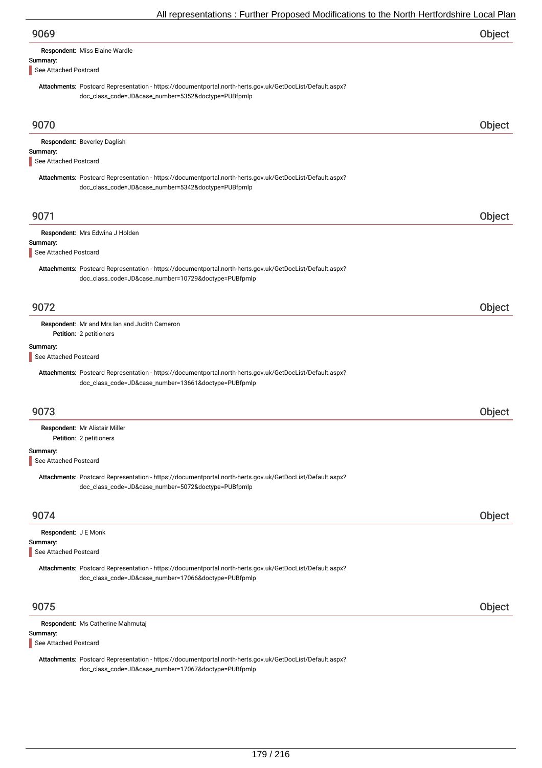| 9069                                                                                                                                                              | Object |
|-------------------------------------------------------------------------------------------------------------------------------------------------------------------|--------|
| Respondent: Miss Elaine Wardle                                                                                                                                    |        |
| Summary:<br>See Attached Postcard                                                                                                                                 |        |
| Attachments: Postcard Representation - https://documentportal.north-herts.gov.uk/GetDocList/Default.aspx?<br>doc_class_code=JD&case_number=5352&doctype=PUBfpmlp  |        |
| 9070                                                                                                                                                              | Object |
| Respondent: Beverley Daglish<br>Summary:<br>See Attached Postcard                                                                                                 |        |
| Attachments: Postcard Representation - https://documentportal.north-herts.gov.uk/GetDocList/Default.aspx?<br>doc_class_code=JD&case_number=5342&doctype=PUBfpmlp  |        |
| 9071                                                                                                                                                              | Object |
| Respondent: Mrs Edwina J Holden<br>Summary:<br>See Attached Postcard                                                                                              |        |
| Attachments: Postcard Representation - https://documentportal.north-herts.gov.uk/GetDocList/Default.aspx?<br>doc_class_code=JD&case_number=10729&doctype=PUBfpmlp |        |
| 9072                                                                                                                                                              | Object |
| Respondent: Mr and Mrs Ian and Judith Cameron<br>Petition: 2 petitioners                                                                                          |        |
| Summary:<br>See Attached Postcard                                                                                                                                 |        |
| Attachments: Postcard Representation - https://documentportal.north-herts.gov.uk/GetDocList/Default.aspx?<br>doc_class_code=JD&case_number=13661&doctype=PUBfpmlp |        |
| 9073                                                                                                                                                              | Object |
| Respondent: Mr Alistair Miller<br>Petition: 2 petitioners                                                                                                         |        |
| Summary:<br>See Attached Postcard                                                                                                                                 |        |
| Attachments: Postcard Representation - https://documentportal.north-herts.gov.uk/GetDocList/Default.aspx?<br>doc_class_code=JD&case_number=5072&doctype=PUBfpmlp  |        |
| 9074                                                                                                                                                              | Object |
| Respondent: J E Monk<br>Summary:<br>See Attached Postcard                                                                                                         |        |
| Attachments: Postcard Representation - https://documentportal.north-herts.gov.uk/GetDocList/Default.aspx?<br>doc_class_code=JD&case_number=17066&doctype=PUBfpmlp |        |
| 9075                                                                                                                                                              | Object |
| Respondent: Ms Catherine Mahmutaj<br>Summary:                                                                                                                     |        |

See Attached Postcard

Attachments: Postcard Representation - https://documentportal.north-herts.gov.uk/GetDocList/Default.aspx? doc\_class\_code=JD&case\_number=17067&doctype=PUBfpmlp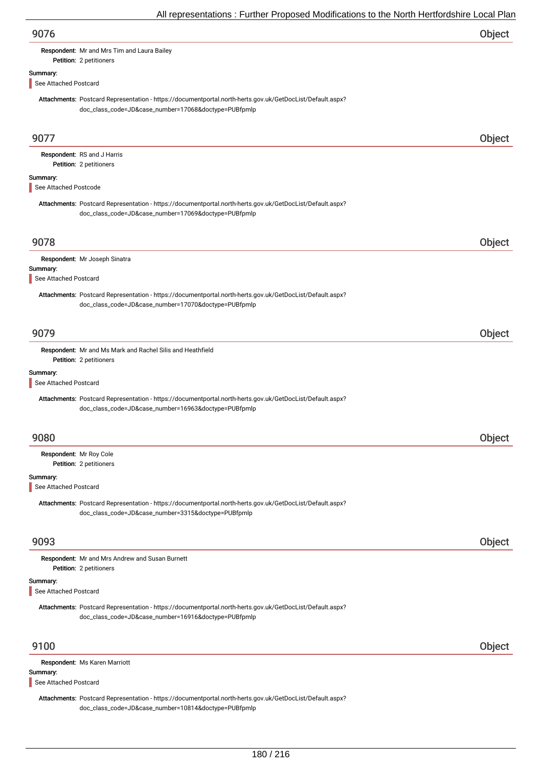## Respondent: Mr and Mrs Tim and Laura Bailey

# Petition: 2 petitioners

Summary:

See Attached Postcard

Attachments: Postcard Representation - https://documentportal.north-herts.gov.uk/GetDocList/Default.aspx? doc\_class\_code=JD&case\_number=17068&doctype=PUBfpmlp

| 9077                              |                                                                                                                                                                   | Object |
|-----------------------------------|-------------------------------------------------------------------------------------------------------------------------------------------------------------------|--------|
|                                   | Respondent: RS and J Harris                                                                                                                                       |        |
|                                   | Petition: 2 petitioners                                                                                                                                           |        |
| Summary:<br>See Attached Postcode |                                                                                                                                                                   |        |
|                                   |                                                                                                                                                                   |        |
|                                   | Attachments: Postcard Representation - https://documentportal.north-herts.gov.uk/GetDocList/Default.aspx?<br>doc_class_code=JD&case_number=17069&doctype=PUBfpmlp |        |
| 9078                              |                                                                                                                                                                   | Object |
|                                   | Respondent: Mr Joseph Sinatra                                                                                                                                     |        |
| Summary:<br>See Attached Postcard |                                                                                                                                                                   |        |
|                                   | Attachments: Postcard Representation - https://documentportal.north-herts.gov.uk/GetDocList/Default.aspx?<br>doc_class_code=JD&case_number=17070&doctype=PUBfpmlp |        |
| 9079                              |                                                                                                                                                                   | Object |
|                                   | Respondent: Mr and Ms Mark and Rachel Silis and Heathfield<br>Petition: 2 petitioners                                                                             |        |
| Summary:                          |                                                                                                                                                                   |        |
| See Attached Postcard             |                                                                                                                                                                   |        |
|                                   | Attachments: Postcard Representation - https://documentportal.north-herts.gov.uk/GetDocList/Default.aspx?<br>doc_class_code=JD&case_number=16963&doctype=PUBfpmlp |        |
| 9080                              |                                                                                                                                                                   | Object |
| Respondent: Mr Roy Cole           | Petition: 2 petitioners                                                                                                                                           |        |
| Summary:<br>See Attached Postcard |                                                                                                                                                                   |        |
|                                   | Attachments: Postcard Representation - https://documentportal.north-herts.gov.uk/GetDocList/Default.aspx?<br>doc_class_code=JD&case_number=3315&doctype=PUBfpmlp  |        |
| 9093                              |                                                                                                                                                                   | Object |
|                                   | Respondent: Mr and Mrs Andrew and Susan Burnett<br>Petition: 2 petitioners                                                                                        |        |
| Summary:<br>See Attached Postcard |                                                                                                                                                                   |        |
|                                   | Attachments: Postcard Representation - https://documentportal.north-herts.gov.uk/GetDocList/Default.aspx?<br>doc_class_code=JD&case_number=16916&doctype=PUBfpmlp |        |
| 9100                              |                                                                                                                                                                   | Object |
|                                   | Respondent: Ms Karen Marriott                                                                                                                                     |        |
| Summary:<br>See Attached Postcard |                                                                                                                                                                   |        |
|                                   | Attachments: Postcard Representation - https://documentportal.north-herts.gov.uk/GetDocList/Default.aspx?<br>doc_class_code=JD&case_number=10814&doctype=PUBfpmlp |        |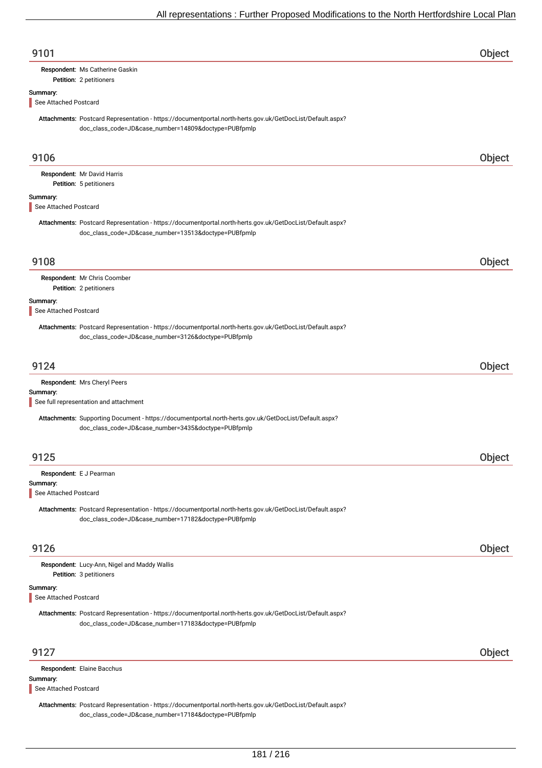| 9101                              |                                                                                                                                                                   | Object |
|-----------------------------------|-------------------------------------------------------------------------------------------------------------------------------------------------------------------|--------|
|                                   | Respondent: Ms Catherine Gaskin<br>Petition: 2 petitioners                                                                                                        |        |
| Summary:<br>See Attached Postcard |                                                                                                                                                                   |        |
|                                   | Attachments: Postcard Representation - https://documentportal.north-herts.gov.uk/GetDocList/Default.aspx?<br>doc_class_code=JD&case_number=14809&doctype=PUBfpmlp |        |
| 9106                              |                                                                                                                                                                   | Object |
|                                   | Respondent: Mr David Harris                                                                                                                                       |        |
| Summary:                          | Petition: 5 petitioners                                                                                                                                           |        |
| See Attached Postcard             |                                                                                                                                                                   |        |
|                                   | Attachments: Postcard Representation - https://documentportal.north-herts.gov.uk/GetDocList/Default.aspx?<br>doc_class_code=JD&case_number=13513&doctype=PUBfpmlp |        |
| 9108                              |                                                                                                                                                                   | Object |
|                                   | Respondent: Mr Chris Coomber<br>Petition: 2 petitioners                                                                                                           |        |
| Summary:<br>See Attached Postcard |                                                                                                                                                                   |        |
|                                   | Attachments: Postcard Representation - https://documentportal.north-herts.gov.uk/GetDocList/Default.aspx?<br>doc_class_code=JD&case_number=3126&doctype=PUBfpmlp  |        |
| 9124                              |                                                                                                                                                                   | Object |
|                                   | Respondent: Mrs Cheryl Peers                                                                                                                                      |        |
| Summary:                          | See full representation and attachment                                                                                                                            |        |
|                                   | Attachments: Supporting Document - https://documentportal.north-herts.gov.uk/GetDocList/Default.aspx?<br>doc_class_code=JD&case_number=3435&doctype=PUBfpmlp      |        |
| 9125                              |                                                                                                                                                                   | Object |
| Summary:<br>See Attached Postcard | Respondent: E J Pearman                                                                                                                                           |        |
|                                   | Attachments: Postcard Representation - https://documentportal.north-herts.gov.uk/GetDocList/Default.aspx?<br>doc_class_code=JD&case_number=17182&doctype=PUBfpmlp |        |
| 9126                              |                                                                                                                                                                   | Object |
|                                   | Respondent: Lucy-Ann, Nigel and Maddy Wallis<br>Petition: 3 petitioners                                                                                           |        |
| Summary:<br>See Attached Postcard |                                                                                                                                                                   |        |
|                                   | Attachments: Postcard Representation - https://documentportal.north-herts.gov.uk/GetDocList/Default.aspx?<br>doc_class_code=JD&case_number=17183&doctype=PUBfpmlp |        |
| 9127                              |                                                                                                                                                                   | Object |
|                                   | Respondent: Elaine Bacchus                                                                                                                                        |        |
| Summary:<br>See Attached Postcard |                                                                                                                                                                   |        |
|                                   | Attachments: Postcard Representation - https://documentportal.north-herts.gov.uk/GetDocList/Default.aspx?<br>doc_class_code=JD&case_number=17184&doctype=PUBfpmlp |        |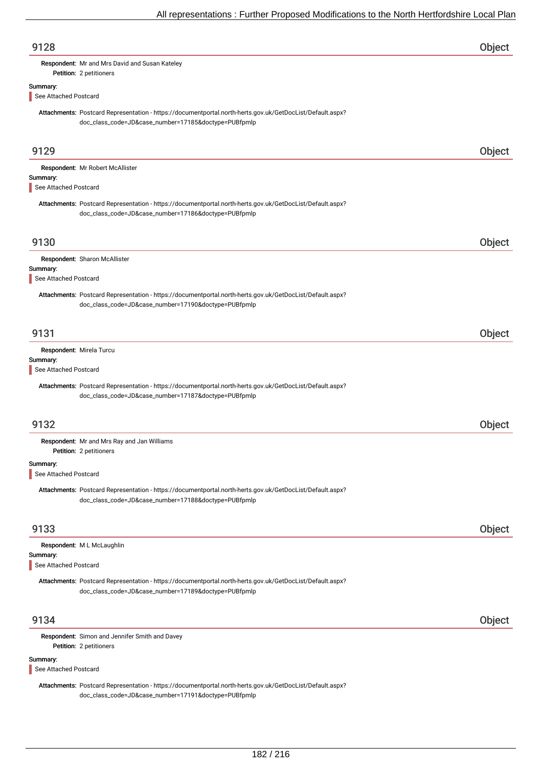| 9128                                                                                                                                                              | Object |
|-------------------------------------------------------------------------------------------------------------------------------------------------------------------|--------|
| Respondent: Mr and Mrs David and Susan Kateley                                                                                                                    |        |
| Petition: 2 petitioners                                                                                                                                           |        |
| Summary:<br>See Attached Postcard                                                                                                                                 |        |
|                                                                                                                                                                   |        |
| Attachments: Postcard Representation - https://documentportal.north-herts.gov.uk/GetDocList/Default.aspx?<br>doc_class_code=JD&case_number=17185&doctype=PUBfpmlp |        |
| 9129                                                                                                                                                              | Object |
| Respondent: Mr Robert McAllister                                                                                                                                  |        |
| Summary:<br>See Attached Postcard                                                                                                                                 |        |
|                                                                                                                                                                   |        |
| Attachments: Postcard Representation - https://documentportal.north-herts.gov.uk/GetDocList/Default.aspx?<br>doc_class_code=JD&case_number=17186&doctype=PUBfpmlp |        |
| 9130                                                                                                                                                              | Object |
| Respondent: Sharon McAllister                                                                                                                                     |        |
| Summary:                                                                                                                                                          |        |
| See Attached Postcard                                                                                                                                             |        |
| Attachments: Postcard Representation - https://documentportal.north-herts.gov.uk/GetDocList/Default.aspx?<br>doc_class_code=JD&case_number=17190&doctype=PUBfpmlp |        |
| 9131                                                                                                                                                              | Object |
| Respondent: Mirela Turcu                                                                                                                                          |        |
| Summary:                                                                                                                                                          |        |
| See Attached Postcard                                                                                                                                             |        |
| Attachments: Postcard Representation - https://documentportal.north-herts.gov.uk/GetDocList/Default.aspx?<br>doc_class_code=JD&case_number=17187&doctype=PUBfpmlp |        |
| 9132                                                                                                                                                              | Object |
| Respondent: Mr and Mrs Ray and Jan Williams<br>Petition: 2 petitioners                                                                                            |        |
| Summary:                                                                                                                                                          |        |
| See Attached Postcard                                                                                                                                             |        |
| Attachments: Postcard Representation - https://documentportal.north-herts.gov.uk/GetDocList/Default.aspx?<br>doc_class_code=JD&case_number=17188&doctype=PUBfpmlp |        |
| 9133                                                                                                                                                              | Object |
| Respondent: M L McLaughlin                                                                                                                                        |        |
| Summary:                                                                                                                                                          |        |
| See Attached Postcard                                                                                                                                             |        |
| Attachments: Postcard Representation - https://documentportal.north-herts.gov.uk/GetDocList/Default.aspx?<br>doc_class_code=JD&case_number=17189&doctype=PUBfpmlp |        |
| 9134                                                                                                                                                              | Object |
| Respondent: Simon and Jennifer Smith and Davey<br>Petition: 2 petitioners                                                                                         |        |
| Summary:<br>See Attached Postcard                                                                                                                                 |        |
| Attachments: Postcard Representation - https://documentportal.north-herts.gov.uk/GetDocList/Default.aspx?                                                         |        |

doc\_class\_code=JD&case\_number=17191&doctype=PUBfpmlp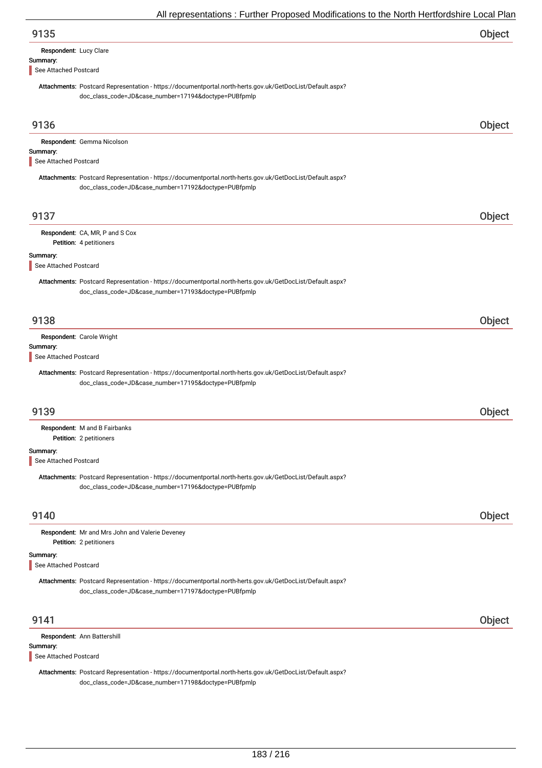| Respondent: Lucy Clare |  |
|------------------------|--|
| Summary:               |  |

See Attached Postcard

Attachments: Postcard Representation - https://documentportal.north-herts.gov.uk/GetDocList/Default.aspx? doc\_class\_code=JD&case\_number=17194&doctype=PUBfpmlp

| 9136                              |                                                                                                                                                                   | Object |
|-----------------------------------|-------------------------------------------------------------------------------------------------------------------------------------------------------------------|--------|
|                                   | Respondent: Gemma Nicolson                                                                                                                                        |        |
| Summary:<br>See Attached Postcard |                                                                                                                                                                   |        |
|                                   | Attachments: Postcard Representation - https://documentportal.north-herts.gov.uk/GetDocList/Default.aspx?<br>doc_class_code=JD&case_number=17192&doctype=PUBfpmlp |        |
| 9137                              |                                                                                                                                                                   | Object |
|                                   | Respondent: CA, MR, P and S Cox<br>Petition: 4 petitioners                                                                                                        |        |
| Summary:<br>See Attached Postcard |                                                                                                                                                                   |        |
|                                   | Attachments: Postcard Representation - https://documentportal.north-herts.gov.uk/GetDocList/Default.aspx?<br>doc_class_code=JD&case_number=17193&doctype=PUBfpmlp |        |
| 9138                              |                                                                                                                                                                   | Object |
|                                   | Respondent: Carole Wright                                                                                                                                         |        |
| Summary:<br>See Attached Postcard |                                                                                                                                                                   |        |
|                                   | Attachments: Postcard Representation - https://documentportal.north-herts.gov.uk/GetDocList/Default.aspx?<br>doc_class_code=JD&case_number=17195&doctype=PUBfpmlp |        |
| 9139                              |                                                                                                                                                                   | Object |
|                                   | Respondent: M and B Fairbanks<br>Petition: 2 petitioners                                                                                                          |        |
| Summary:<br>See Attached Postcard |                                                                                                                                                                   |        |
|                                   | Attachments: Postcard Representation - https://documentportal.north-herts.gov.uk/GetDocList/Default.aspx?<br>doc_class_code=JD&case_number=17196&doctype=PUBfpmlp |        |
| 9140                              |                                                                                                                                                                   | Object |
|                                   | Respondent: Mr and Mrs John and Valerie Deveney<br>Petition: 2 petitioners                                                                                        |        |
| Summary:<br>See Attached Postcard |                                                                                                                                                                   |        |
|                                   | Attachments: Postcard Representation - https://documentportal.north-herts.gov.uk/GetDocList/Default.aspx?<br>doc_class_code=JD&case_number=17197&doctype=PUBfpmlp |        |
| 9141                              |                                                                                                                                                                   | Object |
| Summary:<br>See Attached Postcard | Respondent: Ann Battershill                                                                                                                                       |        |
|                                   | Attachments: Postcard Representation - https://documentportal.north-herts.gov.uk/GetDocList/Default.aspx?<br>doc_class_code=JD&case_number=17198&doctype=PUBfpmlp |        |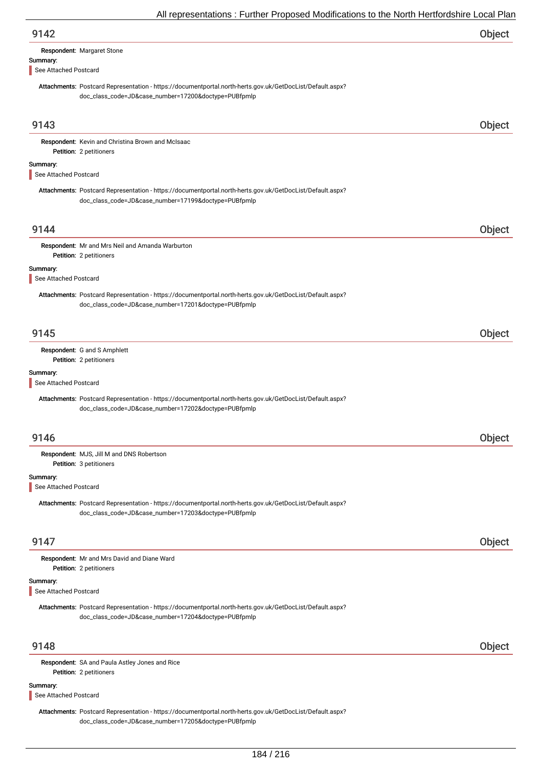| All representations : Further Proposed Modifications to the North Hertfordshire Local Plar                                                                        |        |
|-------------------------------------------------------------------------------------------------------------------------------------------------------------------|--------|
| 9142                                                                                                                                                              | Object |
| Respondent: Margaret Stone                                                                                                                                        |        |
| Summary:<br>See Attached Postcard                                                                                                                                 |        |
| Attachments: Postcard Representation - https://documentportal.north-herts.gov.uk/GetDocList/Default.aspx?<br>doc_class_code=JD&case_number=17200&doctype=PUBfpmlp |        |
| 9143                                                                                                                                                              | Object |
| Respondent: Kevin and Christina Brown and McIsaac<br>Petition: 2 petitioners                                                                                      |        |
| Summary:<br>See Attached Postcard                                                                                                                                 |        |
| Attachments: Postcard Representation - https://documentportal.north-herts.gov.uk/GetDocList/Default.aspx?<br>doc_class_code=JD&case_number=17199&doctype=PUBfpmlp |        |
| 9144                                                                                                                                                              | Object |
| Respondent: Mr and Mrs Neil and Amanda Warburton<br>Petition: 2 petitioners                                                                                       |        |
| Summary:<br>See Attached Postcard                                                                                                                                 |        |
| Attachments: Postcard Representation - https://documentportal.north-herts.gov.uk/GetDocList/Default.aspx?<br>doc_class_code=JD&case_number=17201&doctype=PUBfpmlp |        |
| 9145                                                                                                                                                              | Object |
| Respondent: G and S Amphlett                                                                                                                                      |        |
| Petition: 2 petitioners<br>Summary:<br>See Attached Postcard                                                                                                      |        |
| Attachments: Postcard Representation - https://documentportal.north-herts.gov.uk/GetDocList/Default.aspx?<br>doc_class_code=JD&case_number=17202&doctype=PUBfpmlp |        |
| 9146                                                                                                                                                              | Object |
| Respondent: MJS, Jill M and DNS Robertson<br>Petition: 3 petitioners                                                                                              |        |
| Summary:<br>See Attached Postcard                                                                                                                                 |        |
| Attachments: Postcard Representation - https://documentportal.north-herts.gov.uk/GetDocList/Default.aspx?<br>doc_class_code=JD&case_number=17203&doctype=PUBfpmlp |        |
| 9147                                                                                                                                                              | Object |
| Respondent: Mr and Mrs David and Diane Ward<br>Petition: 2 petitioners                                                                                            |        |
| Summary:<br>See Attached Postcard                                                                                                                                 |        |
| Attachments: Postcard Representation - https://documentportal.north-herts.gov.uk/GetDocList/Default.aspx?<br>doc_class_code=JD&case_number=17204&doctype=PUBfpmlp |        |
| 9148                                                                                                                                                              | Object |
| Respondent: SA and Paula Astley Jones and Rice<br>Petition: 2 petitioners                                                                                         |        |
| Summary:<br>See Attached Postcard                                                                                                                                 |        |

Attachments: Postcard Representation - https://documentportal.north-herts.gov.uk/GetDocList/Default.aspx? doc\_class\_code=JD&case\_number=17205&doctype=PUBfpmlp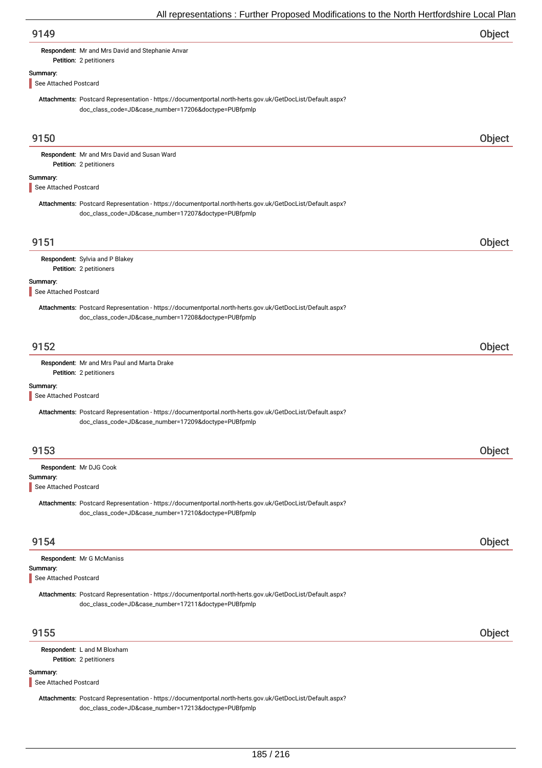| 9149 | Object |
|------|--------|
|      |        |

Respondent: Mr and Mrs David and Stephanie Anvar

## Summary:

See Attached Postcard

Petition: 2 petitioners

Attachments: Postcard Representation - https://documentportal.north-herts.gov.uk/GetDocList/Default.aspx? doc\_class\_code=JD&case\_number=17206&doctype=PUBfpmlp

| 9150                              |                                                                                                                                                                   | Object |
|-----------------------------------|-------------------------------------------------------------------------------------------------------------------------------------------------------------------|--------|
|                                   | Respondent: Mr and Mrs David and Susan Ward                                                                                                                       |        |
| Summary:                          | Petition: 2 petitioners                                                                                                                                           |        |
| See Attached Postcard             |                                                                                                                                                                   |        |
|                                   | Attachments: Postcard Representation - https://documentportal.north-herts.gov.uk/GetDocList/Default.aspx?<br>doc_class_code=JD&case_number=17207&doctype=PUBfpmlp |        |
| 9151                              |                                                                                                                                                                   | Object |
|                                   | Respondent: Sylvia and P Blakey<br>Petition: 2 petitioners                                                                                                        |        |
| Summary:<br>See Attached Postcard |                                                                                                                                                                   |        |
|                                   | Attachments: Postcard Representation - https://documentportal.north-herts.gov.uk/GetDocList/Default.aspx?<br>doc_class_code=JD&case_number=17208&doctype=PUBfpmlp |        |
| 9152                              |                                                                                                                                                                   | Object |
|                                   | Respondent: Mr and Mrs Paul and Marta Drake<br>Petition: 2 petitioners                                                                                            |        |
| Summary:<br>See Attached Postcard |                                                                                                                                                                   |        |
|                                   | Attachments: Postcard Representation - https://documentportal.north-herts.gov.uk/GetDocList/Default.aspx?<br>doc_class_code=JD&case_number=17209&doctype=PUBfpmlp |        |
| 9153                              |                                                                                                                                                                   | Object |
|                                   | Respondent: Mr DJG Cook                                                                                                                                           |        |
| Summary:<br>See Attached Postcard |                                                                                                                                                                   |        |
|                                   | Attachments: Postcard Representation - https://documentportal.north-herts.gov.uk/GetDocList/Default.aspx?<br>doc_class_code=JD&case_number=17210&doctype=PUBfpmlp |        |
| 9154                              |                                                                                                                                                                   | Object |
| Summary:                          | Respondent: Mr G McManiss                                                                                                                                         |        |
| See Attached Postcard             |                                                                                                                                                                   |        |
|                                   | Attachments: Postcard Representation - https://documentportal.north-herts.gov.uk/GetDocList/Default.aspx?<br>doc_class_code=JD&case_number=17211&doctype=PUBfpmlp |        |
| 9155                              |                                                                                                                                                                   | Object |
|                                   | Respondent: L and M Bloxham<br>Petition: 2 petitioners                                                                                                            |        |
| Summary:<br>See Attached Postcard |                                                                                                                                                                   |        |

Attachments: Postcard Representation - https://documentportal.north-herts.gov.uk/GetDocList/Default.aspx? doc\_class\_code=JD&case\_number=17213&doctype=PUBfpmlp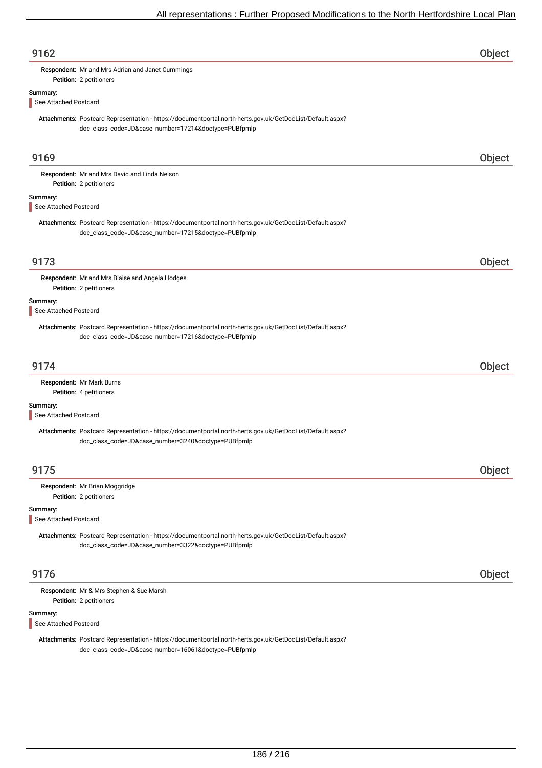| 9162                              |                                                                                                                                                                   | Object |
|-----------------------------------|-------------------------------------------------------------------------------------------------------------------------------------------------------------------|--------|
|                                   | Respondent: Mr and Mrs Adrian and Janet Cummings<br>Petition: 2 petitioners                                                                                       |        |
| Summary:                          |                                                                                                                                                                   |        |
| See Attached Postcard             |                                                                                                                                                                   |        |
|                                   | Attachments: Postcard Representation - https://documentportal.north-herts.gov.uk/GetDocList/Default.aspx?<br>doc_class_code=JD&case_number=17214&doctype=PUBfpmlp |        |
| 9169                              |                                                                                                                                                                   | Object |
|                                   | Respondent: Mr and Mrs David and Linda Nelson                                                                                                                     |        |
|                                   | Petition: 2 petitioners                                                                                                                                           |        |
| Summary:                          |                                                                                                                                                                   |        |
| See Attached Postcard             |                                                                                                                                                                   |        |
|                                   | Attachments: Postcard Representation - https://documentportal.north-herts.gov.uk/GetDocList/Default.aspx?<br>doc_class_code=JD&case_number=17215&doctype=PUBfpmlp |        |
| 9173                              |                                                                                                                                                                   | Object |
|                                   | Respondent: Mr and Mrs Blaise and Angela Hodges                                                                                                                   |        |
|                                   | Petition: 2 petitioners                                                                                                                                           |        |
| Summary:                          |                                                                                                                                                                   |        |
| See Attached Postcard             |                                                                                                                                                                   |        |
|                                   | Attachments: Postcard Representation - https://documentportal.north-herts.gov.uk/GetDocList/Default.aspx?<br>doc_class_code=JD&case_number=17216&doctype=PUBfpmlp |        |
| 9174                              |                                                                                                                                                                   | Object |
|                                   | Respondent: Mr Mark Burns<br>Petition: 4 petitioners                                                                                                              |        |
| Summary:<br>See Attached Postcard |                                                                                                                                                                   |        |
|                                   | Attachments: Postcard Representation - https://documentportal.north-herts.gov.uk/GetDocList/Default.aspx?<br>doc_class_code=JD&case_number=3240&doctype=PUBfpmlp  |        |
| 9175                              |                                                                                                                                                                   | Object |
|                                   | Respondent: Mr Brian Moggridge<br>Petition: 2 petitioners                                                                                                         |        |
| Summary:<br>See Attached Postcard |                                                                                                                                                                   |        |
|                                   | Attachments: Postcard Representation - https://documentportal.north-herts.gov.uk/GetDocList/Default.aspx?<br>doc_class_code=JD&case_number=3322&doctype=PUBfpmlp  |        |
| 9176                              |                                                                                                                                                                   | Object |
|                                   | Respondent: Mr & Mrs Stephen & Sue Marsh<br>Petition: 2 petitioners                                                                                               |        |
| Summary:<br>See Attached Postcard |                                                                                                                                                                   |        |
|                                   | Attachments: Postcard Representation - https://documentportal.north-herts.gov.uk/GetDocList/Default.aspx?<br>doc_class_code=JD&case_number=16061&doctype=PUBfpmlp |        |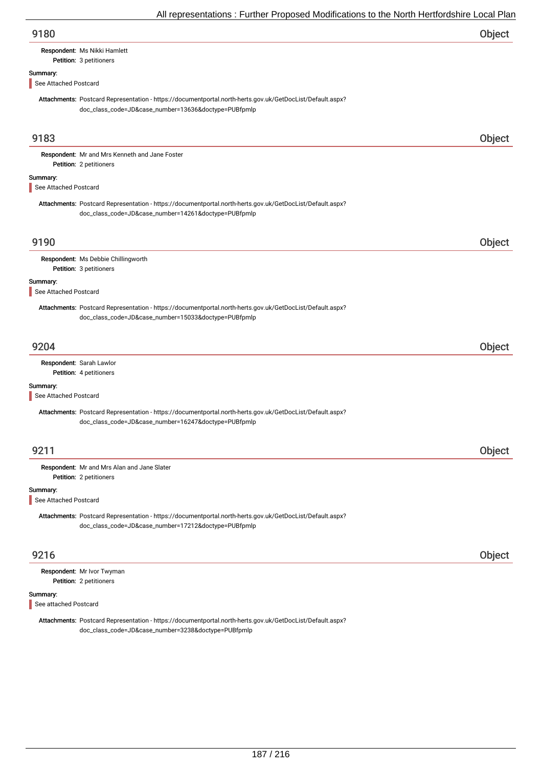| 9180                              |                                                                                                                                                                   | Object |
|-----------------------------------|-------------------------------------------------------------------------------------------------------------------------------------------------------------------|--------|
|                                   | Respondent: Ms Nikki Hamlett<br>Petition: 3 petitioners                                                                                                           |        |
| Summary:<br>See Attached Postcard |                                                                                                                                                                   |        |
|                                   | Attachments: Postcard Representation - https://documentportal.north-herts.gov.uk/GetDocList/Default.aspx?<br>doc_class_code=JD&case_number=13636&doctype=PUBfpmlp |        |
| 9183                              |                                                                                                                                                                   | Object |
|                                   | Respondent: Mr and Mrs Kenneth and Jane Foster<br>Petition: 2 petitioners                                                                                         |        |
| Summary:<br>See Attached Postcard |                                                                                                                                                                   |        |
|                                   | Attachments: Postcard Representation - https://documentportal.north-herts.gov.uk/GetDocList/Default.aspx?<br>doc_class_code=JD&case_number=14261&doctype=PUBfpmlp |        |
| 9190                              |                                                                                                                                                                   | Object |
|                                   | Respondent: Ms Debbie Chillingworth<br>Petition: 3 petitioners                                                                                                    |        |
| Summary:<br>See Attached Postcard |                                                                                                                                                                   |        |
|                                   | Attachments: Postcard Representation - https://documentportal.north-herts.gov.uk/GetDocList/Default.aspx?<br>doc_class_code=JD&case_number=15033&doctype=PUBfpmlp |        |
| 9204                              |                                                                                                                                                                   | Object |
|                                   | Respondent: Sarah Lawlor<br>Petition: 4 petitioners                                                                                                               |        |
| Summary:                          |                                                                                                                                                                   |        |
| See Attached Postcard             | Attachments: Postcard Representation - https://documentportal.north-herts.gov.uk/GetDocList/Default.aspx?<br>doc_class_code=JD&case_number=16247&doctype=PUBfpmlp |        |
| 9211                              |                                                                                                                                                                   | Object |
|                                   | Respondent: Mr and Mrs Alan and Jane Slater<br>Petition: 2 petitioners                                                                                            |        |
| Summary:<br>See Attached Postcard |                                                                                                                                                                   |        |
|                                   | Attachments: Postcard Representation - https://documentportal.north-herts.gov.uk/GetDocList/Default.aspx?<br>doc_class_code=JD&case_number=17212&doctype=PUBfpmlp |        |
| 9216                              |                                                                                                                                                                   | Object |
|                                   | Respondent: Mr Ivor Twyman<br>Petition: 2 petitioners                                                                                                             |        |
| Summary:<br>See attached Postcard |                                                                                                                                                                   |        |
|                                   | Attachments: Postcard Representation - https://documentportal.north-herts.gov.uk/GetDocList/Default.aspx?<br>doc_class_code=JD&case_number=3238&doctype=PUBfpmlp  |        |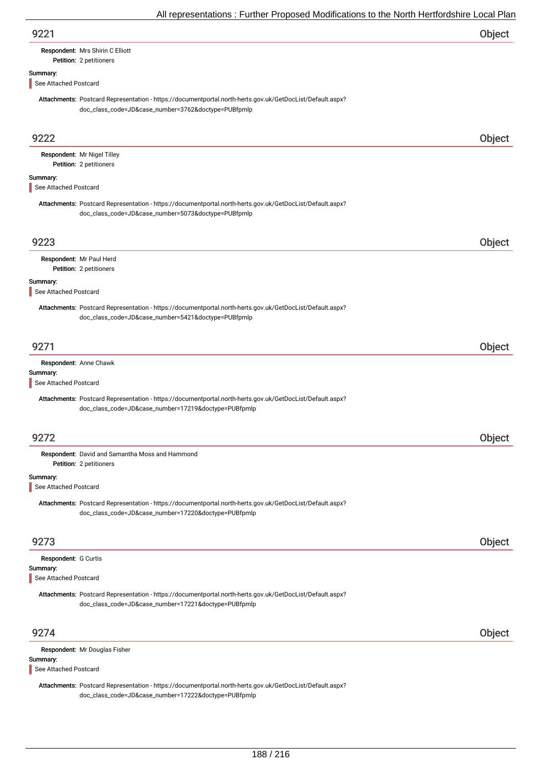| 9221 | Object |
|------|--------|
|      |        |

# Respondent: Mrs Shirin C Elliott

### Petition: 2 petitioners

### Summary:

See Attached Postcard

Attachments: Postcard Representation - https://documentportal.north-herts.gov.uk/GetDocList/Default.aspx? doc\_class\_code=JD&case\_number=3762&doctype=PUBfpmlp

| 9222                              |                                                                                                                                                                   | Object |
|-----------------------------------|-------------------------------------------------------------------------------------------------------------------------------------------------------------------|--------|
|                                   | Respondent: Mr Nigel Tilley                                                                                                                                       |        |
|                                   | Petition: 2 petitioners                                                                                                                                           |        |
| Summary:<br>See Attached Postcard |                                                                                                                                                                   |        |
|                                   |                                                                                                                                                                   |        |
|                                   | Attachments: Postcard Representation - https://documentportal.north-herts.gov.uk/GetDocList/Default.aspx?                                                         |        |
|                                   | doc_class_code=JD&case_number=5073&doctype=PUBfpmlp                                                                                                               |        |
|                                   |                                                                                                                                                                   |        |
| 9223                              |                                                                                                                                                                   | Object |
|                                   | Respondent: Mr Paul Herd                                                                                                                                          |        |
|                                   | Petition: 2 petitioners                                                                                                                                           |        |
| Summary:<br>See Attached Postcard |                                                                                                                                                                   |        |
|                                   | Attachments: Postcard Representation - https://documentportal.north-herts.gov.uk/GetDocList/Default.aspx?                                                         |        |
|                                   | doc_class_code=JD&case_number=5421&doctype=PUBfpmlp                                                                                                               |        |
|                                   |                                                                                                                                                                   |        |
| 9271                              |                                                                                                                                                                   | Object |
|                                   | Respondent: Anne Chawk                                                                                                                                            |        |
| Summary:                          |                                                                                                                                                                   |        |
| See Attached Postcard             |                                                                                                                                                                   |        |
|                                   | Attachments: Postcard Representation - https://documentportal.north-herts.gov.uk/GetDocList/Default.aspx?                                                         |        |
|                                   | doc_class_code=JD&case_number=17219&doctype=PUBfpmlp                                                                                                              |        |
|                                   |                                                                                                                                                                   |        |
| 9272                              |                                                                                                                                                                   | Object |
|                                   | Respondent: David and Samantha Moss and Hammond                                                                                                                   |        |
|                                   | Petition: 2 petitioners                                                                                                                                           |        |
| Summary:                          |                                                                                                                                                                   |        |
| See Attached Postcard             |                                                                                                                                                                   |        |
|                                   | Attachments: Postcard Representation - https://documentportal.north-herts.gov.uk/GetDocList/Default.aspx?                                                         |        |
|                                   | doc_class_code=JD&case_number=17220&doctype=PUBfpmlp                                                                                                              |        |
|                                   |                                                                                                                                                                   |        |
| 9273                              |                                                                                                                                                                   | Object |
| Respondent: G Curtis              |                                                                                                                                                                   |        |
| Summary:<br>See Attached Postcard |                                                                                                                                                                   |        |
|                                   |                                                                                                                                                                   |        |
|                                   | Attachments: Postcard Representation - https://documentportal.north-herts.gov.uk/GetDocList/Default.aspx?<br>doc_class_code=JD&case_number=17221&doctype=PUBfpmlp |        |
|                                   |                                                                                                                                                                   |        |
| 9274                              |                                                                                                                                                                   |        |
|                                   |                                                                                                                                                                   | Object |
| Summary:                          | Respondent: Mr Douglas Fisher                                                                                                                                     |        |
| See Attached Postcard             |                                                                                                                                                                   |        |
|                                   | Attachments: Postcard Representation - https://documentportal.north-herts.gov.uk/GetDocList/Default.aspx?                                                         |        |
|                                   |                                                                                                                                                                   |        |

doc\_class\_code=JD&case\_number=17222&doctype=PUBfpmlp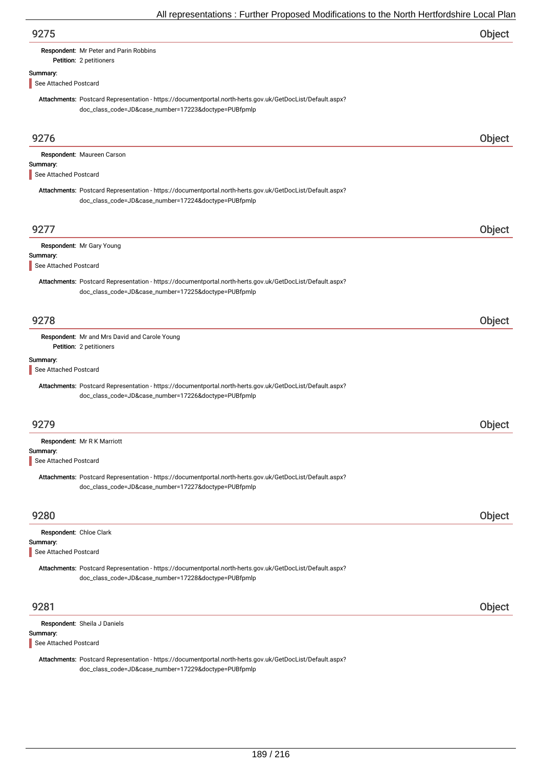| 9275 | Object |
|------|--------|
|      |        |

# Petition: 2 petitioners

Summary:

See Attached Postcard

Attachments: Postcard Representation - https://documentportal.north-herts.gov.uk/GetDocList/Default.aspx? doc\_class\_code=JD&case\_number=17223&doctype=PUBfpmlp

| 9276                              |                                                                                                                                                                   | Object        |
|-----------------------------------|-------------------------------------------------------------------------------------------------------------------------------------------------------------------|---------------|
| Summary:<br>See Attached Postcard | Respondent: Maureen Carson                                                                                                                                        |               |
|                                   | Attachments: Postcard Representation - https://documentportal.north-herts.gov.uk/GetDocList/Default.aspx?<br>doc_class_code=JD&case_number=17224&doctype=PUBfpmlp |               |
| 9277                              |                                                                                                                                                                   | Object        |
| Summary:                          | Respondent: Mr Gary Young                                                                                                                                         |               |
| See Attached Postcard             |                                                                                                                                                                   |               |
|                                   | Attachments: Postcard Representation - https://documentportal.north-herts.gov.uk/GetDocList/Default.aspx?<br>doc_class_code=JD&case_number=17225&doctype=PUBfpmlp |               |
| 9278                              |                                                                                                                                                                   | <b>Object</b> |
|                                   | Respondent: Mr and Mrs David and Carole Young<br>Petition: 2 petitioners                                                                                          |               |
| Summary:<br>See Attached Postcard |                                                                                                                                                                   |               |
|                                   | Attachments: Postcard Representation - https://documentportal.north-herts.gov.uk/GetDocList/Default.aspx?<br>doc_class_code=JD&case_number=17226&doctype=PUBfpmlp |               |
| 9279                              |                                                                                                                                                                   | Object        |
| Summary:                          | Respondent: Mr R K Marriott                                                                                                                                       |               |
| See Attached Postcard             |                                                                                                                                                                   |               |
|                                   | Attachments: Postcard Representation - https://documentportal.north-herts.gov.uk/GetDocList/Default.aspx?<br>doc_class_code=JD&case_number=17227&doctype=PUBfpmlp |               |
| 9280                              |                                                                                                                                                                   | Object        |
| Respondent: Chloe Clark           |                                                                                                                                                                   |               |
| Summary:                          |                                                                                                                                                                   |               |
| See Attached Postcard             |                                                                                                                                                                   |               |
|                                   | Attachments: Postcard Representation - https://documentportal.north-herts.gov.uk/GetDocList/Default.aspx?<br>doc_class_code=JD&case_number=17228&doctype=PUBfpmlp |               |
| 9281                              |                                                                                                                                                                   | Object        |
|                                   | Respondent: Sheila J Daniels                                                                                                                                      |               |
| Summary:<br>See Attached Postcard |                                                                                                                                                                   |               |
|                                   |                                                                                                                                                                   |               |

Attachments: Postcard Representation - https://documentportal.north-herts.gov.uk/GetDocList/Default.aspx? doc\_class\_code=JD&case\_number=17229&doctype=PUBfpmlp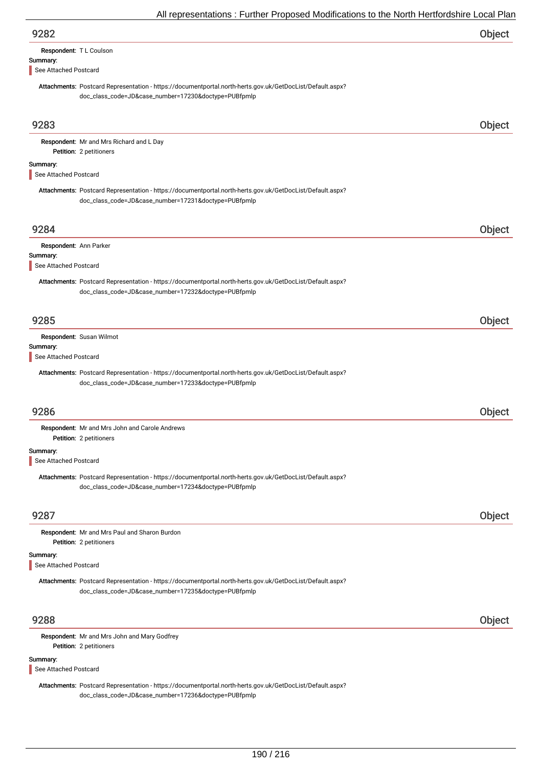| 9282 | Object |
|------|--------|
|------|--------|

| Respondent: T L Coulson |  |
|-------------------------|--|
|                         |  |

# Summary:

See Attached Postcard

Attachments: Postcard Representation - https://documentportal.north-herts.gov.uk/GetDocList/Default.aspx? doc\_class\_code=JD&case\_number=17230&doctype=PUBfpmlp

# 9283 Object

Petition: 2 petitioners Respondent: Mr and Mrs Richard and L Day

#### Summary:

See Attached Postcard

Attachments: Postcard Representation - https://documentportal.north-herts.gov.uk/GetDocList/Default.aspx? doc\_class\_code=JD&case\_number=17231&doctype=PUBfpmlp

# 9284 Object Summary: Respondent: Ann Parker Attachments: Postcard Representation - https://documentportal.north-herts.gov.uk/GetDocList/Default.aspx? doc\_class\_code=JD&case\_number=17232&doctype=PUBfpmlp See Attached Postcard 9285 Object Summary: Respondent: Susan Wilmot Attachments: Postcard Representation - https://documentportal.north-herts.gov.uk/GetDocList/Default.aspx? doc\_class\_code=JD&case\_number=17233&doctype=PUBfpmlp See Attached Postcard 9286 Object Petition: 2 petitioners Respondent: Mr and Mrs John and Carole Andrews

#### Summary:

See Attached Postcard

Attachments: Postcard Representation - https://documentportal.north-herts.gov.uk/GetDocList/Default.aspx? doc\_class\_code=JD&case\_number=17234&doctype=PUBfpmlp

## 9287 Object

Petition: 2 petitioners Respondent: Mr and Mrs Paul and Sharon Burdon

### Summary:

See Attached Postcard

Attachments: Postcard Representation - https://documentportal.north-herts.gov.uk/GetDocList/Default.aspx? doc\_class\_code=JD&case\_number=17235&doctype=PUBfpmlp

## 9288 Object

Petition: 2 petitioners Respondent: Mr and Mrs John and Mary Godfrey

#### Summary:

See Attached Postcard

Attachments: Postcard Representation - https://documentportal.north-herts.gov.uk/GetDocList/Default.aspx? doc\_class\_code=JD&case\_number=17236&doctype=PUBfpmlp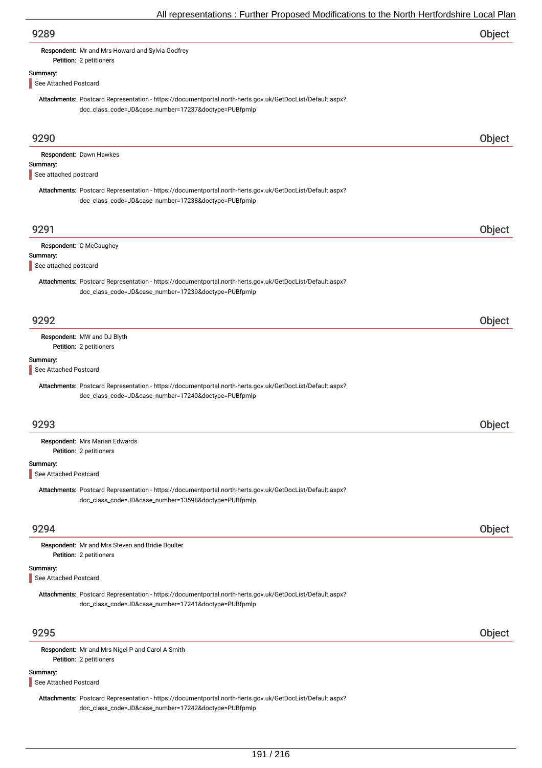| 9289                              |                                                                                                                                                                   | Object |
|-----------------------------------|-------------------------------------------------------------------------------------------------------------------------------------------------------------------|--------|
|                                   | Respondent: Mr and Mrs Howard and Sylvia Godfrey<br>Petition: 2 petitioners                                                                                       |        |
| Summary:                          |                                                                                                                                                                   |        |
| See Attached Postcard             |                                                                                                                                                                   |        |
|                                   | Attachments: Postcard Representation - https://documentportal.north-herts.gov.uk/GetDocList/Default.aspx?<br>doc_class_code=JD&case_number=17237&doctype=PUBfpmlp |        |
|                                   |                                                                                                                                                                   |        |
| 9290                              |                                                                                                                                                                   | Object |
|                                   | Respondent: Dawn Hawkes                                                                                                                                           |        |
| Summary:<br>See attached postcard |                                                                                                                                                                   |        |
|                                   | Attachments: Postcard Representation - https://documentportal.north-herts.gov.uk/GetDocList/Default.aspx?                                                         |        |
|                                   | doc_class_code=JD&case_number=17238&doctype=PUBfpmlp                                                                                                              |        |
| 9291                              |                                                                                                                                                                   | Object |
|                                   | Respondent: C McCaughey                                                                                                                                           |        |
| Summary:<br>See attached postcard |                                                                                                                                                                   |        |
|                                   |                                                                                                                                                                   |        |
|                                   | Attachments: Postcard Representation - https://documentportal.north-herts.gov.uk/GetDocList/Default.aspx?<br>doc_class_code=JD&case_number=17239&doctype=PUBfpmlp |        |
| 9292                              |                                                                                                                                                                   | Object |
|                                   | Respondent: MW and DJ Blyth<br>Petition: 2 petitioners                                                                                                            |        |
| Summary:                          |                                                                                                                                                                   |        |
| See Attached Postcard             |                                                                                                                                                                   |        |
|                                   | Attachments: Postcard Representation - https://documentportal.north-herts.gov.uk/GetDocList/Default.aspx?<br>doc_class_code=JD&case_number=17240&doctype=PUBfpmlp |        |
| 9293                              |                                                                                                                                                                   | Object |
|                                   | Respondent: Mrs Marian Edwards                                                                                                                                    |        |
|                                   | Petition: 2 petitioners                                                                                                                                           |        |
| Summary:<br>See Attached Postcard |                                                                                                                                                                   |        |
|                                   |                                                                                                                                                                   |        |
|                                   | Attachments: Postcard Representation - https://documentportal.north-herts.gov.uk/GetDocList/Default.aspx?<br>doc_class_code=JD&case_number=13598&doctype=PUBfpmlp |        |
| 9294                              |                                                                                                                                                                   | Object |
|                                   | Respondent: Mr and Mrs Steven and Bridie Boulter<br>Petition: 2 petitioners                                                                                       |        |
| Summary:<br>See Attached Postcard |                                                                                                                                                                   |        |
|                                   | Attachments: Postcard Representation - https://documentportal.north-herts.gov.uk/GetDocList/Default.aspx?<br>doc_class_code=JD&case_number=17241&doctype=PUBfpmlp |        |
| 9295                              |                                                                                                                                                                   | Object |
|                                   | Respondent: Mr and Mrs Nigel P and Carol A Smith                                                                                                                  |        |
|                                   | Petition: 2 petitioners                                                                                                                                           |        |
| Summary:<br>See Attached Postcard |                                                                                                                                                                   |        |
|                                   | Attachments: Postcard Representation - https://documentportal.north-herts.gov.uk/GetDocList/Default.aspx?<br>doc_class_code=JD&case_number=17242&doctype=PUBfpmlp |        |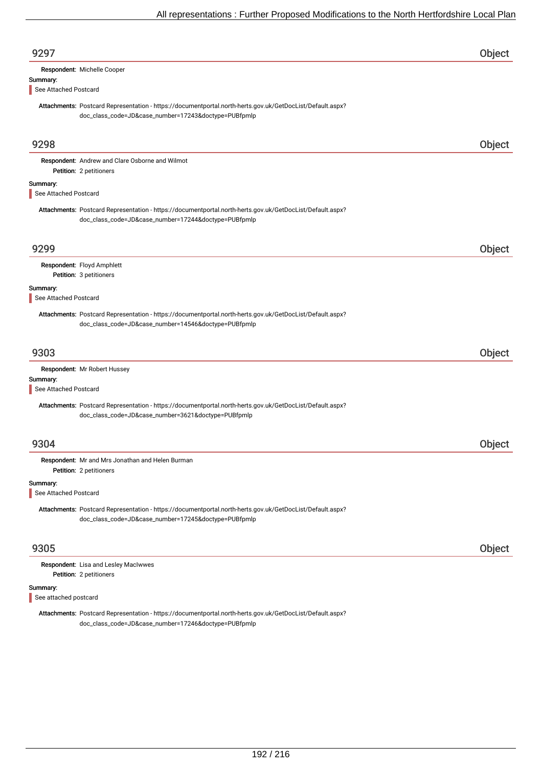| 9297                              |                                                                                                                                                                   | Object |
|-----------------------------------|-------------------------------------------------------------------------------------------------------------------------------------------------------------------|--------|
|                                   | Respondent: Michelle Cooper                                                                                                                                       |        |
| Summary:<br>See Attached Postcard |                                                                                                                                                                   |        |
|                                   | Attachments: Postcard Representation - https://documentportal.north-herts.gov.uk/GetDocList/Default.aspx?<br>doc_class_code=JD&case_number=17243&doctype=PUBfpmlp |        |
| 9298                              |                                                                                                                                                                   | Object |
|                                   | Respondent: Andrew and Clare Osborne and Wilmot<br>Petition: 2 petitioners                                                                                        |        |
| Summary:<br>See Attached Postcard |                                                                                                                                                                   |        |
|                                   | Attachments: Postcard Representation - https://documentportal.north-herts.gov.uk/GetDocList/Default.aspx?<br>doc_class_code=JD&case_number=17244&doctype=PUBfpmlp |        |
| 9299                              |                                                                                                                                                                   | Object |
|                                   | Respondent: Floyd Amphlett<br>Petition: 3 petitioners                                                                                                             |        |
| Summary:                          |                                                                                                                                                                   |        |
| See Attached Postcard             |                                                                                                                                                                   |        |
|                                   | Attachments: Postcard Representation - https://documentportal.north-herts.gov.uk/GetDocList/Default.aspx?<br>doc_class_code=JD&case_number=14546&doctype=PUBfpmlp |        |
| 9303                              |                                                                                                                                                                   | Object |
|                                   | Respondent: Mr Robert Hussey                                                                                                                                      |        |
| Summary:<br>See Attached Postcard |                                                                                                                                                                   |        |
|                                   | Attachments: Postcard Representation - https://documentportal.north-herts.gov.uk/GetDocList/Default.aspx?<br>doc_class_code=JD&case_number=3621&doctype=PUBfpmlp  |        |
| 9304                              |                                                                                                                                                                   | Object |
|                                   | Respondent: Mr and Mrs Jonathan and Helen Burman<br>Petition: 2 petitioners                                                                                       |        |
| Summary:<br>See Attached Postcard |                                                                                                                                                                   |        |
|                                   | Attachments: Postcard Representation - https://documentportal.north-herts.gov.uk/GetDocList/Default.aspx?<br>doc_class_code=JD&case_number=17245&doctype=PUBfpmlp |        |
| 9305                              |                                                                                                                                                                   | Object |
|                                   | Respondent: Lisa and Lesley MacIwwes<br>Petition: 2 petitioners                                                                                                   |        |
| Summary:<br>See attached postcard |                                                                                                                                                                   |        |

Attachments: Postcard Representation - https://documentportal.north-herts.gov.uk/GetDocList/Default.aspx? doc\_class\_code=JD&case\_number=17246&doctype=PUBfpmlp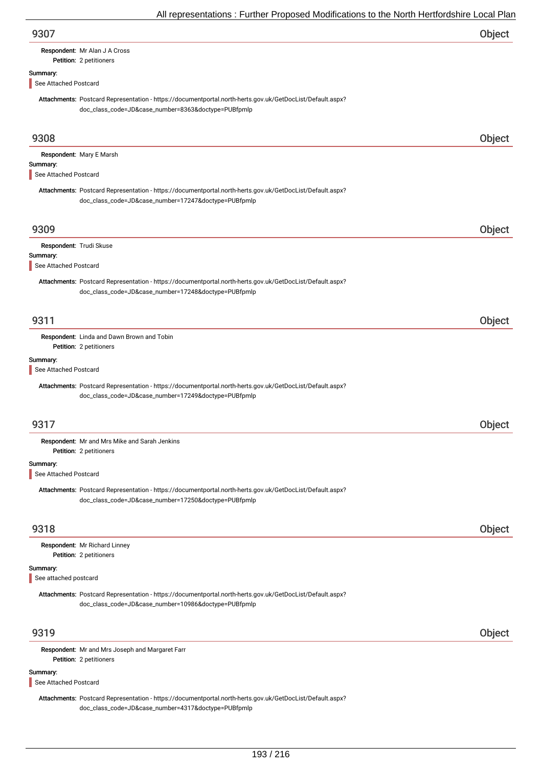| 9307 | Object |
|------|--------|
|      |        |

### Petition: 2 petitioners Respondent: Mr Alan J A Cross

# Summary:

See Attached Postcard

Attachments: Postcard Representation - https://documentportal.north-herts.gov.uk/GetDocList/Default.aspx? doc\_class\_code=JD&case\_number=8363&doctype=PUBfpmlp

| 9308                                |                                                                                                                                                                   | Object |
|-------------------------------------|-------------------------------------------------------------------------------------------------------------------------------------------------------------------|--------|
| Summary:<br>See Attached Postcard   | Respondent: Mary E Marsh                                                                                                                                          |        |
|                                     | Attachments: Postcard Representation - https://documentportal.north-herts.gov.uk/GetDocList/Default.aspx?<br>doc_class_code=JD&case_number=17247&doctype=PUBfpmlp |        |
| 9309                                |                                                                                                                                                                   | Object |
| Respondent: Trudi Skuse<br>Summary: |                                                                                                                                                                   |        |
| See Attached Postcard               |                                                                                                                                                                   |        |
|                                     | Attachments: Postcard Representation - https://documentportal.north-herts.gov.uk/GetDocList/Default.aspx?<br>doc_class_code=JD&case_number=17248&doctype=PUBfpmlp |        |
| 9311                                |                                                                                                                                                                   | Object |
|                                     | Respondent: Linda and Dawn Brown and Tobin<br>Petition: 2 petitioners                                                                                             |        |
| Summary:<br>See Attached Postcard   |                                                                                                                                                                   |        |
|                                     | Attachments: Postcard Representation - https://documentportal.north-herts.gov.uk/GetDocList/Default.aspx?<br>doc_class_code=JD&case_number=17249&doctype=PUBfpmlp |        |
| 9317                                |                                                                                                                                                                   | Object |
|                                     | Respondent: Mr and Mrs Mike and Sarah Jenkins<br>Petition: 2 petitioners                                                                                          |        |
| Summary:<br>See Attached Postcard   |                                                                                                                                                                   |        |
|                                     | Attachments: Postcard Representation - https://documentportal.north-herts.gov.uk/GetDocList/Default.aspx?<br>doc_class_code=JD&case_number=17250&doctype=PUBfpmlp |        |
| 9318                                |                                                                                                                                                                   | Object |
|                                     | Respondent: Mr Richard Linney<br>Petition: 2 petitioners                                                                                                          |        |
| Summary:<br>See attached postcard   |                                                                                                                                                                   |        |
|                                     | Attachments: Postcard Representation - https://documentportal.north-herts.gov.uk/GetDocList/Default.aspx?<br>doc_class_code=JD&case_number=10986&doctype=PUBfpmlp |        |
| 9319                                |                                                                                                                                                                   | Object |
|                                     | Respondent: Mr and Mrs Joseph and Margaret Farr<br>Petition: 2 petitioners                                                                                        |        |
| Summary:<br>See Attached Postcard   |                                                                                                                                                                   |        |
|                                     | Attachments: Postcard Representation - https://documentportal.north-herts.gov.uk/GetDocList/Default.aspx?<br>doc_class_code=JD&case_number=4317&doctype=PUBfpmlp  |        |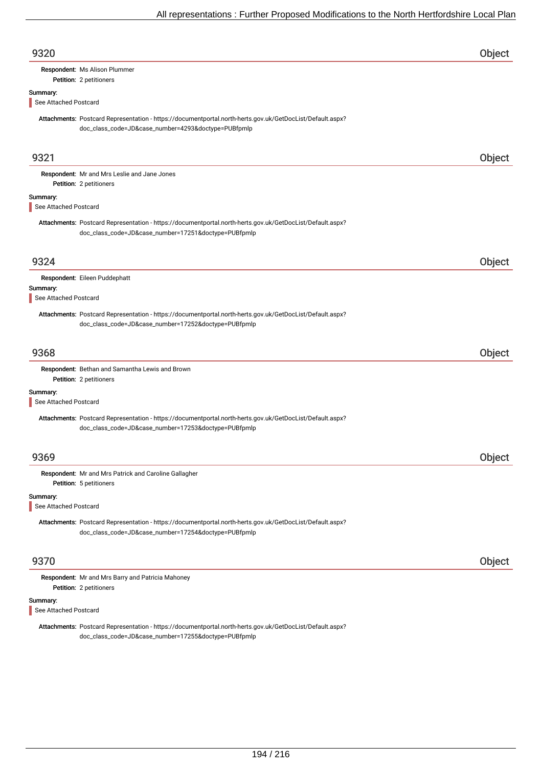| 9320                              |                                                                                                                                                                   | <b>Object</b> |
|-----------------------------------|-------------------------------------------------------------------------------------------------------------------------------------------------------------------|---------------|
|                                   | Respondent: Ms Alison Plummer                                                                                                                                     |               |
|                                   | Petition: 2 petitioners                                                                                                                                           |               |
| Summary:                          |                                                                                                                                                                   |               |
| See Attached Postcard             |                                                                                                                                                                   |               |
|                                   | Attachments: Postcard Representation - https://documentportal.north-herts.gov.uk/GetDocList/Default.aspx?<br>doc_class_code=JD&case_number=4293&doctype=PUBfpmlp  |               |
| 9321                              |                                                                                                                                                                   | Object        |
|                                   | Respondent: Mr and Mrs Leslie and Jane Jones<br>Petition: 2 petitioners                                                                                           |               |
| Summary:<br>See Attached Postcard |                                                                                                                                                                   |               |
|                                   | Attachments: Postcard Representation - https://documentportal.north-herts.gov.uk/GetDocList/Default.aspx?<br>doc_class_code=JD&case_number=17251&doctype=PUBfpmlp |               |
| 9324                              |                                                                                                                                                                   | Object        |
|                                   | Respondent: Eileen Puddephatt                                                                                                                                     |               |
| Summary:                          |                                                                                                                                                                   |               |
| See Attached Postcard             |                                                                                                                                                                   |               |
|                                   | Attachments: Postcard Representation - https://documentportal.north-herts.gov.uk/GetDocList/Default.aspx?<br>doc_class_code=JD&case_number=17252&doctype=PUBfpmlp |               |
| 9368                              |                                                                                                                                                                   | Object        |
|                                   | Respondent: Bethan and Samantha Lewis and Brown<br>Petition: 2 petitioners                                                                                        |               |
| Summary:<br>See Attached Postcard |                                                                                                                                                                   |               |
|                                   | Attachments: Postcard Representation - https://documentportal.north-herts.gov.uk/GetDocList/Default.aspx?<br>doc_class_code=JD&case_number=17253&doctype=PUBfpmlp |               |
| 9369                              |                                                                                                                                                                   | Object        |
|                                   | Respondent: Mr and Mrs Patrick and Caroline Gallagher<br>Petition: 5 petitioners                                                                                  |               |
| Summary:<br>See Attached Postcard |                                                                                                                                                                   |               |
|                                   | Attachments: Postcard Representation - https://documentportal.north-herts.gov.uk/GetDocList/Default.aspx?<br>doc_class_code=JD&case_number=17254&doctype=PUBfpmlp |               |
| 9370                              |                                                                                                                                                                   | Object        |
|                                   | Respondent: Mr and Mrs Barry and Patricia Mahoney<br>Petition: 2 petitioners                                                                                      |               |
| Summary:<br>See Attached Postcard |                                                                                                                                                                   |               |
|                                   | Attachments: Postcard Representation - https://documentportal.north-herts.gov.uk/GetDocList/Default.aspx?                                                         |               |

doc\_class\_code=JD&case\_number=17255&doctype=PUBfpmlp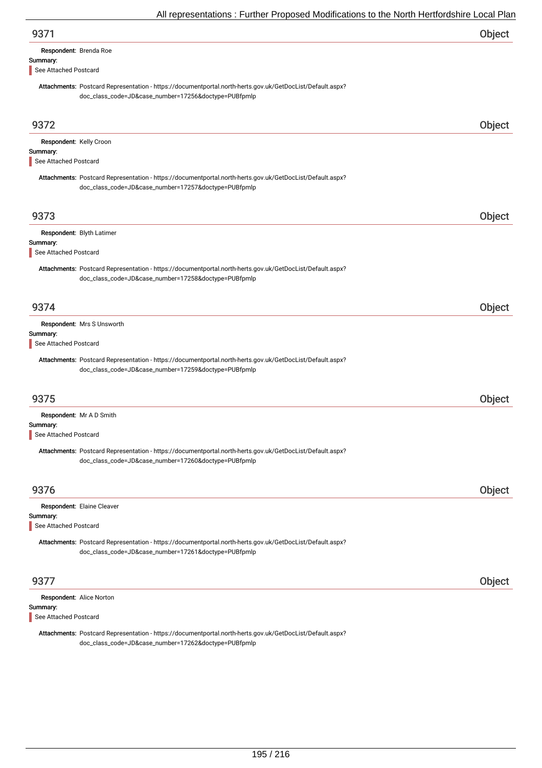| Respondent: Brenda Roe |  |
|------------------------|--|
| Summary:               |  |

See Attached Postcard

Attachments: Postcard Representation - https://documentportal.north-herts.gov.uk/GetDocList/Default.aspx? doc\_class\_code=JD&case\_number=17256&doctype=PUBfpmlp

| 9372                                                           |                                                                                                                                                                   | Object |
|----------------------------------------------------------------|-------------------------------------------------------------------------------------------------------------------------------------------------------------------|--------|
| Respondent: Kelly Croon<br>Summary:<br>See Attached Postcard   |                                                                                                                                                                   |        |
|                                                                | Attachments: Postcard Representation - https://documentportal.north-herts.gov.uk/GetDocList/Default.aspx?<br>doc_class_code=JD&case_number=17257&doctype=PUBfpmlp |        |
| 9373                                                           |                                                                                                                                                                   | Object |
| Respondent: Blyth Latimer<br>Summary:<br>See Attached Postcard |                                                                                                                                                                   |        |
|                                                                | Attachments: Postcard Representation - https://documentportal.north-herts.gov.uk/GetDocList/Default.aspx?<br>doc_class_code=JD&case_number=17258&doctype=PUBfpmlp |        |
| 9374                                                           |                                                                                                                                                                   | Object |
| Summary:<br>See Attached Postcard                              | Respondent: Mrs S Unsworth                                                                                                                                        |        |
|                                                                | Attachments: Postcard Representation - https://documentportal.north-herts.gov.uk/GetDocList/Default.aspx?<br>doc_class_code=JD&case_number=17259&doctype=PUBfpmlp |        |
| 9375                                                           |                                                                                                                                                                   | Object |
| Respondent: Mr A D Smith<br>Summary:<br>See Attached Postcard  |                                                                                                                                                                   |        |
|                                                                | Attachments: Postcard Representation - https://documentportal.north-herts.gov.uk/GetDocList/Default.aspx?<br>doc_class_code=JD&case_number=17260&doctype=PUBfpmlp |        |
| 9376                                                           |                                                                                                                                                                   | Object |
| Summary:                                                       | Respondent: Elaine Cleaver                                                                                                                                        |        |
| See Attached Postcard                                          | Attachments: Postcard Representation - https://documentportal.north-herts.gov.uk/GetDocList/Default.aspx?<br>doc_class_code=JD&case_number=17261&doctype=PUBfpmlp |        |
| 9377                                                           |                                                                                                                                                                   | Object |
| Respondent: Alice Norton<br>Summary:<br>See Attached Postcard  |                                                                                                                                                                   |        |

Attachments: Postcard Representation - https://documentportal.north-herts.gov.uk/GetDocList/Default.aspx? doc\_class\_code=JD&case\_number=17262&doctype=PUBfpmlp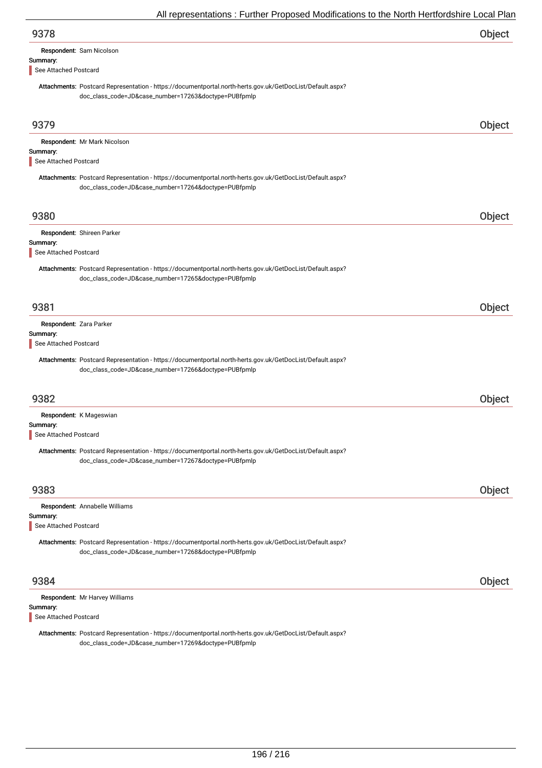| 9378                                                                                                                                                              | <b>Object</b> |
|-------------------------------------------------------------------------------------------------------------------------------------------------------------------|---------------|
| Respondent: Sam Nicolson                                                                                                                                          |               |
| Summary:                                                                                                                                                          |               |
| See Attached Postcard                                                                                                                                             |               |
| Attachments: Postcard Representation - https://documentportal.north-herts.gov.uk/GetDocList/Default.aspx?<br>doc_class_code=JD&case_number=17263&doctype=PUBfpmlp |               |
|                                                                                                                                                                   |               |

| 9379                                                                                                                                                              | Object |
|-------------------------------------------------------------------------------------------------------------------------------------------------------------------|--------|
| Respondent: Mr Mark Nicolson                                                                                                                                      |        |
| Summary:                                                                                                                                                          |        |
| See Attached Postcard                                                                                                                                             |        |
| Attachments: Postcard Representation - https://documentportal.north-herts.gov.uk/GetDocList/Default.aspx?                                                         |        |
| doc_class_code=JD&case_number=17264&doctype=PUBfpmlp                                                                                                              |        |
| 9380                                                                                                                                                              | Object |
|                                                                                                                                                                   |        |
| Respondent: Shireen Parker<br>Summary:                                                                                                                            |        |
| See Attached Postcard                                                                                                                                             |        |
| Attachments: Postcard Representation - https://documentportal.north-herts.gov.uk/GetDocList/Default.aspx?                                                         |        |
| doc_class_code=JD&case_number=17265&doctype=PUBfpmlp                                                                                                              |        |
|                                                                                                                                                                   |        |
| 9381                                                                                                                                                              | Object |
| Respondent: Zara Parker                                                                                                                                           |        |
| Summary:                                                                                                                                                          |        |
| See Attached Postcard                                                                                                                                             |        |
| Attachments: Postcard Representation - https://documentportal.north-herts.gov.uk/GetDocList/Default.aspx?                                                         |        |
| doc_class_code=JD&case_number=17266&doctype=PUBfpmlp                                                                                                              |        |
|                                                                                                                                                                   |        |
| 9382                                                                                                                                                              | Object |
| Respondent: K Mageswian                                                                                                                                           |        |
| Summary:                                                                                                                                                          |        |
| See Attached Postcard                                                                                                                                             |        |
| Attachments: Postcard Representation - https://documentportal.north-herts.gov.uk/GetDocList/Default.aspx?<br>doc_class_code=JD&case_number=17267&doctype=PUBfpmlp |        |
|                                                                                                                                                                   |        |
| 9383                                                                                                                                                              | Object |
| Respondent: Annabelle Williams                                                                                                                                    |        |
| Summary:                                                                                                                                                          |        |
| See Attached Postcard                                                                                                                                             |        |
| Attachments: Postcard Representation - https://documentportal.north-herts.gov.uk/GetDocList/Default.aspx?                                                         |        |
| doc_class_code=JD&case_number=17268&doctype=PUBfpmlp                                                                                                              |        |
|                                                                                                                                                                   |        |
| 9384                                                                                                                                                              | Object |
| Respondent: Mr Harvey Williams                                                                                                                                    |        |
| Summary:                                                                                                                                                          |        |

See Attached Postcard

Attachments: Postcard Representation - https://documentportal.north-herts.gov.uk/GetDocList/Default.aspx? doc\_class\_code=JD&case\_number=17269&doctype=PUBfpmlp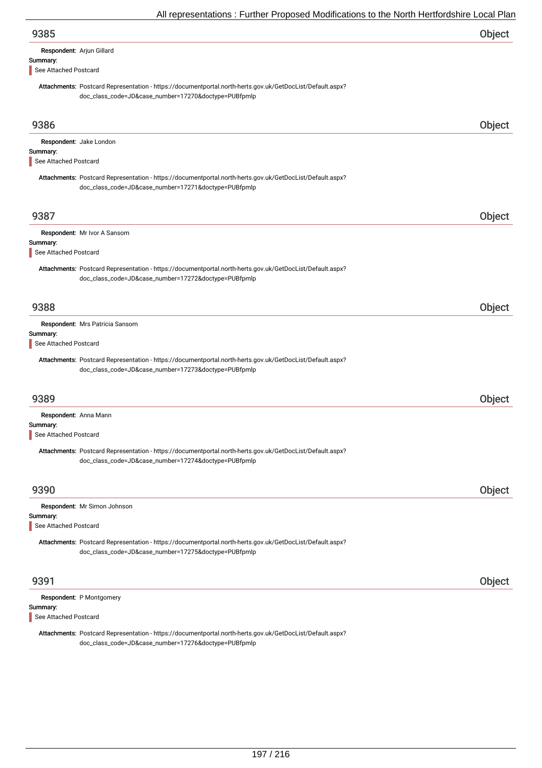| 9385                                                                                                                                                              | Object |
|-------------------------------------------------------------------------------------------------------------------------------------------------------------------|--------|
| Respondent: Arjun Gillard                                                                                                                                         |        |
| Summary:<br>See Attached Postcard                                                                                                                                 |        |
| Attachments: Postcard Representation - https://documentportal.north-herts.gov.uk/GetDocList/Default.aspx?<br>doc_class_code=JD&case_number=17270&doctype=PUBfpmlp |        |
| 9386                                                                                                                                                              | Object |
| Respondent: Jake London<br>Summary:                                                                                                                               |        |
| See Attached Postcard                                                                                                                                             |        |
| Attachments: Postcard Representation - https://documentportal.north-herts.gov.uk/GetDocList/Default.aspx?<br>doc_class_code=JD&case_number=17271&doctype=PUBfpmlp |        |
| 9387                                                                                                                                                              | Object |
| Respondent: Mr Ivor A Sansom                                                                                                                                      |        |
| Summary:<br>See Attached Postcard                                                                                                                                 |        |
| Attachments: Postcard Representation - https://documentportal.north-herts.gov.uk/GetDocList/Default.aspx?<br>doc_class_code=JD&case_number=17272&doctype=PUBfpmlp |        |
| 9388                                                                                                                                                              | Object |
| Respondent: Mrs Patricia Sansom<br>Summary:                                                                                                                       |        |
| See Attached Postcard                                                                                                                                             |        |
| Attachments: Postcard Representation - https://documentportal.north-herts.gov.uk/GetDocList/Default.aspx?<br>doc_class_code=JD&case_number=17273&doctype=PUBfpmlp |        |
| 9389                                                                                                                                                              | Object |
| Respondent: Anna Mann                                                                                                                                             |        |
| Summary:<br>See Attached Postcard                                                                                                                                 |        |
| Attachments: Postcard Representation - https://documentportal.north-herts.gov.uk/GetDocList/Default.aspx?<br>doc_class_code=JD&case_number=17274&doctype=PUBfpmlp |        |
| 9390                                                                                                                                                              | Object |
| Respondent: Mr Simon Johnson                                                                                                                                      |        |
| Summary:<br>See Attached Postcard                                                                                                                                 |        |
| Attachments: Postcard Representation - https://documentportal.north-herts.gov.uk/GetDocList/Default.aspx?<br>doc_class_code=JD&case_number=17275&doctype=PUBfpmlp |        |
| 9391                                                                                                                                                              | Object |
| Respondent: P Montgomery                                                                                                                                          |        |
| Summary:<br>See Attached Postcard                                                                                                                                 |        |

Attachments: Postcard Representation - https://documentportal.north-herts.gov.uk/GetDocList/Default.aspx? doc\_class\_code=JD&case\_number=17276&doctype=PUBfpmlp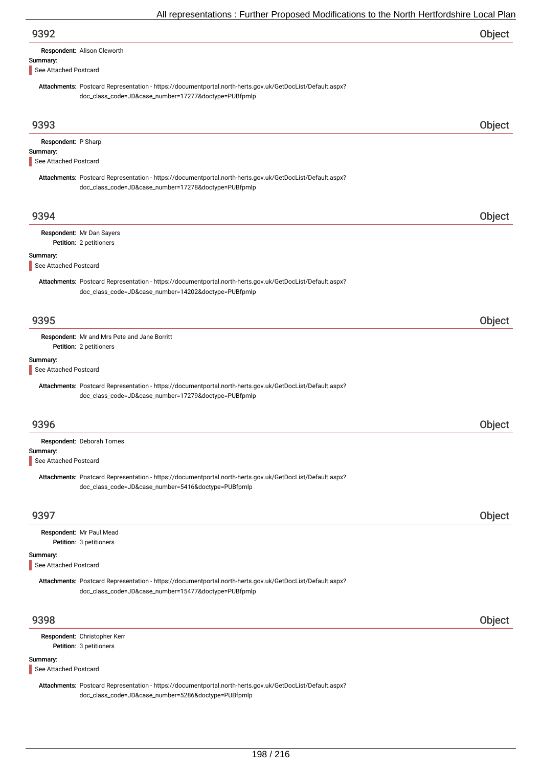| 9392                                                                                                                                                                                       | Object        |
|--------------------------------------------------------------------------------------------------------------------------------------------------------------------------------------------|---------------|
| Respondent: Alison Cleworth                                                                                                                                                                |               |
| Summary:<br>See Attached Postcard                                                                                                                                                          |               |
| Attachments: Postcard Representation - https://documentportal.north-herts.gov.uk/GetDocList/Default.aspx?<br>doc_class_code=JD&case_number=17277&doctype=PUBfpmlp                          |               |
| 9393                                                                                                                                                                                       | Object        |
| Respondent: P Sharp                                                                                                                                                                        |               |
| Summary:<br>See Attached Postcard                                                                                                                                                          |               |
| Attachments: Postcard Representation - https://documentportal.north-herts.gov.uk/GetDocList/Default.aspx?<br>doc_class_code=JD&case_number=17278&doctype=PUBfpmlp                          |               |
| 9394                                                                                                                                                                                       | Object        |
| Respondent: Mr Dan Sayers<br>Petition: 2 petitioners                                                                                                                                       |               |
| Summary:<br>See Attached Postcard                                                                                                                                                          |               |
| Attachments: Postcard Representation - https://documentportal.north-herts.gov.uk/GetDocList/Default.aspx?<br>doc_class_code=JD&case_number=14202&doctype=PUBfpmlp                          |               |
| 9395                                                                                                                                                                                       | Object        |
| Respondent: Mr and Mrs Pete and Jane Borritt<br>Petition: 2 petitioners                                                                                                                    |               |
| Summary:<br>See Attached Postcard                                                                                                                                                          |               |
| Attachments: Postcard Representation - https://documentportal.north-herts.gov.uk/GetDocList/Default.aspx?<br>doc_class_code=JD&case_number=17279&doctype=PUBfpmlp                          |               |
| 9396                                                                                                                                                                                       | <b>Object</b> |
| Respondent: Deborah Tomes                                                                                                                                                                  |               |
| Summary:<br>See Attached Postcard                                                                                                                                                          |               |
| Attachments: Postcard Representation - https://documentportal.north-herts.gov.uk/GetDocList/Default.aspx?<br>doc_class_code=JD&case_number=5416&doctype=PUBfpmlp                           |               |
| 9397                                                                                                                                                                                       | Object        |
| Respondent: Mr Paul Mead<br>Petition: 3 petitioners                                                                                                                                        |               |
| Summary:                                                                                                                                                                                   |               |
| See Attached Postcard<br>Attachments: Postcard Representation - https://documentportal.north-herts.gov.uk/GetDocList/Default.aspx?<br>doc_class_code=JD&case_number=15477&doctype=PUBfpmlp |               |
| 9398                                                                                                                                                                                       |               |
|                                                                                                                                                                                            | Object        |

Petition: 3 petitioners Respondent: Christopher Kerr

### Summary:

See Attached Postcard

Attachments: Postcard Representation - https://documentportal.north-herts.gov.uk/GetDocList/Default.aspx? doc\_class\_code=JD&case\_number=5286&doctype=PUBfpmlp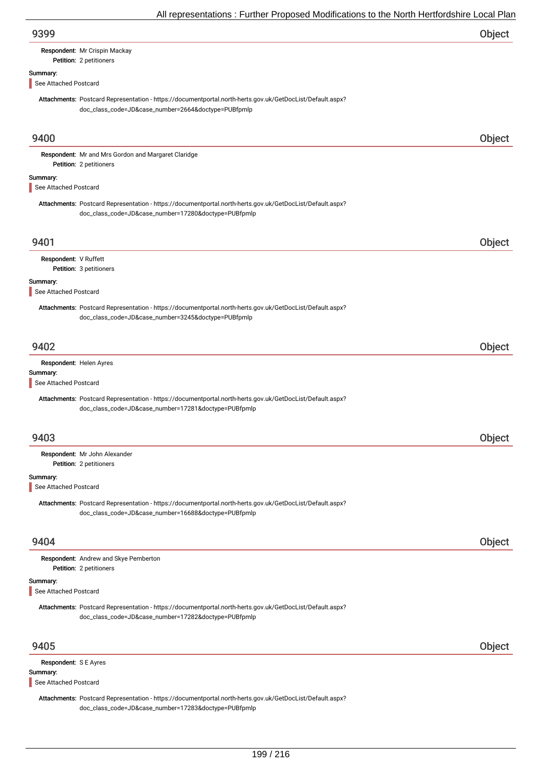| 9399                              |                                                                                                                                                                   | Object |
|-----------------------------------|-------------------------------------------------------------------------------------------------------------------------------------------------------------------|--------|
|                                   | Respondent: Mr Crispin Mackay<br>Petition: 2 petitioners                                                                                                          |        |
| Summary:                          |                                                                                                                                                                   |        |
| See Attached Postcard             |                                                                                                                                                                   |        |
|                                   | Attachments: Postcard Representation - https://documentportal.north-herts.gov.uk/GetDocList/Default.aspx?<br>doc_class_code=JD&case_number=2664&doctype=PUBfpmlp  |        |
| 9400                              |                                                                                                                                                                   | Object |
|                                   | Respondent: Mr and Mrs Gordon and Margaret Claridge<br>Petition: 2 petitioners                                                                                    |        |
| Summary:<br>See Attached Postcard |                                                                                                                                                                   |        |
|                                   | Attachments: Postcard Representation - https://documentportal.north-herts.gov.uk/GetDocList/Default.aspx?<br>doc_class_code=JD&case_number=17280&doctype=PUBfpmlp |        |
| 9401                              |                                                                                                                                                                   | Object |
| Respondent: V Ruffett             | Petition: 3 petitioners                                                                                                                                           |        |
| Summary:                          |                                                                                                                                                                   |        |
| See Attached Postcard             | Attachments: Postcard Representation - https://documentportal.north-herts.gov.uk/GetDocList/Default.aspx?<br>doc_class_code=JD&case_number=3245&doctype=PUBfpmlp  |        |
| 9402                              |                                                                                                                                                                   | Object |
| Respondent: Helen Ayres           |                                                                                                                                                                   |        |
| Summary:<br>See Attached Postcard |                                                                                                                                                                   |        |
|                                   | Attachments: Postcard Representation - https://documentportal.north-herts.gov.uk/GetDocList/Default.aspx?<br>doc_class_code=JD&case_number=17281&doctype=PUBfpmlp |        |
| 9403                              |                                                                                                                                                                   | Object |
|                                   | Respondent: Mr John Alexander<br>Petition: 2 petitioners                                                                                                          |        |
| Summary:                          |                                                                                                                                                                   |        |
| See Attached Postcard             | Attachments: Postcard Representation - https://documentportal.north-herts.gov.uk/GetDocList/Default.aspx?<br>doc_class_code=JD&case_number=16688&doctype=PUBfpmlp |        |
| 9404                              |                                                                                                                                                                   | Object |
|                                   | Respondent: Andrew and Skye Pemberton<br>Petition: 2 petitioners                                                                                                  |        |
| Summary:<br>See Attached Postcard |                                                                                                                                                                   |        |
|                                   | Attachments: Postcard Representation - https://documentportal.north-herts.gov.uk/GetDocList/Default.aspx?<br>doc_class_code=JD&case_number=17282&doctype=PUBfpmlp |        |
| 9405                              |                                                                                                                                                                   | Object |
| Respondent: S E Ayres<br>Summary: |                                                                                                                                                                   |        |
| See Attached Postcard             |                                                                                                                                                                   |        |
|                                   | Attachments: Postcard Representation - https://documentportal.north-herts.gov.uk/GetDocList/Default.aspx?                                                         |        |

doc\_class\_code=JD&case\_number=17283&doctype=PUBfpmlp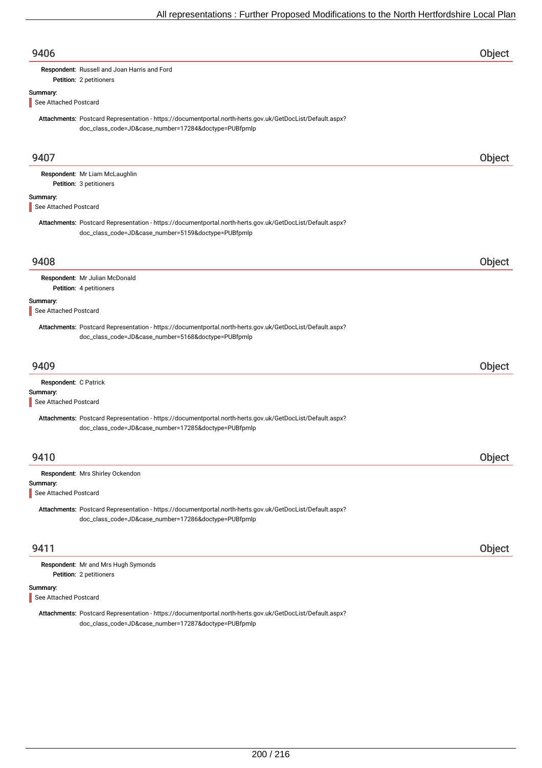| 9406                                                                                                                                                              | Object |
|-------------------------------------------------------------------------------------------------------------------------------------------------------------------|--------|
| Respondent: Russell and Joan Harris and Ford                                                                                                                      |        |
| Petition: 2 petitioners                                                                                                                                           |        |
| Summary:<br>See Attached Postcard                                                                                                                                 |        |
|                                                                                                                                                                   |        |
| Attachments: Postcard Representation - https://documentportal.north-herts.gov.uk/GetDocList/Default.aspx?<br>doc_class_code=JD&case_number=17284&doctype=PUBfpmlp |        |
| 9407                                                                                                                                                              | Object |
| Respondent: Mr Liam McLaughlin<br>Petition: 3 petitioners                                                                                                         |        |
| Summary:<br>See Attached Postcard                                                                                                                                 |        |
| Attachments: Postcard Representation - https://documentportal.north-herts.gov.uk/GetDocList/Default.aspx?<br>doc_class_code=JD&case_number=5159&doctype=PUBfpmlp  |        |
| 9408                                                                                                                                                              | Object |
| Respondent: Mr Julian McDonald<br>Petition: 4 petitioners                                                                                                         |        |
| Summary:<br>See Attached Postcard                                                                                                                                 |        |
| Attachments: Postcard Representation - https://documentportal.north-herts.gov.uk/GetDocList/Default.aspx?<br>doc_class_code=JD&case_number=5168&doctype=PUBfpmlp  |        |
| 9409                                                                                                                                                              | Object |
| Respondent: C Patrick                                                                                                                                             |        |
| Summary:<br>See Attached Postcard                                                                                                                                 |        |
| Attachments: Postcard Representation - https://documentportal.north-herts.gov.uk/GetDocList/Default.aspx?<br>doc_class_code=JD&case_number=17285&doctype=PUBfpmlp |        |
| 9410                                                                                                                                                              | Object |
| Respondent: Mrs Shirley Ockendon                                                                                                                                  |        |
| Summary:<br>See Attached Postcard                                                                                                                                 |        |
| Attachments: Postcard Representation - https://documentportal.north-herts.gov.uk/GetDocList/Default.aspx?<br>doc_class_code=JD&case_number=17286&doctype=PUBfpmlp |        |
| 9411                                                                                                                                                              | Object |
| Respondent: Mr and Mrs Hugh Symonds                                                                                                                               |        |
| Petition: 2 petitioners                                                                                                                                           |        |
| Summary:                                                                                                                                                          |        |
| See Attached Postcard                                                                                                                                             |        |

Attachments: Postcard Representation - https://documentportal.north-herts.gov.uk/GetDocList/Default.aspx? doc\_class\_code=JD&case\_number=17287&doctype=PUBfpmlp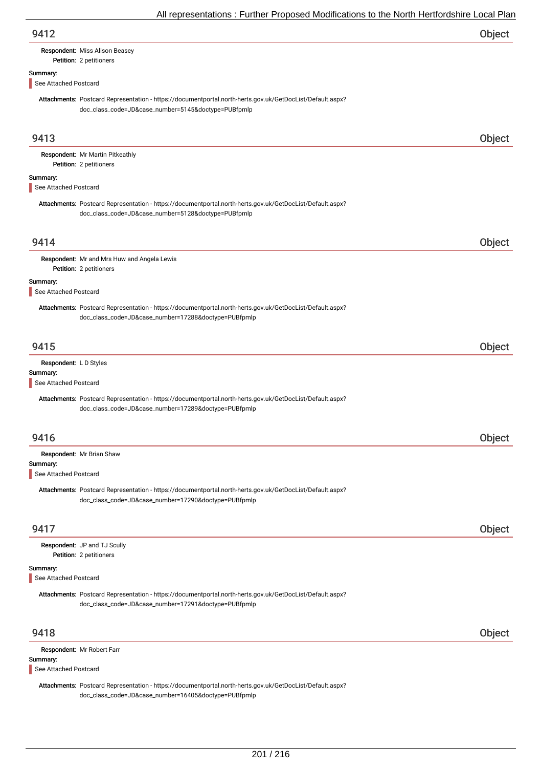| 9412 | Object |
|------|--------|
|      |        |

### Petition: 2 petitioners Respondent: Miss Alison Beasey

# Summary:

See Attached Postcard

Attachments: Postcard Representation - https://documentportal.north-herts.gov.uk/GetDocList/Default.aspx? doc\_class\_code=JD&case\_number=5145&doctype=PUBfpmlp

| 9413                                                        |                                                                                                                                                                   | Object |
|-------------------------------------------------------------|-------------------------------------------------------------------------------------------------------------------------------------------------------------------|--------|
|                                                             | Respondent: Mr Martin Pitkeathly<br>Petition: 2 petitioners                                                                                                       |        |
| Summary:<br>See Attached Postcard                           |                                                                                                                                                                   |        |
|                                                             | Attachments: Postcard Representation - https://documentportal.north-herts.gov.uk/GetDocList/Default.aspx?<br>doc_class_code=JD&case_number=5128&doctype=PUBfpmlp  |        |
| 9414                                                        |                                                                                                                                                                   | Object |
|                                                             | Respondent: Mr and Mrs Huw and Angela Lewis<br>Petition: 2 petitioners                                                                                            |        |
| Summary:<br>See Attached Postcard                           |                                                                                                                                                                   |        |
|                                                             | Attachments: Postcard Representation - https://documentportal.north-herts.gov.uk/GetDocList/Default.aspx?<br>doc_class_code=JD&case_number=17288&doctype=PUBfpmlp |        |
| 9415                                                        |                                                                                                                                                                   | Object |
| Respondent: L D Styles<br>Summary:<br>See Attached Postcard |                                                                                                                                                                   |        |
|                                                             | Attachments: Postcard Representation - https://documentportal.north-herts.gov.uk/GetDocList/Default.aspx?<br>doc_class_code=JD&case_number=17289&doctype=PUBfpmlp |        |
| 9416                                                        |                                                                                                                                                                   | Object |
| Summary:<br>See Attached Postcard                           | Respondent: Mr Brian Shaw                                                                                                                                         |        |
|                                                             | Attachments: Postcard Representation - https://documentportal.north-herts.gov.uk/GetDocList/Default.aspx?<br>doc_class_code=JD&case_number=17290&doctype=PUBfpmlp |        |
| 9417                                                        |                                                                                                                                                                   | Object |
|                                                             | Respondent: JP and TJ Scully<br>Petition: 2 petitioners                                                                                                           |        |
| Summary:<br>See Attached Postcard                           |                                                                                                                                                                   |        |
|                                                             | Attachments: Postcard Representation - https://documentportal.north-herts.gov.uk/GetDocList/Default.aspx?<br>doc_class_code=JD&case_number=17291&doctype=PUBfpmlp |        |
| 9418                                                        |                                                                                                                                                                   | Object |
| Summary:<br>See Attached Postcard                           | Respondent: Mr Robert Farr                                                                                                                                        |        |
|                                                             | Attachments: Postcard Representation - https://documentportal.north-herts.gov.uk/GetDocList/Default.aspx?<br>doc_class_code=JD&case_number=16405&doctype=PUBfpmlp |        |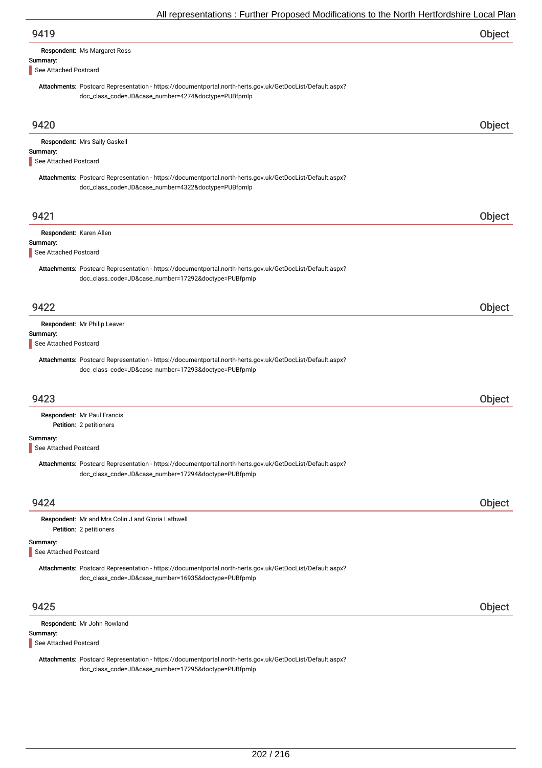| 9419                              |                                                                                                                                                                   | Object |
|-----------------------------------|-------------------------------------------------------------------------------------------------------------------------------------------------------------------|--------|
|                                   | Respondent: Ms Margaret Ross                                                                                                                                      |        |
| Summary:                          |                                                                                                                                                                   |        |
| See Attached Postcard             |                                                                                                                                                                   |        |
|                                   | Attachments: Postcard Representation - https://documentportal.north-herts.gov.uk/GetDocList/Default.aspx?<br>doc_class_code=JD&case_number=4274&doctype=PUBfpmlp  |        |
| 9420                              |                                                                                                                                                                   | Object |
|                                   | Respondent: Mrs Sally Gaskell                                                                                                                                     |        |
| Summary:<br>See Attached Postcard |                                                                                                                                                                   |        |
|                                   |                                                                                                                                                                   |        |
|                                   | Attachments: Postcard Representation - https://documentportal.north-herts.gov.uk/GetDocList/Default.aspx?<br>doc_class_code=JD&case_number=4322&doctype=PUBfpmlp  |        |
| 9421                              |                                                                                                                                                                   | Object |
| Respondent: Karen Allen           |                                                                                                                                                                   |        |
| Summary:                          |                                                                                                                                                                   |        |
| See Attached Postcard             |                                                                                                                                                                   |        |
|                                   | Attachments: Postcard Representation - https://documentportal.north-herts.gov.uk/GetDocList/Default.aspx?<br>doc_class_code=JD&case_number=17292&doctype=PUBfpmlp |        |
| 9422                              |                                                                                                                                                                   | Object |
|                                   | Respondent: Mr Philip Leaver                                                                                                                                      |        |
| Summary:                          |                                                                                                                                                                   |        |
| See Attached Postcard             |                                                                                                                                                                   |        |
|                                   | Attachments: Postcard Representation - https://documentportal.north-herts.gov.uk/GetDocList/Default.aspx?<br>doc_class_code=JD&case_number=17293&doctype=PUBfpmlp |        |
| 9423                              |                                                                                                                                                                   | Object |
|                                   | Respondent: Mr Paul Francis                                                                                                                                       |        |
|                                   | Petition: 2 petitioners                                                                                                                                           |        |
| Summary:                          |                                                                                                                                                                   |        |
| See Attached Postcard             |                                                                                                                                                                   |        |
|                                   | Attachments: Postcard Representation - https://documentportal.north-herts.gov.uk/GetDocList/Default.aspx?<br>doc_class_code=JD&case_number=17294&doctype=PUBfpmlp |        |
| 9424                              |                                                                                                                                                                   | Object |
|                                   | Respondent: Mr and Mrs Colin J and Gloria Lathwell<br>Petition: 2 petitioners                                                                                     |        |
| Summary:<br>See Attached Postcard |                                                                                                                                                                   |        |
|                                   | Attachments: Postcard Representation - https://documentportal.north-herts.gov.uk/GetDocList/Default.aspx?<br>doc_class_code=JD&case_number=16935&doctype=PUBfpmlp |        |
| 9425                              |                                                                                                                                                                   | Object |
|                                   | Respondent: Mr John Rowland                                                                                                                                       |        |
| Summary:<br>See Attached Postcard |                                                                                                                                                                   |        |
|                                   | Attachments: Postcard Representation - https://documentportal.north-herts.gov.uk/GetDocList/Default.aspx?                                                         |        |

doc\_class\_code=JD&case\_number=17295&doctype=PUBfpmlp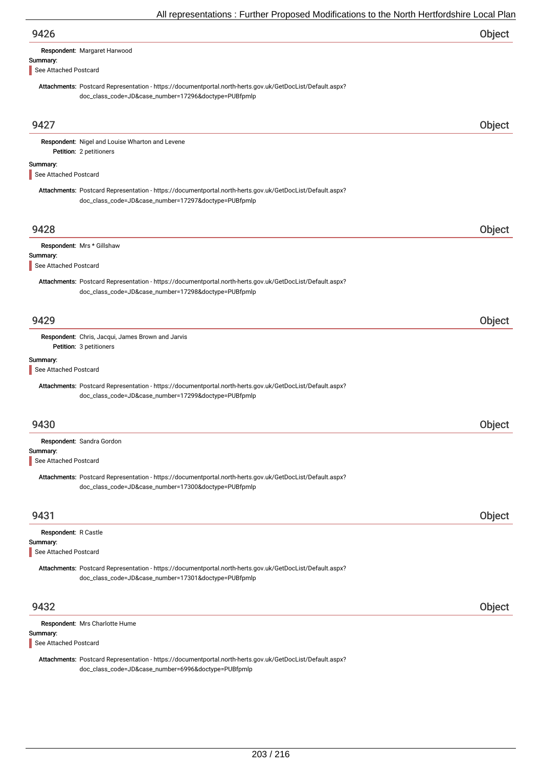| 9426                                                                                                                                                              | Object |
|-------------------------------------------------------------------------------------------------------------------------------------------------------------------|--------|
| Respondent: Margaret Harwood                                                                                                                                      |        |
| Summary:<br>See Attached Postcard                                                                                                                                 |        |
| Attachments: Postcard Representation - https://documentportal.north-herts.gov.uk/GetDocList/Default.aspx?<br>doc_class_code=JD&case_number=17296&doctype=PUBfpmlp |        |
| 9427                                                                                                                                                              | Object |
| Respondent: Nigel and Louise Wharton and Levene<br>Petition: 2 petitioners                                                                                        |        |
| Summary:<br>See Attached Postcard                                                                                                                                 |        |
| Attachments: Postcard Representation - https://documentportal.north-herts.gov.uk/GetDocList/Default.aspx?<br>doc_class_code=JD&case_number=17297&doctype=PUBfpmlp |        |
| 9428                                                                                                                                                              | Object |
| Respondent: Mrs * Gillshaw                                                                                                                                        |        |
| Summary:<br>See Attached Postcard                                                                                                                                 |        |
| Attachments: Postcard Representation - https://documentportal.north-herts.gov.uk/GetDocList/Default.aspx?<br>doc_class_code=JD&case_number=17298&doctype=PUBfpmlp |        |
| 9429                                                                                                                                                              | Object |
| Respondent: Chris, Jacqui, James Brown and Jarvis<br>Petition: 3 petitioners                                                                                      |        |
| Summary:<br>See Attached Postcard                                                                                                                                 |        |
| Attachments: Postcard Representation - https://documentportal.north-herts.gov.uk/GetDocList/Default.aspx?<br>doc_class_code=JD&case_number=17299&doctype=PUBfpmlp |        |
| 9430                                                                                                                                                              | Object |
| Respondent: Sandra Gordon                                                                                                                                         |        |
| Summary:<br>See Attached Postcard                                                                                                                                 |        |
| Attachments: Postcard Representation - https://documentportal.north-herts.gov.uk/GetDocList/Default.aspx?<br>doc_class_code=JD&case_number=17300&doctype=PUBfpmlp |        |
| 9431                                                                                                                                                              | Object |
| Respondent: R Castle<br>Summary:<br>See Attached Postcard                                                                                                         |        |
| Attachments: Postcard Representation - https://documentportal.north-herts.gov.uk/GetDocList/Default.aspx?<br>doc_class_code=JD&case_number=17301&doctype=PUBfpmlp |        |
| 9432                                                                                                                                                              | Object |
| Respondent: Mrs Charlotte Hume                                                                                                                                    |        |
| Summary:                                                                                                                                                          |        |
| See Attached Postcard                                                                                                                                             |        |

Attachments: Postcard Representation - https://documentportal.north-herts.gov.uk/GetDocList/Default.aspx? doc\_class\_code=JD&case\_number=6996&doctype=PUBfpmlp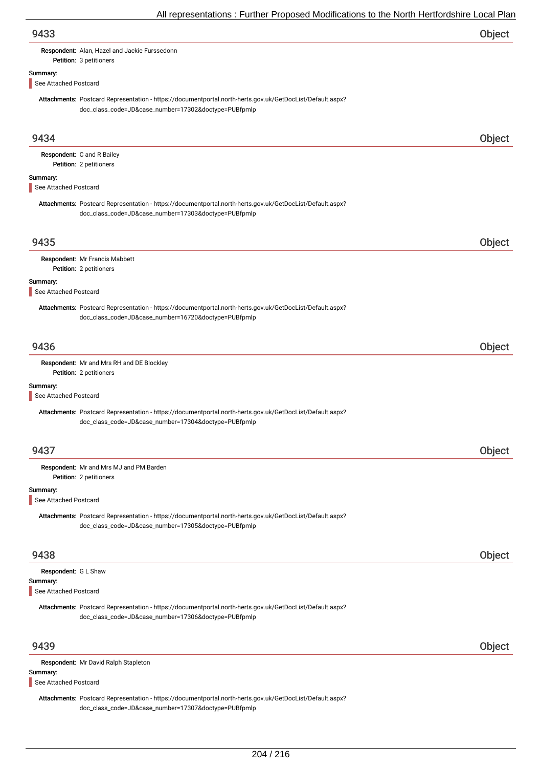| 9433 | Object |
|------|--------|
|      |        |

Respondent: Alan, Hazel and Jackie Furssedonn

### Summary:

See Attached Postcard

Petition: 3 petitioners

Attachments: Postcard Representation - https://documentportal.north-herts.gov.uk/GetDocList/Default.aspx? doc\_class\_code=JD&case\_number=17302&doctype=PUBfpmlp

| 9434                                                      |                                                                                                                                                                   | Object |
|-----------------------------------------------------------|-------------------------------------------------------------------------------------------------------------------------------------------------------------------|--------|
|                                                           | Respondent: C and R Bailey                                                                                                                                        |        |
|                                                           | Petition: 2 petitioners                                                                                                                                           |        |
| Summary:<br>See Attached Postcard                         |                                                                                                                                                                   |        |
|                                                           | Attachments: Postcard Representation - https://documentportal.north-herts.gov.uk/GetDocList/Default.aspx?<br>doc_class_code=JD&case_number=17303&doctype=PUBfpmlp |        |
| 9435                                                      |                                                                                                                                                                   | Object |
|                                                           | Respondent: Mr Francis Mabbett<br>Petition: 2 petitioners                                                                                                         |        |
| Summary:<br>See Attached Postcard                         |                                                                                                                                                                   |        |
|                                                           | Attachments: Postcard Representation - https://documentportal.north-herts.gov.uk/GetDocList/Default.aspx?<br>doc_class_code=JD&case_number=16720&doctype=PUBfpmlp |        |
| 9436                                                      |                                                                                                                                                                   | Object |
|                                                           | Respondent: Mr and Mrs RH and DE Blockley<br>Petition: 2 petitioners                                                                                              |        |
| Summary:<br>See Attached Postcard                         |                                                                                                                                                                   |        |
|                                                           | Attachments: Postcard Representation - https://documentportal.north-herts.gov.uk/GetDocList/Default.aspx?<br>doc_class_code=JD&case_number=17304&doctype=PUBfpmlp |        |
| 9437                                                      |                                                                                                                                                                   | Object |
|                                                           | Respondent: Mr and Mrs MJ and PM Barden<br>Petition: 2 petitioners                                                                                                |        |
| Summary:<br>See Attached Postcard                         |                                                                                                                                                                   |        |
|                                                           | Attachments: Postcard Representation - https://documentportal.north-herts.gov.uk/GetDocList/Default.aspx?<br>doc_class_code=JD&case_number=17305&doctype=PUBfpmlp |        |
| 9438                                                      |                                                                                                                                                                   | Object |
| Respondent: G L Shaw<br>Summary:<br>See Attached Postcard |                                                                                                                                                                   |        |
|                                                           | Attachments: Postcard Representation - https://documentportal.north-herts.gov.uk/GetDocList/Default.aspx?<br>doc_class_code=JD&case_number=17306&doctype=PUBfpmlp |        |
| 9439                                                      |                                                                                                                                                                   | Object |
| Summary:                                                  | Respondent: Mr David Ralph Stapleton                                                                                                                              |        |
| See Attached Postcard                                     |                                                                                                                                                                   |        |
|                                                           | Attachments: Postcard Representation - https://documentportal.north-herts.gov.uk/GetDocList/Default.aspx?<br>doc_class_code=JD&case_number=17307&doctype=PUBfpmlp |        |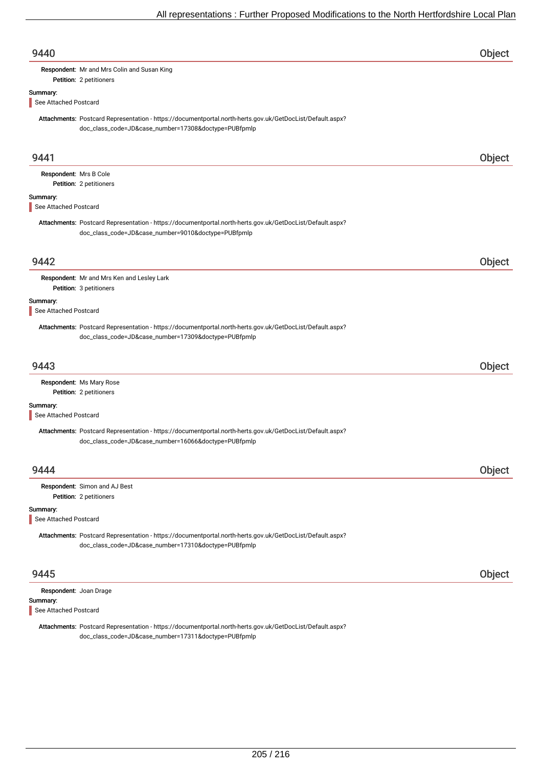| 9440                                                        |                                                                                                                                                                   | Object |
|-------------------------------------------------------------|-------------------------------------------------------------------------------------------------------------------------------------------------------------------|--------|
|                                                             | Respondent: Mr and Mrs Colin and Susan King                                                                                                                       |        |
|                                                             | Petition: 2 petitioners                                                                                                                                           |        |
| Summary:<br>See Attached Postcard                           |                                                                                                                                                                   |        |
|                                                             | Attachments: Postcard Representation - https://documentportal.north-herts.gov.uk/GetDocList/Default.aspx?<br>doc_class_code=JD&case_number=17308&doctype=PUBfpmlp |        |
| 9441                                                        |                                                                                                                                                                   | Object |
| Respondent: Mrs B Cole                                      | Petition: 2 petitioners                                                                                                                                           |        |
| Summary:<br>See Attached Postcard                           |                                                                                                                                                                   |        |
|                                                             | Attachments: Postcard Representation - https://documentportal.north-herts.gov.uk/GetDocList/Default.aspx?<br>doc_class_code=JD&case_number=9010&doctype=PUBfpmlp  |        |
| 9442                                                        |                                                                                                                                                                   | Object |
|                                                             | Respondent: Mr and Mrs Ken and Lesley Lark<br>Petition: 3 petitioners                                                                                             |        |
| Summary:<br>See Attached Postcard                           |                                                                                                                                                                   |        |
|                                                             | Attachments: Postcard Representation - https://documentportal.north-herts.gov.uk/GetDocList/Default.aspx?<br>doc_class_code=JD&case_number=17309&doctype=PUBfpmlp |        |
| 9443                                                        |                                                                                                                                                                   | Object |
|                                                             | Respondent: Ms Mary Rose<br>Petition: 2 petitioners                                                                                                               |        |
| Summary:<br>See Attached Postcard                           |                                                                                                                                                                   |        |
|                                                             | Attachments: Postcard Representation - https://documentportal.north-herts.gov.uk/GetDocList/Default.aspx?<br>doc_class_code=JD&case_number=16066&doctype=PUBfpmlp |        |
| 9444                                                        |                                                                                                                                                                   | Object |
|                                                             | Respondent: Simon and AJ Best<br>Petition: 2 petitioners                                                                                                          |        |
| Summary:<br>See Attached Postcard                           |                                                                                                                                                                   |        |
|                                                             | Attachments: Postcard Representation - https://documentportal.north-herts.gov.uk/GetDocList/Default.aspx?<br>doc_class_code=JD&case_number=17310&doctype=PUBfpmlp |        |
| 9445                                                        |                                                                                                                                                                   | Object |
| Respondent: Joan Drage<br>Summary:<br>See Attached Postcard |                                                                                                                                                                   |        |
|                                                             | Attachments: Postcard Representation - https://documentportal.north-herts.gov.uk/GetDocList/Default.aspx?<br>doc_class_code=JD&case_number=17311&doctype=PUBfpmlp |        |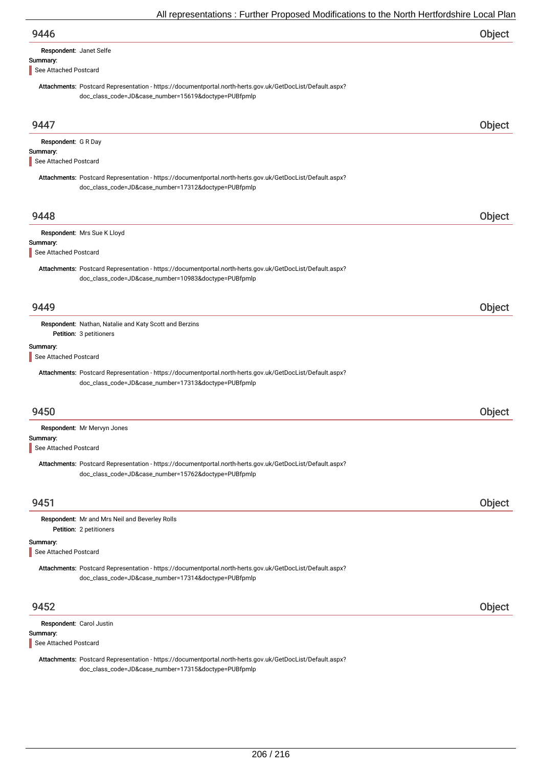| 9446 | Object |
|------|--------|
|      |        |

| Respondent: Janet Selfe |  |
|-------------------------|--|
| Summary:                |  |

See Attached Postcard

Attachments: Postcard Representation - https://documentportal.north-herts.gov.uk/GetDocList/Default.aspx? doc\_class\_code=JD&case\_number=15619&doctype=PUBfpmlp

| 9447                                                          |                                                                                                                                                                   | Object |
|---------------------------------------------------------------|-------------------------------------------------------------------------------------------------------------------------------------------------------------------|--------|
| Respondent: G R Day<br>Summary:<br>See Attached Postcard      |                                                                                                                                                                   |        |
|                                                               | Attachments: Postcard Representation - https://documentportal.north-herts.gov.uk/GetDocList/Default.aspx?<br>doc_class_code=JD&case_number=17312&doctype=PUBfpmlp |        |
| 9448                                                          |                                                                                                                                                                   | Object |
| Summary:<br>See Attached Postcard                             | Respondent: Mrs Sue K Lloyd                                                                                                                                       |        |
|                                                               | Attachments: Postcard Representation - https://documentportal.north-herts.gov.uk/GetDocList/Default.aspx?<br>doc_class_code=JD&case_number=10983&doctype=PUBfpmlp |        |
| 9449                                                          |                                                                                                                                                                   | Object |
|                                                               | Respondent: Nathan, Natalie and Katy Scott and Berzins<br>Petition: 3 petitioners                                                                                 |        |
| Summary:<br>See Attached Postcard                             |                                                                                                                                                                   |        |
|                                                               | Attachments: Postcard Representation - https://documentportal.north-herts.gov.uk/GetDocList/Default.aspx?<br>doc_class_code=JD&case_number=17313&doctype=PUBfpmlp |        |
| 9450                                                          |                                                                                                                                                                   | Object |
|                                                               | Respondent: Mr Mervyn Jones                                                                                                                                       |        |
| Summary:<br>See Attached Postcard                             |                                                                                                                                                                   |        |
|                                                               | Attachments: Postcard Representation - https://documentportal.north-herts.gov.uk/GetDocList/Default.aspx?<br>doc_class_code=JD&case_number=15762&doctype=PUBfpmlp |        |
| 9451                                                          |                                                                                                                                                                   | Object |
|                                                               | Respondent: Mr and Mrs Neil and Beverley Rolls<br>Petition: 2 petitioners                                                                                         |        |
| Summary:<br>See Attached Postcard                             |                                                                                                                                                                   |        |
|                                                               | Attachments: Postcard Representation - https://documentportal.north-herts.gov.uk/GetDocList/Default.aspx?<br>doc_class_code=JD&case_number=17314&doctype=PUBfpmlp |        |
| 9452                                                          |                                                                                                                                                                   | Object |
| Respondent: Carol Justin<br>Summary:<br>See Attached Postcard |                                                                                                                                                                   |        |

Attachments: Postcard Representation - https://documentportal.north-herts.gov.uk/GetDocList/Default.aspx? doc\_class\_code=JD&case\_number=17315&doctype=PUBfpmlp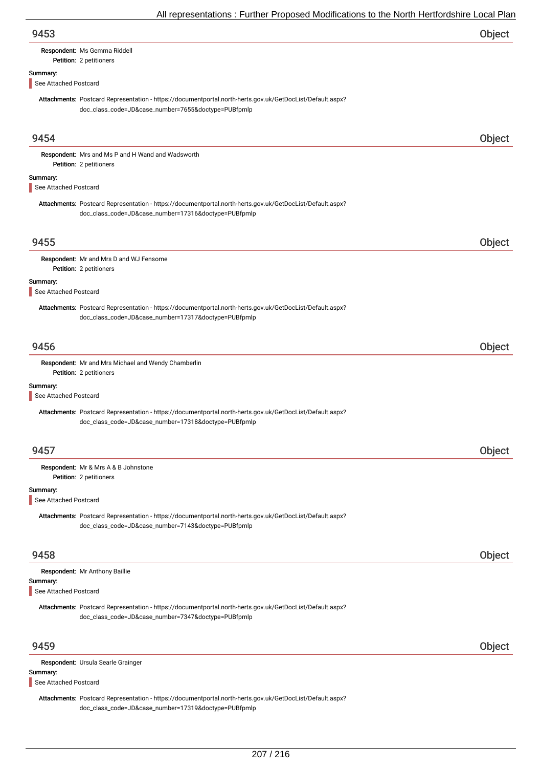| 9453                              |                                                                                                                                                                   | Object |
|-----------------------------------|-------------------------------------------------------------------------------------------------------------------------------------------------------------------|--------|
|                                   | Respondent: Ms Gemma Riddell<br>Petition: 2 petitioners                                                                                                           |        |
| Summary:                          |                                                                                                                                                                   |        |
| See Attached Postcard             |                                                                                                                                                                   |        |
|                                   | Attachments: Postcard Representation - https://documentportal.north-herts.gov.uk/GetDocList/Default.aspx?<br>doc_class_code=JD&case_number=7655&doctype=PUBfpmlp  |        |
| 9454                              |                                                                                                                                                                   | Object |
|                                   | Respondent: Mrs and Ms P and H Wand and Wadsworth<br>Petition: 2 petitioners                                                                                      |        |
| Summary:<br>See Attached Postcard |                                                                                                                                                                   |        |
|                                   | Attachments: Postcard Representation - https://documentportal.north-herts.gov.uk/GetDocList/Default.aspx?<br>doc_class_code=JD&case_number=17316&doctype=PUBfpmlp |        |
| 9455                              |                                                                                                                                                                   | Object |
|                                   | Respondent: Mr and Mrs D and WJ Fensome                                                                                                                           |        |
|                                   | Petition: 2 petitioners                                                                                                                                           |        |
| Summary:<br>See Attached Postcard |                                                                                                                                                                   |        |
|                                   | Attachments: Postcard Representation - https://documentportal.north-herts.gov.uk/GetDocList/Default.aspx?<br>doc_class_code=JD&case_number=17317&doctype=PUBfpmlp |        |
| 9456                              |                                                                                                                                                                   | Object |
|                                   | Respondent: Mr and Mrs Michael and Wendy Chamberlin<br>Petition: 2 petitioners                                                                                    |        |
| Summary:<br>See Attached Postcard |                                                                                                                                                                   |        |
|                                   | Attachments: Postcard Representation - https://documentportal.north-herts.gov.uk/GetDocList/Default.aspx?<br>doc_class_code=JD&case_number=17318&doctype=PUBfpmlp |        |
| 9457                              |                                                                                                                                                                   | Object |
|                                   | Respondent: Mr & Mrs A & B Johnstone<br>Petition: 2 petitioners                                                                                                   |        |
| Summary:<br>See Attached Postcard |                                                                                                                                                                   |        |
|                                   | Attachments: Postcard Representation - https://documentportal.north-herts.gov.uk/GetDocList/Default.aspx?<br>doc_class_code=JD&case_number=7143&doctype=PUBfpmlp  |        |
| 9458                              |                                                                                                                                                                   | Object |
|                                   | Respondent: Mr Anthony Baillie                                                                                                                                    |        |
| Summary:<br>See Attached Postcard |                                                                                                                                                                   |        |
|                                   | Attachments: Postcard Representation - https://documentportal.north-herts.gov.uk/GetDocList/Default.aspx?<br>doc_class_code=JD&case_number=7347&doctype=PUBfpmlp  |        |
| 9459                              |                                                                                                                                                                   | Object |
|                                   | Respondent: Ursula Searle Grainger                                                                                                                                |        |
| Summary:<br>See Attached Postcard |                                                                                                                                                                   |        |
|                                   | Attachments: Postcard Representation - https://documentportal.north-herts.gov.uk/GetDocList/Default.aspx?<br>doc_class_code=JD&case_number=17319&doctype=PUBfpmlp |        |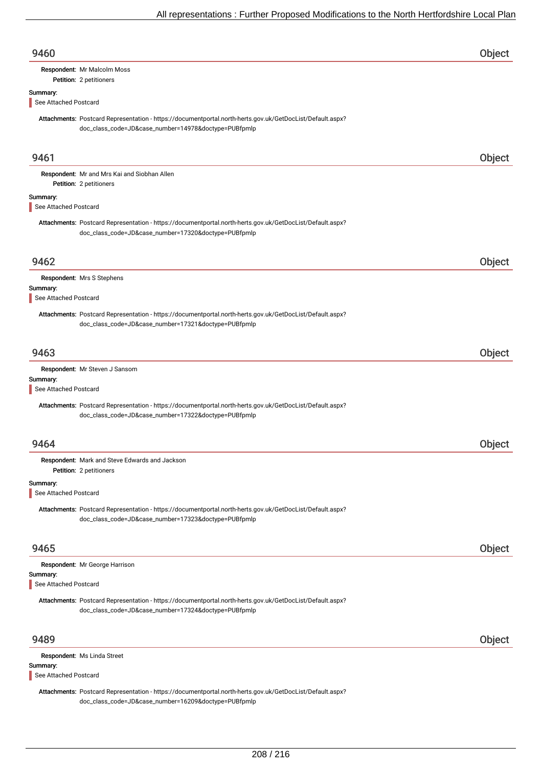| 9460                              |                                                                                                                                                                   | Object |
|-----------------------------------|-------------------------------------------------------------------------------------------------------------------------------------------------------------------|--------|
|                                   | Respondent: Mr Malcolm Moss<br>Petition: 2 petitioners                                                                                                            |        |
| Summary:<br>See Attached Postcard |                                                                                                                                                                   |        |
|                                   | Attachments: Postcard Representation - https://documentportal.north-herts.gov.uk/GetDocList/Default.aspx?<br>doc_class_code=JD&case_number=14978&doctype=PUBfpmlp |        |
| 9461                              |                                                                                                                                                                   | Object |
|                                   | Respondent: Mr and Mrs Kai and Siobhan Allen<br>Petition: 2 petitioners                                                                                           |        |
| Summary:<br>See Attached Postcard |                                                                                                                                                                   |        |
|                                   | Attachments: Postcard Representation - https://documentportal.north-herts.gov.uk/GetDocList/Default.aspx?<br>doc_class_code=JD&case_number=17320&doctype=PUBfpmlp |        |
| 9462                              |                                                                                                                                                                   | Object |
|                                   | Respondent: Mrs S Stephens                                                                                                                                        |        |
| Summary:<br>See Attached Postcard |                                                                                                                                                                   |        |
|                                   | Attachments: Postcard Representation - https://documentportal.north-herts.gov.uk/GetDocList/Default.aspx?<br>doc_class_code=JD&case_number=17321&doctype=PUBfpmlp |        |
| 9463                              |                                                                                                                                                                   | Object |
| Summary:<br>See Attached Postcard | Respondent: Mr Steven J Sansom                                                                                                                                    |        |
|                                   | Attachments: Postcard Representation - https://documentportal.north-herts.gov.uk/GetDocList/Default.aspx?<br>doc_class_code=JD&case_number=17322&doctype=PUBfpmlp |        |
| 9464                              |                                                                                                                                                                   | Object |
|                                   | Respondent: Mark and Steve Edwards and Jackson<br>Petition: 2 petitioners                                                                                         |        |
| Summary:<br>See Attached Postcard |                                                                                                                                                                   |        |
|                                   | Attachments: Postcard Representation - https://documentportal.north-herts.gov.uk/GetDocList/Default.aspx?<br>doc_class_code=JD&case_number=17323&doctype=PUBfpmlp |        |
| 9465                              |                                                                                                                                                                   | Object |
| Summary:                          | Respondent: Mr George Harrison                                                                                                                                    |        |
| See Attached Postcard             |                                                                                                                                                                   |        |
|                                   | Attachments: Postcard Representation - https://documentportal.north-herts.gov.uk/GetDocList/Default.aspx?<br>doc_class_code=JD&case_number=17324&doctype=PUBfpmlp |        |
| 9489                              |                                                                                                                                                                   | Object |
| Summary:<br>See Attached Postcard | Respondent: Ms Linda Street                                                                                                                                       |        |
|                                   | Attachments: Postcard Representation - https://documentportal.north-herts.gov.uk/GetDocList/Default.aspx?                                                         |        |

doc\_class\_code=JD&case\_number=16209&doctype=PUBfpmlp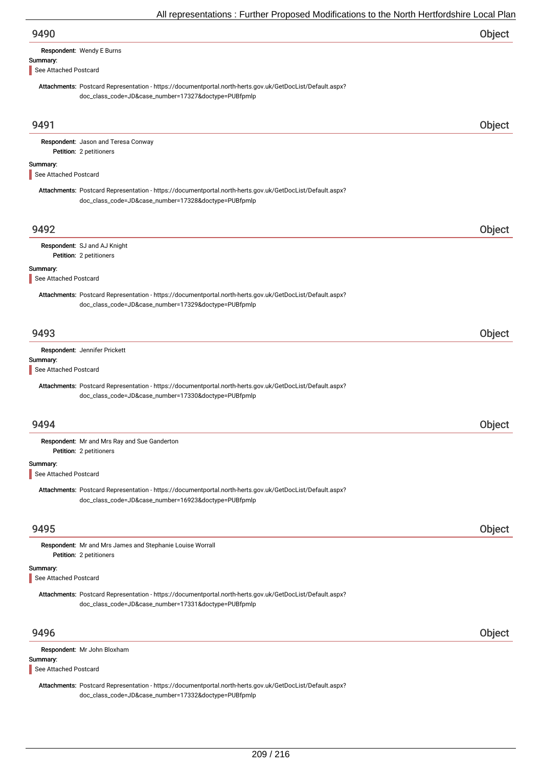| 9490                              |                                                                                                                                                                   | Object |
|-----------------------------------|-------------------------------------------------------------------------------------------------------------------------------------------------------------------|--------|
|                                   | Respondent: Wendy E Burns                                                                                                                                         |        |
| Summary:<br>See Attached Postcard |                                                                                                                                                                   |        |
|                                   | Attachments: Postcard Representation - https://documentportal.north-herts.gov.uk/GetDocList/Default.aspx?<br>doc_class_code=JD&case_number=17327&doctype=PUBfpmlp |        |
| 9491                              |                                                                                                                                                                   | Object |
|                                   | Respondent: Jason and Teresa Conway<br>Petition: 2 petitioners                                                                                                    |        |
| Summary:<br>See Attached Postcard |                                                                                                                                                                   |        |
|                                   | Attachments: Postcard Representation - https://documentportal.north-herts.gov.uk/GetDocList/Default.aspx?<br>doc_class_code=JD&case_number=17328&doctype=PUBfpmlp |        |
| 9492                              |                                                                                                                                                                   | Object |
|                                   | Respondent: SJ and AJ Knight                                                                                                                                      |        |
| Summary:                          | Petition: 2 petitioners                                                                                                                                           |        |
| See Attached Postcard             |                                                                                                                                                                   |        |
|                                   | Attachments: Postcard Representation - https://documentportal.north-herts.gov.uk/GetDocList/Default.aspx?<br>doc_class_code=JD&case_number=17329&doctype=PUBfpmlp |        |
| 9493                              |                                                                                                                                                                   | Object |
| Summary:                          | Respondent: Jennifer Prickett                                                                                                                                     |        |
| See Attached Postcard             |                                                                                                                                                                   |        |
|                                   | Attachments: Postcard Representation - https://documentportal.north-herts.gov.uk/GetDocList/Default.aspx?<br>doc_class_code=JD&case_number=17330&doctype=PUBfpmlp |        |
| 9494                              |                                                                                                                                                                   | Object |
|                                   | Respondent: Mr and Mrs Ray and Sue Ganderton<br>Petition: 2 petitioners                                                                                           |        |
| Summary:<br>See Attached Postcard |                                                                                                                                                                   |        |
|                                   | Attachments: Postcard Representation - https://documentportal.north-herts.gov.uk/GetDocList/Default.aspx?<br>doc_class_code=JD&case_number=16923&doctype=PUBfpmlp |        |
| 9495                              |                                                                                                                                                                   | Object |
|                                   | Respondent: Mr and Mrs James and Stephanie Louise Worrall<br>Petition: 2 petitioners                                                                              |        |
| Summary:<br>See Attached Postcard |                                                                                                                                                                   |        |
|                                   | Attachments: Postcard Representation - https://documentportal.north-herts.gov.uk/GetDocList/Default.aspx?<br>doc_class_code=JD&case_number=17331&doctype=PUBfpmlp |        |
| 9496                              |                                                                                                                                                                   | Object |
|                                   | Respondent: Mr John Bloxham                                                                                                                                       |        |
| Summary:<br>See Attached Postcard |                                                                                                                                                                   |        |

Attachments: Postcard Representation - https://documentportal.north-herts.gov.uk/GetDocList/Default.aspx? doc\_class\_code=JD&case\_number=17332&doctype=PUBfpmlp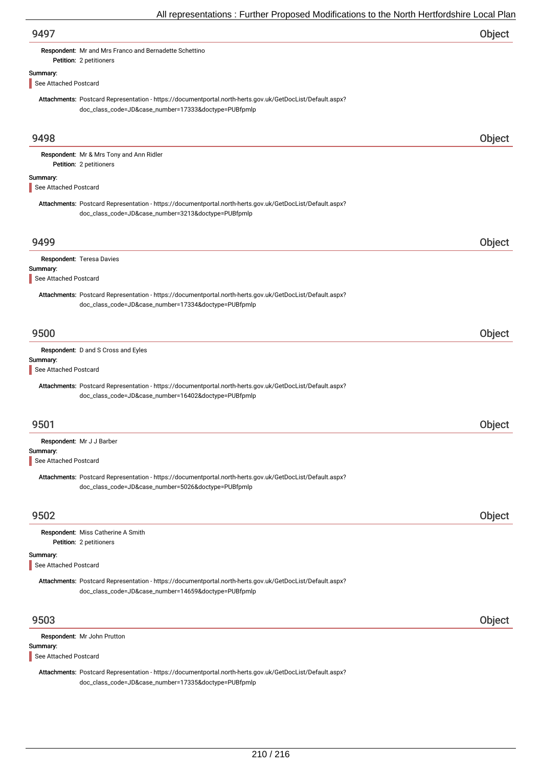| 9497                                                                                                                                                              | Object |
|-------------------------------------------------------------------------------------------------------------------------------------------------------------------|--------|
| Respondent: Mr and Mrs Franco and Bernadette Schettino<br>Petition: 2 petitioners                                                                                 |        |
| Summary:<br>See Attached Postcard                                                                                                                                 |        |
| Attachments: Postcard Representation - https://documentportal.north-herts.gov.uk/GetDocList/Default.aspx?<br>doc_class_code=JD&case_number=17333&doctype=PUBfpmlp |        |
| 9498                                                                                                                                                              | Object |
| Respondent: Mr & Mrs Tony and Ann Ridler<br>Petition: 2 petitioners                                                                                               |        |
| Summary:<br>See Attached Postcard                                                                                                                                 |        |
| Attachments: Postcard Representation - https://documentportal.north-herts.gov.uk/GetDocList/Default.aspx?<br>doc_class_code=JD&case_number=3213&doctype=PUBfpmlp  |        |
| 9499                                                                                                                                                              | Object |
| Respondent: Teresa Davies                                                                                                                                         |        |
| Summary:<br>See Attached Postcard                                                                                                                                 |        |
| Attachments: Postcard Representation - https://documentportal.north-herts.gov.uk/GetDocList/Default.aspx?<br>doc_class_code=JD&case_number=17334&doctype=PUBfpmlp |        |
| 9500                                                                                                                                                              | Object |
| Respondent: D and S Cross and Eyles<br>Summary:<br>See Attached Postcard                                                                                          |        |
| Attachments: Postcard Representation - https://documentportal.north-herts.gov.uk/GetDocList/Default.aspx?<br>doc_class_code=JD&case_number=16402&doctype=PUBfpmlp |        |
| 9501                                                                                                                                                              | Object |
| Respondent: Mr J J Barber<br>Summary:<br>See Attached Postcard                                                                                                    |        |
| Attachments: Postcard Representation - https://documentportal.north-herts.gov.uk/GetDocList/Default.aspx?<br>doc_class_code=JD&case_number=5026&doctype=PUBfpmlp  |        |
| 9502                                                                                                                                                              | Object |
| Respondent: Miss Catherine A Smith<br>Petition: 2 petitioners                                                                                                     |        |
| Summary:<br>See Attached Postcard                                                                                                                                 |        |
| Attachments: Postcard Representation - https://documentportal.north-herts.gov.uk/GetDocList/Default.aspx?<br>doc_class_code=JD&case_number=14659&doctype=PUBfpmlp |        |
| 9503                                                                                                                                                              | Object |
| Respondent: Mr John Prutton<br>Summary:                                                                                                                           |        |
| See Attached Postcard                                                                                                                                             |        |
| Attachments: Postcard Representation - https://documentportal.north-herts.gov.uk/GetDocList/Default.aspx?<br>doc_class_code=JD&case_number=17335&doctype=PUBfpmlp |        |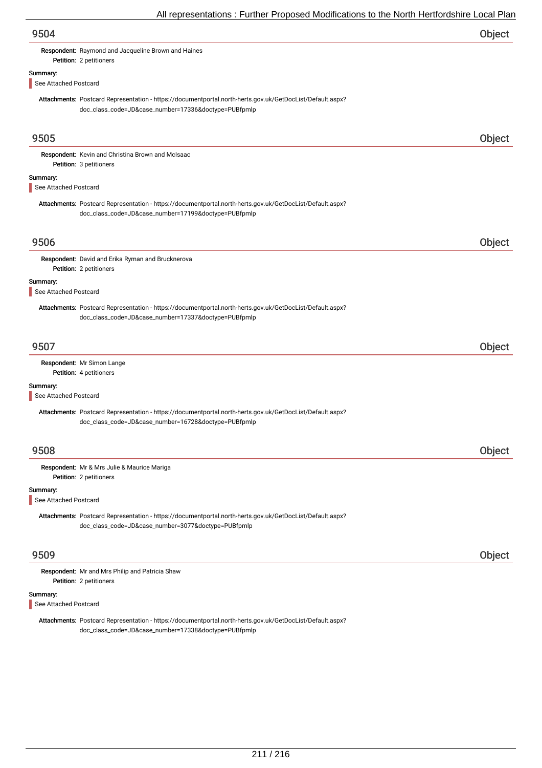| 9504                              |                                                                                                                                                                   | Object        |
|-----------------------------------|-------------------------------------------------------------------------------------------------------------------------------------------------------------------|---------------|
|                                   | Respondent: Raymond and Jacqueline Brown and Haines<br>Petition: 2 petitioners                                                                                    |               |
| Summary:<br>See Attached Postcard |                                                                                                                                                                   |               |
|                                   | Attachments: Postcard Representation - https://documentportal.north-herts.gov.uk/GetDocList/Default.aspx?<br>doc_class_code=JD&case_number=17336&doctype=PUBfpmlp |               |
| 9505                              |                                                                                                                                                                   | Object        |
|                                   | Respondent: Kevin and Christina Brown and McIsaac<br>Petition: 3 petitioners                                                                                      |               |
| Summary:<br>See Attached Postcard |                                                                                                                                                                   |               |
|                                   | Attachments: Postcard Representation - https://documentportal.north-herts.gov.uk/GetDocList/Default.aspx?<br>doc_class_code=JD&case_number=17199&doctype=PUBfpmlp |               |
| 9506                              |                                                                                                                                                                   | Object        |
|                                   | Respondent: David and Erika Ryman and Brucknerova<br>Petition: 2 petitioners                                                                                      |               |
| Summary:<br>See Attached Postcard |                                                                                                                                                                   |               |
|                                   | Attachments: Postcard Representation - https://documentportal.north-herts.gov.uk/GetDocList/Default.aspx?<br>doc_class_code=JD&case_number=17337&doctype=PUBfpmlp |               |
| 9507                              |                                                                                                                                                                   | Object        |
|                                   | Respondent: Mr Simon Lange<br>Petition: 4 petitioners                                                                                                             |               |
| Summary:<br>See Attached Postcard |                                                                                                                                                                   |               |
|                                   | Attachments: Postcard Representation - https://documentportal.north-herts.gov.uk/GetDocList/Default.aspx?<br>doc_class_code=JD&case_number=16728&doctype=PUBfpmlp |               |
| 9508                              |                                                                                                                                                                   | <b>Object</b> |
|                                   | Respondent: Mr & Mrs Julie & Maurice Mariga<br>Petition: 2 petitioners                                                                                            |               |
| Summary:<br>See Attached Postcard |                                                                                                                                                                   |               |
|                                   | Attachments: Postcard Representation - https://documentportal.north-herts.gov.uk/GetDocList/Default.aspx?<br>doc_class_code=JD&case_number=3077&doctype=PUBfpmlp  |               |
| 9509                              |                                                                                                                                                                   | Object        |
|                                   | Respondent: Mr and Mrs Philip and Patricia Shaw<br>Petition: 2 petitioners                                                                                        |               |
| Summary:<br>See Attached Postcard |                                                                                                                                                                   |               |
|                                   | Attachments: Postcard Representation - https://documentportal.north-herts.gov.uk/GetDocList/Default.aspx?<br>doc_class_code=JD&case_number=17338&doctype=PUBfpmlp |               |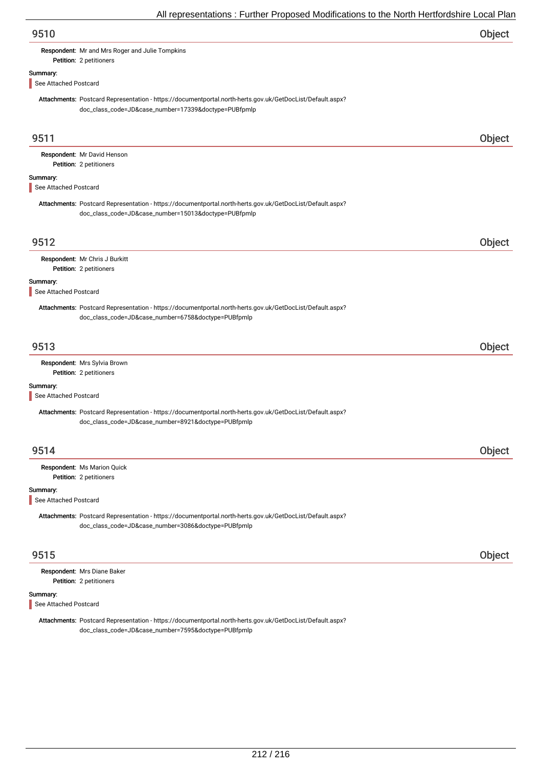Respondent: Mr and Mrs Roger and Julie Tompkins

# Summary:

See Attached Postcard

Petition: 2 petitioners

Attachments: Postcard Representation - https://documentportal.north-herts.gov.uk/GetDocList/Default.aspx? doc\_class\_code=JD&case\_number=17339&doctype=PUBfpmlp

| 9511                              |                                                                                                                                                                   | Object |
|-----------------------------------|-------------------------------------------------------------------------------------------------------------------------------------------------------------------|--------|
|                                   | Respondent: Mr David Henson<br>Petition: 2 petitioners                                                                                                            |        |
| Summary:<br>See Attached Postcard |                                                                                                                                                                   |        |
|                                   | Attachments: Postcard Representation - https://documentportal.north-herts.gov.uk/GetDocList/Default.aspx?<br>doc_class_code=JD&case_number=15013&doctype=PUBfpmlp |        |
| 9512                              |                                                                                                                                                                   | Object |
|                                   | Respondent: Mr Chris J Burkitt<br>Petition: 2 petitioners                                                                                                         |        |
| Summary:<br>See Attached Postcard |                                                                                                                                                                   |        |
|                                   | Attachments: Postcard Representation - https://documentportal.north-herts.gov.uk/GetDocList/Default.aspx?<br>doc_class_code=JD&case_number=6758&doctype=PUBfpmlp  |        |
| 9513                              |                                                                                                                                                                   | Object |
|                                   | Respondent: Mrs Sylvia Brown<br>Petition: 2 petitioners                                                                                                           |        |
| Summary:<br>See Attached Postcard |                                                                                                                                                                   |        |
|                                   | Attachments: Postcard Representation - https://documentportal.north-herts.gov.uk/GetDocList/Default.aspx?<br>doc_class_code=JD&case_number=8921&doctype=PUBfpmlp  |        |
| 9514                              |                                                                                                                                                                   | Object |
|                                   | Respondent: Ms Marion Quick<br>Petition: 2 petitioners                                                                                                            |        |
| Summary:<br>See Attached Postcard |                                                                                                                                                                   |        |
|                                   | Attachments: Postcard Representation - https://documentportal.north-herts.gov.uk/GetDocList/Default.aspx?<br>doc_class_code=JD&case_number=3086&doctype=PUBfpmlp  |        |
| 9515                              |                                                                                                                                                                   | Object |
|                                   | Respondent: Mrs Diane Baker<br>Petition: 2 petitioners                                                                                                            |        |
| Summary:<br>See Attached Postcard |                                                                                                                                                                   |        |
|                                   | Attachments: Postcard Representation - https://documentportal.north-herts.gov.uk/GetDocList/Default.aspx?<br>doc_class_code=JD&case_number=7595&doctype=PUBfpmlp  |        |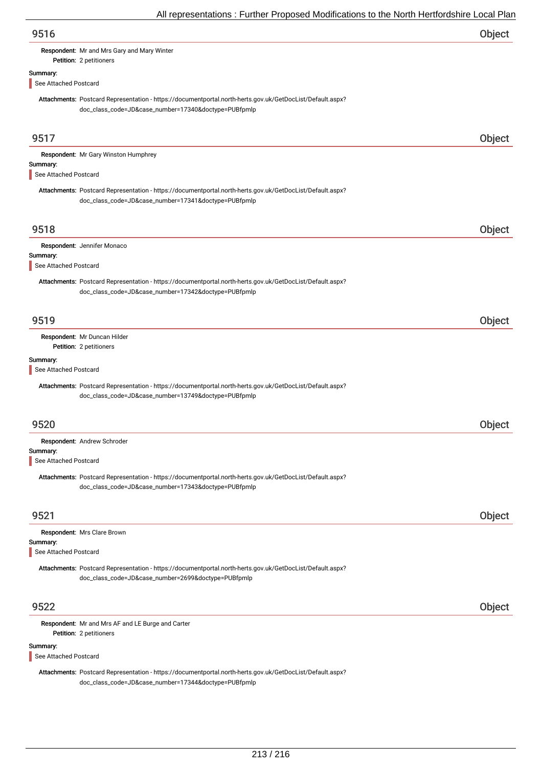| 9516 | Object |
|------|--------|
|      |        |

### Respondent: Mr and Mrs Gary and Mary Winter

Petition: 2 petitioners

### Summary:

See Attached Postcard

Attachments: Postcard Representation - https://documentportal.north-herts.gov.uk/GetDocList/Default.aspx? doc\_class\_code=JD&case\_number=17340&doctype=PUBfpmlp

| 9517                              |                                                                                                                                                                   | Object |
|-----------------------------------|-------------------------------------------------------------------------------------------------------------------------------------------------------------------|--------|
| Summary:<br>See Attached Postcard | Respondent: Mr Gary Winston Humphrey                                                                                                                              |        |
|                                   | Attachments: Postcard Representation - https://documentportal.north-herts.gov.uk/GetDocList/Default.aspx?<br>doc_class_code=JD&case_number=17341&doctype=PUBfpmlp |        |
| 9518                              |                                                                                                                                                                   | Object |
| Summary:<br>See Attached Postcard | Respondent: Jennifer Monaco                                                                                                                                       |        |
|                                   | Attachments: Postcard Representation - https://documentportal.north-herts.gov.uk/GetDocList/Default.aspx?<br>doc_class_code=JD&case_number=17342&doctype=PUBfpmlp |        |
| 9519                              |                                                                                                                                                                   | Object |
|                                   | Respondent: Mr Duncan Hilder<br>Petition: 2 petitioners                                                                                                           |        |
| Summary:<br>See Attached Postcard |                                                                                                                                                                   |        |
|                                   | Attachments: Postcard Representation - https://documentportal.north-herts.gov.uk/GetDocList/Default.aspx?<br>doc_class_code=JD&case_number=13749&doctype=PUBfpmlp |        |
| 9520                              |                                                                                                                                                                   | Object |
| Summary:<br>See Attached Postcard | Respondent: Andrew Schroder                                                                                                                                       |        |
|                                   | Attachments: Postcard Representation - https://documentportal.north-herts.gov.uk/GetDocList/Default.aspx?<br>doc_class_code=JD&case_number=17343&doctype=PUBfpmlp |        |
| 9521                              |                                                                                                                                                                   | Object |
| Summary:<br>See Attached Postcard | Respondent: Mrs Clare Brown                                                                                                                                       |        |
|                                   | Attachments: Postcard Representation - https://documentportal.north-herts.gov.uk/GetDocList/Default.aspx?<br>doc_class_code=JD&case_number=2699&doctype=PUBfpmlp  |        |
| 9522                              |                                                                                                                                                                   | Object |
|                                   | Respondent: Mr and Mrs AF and LE Burge and Carter<br>Petition: 2 petitioners                                                                                      |        |
| Summary:<br>See Attached Postcard |                                                                                                                                                                   |        |
|                                   | Attachments: Postcard Representation - https://documentportal.north-herts.gov.uk/GetDocList/Default.aspx?                                                         |        |

doc\_class\_code=JD&case\_number=17344&doctype=PUBfpmlp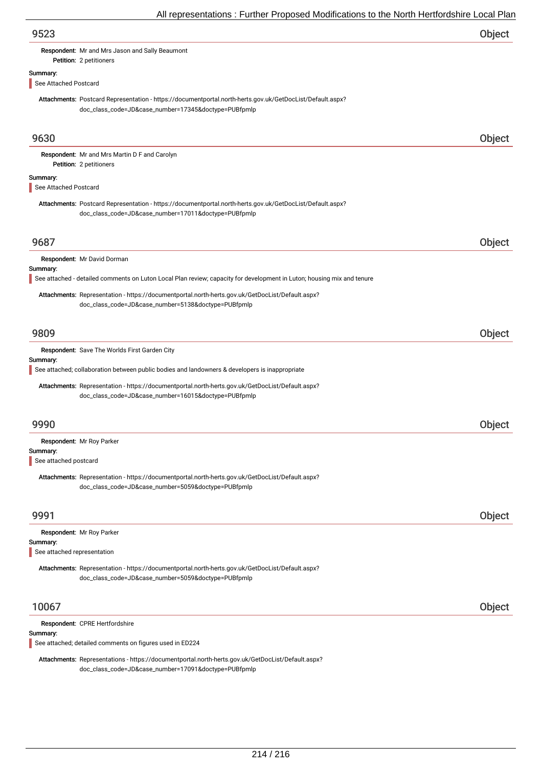|                       |                                                                                                                                                                   | Object        |
|-----------------------|-------------------------------------------------------------------------------------------------------------------------------------------------------------------|---------------|
|                       | Respondent: Mr and Mrs Jason and Sally Beaumont                                                                                                                   |               |
|                       | Petition: 2 petitioners                                                                                                                                           |               |
| Summary:              |                                                                                                                                                                   |               |
| See Attached Postcard |                                                                                                                                                                   |               |
|                       | Attachments: Postcard Representation - https://documentportal.north-herts.gov.uk/GetDocList/Default.aspx?<br>doc_class_code=JD&case_number=17345&doctype=PUBfpmlp |               |
| 9630                  |                                                                                                                                                                   | Object        |
|                       | Respondent: Mr and Mrs Martin D F and Carolyn                                                                                                                     |               |
|                       | Petition: 2 petitioners                                                                                                                                           |               |
| Summary:              |                                                                                                                                                                   |               |
| See Attached Postcard |                                                                                                                                                                   |               |
|                       | Attachments: Postcard Representation - https://documentportal.north-herts.gov.uk/GetDocList/Default.aspx?<br>doc_class_code=JD&case_number=17011&doctype=PUBfpmlp |               |
| 9687                  |                                                                                                                                                                   | Object        |
|                       | Respondent: Mr David Dorman                                                                                                                                       |               |
| Summary:              |                                                                                                                                                                   |               |
|                       | See attached - detailed comments on Luton Local Plan review; capacity for development in Luton; housing mix and tenure                                            |               |
|                       | Attachments: Representation - https://documentportal.north-herts.gov.uk/GetDocList/Default.aspx?<br>doc_class_code=JD&case_number=5138&doctype=PUBfpmlp           |               |
|                       |                                                                                                                                                                   |               |
|                       |                                                                                                                                                                   |               |
|                       |                                                                                                                                                                   |               |
| 9809                  |                                                                                                                                                                   | Object        |
|                       | Respondent: Save The Worlds First Garden City                                                                                                                     |               |
| Summary:              |                                                                                                                                                                   |               |
|                       | See attached; collaboration between public bodies and landowners & developers is inappropriate                                                                    |               |
|                       | Attachments: Representation - https://documentportal.north-herts.gov.uk/GetDocList/Default.aspx?<br>doc_class_code=JD&case_number=16015&doctype=PUBfpmlp          |               |
| 9990                  |                                                                                                                                                                   | <b>Object</b> |
|                       |                                                                                                                                                                   |               |
| Summary:              | Respondent: Mr Roy Parker                                                                                                                                         |               |
| See attached postcard |                                                                                                                                                                   |               |
|                       | Attachments: Representation - https://documentportal.north-herts.gov.uk/GetDocList/Default.aspx?<br>doc_class_code=JD&case_number=5059&doctype=PUBfpmlp           |               |
|                       |                                                                                                                                                                   |               |
| 9991                  |                                                                                                                                                                   | Object        |
|                       | Respondent: Mr Roy Parker                                                                                                                                         |               |
| Summary:              | See attached representation                                                                                                                                       |               |
|                       |                                                                                                                                                                   |               |
|                       | Attachments: Representation - https://documentportal.north-herts.gov.uk/GetDocList/Default.aspx?<br>doc_class_code=JD&case_number=5059&doctype=PUBfpmlp           |               |

See attached; detailed comments on figures used in ED224

Attachments: Representations - https://documentportal.north-herts.gov.uk/GetDocList/Default.aspx? doc\_class\_code=JD&case\_number=17091&doctype=PUBfpmlp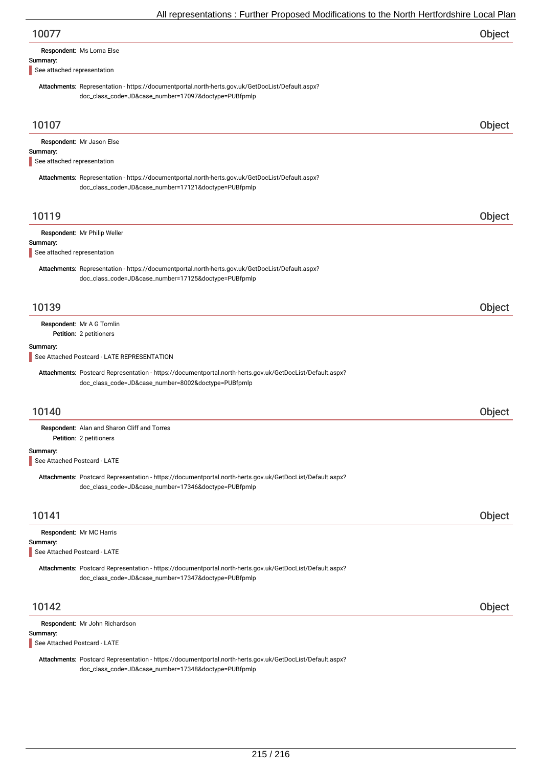| 10077 | Object |
|-------|--------|
|       |        |

### Summary:

See attached representation

Attachments: Representation - https://documentportal.north-herts.gov.uk/GetDocList/Default.aspx? doc\_class\_code=JD&case\_number=17097&doctype=PUBfpmlp

| 10107                                    |                                                                                                                                                                   | Object |
|------------------------------------------|-------------------------------------------------------------------------------------------------------------------------------------------------------------------|--------|
| Summary:<br>See attached representation  | Respondent: Mr Jason Else                                                                                                                                         |        |
|                                          | Attachments: Representation - https://documentportal.north-herts.gov.uk/GetDocList/Default.aspx?<br>doc_class_code=JD&case_number=17121&doctype=PUBfpmlp          |        |
| 10119                                    |                                                                                                                                                                   | Object |
| Summary:<br>See attached representation  | Respondent: Mr Philip Weller                                                                                                                                      |        |
|                                          | Attachments: Representation - https://documentportal.north-herts.gov.uk/GetDocList/Default.aspx?<br>doc_class_code=JD&case_number=17125&doctype=PUBfpmlp          |        |
| 10139                                    |                                                                                                                                                                   | Object |
|                                          | Respondent: Mr A G Tomlin<br>Petition: 2 petitioners                                                                                                              |        |
| Summary:                                 | See Attached Postcard - LATE REPRESENTATION                                                                                                                       |        |
|                                          | Attachments: Postcard Representation - https://documentportal.north-herts.gov.uk/GetDocList/Default.aspx?<br>doc_class_code=JD&case_number=8002&doctype=PUBfpmlp  |        |
| 10140                                    |                                                                                                                                                                   | Object |
|                                          | Respondent: Alan and Sharon Cliff and Torres<br>Petition: 2 petitioners                                                                                           |        |
| Summary:<br>See Attached Postcard - LATE |                                                                                                                                                                   |        |
|                                          | Attachments: Postcard Representation - https://documentportal.north-herts.gov.uk/GetDocList/Default.aspx?<br>doc_class_code=JD&case_number=17346&doctype=PUBfpmlp |        |
| 10141                                    |                                                                                                                                                                   | Object |
| Summary:                                 | Respondent: Mr MC Harris                                                                                                                                          |        |
| See Attached Postcard - LATE             |                                                                                                                                                                   |        |
|                                          | Attachments: Postcard Representation - https://documentportal.north-herts.gov.uk/GetDocList/Default.aspx?<br>doc_class_code=JD&case_number=17347&doctype=PUBfpmlp |        |
| 10142                                    |                                                                                                                                                                   | Object |
| Summary:<br>See Attached Postcard - LATE | Respondent: Mr John Richardson                                                                                                                                    |        |

Attachments: Postcard Representation - https://documentportal.north-herts.gov.uk/GetDocList/Default.aspx? doc\_class\_code=JD&case\_number=17348&doctype=PUBfpmlp